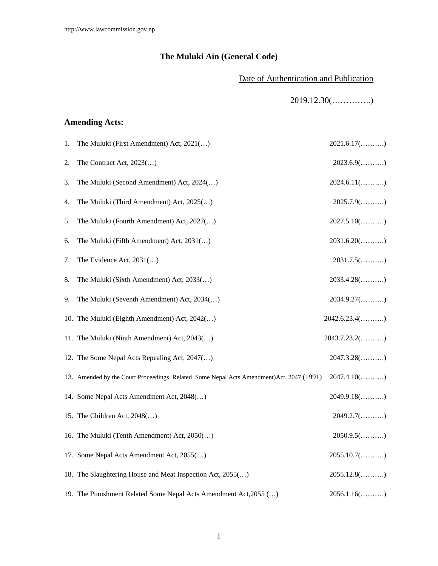# **The Muluki Ain (General Code)**

### Date of Authentication and Publication

2019.12.30(…………..)

### **Amending Acts:**

| 1. | The Muluki (First Amendment) Act, 2021()                                                 | $2021.6.17(\ldots)$   |
|----|------------------------------------------------------------------------------------------|-----------------------|
| 2. | The Contract Act, $2023$ ()                                                              | $2023.6.9$ ()         |
| 3. | The Muluki (Second Amendment) Act, 2024()                                                | $2024.6.11$ ()        |
| 4. | The Muluki (Third Amendment) Act, 2025()                                                 | $2025.7.9$ ()         |
| 5. | The Muluki (Fourth Amendment) Act, 2027()                                                | $2027.5.10$ ()        |
| 6. | The Muluki (Fifth Amendment) Act, 2031()                                                 | $2031.6.20$ ()        |
| 7. | The Evidence Act, $2031$ ()                                                              | $2031.7.5(\ldots)$    |
| 8. | The Muluki (Sixth Amendment) Act, 2033()                                                 | $2033.4.28$ ()        |
| 9. | The Muluki (Seventh Amendment) Act, 2034()                                               | $2034.9.27(\ldots)$   |
|    | 10. The Muluki (Eighth Amendment) Act, 2042()                                            | $2042.6.23.4(\ldots)$ |
|    | 11. The Muluki (Ninth Amendment) Act, 2043()                                             | $2043.7.23.2(\ldots)$ |
|    | 12. The Some Nepal Acts Repealing Act, 2047()                                            | $2047.3.28$ ()        |
|    | 13. Amended by the Court Proceedings Related Some Nepal Acts Amendment) Act, 2047 (1991) | $2047.4.10$ ()        |
|    | 14. Some Nepal Acts Amendment Act, 2048()                                                | $2049.9.18$ ()        |
|    | 15. The Children Act, 2048()                                                             | $2049.2.7(\ldots)$    |
|    | 16. The Muluki (Tenth Amendment) Act, 2050()                                             | $2050.9.5(\ldots)$    |
|    | 17. Some Nepal Acts Amendment Act, 2055()                                                | $2055.10.7(\ldots)$   |
|    | 18. The Slaughtering House and Meat Inspection Act, 2055()                               | $2055.12.8(\ldots)$   |
|    | 19. The Punishment Related Some Nepal Acts Amendment Act, 2055 ()                        | $2056.1.16$ ()        |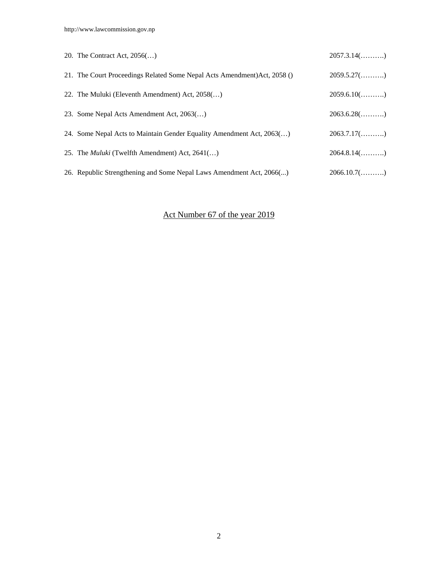| 20. The Contract Act, $2056$                                              | $2057.3.14$ ()      |
|---------------------------------------------------------------------------|---------------------|
| 21. The Court Proceedings Related Some Nepal Acts Amendment) Act, 2058 () | $2059.5.27(\ldots)$ |
| 22. The Muluki (Eleventh Amendment) Act, 2058()                           | $2059.6.10$ ()      |
| 23. Some Nepal Acts Amendment Act, 2063()                                 | $2063.6.28(\ldots)$ |
| 24. Some Nepal Acts to Maintain Gender Equality Amendment Act, 2063()     | $2063.7.17(\ldots)$ |
| 25. The <i>Muluki</i> (Twelfth Amendment) Act, 2641()                     | $2064.8.14$ ()      |
| 26. Republic Strengthening and Some Nepal Laws Amendment Act, 2066        | $2066.10.7(\ldots)$ |

# Act Number 67 of the year 2019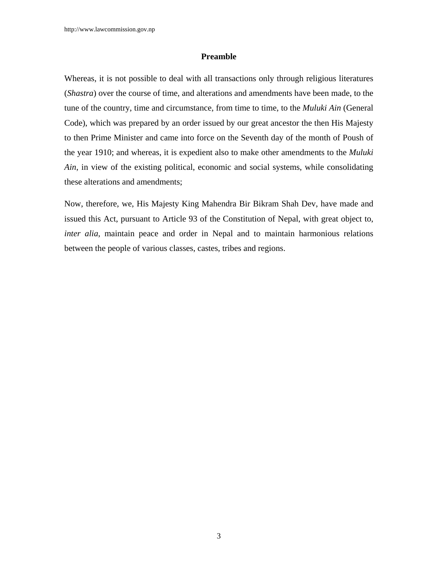#### **Preamble**

Whereas, it is not possible to deal with all transactions only through religious literatures (*Shastra*) over the course of time, and alterations and amendments have been made, to the tune of the country, time and circumstance, from time to time, to the *Muluki Ain* (General Code), which was prepared by an order issued by our great ancestor the then His Majesty to then Prime Minister and came into force on the Seventh day of the month of Poush of the year 1910; and whereas, it is expedient also to make other amendments to the *Muluki Ain*, in view of the existing political, economic and social systems, while consolidating these alterations and amendments;

Now, therefore, we, His Majesty King Mahendra Bir Bikram Shah Dev, have made and issued this Act, pursuant to Article 93 of the Constitution of Nepal, with great object to, *inter alia*, maintain peace and order in Nepal and to maintain harmonious relations between the people of various classes, castes, tribes and regions.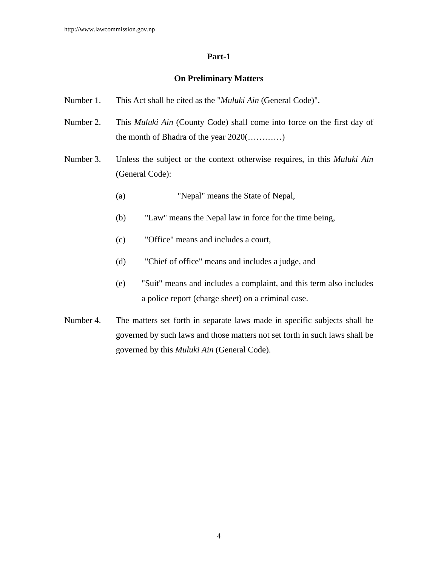### **Part-1**

### **On Preliminary Matters**

- Number 1. This Act shall be cited as the "*Muluki Ain* (General Code)".
- Number 2. This *Muluki Ain* (County Code) shall come into force on the first day of the month of Bhadra of the year 2020(…………)
- Number 3. Unless the subject or the context otherwise requires, in this *Muluki Ain* (General Code):
	- (a) "Nepal" means the State of Nepal,
	- (b) "Law" means the Nepal law in force for the time being,
	- (c) "Office" means and includes a court,
	- (d) "Chief of office" means and includes a judge, and
	- (e) "Suit" means and includes a complaint, and this term also includes a police report (charge sheet) on a criminal case.
- Number 4. The matters set forth in separate laws made in specific subjects shall be governed by such laws and those matters not set forth in such laws shall be governed by this *Muluki Ain* (General Code).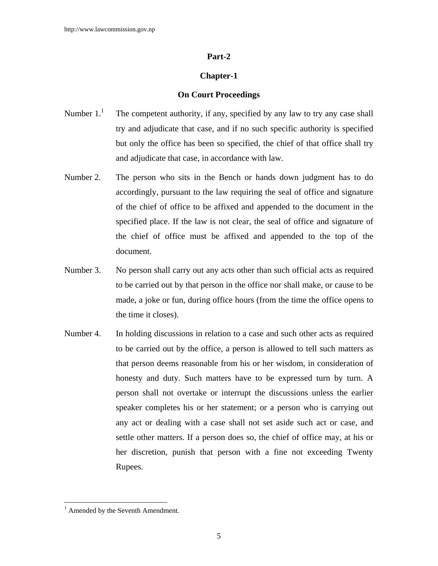#### **Part-2**

#### **Chapter-1**

#### **On Court Proceedings**

- Number  $1<sup>1</sup>$  The competent authority, if any, specified by any law to try any case shall try and adjudicate that case, and if no such specific authority is specified but only the office has been so specified, the chief of that office shall try and adjudicate that case, in accordance with law.
- Number 2. The person who sits in the Bench or hands down judgment has to do accordingly, pursuant to the law requiring the seal of office and signature of the chief of office to be affixed and appended to the document in the specified place. If the law is not clear, the seal of office and signature of the chief of office must be affixed and appended to the top of the document.
- Number 3. No person shall carry out any acts other than such official acts as required to be carried out by that person in the office nor shall make, or cause to be made, a joke or fun, during office hours (from the time the office opens to the time it closes).
- Number 4. In holding discussions in relation to a case and such other acts as required to be carried out by the office, a person is allowed to tell such matters as that person deems reasonable from his or her wisdom, in consideration of honesty and duty. Such matters have to be expressed turn by turn. A person shall not overtake or interrupt the discussions unless the earlier speaker completes his or her statement; or a person who is carrying out any act or dealing with a case shall not set aside such act or case, and settle other matters. If a person does so, the chief of office may, at his or her discretion, punish that person with a fine not exceeding Twenty Rupees.

<sup>&</sup>lt;sup>1</sup> Amended by the Seventh Amendment.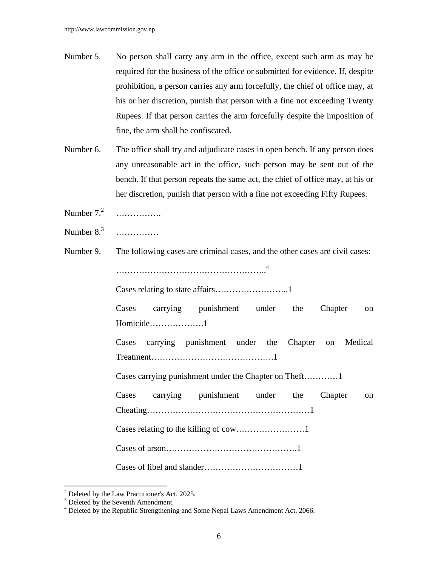- Number 5. No person shall carry any arm in the office, except such arm as may be required for the business of the office or submitted for evidence. If, despite prohibition, a person carries any arm forcefully, the chief of office may, at his or her discretion, punish that person with a fine not exceeding Twenty Rupees. If that person carries the arm forcefully despite the imposition of fine, the arm shall be confiscated.
- Number 6. The office shall try and adjudicate cases in open bench. If any person does any unreasonable act in the office, such person may be sent out of the bench. If that person repeats the same act, the chief of office may, at his or her discretion, punish that person with a fine not exceeding Fifty Rupees.
- Number  $7<sup>2</sup>$ ………………
- Number  $8<sup>3</sup>$ ………………
- Number 9. The following cases are criminal cases, and the other cases are civil cases:

……………………………………………..4

Cases relating to state affairs……………………..1

 Cases carrying punishment under the Chapter on Homicide……………….1

 Cases carrying punishment under the Chapter on Medical Treatment…………………………………….1

Cases carrying punishment under the Chapter on Theft…………1

 Cases carrying punishment under the Chapter on Cheating…………………………………………………1 Cases relating to the killing of cow……………………1 Cases of arson……………………………………….1

Cases of libel and slander……………………………1

 $2^2$  Deleted by the Law Practitioner's Act, 2025.

<sup>&</sup>lt;sup>3</sup> Deleted by the Seventh Amendment.

<sup>&</sup>lt;sup>4</sup> Deleted by the Republic Strengthening and Some Nepal Laws Amendment Act, 2066.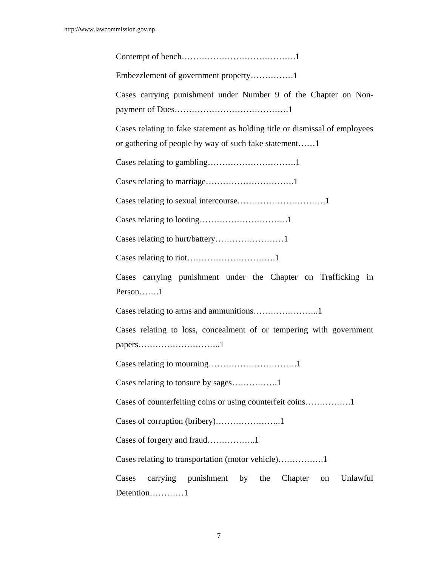| Embezzlement of government property1                                                                                                 |
|--------------------------------------------------------------------------------------------------------------------------------------|
| Cases carrying punishment under Number 9 of the Chapter on Non-                                                                      |
| Cases relating to fake statement as holding title or dismissal of employees<br>or gathering of people by way of such fake statement1 |
|                                                                                                                                      |
|                                                                                                                                      |
|                                                                                                                                      |
|                                                                                                                                      |
| Cases relating to hurt/battery1                                                                                                      |
|                                                                                                                                      |
| Cases carrying punishment under the Chapter on Trafficking in<br>Person1                                                             |
|                                                                                                                                      |
| Cases relating to loss, concealment of or tempering with government                                                                  |
|                                                                                                                                      |
| Cases relating to tonsure by sages1                                                                                                  |
|                                                                                                                                      |
|                                                                                                                                      |
|                                                                                                                                      |
|                                                                                                                                      |
| carrying punishment by the<br>Unlawful<br>Cases<br>Chapter<br>on<br>Detention1                                                       |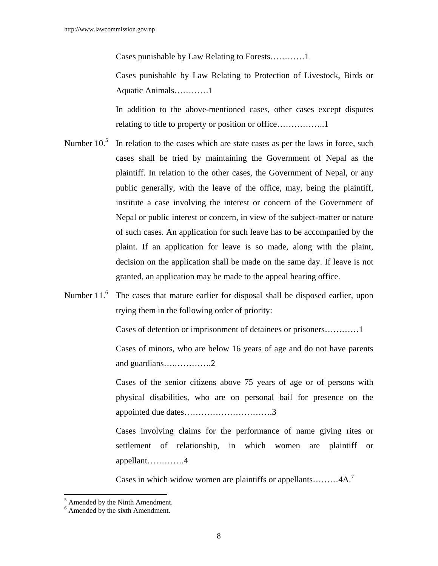Cases punishable by Law Relating to Forests…………1

 Cases punishable by Law Relating to Protection of Livestock, Birds or Aquatic Animals…………1

 In addition to the above-mentioned cases, other cases except disputes relating to title to property or position or office……………..1

- Number  $10<sup>5</sup>$  In relation to the cases which are state cases as per the laws in force, such cases shall be tried by maintaining the Government of Nepal as the plaintiff. In relation to the other cases, the Government of Nepal, or any public generally, with the leave of the office, may, being the plaintiff, institute a case involving the interest or concern of the Government of Nepal or public interest or concern, in view of the subject-matter or nature of such cases. An application for such leave has to be accompanied by the plaint. If an application for leave is so made, along with the plaint, decision on the application shall be made on the same day. If leave is not granted, an application may be made to the appeal hearing office.
- Number  $11<sup>6</sup>$  The cases that mature earlier for disposal shall be disposed earlier, upon trying them in the following order of priority:

Cases of detention or imprisonment of detainees or prisoners…………1

 Cases of minors, who are below 16 years of age and do not have parents and guardians….………….2

 Cases of the senior citizens above 75 years of age or of persons with physical disabilities, who are on personal bail for presence on the appointed due dates………………………….3

Cases involving claims for the performance of name giving rites or settlement of relationship, in which women are plaintiff or appellant………….4

Cases in which widow women are plaintiffs or appellants......... $4A$ <sup>7</sup>

 $\overline{a}$ 

<sup>&</sup>lt;sup>5</sup> Amended by the Ninth Amendment.

<sup>6</sup> Amended by the sixth Amendment.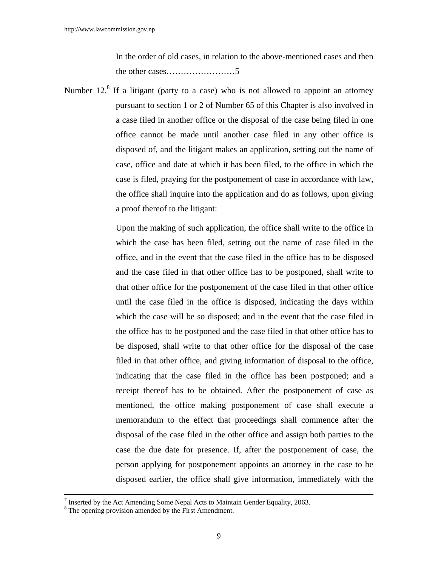In the order of old cases, in relation to the above-mentioned cases and then the other cases……………………5

Number  $12<sup>8</sup>$  If a litigant (party to a case) who is not allowed to appoint an attorney pursuant to section 1 or 2 of Number 65 of this Chapter is also involved in a case filed in another office or the disposal of the case being filed in one office cannot be made until another case filed in any other office is disposed of, and the litigant makes an application, setting out the name of case, office and date at which it has been filed, to the office in which the case is filed, praying for the postponement of case in accordance with law, the office shall inquire into the application and do as follows, upon giving a proof thereof to the litigant:

> Upon the making of such application, the office shall write to the office in which the case has been filed, setting out the name of case filed in the office, and in the event that the case filed in the office has to be disposed and the case filed in that other office has to be postponed, shall write to that other office for the postponement of the case filed in that other office until the case filed in the office is disposed, indicating the days within which the case will be so disposed; and in the event that the case filed in the office has to be postponed and the case filed in that other office has to be disposed, shall write to that other office for the disposal of the case filed in that other office, and giving information of disposal to the office, indicating that the case filed in the office has been postponed; and a receipt thereof has to be obtained. After the postponement of case as mentioned, the office making postponement of case shall execute a memorandum to the effect that proceedings shall commence after the disposal of the case filed in the other office and assign both parties to the case the due date for presence. If, after the postponement of case, the person applying for postponement appoints an attorney in the case to be disposed earlier, the office shall give information, immediately with the

<sup>&</sup>lt;sup>7</sup> Inserted by the Act Amending Some Nepal Acts to Maintain Gender Equality, 2063.

<sup>&</sup>lt;sup>8</sup> The opening provision amended by the First Amendment.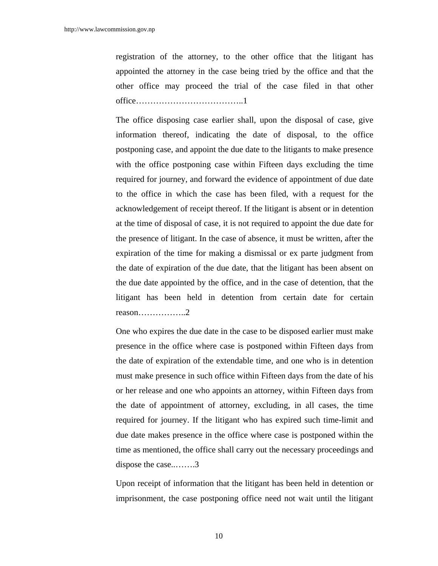registration of the attorney, to the other office that the litigant has appointed the attorney in the case being tried by the office and that the other office may proceed the trial of the case filed in that other office………………………………..1

 The office disposing case earlier shall, upon the disposal of case, give information thereof, indicating the date of disposal, to the office postponing case, and appoint the due date to the litigants to make presence with the office postponing case within Fifteen days excluding the time required for journey, and forward the evidence of appointment of due date to the office in which the case has been filed, with a request for the acknowledgement of receipt thereof. If the litigant is absent or in detention at the time of disposal of case, it is not required to appoint the due date for the presence of litigant. In the case of absence, it must be written, after the expiration of the time for making a dismissal or ex parte judgment from the date of expiration of the due date, that the litigant has been absent on the due date appointed by the office, and in the case of detention, that the litigant has been held in detention from certain date for certain reason……………..2

 One who expires the due date in the case to be disposed earlier must make presence in the office where case is postponed within Fifteen days from the date of expiration of the extendable time, and one who is in detention must make presence in such office within Fifteen days from the date of his or her release and one who appoints an attorney, within Fifteen days from the date of appointment of attorney, excluding, in all cases, the time required for journey. If the litigant who has expired such time-limit and due date makes presence in the office where case is postponed within the time as mentioned, the office shall carry out the necessary proceedings and dispose the case..…….3

 Upon receipt of information that the litigant has been held in detention or imprisonment, the case postponing office need not wait until the litigant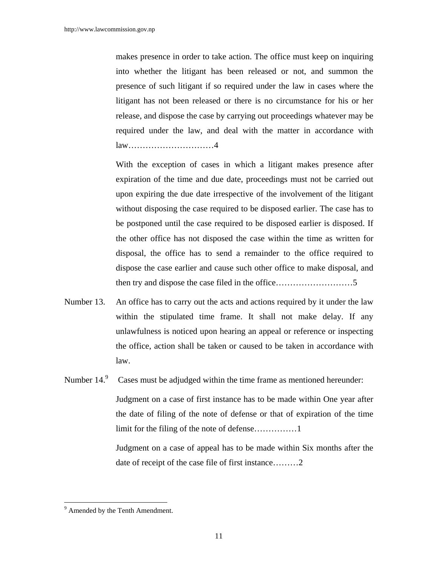makes presence in order to take action. The office must keep on inquiring into whether the litigant has been released or not, and summon the presence of such litigant if so required under the law in cases where the litigant has not been released or there is no circumstance for his or her release, and dispose the case by carrying out proceedings whatever may be required under the law, and deal with the matter in accordance with law…………………………4

 With the exception of cases in which a litigant makes presence after expiration of the time and due date, proceedings must not be carried out upon expiring the due date irrespective of the involvement of the litigant without disposing the case required to be disposed earlier. The case has to be postponed until the case required to be disposed earlier is disposed. If the other office has not disposed the case within the time as written for disposal, the office has to send a remainder to the office required to dispose the case earlier and cause such other office to make disposal, and then try and dispose the case filed in the office………………………5

- Number 13. An office has to carry out the acts and actions required by it under the law within the stipulated time frame. It shall not make delay. If any unlawfulness is noticed upon hearing an appeal or reference or inspecting the office, action shall be taken or caused to be taken in accordance with law.
- Number  $14<sup>9</sup>$  Cases must be adjudged within the time frame as mentioned hereunder: Judgment on a case of first instance has to be made within One year after the date of filing of the note of defense or that of expiration of the time limit for the filing of the note of defense……………1

Judgment on a case of appeal has to be made within Six months after the date of receipt of the case file of first instance………2

<sup>&</sup>lt;sup>9</sup> Amended by the Tenth Amendment.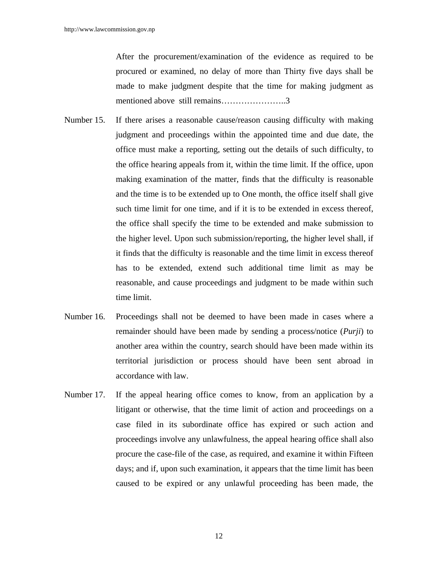After the procurement/examination of the evidence as required to be procured or examined, no delay of more than Thirty five days shall be made to make judgment despite that the time for making judgment as mentioned above still remains…………………..3

- Number 15. If there arises a reasonable cause/reason causing difficulty with making judgment and proceedings within the appointed time and due date, the office must make a reporting, setting out the details of such difficulty, to the office hearing appeals from it, within the time limit. If the office, upon making examination of the matter, finds that the difficulty is reasonable and the time is to be extended up to One month, the office itself shall give such time limit for one time, and if it is to be extended in excess thereof, the office shall specify the time to be extended and make submission to the higher level. Upon such submission/reporting, the higher level shall, if it finds that the difficulty is reasonable and the time limit in excess thereof has to be extended, extend such additional time limit as may be reasonable, and cause proceedings and judgment to be made within such time limit.
- Number 16. Proceedings shall not be deemed to have been made in cases where a remainder should have been made by sending a process/notice (*Purji*) to another area within the country, search should have been made within its territorial jurisdiction or process should have been sent abroad in accordance with law.
- Number 17. If the appeal hearing office comes to know, from an application by a litigant or otherwise, that the time limit of action and proceedings on a case filed in its subordinate office has expired or such action and proceedings involve any unlawfulness, the appeal hearing office shall also procure the case-file of the case, as required, and examine it within Fifteen days; and if, upon such examination, it appears that the time limit has been caused to be expired or any unlawful proceeding has been made, the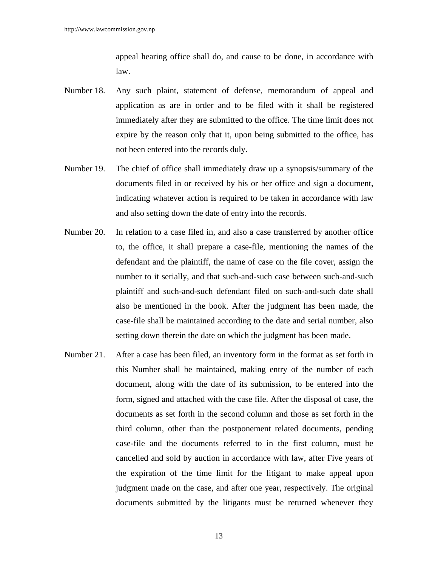appeal hearing office shall do, and cause to be done, in accordance with law.

- Number 18. Any such plaint, statement of defense, memorandum of appeal and application as are in order and to be filed with it shall be registered immediately after they are submitted to the office. The time limit does not expire by the reason only that it, upon being submitted to the office, has not been entered into the records duly.
- Number 19. The chief of office shall immediately draw up a synopsis/summary of the documents filed in or received by his or her office and sign a document, indicating whatever action is required to be taken in accordance with law and also setting down the date of entry into the records.
- Number 20. In relation to a case filed in, and also a case transferred by another office to, the office, it shall prepare a case-file, mentioning the names of the defendant and the plaintiff, the name of case on the file cover, assign the number to it serially, and that such-and-such case between such-and-such plaintiff and such-and-such defendant filed on such-and-such date shall also be mentioned in the book. After the judgment has been made, the case-file shall be maintained according to the date and serial number, also setting down therein the date on which the judgment has been made.
- Number 21. After a case has been filed, an inventory form in the format as set forth in this Number shall be maintained, making entry of the number of each document, along with the date of its submission, to be entered into the form, signed and attached with the case file. After the disposal of case, the documents as set forth in the second column and those as set forth in the third column, other than the postponement related documents, pending case-file and the documents referred to in the first column, must be cancelled and sold by auction in accordance with law, after Five years of the expiration of the time limit for the litigant to make appeal upon judgment made on the case, and after one year, respectively. The original documents submitted by the litigants must be returned whenever they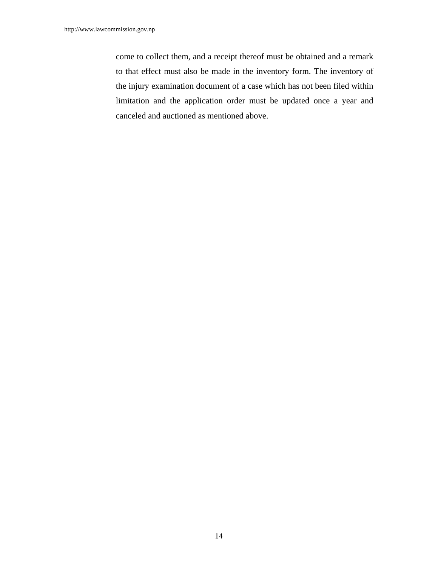come to collect them, and a receipt thereof must be obtained and a remark to that effect must also be made in the inventory form. The inventory of the injury examination document of a case which has not been filed within limitation and the application order must be updated once a year and canceled and auctioned as mentioned above.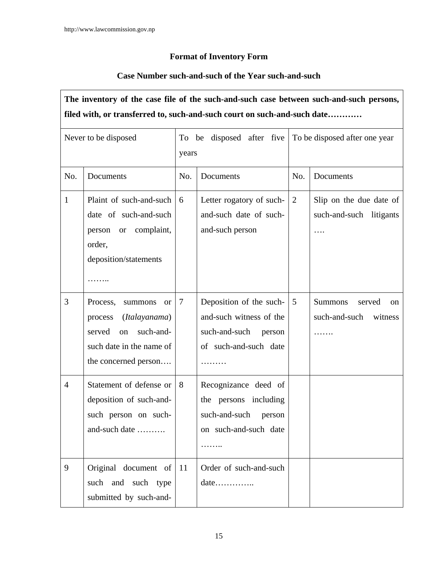### **Format of Inventory Form**

### **Case Number such-and-such of the Year such-and-such**

# **The inventory of the case file of the such-and-such case between such-and-such persons, filed with, or transferred to, such-and-such court on such-and-such date…………**

|                | Never to be disposed                                                                                                                              | years | To be disposed after five                                                                              | To be disposed after one year |                                                                 |  |
|----------------|---------------------------------------------------------------------------------------------------------------------------------------------------|-------|--------------------------------------------------------------------------------------------------------|-------------------------------|-----------------------------------------------------------------|--|
| No.            | Documents                                                                                                                                         | No.   | Documents                                                                                              | No.                           | Documents                                                       |  |
| $\mathbf{1}$   | Plaint of such-and-such<br>date of such-and-such<br>person or complaint,<br>order,<br>deposition/statements                                       | 6     | Letter rogatory of such-<br>and-such date of such-<br>and-such person                                  | 2                             | Slip on the due date of<br>such-and-such litigants<br>.         |  |
| 3              | Process,<br>summons<br><sub>or</sub><br>(Italayanama)<br>process<br>such-and-<br>served<br>on<br>such date in the name of<br>the concerned person | 7     | Deposition of the such-<br>and-such witness of the<br>such-and-such<br>person<br>of such-and-such date | 5                             | <b>Summons</b><br>served<br>on<br>such-and-such<br>witness<br>. |  |
| $\overline{4}$ | Statement of defense or<br>deposition of such-and-<br>such person on such-<br>and-such date                                                       | 8     | Recognizance deed of<br>the persons including<br>such-and-such<br>person<br>on such-and-such date      |                               |                                                                 |  |
| 9              | Original document of<br>such and such type<br>submitted by such-and-                                                                              | -11   | Order of such-and-such<br>$date \ldots \ldots \ldots$                                                  |                               |                                                                 |  |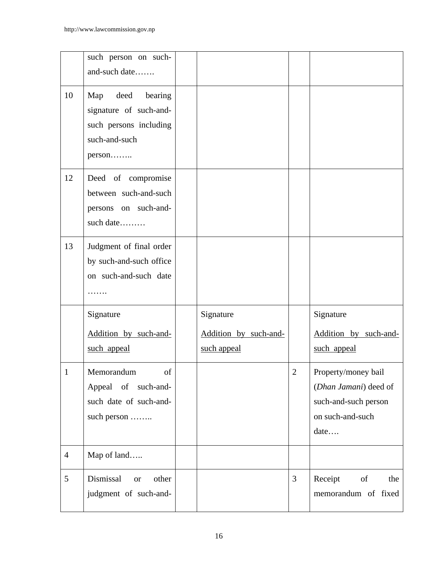|                 | such person on such-<br>and-such date                                                           |                                                   |                |                                                                                                  |
|-----------------|-------------------------------------------------------------------------------------------------|---------------------------------------------------|----------------|--------------------------------------------------------------------------------------------------|
| 10              | Map deed bearing<br>signature of such-and-<br>such persons including<br>such-and-such<br>person |                                                   |                |                                                                                                  |
| 12              | Deed of compromise<br>between such-and-such<br>persons on such-and-<br>such date                |                                                   |                |                                                                                                  |
| 13              | Judgment of final order<br>by such-and-such office<br>on such-and-such date                     |                                                   |                |                                                                                                  |
|                 | Signature<br>Addition by such-and-<br>such appeal                                               | Signature<br>Addition by such-and-<br>such appeal |                | Signature<br>Addition by such-and-<br>such appeal                                                |
| 1               | Memorandum<br>of<br>Appeal of<br>such-and-<br>such date of such-and-<br>such person             |                                                   | 2              | Property/money bail<br>(Dhan Jamani) deed of<br>such-and-such person<br>on such-and-such<br>date |
| $\overline{4}$  | Map of land                                                                                     |                                                   |                |                                                                                                  |
| $5\overline{)}$ | Dismissal<br>other<br><b>or</b><br>judgment of such-and-                                        |                                                   | $\overline{3}$ | Receipt<br>of<br>the<br>memorandum of fixed                                                      |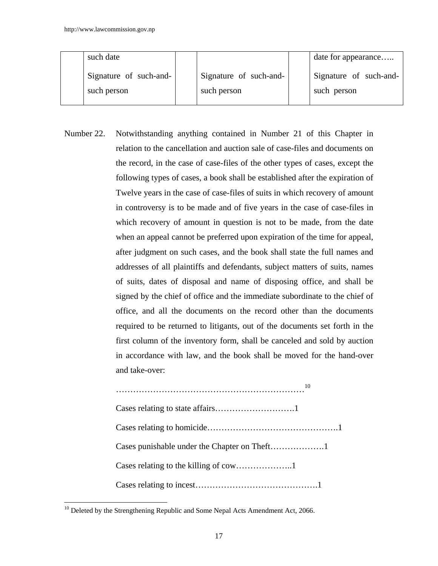| such date                             |                                       | date for appearance                   |
|---------------------------------------|---------------------------------------|---------------------------------------|
| Signature of such-and-<br>such person | Signature of such-and-<br>such person | Signature of such-and-<br>such person |
|                                       |                                       |                                       |

Number 22. Notwithstanding anything contained in Number 21 of this Chapter in relation to the cancellation and auction sale of case-files and documents on the record, in the case of case-files of the other types of cases, except the following types of cases, a book shall be established after the expiration of Twelve years in the case of case-files of suits in which recovery of amount in controversy is to be made and of five years in the case of case-files in which recovery of amount in question is not to be made, from the date when an appeal cannot be preferred upon expiration of the time for appeal, after judgment on such cases, and the book shall state the full names and addresses of all plaintiffs and defendants, subject matters of suits, names of suits, dates of disposal and name of disposing office, and shall be signed by the chief of office and the immediate subordinate to the chief of office, and all the documents on the record other than the documents required to be returned to litigants, out of the documents set forth in the first column of the inventory form, shall be canceled and sold by auction in accordance with law, and the book shall be moved for the hand-over and take-over:

| 10 |
|----|
|    |
|    |
|    |
|    |
|    |

 $10$  Deleted by the Strengthening Republic and Some Nepal Acts Amendment Act, 2066.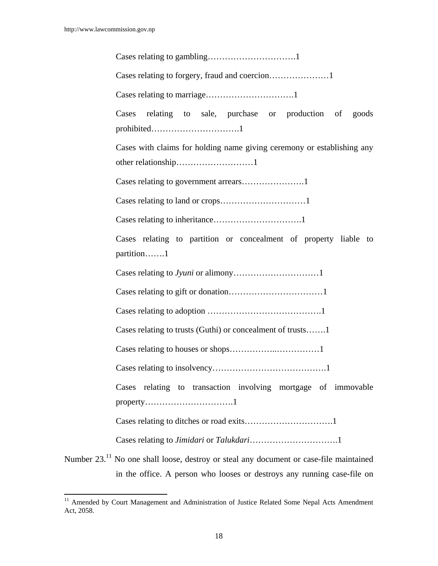$\overline{a}$ 

Cases relating to gambling………………………….1 Cases relating to forgery, fraud and coercion…………………1 Cases relating to marriage………………………….1 Cases relating to sale, purchase or production of goods prohibited………………………….1 Cases with claims for holding name giving ceremony or establishing any other relationship………………………1 Cases relating to government arrears………………….1 Cases relating to land or crops…………………………1 Cases relating to inheritance………………………….1

Cases relating to partition or concealment of property liable to partition…….1

| Cases relating to trusts (Guthi) or concealment of trusts     |
|---------------------------------------------------------------|
|                                                               |
|                                                               |
| Cases relating to transaction involving mortgage of immovable |
|                                                               |

Cases relating to *Jimidari* or *Talukdari*………………………….1

Number 23.<sup>11</sup> No one shall loose, destroy or steal any document or case-file maintained in the office. A person who looses or destroys any running case-file on

<sup>&</sup>lt;sup>11</sup> Amended by Court Management and Administration of Justice Related Some Nepal Acts Amendment Act, 2058.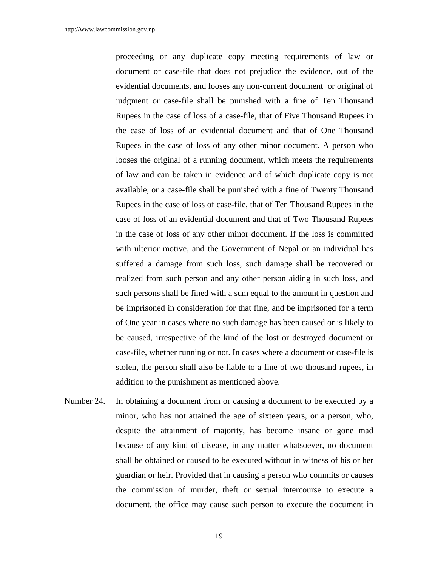proceeding or any duplicate copy meeting requirements of law or document or case-file that does not prejudice the evidence, out of the evidential documents, and looses any non-current document or original of judgment or case-file shall be punished with a fine of Ten Thousand Rupees in the case of loss of a case-file, that of Five Thousand Rupees in the case of loss of an evidential document and that of One Thousand Rupees in the case of loss of any other minor document. A person who looses the original of a running document, which meets the requirements of law and can be taken in evidence and of which duplicate copy is not available, or a case-file shall be punished with a fine of Twenty Thousand Rupees in the case of loss of case-file, that of Ten Thousand Rupees in the case of loss of an evidential document and that of Two Thousand Rupees in the case of loss of any other minor document. If the loss is committed with ulterior motive, and the Government of Nepal or an individual has suffered a damage from such loss, such damage shall be recovered or realized from such person and any other person aiding in such loss, and such persons shall be fined with a sum equal to the amount in question and be imprisoned in consideration for that fine, and be imprisoned for a term of One year in cases where no such damage has been caused or is likely to be caused, irrespective of the kind of the lost or destroyed document or case-file, whether running or not. In cases where a document or case-file is stolen, the person shall also be liable to a fine of two thousand rupees, in addition to the punishment as mentioned above.

Number 24. In obtaining a document from or causing a document to be executed by a minor, who has not attained the age of sixteen years, or a person, who, despite the attainment of majority, has become insane or gone mad because of any kind of disease, in any matter whatsoever, no document shall be obtained or caused to be executed without in witness of his or her guardian or heir. Provided that in causing a person who commits or causes the commission of murder, theft or sexual intercourse to execute a document, the office may cause such person to execute the document in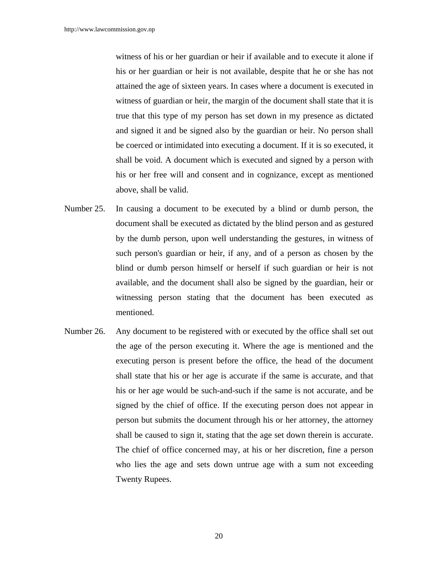witness of his or her guardian or heir if available and to execute it alone if his or her guardian or heir is not available, despite that he or she has not attained the age of sixteen years. In cases where a document is executed in witness of guardian or heir, the margin of the document shall state that it is true that this type of my person has set down in my presence as dictated and signed it and be signed also by the guardian or heir. No person shall be coerced or intimidated into executing a document. If it is so executed, it shall be void. A document which is executed and signed by a person with his or her free will and consent and in cognizance, except as mentioned above, shall be valid.

- Number 25. In causing a document to be executed by a blind or dumb person, the document shall be executed as dictated by the blind person and as gestured by the dumb person, upon well understanding the gestures, in witness of such person's guardian or heir, if any, and of a person as chosen by the blind or dumb person himself or herself if such guardian or heir is not available, and the document shall also be signed by the guardian, heir or witnessing person stating that the document has been executed as mentioned.
- Number 26. Any document to be registered with or executed by the office shall set out the age of the person executing it. Where the age is mentioned and the executing person is present before the office, the head of the document shall state that his or her age is accurate if the same is accurate, and that his or her age would be such-and-such if the same is not accurate, and be signed by the chief of office. If the executing person does not appear in person but submits the document through his or her attorney, the attorney shall be caused to sign it, stating that the age set down therein is accurate. The chief of office concerned may, at his or her discretion, fine a person who lies the age and sets down untrue age with a sum not exceeding Twenty Rupees.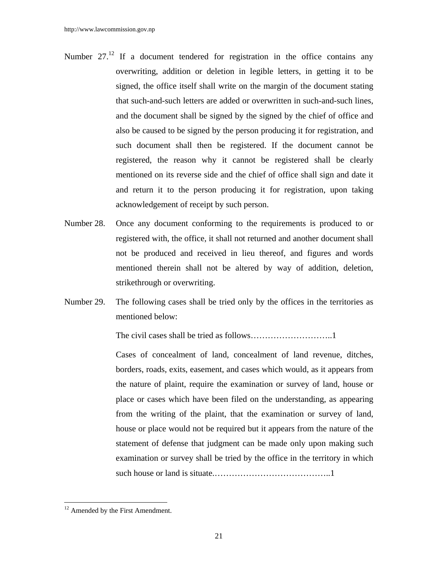- Number  $27<sup>12</sup>$  If a document tendered for registration in the office contains any overwriting, addition or deletion in legible letters, in getting it to be signed, the office itself shall write on the margin of the document stating that such-and-such letters are added or overwritten in such-and-such lines, and the document shall be signed by the signed by the chief of office and also be caused to be signed by the person producing it for registration, and such document shall then be registered. If the document cannot be registered, the reason why it cannot be registered shall be clearly mentioned on its reverse side and the chief of office shall sign and date it and return it to the person producing it for registration, upon taking acknowledgement of receipt by such person.
- Number 28. Once any document conforming to the requirements is produced to or registered with, the office, it shall not returned and another document shall not be produced and received in lieu thereof, and figures and words mentioned therein shall not be altered by way of addition, deletion, strikethrough or overwriting.
- Number 29. The following cases shall be tried only by the offices in the territories as mentioned below:

The civil cases shall be tried as follows………………………..1

 Cases of concealment of land, concealment of land revenue, ditches, borders, roads, exits, easement, and cases which would, as it appears from the nature of plaint, require the examination or survey of land, house or place or cases which have been filed on the understanding, as appearing from the writing of the plaint, that the examination or survey of land, house or place would not be required but it appears from the nature of the statement of defense that judgment can be made only upon making such examination or survey shall be tried by the office in the territory in which such house or land is situate.…………………………………..1

 $12$  Amended by the First Amendment.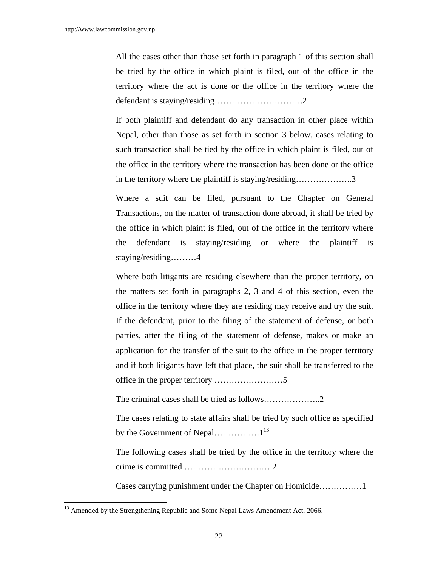All the cases other than those set forth in paragraph 1 of this section shall be tried by the office in which plaint is filed, out of the office in the territory where the act is done or the office in the territory where the defendant is staying/residing………………………….2

If both plaintiff and defendant do any transaction in other place within Nepal, other than those as set forth in section 3 below, cases relating to such transaction shall be tied by the office in which plaint is filed, out of the office in the territory where the transaction has been done or the office in the territory where the plaintiff is staying/residing………………..3

Where a suit can be filed, pursuant to the Chapter on General Transactions, on the matter of transaction done abroad, it shall be tried by the office in which plaint is filed, out of the office in the territory where the defendant is staying/residing or where the plaintiff is staying/residing………4

Where both litigants are residing elsewhere than the proper territory, on the matters set forth in paragraphs 2, 3 and 4 of this section, even the office in the territory where they are residing may receive and try the suit. If the defendant, prior to the filing of the statement of defense, or both parties, after the filing of the statement of defense, makes or make an application for the transfer of the suit to the office in the proper territory and if both litigants have left that place, the suit shall be transferred to the office in the proper territory ……………………5

The criminal cases shall be tried as follows………………..2

The cases relating to state affairs shall be tried by such office as specified by the Government of Nepal…………….. $1^{13}$ 

 The following cases shall be tried by the office in the territory where the crime is committed ………………………….2

Cases carrying punishment under the Chapter on Homicide……………1

<sup>&</sup>lt;sup>13</sup> Amended by the Strengthening Republic and Some Nepal Laws Amendment Act, 2066.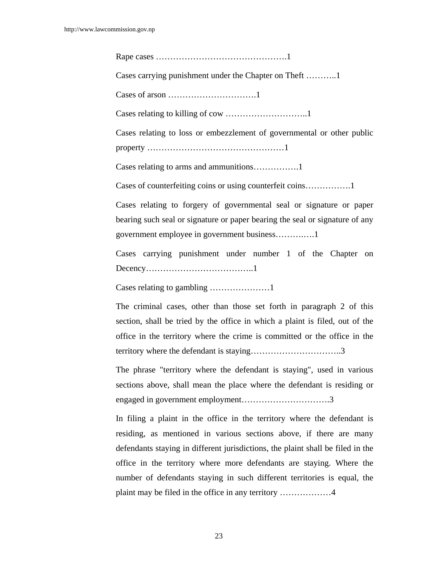Rape cases ……………………………………….1

Cases carrying punishment under the Chapter on Theft ………..1

Cases of arson ………………………….1

Cases relating to killing of cow ………………………..1

 Cases relating to loss or embezzlement of governmental or other public property …………………………………………1

Cases relating to arms and ammunitions…………….1

Cases of counterfeiting coins or using counterfeit coins…………….1

 Cases relating to forgery of governmental seal or signature or paper bearing such seal or signature or paper bearing the seal or signature of any government employee in government business……….….1

 Cases carrying punishment under number 1 of the Chapter on Decency………………………………..1

Cases relating to gambling …………………1

 The criminal cases, other than those set forth in paragraph 2 of this section, shall be tried by the office in which a plaint is filed, out of the office in the territory where the crime is committed or the office in the territory where the defendant is staying…………………………..3

 The phrase "territory where the defendant is staying", used in various sections above, shall mean the place where the defendant is residing or engaged in government employment………………………….3

In filing a plaint in the office in the territory where the defendant is residing, as mentioned in various sections above, if there are many defendants staying in different jurisdictions, the plaint shall be filed in the office in the territory where more defendants are staying. Where the number of defendants staying in such different territories is equal, the plaint may be filed in the office in any territory ………………4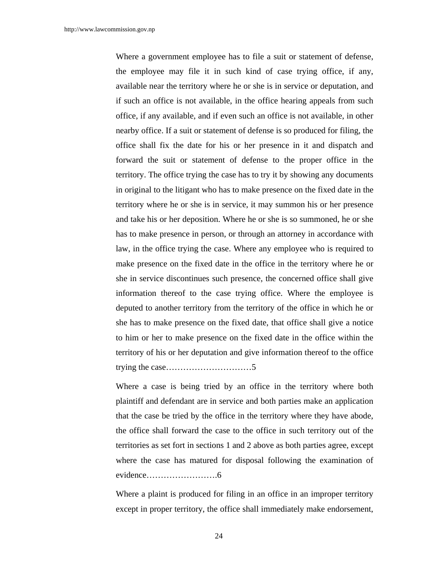Where a government employee has to file a suit or statement of defense, the employee may file it in such kind of case trying office, if any, available near the territory where he or she is in service or deputation, and if such an office is not available, in the office hearing appeals from such office, if any available, and if even such an office is not available, in other nearby office. If a suit or statement of defense is so produced for filing, the office shall fix the date for his or her presence in it and dispatch and forward the suit or statement of defense to the proper office in the territory. The office trying the case has to try it by showing any documents in original to the litigant who has to make presence on the fixed date in the territory where he or she is in service, it may summon his or her presence and take his or her deposition. Where he or she is so summoned, he or she has to make presence in person, or through an attorney in accordance with law, in the office trying the case. Where any employee who is required to make presence on the fixed date in the office in the territory where he or she in service discontinues such presence, the concerned office shall give information thereof to the case trying office. Where the employee is deputed to another territory from the territory of the office in which he or she has to make presence on the fixed date, that office shall give a notice to him or her to make presence on the fixed date in the office within the territory of his or her deputation and give information thereof to the office trying the case…………………………5

Where a case is being tried by an office in the territory where both plaintiff and defendant are in service and both parties make an application that the case be tried by the office in the territory where they have abode, the office shall forward the case to the office in such territory out of the territories as set fort in sections 1 and 2 above as both parties agree, except where the case has matured for disposal following the examination of evidence…………………….6

Where a plaint is produced for filing in an office in an improper territory except in proper territory, the office shall immediately make endorsement,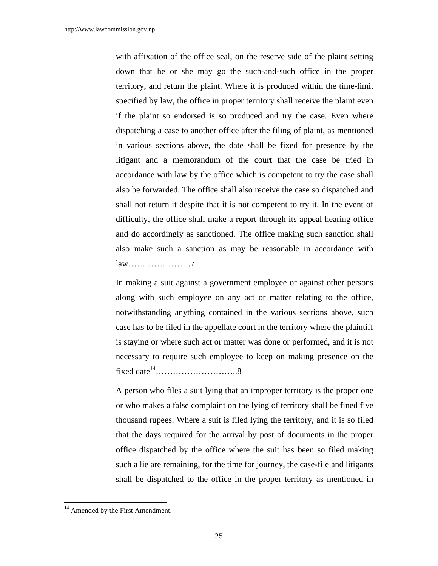with affixation of the office seal, on the reserve side of the plaint setting down that he or she may go the such-and-such office in the proper territory, and return the plaint. Where it is produced within the time-limit specified by law, the office in proper territory shall receive the plaint even if the plaint so endorsed is so produced and try the case. Even where dispatching a case to another office after the filing of plaint, as mentioned in various sections above, the date shall be fixed for presence by the litigant and a memorandum of the court that the case be tried in accordance with law by the office which is competent to try the case shall also be forwarded. The office shall also receive the case so dispatched and shall not return it despite that it is not competent to try it. In the event of difficulty, the office shall make a report through its appeal hearing office and do accordingly as sanctioned. The office making such sanction shall also make such a sanction as may be reasonable in accordance with law………………….7

 In making a suit against a government employee or against other persons along with such employee on any act or matter relating to the office, notwithstanding anything contained in the various sections above, such case has to be filed in the appellate court in the territory where the plaintiff is staying or where such act or matter was done or performed, and it is not necessary to require such employee to keep on making presence on the fixed date $14$ …………………………………………8

 A person who files a suit lying that an improper territory is the proper one or who makes a false complaint on the lying of territory shall be fined five thousand rupees. Where a suit is filed lying the territory, and it is so filed that the days required for the arrival by post of documents in the proper office dispatched by the office where the suit has been so filed making such a lie are remaining, for the time for journey, the case-file and litigants shall be dispatched to the office in the proper territory as mentioned in

<sup>&</sup>lt;sup>14</sup> Amended by the First Amendment.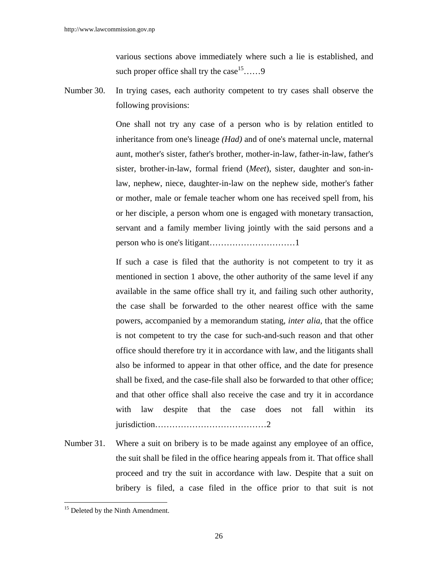various sections above immediately where such a lie is established, and such proper office shall try the case  $15$ ……9

Number 30. In trying cases, each authority competent to try cases shall observe the following provisions:

> One shall not try any case of a person who is by relation entitled to inheritance from one's lineage *(Had)* and of one's maternal uncle, maternal aunt, mother's sister, father's brother, mother-in-law, father-in-law, father's sister, brother-in-law, formal friend (*Meet*), sister, daughter and son-inlaw, nephew, niece, daughter-in-law on the nephew side, mother's father or mother, male or female teacher whom one has received spell from, his or her disciple, a person whom one is engaged with monetary transaction, servant and a family member living jointly with the said persons and a person who is one's litigant…………………………1

> If such a case is filed that the authority is not competent to try it as mentioned in section 1 above, the other authority of the same level if any available in the same office shall try it, and failing such other authority, the case shall be forwarded to the other nearest office with the same powers, accompanied by a memorandum stating, *inter alia*, that the office is not competent to try the case for such-and-such reason and that other office should therefore try it in accordance with law, and the litigants shall also be informed to appear in that other office, and the date for presence shall be fixed, and the case-file shall also be forwarded to that other office; and that other office shall also receive the case and try it in accordance with law despite that the case does not fall within its jurisdiction…………………………………2

Number 31. Where a suit on bribery is to be made against any employee of an office, the suit shall be filed in the office hearing appeals from it. That office shall proceed and try the suit in accordance with law. Despite that a suit on bribery is filed, a case filed in the office prior to that suit is not

<sup>&</sup>lt;sup>15</sup> Deleted by the Ninth Amendment.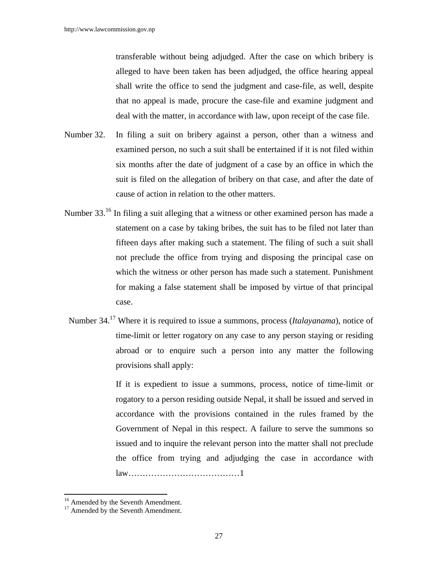transferable without being adjudged. After the case on which bribery is alleged to have been taken has been adjudged, the office hearing appeal shall write the office to send the judgment and case-file, as well, despite that no appeal is made, procure the case-file and examine judgment and deal with the matter, in accordance with law, upon receipt of the case file.

- Number 32. In filing a suit on bribery against a person, other than a witness and examined person, no such a suit shall be entertained if it is not filed within six months after the date of judgment of a case by an office in which the suit is filed on the allegation of bribery on that case, and after the date of cause of action in relation to the other matters.
- Number 33.<sup>16</sup> In filing a suit alleging that a witness or other examined person has made a statement on a case by taking bribes, the suit has to be filed not later than fifteen days after making such a statement. The filing of such a suit shall not preclude the office from trying and disposing the principal case on which the witness or other person has made such a statement. Punishment for making a false statement shall be imposed by virtue of that principal case.
	- Number 34.17 Where it is required to issue a summons, process (*Italayanama*), notice of time-limit or letter rogatory on any case to any person staying or residing abroad or to enquire such a person into any matter the following provisions shall apply:

If it is expedient to issue a summons, process, notice of time-limit or rogatory to a person residing outside Nepal, it shall be issued and served in accordance with the provisions contained in the rules framed by the Government of Nepal in this respect. A failure to serve the summons so issued and to inquire the relevant person into the matter shall not preclude the office from trying and adjudging the case in accordance with law…………………………………1

 $\overline{a}$ 

<sup>&</sup>lt;sup>16</sup> Amended by the Seventh Amendment.

 $17$  Amended by the Seventh Amendment.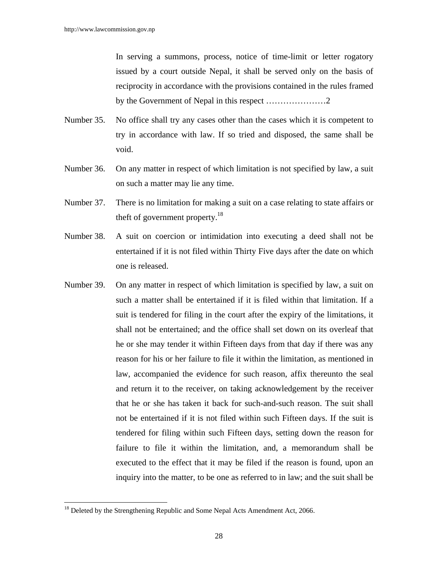In serving a summons, process, notice of time-limit or letter rogatory issued by a court outside Nepal, it shall be served only on the basis of reciprocity in accordance with the provisions contained in the rules framed by the Government of Nepal in this respect …………………2

- Number 35. No office shall try any cases other than the cases which it is competent to try in accordance with law. If so tried and disposed, the same shall be void.
- Number 36. On any matter in respect of which limitation is not specified by law, a suit on such a matter may lie any time.
- Number 37. There is no limitation for making a suit on a case relating to state affairs or theft of government property.18
- Number 38. A suit on coercion or intimidation into executing a deed shall not be entertained if it is not filed within Thirty Five days after the date on which one is released.
- Number 39. On any matter in respect of which limitation is specified by law, a suit on such a matter shall be entertained if it is filed within that limitation. If a suit is tendered for filing in the court after the expiry of the limitations, it shall not be entertained; and the office shall set down on its overleaf that he or she may tender it within Fifteen days from that day if there was any reason for his or her failure to file it within the limitation, as mentioned in law, accompanied the evidence for such reason, affix thereunto the seal and return it to the receiver, on taking acknowledgement by the receiver that he or she has taken it back for such-and-such reason. The suit shall not be entertained if it is not filed within such Fifteen days. If the suit is tendered for filing within such Fifteen days, setting down the reason for failure to file it within the limitation, and, a memorandum shall be executed to the effect that it may be filed if the reason is found, upon an inquiry into the matter, to be one as referred to in law; and the suit shall be

 $18$  Deleted by the Strengthening Republic and Some Nepal Acts Amendment Act, 2066.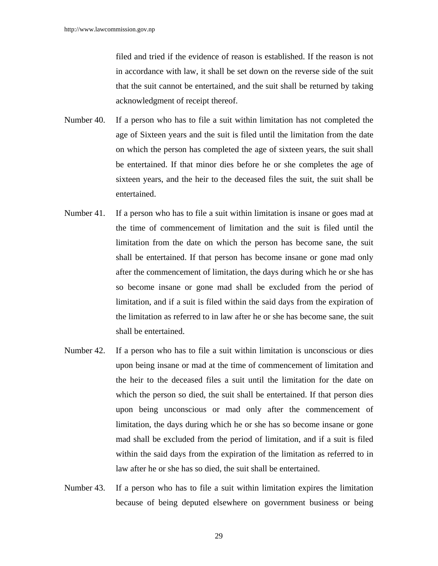filed and tried if the evidence of reason is established. If the reason is not in accordance with law, it shall be set down on the reverse side of the suit that the suit cannot be entertained, and the suit shall be returned by taking acknowledgment of receipt thereof.

- Number 40. If a person who has to file a suit within limitation has not completed the age of Sixteen years and the suit is filed until the limitation from the date on which the person has completed the age of sixteen years, the suit shall be entertained. If that minor dies before he or she completes the age of sixteen years, and the heir to the deceased files the suit, the suit shall be entertained.
- Number 41. If a person who has to file a suit within limitation is insane or goes mad at the time of commencement of limitation and the suit is filed until the limitation from the date on which the person has become sane, the suit shall be entertained. If that person has become insane or gone mad only after the commencement of limitation, the days during which he or she has so become insane or gone mad shall be excluded from the period of limitation, and if a suit is filed within the said days from the expiration of the limitation as referred to in law after he or she has become sane, the suit shall be entertained.
- Number 42. If a person who has to file a suit within limitation is unconscious or dies upon being insane or mad at the time of commencement of limitation and the heir to the deceased files a suit until the limitation for the date on which the person so died, the suit shall be entertained. If that person dies upon being unconscious or mad only after the commencement of limitation, the days during which he or she has so become insane or gone mad shall be excluded from the period of limitation, and if a suit is filed within the said days from the expiration of the limitation as referred to in law after he or she has so died, the suit shall be entertained.
- Number 43. If a person who has to file a suit within limitation expires the limitation because of being deputed elsewhere on government business or being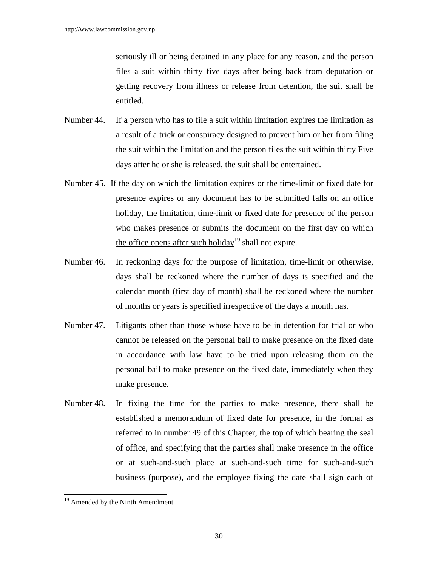seriously ill or being detained in any place for any reason, and the person files a suit within thirty five days after being back from deputation or getting recovery from illness or release from detention, the suit shall be entitled.

- Number 44. If a person who has to file a suit within limitation expires the limitation as a result of a trick or conspiracy designed to prevent him or her from filing the suit within the limitation and the person files the suit within thirty Five days after he or she is released, the suit shall be entertained.
- Number 45. If the day on which the limitation expires or the time-limit or fixed date for presence expires or any document has to be submitted falls on an office holiday, the limitation, time-limit or fixed date for presence of the person who makes presence or submits the document on the first day on which the office opens after such holiday<sup>19</sup> shall not expire.
- Number 46. In reckoning days for the purpose of limitation, time-limit or otherwise, days shall be reckoned where the number of days is specified and the calendar month (first day of month) shall be reckoned where the number of months or years is specified irrespective of the days a month has.
- Number 47. Litigants other than those whose have to be in detention for trial or who cannot be released on the personal bail to make presence on the fixed date in accordance with law have to be tried upon releasing them on the personal bail to make presence on the fixed date, immediately when they make presence.
- Number 48. In fixing the time for the parties to make presence, there shall be established a memorandum of fixed date for presence, in the format as referred to in number 49 of this Chapter, the top of which bearing the seal of office, and specifying that the parties shall make presence in the office or at such-and-such place at such-and-such time for such-and-such business (purpose), and the employee fixing the date shall sign each of

 $\overline{a}$ 

<sup>&</sup>lt;sup>19</sup> Amended by the Ninth Amendment.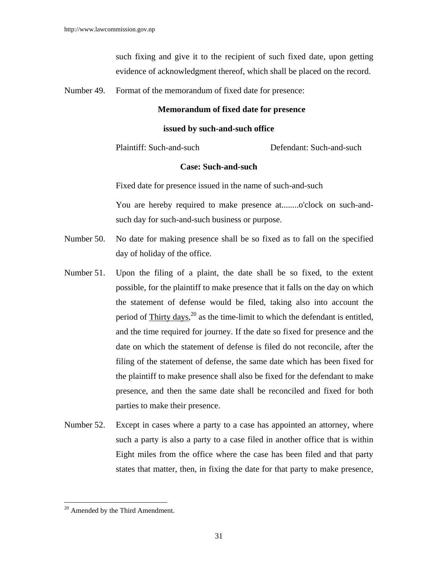such fixing and give it to the recipient of such fixed date, upon getting evidence of acknowledgment thereof, which shall be placed on the record.

Number 49. Format of the memorandum of fixed date for presence:

#### **Memorandum of fixed date for presence**

#### **issued by such-and-such office**

Plaintiff: Such-and-such Defendant: Such-and-such

#### **Case: Such-and-such**

Fixed date for presence issued in the name of such-and-such

You are hereby required to make presence at........o'clock on such-andsuch day for such-and-such business or purpose.

- Number 50. No date for making presence shall be so fixed as to fall on the specified day of holiday of the office.
- Number 51. Upon the filing of a plaint, the date shall be so fixed, to the extent possible, for the plaintiff to make presence that it falls on the day on which the statement of defense would be filed, taking also into account the period of  $\text{Thirty days}$ ,  $^{20}$  as the time-limit to which the defendant is entitled, and the time required for journey. If the date so fixed for presence and the date on which the statement of defense is filed do not reconcile, after the filing of the statement of defense, the same date which has been fixed for the plaintiff to make presence shall also be fixed for the defendant to make presence, and then the same date shall be reconciled and fixed for both parties to make their presence.
- Number 52. Except in cases where a party to a case has appointed an attorney, where such a party is also a party to a case filed in another office that is within Eight miles from the office where the case has been filed and that party states that matter, then, in fixing the date for that party to make presence,

 $\overline{\phantom{a}}$ <sup>20</sup> Amended by the Third Amendment.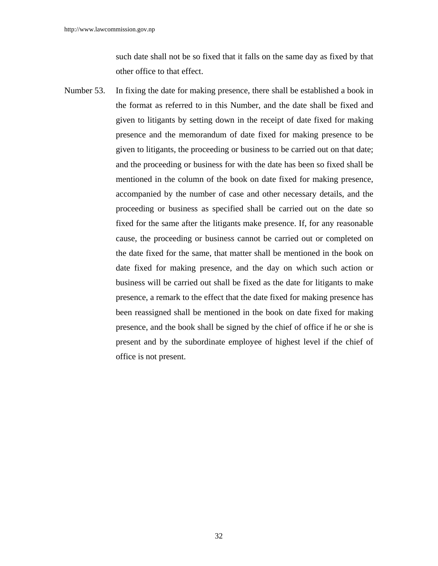such date shall not be so fixed that it falls on the same day as fixed by that other office to that effect.

Number 53. In fixing the date for making presence, there shall be established a book in the format as referred to in this Number, and the date shall be fixed and given to litigants by setting down in the receipt of date fixed for making presence and the memorandum of date fixed for making presence to be given to litigants, the proceeding or business to be carried out on that date; and the proceeding or business for with the date has been so fixed shall be mentioned in the column of the book on date fixed for making presence, accompanied by the number of case and other necessary details, and the proceeding or business as specified shall be carried out on the date so fixed for the same after the litigants make presence. If, for any reasonable cause, the proceeding or business cannot be carried out or completed on the date fixed for the same, that matter shall be mentioned in the book on date fixed for making presence, and the day on which such action or business will be carried out shall be fixed as the date for litigants to make presence, a remark to the effect that the date fixed for making presence has been reassigned shall be mentioned in the book on date fixed for making presence, and the book shall be signed by the chief of office if he or she is present and by the subordinate employee of highest level if the chief of office is not present.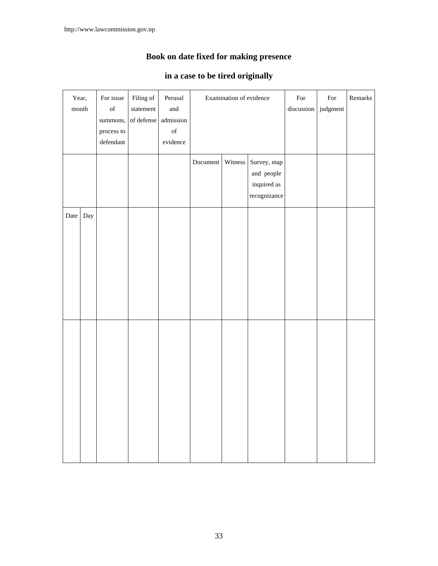# **Book on date fixed for making presence**

### **in a case to be tired originally**

| Year,                |                                     | For issue                  | Filing of | Perusal                                                                                            | Examination of evidence |         |              | For        | For      | Remarks |
|----------------------|-------------------------------------|----------------------------|-----------|----------------------------------------------------------------------------------------------------|-------------------------|---------|--------------|------------|----------|---------|
| $\mathop{\rm month}$ |                                     | $_{\mathrm{of}}$           | statement | and                                                                                                |                         |         |              | discussion | judgment |         |
|                      | admission<br>of defense<br>summons, |                            |           |                                                                                                    |                         |         |              |            |          |         |
|                      |                                     | process to                 |           | $% \left( \left( \mathcal{A},\mathcal{A}\right) \right) =\left( \mathcal{A},\mathcal{A}\right)$ of |                         |         |              |            |          |         |
|                      |                                     | $\operatorname{defendant}$ |           | evidence                                                                                           |                         |         |              |            |          |         |
|                      |                                     |                            |           |                                                                                                    |                         |         |              |            |          |         |
|                      |                                     |                            |           |                                                                                                    | Document                | Witness | Survey, map  |            |          |         |
|                      |                                     |                            |           |                                                                                                    |                         |         | and people   |            |          |         |
|                      |                                     |                            |           |                                                                                                    |                         |         | inquired as  |            |          |         |
|                      |                                     |                            |           |                                                                                                    |                         |         | recognizance |            |          |         |
|                      |                                     |                            |           |                                                                                                    |                         |         |              |            |          |         |
| Date                 | Day                                 |                            |           |                                                                                                    |                         |         |              |            |          |         |
|                      |                                     |                            |           |                                                                                                    |                         |         |              |            |          |         |
|                      |                                     |                            |           |                                                                                                    |                         |         |              |            |          |         |
|                      |                                     |                            |           |                                                                                                    |                         |         |              |            |          |         |
|                      |                                     |                            |           |                                                                                                    |                         |         |              |            |          |         |
|                      |                                     |                            |           |                                                                                                    |                         |         |              |            |          |         |
|                      |                                     |                            |           |                                                                                                    |                         |         |              |            |          |         |
|                      |                                     |                            |           |                                                                                                    |                         |         |              |            |          |         |
|                      |                                     |                            |           |                                                                                                    |                         |         |              |            |          |         |
|                      |                                     |                            |           |                                                                                                    |                         |         |              |            |          |         |
|                      |                                     |                            |           |                                                                                                    |                         |         |              |            |          |         |
|                      |                                     |                            |           |                                                                                                    |                         |         |              |            |          |         |
|                      |                                     |                            |           |                                                                                                    |                         |         |              |            |          |         |
|                      |                                     |                            |           |                                                                                                    |                         |         |              |            |          |         |
|                      |                                     |                            |           |                                                                                                    |                         |         |              |            |          |         |
|                      |                                     |                            |           |                                                                                                    |                         |         |              |            |          |         |
|                      |                                     |                            |           |                                                                                                    |                         |         |              |            |          |         |
|                      |                                     |                            |           |                                                                                                    |                         |         |              |            |          |         |
|                      |                                     |                            |           |                                                                                                    |                         |         |              |            |          |         |
|                      |                                     |                            |           |                                                                                                    |                         |         |              |            |          |         |
|                      |                                     |                            |           |                                                                                                    |                         |         |              |            |          |         |
|                      |                                     |                            |           |                                                                                                    |                         |         |              |            |          |         |
|                      |                                     |                            |           |                                                                                                    |                         |         |              |            |          |         |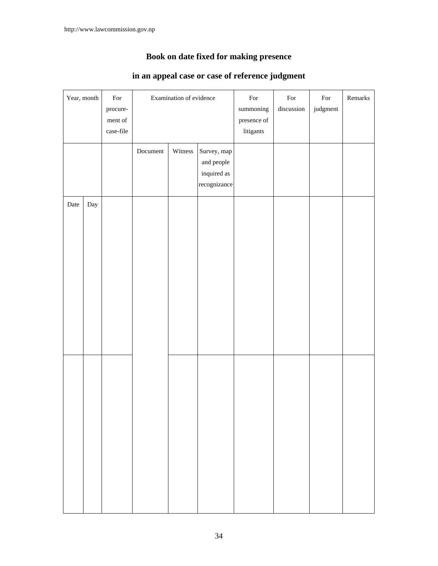# **Book on date fixed for making presence**

| Year, month |     | $\operatorname*{For}% \nolimits_{\mathbb{Z}}\left( \mathbb{Z}^{\Sigma\left( 1\right) }\right)$ |          | Examination of evidence |              | $\operatorname*{For}% \nolimits_{\mathbb{Z}}\left( \mathbb{Z}^{\Sigma\left( 1\right) }\right) ^{\otimes n}$ | $\operatorname*{For}% \nolimits_{\mathbb{Z}}\left( \mathbb{Z}^{\Sigma\left( 1\right) }\right) ^{\otimes n}$ | $\operatorname*{For}% \nolimits_{\mathbb{Z}}\left( \mathbb{Z}^{\Sigma\left( 1\right) }\right) ^{\otimes n}$ | Remarks |
|-------------|-----|------------------------------------------------------------------------------------------------|----------|-------------------------|--------------|-------------------------------------------------------------------------------------------------------------|-------------------------------------------------------------------------------------------------------------|-------------------------------------------------------------------------------------------------------------|---------|
|             |     | procure-                                                                                       |          |                         |              | $\;$ summoning                                                                                              | discussion                                                                                                  | judgment                                                                                                    |         |
|             |     | ment of                                                                                        |          |                         |              | presence of                                                                                                 |                                                                                                             |                                                                                                             |         |
|             |     | case-file                                                                                      |          |                         |              | litigants                                                                                                   |                                                                                                             |                                                                                                             |         |
|             |     |                                                                                                |          |                         |              |                                                                                                             |                                                                                                             |                                                                                                             |         |
|             |     |                                                                                                | Document | Witness                 | Survey, map  |                                                                                                             |                                                                                                             |                                                                                                             |         |
|             |     |                                                                                                |          |                         | and people   |                                                                                                             |                                                                                                             |                                                                                                             |         |
|             |     |                                                                                                |          |                         | inquired as  |                                                                                                             |                                                                                                             |                                                                                                             |         |
|             |     |                                                                                                |          |                         | recognizance |                                                                                                             |                                                                                                             |                                                                                                             |         |
|             |     |                                                                                                |          |                         |              |                                                                                                             |                                                                                                             |                                                                                                             |         |
| Date        | Day |                                                                                                |          |                         |              |                                                                                                             |                                                                                                             |                                                                                                             |         |
|             |     |                                                                                                |          |                         |              |                                                                                                             |                                                                                                             |                                                                                                             |         |
|             |     |                                                                                                |          |                         |              |                                                                                                             |                                                                                                             |                                                                                                             |         |
|             |     |                                                                                                |          |                         |              |                                                                                                             |                                                                                                             |                                                                                                             |         |
|             |     |                                                                                                |          |                         |              |                                                                                                             |                                                                                                             |                                                                                                             |         |
|             |     |                                                                                                |          |                         |              |                                                                                                             |                                                                                                             |                                                                                                             |         |
|             |     |                                                                                                |          |                         |              |                                                                                                             |                                                                                                             |                                                                                                             |         |
|             |     |                                                                                                |          |                         |              |                                                                                                             |                                                                                                             |                                                                                                             |         |
|             |     |                                                                                                |          |                         |              |                                                                                                             |                                                                                                             |                                                                                                             |         |
|             |     |                                                                                                |          |                         |              |                                                                                                             |                                                                                                             |                                                                                                             |         |
|             |     |                                                                                                |          |                         |              |                                                                                                             |                                                                                                             |                                                                                                             |         |
|             |     |                                                                                                |          |                         |              |                                                                                                             |                                                                                                             |                                                                                                             |         |
|             |     |                                                                                                |          |                         |              |                                                                                                             |                                                                                                             |                                                                                                             |         |
|             |     |                                                                                                |          |                         |              |                                                                                                             |                                                                                                             |                                                                                                             |         |
|             |     |                                                                                                |          |                         |              |                                                                                                             |                                                                                                             |                                                                                                             |         |
|             |     |                                                                                                |          |                         |              |                                                                                                             |                                                                                                             |                                                                                                             |         |
|             |     |                                                                                                |          |                         |              |                                                                                                             |                                                                                                             |                                                                                                             |         |
|             |     |                                                                                                |          |                         |              |                                                                                                             |                                                                                                             |                                                                                                             |         |
|             |     |                                                                                                |          |                         |              |                                                                                                             |                                                                                                             |                                                                                                             |         |
|             |     |                                                                                                |          |                         |              |                                                                                                             |                                                                                                             |                                                                                                             |         |
|             |     |                                                                                                |          |                         |              |                                                                                                             |                                                                                                             |                                                                                                             |         |
|             |     |                                                                                                |          |                         |              |                                                                                                             |                                                                                                             |                                                                                                             |         |
|             |     |                                                                                                |          |                         |              |                                                                                                             |                                                                                                             |                                                                                                             |         |
|             |     |                                                                                                |          |                         |              |                                                                                                             |                                                                                                             |                                                                                                             |         |
|             |     |                                                                                                |          |                         |              |                                                                                                             |                                                                                                             |                                                                                                             |         |
|             |     |                                                                                                |          |                         |              |                                                                                                             |                                                                                                             |                                                                                                             |         |
|             |     |                                                                                                |          |                         |              |                                                                                                             |                                                                                                             |                                                                                                             |         |
|             |     |                                                                                                |          |                         |              |                                                                                                             |                                                                                                             |                                                                                                             |         |
|             |     |                                                                                                |          |                         |              |                                                                                                             |                                                                                                             |                                                                                                             |         |

### **in an appeal case or case of reference judgment**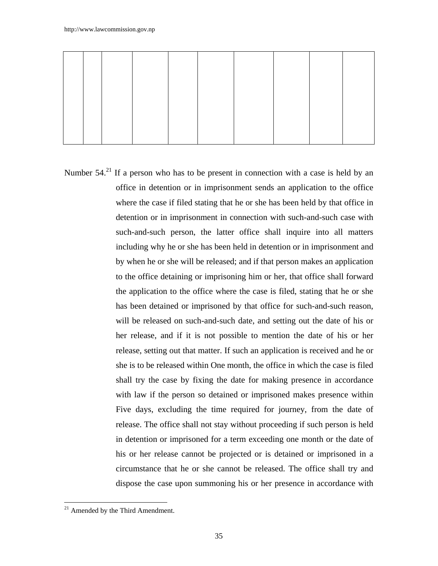Number  $54.<sup>21</sup>$  If a person who has to be present in connection with a case is held by an office in detention or in imprisonment sends an application to the office where the case if filed stating that he or she has been held by that office in detention or in imprisonment in connection with such-and-such case with such-and-such person, the latter office shall inquire into all matters including why he or she has been held in detention or in imprisonment and by when he or she will be released; and if that person makes an application to the office detaining or imprisoning him or her, that office shall forward the application to the office where the case is filed, stating that he or she has been detained or imprisoned by that office for such-and-such reason, will be released on such-and-such date, and setting out the date of his or her release, and if it is not possible to mention the date of his or her release, setting out that matter. If such an application is received and he or she is to be released within One month, the office in which the case is filed shall try the case by fixing the date for making presence in accordance with law if the person so detained or imprisoned makes presence within Five days, excluding the time required for journey, from the date of release. The office shall not stay without proceeding if such person is held in detention or imprisoned for a term exceeding one month or the date of his or her release cannot be projected or is detained or imprisoned in a circumstance that he or she cannot be released. The office shall try and dispose the case upon summoning his or her presence in accordance with

 $\overline{\phantom{a}}$  $21$  Amended by the Third Amendment.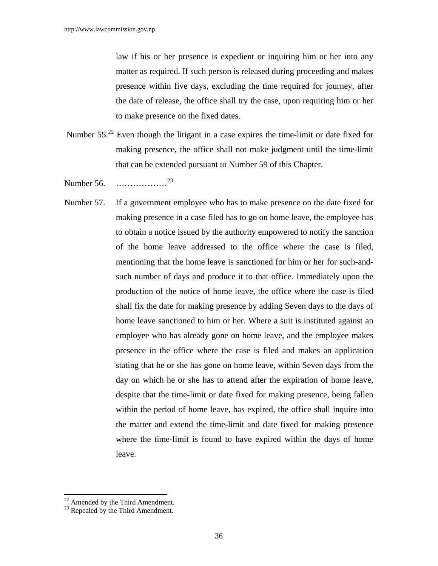law if his or her presence is expedient or inquiring him or her into any matter as required. If such person is released during proceeding and makes presence within five days, excluding the time required for journey, after the date of release, the office shall try the case, upon requiring him or her to make presence on the fixed dates.

- Number 55.<sup>22</sup> Even though the litigant in a case expires the time-limit or date fixed for making presence, the office shall not make judgment until the time-limit that can be extended pursuant to Number 59 of this Chapter.
- Number 56. ………………<sup>23</sup>
- Number 57. If a government employee who has to make presence on the date fixed for making presence in a case filed has to go on home leave, the employee has to obtain a notice issued by the authority empowered to notify the sanction of the home leave addressed to the office where the case is filed, mentioning that the home leave is sanctioned for him or her for such-andsuch number of days and produce it to that office. Immediately upon the production of the notice of home leave, the office where the case is filed shall fix the date for making presence by adding Seven days to the days of home leave sanctioned to him or her. Where a suit is instituted against an employee who has already gone on home leave, and the employee makes presence in the office where the case is filed and makes an application stating that he or she has gone on home leave, within Seven days from the day on which he or she has to attend after the expiration of home leave, despite that the time-limit or date fixed for making presence, being fallen within the period of home leave, has expired, the office shall inquire into the matter and extend the time-limit and date fixed for making presence where the time-limit is found to have expired within the days of home leave.

 $\overline{a}$ 

 $22$  Amended by the Third Amendment.

 $^{23}$  Repealed by the Third Amendment.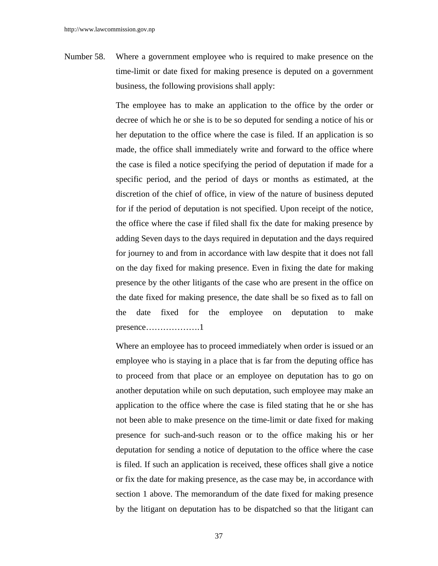Number 58. Where a government employee who is required to make presence on the time-limit or date fixed for making presence is deputed on a government business, the following provisions shall apply:

> The employee has to make an application to the office by the order or decree of which he or she is to be so deputed for sending a notice of his or her deputation to the office where the case is filed. If an application is so made, the office shall immediately write and forward to the office where the case is filed a notice specifying the period of deputation if made for a specific period, and the period of days or months as estimated, at the discretion of the chief of office, in view of the nature of business deputed for if the period of deputation is not specified. Upon receipt of the notice, the office where the case if filed shall fix the date for making presence by adding Seven days to the days required in deputation and the days required for journey to and from in accordance with law despite that it does not fall on the day fixed for making presence. Even in fixing the date for making presence by the other litigants of the case who are present in the office on the date fixed for making presence, the date shall be so fixed as to fall on the date fixed for the employee on deputation to make presence……………….1

> Where an employee has to proceed immediately when order is issued or an employee who is staying in a place that is far from the deputing office has to proceed from that place or an employee on deputation has to go on another deputation while on such deputation, such employee may make an application to the office where the case is filed stating that he or she has not been able to make presence on the time-limit or date fixed for making presence for such-and-such reason or to the office making his or her deputation for sending a notice of deputation to the office where the case is filed. If such an application is received, these offices shall give a notice or fix the date for making presence, as the case may be, in accordance with section 1 above. The memorandum of the date fixed for making presence by the litigant on deputation has to be dispatched so that the litigant can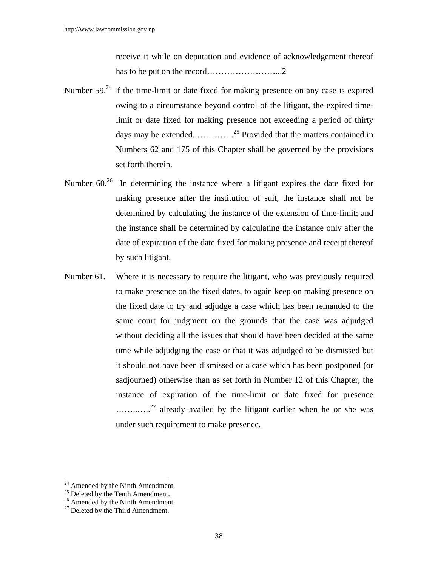receive it while on deputation and evidence of acknowledgement thereof has to be put on the record……………………...2

- Number  $59<sup>24</sup>$  If the time-limit or date fixed for making presence on any case is expired owing to a circumstance beyond control of the litigant, the expired timelimit or date fixed for making presence not exceeding a period of thirty days may be extended. ………….25 Provided that the matters contained in Numbers 62 and 175 of this Chapter shall be governed by the provisions set forth therein.
- Number  $60<sup>26</sup>$  In determining the instance where a litigant expires the date fixed for making presence after the institution of suit, the instance shall not be determined by calculating the instance of the extension of time-limit; and the instance shall be determined by calculating the instance only after the date of expiration of the date fixed for making presence and receipt thereof by such litigant.
- Number 61. Where it is necessary to require the litigant, who was previously required to make presence on the fixed dates, to again keep on making presence on the fixed date to try and adjudge a case which has been remanded to the same court for judgment on the grounds that the case was adjudged without deciding all the issues that should have been decided at the same time while adjudging the case or that it was adjudged to be dismissed but it should not have been dismissed or a case which has been postponed (or sadjourned) otherwise than as set forth in Number 12 of this Chapter, the instance of expiration of the time-limit or date fixed for presence ............<sup>27</sup> already availed by the litigant earlier when he or she was under such requirement to make presence.

<sup>&</sup>lt;sup>24</sup> Amended by the Ninth Amendment.

 $^{25}$  Deleted by the Tenth Amendment.

<sup>&</sup>lt;sup>26</sup> Amended by the Ninth Amendment.

 $27$  Deleted by the Third Amendment.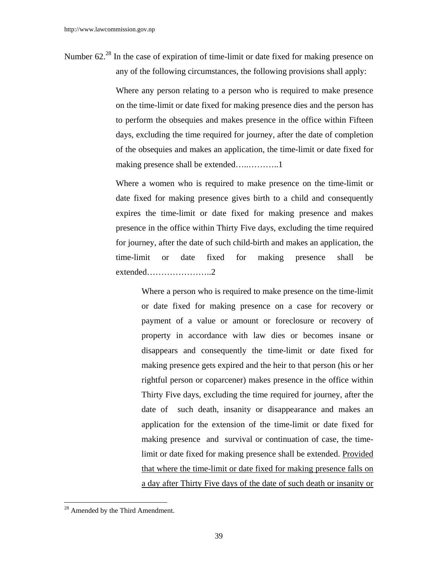Number 62<sup>28</sup> In the case of expiration of time-limit or date fixed for making presence on any of the following circumstances, the following provisions shall apply:

> Where any person relating to a person who is required to make presence on the time-limit or date fixed for making presence dies and the person has to perform the obsequies and makes presence in the office within Fifteen days, excluding the time required for journey, after the date of completion of the obsequies and makes an application, the time-limit or date fixed for making presence shall be extended…..………..1

> Where a women who is required to make presence on the time-limit or date fixed for making presence gives birth to a child and consequently expires the time-limit or date fixed for making presence and makes presence in the office within Thirty Five days, excluding the time required for journey, after the date of such child-birth and makes an application, the time-limit or date fixed for making presence shall be extended…………………..2

 Where a person who is required to make presence on the time-limit or date fixed for making presence on a case for recovery or payment of a value or amount or foreclosure or recovery of property in accordance with law dies or becomes insane or disappears and consequently the time-limit or date fixed for making presence gets expired and the heir to that person (his or her rightful person or coparcener) makes presence in the office within Thirty Five days, excluding the time required for journey, after the date of such death, insanity or disappearance and makes an application for the extension of the time-limit or date fixed for making presence and survival or continuation of case, the timelimit or date fixed for making presence shall be extended. Provided that where the time-limit or date fixed for making presence falls on a day after Thirty Five days of the date of such death or insanity or

<sup>&</sup>lt;sup>28</sup> Amended by the Third Amendment.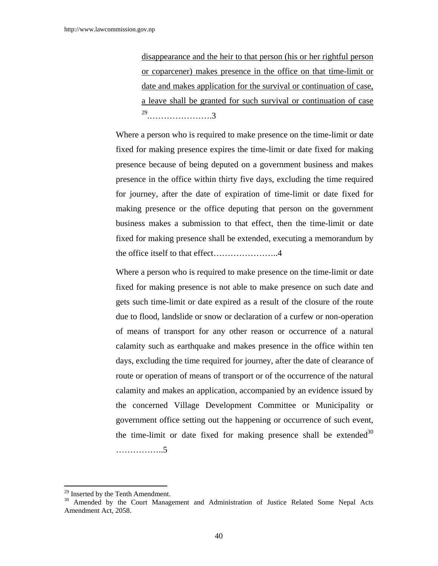disappearance and the heir to that person (his or her rightful person or coparcener) makes presence in the office on that time-limit or date and makes application for the survival or continuation of case, a leave shall be granted for such survival or continuation of case 29.………………….3

 Where a person who is required to make presence on the time-limit or date fixed for making presence expires the time-limit or date fixed for making presence because of being deputed on a government business and makes presence in the office within thirty five days, excluding the time required for journey, after the date of expiration of time-limit or date fixed for making presence or the office deputing that person on the government business makes a submission to that effect, then the time-limit or date fixed for making presence shall be extended, executing a memorandum by the office itself to that effect…………………..4

Where a person who is required to make presence on the time-limit or date fixed for making presence is not able to make presence on such date and gets such time-limit or date expired as a result of the closure of the route due to flood, landslide or snow or declaration of a curfew or non-operation of means of transport for any other reason or occurrence of a natural calamity such as earthquake and makes presence in the office within ten days, excluding the time required for journey, after the date of clearance of route or operation of means of transport or of the occurrence of the natural calamity and makes an application, accompanied by an evidence issued by the concerned Village Development Committee or Municipality or government office setting out the happening or occurrence of such event, the time-limit or date fixed for making presence shall be extended<sup>30</sup> ……………..5

<sup>&</sup>lt;sup>29</sup> Inserted by the Tenth Amendment.

<sup>&</sup>lt;sup>30</sup> Amended by the Court Management and Administration of Justice Related Some Nepal Acts Amendment Act, 2058.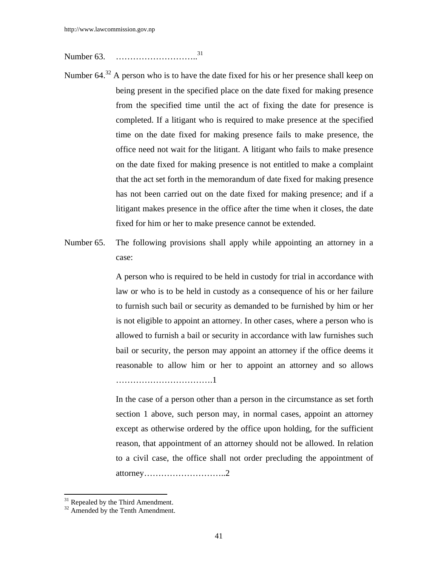Number 63. ……………………………<sup>31</sup>

- Number 64.<sup>32</sup> A person who is to have the date fixed for his or her presence shall keep on being present in the specified place on the date fixed for making presence from the specified time until the act of fixing the date for presence is completed. If a litigant who is required to make presence at the specified time on the date fixed for making presence fails to make presence, the office need not wait for the litigant. A litigant who fails to make presence on the date fixed for making presence is not entitled to make a complaint that the act set forth in the memorandum of date fixed for making presence has not been carried out on the date fixed for making presence; and if a litigant makes presence in the office after the time when it closes, the date fixed for him or her to make presence cannot be extended.
- Number 65. The following provisions shall apply while appointing an attorney in a case:

 A person who is required to be held in custody for trial in accordance with law or who is to be held in custody as a consequence of his or her failure to furnish such bail or security as demanded to be furnished by him or her is not eligible to appoint an attorney. In other cases, where a person who is allowed to furnish a bail or security in accordance with law furnishes such bail or security, the person may appoint an attorney if the office deems it reasonable to allow him or her to appoint an attorney and so allows …………………………….1

In the case of a person other than a person in the circumstance as set forth section 1 above, such person may, in normal cases, appoint an attorney except as otherwise ordered by the office upon holding, for the sufficient reason, that appointment of an attorney should not be allowed. In relation to a civil case, the office shall not order precluding the appointment of attorney………………………..2

 $\overline{a}$ 

 $31$  Repealed by the Third Amendment.

 $32$  Amended by the Tenth Amendment.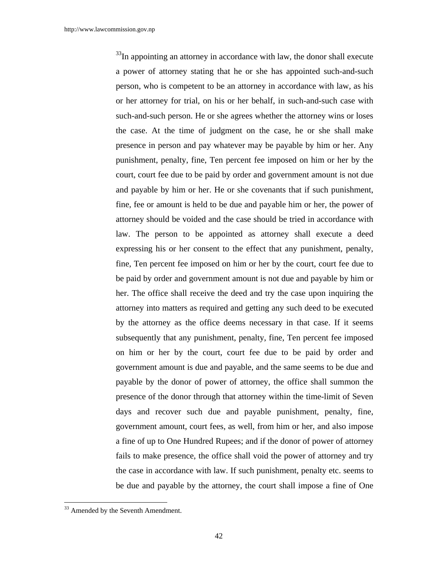$33$ In appointing an attorney in accordance with law, the donor shall execute a power of attorney stating that he or she has appointed such-and-such person, who is competent to be an attorney in accordance with law, as his or her attorney for trial, on his or her behalf, in such-and-such case with such-and-such person. He or she agrees whether the attorney wins or loses the case. At the time of judgment on the case, he or she shall make presence in person and pay whatever may be payable by him or her. Any punishment, penalty, fine, Ten percent fee imposed on him or her by the court, court fee due to be paid by order and government amount is not due and payable by him or her. He or she covenants that if such punishment, fine, fee or amount is held to be due and payable him or her, the power of attorney should be voided and the case should be tried in accordance with law. The person to be appointed as attorney shall execute a deed expressing his or her consent to the effect that any punishment, penalty, fine, Ten percent fee imposed on him or her by the court, court fee due to be paid by order and government amount is not due and payable by him or her. The office shall receive the deed and try the case upon inquiring the attorney into matters as required and getting any such deed to be executed by the attorney as the office deems necessary in that case. If it seems subsequently that any punishment, penalty, fine, Ten percent fee imposed on him or her by the court, court fee due to be paid by order and government amount is due and payable, and the same seems to be due and payable by the donor of power of attorney, the office shall summon the presence of the donor through that attorney within the time-limit of Seven days and recover such due and payable punishment, penalty, fine, government amount, court fees, as well, from him or her, and also impose a fine of up to One Hundred Rupees; and if the donor of power of attorney fails to make presence, the office shall void the power of attorney and try the case in accordance with law. If such punishment, penalty etc. seems to be due and payable by the attorney, the court shall impose a fine of One

<sup>&</sup>lt;sup>33</sup> Amended by the Seventh Amendment.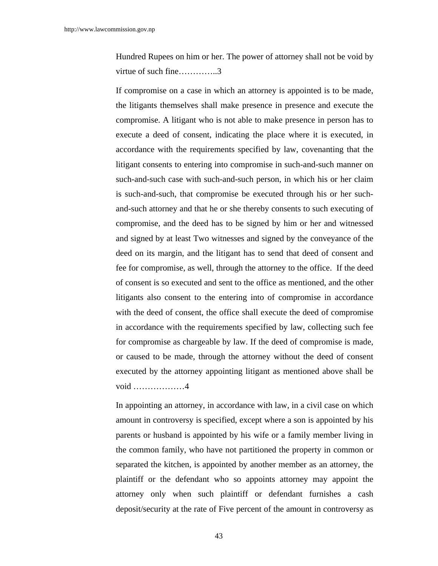Hundred Rupees on him or her. The power of attorney shall not be void by virtue of such fine…………..3

 If compromise on a case in which an attorney is appointed is to be made, the litigants themselves shall make presence in presence and execute the compromise. A litigant who is not able to make presence in person has to execute a deed of consent, indicating the place where it is executed, in accordance with the requirements specified by law, covenanting that the litigant consents to entering into compromise in such-and-such manner on such-and-such case with such-and-such person, in which his or her claim is such-and-such, that compromise be executed through his or her suchand-such attorney and that he or she thereby consents to such executing of compromise, and the deed has to be signed by him or her and witnessed and signed by at least Two witnesses and signed by the conveyance of the deed on its margin, and the litigant has to send that deed of consent and fee for compromise, as well, through the attorney to the office. If the deed of consent is so executed and sent to the office as mentioned, and the other litigants also consent to the entering into of compromise in accordance with the deed of consent, the office shall execute the deed of compromise in accordance with the requirements specified by law, collecting such fee for compromise as chargeable by law. If the deed of compromise is made, or caused to be made, through the attorney without the deed of consent executed by the attorney appointing litigant as mentioned above shall be void ………………4

 In appointing an attorney, in accordance with law, in a civil case on which amount in controversy is specified, except where a son is appointed by his parents or husband is appointed by his wife or a family member living in the common family, who have not partitioned the property in common or separated the kitchen, is appointed by another member as an attorney, the plaintiff or the defendant who so appoints attorney may appoint the attorney only when such plaintiff or defendant furnishes a cash deposit/security at the rate of Five percent of the amount in controversy as

43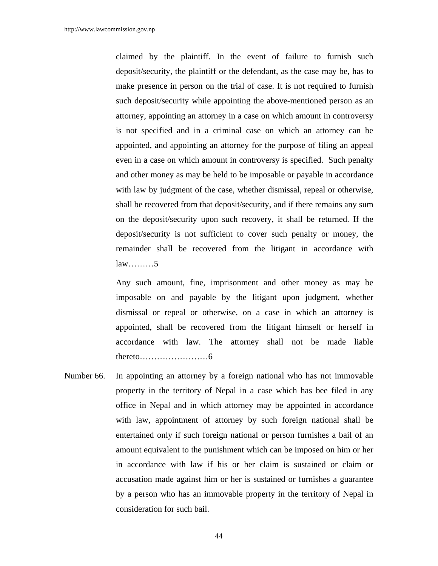claimed by the plaintiff. In the event of failure to furnish such deposit/security, the plaintiff or the defendant, as the case may be, has to make presence in person on the trial of case. It is not required to furnish such deposit/security while appointing the above-mentioned person as an attorney, appointing an attorney in a case on which amount in controversy is not specified and in a criminal case on which an attorney can be appointed, and appointing an attorney for the purpose of filing an appeal even in a case on which amount in controversy is specified. Such penalty and other money as may be held to be imposable or payable in accordance with law by judgment of the case, whether dismissal, repeal or otherwise, shall be recovered from that deposit/security, and if there remains any sum on the deposit/security upon such recovery, it shall be returned. If the deposit/security is not sufficient to cover such penalty or money, the remainder shall be recovered from the litigant in accordance with law………5

 Any such amount, fine, imprisonment and other money as may be imposable on and payable by the litigant upon judgment, whether dismissal or repeal or otherwise, on a case in which an attorney is appointed, shall be recovered from the litigant himself or herself in accordance with law. The attorney shall not be made liable thereto……………………6

Number 66. In appointing an attorney by a foreign national who has not immovable property in the territory of Nepal in a case which has bee filed in any office in Nepal and in which attorney may be appointed in accordance with law, appointment of attorney by such foreign national shall be entertained only if such foreign national or person furnishes a bail of an amount equivalent to the punishment which can be imposed on him or her in accordance with law if his or her claim is sustained or claim or accusation made against him or her is sustained or furnishes a guarantee by a person who has an immovable property in the territory of Nepal in consideration for such bail.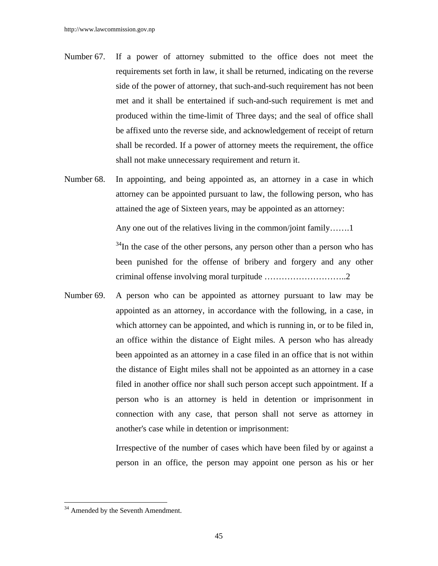- Number 67. If a power of attorney submitted to the office does not meet the requirements set forth in law, it shall be returned, indicating on the reverse side of the power of attorney, that such-and-such requirement has not been met and it shall be entertained if such-and-such requirement is met and produced within the time-limit of Three days; and the seal of office shall be affixed unto the reverse side, and acknowledgement of receipt of return shall be recorded. If a power of attorney meets the requirement, the office shall not make unnecessary requirement and return it.
- Number 68. In appointing, and being appointed as, an attorney in a case in which attorney can be appointed pursuant to law, the following person, who has attained the age of Sixteen years, may be appointed as an attorney:

Any one out of the relatives living in the common/joint family……..1

 $34$ In the case of the other persons, any person other than a person who has been punished for the offense of bribery and forgery and any other criminal offense involving moral turpitude ………………………..2

Number 69. A person who can be appointed as attorney pursuant to law may be appointed as an attorney, in accordance with the following, in a case, in which attorney can be appointed, and which is running in, or to be filed in, an office within the distance of Eight miles. A person who has already been appointed as an attorney in a case filed in an office that is not within the distance of Eight miles shall not be appointed as an attorney in a case filed in another office nor shall such person accept such appointment. If a person who is an attorney is held in detention or imprisonment in connection with any case, that person shall not serve as attorney in another's case while in detention or imprisonment:

> Irrespective of the number of cases which have been filed by or against a person in an office, the person may appoint one person as his or her

<sup>&</sup>lt;sup>34</sup> Amended by the Seventh Amendment.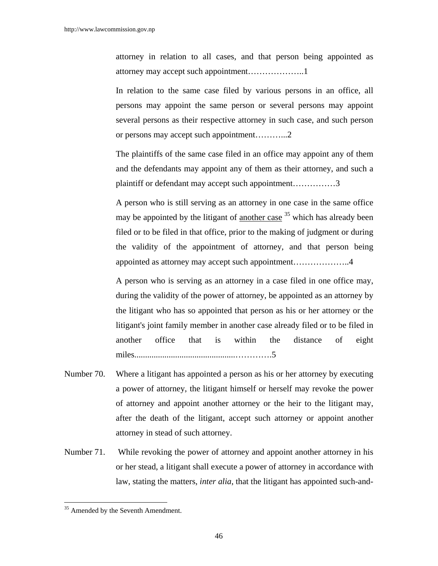attorney in relation to all cases, and that person being appointed as attorney may accept such appointment………………..1

 In relation to the same case filed by various persons in an office, all persons may appoint the same person or several persons may appoint several persons as their respective attorney in such case, and such person or persons may accept such appointment………...2

 The plaintiffs of the same case filed in an office may appoint any of them and the defendants may appoint any of them as their attorney, and such a plaintiff or defendant may accept such appointment……………3

 A person who is still serving as an attorney in one case in the same office may be appointed by the litigant of another case <sup>35</sup> which has already been filed or to be filed in that office, prior to the making of judgment or during the validity of the appointment of attorney, and that person being appointed as attorney may accept such appointment………………..4

 A person who is serving as an attorney in a case filed in one office may, during the validity of the power of attorney, be appointed as an attorney by the litigant who has so appointed that person as his or her attorney or the litigant's joint family member in another case already filed or to be filed in another office that is within the distance of eight miles...............................................………….5

- Number 70. Where a litigant has appointed a person as his or her attorney by executing a power of attorney, the litigant himself or herself may revoke the power of attorney and appoint another attorney or the heir to the litigant may, after the death of the litigant, accept such attorney or appoint another attorney in stead of such attorney.
- Number 71. While revoking the power of attorney and appoint another attorney in his or her stead, a litigant shall execute a power of attorney in accordance with law, stating the matters, *inter alia*, that the litigant has appointed such-and-

<sup>&</sup>lt;sup>35</sup> Amended by the Seventh Amendment.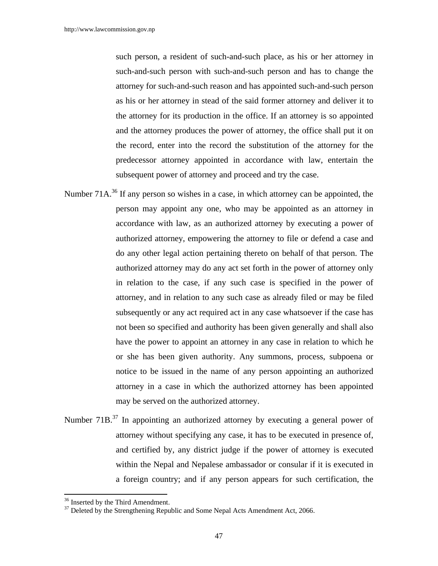such person, a resident of such-and-such place, as his or her attorney in such-and-such person with such-and-such person and has to change the attorney for such-and-such reason and has appointed such-and-such person as his or her attorney in stead of the said former attorney and deliver it to the attorney for its production in the office. If an attorney is so appointed and the attorney produces the power of attorney, the office shall put it on the record, enter into the record the substitution of the attorney for the predecessor attorney appointed in accordance with law, entertain the subsequent power of attorney and proceed and try the case.

- Number 71 $A<sup>36</sup>$  If any person so wishes in a case, in which attorney can be appointed, the person may appoint any one, who may be appointed as an attorney in accordance with law, as an authorized attorney by executing a power of authorized attorney, empowering the attorney to file or defend a case and do any other legal action pertaining thereto on behalf of that person. The authorized attorney may do any act set forth in the power of attorney only in relation to the case, if any such case is specified in the power of attorney, and in relation to any such case as already filed or may be filed subsequently or any act required act in any case whatsoever if the case has not been so specified and authority has been given generally and shall also have the power to appoint an attorney in any case in relation to which he or she has been given authority. Any summons, process, subpoena or notice to be issued in the name of any person appointing an authorized attorney in a case in which the authorized attorney has been appointed may be served on the authorized attorney.
- Number 71B<sup>37</sup> In appointing an authorized attorney by executing a general power of attorney without specifying any case, it has to be executed in presence of, and certified by, any district judge if the power of attorney is executed within the Nepal and Nepalese ambassador or consular if it is executed in a foreign country; and if any person appears for such certification, the

 $\overline{a}$ 

<sup>&</sup>lt;sup>36</sup> Inserted by the Third Amendment.

<sup>&</sup>lt;sup>37</sup> Deleted by the Strengthening Republic and Some Nepal Acts Amendment Act, 2066.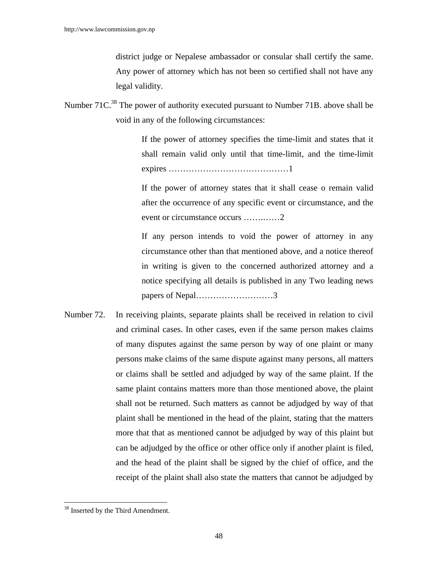district judge or Nepalese ambassador or consular shall certify the same. Any power of attorney which has not been so certified shall not have any legal validity.

Number 71C.<sup>38</sup> The power of authority executed pursuant to Number 71B. above shall be void in any of the following circumstances:

> If the power of attorney specifies the time-limit and states that it shall remain valid only until that time-limit, and the time-limit expires ……………………………………1

> If the power of attorney states that it shall cease o remain valid after the occurrence of any specific event or circumstance, and the event or circumstance occurs …….……2

> If any person intends to void the power of attorney in any circumstance other than that mentioned above, and a notice thereof in writing is given to the concerned authorized attorney and a notice specifying all details is published in any Two leading news papers of Nepal………………………3

Number 72. In receiving plaints, separate plaints shall be received in relation to civil and criminal cases. In other cases, even if the same person makes claims of many disputes against the same person by way of one plaint or many persons make claims of the same dispute against many persons, all matters or claims shall be settled and adjudged by way of the same plaint. If the same plaint contains matters more than those mentioned above, the plaint shall not be returned. Such matters as cannot be adjudged by way of that plaint shall be mentioned in the head of the plaint, stating that the matters more that that as mentioned cannot be adjudged by way of this plaint but can be adjudged by the office or other office only if another plaint is filed, and the head of the plaint shall be signed by the chief of office, and the receipt of the plaint shall also state the matters that cannot be adjudged by

 $\overline{\phantom{a}}$ <sup>38</sup> Inserted by the Third Amendment.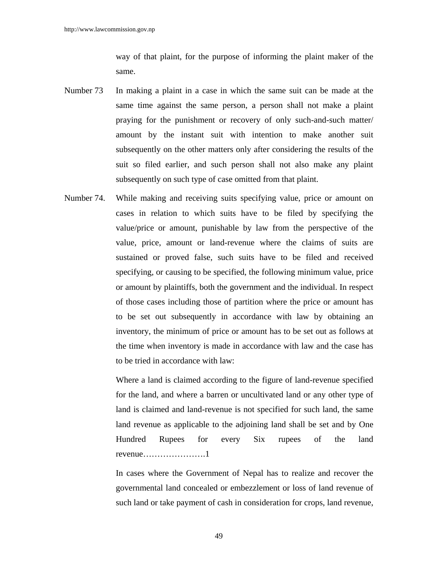way of that plaint, for the purpose of informing the plaint maker of the same.

- Number 73 In making a plaint in a case in which the same suit can be made at the same time against the same person, a person shall not make a plaint praying for the punishment or recovery of only such-and-such matter/ amount by the instant suit with intention to make another suit subsequently on the other matters only after considering the results of the suit so filed earlier, and such person shall not also make any plaint subsequently on such type of case omitted from that plaint.
- Number 74. While making and receiving suits specifying value, price or amount on cases in relation to which suits have to be filed by specifying the value/price or amount, punishable by law from the perspective of the value, price, amount or land-revenue where the claims of suits are sustained or proved false, such suits have to be filed and received specifying, or causing to be specified, the following minimum value, price or amount by plaintiffs, both the government and the individual. In respect of those cases including those of partition where the price or amount has to be set out subsequently in accordance with law by obtaining an inventory, the minimum of price or amount has to be set out as follows at the time when inventory is made in accordance with law and the case has to be tried in accordance with law:

 Where a land is claimed according to the figure of land-revenue specified for the land, and where a barren or uncultivated land or any other type of land is claimed and land-revenue is not specified for such land, the same land revenue as applicable to the adjoining land shall be set and by One Hundred Rupees for every Six rupees of the land revenue………………….1

 In cases where the Government of Nepal has to realize and recover the governmental land concealed or embezzlement or loss of land revenue of such land or take payment of cash in consideration for crops, land revenue,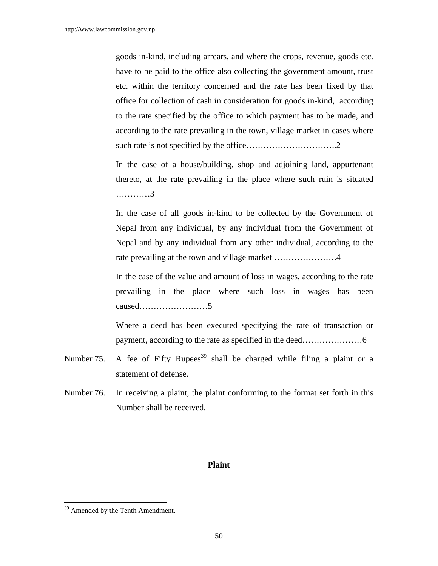goods in-kind, including arrears, and where the crops, revenue, goods etc. have to be paid to the office also collecting the government amount, trust etc. within the territory concerned and the rate has been fixed by that office for collection of cash in consideration for goods in-kind, according to the rate specified by the office to which payment has to be made, and according to the rate prevailing in the town, village market in cases where such rate is not specified by the office…………………………..2

 In the case of a house/building, shop and adjoining land, appurtenant thereto, at the rate prevailing in the place where such ruin is situated …………3

 In the case of all goods in-kind to be collected by the Government of Nepal from any individual, by any individual from the Government of Nepal and by any individual from any other individual, according to the rate prevailing at the town and village market ............................4

 In the case of the value and amount of loss in wages, according to the rate prevailing in the place where such loss in wages has been caused……………………5

 Where a deed has been executed specifying the rate of transaction or payment, according to the rate as specified in the deed…………………6

- Number 75. A fee of Fifty Rupees<sup>39</sup> shall be charged while filing a plaint or a statement of defense.
- Number 76. In receiving a plaint, the plaint conforming to the format set forth in this Number shall be received.

#### **Plaint**

<sup>&</sup>lt;sup>39</sup> Amended by the Tenth Amendment.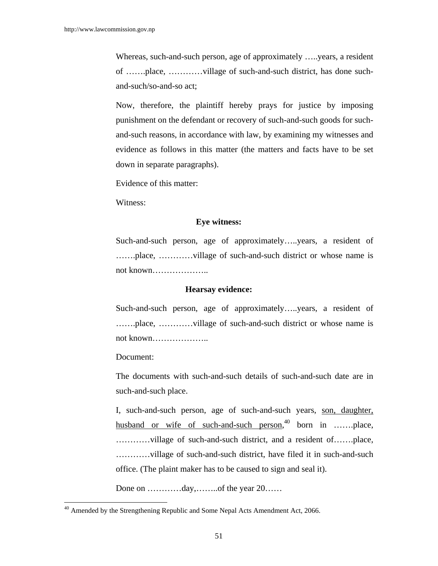Whereas, such-and-such person, age of approximately …..years, a resident of …….place, …………village of such-and-such district, has done suchand-such/so-and-so act;

Now, therefore, the plaintiff hereby prays for justice by imposing punishment on the defendant or recovery of such-and-such goods for suchand-such reasons, in accordance with law, by examining my witnesses and evidence as follows in this matter (the matters and facts have to be set down in separate paragraphs).

Evidence of this matter:

Witness:

### **Eye witness:**

Such-and-such person, age of approximately…..years, a resident of …….place, …………village of such-and-such district or whose name is not known………………..

## **Hearsay evidence:**

Such-and-such person, age of approximately…..years, a resident of …….place, …………village of such-and-such district or whose name is not known………………..

Document:

 $\overline{\phantom{a}}$ 

The documents with such-and-such details of such-and-such date are in such-and-such place.

I, such-and-such person, age of such-and-such years, son, daughter, husband or wife of such-and-such person,<sup>40</sup> born in .......place, …………village of such-and-such district, and a resident of…….place, …………village of such-and-such district, have filed it in such-and-such office. (The plaint maker has to be caused to sign and seal it).

Done on …………day,………of the year 20……

<sup>&</sup>lt;sup>40</sup> Amended by the Strengthening Republic and Some Nepal Acts Amendment Act, 2066.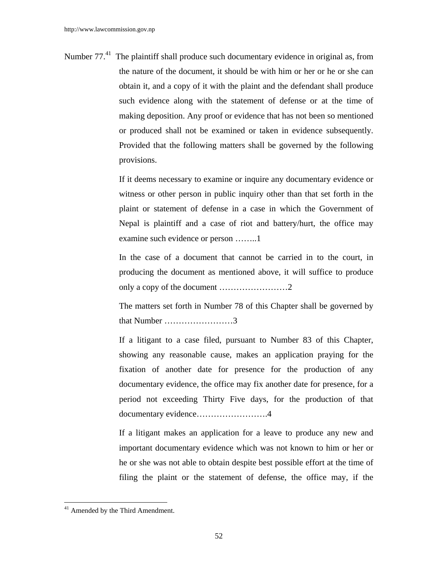Number 77.<sup>41</sup> The plaintiff shall produce such documentary evidence in original as, from the nature of the document, it should be with him or her or he or she can obtain it, and a copy of it with the plaint and the defendant shall produce such evidence along with the statement of defense or at the time of making deposition. Any proof or evidence that has not been so mentioned or produced shall not be examined or taken in evidence subsequently. Provided that the following matters shall be governed by the following provisions.

> If it deems necessary to examine or inquire any documentary evidence or witness or other person in public inquiry other than that set forth in the plaint or statement of defense in a case in which the Government of Nepal is plaintiff and a case of riot and battery/hurt, the office may examine such evidence or person ……..1

> In the case of a document that cannot be carried in to the court, in producing the document as mentioned above, it will suffice to produce only a copy of the document ……………………2

> The matters set forth in Number 78 of this Chapter shall be governed by that Number ……………………3

> If a litigant to a case filed, pursuant to Number 83 of this Chapter, showing any reasonable cause, makes an application praying for the fixation of another date for presence for the production of any documentary evidence, the office may fix another date for presence, for a period not exceeding Thirty Five days, for the production of that documentary evidence…………………….4

> If a litigant makes an application for a leave to produce any new and important documentary evidence which was not known to him or her or he or she was not able to obtain despite best possible effort at the time of filing the plaint or the statement of defense, the office may, if the

 $41$  Amended by the Third Amendment.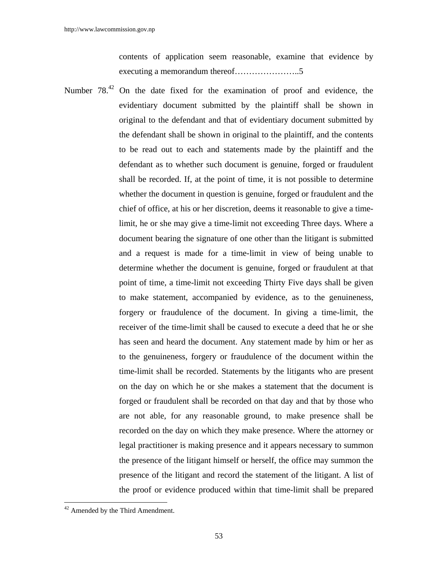contents of application seem reasonable, examine that evidence by executing a memorandum thereof…………………..5

Number 78.<sup>42</sup> On the date fixed for the examination of proof and evidence, the evidentiary document submitted by the plaintiff shall be shown in original to the defendant and that of evidentiary document submitted by the defendant shall be shown in original to the plaintiff, and the contents to be read out to each and statements made by the plaintiff and the defendant as to whether such document is genuine, forged or fraudulent shall be recorded. If, at the point of time, it is not possible to determine whether the document in question is genuine, forged or fraudulent and the chief of office, at his or her discretion, deems it reasonable to give a timelimit, he or she may give a time-limit not exceeding Three days. Where a document bearing the signature of one other than the litigant is submitted and a request is made for a time-limit in view of being unable to determine whether the document is genuine, forged or fraudulent at that point of time, a time-limit not exceeding Thirty Five days shall be given to make statement, accompanied by evidence, as to the genuineness, forgery or fraudulence of the document. In giving a time-limit, the receiver of the time-limit shall be caused to execute a deed that he or she has seen and heard the document. Any statement made by him or her as to the genuineness, forgery or fraudulence of the document within the time-limit shall be recorded. Statements by the litigants who are present on the day on which he or she makes a statement that the document is forged or fraudulent shall be recorded on that day and that by those who are not able, for any reasonable ground, to make presence shall be recorded on the day on which they make presence. Where the attorney or legal practitioner is making presence and it appears necessary to summon the presence of the litigant himself or herself, the office may summon the presence of the litigant and record the statement of the litigant. A list of the proof or evidence produced within that time-limit shall be prepared

<sup>&</sup>lt;sup>42</sup> Amended by the Third Amendment.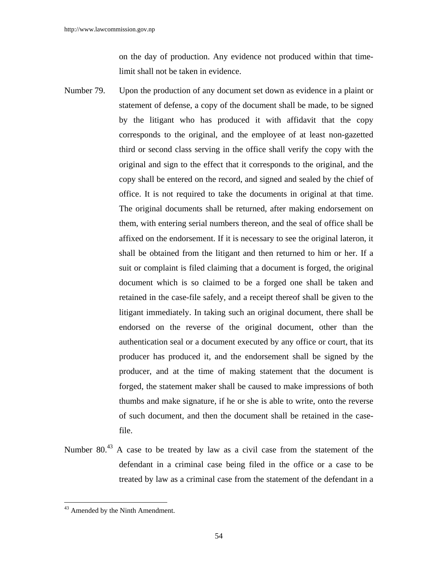on the day of production. Any evidence not produced within that timelimit shall not be taken in evidence.

- Number 79. Upon the production of any document set down as evidence in a plaint or statement of defense, a copy of the document shall be made, to be signed by the litigant who has produced it with affidavit that the copy corresponds to the original, and the employee of at least non-gazetted third or second class serving in the office shall verify the copy with the original and sign to the effect that it corresponds to the original, and the copy shall be entered on the record, and signed and sealed by the chief of office. It is not required to take the documents in original at that time. The original documents shall be returned, after making endorsement on them, with entering serial numbers thereon, and the seal of office shall be affixed on the endorsement. If it is necessary to see the original lateron, it shall be obtained from the litigant and then returned to him or her. If a suit or complaint is filed claiming that a document is forged, the original document which is so claimed to be a forged one shall be taken and retained in the case-file safely, and a receipt thereof shall be given to the litigant immediately. In taking such an original document, there shall be endorsed on the reverse of the original document, other than the authentication seal or a document executed by any office or court, that its producer has produced it, and the endorsement shall be signed by the producer, and at the time of making statement that the document is forged, the statement maker shall be caused to make impressions of both thumbs and make signature, if he or she is able to write, onto the reverse of such document, and then the document shall be retained in the casefile.
- Number 80.<sup>43</sup> A case to be treated by law as a civil case from the statement of the defendant in a criminal case being filed in the office or a case to be treated by law as a criminal case from the statement of the defendant in a

<sup>&</sup>lt;sup>43</sup> Amended by the Ninth Amendment.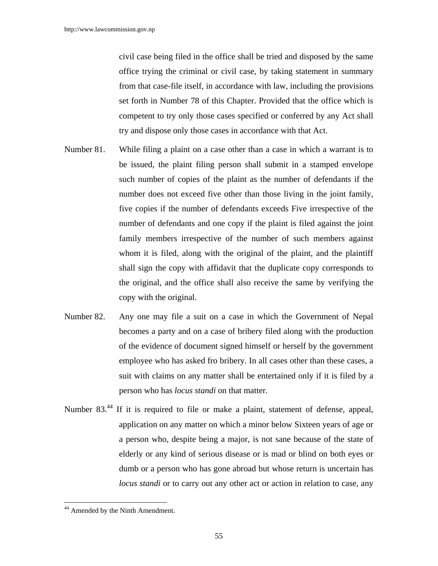civil case being filed in the office shall be tried and disposed by the same office trying the criminal or civil case, by taking statement in summary from that case-file itself, in accordance with law, including the provisions set forth in Number 78 of this Chapter. Provided that the office which is competent to try only those cases specified or conferred by any Act shall try and dispose only those cases in accordance with that Act.

- Number 81. While filing a plaint on a case other than a case in which a warrant is to be issued, the plaint filing person shall submit in a stamped envelope such number of copies of the plaint as the number of defendants if the number does not exceed five other than those living in the joint family, five copies if the number of defendants exceeds Five irrespective of the number of defendants and one copy if the plaint is filed against the joint family members irrespective of the number of such members against whom it is filed, along with the original of the plaint, and the plaintiff shall sign the copy with affidavit that the duplicate copy corresponds to the original, and the office shall also receive the same by verifying the copy with the original.
- Number 82. Any one may file a suit on a case in which the Government of Nepal becomes a party and on a case of bribery filed along with the production of the evidence of document signed himself or herself by the government employee who has asked fro bribery. In all cases other than these cases, a suit with claims on any matter shall be entertained only if it is filed by a person who has *locus standi* on that matter.
- Number 83.44 If it is required to file or make a plaint, statement of defense, appeal, application on any matter on which a minor below Sixteen years of age or a person who, despite being a major, is not sane because of the state of elderly or any kind of serious disease or is mad or blind on both eyes or dumb or a person who has gone abroad but whose return is uncertain has *locus standi* or to carry out any other act or action in relation to case, any

<sup>&</sup>lt;sup>44</sup> Amended by the Ninth Amendment.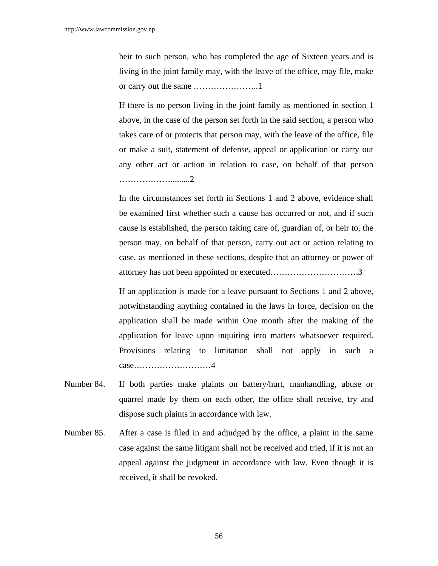heir to such person, who has completed the age of Sixteen years and is living in the joint family may, with the leave of the office, may file, make or carry out the same …………………..1

 If there is no person living in the joint family as mentioned in section 1 above, in the case of the person set forth in the said section, a person who takes care of or protects that person may, with the leave of the office, file or make a suit, statement of defense, appeal or application or carry out any other act or action in relation to case, on behalf of that person ……………….........2

 In the circumstances set forth in Sections 1 and 2 above, evidence shall be examined first whether such a cause has occurred or not, and if such cause is established, the person taking care of, guardian of, or heir to, the person may, on behalf of that person, carry out act or action relating to case, as mentioned in these sections, despite that an attorney or power of attorney has not been appointed or executed………………………….3

 If an application is made for a leave pursuant to Sections 1 and 2 above, notwithstanding anything contained in the laws in force, decision on the application shall be made within One month after the making of the application for leave upon inquiring into matters whatsoever required. Provisions relating to limitation shall not apply in such a case………………………4

- Number 84. If both parties make plaints on battery/hurt, manhandling, abuse or quarrel made by them on each other, the office shall receive, try and dispose such plaints in accordance with law.
- Number 85. After a case is filed in and adjudged by the office, a plaint in the same case against the same litigant shall not be received and tried, if it is not an appeal against the judgment in accordance with law. Even though it is received, it shall be revoked.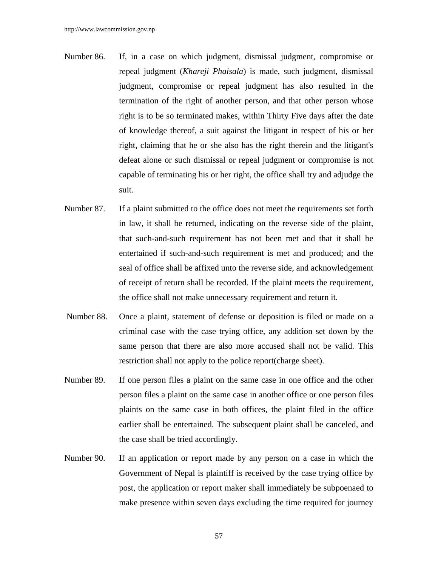- Number 86. If, in a case on which judgment, dismissal judgment, compromise or repeal judgment (*Khareji Phaisala*) is made, such judgment, dismissal judgment, compromise or repeal judgment has also resulted in the termination of the right of another person, and that other person whose right is to be so terminated makes, within Thirty Five days after the date of knowledge thereof, a suit against the litigant in respect of his or her right, claiming that he or she also has the right therein and the litigant's defeat alone or such dismissal or repeal judgment or compromise is not capable of terminating his or her right, the office shall try and adjudge the suit.
- Number 87. If a plaint submitted to the office does not meet the requirements set forth in law, it shall be returned, indicating on the reverse side of the plaint, that such-and-such requirement has not been met and that it shall be entertained if such-and-such requirement is met and produced; and the seal of office shall be affixed unto the reverse side, and acknowledgement of receipt of return shall be recorded. If the plaint meets the requirement, the office shall not make unnecessary requirement and return it.
- Number 88. Once a plaint, statement of defense or deposition is filed or made on a criminal case with the case trying office, any addition set down by the same person that there are also more accused shall not be valid. This restriction shall not apply to the police report(charge sheet).
- Number 89. If one person files a plaint on the same case in one office and the other person files a plaint on the same case in another office or one person files plaints on the same case in both offices, the plaint filed in the office earlier shall be entertained. The subsequent plaint shall be canceled, and the case shall be tried accordingly.
- Number 90. If an application or report made by any person on a case in which the Government of Nepal is plaintiff is received by the case trying office by post, the application or report maker shall immediately be subpoenaed to make presence within seven days excluding the time required for journey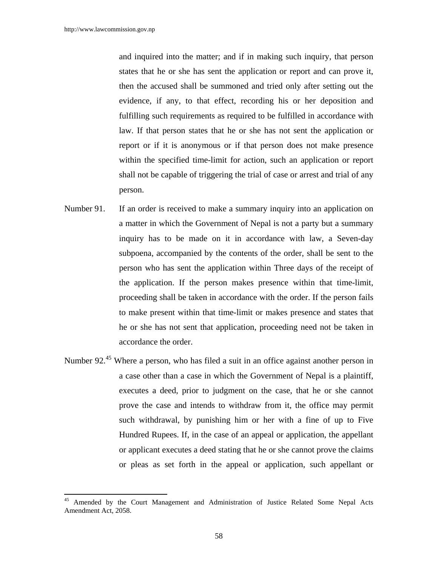$\overline{a}$ 

and inquired into the matter; and if in making such inquiry, that person states that he or she has sent the application or report and can prove it, then the accused shall be summoned and tried only after setting out the evidence, if any, to that effect, recording his or her deposition and fulfilling such requirements as required to be fulfilled in accordance with law. If that person states that he or she has not sent the application or report or if it is anonymous or if that person does not make presence within the specified time-limit for action, such an application or report shall not be capable of triggering the trial of case or arrest and trial of any person.

- Number 91. If an order is received to make a summary inquiry into an application on a matter in which the Government of Nepal is not a party but a summary inquiry has to be made on it in accordance with law, a Seven-day subpoena, accompanied by the contents of the order, shall be sent to the person who has sent the application within Three days of the receipt of the application. If the person makes presence within that time-limit, proceeding shall be taken in accordance with the order. If the person fails to make present within that time-limit or makes presence and states that he or she has not sent that application, proceeding need not be taken in accordance the order.
- Number 92.<sup>45</sup> Where a person, who has filed a suit in an office against another person in a case other than a case in which the Government of Nepal is a plaintiff, executes a deed, prior to judgment on the case, that he or she cannot prove the case and intends to withdraw from it, the office may permit such withdrawal, by punishing him or her with a fine of up to Five Hundred Rupees. If, in the case of an appeal or application, the appellant or applicant executes a deed stating that he or she cannot prove the claims or pleas as set forth in the appeal or application, such appellant or

Amended by the Court Management and Administration of Justice Related Some Nepal Acts Amendment Act, 2058.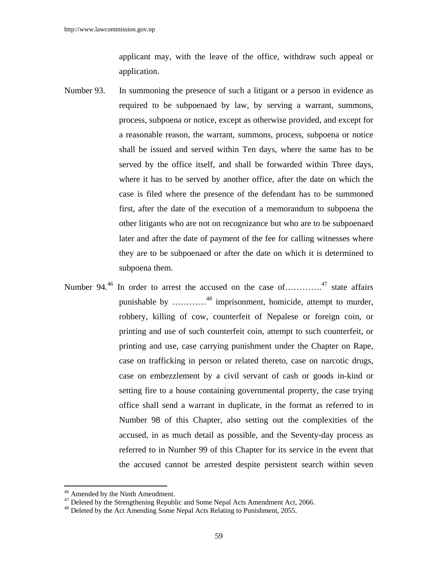applicant may, with the leave of the office, withdraw such appeal or application.

- Number 93. In summoning the presence of such a litigant or a person in evidence as required to be subpoenaed by law, by serving a warrant, summons, process, subpoena or notice, except as otherwise provided, and except for a reasonable reason, the warrant, summons, process, subpoena or notice shall be issued and served within Ten days, where the same has to be served by the office itself, and shall be forwarded within Three days, where it has to be served by another office, after the date on which the case is filed where the presence of the defendant has to be summoned first, after the date of the execution of a memorandum to subpoena the other litigants who are not on recognizance but who are to be subpoenaed later and after the date of payment of the fee for calling witnesses where they are to be subpoenaed or after the date on which it is determined to subpoena them.
- Number 94.<sup>46</sup> In order to arrest the accused on the case of………….<sup>47</sup> state affairs punishable by …………48 imprisonment, homicide, attempt to murder, robbery, killing of cow, counterfeit of Nepalese or foreign coin, or printing and use of such counterfeit coin, attempt to such counterfeit, or printing and use, case carrying punishment under the Chapter on Rape, case on trafficking in person or related thereto, case on narcotic drugs, case on embezzlement by a civil servant of cash or goods in-kind or setting fire to a house containing governmental property, the case trying office shall send a warrant in duplicate, in the format as referred to in Number 98 of this Chapter, also setting out the complexities of the accused, in as much detail as possible, and the Seventy-day process as referred to in Number 99 of this Chapter for its service in the event that the accused cannot be arrested despite persistent search within seven

<sup>&</sup>lt;sup>46</sup> Amended by the Ninth Amendment.

<sup>&</sup>lt;sup>47</sup> Deleted by the Strengthening Republic and Some Nepal Acts Amendment Act, 2066.

<sup>&</sup>lt;sup>48</sup> Deleted by the Act Amending Some Nepal Acts Relating to Punishment, 2055.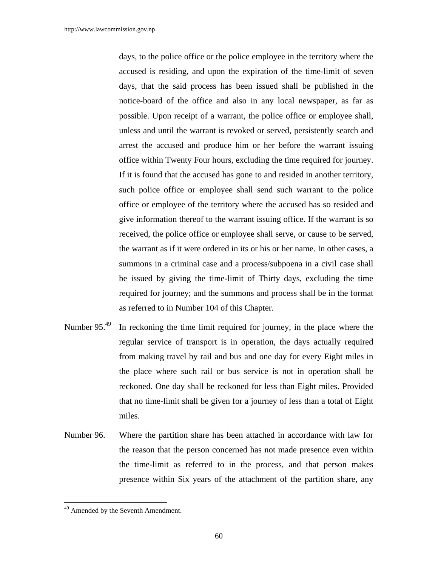days, to the police office or the police employee in the territory where the accused is residing, and upon the expiration of the time-limit of seven days, that the said process has been issued shall be published in the notice-board of the office and also in any local newspaper, as far as possible. Upon receipt of a warrant, the police office or employee shall, unless and until the warrant is revoked or served, persistently search and arrest the accused and produce him or her before the warrant issuing office within Twenty Four hours, excluding the time required for journey. If it is found that the accused has gone to and resided in another territory, such police office or employee shall send such warrant to the police office or employee of the territory where the accused has so resided and give information thereof to the warrant issuing office. If the warrant is so received, the police office or employee shall serve, or cause to be served, the warrant as if it were ordered in its or his or her name. In other cases, a summons in a criminal case and a process/subpoena in a civil case shall be issued by giving the time-limit of Thirty days, excluding the time required for journey; and the summons and process shall be in the format as referred to in Number 104 of this Chapter.

- Number  $95<sup>49</sup>$  In reckoning the time limit required for journey, in the place where the regular service of transport is in operation, the days actually required from making travel by rail and bus and one day for every Eight miles in the place where such rail or bus service is not in operation shall be reckoned. One day shall be reckoned for less than Eight miles. Provided that no time-limit shall be given for a journey of less than a total of Eight miles.
- Number 96. Where the partition share has been attached in accordance with law for the reason that the person concerned has not made presence even within the time-limit as referred to in the process, and that person makes presence within Six years of the attachment of the partition share, any

<sup>&</sup>lt;sup>49</sup> Amended by the Seventh Amendment.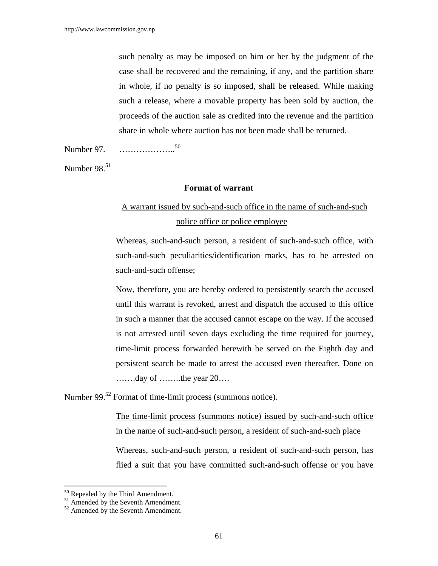such penalty as may be imposed on him or her by the judgment of the case shall be recovered and the remaining, if any, and the partition share in whole, if no penalty is so imposed, shall be released. While making such a release, where a movable property has been sold by auction, the proceeds of the auction sale as credited into the revenue and the partition share in whole where auction has not been made shall be returned.

Number 97. ………………..50

Number 98.<sup>51</sup>

### **Format of warrant**

# A warrant issued by such-and-such office in the name of such-and-such police office or police employee

Whereas, such-and-such person, a resident of such-and-such office, with such-and-such peculiarities/identification marks, has to be arrested on such-and-such offense;

Now, therefore, you are hereby ordered to persistently search the accused until this warrant is revoked, arrest and dispatch the accused to this office in such a manner that the accused cannot escape on the way. If the accused is not arrested until seven days excluding the time required for journey, time-limit process forwarded herewith be served on the Eighth day and persistent search be made to arrest the accused even thereafter. Done on …….day of ……..the year 20….

Number 99.<sup>52</sup> Format of time-limit process (summons notice).

The time-limit process (summons notice) issued by such-and-such office in the name of such-and-such person, a resident of such-and-such place

Whereas, such-and-such person, a resident of such-and-such person, has flied a suit that you have committed such-and-such offense or you have

<sup>&</sup>lt;sup>50</sup> Repealed by the Third Amendment.

<sup>&</sup>lt;sup>51</sup> Amended by the Seventh Amendment.

 $52$  Amended by the Seventh Amendment.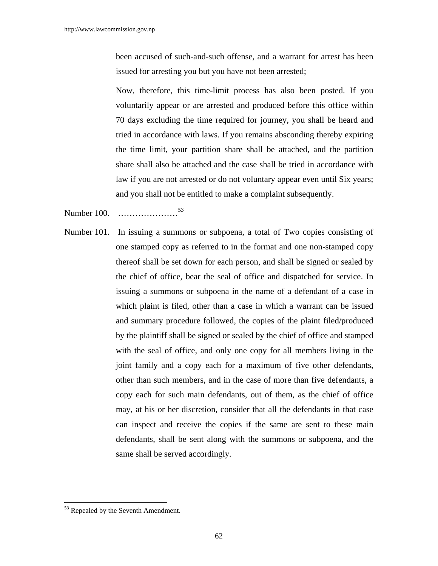been accused of such-and-such offense, and a warrant for arrest has been issued for arresting you but you have not been arrested;

Now, therefore, this time-limit process has also been posted. If you voluntarily appear or are arrested and produced before this office within 70 days excluding the time required for journey, you shall be heard and tried in accordance with laws. If you remains absconding thereby expiring the time limit, your partition share shall be attached, and the partition share shall also be attached and the case shall be tried in accordance with law if you are not arrested or do not voluntary appear even until Six years; and you shall not be entitled to make a complaint subsequently.

Number 100. …………………<sup>53</sup>

Number 101. In issuing a summons or subpoena, a total of Two copies consisting of one stamped copy as referred to in the format and one non-stamped copy thereof shall be set down for each person, and shall be signed or sealed by the chief of office, bear the seal of office and dispatched for service. In issuing a summons or subpoena in the name of a defendant of a case in which plaint is filed, other than a case in which a warrant can be issued and summary procedure followed, the copies of the plaint filed/produced by the plaintiff shall be signed or sealed by the chief of office and stamped with the seal of office, and only one copy for all members living in the joint family and a copy each for a maximum of five other defendants, other than such members, and in the case of more than five defendants, a copy each for such main defendants, out of them, as the chief of office may, at his or her discretion, consider that all the defendants in that case can inspect and receive the copies if the same are sent to these main defendants, shall be sent along with the summons or subpoena, and the same shall be served accordingly.

<sup>&</sup>lt;sup>53</sup> Repealed by the Seventh Amendment.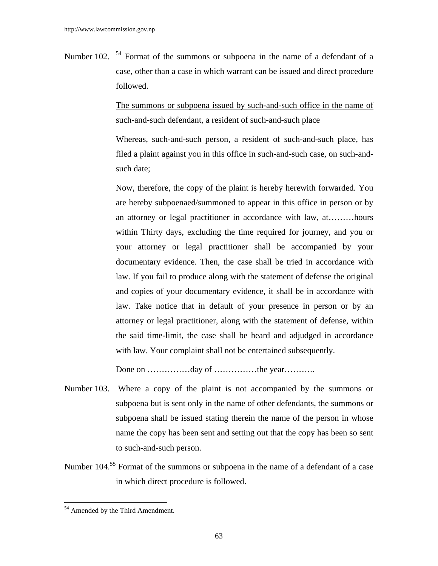Number 102. <sup>54</sup> Format of the summons or subpoena in the name of a defendant of a case, other than a case in which warrant can be issued and direct procedure followed.

> The summons or subpoena issued by such-and-such office in the name of such-and-such defendant, a resident of such-and-such place

> Whereas, such-and-such person, a resident of such-and-such place, has filed a plaint against you in this office in such-and-such case, on such-andsuch date;

> Now, therefore, the copy of the plaint is hereby herewith forwarded. You are hereby subpoenaed/summoned to appear in this office in person or by an attorney or legal practitioner in accordance with law, at………hours within Thirty days, excluding the time required for journey, and you or your attorney or legal practitioner shall be accompanied by your documentary evidence. Then, the case shall be tried in accordance with law. If you fail to produce along with the statement of defense the original and copies of your documentary evidence, it shall be in accordance with law. Take notice that in default of your presence in person or by an attorney or legal practitioner, along with the statement of defense, within the said time-limit, the case shall be heard and adjudged in accordance with law. Your complaint shall not be entertained subsequently.

Done on ……………day of ……………the year………...

- Number 103. Where a copy of the plaint is not accompanied by the summons or subpoena but is sent only in the name of other defendants, the summons or subpoena shall be issued stating therein the name of the person in whose name the copy has been sent and setting out that the copy has been so sent to such-and-such person.
- Number 104.<sup>55</sup> Format of the summons or subpoena in the name of a defendant of a case in which direct procedure is followed.

 $\overline{\phantom{a}}$ <sup>54</sup> Amended by the Third Amendment.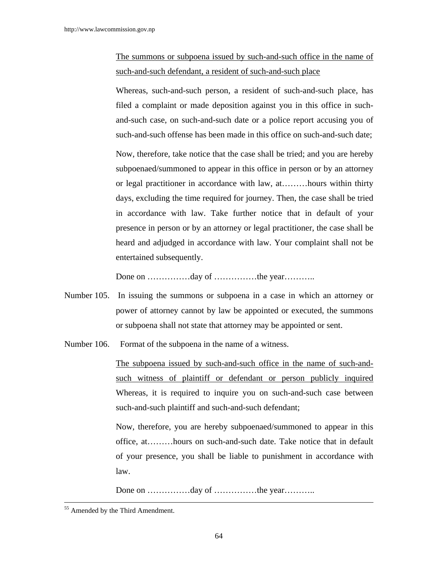# The summons or subpoena issued by such-and-such office in the name of such-and-such defendant, a resident of such-and-such place

 Whereas, such-and-such person, a resident of such-and-such place, has filed a complaint or made deposition against you in this office in suchand-such case, on such-and-such date or a police report accusing you of such-and-such offense has been made in this office on such-and-such date; Now, therefore, take notice that the case shall be tried; and you are hereby subpoenaed/summoned to appear in this office in person or by an attorney or legal practitioner in accordance with law, at………hours within thirty days, excluding the time required for journey. Then, the case shall be tried in accordance with law. Take further notice that in default of your presence in person or by an attorney or legal practitioner, the case shall be heard and adjudged in accordance with law. Your complaint shall not be entertained subsequently.

Done on ……………day of ……………the year………

- Number 105. In issuing the summons or subpoena in a case in which an attorney or power of attorney cannot by law be appointed or executed, the summons or subpoena shall not state that attorney may be appointed or sent.
- Number 106. Format of the subpoena in the name of a witness.

 The subpoena issued by such-and-such office in the name of such-andsuch witness of plaintiff or defendant or person publicly inquired Whereas, it is required to inquire you on such-and-such case between such-and-such plaintiff and such-and-such defendant;

Now, therefore, you are hereby subpoenaed/summoned to appear in this office, at………hours on such-and-such date. Take notice that in default of your presence, you shall be liable to punishment in accordance with law.

Done on ……………day of ……………the year………...

<sup>55</sup> Amended by the Third Amendment.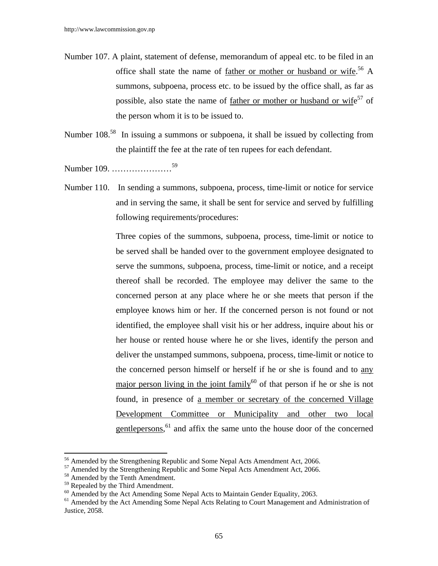- Number 107. A plaint, statement of defense, memorandum of appeal etc. to be filed in an office shall state the name of <u>father or mother or husband or wife</u>.<sup>56</sup> A summons, subpoena, process etc. to be issued by the office shall, as far as possible, also state the name of <u>father or mother or husband or wife</u><sup>57</sup> of the person whom it is to be issued to.
- Number 108.<sup>58</sup> In issuing a summons or subpoena, it shall be issued by collecting from the plaintiff the fee at the rate of ten rupees for each defendant.

Number 109. …………………59

Number 110. In sending a summons, subpoena, process, time-limit or notice for service and in serving the same, it shall be sent for service and served by fulfilling following requirements/procedures:

> Three copies of the summons, subpoena, process, time-limit or notice to be served shall be handed over to the government employee designated to serve the summons, subpoena, process, time-limit or notice, and a receipt thereof shall be recorded. The employee may deliver the same to the concerned person at any place where he or she meets that person if the employee knows him or her. If the concerned person is not found or not identified, the employee shall visit his or her address, inquire about his or her house or rented house where he or she lives, identify the person and deliver the unstamped summons, subpoena, process, time-limit or notice to the concerned person himself or herself if he or she is found and to any major person living in the joint family<sup>60</sup> of that person if he or she is not found, in presence of a member or secretary of the concerned Village Development Committee or Municipality and other two local gentlepersons,<sup>61</sup> and affix the same unto the house door of the concerned

<sup>&</sup>lt;sup>56</sup> Amended by the Strengthening Republic and Some Nepal Acts Amendment Act, 2066.

<sup>&</sup>lt;sup>57</sup> Amended by the Strengthening Republic and Some Nepal Acts Amendment Act, 2066.

<sup>58</sup> Amended by the Tenth Amendment.

<sup>&</sup>lt;sup>59</sup> Repealed by the Third Amendment.

 $60$  Amended by the Act Amending Some Nepal Acts to Maintain Gender Equality, 2063.

<sup>&</sup>lt;sup>61</sup> Amended by the Act Amending Some Nepal Acts Relating to Court Management and Administration of Justice, 2058.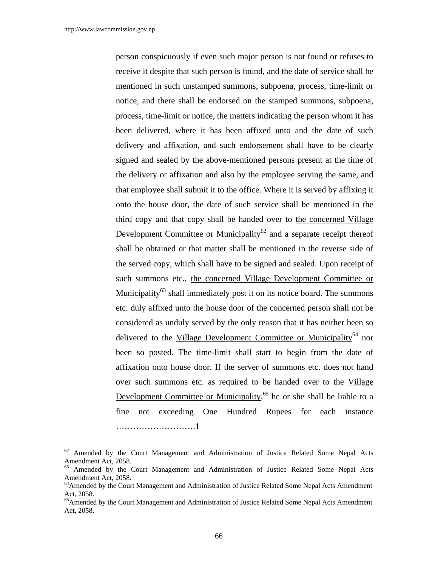$\overline{a}$ 

person conspicuously if even such major person is not found or refuses to receive it despite that such person is found, and the date of service shall be mentioned in such unstamped summons, subpoena, process, time-limit or notice, and there shall be endorsed on the stamped summons, subpoena, process, time-limit or notice, the matters indicating the person whom it has been delivered, where it has been affixed unto and the date of such delivery and affixation, and such endorsement shall have to be clearly signed and sealed by the above-mentioned persons present at the time of the delivery or affixation and also by the employee serving the same, and that employee shall submit it to the office. Where it is served by affixing it onto the house door, the date of such service shall be mentioned in the third copy and that copy shall be handed over to the concerned Village Development Committee or Municipality<sup>62</sup> and a separate receipt thereof shall be obtained or that matter shall be mentioned in the reverse side of the served copy, which shall have to be signed and sealed. Upon receipt of such summons etc., the concerned Village Development Committee or Municipality $^{63}$  shall immediately post it on its notice board. The summons etc. duly affixed unto the house door of the concerned person shall not be considered as unduly served by the only reason that it has neither been so delivered to the Village Development Committee or Municipality<sup>64</sup> nor been so posted. The time-limit shall start to begin from the date of affixation onto house door. If the server of summons etc. does not hand over such summons etc. as required to be handed over to the Village Development Committee or Municipality,<sup>65</sup> he or she shall be liable to a fine not exceeding One Hundred Rupees for each instance ……………………….1

<sup>&</sup>lt;sup>62</sup> Amended by the Court Management and Administration of Justice Related Some Nepal Acts Amendment Act, 2058.

<sup>&</sup>lt;sup>63</sup> Amended by the Court Management and Administration of Justice Related Some Nepal Acts Amendment Act, 2058.

<sup>&</sup>lt;sup>64</sup> Amended by the Court Management and Administration of Justice Related Some Nepal Acts Amendment Act, 2058.

<sup>&</sup>lt;sup>65</sup> Amended by the Court Management and Administration of Justice Related Some Nepal Acts Amendment Act, 2058.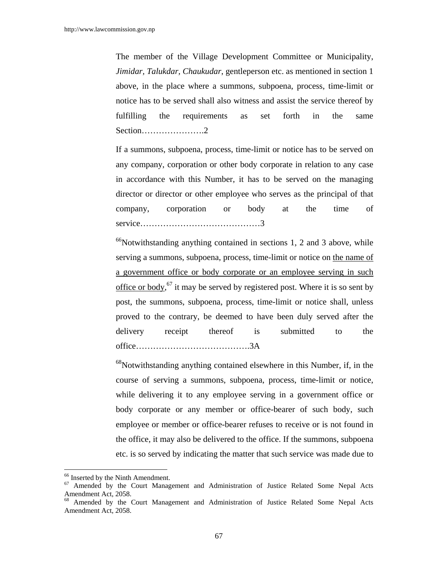The member of the Village Development Committee or Municipality, *Jimidar, Talukdar, Chaukudar*, gentleperson etc. as mentioned in section 1 above, in the place where a summons, subpoena, process, time-limit or notice has to be served shall also witness and assist the service thereof by fulfilling the requirements as set forth in the same Section………………….2

If a summons, subpoena, process, time-limit or notice has to be served on any company, corporation or other body corporate in relation to any case in accordance with this Number, it has to be served on the managing director or director or other employee who serves as the principal of that company, corporation or body at the time of service……………………………………3

 $^{66}$ Notwithstanding anything contained in sections 1, 2 and 3 above, while serving a summons, subpoena, process, time-limit or notice on the name of a government office or body corporate or an employee serving in such office or body,  $67$  it may be served by registered post. Where it is so sent by post, the summons, subpoena, process, time-limit or notice shall, unless proved to the contrary, be deemed to have been duly served after the delivery receipt thereof is submitted to the office………………………………….3A

<sup>68</sup>Notwithstanding anything contained elsewhere in this Number, if, in the course of serving a summons, subpoena, process, time-limit or notice, while delivering it to any employee serving in a government office or body corporate or any member or office-bearer of such body, such employee or member or office-bearer refuses to receive or is not found in the office, it may also be delivered to the office. If the summons, subpoena etc. is so served by indicating the matter that such service was made due to

 $\overline{a}$ 

 $^{66}$  Inserted by the Ninth Amendment.<br> $^{67}$  Amended by the Court Manag

<sup>67</sup> Amended by the Court Management and Administration of Justice Related Some Nepal Acts Amendment Act, 2058.

<sup>&</sup>lt;sup>68</sup> Amended by the Court Management and Administration of Justice Related Some Nepal Acts Amendment Act, 2058.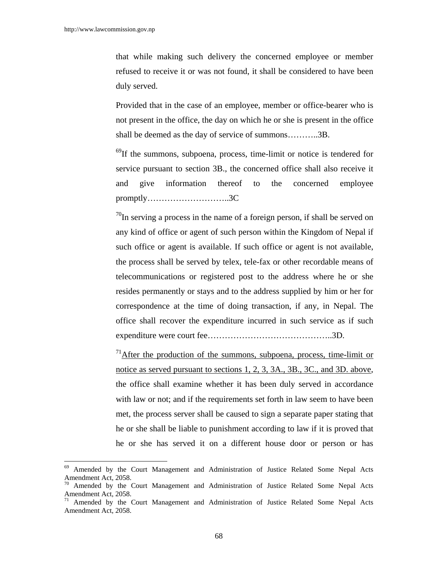$\overline{\phantom{a}}$ 

that while making such delivery the concerned employee or member refused to receive it or was not found, it shall be considered to have been duly served.

 Provided that in the case of an employee, member or office-bearer who is not present in the office, the day on which he or she is present in the office shall be deemed as the day of service of summons………..3B.

 $^{69}$ If the summons, subpoena, process, time-limit or notice is tendered for service pursuant to section 3B., the concerned office shall also receive it and give information thereof to the concerned employee promptly………………………..3C

 $^{70}$ In serving a process in the name of a foreign person, if shall be served on any kind of office or agent of such person within the Kingdom of Nepal if such office or agent is available. If such office or agent is not available, the process shall be served by telex, tele-fax or other recordable means of telecommunications or registered post to the address where he or she resides permanently or stays and to the address supplied by him or her for correspondence at the time of doing transaction, if any, in Nepal. The office shall recover the expenditure incurred in such service as if such expenditure were court fee……………………………………..3D.

 $171$ After the production of the summons, subpoena, process, time-limit or notice as served pursuant to sections 1, 2, 3, 3A., 3B., 3C., and 3D. above, the office shall examine whether it has been duly served in accordance with law or not; and if the requirements set forth in law seem to have been met, the process server shall be caused to sign a separate paper stating that he or she shall be liable to punishment according to law if it is proved that he or she has served it on a different house door or person or has

<sup>69</sup> Amended by the Court Management and Administration of Justice Related Some Nepal Acts Amendment Act, 2058.

 $70$  Amended by the Court Management and Administration of Justice Related Some Nepal Acts Amendment Act, 2058.

<sup>&</sup>lt;sup>71</sup> Amended by the Court Management and Administration of Justice Related Some Nepal Acts Amendment Act, 2058.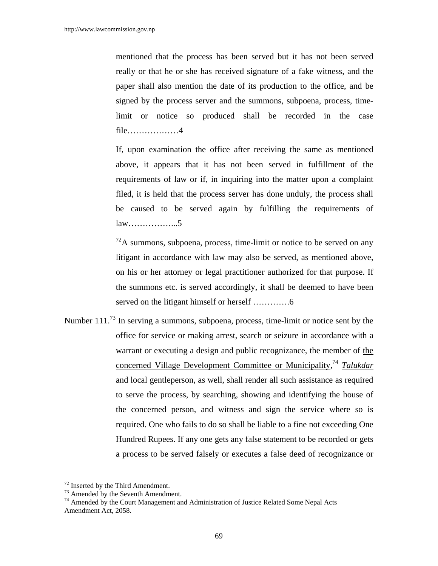mentioned that the process has been served but it has not been served really or that he or she has received signature of a fake witness, and the paper shall also mention the date of its production to the office, and be signed by the process server and the summons, subpoena, process, timelimit or notice so produced shall be recorded in the case file………………4

 If, upon examination the office after receiving the same as mentioned above, it appears that it has not been served in fulfillment of the requirements of law or if, in inquiring into the matter upon a complaint filed, it is held that the process server has done unduly, the process shall be caused to be served again by fulfilling the requirements of law……………...5

 $^{72}$ A summons, subpoena, process, time-limit or notice to be served on any litigant in accordance with law may also be served, as mentioned above, on his or her attorney or legal practitioner authorized for that purpose. If the summons etc. is served accordingly, it shall be deemed to have been served on the litigant himself or herself ………….6

Number  $111<sup>73</sup>$  In serving a summons, subpoena, process, time-limit or notice sent by the office for service or making arrest, search or seizure in accordance with a warrant or executing a design and public recognizance, the member of the concerned Village Development Committee or Municipality, <sup>74</sup> *Talukdar* and local gentleperson, as well, shall render all such assistance as required to serve the process, by searching, showing and identifying the house of the concerned person, and witness and sign the service where so is required. One who fails to do so shall be liable to a fine not exceeding One Hundred Rupees. If any one gets any false statement to be recorded or gets a process to be served falsely or executes a false deed of recognizance or

<sup>72</sup> Inserted by the Third Amendment.

 $73$  Amended by the Seventh Amendment.

<sup>&</sup>lt;sup>74</sup> Amended by the Court Management and Administration of Justice Related Some Nepal Acts Amendment Act, 2058.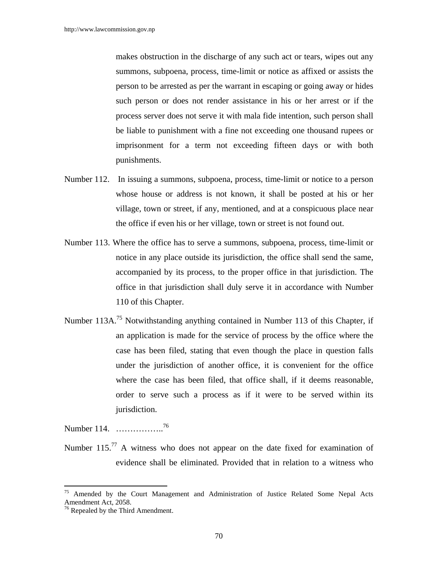makes obstruction in the discharge of any such act or tears, wipes out any summons, subpoena, process, time-limit or notice as affixed or assists the person to be arrested as per the warrant in escaping or going away or hides such person or does not render assistance in his or her arrest or if the process server does not serve it with mala fide intention, such person shall be liable to punishment with a fine not exceeding one thousand rupees or imprisonment for a term not exceeding fifteen days or with both punishments.

- Number 112. In issuing a summons, subpoena, process, time-limit or notice to a person whose house or address is not known, it shall be posted at his or her village, town or street, if any, mentioned, and at a conspicuous place near the office if even his or her village, town or street is not found out.
- Number 113. Where the office has to serve a summons, subpoena, process, time-limit or notice in any place outside its jurisdiction, the office shall send the same, accompanied by its process, to the proper office in that jurisdiction. The office in that jurisdiction shall duly serve it in accordance with Number 110 of this Chapter.
- Number 113A.<sup>75</sup> Notwithstanding anything contained in Number 113 of this Chapter, if an application is made for the service of process by the office where the case has been filed, stating that even though the place in question falls under the jurisdiction of another office, it is convenient for the office where the case has been filed, that office shall, if it deems reasonable, order to serve such a process as if it were to be served within its jurisdiction.

Number 114. …………….<sup>76</sup>

Number 115.<sup>77</sup> A witness who does not appear on the date fixed for examination of evidence shall be eliminated. Provided that in relation to a witness who

<sup>75</sup> Amended by the Court Management and Administration of Justice Related Some Nepal Acts Amendment Act, 2058.

<sup>&</sup>lt;sup>76</sup> Repealed by the Third Amendment.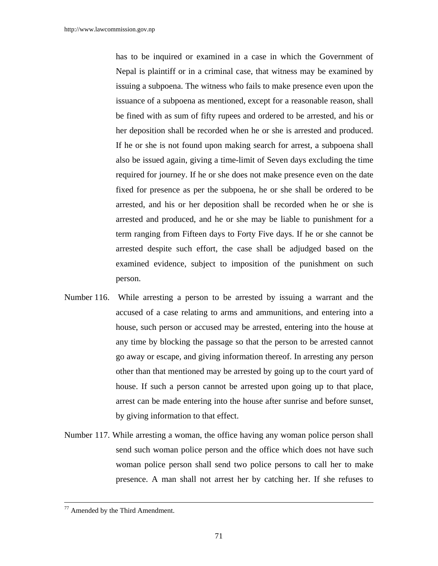has to be inquired or examined in a case in which the Government of Nepal is plaintiff or in a criminal case, that witness may be examined by issuing a subpoena. The witness who fails to make presence even upon the issuance of a subpoena as mentioned, except for a reasonable reason, shall be fined with as sum of fifty rupees and ordered to be arrested, and his or her deposition shall be recorded when he or she is arrested and produced. If he or she is not found upon making search for arrest, a subpoena shall also be issued again, giving a time-limit of Seven days excluding the time required for journey. If he or she does not make presence even on the date fixed for presence as per the subpoena, he or she shall be ordered to be arrested, and his or her deposition shall be recorded when he or she is arrested and produced, and he or she may be liable to punishment for a term ranging from Fifteen days to Forty Five days. If he or she cannot be arrested despite such effort, the case shall be adjudged based on the examined evidence, subject to imposition of the punishment on such person.

- Number 116. While arresting a person to be arrested by issuing a warrant and the accused of a case relating to arms and ammunitions, and entering into a house, such person or accused may be arrested, entering into the house at any time by blocking the passage so that the person to be arrested cannot go away or escape, and giving information thereof. In arresting any person other than that mentioned may be arrested by going up to the court yard of house. If such a person cannot be arrested upon going up to that place, arrest can be made entering into the house after sunrise and before sunset, by giving information to that effect.
- Number 117. While arresting a woman, the office having any woman police person shall send such woman police person and the office which does not have such woman police person shall send two police persons to call her to make presence. A man shall not arrest her by catching her. If she refuses to

<sup>77</sup> Amended by the Third Amendment.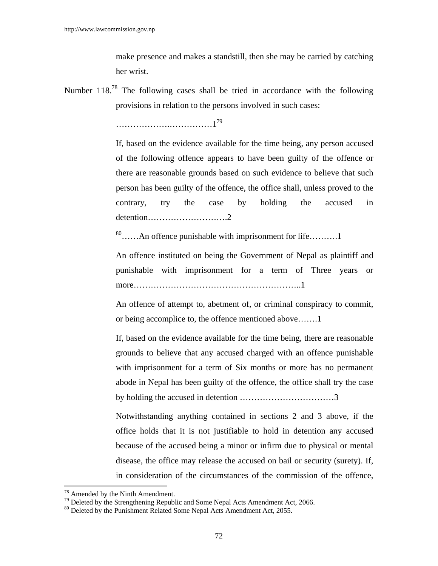make presence and makes a standstill, then she may be carried by catching her wrist.

Number  $118<sup>78</sup>$  The following cases shall be tried in accordance with the following provisions in relation to the persons involved in such cases:

……………….……………179

 If, based on the evidence available for the time being, any person accused of the following offence appears to have been guilty of the offence or there are reasonable grounds based on such evidence to believe that such person has been guilty of the offence, the office shall, unless proved to the contrary, try the case by holding the accused in detention……………………….2

80……An offence punishable with imprisonment for life……….1

 An offence instituted on being the Government of Nepal as plaintiff and punishable with imprisonment for a term of Three years or more…………………………………………………..1

 An offence of attempt to, abetment of, or criminal conspiracy to commit, or being accomplice to, the offence mentioned above…….1

 If, based on the evidence available for the time being, there are reasonable grounds to believe that any accused charged with an offence punishable with imprisonment for a term of Six months or more has no permanent abode in Nepal has been guilty of the offence, the office shall try the case by holding the accused in detention ……………………………3

Notwithstanding anything contained in sections 2 and 3 above, if the office holds that it is not justifiable to hold in detention any accused because of the accused being a minor or infirm due to physical or mental disease, the office may release the accused on bail or security (surety). If, in consideration of the circumstances of the commission of the offence,

<sup>&</sup>lt;sup>78</sup> Amended by the Ninth Amendment.

<sup>&</sup>lt;sup>79</sup> Deleted by the Strengthening Republic and Some Nepal Acts Amendment Act, 2066.

<sup>&</sup>lt;sup>80</sup> Deleted by the Punishment Related Some Nepal Acts Amendment Act, 2055.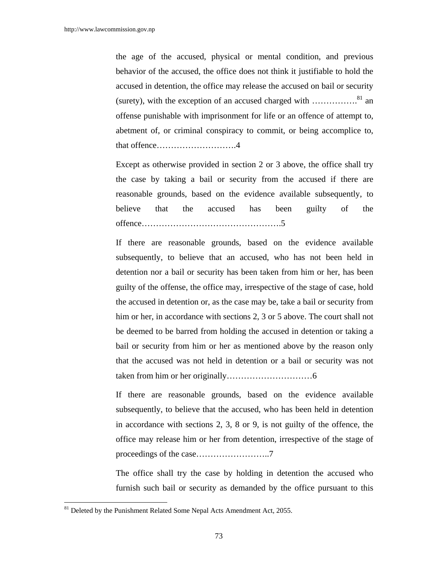the age of the accused, physical or mental condition, and previous behavior of the accused, the office does not think it justifiable to hold the accused in detention, the office may release the accused on bail or security (surety), with the exception of an accused charged with  $\ldots$ ...............<sup>81</sup> an offense punishable with imprisonment for life or an offence of attempt to, abetment of, or criminal conspiracy to commit, or being accomplice to, that offence……………………….4

Except as otherwise provided in section 2 or 3 above, the office shall try the case by taking a bail or security from the accused if there are reasonable grounds, based on the evidence available subsequently, to believe that the accused has been guilty of the offence………………………………………….5

If there are reasonable grounds, based on the evidence available subsequently, to believe that an accused, who has not been held in detention nor a bail or security has been taken from him or her, has been guilty of the offense, the office may, irrespective of the stage of case, hold the accused in detention or, as the case may be, take a bail or security from him or her, in accordance with sections 2, 3 or 5 above. The court shall not be deemed to be barred from holding the accused in detention or taking a bail or security from him or her as mentioned above by the reason only that the accused was not held in detention or a bail or security was not taken from him or her originally…………………………6

If there are reasonable grounds, based on the evidence available subsequently, to believe that the accused, who has been held in detention in accordance with sections 2, 3, 8 or 9, is not guilty of the offence, the office may release him or her from detention, irrespective of the stage of proceedings of the case……………………..7

The office shall try the case by holding in detention the accused who furnish such bail or security as demanded by the office pursuant to this

<sup>&</sup>lt;sup>81</sup> Deleted by the Punishment Related Some Nepal Acts Amendment Act, 2055.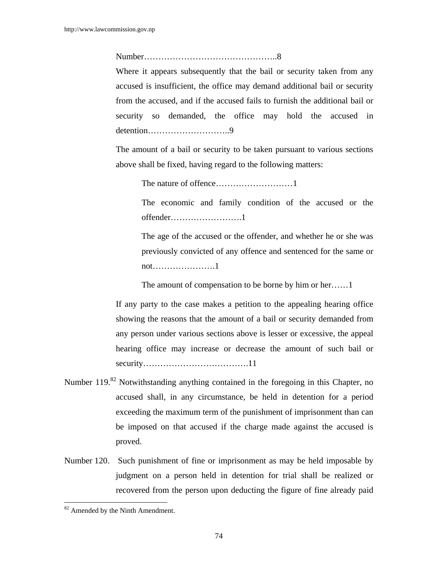Number………………………………………..8

Where it appears subsequently that the bail or security taken from any accused is insufficient, the office may demand additional bail or security from the accused, and if the accused fails to furnish the additional bail or security so demanded, the office may hold the accused in detention………………………..9

 The amount of a bail or security to be taken pursuant to various sections above shall be fixed, having regard to the following matters:

The nature of offence………………………1

 The economic and family condition of the accused or the offender…………………….1

 The age of the accused or the offender, and whether he or she was previously convicted of any offence and sentenced for the same or not………………….1

The amount of compensation to be borne by him or her……1

If any party to the case makes a petition to the appealing hearing office showing the reasons that the amount of a bail or security demanded from any person under various sections above is lesser or excessive, the appeal hearing office may increase or decrease the amount of such bail or security……………………………….11

- Number 119.<sup>82</sup> Notwithstanding anything contained in the foregoing in this Chapter, no accused shall, in any circumstance, be held in detention for a period exceeding the maximum term of the punishment of imprisonment than can be imposed on that accused if the charge made against the accused is proved.
- Number 120. Such punishment of fine or imprisonment as may be held imposable by judgment on a person held in detention for trial shall be realized or recovered from the person upon deducting the figure of fine already paid

<sup>&</sup>lt;sup>82</sup> Amended by the Ninth Amendment.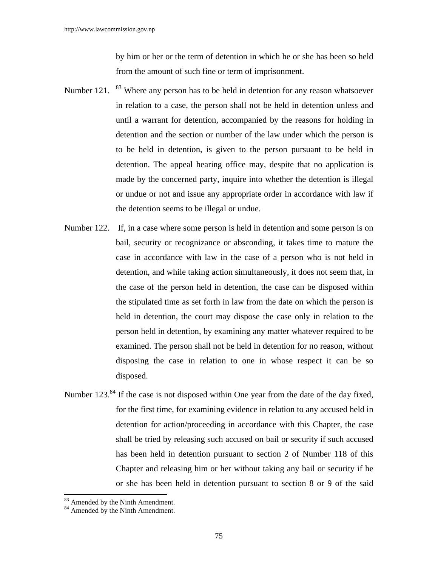by him or her or the term of detention in which he or she has been so held from the amount of such fine or term of imprisonment.

- Number 121.  $83$  Where any person has to be held in detention for any reason whatsoever in relation to a case, the person shall not be held in detention unless and until a warrant for detention, accompanied by the reasons for holding in detention and the section or number of the law under which the person is to be held in detention, is given to the person pursuant to be held in detention. The appeal hearing office may, despite that no application is made by the concerned party, inquire into whether the detention is illegal or undue or not and issue any appropriate order in accordance with law if the detention seems to be illegal or undue.
- Number 122. If, in a case where some person is held in detention and some person is on bail, security or recognizance or absconding, it takes time to mature the case in accordance with law in the case of a person who is not held in detention, and while taking action simultaneously, it does not seem that, in the case of the person held in detention, the case can be disposed within the stipulated time as set forth in law from the date on which the person is held in detention, the court may dispose the case only in relation to the person held in detention, by examining any matter whatever required to be examined. The person shall not be held in detention for no reason, without disposing the case in relation to one in whose respect it can be so disposed.
- Number 123.<sup>84</sup> If the case is not disposed within One year from the date of the day fixed, for the first time, for examining evidence in relation to any accused held in detention for action/proceeding in accordance with this Chapter, the case shall be tried by releasing such accused on bail or security if such accused has been held in detention pursuant to section 2 of Number 118 of this Chapter and releasing him or her without taking any bail or security if he or she has been held in detention pursuant to section 8 or 9 of the said

<sup>&</sup>lt;sup>83</sup> Amended by the Ninth Amendment.

 $84$  Amended by the Ninth Amendment.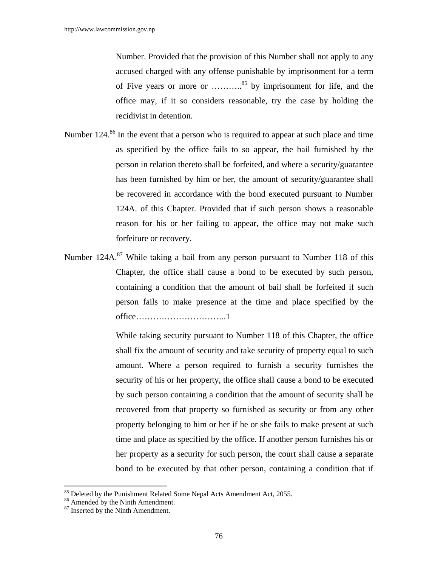Number. Provided that the provision of this Number shall not apply to any accused charged with any offense punishable by imprisonment for a term of Five years or more or ………..85 by imprisonment for life, and the office may, if it so considers reasonable, try the case by holding the recidivist in detention.

- Number 124.<sup>86</sup> In the event that a person who is required to appear at such place and time as specified by the office fails to so appear, the bail furnished by the person in relation thereto shall be forfeited, and where a security/guarantee has been furnished by him or her, the amount of security/guarantee shall be recovered in accordance with the bond executed pursuant to Number 124A. of this Chapter. Provided that if such person shows a reasonable reason for his or her failing to appear, the office may not make such forfeiture or recovery.
- Number  $124A$ <sup>87</sup> While taking a bail from any person pursuant to Number 118 of this Chapter, the office shall cause a bond to be executed by such person, containing a condition that the amount of bail shall be forfeited if such person fails to make presence at the time and place specified by the office…………………………..1

 While taking security pursuant to Number 118 of this Chapter, the office shall fix the amount of security and take security of property equal to such amount. Where a person required to furnish a security furnishes the security of his or her property, the office shall cause a bond to be executed by such person containing a condition that the amount of security shall be recovered from that property so furnished as security or from any other property belonging to him or her if he or she fails to make present at such time and place as specified by the office. If another person furnishes his or her property as a security for such person, the court shall cause a separate bond to be executed by that other person, containing a condition that if

<sup>&</sup>lt;sup>85</sup> Deleted by the Punishment Related Some Nepal Acts Amendment Act, 2055.

<sup>&</sup>lt;sup>86</sup> Amended by the Ninth Amendment.

<sup>&</sup>lt;sup>87</sup> Inserted by the Ninth Amendment.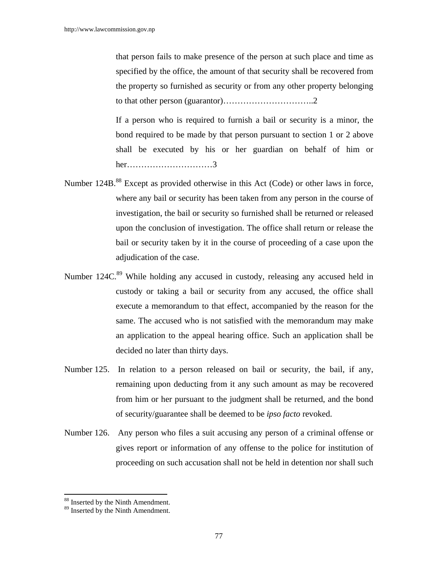that person fails to make presence of the person at such place and time as specified by the office, the amount of that security shall be recovered from the property so furnished as security or from any other property belonging to that other person (guarantor)…………………………..2

 If a person who is required to furnish a bail or security is a minor, the bond required to be made by that person pursuant to section 1 or 2 above shall be executed by his or her guardian on behalf of him or her…………………………3

- Number 124B.<sup>88</sup> Except as provided otherwise in this Act (Code) or other laws in force, where any bail or security has been taken from any person in the course of investigation, the bail or security so furnished shall be returned or released upon the conclusion of investigation. The office shall return or release the bail or security taken by it in the course of proceeding of a case upon the adjudication of the case.
- Number 124C.<sup>89</sup> While holding any accused in custody, releasing any accused held in custody or taking a bail or security from any accused, the office shall execute a memorandum to that effect, accompanied by the reason for the same. The accused who is not satisfied with the memorandum may make an application to the appeal hearing office. Such an application shall be decided no later than thirty days.
- Number 125. In relation to a person released on bail or security, the bail, if any, remaining upon deducting from it any such amount as may be recovered from him or her pursuant to the judgment shall be returned, and the bond of security/guarantee shall be deemed to be *ipso facto* revoked.
- Number 126. Any person who files a suit accusing any person of a criminal offense or gives report or information of any offense to the police for institution of proceeding on such accusation shall not be held in detention nor shall such

<sup>88</sup> Inserted by the Ninth Amendment.

<sup>&</sup>lt;sup>89</sup> Inserted by the Ninth Amendment.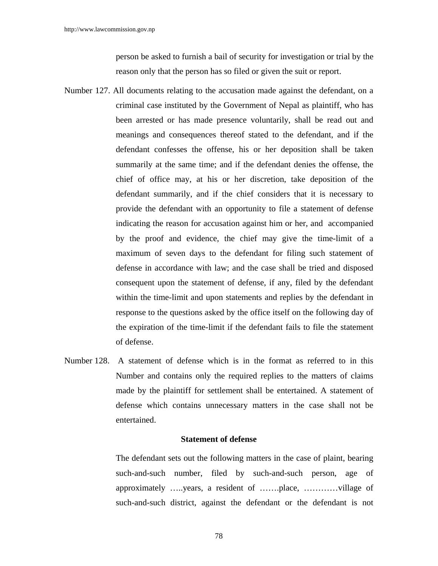person be asked to furnish a bail of security for investigation or trial by the reason only that the person has so filed or given the suit or report.

- Number 127. All documents relating to the accusation made against the defendant, on a criminal case instituted by the Government of Nepal as plaintiff, who has been arrested or has made presence voluntarily, shall be read out and meanings and consequences thereof stated to the defendant, and if the defendant confesses the offense, his or her deposition shall be taken summarily at the same time; and if the defendant denies the offense, the chief of office may, at his or her discretion, take deposition of the defendant summarily, and if the chief considers that it is necessary to provide the defendant with an opportunity to file a statement of defense indicating the reason for accusation against him or her, and accompanied by the proof and evidence, the chief may give the time-limit of a maximum of seven days to the defendant for filing such statement of defense in accordance with law; and the case shall be tried and disposed consequent upon the statement of defense, if any, filed by the defendant within the time-limit and upon statements and replies by the defendant in response to the questions asked by the office itself on the following day of the expiration of the time-limit if the defendant fails to file the statement of defense.
- Number 128. A statement of defense which is in the format as referred to in this Number and contains only the required replies to the matters of claims made by the plaintiff for settlement shall be entertained. A statement of defense which contains unnecessary matters in the case shall not be entertained.

### **Statement of defense**

 The defendant sets out the following matters in the case of plaint, bearing such-and-such number, filed by such-and-such person, age of approximately …..years, a resident of …….place, …………village of such-and-such district, against the defendant or the defendant is not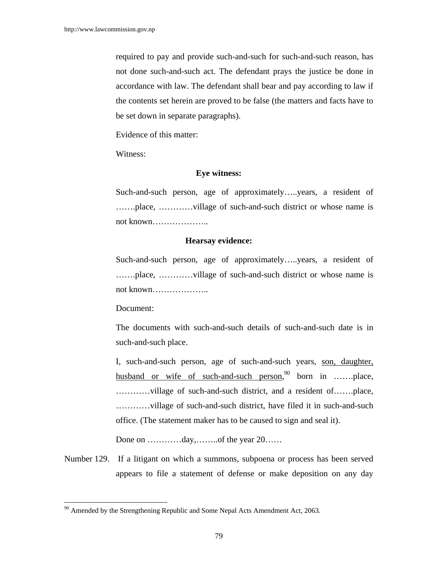required to pay and provide such-and-such for such-and-such reason, has not done such-and-such act. The defendant prays the justice be done in accordance with law. The defendant shall bear and pay according to law if the contents set herein are proved to be false (the matters and facts have to be set down in separate paragraphs).

Evidence of this matter:

Witness:

### **Eye witness:**

 Such-and-such person, age of approximately…..years, a resident of …….place, …………village of such-and-such district or whose name is not known………………..

### **Hearsay evidence:**

Such-and-such person, age of approximately…..years, a resident of …….place, …………village of such-and-such district or whose name is not known………………..

Document:

 $\overline{\phantom{a}}$ 

The documents with such-and-such details of such-and-such date is in such-and-such place.

I, such-and-such person, age of such-and-such years, son, daughter, husband or wife of such-and-such person,<sup>90</sup> born in .......place, …………village of such-and-such district, and a resident of…….place, …………village of such-and-such district, have filed it in such-and-such office. (The statement maker has to be caused to sign and seal it).

Done on …………day,………of the year 20……

Number 129. If a litigant on which a summons, subpoena or process has been served appears to file a statement of defense or make deposition on any day

<sup>&</sup>lt;sup>90</sup> Amended by the Strengthening Republic and Some Nepal Acts Amendment Act, 2063.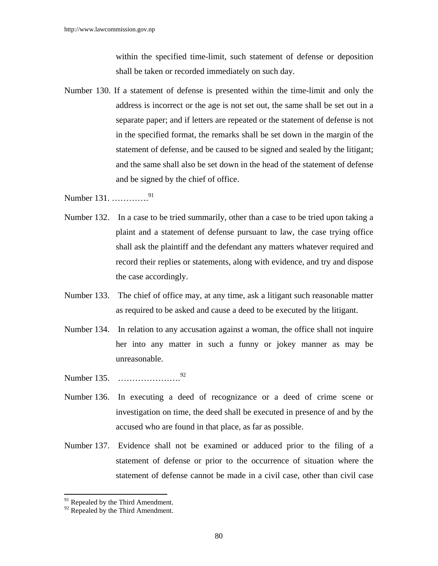within the specified time-limit, such statement of defense or deposition shall be taken or recorded immediately on such day.

Number 130. If a statement of defense is presented within the time-limit and only the address is incorrect or the age is not set out, the same shall be set out in a separate paper; and if letters are repeated or the statement of defense is not in the specified format, the remarks shall be set down in the margin of the statement of defense, and be caused to be signed and sealed by the litigant; and the same shall also be set down in the head of the statement of defense and be signed by the chief of office.

Number 131. ………….<sup>91</sup>

- Number 132. In a case to be tried summarily, other than a case to be tried upon taking a plaint and a statement of defense pursuant to law, the case trying office shall ask the plaintiff and the defendant any matters whatever required and record their replies or statements, along with evidence, and try and dispose the case accordingly.
- Number 133. The chief of office may, at any time, ask a litigant such reasonable matter as required to be asked and cause a deed to be executed by the litigant.
- Number 134. In relation to any accusation against a woman, the office shall not inquire her into any matter in such a funny or jokey manner as may be unreasonable.
- Number 135. ………………….<sup>92</sup>
- Number 136. In executing a deed of recognizance or a deed of crime scene or investigation on time, the deed shall be executed in presence of and by the accused who are found in that place, as far as possible.
- Number 137. Evidence shall not be examined or adduced prior to the filing of a statement of defense or prior to the occurrence of situation where the statement of defense cannot be made in a civil case, other than civil case

<sup>&</sup>lt;sup>91</sup> Repealed by the Third Amendment.

 $92$  Repealed by the Third Amendment.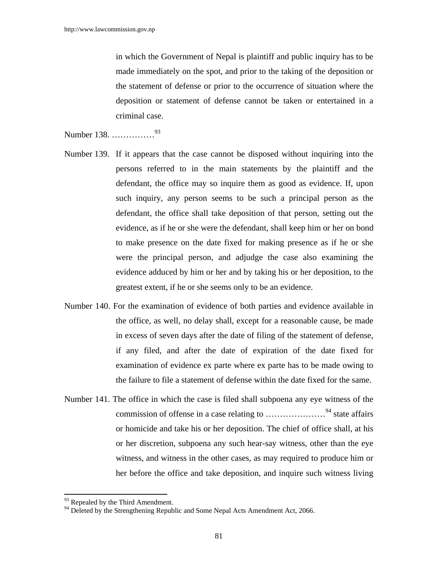in which the Government of Nepal is plaintiff and public inquiry has to be made immediately on the spot, and prior to the taking of the deposition or the statement of defense or prior to the occurrence of situation where the deposition or statement of defense cannot be taken or entertained in a criminal case.

Number 138. ……………<sup>93</sup>

- Number 139. If it appears that the case cannot be disposed without inquiring into the persons referred to in the main statements by the plaintiff and the defendant, the office may so inquire them as good as evidence. If, upon such inquiry, any person seems to be such a principal person as the defendant, the office shall take deposition of that person, setting out the evidence, as if he or she were the defendant, shall keep him or her on bond to make presence on the date fixed for making presence as if he or she were the principal person, and adjudge the case also examining the evidence adduced by him or her and by taking his or her deposition, to the greatest extent, if he or she seems only to be an evidence.
- Number 140. For the examination of evidence of both parties and evidence available in the office, as well, no delay shall, except for a reasonable cause, be made in excess of seven days after the date of filing of the statement of defense, if any filed, and after the date of expiration of the date fixed for examination of evidence ex parte where ex parte has to be made owing to the failure to file a statement of defense within the date fixed for the same.
- Number 141. The office in which the case is filed shall subpoena any eye witness of the commission of offense in a case relating to …………………94 state affairs or homicide and take his or her deposition. The chief of office shall, at his or her discretion, subpoena any such hear-say witness, other than the eye witness, and witness in the other cases, as may required to produce him or her before the office and take deposition, and inquire such witness living

<sup>&</sup>lt;sup>93</sup> Repealed by the Third Amendment.

<sup>&</sup>lt;sup>94</sup> Deleted by the Strengthening Republic and Some Nepal Acts Amendment Act, 2066.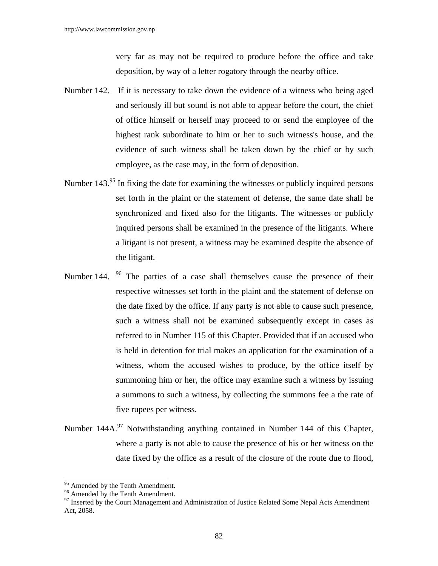very far as may not be required to produce before the office and take deposition, by way of a letter rogatory through the nearby office.

- Number 142. If it is necessary to take down the evidence of a witness who being aged and seriously ill but sound is not able to appear before the court, the chief of office himself or herself may proceed to or send the employee of the highest rank subordinate to him or her to such witness's house, and the evidence of such witness shall be taken down by the chief or by such employee, as the case may, in the form of deposition.
- Number 143.<sup>95</sup> In fixing the date for examining the witnesses or publicly inquired persons set forth in the plaint or the statement of defense, the same date shall be synchronized and fixed also for the litigants. The witnesses or publicly inquired persons shall be examined in the presence of the litigants. Where a litigant is not present, a witness may be examined despite the absence of the litigant.
- Number 144. <sup>96</sup> The parties of a case shall themselves cause the presence of their respective witnesses set forth in the plaint and the statement of defense on the date fixed by the office. If any party is not able to cause such presence, such a witness shall not be examined subsequently except in cases as referred to in Number 115 of this Chapter. Provided that if an accused who is held in detention for trial makes an application for the examination of a witness, whom the accused wishes to produce, by the office itself by summoning him or her, the office may examine such a witness by issuing a summons to such a witness, by collecting the summons fee a the rate of five rupees per witness.
- Number 144A.<sup>97</sup> Notwithstanding anything contained in Number 144 of this Chapter, where a party is not able to cause the presence of his or her witness on the date fixed by the office as a result of the closure of the route due to flood,

<sup>&</sup>lt;sup>95</sup> Amended by the Tenth Amendment.

 $96$  Amended by the Tenth Amendment.

<sup>&</sup>lt;sup>97</sup> Inserted by the Court Management and Administration of Justice Related Some Nepal Acts Amendment Act, 2058.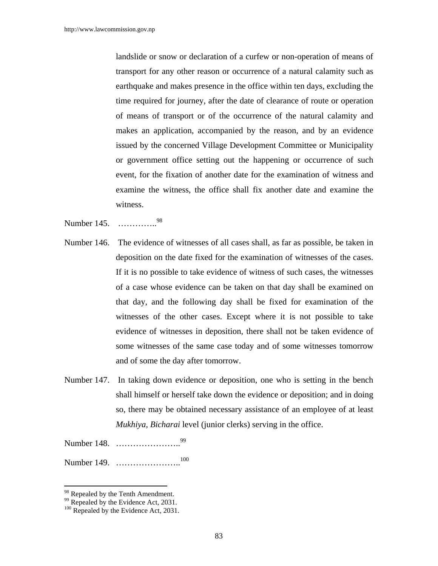landslide or snow or declaration of a curfew or non-operation of means of transport for any other reason or occurrence of a natural calamity such as earthquake and makes presence in the office within ten days, excluding the time required for journey, after the date of clearance of route or operation of means of transport or of the occurrence of the natural calamity and makes an application, accompanied by the reason, and by an evidence issued by the concerned Village Development Committee or Municipality or government office setting out the happening or occurrence of such event, for the fixation of another date for the examination of witness and examine the witness, the office shall fix another date and examine the witness.

Number 145. …………..98

- Number 146. The evidence of witnesses of all cases shall, as far as possible, be taken in deposition on the date fixed for the examination of witnesses of the cases. If it is no possible to take evidence of witness of such cases, the witnesses of a case whose evidence can be taken on that day shall be examined on that day, and the following day shall be fixed for examination of the witnesses of the other cases. Except where it is not possible to take evidence of witnesses in deposition, there shall not be taken evidence of some witnesses of the same case today and of some witnesses tomorrow and of some the day after tomorrow.
- Number 147. In taking down evidence or deposition, one who is setting in the bench shall himself or herself take down the evidence or deposition; and in doing so, there may be obtained necessary assistance of an employee of at least *Mukhiya, Bicharai* level (junior clerks) serving in the office.

Number 148. …………………..<sup>99</sup>

Number 149. …………………..<sup>100</sup>

<sup>&</sup>lt;sup>98</sup> Repealed by the Tenth Amendment.

<sup>&</sup>lt;sup>99</sup> Repealed by the Evidence Act, 2031.

<sup>&</sup>lt;sup>100</sup> Repealed by the Evidence Act, 2031.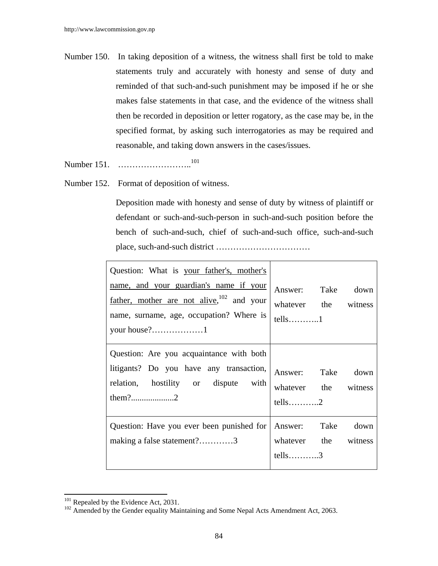- Number 150. In taking deposition of a witness, the witness shall first be told to make statements truly and accurately with honesty and sense of duty and reminded of that such-and-such punishment may be imposed if he or she makes false statements in that case, and the evidence of the witness shall then be recorded in deposition or letter rogatory, as the case may be, in the specified format, by asking such interrogatories as may be required and reasonable, and taking down answers in the cases/issues.
- Number 151. ………………………<sup>101</sup>
- Number 152. Format of deposition of witness.

 Deposition made with honesty and sense of duty by witness of plaintiff or defendant or such-and-such-person in such-and-such position before the bench of such-and-such, chief of such-and-such office, such-and-such place, such-and-such district ……………………………

| Question: What is your father's, mother's                                                                                          |                                                                                |
|------------------------------------------------------------------------------------------------------------------------------------|--------------------------------------------------------------------------------|
| name, and your guardian's name if your<br>father, mother are not alive, $102$ and your<br>name, surname, age, occupation? Where is | Answer: Take<br>down<br>whatever the witness<br>$tells \ldots \ldots \ldots 1$ |
| Question: Are you acquaintance with both<br>litigants? Do you have any transaction,                                                |                                                                                |
| relation, hostility or dispute with                                                                                                | Answer: Take<br>down<br>whatever the witness                                   |
| Question: Have you ever been punished for<br>making a false statement?3                                                            | Answer: Take<br>down<br>whatever the witness<br>tells3                         |

<sup>&</sup>lt;sup>101</sup> Repealed by the Evidence Act, 2031.<br><sup>102</sup> Amended by the Gender equality Maintaining and Some Nepal Acts Amendment Act, 2063.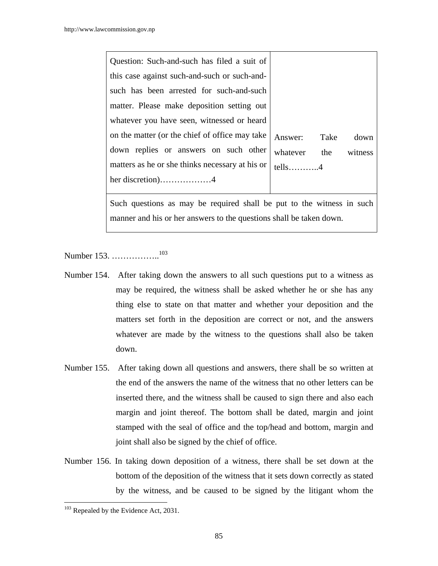| Question: Such-and-such has filed a suit of     |           |      |         |
|-------------------------------------------------|-----------|------|---------|
| this case against such-and-such or such-and-    |           |      |         |
| such has been arrested for such-and-such        |           |      |         |
| matter. Please make deposition setting out      |           |      |         |
| whatever you have seen, witnessed or heard      |           |      |         |
| on the matter (or the chief of office may take  | Answer:   | Take | down    |
| down replies or answers on such other           | whatever  | the  | witness |
| matters as he or she thinks necessary at his or | $tells$ 4 |      |         |
| her discretion)4                                |           |      |         |
|                                                 |           |      |         |

Such questions as may be required shall be put to the witness in such manner and his or her answers to the questions shall be taken down.

Number 153. ……………..103

- Number 154. After taking down the answers to all such questions put to a witness as may be required, the witness shall be asked whether he or she has any thing else to state on that matter and whether your deposition and the matters set forth in the deposition are correct or not, and the answers whatever are made by the witness to the questions shall also be taken down.
- Number 155. After taking down all questions and answers, there shall be so written at the end of the answers the name of the witness that no other letters can be inserted there, and the witness shall be caused to sign there and also each margin and joint thereof. The bottom shall be dated, margin and joint stamped with the seal of office and the top/head and bottom, margin and joint shall also be signed by the chief of office.
- Number 156. In taking down deposition of a witness, there shall be set down at the bottom of the deposition of the witness that it sets down correctly as stated by the witness, and be caused to be signed by the litigant whom the

 $103$  Repealed by the Evidence Act, 2031.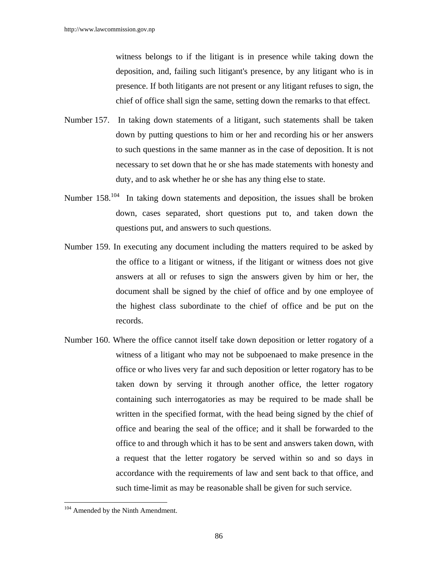witness belongs to if the litigant is in presence while taking down the deposition, and, failing such litigant's presence, by any litigant who is in presence. If both litigants are not present or any litigant refuses to sign, the chief of office shall sign the same, setting down the remarks to that effect.

- Number 157. In taking down statements of a litigant, such statements shall be taken down by putting questions to him or her and recording his or her answers to such questions in the same manner as in the case of deposition. It is not necessary to set down that he or she has made statements with honesty and duty, and to ask whether he or she has any thing else to state.
- Number  $158^{104}$  In taking down statements and deposition, the issues shall be broken down, cases separated, short questions put to, and taken down the questions put, and answers to such questions.
- Number 159. In executing any document including the matters required to be asked by the office to a litigant or witness, if the litigant or witness does not give answers at all or refuses to sign the answers given by him or her, the document shall be signed by the chief of office and by one employee of the highest class subordinate to the chief of office and be put on the records.
- Number 160. Where the office cannot itself take down deposition or letter rogatory of a witness of a litigant who may not be subpoenaed to make presence in the office or who lives very far and such deposition or letter rogatory has to be taken down by serving it through another office, the letter rogatory containing such interrogatories as may be required to be made shall be written in the specified format, with the head being signed by the chief of office and bearing the seal of the office; and it shall be forwarded to the office to and through which it has to be sent and answers taken down, with a request that the letter rogatory be served within so and so days in accordance with the requirements of law and sent back to that office, and such time-limit as may be reasonable shall be given for such service.

<sup>&</sup>lt;sup>104</sup> Amended by the Ninth Amendment.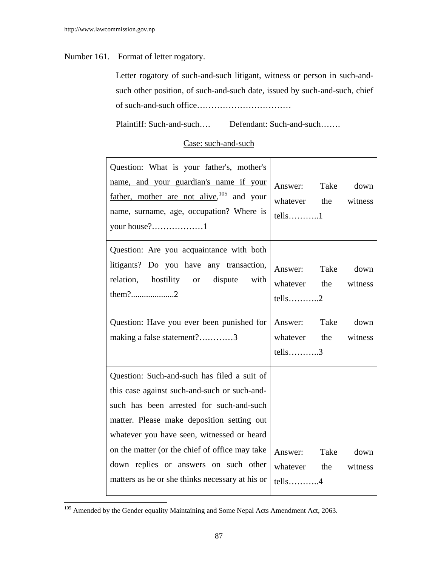## Number 161. Format of letter rogatory.

 Letter rogatory of such-and-such litigant, witness or person in such-andsuch other position, of such-and-such date, issued by such-and-such, chief of such-and-such office……………………………

Plaintiff: Such-and-such…. Defendant: Such-and-such…….

# Case: such-and-such

| Question: What is your father's, mother's<br>name, and your guardian's name if your<br>father, mother are not alive, $105$ and your<br>name, surname, age, occupation? Where is<br>your house?1                                                                                                                                                                                   | Answer: Take down<br>whatever the witness<br>$tells$ 1                                |
|-----------------------------------------------------------------------------------------------------------------------------------------------------------------------------------------------------------------------------------------------------------------------------------------------------------------------------------------------------------------------------------|---------------------------------------------------------------------------------------|
| Question: Are you acquaintance with both<br>litigants? Do you have any transaction,<br>relation, hostility or dispute with                                                                                                                                                                                                                                                        | Answer: Take down<br>whatever the<br>witness<br>$tells \ldots \ldots \ldots \ldots 2$ |
| Question: Have you ever been punished for<br>making a false statement?3                                                                                                                                                                                                                                                                                                           | Answer: Take<br>down<br>whatever the<br>witness<br>$tells$ 3                          |
| Question: Such-and-such has filed a suit of<br>this case against such-and-such or such-and-<br>such has been arrested for such-and-such<br>matter. Please make deposition setting out<br>whatever you have seen, witnessed or heard<br>on the matter (or the chief of office may take<br>down replies or answers on such other<br>matters as he or she thinks necessary at his or | Answer: Take<br>down<br>whatever the<br>witness<br>$tells$ 4                          |

<sup>&</sup>lt;sup>105</sup> Amended by the Gender equality Maintaining and Some Nepal Acts Amendment Act, 2063.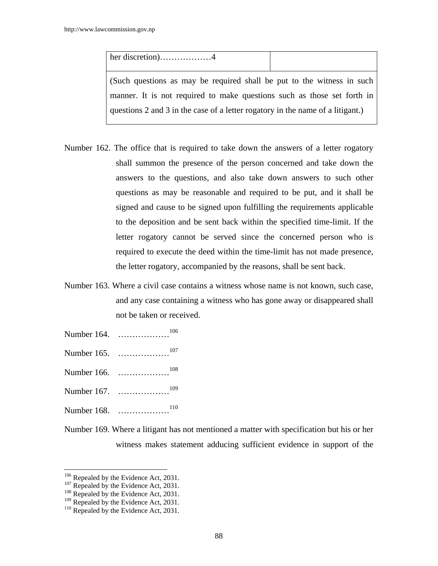her discretion)………………4 (Such questions as may be required shall be put to the witness in such manner. It is not required to make questions such as those set forth in questions 2 and 3 in the case of a letter rogatory in the name of a litigant.)

- Number 162. The office that is required to take down the answers of a letter rogatory shall summon the presence of the person concerned and take down the answers to the questions, and also take down answers to such other questions as may be reasonable and required to be put, and it shall be signed and cause to be signed upon fulfilling the requirements applicable to the deposition and be sent back within the specified time-limit. If the letter rogatory cannot be served since the concerned person who is required to execute the deed within the time-limit has not made presence, the letter rogatory, accompanied by the reasons, shall be sent back.
- Number 163. Where a civil case contains a witness whose name is not known, such case, and any case containing a witness who has gone away or disappeared shall not be taken or received.
- Number 164. ………………106
- Number 165. ………………107
- Number 166. ………………108
- Number 167. ………………109
- Number 168. ………………110
- Number 169. Where a litigant has not mentioned a matter with specification but his or her witness makes statement adducing sufficient evidence in support of the

<sup>&</sup>lt;sup>106</sup> Repealed by the Evidence Act, 2031.<br><sup>107</sup> Repealed by the Evidence Act, 2031.<br><sup>108</sup> Repealed by the Evidence Act, 2031.

<sup>&</sup>lt;sup>109</sup> Repealed by the Evidence Act, 2031.<br><sup>110</sup> Repealed by the Evidence Act, 2031.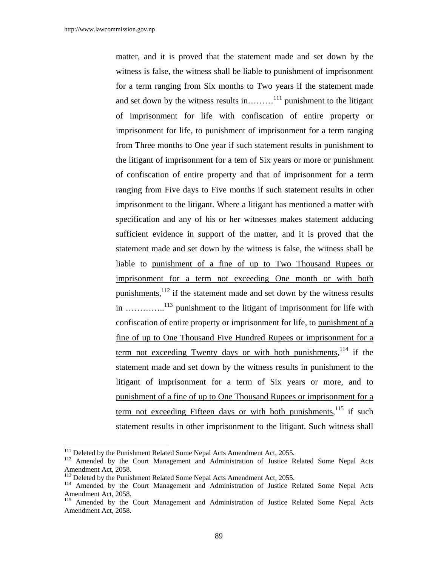matter, and it is proved that the statement made and set down by the witness is false, the witness shall be liable to punishment of imprisonment for a term ranging from Six months to Two years if the statement made and set down by the witness results in………<sup>111</sup> punishment to the litigant of imprisonment for life with confiscation of entire property or imprisonment for life, to punishment of imprisonment for a term ranging from Three months to One year if such statement results in punishment to the litigant of imprisonment for a tem of Six years or more or punishment of confiscation of entire property and that of imprisonment for a term ranging from Five days to Five months if such statement results in other imprisonment to the litigant. Where a litigant has mentioned a matter with specification and any of his or her witnesses makes statement adducing sufficient evidence in support of the matter, and it is proved that the statement made and set down by the witness is false, the witness shall be liable to punishment of a fine of up to Two Thousand Rupees or imprisonment for a term not exceeding One month or with both punishments,  $1^{12}$  if the statement made and set down by the witness results in …………..113 punishment to the litigant of imprisonment for life with confiscation of entire property or imprisonment for life, to punishment of a fine of up to One Thousand Five Hundred Rupees or imprisonment for a term not exceeding Twenty days or with both punishments,  $114$  if the statement made and set down by the witness results in punishment to the litigant of imprisonment for a term of Six years or more, and to punishment of a fine of up to One Thousand Rupees or imprisonment for a term not exceeding Fifteen days or with both punishments, <sup>115</sup> if such statement results in other imprisonment to the litigant. Such witness shall

<sup>&</sup>lt;sup>111</sup> Deleted by the Punishment Related Some Nepal Acts Amendment Act, 2055.

<sup>&</sup>lt;sup>112</sup> Amended by the Court Management and Administration of Justice Related Some Nepal Acts Amendment Act, 2058.<br><sup>113</sup> Deleted by the Punishment Related Some Nepal Acts Amendment Act, 2055.

<sup>&</sup>lt;sup>114</sup> Amended by the Court Management and Administration of Justice Related Some Nepal Acts Amendment Act, 2058.

<sup>&</sup>lt;sup>115</sup> Amended by the Court Management and Administration of Justice Related Some Nepal Acts Amendment Act, 2058.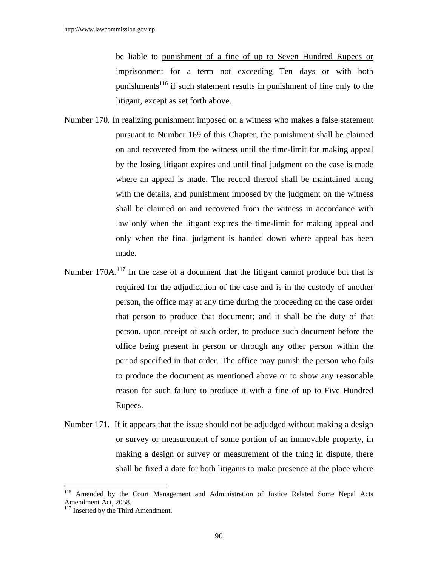be liable to punishment of a fine of up to Seven Hundred Rupees or imprisonment for a term not exceeding Ten days or with both punishments<sup>116</sup> if such statement results in punishment of fine only to the litigant, except as set forth above.

- Number 170. In realizing punishment imposed on a witness who makes a false statement pursuant to Number 169 of this Chapter, the punishment shall be claimed on and recovered from the witness until the time-limit for making appeal by the losing litigant expires and until final judgment on the case is made where an appeal is made. The record thereof shall be maintained along with the details, and punishment imposed by the judgment on the witness shall be claimed on and recovered from the witness in accordance with law only when the litigant expires the time-limit for making appeal and only when the final judgment is handed down where appeal has been made.
- Number 170A.<sup>117</sup> In the case of a document that the litigant cannot produce but that is required for the adjudication of the case and is in the custody of another person, the office may at any time during the proceeding on the case order that person to produce that document; and it shall be the duty of that person, upon receipt of such order, to produce such document before the office being present in person or through any other person within the period specified in that order. The office may punish the person who fails to produce the document as mentioned above or to show any reasonable reason for such failure to produce it with a fine of up to Five Hundred Rupees.
- Number 171. If it appears that the issue should not be adjudged without making a design or survey or measurement of some portion of an immovable property, in making a design or survey or measurement of the thing in dispute, there shall be fixed a date for both litigants to make presence at the place where

<sup>116</sup> 116 Amended by the Court Management and Administration of Justice Related Some Nepal Acts Amendment Act, 2058.

 $117$  Inserted by the Third Amendment.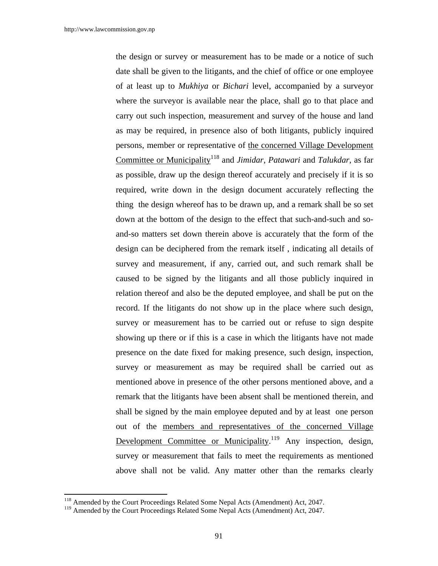the design or survey or measurement has to be made or a notice of such date shall be given to the litigants, and the chief of office or one employee of at least up to *Mukhiya* or *Bichari* level, accompanied by a surveyor where the surveyor is available near the place, shall go to that place and carry out such inspection, measurement and survey of the house and land as may be required, in presence also of both litigants, publicly inquired persons, member or representative of the concerned Village Development Committee or Municipality<sup>118</sup> and *Jimidar*, *Patawari* and *Talukdar*, as far as possible, draw up the design thereof accurately and precisely if it is so required, write down in the design document accurately reflecting the thing the design whereof has to be drawn up, and a remark shall be so set down at the bottom of the design to the effect that such-and-such and soand-so matters set down therein above is accurately that the form of the design can be deciphered from the remark itself , indicating all details of survey and measurement, if any, carried out, and such remark shall be caused to be signed by the litigants and all those publicly inquired in relation thereof and also be the deputed employee, and shall be put on the record. If the litigants do not show up in the place where such design, survey or measurement has to be carried out or refuse to sign despite showing up there or if this is a case in which the litigants have not made presence on the date fixed for making presence, such design, inspection, survey or measurement as may be required shall be carried out as mentioned above in presence of the other persons mentioned above, and a remark that the litigants have been absent shall be mentioned therein, and shall be signed by the main employee deputed and by at least one person out of the members and representatives of the concerned Village Development Committee or Municipality.<sup>119</sup> Any inspection, design, survey or measurement that fails to meet the requirements as mentioned above shall not be valid. Any matter other than the remarks clearly

<sup>&</sup>lt;sup>118</sup> Amended by the Court Proceedings Related Some Nepal Acts (Amendment) Act, 2047.

<sup>&</sup>lt;sup>119</sup> Amended by the Court Proceedings Related Some Nepal Acts (Amendment) Act, 2047.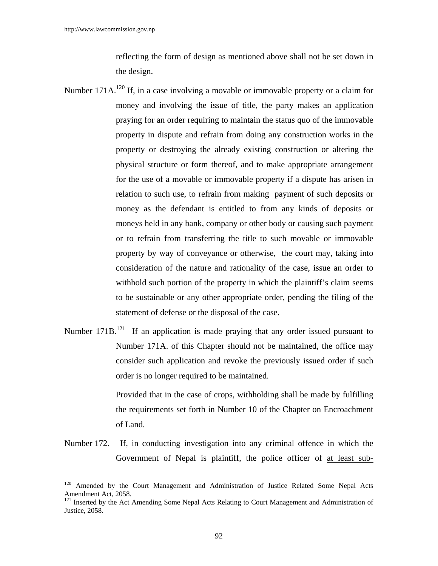$\overline{\phantom{a}}$ 

reflecting the form of design as mentioned above shall not be set down in the design.

- Number 171A.<sup>120</sup> If, in a case involving a movable or immovable property or a claim for money and involving the issue of title, the party makes an application praying for an order requiring to maintain the status quo of the immovable property in dispute and refrain from doing any construction works in the property or destroying the already existing construction or altering the physical structure or form thereof, and to make appropriate arrangement for the use of a movable or immovable property if a dispute has arisen in relation to such use, to refrain from making payment of such deposits or money as the defendant is entitled to from any kinds of deposits or moneys held in any bank, company or other body or causing such payment or to refrain from transferring the title to such movable or immovable property by way of conveyance or otherwise, the court may, taking into consideration of the nature and rationality of the case, issue an order to withhold such portion of the property in which the plaintiff's claim seems to be sustainable or any other appropriate order, pending the filing of the statement of defense or the disposal of the case.
- Number  $171B$ <sup>121</sup> If an application is made praying that any order issued pursuant to Number 171A. of this Chapter should not be maintained, the office may consider such application and revoke the previously issued order if such order is no longer required to be maintained.

 Provided that in the case of crops, withholding shall be made by fulfilling the requirements set forth in Number 10 of the Chapter on Encroachment of Land.

Number 172. If, in conducting investigation into any criminal offence in which the Government of Nepal is plaintiff, the police officer of at least sub-

<sup>&</sup>lt;sup>120</sup> Amended by the Court Management and Administration of Justice Related Some Nepal Acts Amendment Act, 2058.

<sup>&</sup>lt;sup>121</sup> Inserted by the Act Amending Some Nepal Acts Relating to Court Management and Administration of Justice, 2058.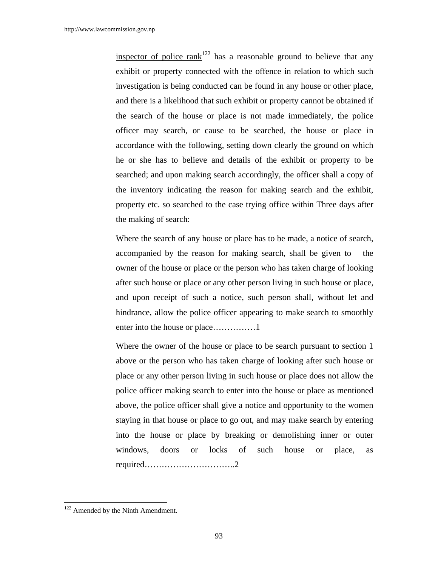inspector of police  $\text{rank}^{122}$  has a reasonable ground to believe that any exhibit or property connected with the offence in relation to which such investigation is being conducted can be found in any house or other place, and there is a likelihood that such exhibit or property cannot be obtained if the search of the house or place is not made immediately, the police officer may search, or cause to be searched, the house or place in accordance with the following, setting down clearly the ground on which he or she has to believe and details of the exhibit or property to be searched; and upon making search accordingly, the officer shall a copy of the inventory indicating the reason for making search and the exhibit, property etc. so searched to the case trying office within Three days after the making of search:

 Where the search of any house or place has to be made, a notice of search, accompanied by the reason for making search, shall be given to the owner of the house or place or the person who has taken charge of looking after such house or place or any other person living in such house or place, and upon receipt of such a notice, such person shall, without let and hindrance, allow the police officer appearing to make search to smoothly enter into the house or place……………1

 Where the owner of the house or place to be search pursuant to section 1 above or the person who has taken charge of looking after such house or place or any other person living in such house or place does not allow the police officer making search to enter into the house or place as mentioned above, the police officer shall give a notice and opportunity to the women staying in that house or place to go out, and may make search by entering into the house or place by breaking or demolishing inner or outer windows, doors or locks of such house or place, as required…………………………..2

<sup>&</sup>lt;sup>122</sup> Amended by the Ninth Amendment.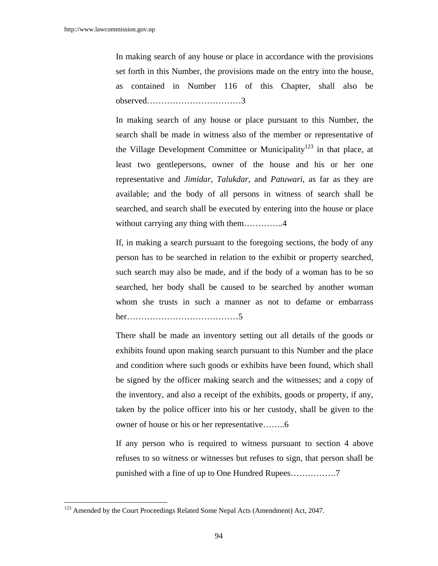In making search of any house or place in accordance with the provisions set forth in this Number, the provisions made on the entry into the house, as contained in Number 116 of this Chapter, shall also be observed……………………………3

In making search of any house or place pursuant to this Number, the search shall be made in witness also of the member or representative of the Village Development Committee or Municipality<sup>123</sup> in that place, at least two gentlepersons, owner of the house and his or her one representative and *Jimidar*, *Talukdar*, and *Patuwari*, as far as they are available; and the body of all persons in witness of search shall be searched, and search shall be executed by entering into the house or place without carrying any thing with them……………..4

If, in making a search pursuant to the foregoing sections, the body of any person has to be searched in relation to the exhibit or property searched, such search may also be made, and if the body of a woman has to be so searched, her body shall be caused to be searched by another woman whom she trusts in such a manner as not to defame or embarrass her…………………………………5

There shall be made an inventory setting out all details of the goods or exhibits found upon making search pursuant to this Number and the place and condition where such goods or exhibits have been found, which shall be signed by the officer making search and the witnesses; and a copy of the inventory, and also a receipt of the exhibits, goods or property, if any, taken by the police officer into his or her custody, shall be given to the owner of house or his or her representative……..6

If any person who is required to witness pursuant to section 4 above refuses to so witness or witnesses but refuses to sign, that person shall be punished with a fine of up to One Hundred Rupees…………….7

<sup>&</sup>lt;sup>123</sup> Amended by the Court Proceedings Related Some Nepal Acts (Amendment) Act, 2047.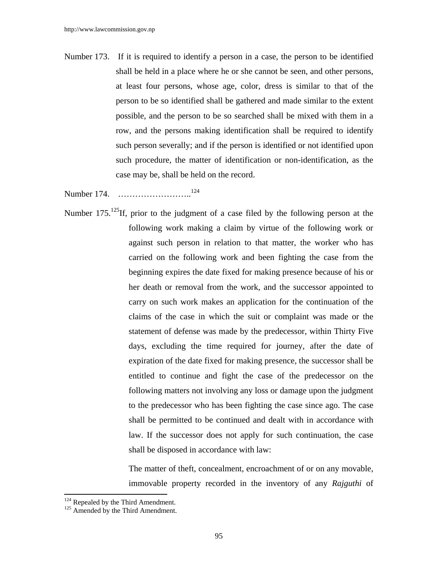Number 173. If it is required to identify a person in a case, the person to be identified shall be held in a place where he or she cannot be seen, and other persons, at least four persons, whose age, color, dress is similar to that of the person to be so identified shall be gathered and made similar to the extent possible, and the person to be so searched shall be mixed with them in a row, and the persons making identification shall be required to identify such person severally; and if the person is identified or not identified upon such procedure, the matter of identification or non-identification, as the case may be, shall be held on the record.

Number 174. ……………………..<sup>124</sup>

Number  $175$ <sup>125</sup>If, prior to the judgment of a case filed by the following person at the following work making a claim by virtue of the following work or against such person in relation to that matter, the worker who has carried on the following work and been fighting the case from the beginning expires the date fixed for making presence because of his or her death or removal from the work, and the successor appointed to carry on such work makes an application for the continuation of the claims of the case in which the suit or complaint was made or the statement of defense was made by the predecessor, within Thirty Five days, excluding the time required for journey, after the date of expiration of the date fixed for making presence, the successor shall be entitled to continue and fight the case of the predecessor on the following matters not involving any loss or damage upon the judgment to the predecessor who has been fighting the case since ago. The case shall be permitted to be continued and dealt with in accordance with law. If the successor does not apply for such continuation, the case shall be disposed in accordance with law:

> The matter of theft, concealment, encroachment of or on any movable, immovable property recorded in the inventory of any *Rajguthi* of

 $124$  Repealed by the Third Amendment.<br> $125$  Amended by the Third Amendment.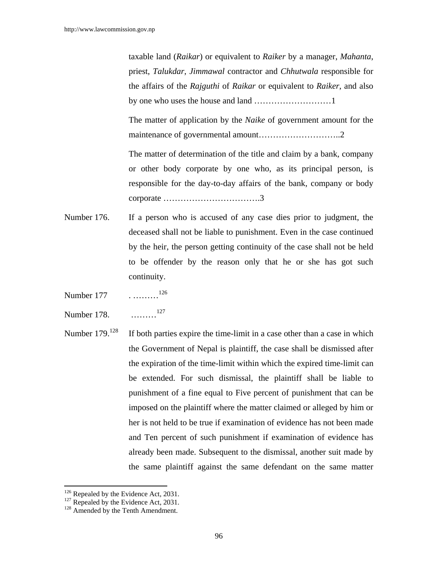taxable land (*Raikar*) or equivalent to *Raiker* by a manager, *Mahanta*, priest, *Talukdar*, *Jimmawal* contractor and *Chhutwala* responsible for the affairs of the *Rajguthi* of *Raikar* or equivalent to *Raiker*, and also by one who uses the house and land ………………………1

The matter of application by the *Naike* of government amount for the maintenance of governmental amount………………………..2

The matter of determination of the title and claim by a bank, company or other body corporate by one who, as its principal person, is responsible for the day-to-day affairs of the bank, company or body corporate …………………………….3

- Number 176. If a person who is accused of any case dies prior to judgment, the deceased shall not be liable to punishment. Even in the case continued by the heir, the person getting continuity of the case shall not be held to be offender by the reason only that he or she has got such continuity.
- Number 177 . ………<sup>126</sup>
- Number 178. ………<sup>127</sup>
- Number 179.<sup>128</sup> If both parties expire the time-limit in a case other than a case in which the Government of Nepal is plaintiff, the case shall be dismissed after the expiration of the time-limit within which the expired time-limit can be extended. For such dismissal, the plaintiff shall be liable to punishment of a fine equal to Five percent of punishment that can be imposed on the plaintiff where the matter claimed or alleged by him or her is not held to be true if examination of evidence has not been made and Ten percent of such punishment if examination of evidence has already been made. Subsequent to the dismissal, another suit made by the same plaintiff against the same defendant on the same matter

<sup>&</sup>lt;sup>126</sup> Repealed by the Evidence Act, 2031.

<sup>&</sup>lt;sup>127</sup> Repealed by the Evidence Act, 2031.<br><sup>128</sup> Amended by the Tenth Amendment.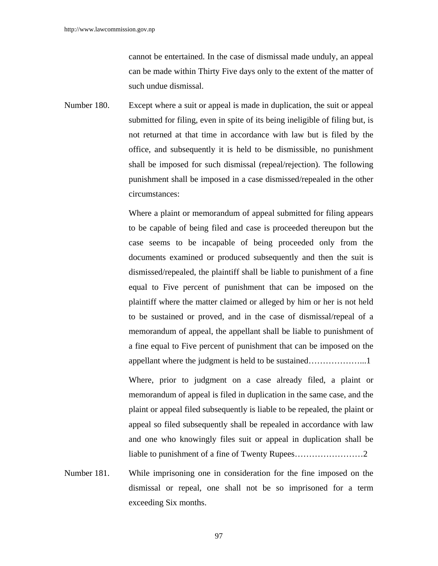cannot be entertained. In the case of dismissal made unduly, an appeal can be made within Thirty Five days only to the extent of the matter of such undue dismissal.

Number 180. Except where a suit or appeal is made in duplication, the suit or appeal submitted for filing, even in spite of its being ineligible of filing but, is not returned at that time in accordance with law but is filed by the office, and subsequently it is held to be dismissible, no punishment shall be imposed for such dismissal (repeal/rejection). The following punishment shall be imposed in a case dismissed/repealed in the other circumstances:

> Where a plaint or memorandum of appeal submitted for filing appears to be capable of being filed and case is proceeded thereupon but the case seems to be incapable of being proceeded only from the documents examined or produced subsequently and then the suit is dismissed/repealed, the plaintiff shall be liable to punishment of a fine equal to Five percent of punishment that can be imposed on the plaintiff where the matter claimed or alleged by him or her is not held to be sustained or proved, and in the case of dismissal/repeal of a memorandum of appeal, the appellant shall be liable to punishment of a fine equal to Five percent of punishment that can be imposed on the appellant where the judgment is held to be sustained………………...1

> Where, prior to judgment on a case already filed, a plaint or memorandum of appeal is filed in duplication in the same case, and the plaint or appeal filed subsequently is liable to be repealed, the plaint or appeal so filed subsequently shall be repealed in accordance with law and one who knowingly files suit or appeal in duplication shall be liable to punishment of a fine of Twenty Rupees……………………2

Number 181. While imprisoning one in consideration for the fine imposed on the dismissal or repeal, one shall not be so imprisoned for a term exceeding Six months.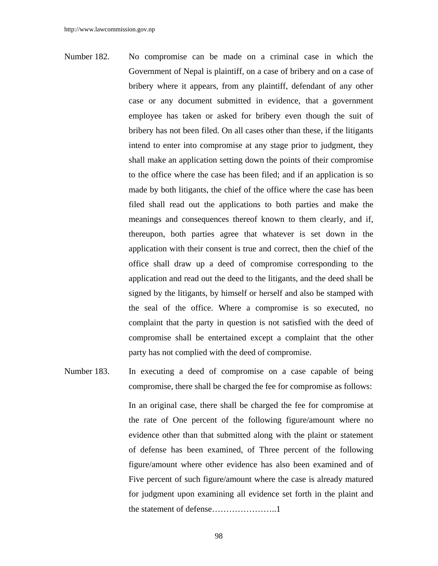- Number 182. No compromise can be made on a criminal case in which the Government of Nepal is plaintiff, on a case of bribery and on a case of bribery where it appears, from any plaintiff, defendant of any other case or any document submitted in evidence, that a government employee has taken or asked for bribery even though the suit of bribery has not been filed. On all cases other than these, if the litigants intend to enter into compromise at any stage prior to judgment, they shall make an application setting down the points of their compromise to the office where the case has been filed; and if an application is so made by both litigants, the chief of the office where the case has been filed shall read out the applications to both parties and make the meanings and consequences thereof known to them clearly, and if, thereupon, both parties agree that whatever is set down in the application with their consent is true and correct, then the chief of the office shall draw up a deed of compromise corresponding to the application and read out the deed to the litigants, and the deed shall be signed by the litigants, by himself or herself and also be stamped with the seal of the office. Where a compromise is so executed, no complaint that the party in question is not satisfied with the deed of compromise shall be entertained except a complaint that the other party has not complied with the deed of compromise.
- Number 183. In executing a deed of compromise on a case capable of being compromise, there shall be charged the fee for compromise as follows: In an original case, there shall be charged the fee for compromise at the rate of One percent of the following figure/amount where no evidence other than that submitted along with the plaint or statement of defense has been examined, of Three percent of the following figure/amount where other evidence has also been examined and of Five percent of such figure/amount where the case is already matured for judgment upon examining all evidence set forth in the plaint and the statement of defense…………………..1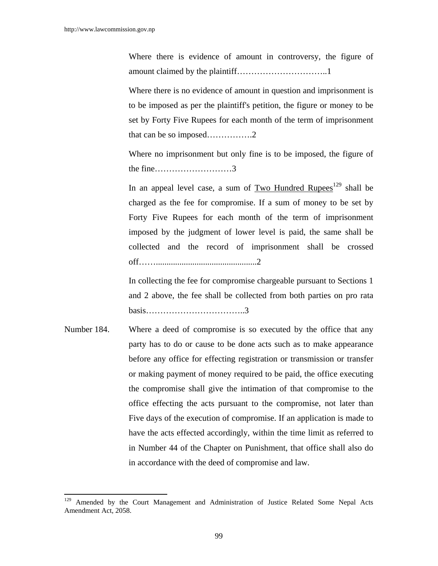$\overline{a}$ 

Where there is evidence of amount in controversy, the figure of amount claimed by the plaintiff…………………………..1

Where there is no evidence of amount in question and imprisonment is to be imposed as per the plaintiff's petition, the figure or money to be set by Forty Five Rupees for each month of the term of imprisonment that can be so imposed…………….2

Where no imprisonment but only fine is to be imposed, the figure of the fine………………………3

In an appeal level case, a sum of Two Hundred Rupees<sup>129</sup> shall be charged as the fee for compromise. If a sum of money to be set by Forty Five Rupees for each month of the term of imprisonment imposed by the judgment of lower level is paid, the same shall be collected and the record of imprisonment shall be crossed off……...............................................2

 In collecting the fee for compromise chargeable pursuant to Sections 1 and 2 above, the fee shall be collected from both parties on pro rata basis……………………………..3

Number 184. Where a deed of compromise is so executed by the office that any party has to do or cause to be done acts such as to make appearance before any office for effecting registration or transmission or transfer or making payment of money required to be paid, the office executing the compromise shall give the intimation of that compromise to the office effecting the acts pursuant to the compromise, not later than Five days of the execution of compromise. If an application is made to have the acts effected accordingly, within the time limit as referred to in Number 44 of the Chapter on Punishment, that office shall also do in accordance with the deed of compromise and law.

<sup>&</sup>lt;sup>129</sup> Amended by the Court Management and Administration of Justice Related Some Nepal Acts Amendment Act, 2058.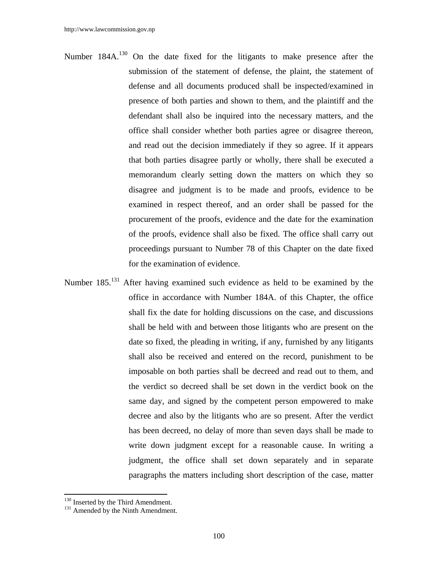- Number  $184A$ <sup>130</sup> On the date fixed for the litigants to make presence after the submission of the statement of defense, the plaint, the statement of defense and all documents produced shall be inspected/examined in presence of both parties and shown to them, and the plaintiff and the defendant shall also be inquired into the necessary matters, and the office shall consider whether both parties agree or disagree thereon, and read out the decision immediately if they so agree. If it appears that both parties disagree partly or wholly, there shall be executed a memorandum clearly setting down the matters on which they so disagree and judgment is to be made and proofs, evidence to be examined in respect thereof, and an order shall be passed for the procurement of the proofs, evidence and the date for the examination of the proofs, evidence shall also be fixed. The office shall carry out proceedings pursuant to Number 78 of this Chapter on the date fixed for the examination of evidence.
- Number 185.131 After having examined such evidence as held to be examined by the office in accordance with Number 184A. of this Chapter, the office shall fix the date for holding discussions on the case, and discussions shall be held with and between those litigants who are present on the date so fixed, the pleading in writing, if any, furnished by any litigants shall also be received and entered on the record, punishment to be imposable on both parties shall be decreed and read out to them, and the verdict so decreed shall be set down in the verdict book on the same day, and signed by the competent person empowered to make decree and also by the litigants who are so present. After the verdict has been decreed, no delay of more than seven days shall be made to write down judgment except for a reasonable cause. In writing a judgment, the office shall set down separately and in separate paragraphs the matters including short description of the case, matter

 $130$  Inserted by the Third Amendment.<br> $131$  Amended by the Ninth Amendment.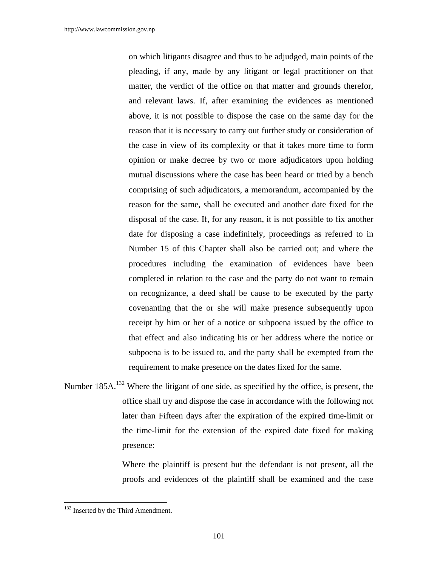on which litigants disagree and thus to be adjudged, main points of the pleading, if any, made by any litigant or legal practitioner on that matter, the verdict of the office on that matter and grounds therefor, and relevant laws. If, after examining the evidences as mentioned above, it is not possible to dispose the case on the same day for the reason that it is necessary to carry out further study or consideration of the case in view of its complexity or that it takes more time to form opinion or make decree by two or more adjudicators upon holding mutual discussions where the case has been heard or tried by a bench comprising of such adjudicators, a memorandum, accompanied by the reason for the same, shall be executed and another date fixed for the disposal of the case. If, for any reason, it is not possible to fix another date for disposing a case indefinitely, proceedings as referred to in Number 15 of this Chapter shall also be carried out; and where the procedures including the examination of evidences have been completed in relation to the case and the party do not want to remain on recognizance, a deed shall be cause to be executed by the party covenanting that the or she will make presence subsequently upon receipt by him or her of a notice or subpoena issued by the office to that effect and also indicating his or her address where the notice or subpoena is to be issued to, and the party shall be exempted from the requirement to make presence on the dates fixed for the same.

Number 185A.<sup>132</sup> Where the litigant of one side, as specified by the office, is present, the office shall try and dispose the case in accordance with the following not later than Fifteen days after the expiration of the expired time-limit or the time-limit for the extension of the expired date fixed for making presence:

> Where the plaintiff is present but the defendant is not present, all the proofs and evidences of the plaintiff shall be examined and the case

<sup>&</sup>lt;sup>132</sup> Inserted by the Third Amendment.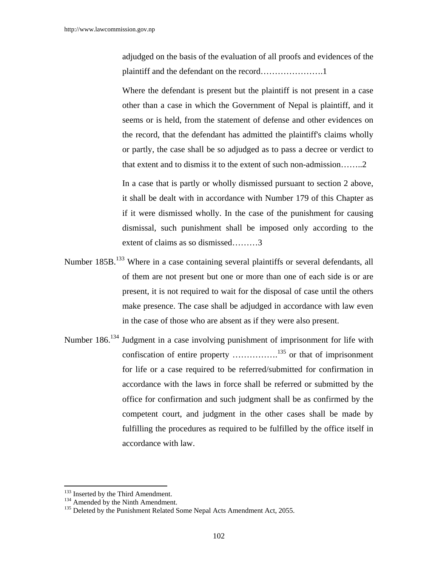adjudged on the basis of the evaluation of all proofs and evidences of the plaintiff and the defendant on the record………………….1

 Where the defendant is present but the plaintiff is not present in a case other than a case in which the Government of Nepal is plaintiff, and it seems or is held, from the statement of defense and other evidences on the record, that the defendant has admitted the plaintiff's claims wholly or partly, the case shall be so adjudged as to pass a decree or verdict to that extent and to dismiss it to the extent of such non-admission……..2

 In a case that is partly or wholly dismissed pursuant to section 2 above, it shall be dealt with in accordance with Number 179 of this Chapter as if it were dismissed wholly. In the case of the punishment for causing dismissal, such punishment shall be imposed only according to the extent of claims as so dismissed………3

- Number 185B.<sup>133</sup> Where in a case containing several plaintiffs or several defendants, all of them are not present but one or more than one of each side is or are present, it is not required to wait for the disposal of case until the others make presence. The case shall be adjudged in accordance with law even in the case of those who are absent as if they were also present.
- Number 186.<sup>134</sup> Judgment in a case involving punishment of imprisonment for life with confiscation of entire property  $\dots\dots\dots\dots\dots\dots\dots\dots$ <sup>135</sup> or that of imprisonment for life or a case required to be referred/submitted for confirmation in accordance with the laws in force shall be referred or submitted by the office for confirmation and such judgment shall be as confirmed by the competent court, and judgment in the other cases shall be made by fulfilling the procedures as required to be fulfilled by the office itself in accordance with law.

<sup>&</sup>lt;sup>133</sup> Inserted by the Third Amendment.

<sup>&</sup>lt;sup>134</sup> Amended by the Ninth Amendment.  $\frac{135}{135}$  Deleted by the Punishment Related Some Nepal Acts Amendment Act, 2055.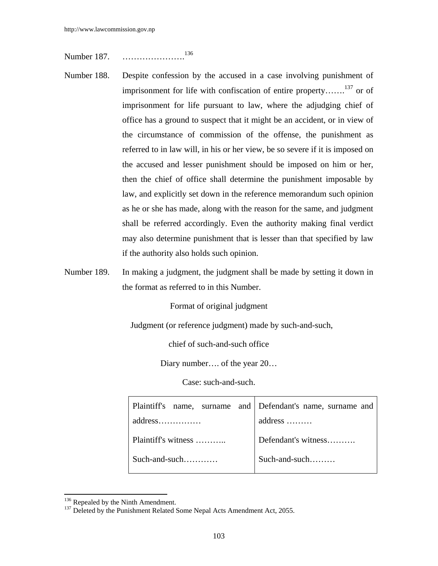Number 187. ………………….<sup>136</sup>

- Number 188. Despite confession by the accused in a case involving punishment of imprisonment for life with confiscation of entire property…….137 or of imprisonment for life pursuant to law, where the adjudging chief of office has a ground to suspect that it might be an accident, or in view of the circumstance of commission of the offense, the punishment as referred to in law will, in his or her view, be so severe if it is imposed on the accused and lesser punishment should be imposed on him or her, then the chief of office shall determine the punishment imposable by law, and explicitly set down in the reference memorandum such opinion as he or she has made, along with the reason for the same, and judgment shall be referred accordingly. Even the authority making final verdict may also determine punishment that is lesser than that specified by law if the authority also holds such opinion.
- Number 189. In making a judgment, the judgment shall be made by setting it down in the format as referred to in this Number.

Format of original judgment

Judgment (or reference judgment) made by such-and-such,

chief of such-and-such office

Diary number…. of the year 20…

Case: such-and-such.

|                     | Plaintiff's name, surname and Defendant's name, surname and |  |  |
|---------------------|-------------------------------------------------------------|--|--|
|                     | address                                                     |  |  |
| Plaintiff's witness | Defendant's witness                                         |  |  |
| Such-and-such       | Such-and-such                                               |  |  |

<sup>&</sup>lt;sup>136</sup> Repealed by the Ninth Amendment.<br><sup>137</sup> Deleted by the Punishment Related Some Nepal Acts Amendment Act, 2055.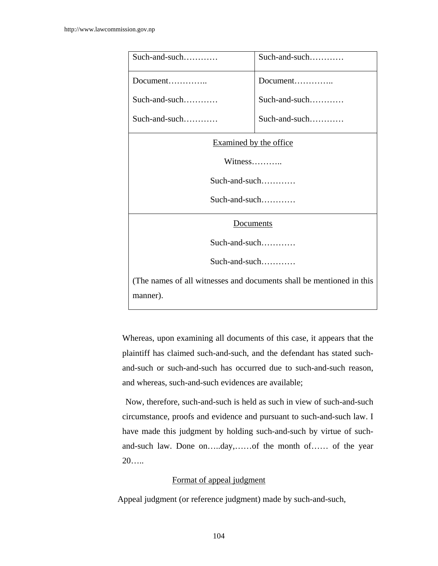| Such-and-such                                                        | $Such$ -and-such |  |  |
|----------------------------------------------------------------------|------------------|--|--|
|                                                                      | Document         |  |  |
| Such-and-such                                                        | Such-and-such    |  |  |
| Such-and-such                                                        | Such-and-such    |  |  |
| Examined by the office                                               |                  |  |  |
| $Witness$                                                            |                  |  |  |
| $Such$ -and-such                                                     |                  |  |  |
| Such-and-such                                                        |                  |  |  |
| Documents                                                            |                  |  |  |
| $Such$ -and-such                                                     |                  |  |  |
| $Such$ -and-such                                                     |                  |  |  |
| (The names of all witnesses and documents shall be mentioned in this |                  |  |  |
| manner).                                                             |                  |  |  |

Whereas, upon examining all documents of this case, it appears that the plaintiff has claimed such-and-such, and the defendant has stated suchand-such or such-and-such has occurred due to such-and-such reason, and whereas, such-and-such evidences are available;

Now, therefore, such-and-such is held as such in view of such-and-such circumstance, proofs and evidence and pursuant to such-and-such law. I have made this judgment by holding such-and-such by virtue of suchand-such law. Done on…..day,……of the month of…… of the year 20…..

## Format of appeal judgment

Appeal judgment (or reference judgment) made by such-and-such,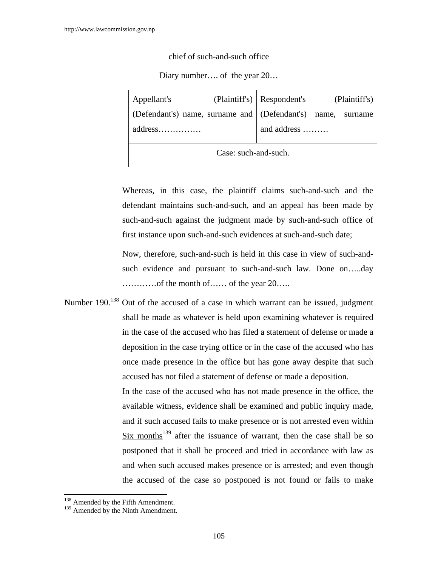chief of such-and-such office

Diary number.... of the year  $20...$ 

| Appellant's                                                 |  | (Plaintiff's) Respondent's (Plaintiff's) |  |  |
|-------------------------------------------------------------|--|------------------------------------------|--|--|
| (Defendant's) name, surname and (Defendant's) name, surname |  |                                          |  |  |
| address                                                     |  | and address                              |  |  |
| Case: such-and-such.                                        |  |                                          |  |  |
|                                                             |  |                                          |  |  |

Whereas, in this case, the plaintiff claims such-and-such and the defendant maintains such-and-such, and an appeal has been made by such-and-such against the judgment made by such-and-such office of first instance upon such-and-such evidences at such-and-such date;

Now, therefore, such-and-such is held in this case in view of such-andsuch evidence and pursuant to such-and-such law. Done on…..day …………of the month of…… of the year 20…..

Number 190.<sup>138</sup> Out of the accused of a case in which warrant can be issued, judgment shall be made as whatever is held upon examining whatever is required in the case of the accused who has filed a statement of defense or made a deposition in the case trying office or in the case of the accused who has once made presence in the office but has gone away despite that such accused has not filed a statement of defense or made a deposition. In the case of the accused who has not made presence in the office, the available witness, evidence shall be examined and public inquiry made, and if such accused fails to make presence or is not arrested even within Six months<sup>139</sup> after the issuance of warrant, then the case shall be so postponed that it shall be proceed and tried in accordance with law as and when such accused makes presence or is arrested; and even though the accused of the case so postponed is not found or fails to make

<sup>&</sup>lt;sup>138</sup> Amended by the Fifth Amendment.

<sup>&</sup>lt;sup>139</sup> Amended by the Ninth Amendment.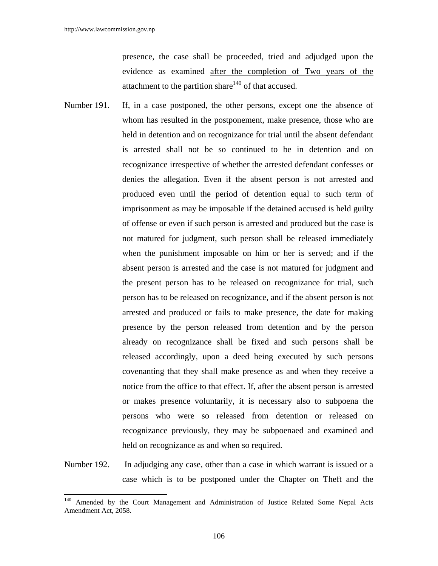$\overline{a}$ 

presence, the case shall be proceeded, tried and adjudged upon the evidence as examined after the completion of Two years of the attachment to the partition share<sup>140</sup> of that accused.

- Number 191. If, in a case postponed, the other persons, except one the absence of whom has resulted in the postponement, make presence, those who are held in detention and on recognizance for trial until the absent defendant is arrested shall not be so continued to be in detention and on recognizance irrespective of whether the arrested defendant confesses or denies the allegation. Even if the absent person is not arrested and produced even until the period of detention equal to such term of imprisonment as may be imposable if the detained accused is held guilty of offense or even if such person is arrested and produced but the case is not matured for judgment, such person shall be released immediately when the punishment imposable on him or her is served; and if the absent person is arrested and the case is not matured for judgment and the present person has to be released on recognizance for trial, such person has to be released on recognizance, and if the absent person is not arrested and produced or fails to make presence, the date for making presence by the person released from detention and by the person already on recognizance shall be fixed and such persons shall be released accordingly, upon a deed being executed by such persons covenanting that they shall make presence as and when they receive a notice from the office to that effect. If, after the absent person is arrested or makes presence voluntarily, it is necessary also to subpoena the persons who were so released from detention or released on recognizance previously, they may be subpoenaed and examined and held on recognizance as and when so required.
- Number 192. In adjudging any case, other than a case in which warrant is issued or a case which is to be postponed under the Chapter on Theft and the

<sup>&</sup>lt;sup>140</sup> Amended by the Court Management and Administration of Justice Related Some Nepal Acts Amendment Act, 2058.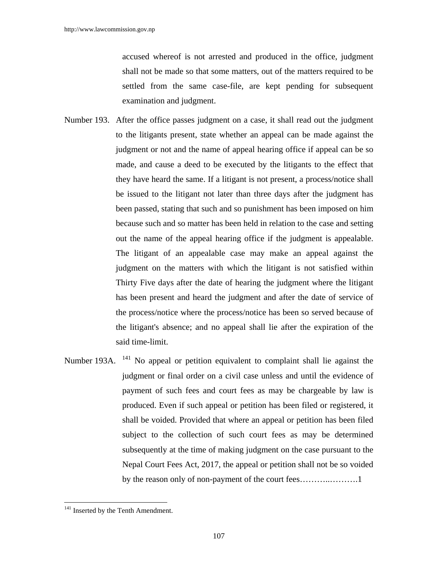accused whereof is not arrested and produced in the office, judgment shall not be made so that some matters, out of the matters required to be settled from the same case-file, are kept pending for subsequent examination and judgment.

- Number 193. After the office passes judgment on a case, it shall read out the judgment to the litigants present, state whether an appeal can be made against the judgment or not and the name of appeal hearing office if appeal can be so made, and cause a deed to be executed by the litigants to the effect that they have heard the same. If a litigant is not present, a process/notice shall be issued to the litigant not later than three days after the judgment has been passed, stating that such and so punishment has been imposed on him because such and so matter has been held in relation to the case and setting out the name of the appeal hearing office if the judgment is appealable. The litigant of an appealable case may make an appeal against the judgment on the matters with which the litigant is not satisfied within Thirty Five days after the date of hearing the judgment where the litigant has been present and heard the judgment and after the date of service of the process/notice where the process/notice has been so served because of the litigant's absence; and no appeal shall lie after the expiration of the said time-limit.
- Number 193A. <sup>141</sup> No appeal or petition equivalent to complaint shall lie against the judgment or final order on a civil case unless and until the evidence of payment of such fees and court fees as may be chargeable by law is produced. Even if such appeal or petition has been filed or registered, it shall be voided. Provided that where an appeal or petition has been filed subject to the collection of such court fees as may be determined subsequently at the time of making judgment on the case pursuant to the Nepal Court Fees Act, 2017, the appeal or petition shall not be so voided by the reason only of non-payment of the court fees.............................

<sup>&</sup>lt;sup>141</sup> Inserted by the Tenth Amendment.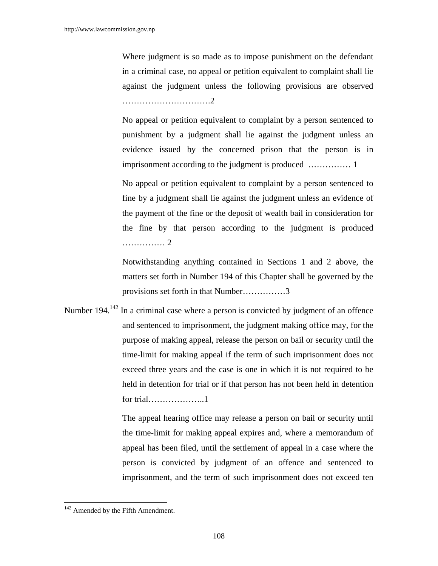Where judgment is so made as to impose punishment on the defendant in a criminal case, no appeal or petition equivalent to complaint shall lie against the judgment unless the following provisions are observed ………………………….2

No appeal or petition equivalent to complaint by a person sentenced to punishment by a judgment shall lie against the judgment unless an evidence issued by the concerned prison that the person is in imprisonment according to the judgment is produced …………… 1

No appeal or petition equivalent to complaint by a person sentenced to fine by a judgment shall lie against the judgment unless an evidence of the payment of the fine or the deposit of wealth bail in consideration for the fine by that person according to the judgment is produced …………… 2

Notwithstanding anything contained in Sections 1 and 2 above, the matters set forth in Number 194 of this Chapter shall be governed by the provisions set forth in that Number……………3

Number 194.<sup>142</sup> In a criminal case where a person is convicted by judgment of an offence and sentenced to imprisonment, the judgment making office may, for the purpose of making appeal, release the person on bail or security until the time-limit for making appeal if the term of such imprisonment does not exceed three years and the case is one in which it is not required to be held in detention for trial or if that person has not been held in detention for trial………………..1

> The appeal hearing office may release a person on bail or security until the time-limit for making appeal expires and, where a memorandum of appeal has been filed, until the settlement of appeal in a case where the person is convicted by judgment of an offence and sentenced to imprisonment, and the term of such imprisonment does not exceed ten

<sup>&</sup>lt;sup>142</sup> Amended by the Fifth Amendment.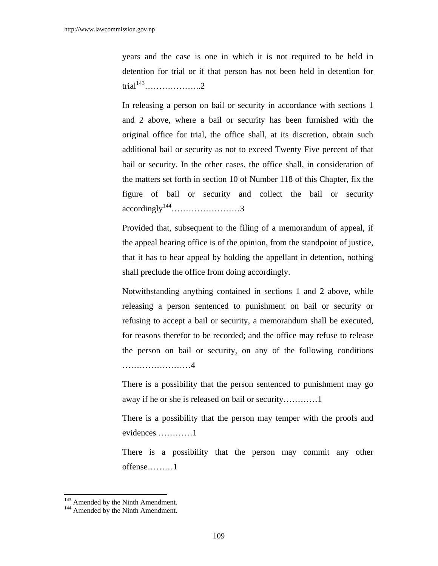years and the case is one in which it is not required to be held in detention for trial or if that person has not been held in detention for trial143………………..2

 In releasing a person on bail or security in accordance with sections 1 and 2 above, where a bail or security has been furnished with the original office for trial, the office shall, at its discretion, obtain such additional bail or security as not to exceed Twenty Five percent of that bail or security. In the other cases, the office shall, in consideration of the matters set forth in section 10 of Number 118 of this Chapter, fix the figure of bail or security and collect the bail or security  $accordingly^{144}$ .............................3

 Provided that, subsequent to the filing of a memorandum of appeal, if the appeal hearing office is of the opinion, from the standpoint of justice, that it has to hear appeal by holding the appellant in detention, nothing shall preclude the office from doing accordingly.

 Notwithstanding anything contained in sections 1 and 2 above, while releasing a person sentenced to punishment on bail or security or refusing to accept a bail or security, a memorandum shall be executed, for reasons therefor to be recorded; and the office may refuse to release the person on bail or security, on any of the following conditions ……………………4

 There is a possibility that the person sentenced to punishment may go away if he or she is released on bail or security…………1

 There is a possibility that the person may temper with the proofs and evidences …………1

 There is a possibility that the person may commit any other offense………1

 $143$  Amended by the Ninth Amendment.<br><sup>144</sup> Amended by the Ninth Amendment.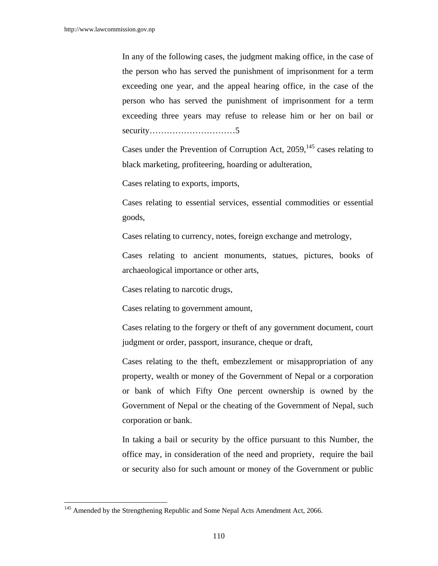In any of the following cases, the judgment making office, in the case of the person who has served the punishment of imprisonment for a term exceeding one year, and the appeal hearing office, in the case of the person who has served the punishment of imprisonment for a term exceeding three years may refuse to release him or her on bail or security…………………………5

Cases under the Prevention of Corruption Act,  $2059$ ,  $145$  cases relating to black marketing, profiteering, hoarding or adulteration,

Cases relating to exports, imports,

 Cases relating to essential services, essential commodities or essential goods,

Cases relating to currency, notes, foreign exchange and metrology,

 Cases relating to ancient monuments, statues, pictures, books of archaeological importance or other arts,

Cases relating to narcotic drugs,

Cases relating to government amount,

 Cases relating to the forgery or theft of any government document, court judgment or order, passport, insurance, cheque or draft,

 Cases relating to the theft, embezzlement or misappropriation of any property, wealth or money of the Government of Nepal or a corporation or bank of which Fifty One percent ownership is owned by the Government of Nepal or the cheating of the Government of Nepal, such corporation or bank.

 In taking a bail or security by the office pursuant to this Number, the office may, in consideration of the need and propriety, require the bail or security also for such amount or money of the Government or public

<sup>&</sup>lt;sup>145</sup> Amended by the Strengthening Republic and Some Nepal Acts Amendment Act, 2066.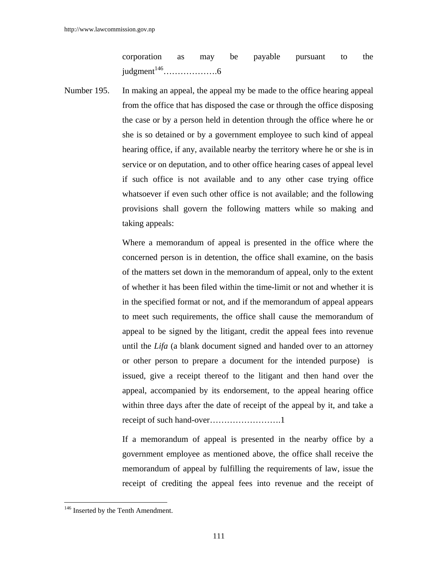corporation as may be payable pursuant to the judgment146……………….6

Number 195. In making an appeal, the appeal my be made to the office hearing appeal from the office that has disposed the case or through the office disposing the case or by a person held in detention through the office where he or she is so detained or by a government employee to such kind of appeal hearing office, if any, available nearby the territory where he or she is in service or on deputation, and to other office hearing cases of appeal level if such office is not available and to any other case trying office whatsoever if even such other office is not available; and the following provisions shall govern the following matters while so making and taking appeals:

> Where a memorandum of appeal is presented in the office where the concerned person is in detention, the office shall examine, on the basis of the matters set down in the memorandum of appeal, only to the extent of whether it has been filed within the time-limit or not and whether it is in the specified format or not, and if the memorandum of appeal appears to meet such requirements, the office shall cause the memorandum of appeal to be signed by the litigant, credit the appeal fees into revenue until the *Lifa* (a blank document signed and handed over to an attorney or other person to prepare a document for the intended purpose) is issued, give a receipt thereof to the litigant and then hand over the appeal, accompanied by its endorsement, to the appeal hearing office within three days after the date of receipt of the appeal by it, and take a receipt of such hand-over…………………….1

> If a memorandum of appeal is presented in the nearby office by a government employee as mentioned above, the office shall receive the memorandum of appeal by fulfilling the requirements of law, issue the receipt of crediting the appeal fees into revenue and the receipt of

<sup>&</sup>lt;sup>146</sup> Inserted by the Tenth Amendment.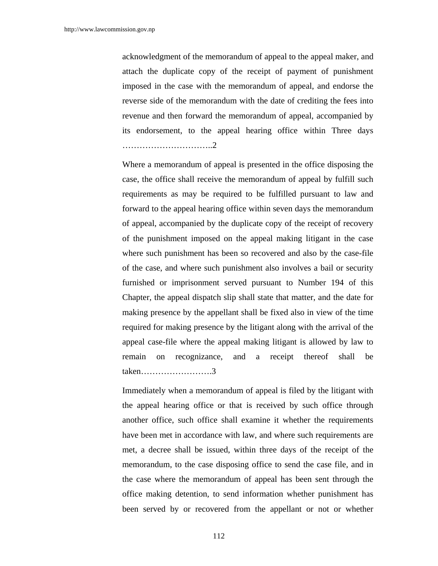acknowledgment of the memorandum of appeal to the appeal maker, and attach the duplicate copy of the receipt of payment of punishment imposed in the case with the memorandum of appeal, and endorse the reverse side of the memorandum with the date of crediting the fees into revenue and then forward the memorandum of appeal, accompanied by its endorsement, to the appeal hearing office within Three days …………………………..2

 Where a memorandum of appeal is presented in the office disposing the case, the office shall receive the memorandum of appeal by fulfill such requirements as may be required to be fulfilled pursuant to law and forward to the appeal hearing office within seven days the memorandum of appeal, accompanied by the duplicate copy of the receipt of recovery of the punishment imposed on the appeal making litigant in the case where such punishment has been so recovered and also by the case-file of the case, and where such punishment also involves a bail or security furnished or imprisonment served pursuant to Number 194 of this Chapter, the appeal dispatch slip shall state that matter, and the date for making presence by the appellant shall be fixed also in view of the time required for making presence by the litigant along with the arrival of the appeal case-file where the appeal making litigant is allowed by law to remain on recognizance, and a receipt thereof shall be taken…………………….3

 Immediately when a memorandum of appeal is filed by the litigant with the appeal hearing office or that is received by such office through another office, such office shall examine it whether the requirements have been met in accordance with law, and where such requirements are met, a decree shall be issued, within three days of the receipt of the memorandum, to the case disposing office to send the case file, and in the case where the memorandum of appeal has been sent through the office making detention, to send information whether punishment has been served by or recovered from the appellant or not or whether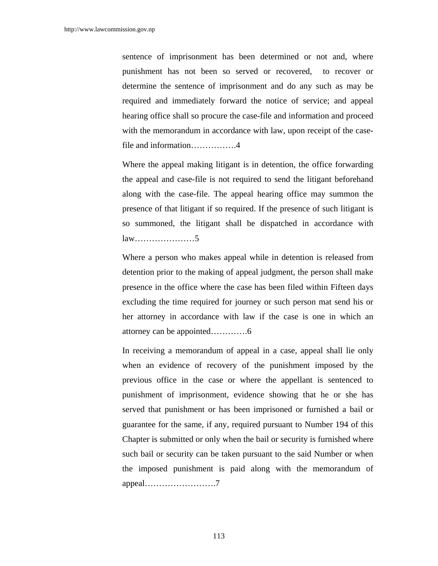sentence of imprisonment has been determined or not and, where punishment has not been so served or recovered, to recover or determine the sentence of imprisonment and do any such as may be required and immediately forward the notice of service; and appeal hearing office shall so procure the case-file and information and proceed with the memorandum in accordance with law, upon receipt of the casefile and information…………….4

 Where the appeal making litigant is in detention, the office forwarding the appeal and case-file is not required to send the litigant beforehand along with the case-file. The appeal hearing office may summon the presence of that litigant if so required. If the presence of such litigant is so summoned, the litigant shall be dispatched in accordance with law…………………5

 Where a person who makes appeal while in detention is released from detention prior to the making of appeal judgment, the person shall make presence in the office where the case has been filed within Fifteen days excluding the time required for journey or such person mat send his or her attorney in accordance with law if the case is one in which an attorney can be appointed………….6

 In receiving a memorandum of appeal in a case, appeal shall lie only when an evidence of recovery of the punishment imposed by the previous office in the case or where the appellant is sentenced to punishment of imprisonment, evidence showing that he or she has served that punishment or has been imprisoned or furnished a bail or guarantee for the same, if any, required pursuant to Number 194 of this Chapter is submitted or only when the bail or security is furnished where such bail or security can be taken pursuant to the said Number or when the imposed punishment is paid along with the memorandum of appeal…………………….7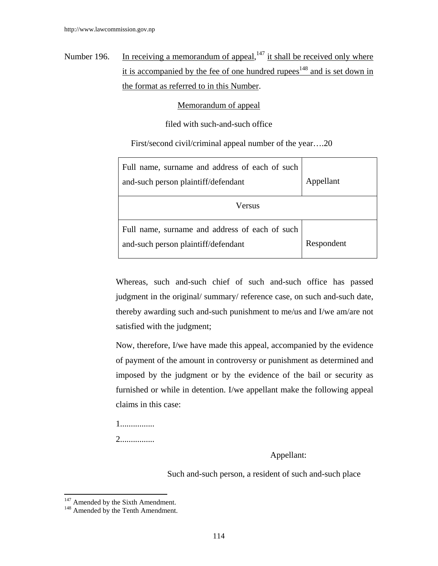Number 196. In receiving a memorandum of appeal,  $147$  it shall be received only where it is accompanied by the fee of one hundred rupees $148$  and is set down in the format as referred to in this Number.

## Memorandum of appeal

filed with such-and-such office

First/second civil/criminal appeal number of the year….20

| Full name, surname and address of each of such<br>and-such person plaintiff/defendant | Appellant  |
|---------------------------------------------------------------------------------------|------------|
| Versus                                                                                |            |
| Full name, surname and address of each of such<br>and-such person plaintiff/defendant | Respondent |

Whereas, such and-such chief of such and-such office has passed judgment in the original/ summary/ reference case, on such and-such date, thereby awarding such and-such punishment to me/us and I/we am/are not satisfied with the judgment;

Now, therefore, I/we have made this appeal, accompanied by the evidence of payment of the amount in controversy or punishment as determined and imposed by the judgment or by the evidence of the bail or security as furnished or while in detention. I/we appellant make the following appeal claims in this case:

1................

2................

Appellant:

Such and-such person, a resident of such and-such place

<sup>&</sup>lt;sup>147</sup> Amended by the Sixth Amendment.

<sup>&</sup>lt;sup>148</sup> Amended by the Tenth Amendment.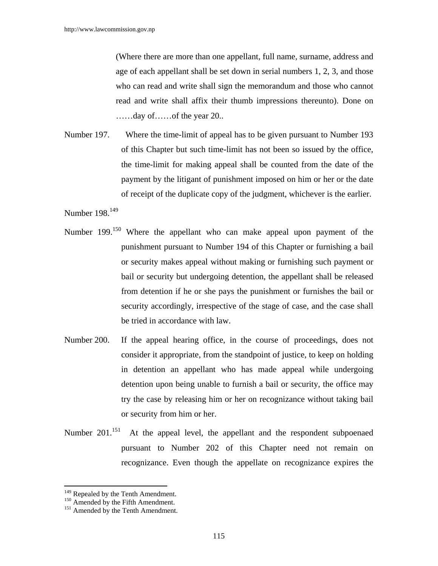(Where there are more than one appellant, full name, surname, address and age of each appellant shall be set down in serial numbers 1, 2, 3, and those who can read and write shall sign the memorandum and those who cannot read and write shall affix their thumb impressions thereunto). Done on ……day of……of the year 20..

Number 197. Where the time-limit of appeal has to be given pursuant to Number 193 of this Chapter but such time-limit has not been so issued by the office, the time-limit for making appeal shall be counted from the date of the payment by the litigant of punishment imposed on him or her or the date of receipt of the duplicate copy of the judgment, whichever is the earlier.

Number 198.<sup>149</sup>

- Number 199.<sup>150</sup> Where the appellant who can make appeal upon payment of the punishment pursuant to Number 194 of this Chapter or furnishing a bail or security makes appeal without making or furnishing such payment or bail or security but undergoing detention, the appellant shall be released from detention if he or she pays the punishment or furnishes the bail or security accordingly, irrespective of the stage of case, and the case shall be tried in accordance with law.
- Number 200. If the appeal hearing office, in the course of proceedings, does not consider it appropriate, from the standpoint of justice, to keep on holding in detention an appellant who has made appeal while undergoing detention upon being unable to furnish a bail or security, the office may try the case by releasing him or her on recognizance without taking bail or security from him or her.
- Number  $201^{151}$  At the appeal level, the appellant and the respondent subpoenaed pursuant to Number 202 of this Chapter need not remain on recognizance. Even though the appellate on recognizance expires the

<sup>&</sup>lt;sup>149</sup> Repealed by the Tenth Amendment.

 $150$  Amended by the Fifth Amendment.  $151$  Amended by the Tenth Amendment.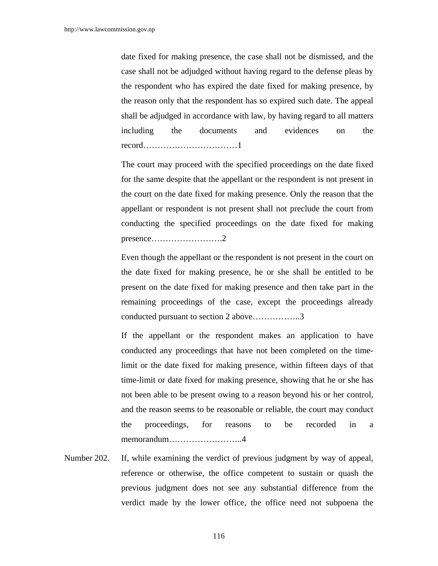date fixed for making presence, the case shall not be dismissed, and the case shall not be adjudged without having regard to the defense pleas by the respondent who has expired the date fixed for making presence, by the reason only that the respondent has so expired such date. The appeal shall be adjudged in accordance with law, by having regard to all matters including the documents and evidences on the record……………………………1

 The court may proceed with the specified proceedings on the date fixed for the same despite that the appellant or the respondent is not present in the court on the date fixed for making presence. Only the reason that the appellant or respondent is not present shall not preclude the court from conducting the specified proceedings on the date fixed for making presence…………………….2

 Even though the appellant or the respondent is not present in the court on the date fixed for making presence, he or she shall be entitled to be present on the date fixed for making presence and then take part in the remaining proceedings of the case, except the proceedings already conducted pursuant to section 2 above……………..3

 If the appellant or the respondent makes an application to have conducted any proceedings that have not been completed on the timelimit or the date fixed for making presence, within fifteen days of that time-limit or date fixed for making presence, showing that he or she has not been able to be present owing to a reason beyond his or her control, and the reason seems to be reasonable or reliable, the court may conduct the proceedings, for reasons to be recorded in a memorandum……………………..4

Number 202. If, while examining the verdict of previous judgment by way of appeal, reference or otherwise, the office competent to sustain or quash the previous judgment does not see any substantial difference from the verdict made by the lower office, the office need not subpoena the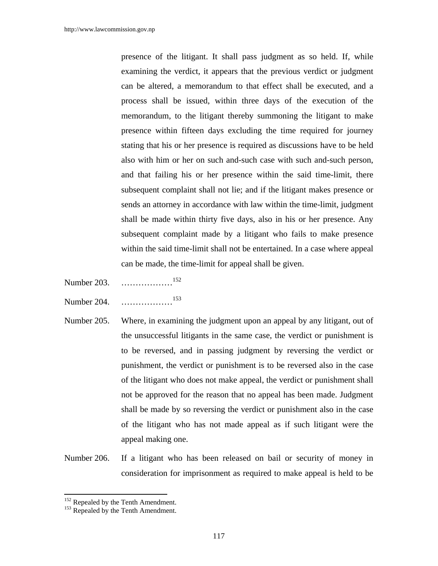presence of the litigant. It shall pass judgment as so held. If, while examining the verdict, it appears that the previous verdict or judgment can be altered, a memorandum to that effect shall be executed, and a process shall be issued, within three days of the execution of the memorandum, to the litigant thereby summoning the litigant to make presence within fifteen days excluding the time required for journey stating that his or her presence is required as discussions have to be held also with him or her on such and-such case with such and-such person, and that failing his or her presence within the said time-limit, there subsequent complaint shall not lie; and if the litigant makes presence or sends an attorney in accordance with law within the time-limit, judgment shall be made within thirty five days, also in his or her presence. Any subsequent complaint made by a litigant who fails to make presence within the said time-limit shall not be entertained. In a case where appeal can be made, the time-limit for appeal shall be given.

- Number 203. ………………152
- Number 204. ………………153
- Number 205. Where, in examining the judgment upon an appeal by any litigant, out of the unsuccessful litigants in the same case, the verdict or punishment is to be reversed, and in passing judgment by reversing the verdict or punishment, the verdict or punishment is to be reversed also in the case of the litigant who does not make appeal, the verdict or punishment shall not be approved for the reason that no appeal has been made. Judgment shall be made by so reversing the verdict or punishment also in the case of the litigant who has not made appeal as if such litigant were the appeal making one.
- Number 206. If a litigant who has been released on bail or security of money in consideration for imprisonment as required to make appeal is held to be

 $152$  Repealed by the Tenth Amendment.<br> $153$  Repealed by the Tenth Amendment.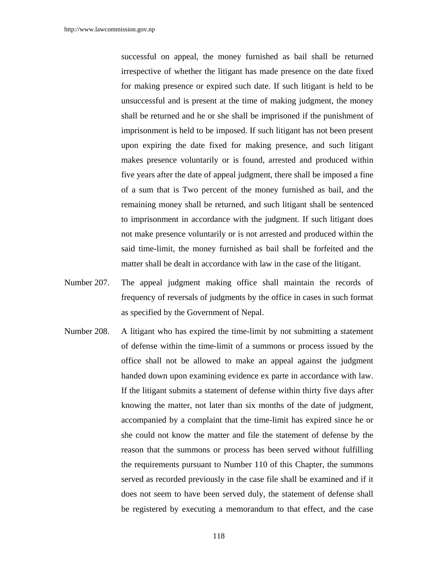successful on appeal, the money furnished as bail shall be returned irrespective of whether the litigant has made presence on the date fixed for making presence or expired such date. If such litigant is held to be unsuccessful and is present at the time of making judgment, the money shall be returned and he or she shall be imprisoned if the punishment of imprisonment is held to be imposed. If such litigant has not been present upon expiring the date fixed for making presence, and such litigant makes presence voluntarily or is found, arrested and produced within five years after the date of appeal judgment, there shall be imposed a fine of a sum that is Two percent of the money furnished as bail, and the remaining money shall be returned, and such litigant shall be sentenced to imprisonment in accordance with the judgment. If such litigant does not make presence voluntarily or is not arrested and produced within the said time-limit, the money furnished as bail shall be forfeited and the matter shall be dealt in accordance with law in the case of the litigant.

- Number 207. The appeal judgment making office shall maintain the records of frequency of reversals of judgments by the office in cases in such format as specified by the Government of Nepal.
- Number 208. A litigant who has expired the time-limit by not submitting a statement of defense within the time-limit of a summons or process issued by the office shall not be allowed to make an appeal against the judgment handed down upon examining evidence ex parte in accordance with law. If the litigant submits a statement of defense within thirty five days after knowing the matter, not later than six months of the date of judgment, accompanied by a complaint that the time-limit has expired since he or she could not know the matter and file the statement of defense by the reason that the summons or process has been served without fulfilling the requirements pursuant to Number 110 of this Chapter, the summons served as recorded previously in the case file shall be examined and if it does not seem to have been served duly, the statement of defense shall be registered by executing a memorandum to that effect, and the case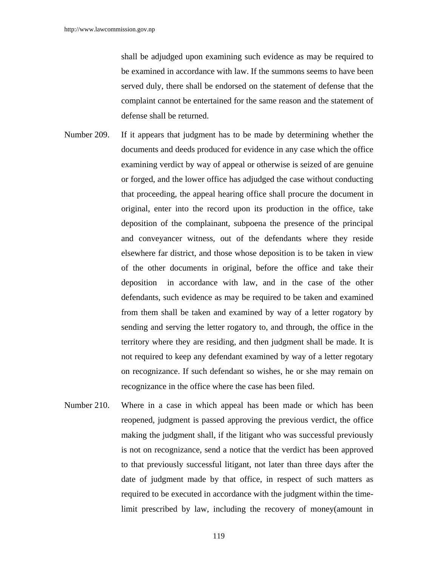shall be adjudged upon examining such evidence as may be required to be examined in accordance with law. If the summons seems to have been served duly, there shall be endorsed on the statement of defense that the complaint cannot be entertained for the same reason and the statement of defense shall be returned.

- Number 209. If it appears that judgment has to be made by determining whether the documents and deeds produced for evidence in any case which the office examining verdict by way of appeal or otherwise is seized of are genuine or forged, and the lower office has adjudged the case without conducting that proceeding, the appeal hearing office shall procure the document in original, enter into the record upon its production in the office, take deposition of the complainant, subpoena the presence of the principal and conveyancer witness, out of the defendants where they reside elsewhere far district, and those whose deposition is to be taken in view of the other documents in original, before the office and take their deposition in accordance with law, and in the case of the other defendants, such evidence as may be required to be taken and examined from them shall be taken and examined by way of a letter rogatory by sending and serving the letter rogatory to, and through, the office in the territory where they are residing, and then judgment shall be made. It is not required to keep any defendant examined by way of a letter regotary on recognizance. If such defendant so wishes, he or she may remain on recognizance in the office where the case has been filed.
- Number 210. Where in a case in which appeal has been made or which has been reopened, judgment is passed approving the previous verdict, the office making the judgment shall, if the litigant who was successful previously is not on recognizance, send a notice that the verdict has been approved to that previously successful litigant, not later than three days after the date of judgment made by that office, in respect of such matters as required to be executed in accordance with the judgment within the timelimit prescribed by law, including the recovery of money(amount in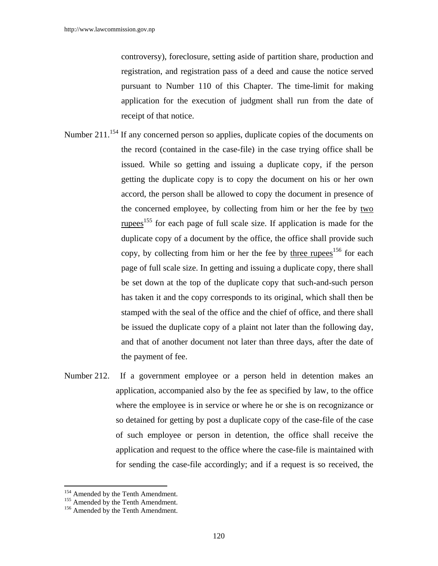controversy), foreclosure, setting aside of partition share, production and registration, and registration pass of a deed and cause the notice served pursuant to Number 110 of this Chapter. The time-limit for making application for the execution of judgment shall run from the date of receipt of that notice.

- Number 211.<sup>154</sup> If any concerned person so applies, duplicate copies of the documents on the record (contained in the case-file) in the case trying office shall be issued. While so getting and issuing a duplicate copy, if the person getting the duplicate copy is to copy the document on his or her own accord, the person shall be allowed to copy the document in presence of the concerned employee, by collecting from him or her the fee by two rupees<sup>155</sup> for each page of full scale size. If application is made for the duplicate copy of a document by the office, the office shall provide such copy, by collecting from him or her the fee by three rupees<sup>156</sup> for each page of full scale size. In getting and issuing a duplicate copy, there shall be set down at the top of the duplicate copy that such-and-such person has taken it and the copy corresponds to its original, which shall then be stamped with the seal of the office and the chief of office, and there shall be issued the duplicate copy of a plaint not later than the following day, and that of another document not later than three days, after the date of the payment of fee.
- Number 212. If a government employee or a person held in detention makes an application, accompanied also by the fee as specified by law, to the office where the employee is in service or where he or she is on recognizance or so detained for getting by post a duplicate copy of the case-file of the case of such employee or person in detention, the office shall receive the application and request to the office where the case-file is maintained with for sending the case-file accordingly; and if a request is so received, the

<sup>&</sup>lt;sup>154</sup> Amended by the Tenth Amendment.

<sup>&</sup>lt;sup>155</sup> Amended by the Tenth Amendment. <sup>156</sup> Amended by the Tenth Amendment.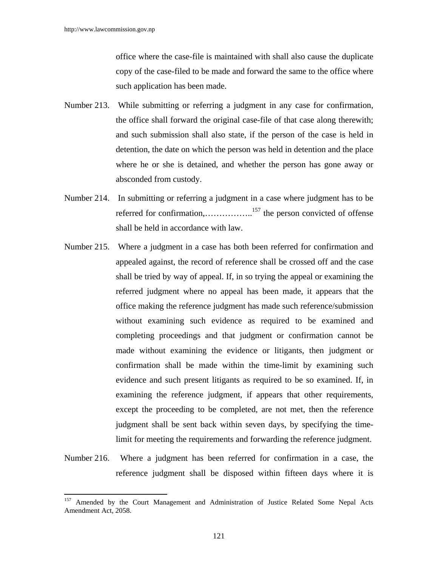$\overline{a}$ 

office where the case-file is maintained with shall also cause the duplicate copy of the case-filed to be made and forward the same to the office where such application has been made.

- Number 213. While submitting or referring a judgment in any case for confirmation, the office shall forward the original case-file of that case along therewith; and such submission shall also state, if the person of the case is held in detention, the date on which the person was held in detention and the place where he or she is detained, and whether the person has gone away or absconded from custody.
- Number 214. In submitting or referring a judgment in a case where judgment has to be referred for confirmation,…………….<sup>157</sup> the person convicted of offense shall be held in accordance with law.
- Number 215. Where a judgment in a case has both been referred for confirmation and appealed against, the record of reference shall be crossed off and the case shall be tried by way of appeal. If, in so trying the appeal or examining the referred judgment where no appeal has been made, it appears that the office making the reference judgment has made such reference/submission without examining such evidence as required to be examined and completing proceedings and that judgment or confirmation cannot be made without examining the evidence or litigants, then judgment or confirmation shall be made within the time-limit by examining such evidence and such present litigants as required to be so examined. If, in examining the reference judgment, if appears that other requirements, except the proceeding to be completed, are not met, then the reference judgment shall be sent back within seven days, by specifying the timelimit for meeting the requirements and forwarding the reference judgment.
- Number 216. Where a judgment has been referred for confirmation in a case, the reference judgment shall be disposed within fifteen days where it is

<sup>&</sup>lt;sup>157</sup> Amended by the Court Management and Administration of Justice Related Some Nepal Acts Amendment Act, 2058.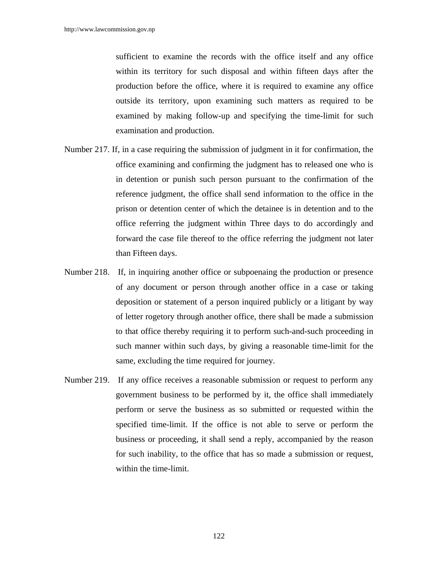sufficient to examine the records with the office itself and any office within its territory for such disposal and within fifteen days after the production before the office, where it is required to examine any office outside its territory, upon examining such matters as required to be examined by making follow-up and specifying the time-limit for such examination and production.

- Number 217. If, in a case requiring the submission of judgment in it for confirmation, the office examining and confirming the judgment has to released one who is in detention or punish such person pursuant to the confirmation of the reference judgment, the office shall send information to the office in the prison or detention center of which the detainee is in detention and to the office referring the judgment within Three days to do accordingly and forward the case file thereof to the office referring the judgment not later than Fifteen days.
- Number 218. If, in inquiring another office or subpoenaing the production or presence of any document or person through another office in a case or taking deposition or statement of a person inquired publicly or a litigant by way of letter rogetory through another office, there shall be made a submission to that office thereby requiring it to perform such-and-such proceeding in such manner within such days, by giving a reasonable time-limit for the same, excluding the time required for journey.
- Number 219. If any office receives a reasonable submission or request to perform any government business to be performed by it, the office shall immediately perform or serve the business as so submitted or requested within the specified time-limit. If the office is not able to serve or perform the business or proceeding, it shall send a reply, accompanied by the reason for such inability, to the office that has so made a submission or request, within the time-limit.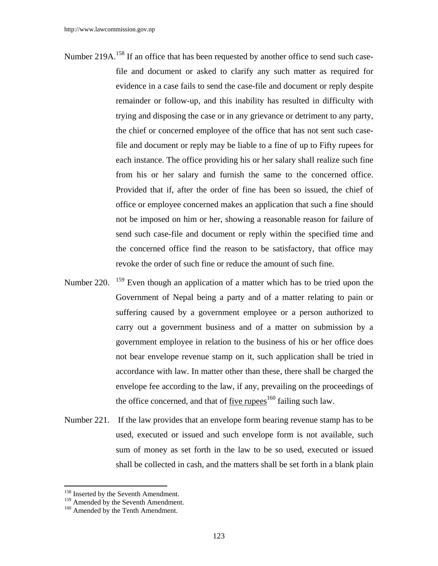- Number 219A.<sup>158</sup> If an office that has been requested by another office to send such casefile and document or asked to clarify any such matter as required for evidence in a case fails to send the case-file and document or reply despite remainder or follow-up, and this inability has resulted in difficulty with trying and disposing the case or in any grievance or detriment to any party, the chief or concerned employee of the office that has not sent such casefile and document or reply may be liable to a fine of up to Fifty rupees for each instance. The office providing his or her salary shall realize such fine from his or her salary and furnish the same to the concerned office. Provided that if, after the order of fine has been so issued, the chief of office or employee concerned makes an application that such a fine should not be imposed on him or her, showing a reasonable reason for failure of send such case-file and document or reply within the specified time and the concerned office find the reason to be satisfactory, that office may revoke the order of such fine or reduce the amount of such fine.
- Number 220. <sup>159</sup> Even though an application of a matter which has to be tried upon the Government of Nepal being a party and of a matter relating to pain or suffering caused by a government employee or a person authorized to carry out a government business and of a matter on submission by a government employee in relation to the business of his or her office does not bear envelope revenue stamp on it, such application shall be tried in accordance with law. In matter other than these, there shall be charged the envelope fee according to the law, if any, prevailing on the proceedings of the office concerned, and that of five rupees<sup>160</sup> failing such law.
- Number 221. If the law provides that an envelope form bearing revenue stamp has to be used, executed or issued and such envelope form is not available, such sum of money as set forth in the law to be so used, executed or issued shall be collected in cash, and the matters shall be set forth in a blank plain

<sup>&</sup>lt;sup>158</sup> Inserted by the Seventh Amendment.

<sup>&</sup>lt;sup>159</sup> Amended by the Seventh Amendment.<br><sup>160</sup> Amended by the Tenth Amendment.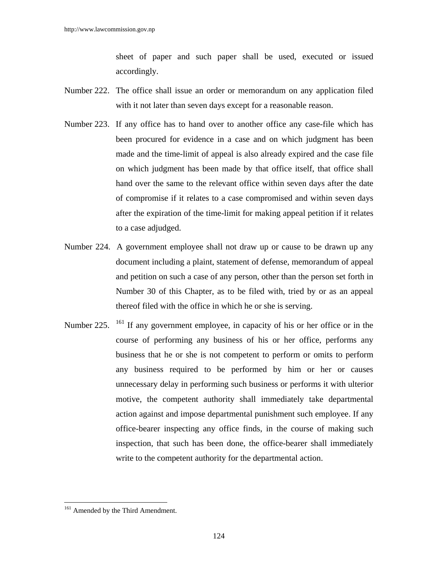sheet of paper and such paper shall be used, executed or issued accordingly.

- Number 222. The office shall issue an order or memorandum on any application filed with it not later than seven days except for a reasonable reason.
- Number 223. If any office has to hand over to another office any case-file which has been procured for evidence in a case and on which judgment has been made and the time-limit of appeal is also already expired and the case file on which judgment has been made by that office itself, that office shall hand over the same to the relevant office within seven days after the date of compromise if it relates to a case compromised and within seven days after the expiration of the time-limit for making appeal petition if it relates to a case adjudged.
- Number 224. A government employee shall not draw up or cause to be drawn up any document including a plaint, statement of defense, memorandum of appeal and petition on such a case of any person, other than the person set forth in Number 30 of this Chapter, as to be filed with, tried by or as an appeal thereof filed with the office in which he or she is serving.
- Number 225.  $^{161}$  If any government employee, in capacity of his or her office or in the course of performing any business of his or her office, performs any business that he or she is not competent to perform or omits to perform any business required to be performed by him or her or causes unnecessary delay in performing such business or performs it with ulterior motive, the competent authority shall immediately take departmental action against and impose departmental punishment such employee. If any office-bearer inspecting any office finds, in the course of making such inspection, that such has been done, the office-bearer shall immediately write to the competent authority for the departmental action.

<sup>&</sup>lt;sup>161</sup> Amended by the Third Amendment.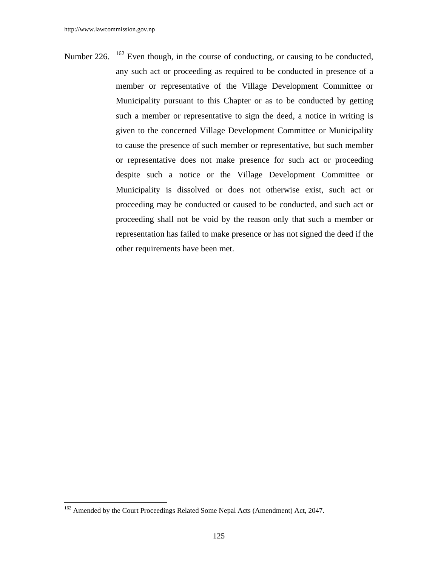Number 226.  $162$  Even though, in the course of conducting, or causing to be conducted, any such act or proceeding as required to be conducted in presence of a member or representative of the Village Development Committee or Municipality pursuant to this Chapter or as to be conducted by getting such a member or representative to sign the deed, a notice in writing is given to the concerned Village Development Committee or Municipality to cause the presence of such member or representative, but such member or representative does not make presence for such act or proceeding despite such a notice or the Village Development Committee or Municipality is dissolved or does not otherwise exist, such act or proceeding may be conducted or caused to be conducted, and such act or proceeding shall not be void by the reason only that such a member or representation has failed to make presence or has not signed the deed if the other requirements have been met.

<sup>&</sup>lt;sup>162</sup> Amended by the Court Proceedings Related Some Nepal Acts (Amendment) Act, 2047.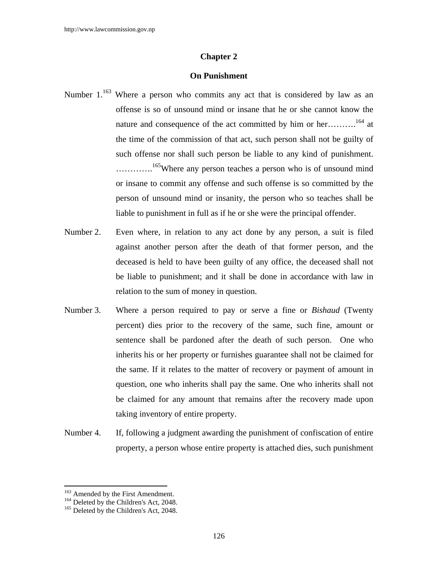## **Chapter 2**

## **On Punishment**

- Number  $1.^{163}$  Where a person who commits any act that is considered by law as an offense is so of unsound mind or insane that he or she cannot know the nature and consequence of the act committed by him or her……….<sup>164</sup> at the time of the commission of that act, such person shall not be guilty of such offense nor shall such person be liable to any kind of punishment. ............<sup>165</sup>Where any person teaches a person who is of unsound mind or insane to commit any offense and such offense is so committed by the person of unsound mind or insanity, the person who so teaches shall be liable to punishment in full as if he or she were the principal offender.
- Number 2. Even where, in relation to any act done by any person, a suit is filed against another person after the death of that former person, and the deceased is held to have been guilty of any office, the deceased shall not be liable to punishment; and it shall be done in accordance with law in relation to the sum of money in question.
- Number 3. Where a person required to pay or serve a fine or *Bishaud* (Twenty percent) dies prior to the recovery of the same, such fine, amount or sentence shall be pardoned after the death of such person. One who inherits his or her property or furnishes guarantee shall not be claimed for the same. If it relates to the matter of recovery or payment of amount in question, one who inherits shall pay the same. One who inherits shall not be claimed for any amount that remains after the recovery made upon taking inventory of entire property.
- Number 4. If, following a judgment awarding the punishment of confiscation of entire property, a person whose entire property is attached dies, such punishment

<sup>&</sup>lt;sup>163</sup> Amended by the First Amendment.

<sup>&</sup>lt;sup>164</sup> Deleted by the Children's Act, 2048.<br><sup>165</sup> Deleted by the Children's Act, 2048.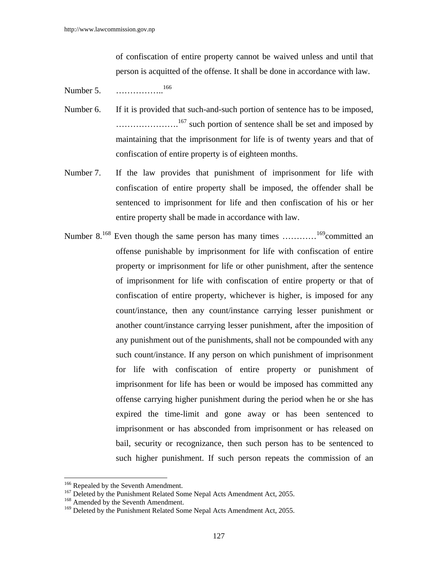of confiscation of entire property cannot be waived unless and until that person is acquitted of the offense. It shall be done in accordance with law.

- Number 5. ……………..<sup>166</sup>
- Number 6. If it is provided that such-and-such portion of sentence has to be imposed, ........................<sup>167</sup> such portion of sentence shall be set and imposed by maintaining that the imprisonment for life is of twenty years and that of confiscation of entire property is of eighteen months.
- Number 7. If the law provides that punishment of imprisonment for life with confiscation of entire property shall be imposed, the offender shall be sentenced to imprisonment for life and then confiscation of his or her entire property shall be made in accordance with law.
- Number 8.<sup>168</sup> Even though the same person has many times  $\ldots \ldots \ldots \ldots \ldots$ <sup>169</sup>committed an offense punishable by imprisonment for life with confiscation of entire property or imprisonment for life or other punishment, after the sentence of imprisonment for life with confiscation of entire property or that of confiscation of entire property, whichever is higher, is imposed for any count/instance, then any count/instance carrying lesser punishment or another count/instance carrying lesser punishment, after the imposition of any punishment out of the punishments, shall not be compounded with any such count/instance. If any person on which punishment of imprisonment for life with confiscation of entire property or punishment of imprisonment for life has been or would be imposed has committed any offense carrying higher punishment during the period when he or she has expired the time-limit and gone away or has been sentenced to imprisonment or has absconded from imprisonment or has released on bail, security or recognizance, then such person has to be sentenced to such higher punishment. If such person repeats the commission of an

<sup>&</sup>lt;sup>166</sup> Repealed by the Seventh Amendment.<br><sup>167</sup> Deleted by the Punishment Related Some Nepal Acts Amendment Act, 2055.<br><sup>168</sup> Amended by the Seventh Amendment.

<sup>&</sup>lt;sup>169</sup> Deleted by the Punishment Related Some Nepal Acts Amendment Act, 2055.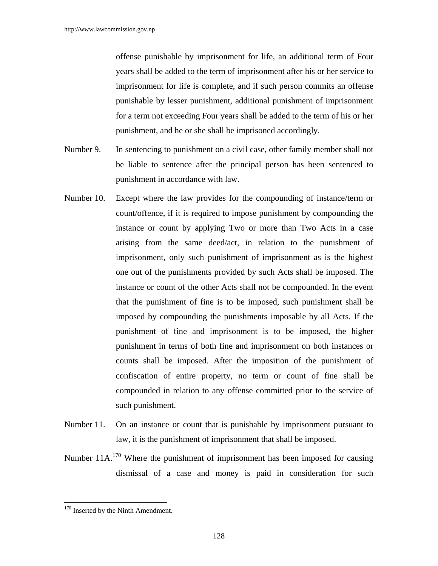offense punishable by imprisonment for life, an additional term of Four years shall be added to the term of imprisonment after his or her service to imprisonment for life is complete, and if such person commits an offense punishable by lesser punishment, additional punishment of imprisonment for a term not exceeding Four years shall be added to the term of his or her punishment, and he or she shall be imprisoned accordingly.

- Number 9. In sentencing to punishment on a civil case, other family member shall not be liable to sentence after the principal person has been sentenced to punishment in accordance with law.
- Number 10. Except where the law provides for the compounding of instance/term or count/offence, if it is required to impose punishment by compounding the instance or count by applying Two or more than Two Acts in a case arising from the same deed/act, in relation to the punishment of imprisonment, only such punishment of imprisonment as is the highest one out of the punishments provided by such Acts shall be imposed. The instance or count of the other Acts shall not be compounded. In the event that the punishment of fine is to be imposed, such punishment shall be imposed by compounding the punishments imposable by all Acts. If the punishment of fine and imprisonment is to be imposed, the higher punishment in terms of both fine and imprisonment on both instances or counts shall be imposed. After the imposition of the punishment of confiscation of entire property, no term or count of fine shall be compounded in relation to any offense committed prior to the service of such punishment.
- Number 11. On an instance or count that is punishable by imprisonment pursuant to law, it is the punishment of imprisonment that shall be imposed.
- Number  $11A$ <sup>170</sup> Where the punishment of imprisonment has been imposed for causing dismissal of a case and money is paid in consideration for such

<sup>&</sup>lt;sup>170</sup> Inserted by the Ninth Amendment.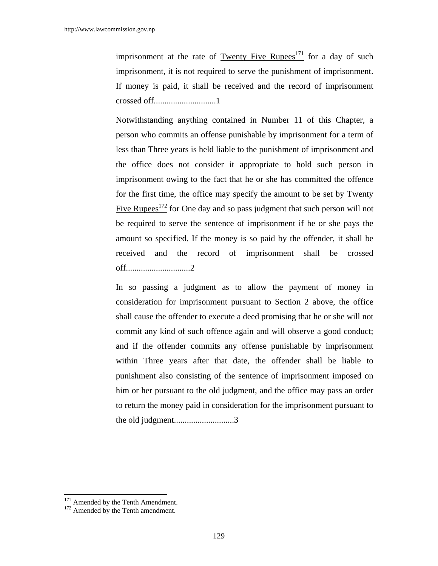imprisonment at the rate of Twenty Five Rupees<sup>171</sup> for a day of such imprisonment, it is not required to serve the punishment of imprisonment. If money is paid, it shall be received and the record of imprisonment crossed off.............................1

Notwithstanding anything contained in Number 11 of this Chapter, a person who commits an offense punishable by imprisonment for a term of less than Three years is held liable to the punishment of imprisonment and the office does not consider it appropriate to hold such person in imprisonment owing to the fact that he or she has committed the offence for the first time, the office may specify the amount to be set by Twenty Five Rupees $^{172}$  for One day and so pass judgment that such person will not be required to serve the sentence of imprisonment if he or she pays the amount so specified. If the money is so paid by the offender, it shall be received and the record of imprisonment shall be crossed off..............................2

In so passing a judgment as to allow the payment of money in consideration for imprisonment pursuant to Section 2 above, the office shall cause the offender to execute a deed promising that he or she will not commit any kind of such offence again and will observe a good conduct; and if the offender commits any offense punishable by imprisonment within Three years after that date, the offender shall be liable to punishment also consisting of the sentence of imprisonment imposed on him or her pursuant to the old judgment, and the office may pass an order to return the money paid in consideration for the imprisonment pursuant to the old judgment............................3

 $171$  Amended by the Tenth Amendment.<br> $172$  Amended by the Tenth amendment.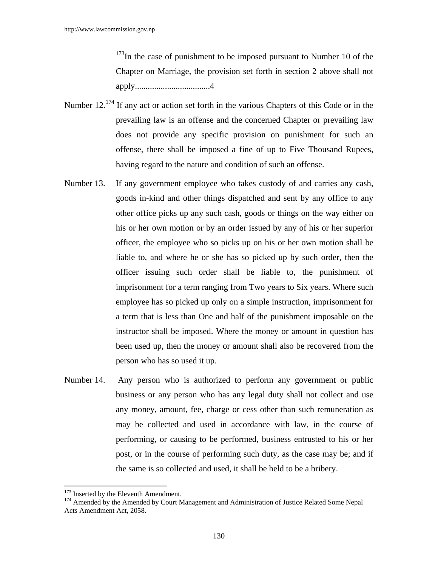$173$ In the case of punishment to be imposed pursuant to Number 10 of the Chapter on Marriage, the provision set forth in section 2 above shall not apply...................................4

- Number 12.<sup>174</sup> If any act or action set forth in the various Chapters of this Code or in the prevailing law is an offense and the concerned Chapter or prevailing law does not provide any specific provision on punishment for such an offense, there shall be imposed a fine of up to Five Thousand Rupees, having regard to the nature and condition of such an offense.
- Number 13. If any government employee who takes custody of and carries any cash, goods in-kind and other things dispatched and sent by any office to any other office picks up any such cash, goods or things on the way either on his or her own motion or by an order issued by any of his or her superior officer, the employee who so picks up on his or her own motion shall be liable to, and where he or she has so picked up by such order, then the officer issuing such order shall be liable to, the punishment of imprisonment for a term ranging from Two years to Six years. Where such employee has so picked up only on a simple instruction, imprisonment for a term that is less than One and half of the punishment imposable on the instructor shall be imposed. Where the money or amount in question has been used up, then the money or amount shall also be recovered from the person who has so used it up.
- Number 14. Any person who is authorized to perform any government or public business or any person who has any legal duty shall not collect and use any money, amount, fee, charge or cess other than such remuneration as may be collected and used in accordance with law, in the course of performing, or causing to be performed, business entrusted to his or her post, or in the course of performing such duty, as the case may be; and if the same is so collected and used, it shall be held to be a bribery.

<sup>&</sup>lt;sup>173</sup> Inserted by the Eleventh Amendment.

<sup>&</sup>lt;sup>174</sup> Amended by the Amended by Court Management and Administration of Justice Related Some Nepal Acts Amendment Act, 2058.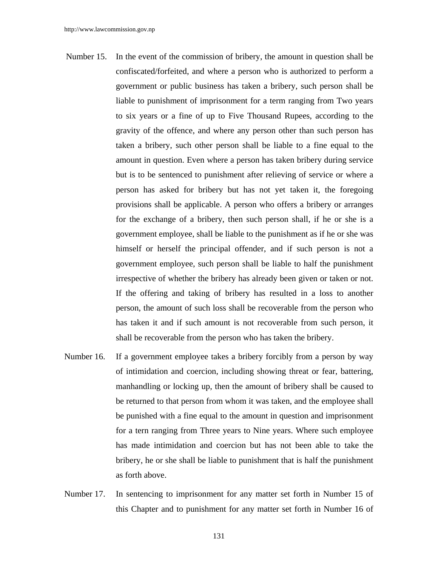- Number 15. In the event of the commission of bribery, the amount in question shall be confiscated/forfeited, and where a person who is authorized to perform a government or public business has taken a bribery, such person shall be liable to punishment of imprisonment for a term ranging from Two years to six years or a fine of up to Five Thousand Rupees, according to the gravity of the offence, and where any person other than such person has taken a bribery, such other person shall be liable to a fine equal to the amount in question. Even where a person has taken bribery during service but is to be sentenced to punishment after relieving of service or where a person has asked for bribery but has not yet taken it, the foregoing provisions shall be applicable. A person who offers a bribery or arranges for the exchange of a bribery, then such person shall, if he or she is a government employee, shall be liable to the punishment as if he or she was himself or herself the principal offender, and if such person is not a government employee, such person shall be liable to half the punishment irrespective of whether the bribery has already been given or taken or not. If the offering and taking of bribery has resulted in a loss to another person, the amount of such loss shall be recoverable from the person who has taken it and if such amount is not recoverable from such person, it shall be recoverable from the person who has taken the bribery.
- Number 16. If a government employee takes a bribery forcibly from a person by way of intimidation and coercion, including showing threat or fear, battering, manhandling or locking up, then the amount of bribery shall be caused to be returned to that person from whom it was taken, and the employee shall be punished with a fine equal to the amount in question and imprisonment for a tern ranging from Three years to Nine years. Where such employee has made intimidation and coercion but has not been able to take the bribery, he or she shall be liable to punishment that is half the punishment as forth above.
- Number 17. In sentencing to imprisonment for any matter set forth in Number 15 of this Chapter and to punishment for any matter set forth in Number 16 of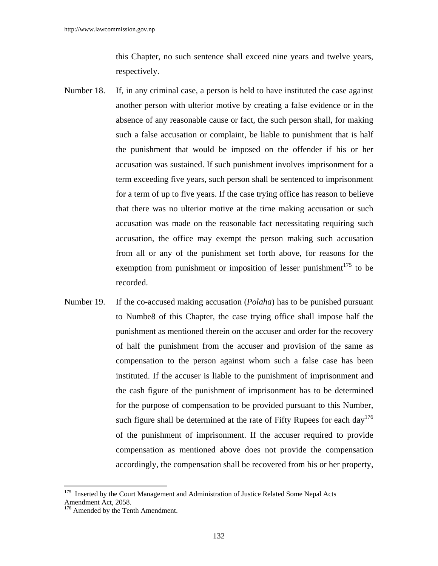this Chapter, no such sentence shall exceed nine years and twelve years, respectively.

- Number 18. If, in any criminal case, a person is held to have instituted the case against another person with ulterior motive by creating a false evidence or in the absence of any reasonable cause or fact, the such person shall, for making such a false accusation or complaint, be liable to punishment that is half the punishment that would be imposed on the offender if his or her accusation was sustained. If such punishment involves imprisonment for a term exceeding five years, such person shall be sentenced to imprisonment for a term of up to five years. If the case trying office has reason to believe that there was no ulterior motive at the time making accusation or such accusation was made on the reasonable fact necessitating requiring such accusation, the office may exempt the person making such accusation from all or any of the punishment set forth above, for reasons for the exemption from punishment or imposition of lesser punishment<sup>175</sup> to be recorded.
- Number 19. If the co-accused making accusation (*Polaha*) has to be punished pursuant to Numbe8 of this Chapter, the case trying office shall impose half the punishment as mentioned therein on the accuser and order for the recovery of half the punishment from the accuser and provision of the same as compensation to the person against whom such a false case has been instituted. If the accuser is liable to the punishment of imprisonment and the cash figure of the punishment of imprisonment has to be determined for the purpose of compensation to be provided pursuant to this Number, such figure shall be determined <u>at the rate of Fifty Rupees for each day<sup>176</sup></u> of the punishment of imprisonment. If the accuser required to provide compensation as mentioned above does not provide the compensation accordingly, the compensation shall be recovered from his or her property,

<sup>&</sup>lt;sup>175</sup> Inserted by the Court Management and Administration of Justice Related Some Nepal Acts Amendment Act, 2058.

<sup>&</sup>lt;sup>176</sup> Amended by the Tenth Amendment.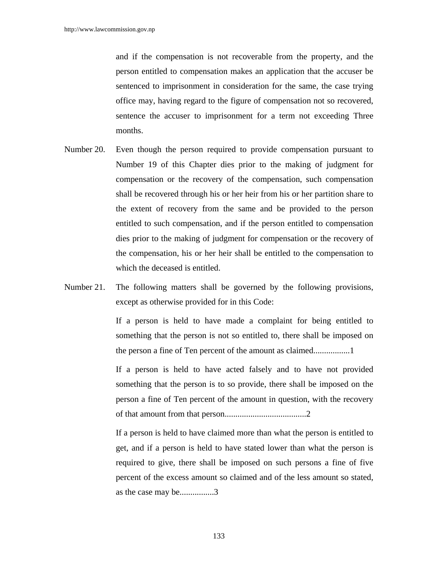and if the compensation is not recoverable from the property, and the person entitled to compensation makes an application that the accuser be sentenced to imprisonment in consideration for the same, the case trying office may, having regard to the figure of compensation not so recovered, sentence the accuser to imprisonment for a term not exceeding Three months.

- Number 20. Even though the person required to provide compensation pursuant to Number 19 of this Chapter dies prior to the making of judgment for compensation or the recovery of the compensation, such compensation shall be recovered through his or her heir from his or her partition share to the extent of recovery from the same and be provided to the person entitled to such compensation, and if the person entitled to compensation dies prior to the making of judgment for compensation or the recovery of the compensation, his or her heir shall be entitled to the compensation to which the deceased is entitled.
- Number 21. The following matters shall be governed by the following provisions, except as otherwise provided for in this Code:

If a person is held to have made a complaint for being entitled to something that the person is not so entitled to, there shall be imposed on the person a fine of Ten percent of the amount as claimed.................1

If a person is held to have acted falsely and to have not provided something that the person is to so provide, there shall be imposed on the person a fine of Ten percent of the amount in question, with the recovery of that amount from that person......................................2

If a person is held to have claimed more than what the person is entitled to get, and if a person is held to have stated lower than what the person is required to give, there shall be imposed on such persons a fine of five percent of the excess amount so claimed and of the less amount so stated, as the case may be................3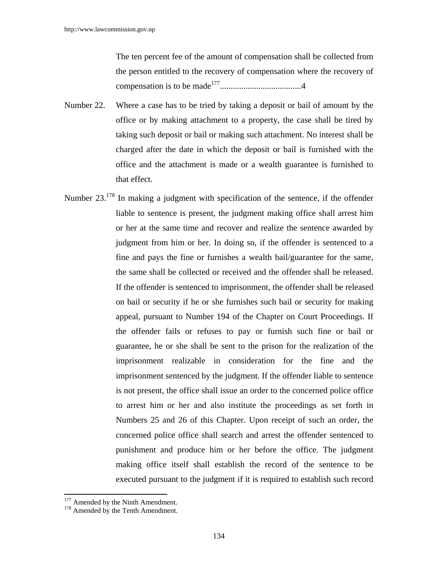The ten percent fee of the amount of compensation shall be collected from the person entitled to the recovery of compensation where the recovery of compensation is to be made177......................................4

- Number 22. Where a case has to be tried by taking a deposit or bail of amount by the office or by making attachment to a property, the case shall be tired by taking such deposit or bail or making such attachment. No interest shall be charged after the date in which the deposit or bail is furnished with the office and the attachment is made or a wealth guarantee is furnished to that effect.
- Number 23.<sup>178</sup> In making a judgment with specification of the sentence, if the offender liable to sentence is present, the judgment making office shall arrest him or her at the same time and recover and realize the sentence awarded by judgment from him or her. In doing so, if the offender is sentenced to a fine and pays the fine or furnishes a wealth bail/guarantee for the same, the same shall be collected or received and the offender shall be released. If the offender is sentenced to imprisonment, the offender shall be released on bail or security if he or she furnishes such bail or security for making appeal, pursuant to Number 194 of the Chapter on Court Proceedings. If the offender fails or refuses to pay or furnish such fine or bail or guarantee, he or she shall be sent to the prison for the realization of the imprisonment realizable in consideration for the fine and the imprisonment sentenced by the judgment. If the offender liable to sentence is not present, the office shall issue an order to the concerned police office to arrest him or her and also institute the proceedings as set forth in Numbers 25 and 26 of this Chapter. Upon receipt of such an order, the concerned police office shall search and arrest the offender sentenced to punishment and produce him or her before the office. The judgment making office itself shall establish the record of the sentence to be executed pursuant to the judgment if it is required to establish such record

 $177$  Amended by the Ninth Amendment.<br> $178$  Amended by the Tenth Amendment.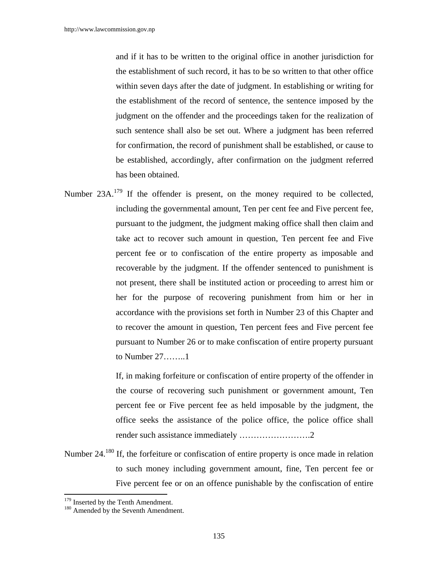and if it has to be written to the original office in another jurisdiction for the establishment of such record, it has to be so written to that other office within seven days after the date of judgment. In establishing or writing for the establishment of the record of sentence, the sentence imposed by the judgment on the offender and the proceedings taken for the realization of such sentence shall also be set out. Where a judgment has been referred for confirmation, the record of punishment shall be established, or cause to be established, accordingly, after confirmation on the judgment referred has been obtained.

Number 23A.<sup>179</sup> If the offender is present, on the money required to be collected, including the governmental amount, Ten per cent fee and Five percent fee, pursuant to the judgment, the judgment making office shall then claim and take act to recover such amount in question, Ten percent fee and Five percent fee or to confiscation of the entire property as imposable and recoverable by the judgment. If the offender sentenced to punishment is not present, there shall be instituted action or proceeding to arrest him or her for the purpose of recovering punishment from him or her in accordance with the provisions set forth in Number 23 of this Chapter and to recover the amount in question, Ten percent fees and Five percent fee pursuant to Number 26 or to make confiscation of entire property pursuant to Number 27……..1

> If, in making forfeiture or confiscation of entire property of the offender in the course of recovering such punishment or government amount, Ten percent fee or Five percent fee as held imposable by the judgment, the office seeks the assistance of the police office, the police office shall render such assistance immediately …………………….2

Number 24.<sup>180</sup> If, the forfeiture or confiscation of entire property is once made in relation to such money including government amount, fine, Ten percent fee or Five percent fee or on an offence punishable by the confiscation of entire

 $179$  Inserted by the Tenth Amendment.<br> $180$  Amended by the Seventh Amendment.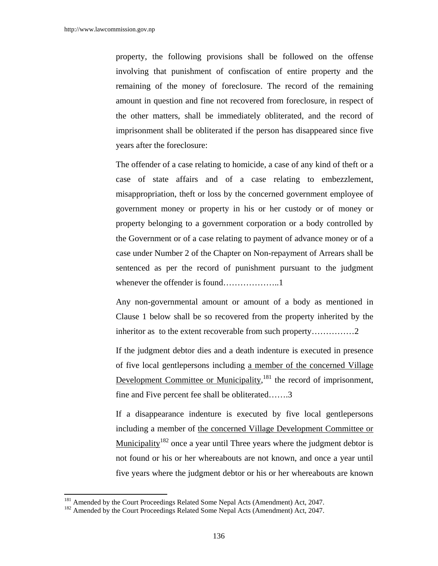property, the following provisions shall be followed on the offense involving that punishment of confiscation of entire property and the remaining of the money of foreclosure. The record of the remaining amount in question and fine not recovered from foreclosure, in respect of the other matters, shall be immediately obliterated, and the record of imprisonment shall be obliterated if the person has disappeared since five years after the foreclosure:

 The offender of a case relating to homicide, a case of any kind of theft or a case of state affairs and of a case relating to embezzlement, misappropriation, theft or loss by the concerned government employee of government money or property in his or her custody or of money or property belonging to a government corporation or a body controlled by the Government or of a case relating to payment of advance money or of a case under Number 2 of the Chapter on Non-repayment of Arrears shall be sentenced as per the record of punishment pursuant to the judgment whenever the offender is found………………..1

 Any non-governmental amount or amount of a body as mentioned in Clause 1 below shall be so recovered from the property inherited by the inheritor as to the extent recoverable from such property……………2

 If the judgment debtor dies and a death indenture is executed in presence of five local gentlepersons including a member of the concerned Village Development Committee or Municipality,<sup>181</sup> the record of imprisonment, fine and Five percent fee shall be obliterated…….3

 If a disappearance indenture is executed by five local gentlepersons including a member of the concerned Village Development Committee or Municipality<sup>182</sup> once a year until Three years where the judgment debtor is not found or his or her whereabouts are not known, and once a year until five years where the judgment debtor or his or her whereabouts are known

<sup>&</sup>lt;sup>181</sup> Amended by the Court Proceedings Related Some Nepal Acts (Amendment) Act, 2047.<br><sup>182</sup> Amended by the Court Proceedings Related Some Nepal Acts (Amendment) Act, 2047.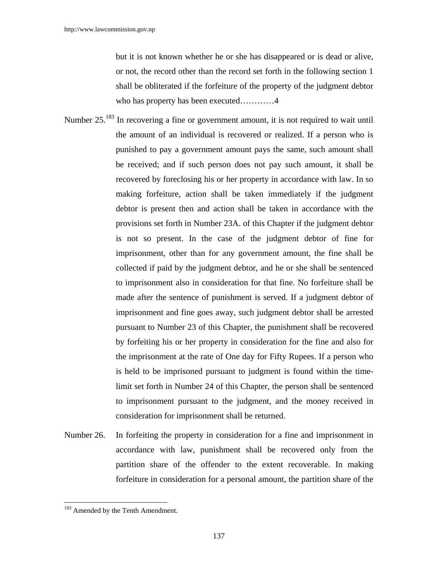but it is not known whether he or she has disappeared or is dead or alive, or not, the record other than the record set forth in the following section 1 shall be obliterated if the forfeiture of the property of the judgment debtor who has property has been executed…………4

- Number 25.<sup>183</sup> In recovering a fine or government amount, it is not required to wait until the amount of an individual is recovered or realized. If a person who is punished to pay a government amount pays the same, such amount shall be received; and if such person does not pay such amount, it shall be recovered by foreclosing his or her property in accordance with law. In so making forfeiture, action shall be taken immediately if the judgment debtor is present then and action shall be taken in accordance with the provisions set forth in Number 23A. of this Chapter if the judgment debtor is not so present. In the case of the judgment debtor of fine for imprisonment, other than for any government amount, the fine shall be collected if paid by the judgment debtor, and he or she shall be sentenced to imprisonment also in consideration for that fine. No forfeiture shall be made after the sentence of punishment is served. If a judgment debtor of imprisonment and fine goes away, such judgment debtor shall be arrested pursuant to Number 23 of this Chapter, the punishment shall be recovered by forfeiting his or her property in consideration for the fine and also for the imprisonment at the rate of One day for Fifty Rupees. If a person who is held to be imprisoned pursuant to judgment is found within the timelimit set forth in Number 24 of this Chapter, the person shall be sentenced to imprisonment pursuant to the judgment, and the money received in consideration for imprisonment shall be returned.
- Number 26. In forfeiting the property in consideration for a fine and imprisonment in accordance with law, punishment shall be recovered only from the partition share of the offender to the extent recoverable. In making forfeiture in consideration for a personal amount, the partition share of the

<sup>&</sup>lt;sup>183</sup> Amended by the Tenth Amendment.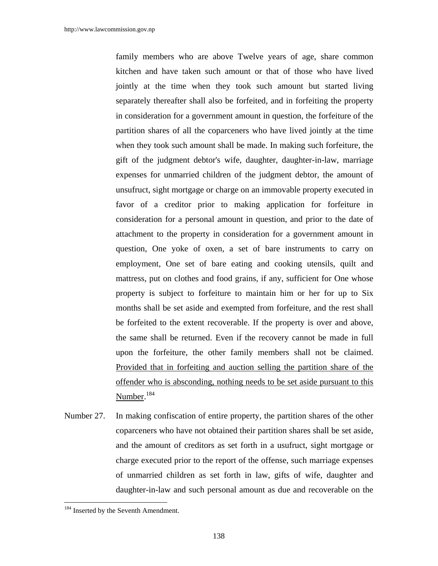family members who are above Twelve years of age, share common kitchen and have taken such amount or that of those who have lived jointly at the time when they took such amount but started living separately thereafter shall also be forfeited, and in forfeiting the property in consideration for a government amount in question, the forfeiture of the partition shares of all the coparceners who have lived jointly at the time when they took such amount shall be made. In making such forfeiture, the gift of the judgment debtor's wife, daughter, daughter-in-law, marriage expenses for unmarried children of the judgment debtor, the amount of unsufruct, sight mortgage or charge on an immovable property executed in favor of a creditor prior to making application for forfeiture in consideration for a personal amount in question, and prior to the date of attachment to the property in consideration for a government amount in question, One yoke of oxen, a set of bare instruments to carry on employment, One set of bare eating and cooking utensils, quilt and mattress, put on clothes and food grains, if any, sufficient for One whose property is subject to forfeiture to maintain him or her for up to Six months shall be set aside and exempted from forfeiture, and the rest shall be forfeited to the extent recoverable. If the property is over and above, the same shall be returned. Even if the recovery cannot be made in full upon the forfeiture, the other family members shall not be claimed. Provided that in forfeiting and auction selling the partition share of the offender who is absconding, nothing needs to be set aside pursuant to this Number. 184

Number 27. In making confiscation of entire property, the partition shares of the other coparceners who have not obtained their partition shares shall be set aside, and the amount of creditors as set forth in a usufruct, sight mortgage or charge executed prior to the report of the offense, such marriage expenses of unmarried children as set forth in law, gifts of wife, daughter and daughter-in-law and such personal amount as due and recoverable on the

<sup>&</sup>lt;sup>184</sup> Inserted by the Seventh Amendment.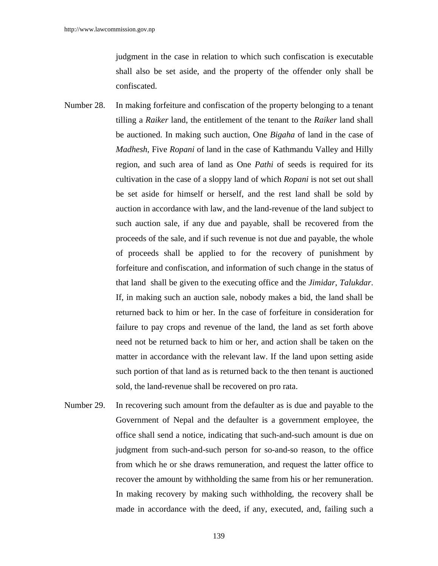judgment in the case in relation to which such confiscation is executable shall also be set aside, and the property of the offender only shall be confiscated.

- Number 28. In making forfeiture and confiscation of the property belonging to a tenant tilling a *Raiker* land, the entitlement of the tenant to the *Raiker* land shall be auctioned. In making such auction, One *Bigaha* of land in the case of *Madhesh*, Five *Ropani* of land in the case of Kathmandu Valley and Hilly region, and such area of land as One *Pathi* of seeds is required for its cultivation in the case of a sloppy land of which *Ropani* is not set out shall be set aside for himself or herself, and the rest land shall be sold by auction in accordance with law, and the land-revenue of the land subject to such auction sale, if any due and payable, shall be recovered from the proceeds of the sale, and if such revenue is not due and payable, the whole of proceeds shall be applied to for the recovery of punishment by forfeiture and confiscation, and information of such change in the status of that land shall be given to the executing office and the *Jimidar*, *Talukdar*. If, in making such an auction sale, nobody makes a bid, the land shall be returned back to him or her. In the case of forfeiture in consideration for failure to pay crops and revenue of the land, the land as set forth above need not be returned back to him or her, and action shall be taken on the matter in accordance with the relevant law. If the land upon setting aside such portion of that land as is returned back to the then tenant is auctioned sold, the land-revenue shall be recovered on pro rata.
- Number 29. In recovering such amount from the defaulter as is due and payable to the Government of Nepal and the defaulter is a government employee, the office shall send a notice, indicating that such-and-such amount is due on judgment from such-and-such person for so-and-so reason, to the office from which he or she draws remuneration, and request the latter office to recover the amount by withholding the same from his or her remuneration. In making recovery by making such withholding, the recovery shall be made in accordance with the deed, if any, executed, and, failing such a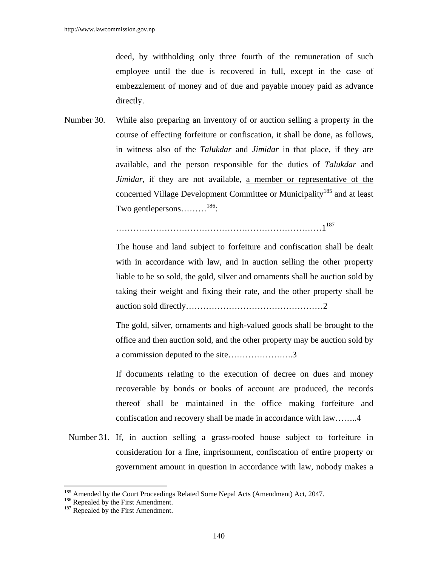deed, by withholding only three fourth of the remuneration of such employee until the due is recovered in full, except in the case of embezzlement of money and of due and payable money paid as advance directly.

Number 30. While also preparing an inventory of or auction selling a property in the course of effecting forfeiture or confiscation, it shall be done, as follows, in witness also of the *Talukdar* and *Jimidar* in that place, if they are available, and the person responsible for the duties of *Talukdar* and *Jimidar*, if they are not available, a member or representative of the concerned Village Development Committee or Municipality<sup>185</sup> and at least Two gentlepersons………186:

……………………………………………………………………………1<sup>187</sup>

 The house and land subject to forfeiture and confiscation shall be dealt with in accordance with law, and in auction selling the other property liable to be so sold, the gold, silver and ornaments shall be auction sold by taking their weight and fixing their rate, and the other property shall be auction sold directly…………………………………………2

 The gold, silver, ornaments and high-valued goods shall be brought to the office and then auction sold, and the other property may be auction sold by a commission deputed to the site…………………..3

 If documents relating to the execution of decree on dues and money recoverable by bonds or books of account are produced, the records thereof shall be maintained in the office making forfeiture and confiscation and recovery shall be made in accordance with law……..4

 Number 31. If, in auction selling a grass-roofed house subject to forfeiture in consideration for a fine, imprisonment, confiscation of entire property or government amount in question in accordance with law, nobody makes a

<sup>&</sup>lt;sup>185</sup> Amended by the Court Proceedings Related Some Nepal Acts (Amendment) Act, 2047.<br><sup>186</sup> Repealed by the First Amendment. <sup>187</sup> Repealed by the First Amendment.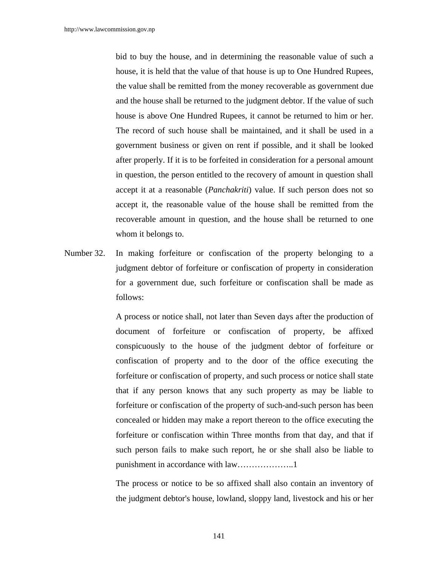bid to buy the house, and in determining the reasonable value of such a house, it is held that the value of that house is up to One Hundred Rupees, the value shall be remitted from the money recoverable as government due and the house shall be returned to the judgment debtor. If the value of such house is above One Hundred Rupees, it cannot be returned to him or her. The record of such house shall be maintained, and it shall be used in a government business or given on rent if possible, and it shall be looked after properly. If it is to be forfeited in consideration for a personal amount in question, the person entitled to the recovery of amount in question shall accept it at a reasonable (*Panchakriti*) value. If such person does not so accept it, the reasonable value of the house shall be remitted from the recoverable amount in question, and the house shall be returned to one whom it belongs to.

Number 32. In making forfeiture or confiscation of the property belonging to a judgment debtor of forfeiture or confiscation of property in consideration for a government due, such forfeiture or confiscation shall be made as follows:

> A process or notice shall, not later than Seven days after the production of document of forfeiture or confiscation of property, be affixed conspicuously to the house of the judgment debtor of forfeiture or confiscation of property and to the door of the office executing the forfeiture or confiscation of property, and such process or notice shall state that if any person knows that any such property as may be liable to forfeiture or confiscation of the property of such-and-such person has been concealed or hidden may make a report thereon to the office executing the forfeiture or confiscation within Three months from that day, and that if such person fails to make such report, he or she shall also be liable to punishment in accordance with law………………..1

> The process or notice to be so affixed shall also contain an inventory of the judgment debtor's house, lowland, sloppy land, livestock and his or her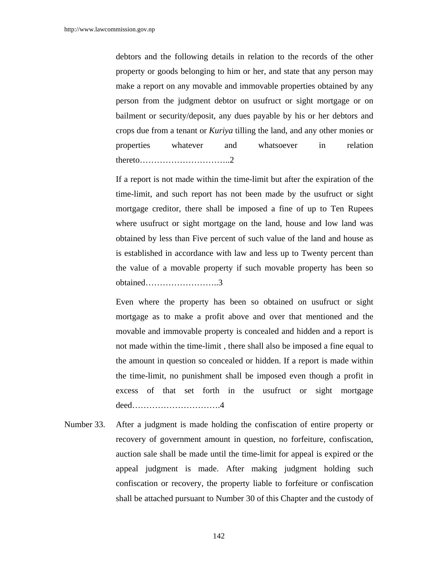debtors and the following details in relation to the records of the other property or goods belonging to him or her, and state that any person may make a report on any movable and immovable properties obtained by any person from the judgment debtor on usufruct or sight mortgage or on bailment or security/deposit, any dues payable by his or her debtors and crops due from a tenant or *Kuriya* tilling the land, and any other monies or properties whatever and whatsoever in relation thereto…………………………..2

If a report is not made within the time-limit but after the expiration of the time-limit, and such report has not been made by the usufruct or sight mortgage creditor, there shall be imposed a fine of up to Ten Rupees where usufruct or sight mortgage on the land, house and low land was obtained by less than Five percent of such value of the land and house as is established in accordance with law and less up to Twenty percent than the value of a movable property if such movable property has been so obtained……………………..3

Even where the property has been so obtained on usufruct or sight mortgage as to make a profit above and over that mentioned and the movable and immovable property is concealed and hidden and a report is not made within the time-limit , there shall also be imposed a fine equal to the amount in question so concealed or hidden. If a report is made within the time-limit, no punishment shall be imposed even though a profit in excess of that set forth in the usufruct or sight mortgage deed………………………….4

Number 33. After a judgment is made holding the confiscation of entire property or recovery of government amount in question, no forfeiture, confiscation, auction sale shall be made until the time-limit for appeal is expired or the appeal judgment is made. After making judgment holding such confiscation or recovery, the property liable to forfeiture or confiscation shall be attached pursuant to Number 30 of this Chapter and the custody of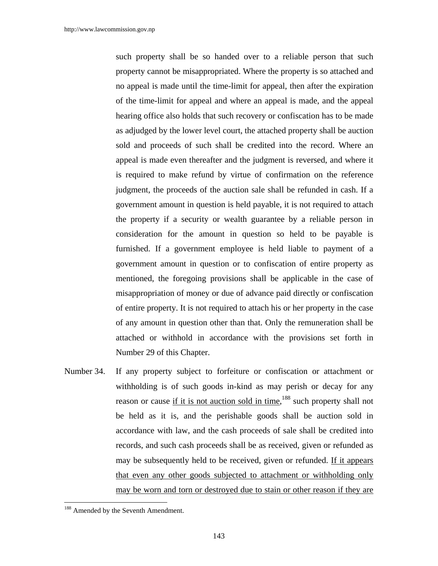such property shall be so handed over to a reliable person that such property cannot be misappropriated. Where the property is so attached and no appeal is made until the time-limit for appeal, then after the expiration of the time-limit for appeal and where an appeal is made, and the appeal hearing office also holds that such recovery or confiscation has to be made as adjudged by the lower level court, the attached property shall be auction sold and proceeds of such shall be credited into the record. Where an appeal is made even thereafter and the judgment is reversed, and where it is required to make refund by virtue of confirmation on the reference judgment, the proceeds of the auction sale shall be refunded in cash. If a government amount in question is held payable, it is not required to attach the property if a security or wealth guarantee by a reliable person in consideration for the amount in question so held to be payable is furnished. If a government employee is held liable to payment of a government amount in question or to confiscation of entire property as mentioned, the foregoing provisions shall be applicable in the case of misappropriation of money or due of advance paid directly or confiscation of entire property. It is not required to attach his or her property in the case of any amount in question other than that. Only the remuneration shall be attached or withhold in accordance with the provisions set forth in Number 29 of this Chapter.

Number 34. If any property subject to forfeiture or confiscation or attachment or withholding is of such goods in-kind as may perish or decay for any reason or cause if it is not auction sold in time,<sup>188</sup> such property shall not be held as it is, and the perishable goods shall be auction sold in accordance with law, and the cash proceeds of sale shall be credited into records, and such cash proceeds shall be as received, given or refunded as may be subsequently held to be received, given or refunded. If it appears that even any other goods subjected to attachment or withholding only may be worn and torn or destroyed due to stain or other reason if they are

<sup>&</sup>lt;sup>188</sup> Amended by the Seventh Amendment.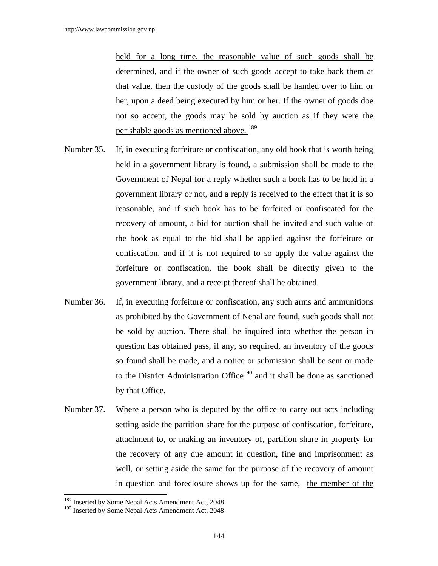held for a long time, the reasonable value of such goods shall be determined, and if the owner of such goods accept to take back them at that value, then the custody of the goods shall be handed over to him or her, upon a deed being executed by him or her. If the owner of goods doe not so accept, the goods may be sold by auction as if they were the perishable goods as mentioned above. <sup>189</sup>

- Number 35. If, in executing forfeiture or confiscation, any old book that is worth being held in a government library is found, a submission shall be made to the Government of Nepal for a reply whether such a book has to be held in a government library or not, and a reply is received to the effect that it is so reasonable, and if such book has to be forfeited or confiscated for the recovery of amount, a bid for auction shall be invited and such value of the book as equal to the bid shall be applied against the forfeiture or confiscation, and if it is not required to so apply the value against the forfeiture or confiscation, the book shall be directly given to the government library, and a receipt thereof shall be obtained.
- Number 36. If, in executing forfeiture or confiscation, any such arms and ammunitions as prohibited by the Government of Nepal are found, such goods shall not be sold by auction. There shall be inquired into whether the person in question has obtained pass, if any, so required, an inventory of the goods so found shall be made, and a notice or submission shall be sent or made to the District Administration Office<sup>190</sup> and it shall be done as sanctioned by that Office.
- Number 37. Where a person who is deputed by the office to carry out acts including setting aside the partition share for the purpose of confiscation, forfeiture, attachment to, or making an inventory of, partition share in property for the recovery of any due amount in question, fine and imprisonment as well, or setting aside the same for the purpose of the recovery of amount in question and foreclosure shows up for the same, the member of the

<sup>&</sup>lt;sup>189</sup> Inserted by Some Nepal Acts Amendment Act, 2048

<sup>&</sup>lt;sup>190</sup> Inserted by Some Nepal Acts Amendment Act, 2048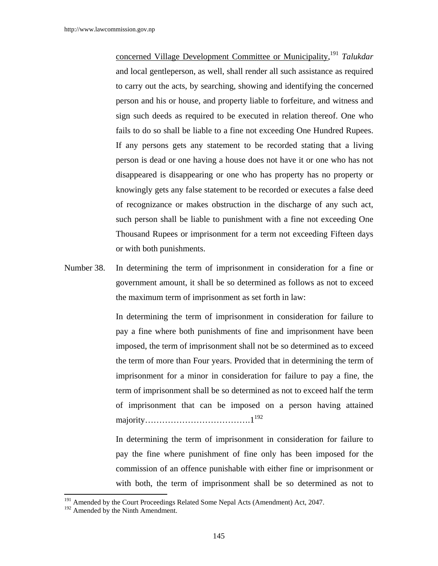concerned Village Development Committee or Municipality, <sup>191</sup> *Talukdar*  and local gentleperson, as well, shall render all such assistance as required to carry out the acts, by searching, showing and identifying the concerned person and his or house, and property liable to forfeiture, and witness and sign such deeds as required to be executed in relation thereof. One who fails to do so shall be liable to a fine not exceeding One Hundred Rupees. If any persons gets any statement to be recorded stating that a living person is dead or one having a house does not have it or one who has not disappeared is disappearing or one who has property has no property or knowingly gets any false statement to be recorded or executes a false deed of recognizance or makes obstruction in the discharge of any such act, such person shall be liable to punishment with a fine not exceeding One Thousand Rupees or imprisonment for a term not exceeding Fifteen days or with both punishments.

Number 38. In determining the term of imprisonment in consideration for a fine or government amount, it shall be so determined as follows as not to exceed the maximum term of imprisonment as set forth in law:

> In determining the term of imprisonment in consideration for failure to pay a fine where both punishments of fine and imprisonment have been imposed, the term of imprisonment shall not be so determined as to exceed the term of more than Four years. Provided that in determining the term of imprisonment for a minor in consideration for failure to pay a fine, the term of imprisonment shall be so determined as not to exceed half the term of imprisonment that can be imposed on a person having attained majority……………………………….1192

> In determining the term of imprisonment in consideration for failure to pay the fine where punishment of fine only has been imposed for the commission of an offence punishable with either fine or imprisonment or with both, the term of imprisonment shall be so determined as not to

 $\overline{a}$ 

<sup>&</sup>lt;sup>191</sup> Amended by the Court Proceedings Related Some Nepal Acts (Amendment) Act, 2047.

<sup>&</sup>lt;sup>192</sup> Amended by the Ninth Amendment.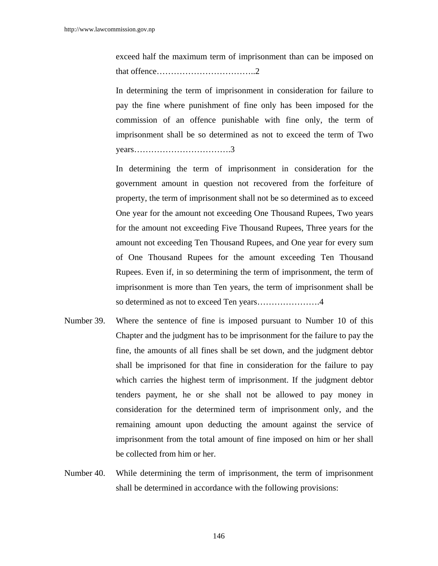exceed half the maximum term of imprisonment than can be imposed on that offence……………………………..2

 In determining the term of imprisonment in consideration for failure to pay the fine where punishment of fine only has been imposed for the commission of an offence punishable with fine only, the term of imprisonment shall be so determined as not to exceed the term of Two years…………………………….3

 In determining the term of imprisonment in consideration for the government amount in question not recovered from the forfeiture of property, the term of imprisonment shall not be so determined as to exceed One year for the amount not exceeding One Thousand Rupees, Two years for the amount not exceeding Five Thousand Rupees, Three years for the amount not exceeding Ten Thousand Rupees, and One year for every sum of One Thousand Rupees for the amount exceeding Ten Thousand Rupees. Even if, in so determining the term of imprisonment, the term of imprisonment is more than Ten years, the term of imprisonment shall be so determined as not to exceed Ten years………………….4

- Number 39. Where the sentence of fine is imposed pursuant to Number 10 of this Chapter and the judgment has to be imprisonment for the failure to pay the fine, the amounts of all fines shall be set down, and the judgment debtor shall be imprisoned for that fine in consideration for the failure to pay which carries the highest term of imprisonment. If the judgment debtor tenders payment, he or she shall not be allowed to pay money in consideration for the determined term of imprisonment only, and the remaining amount upon deducting the amount against the service of imprisonment from the total amount of fine imposed on him or her shall be collected from him or her.
- Number 40. While determining the term of imprisonment, the term of imprisonment shall be determined in accordance with the following provisions: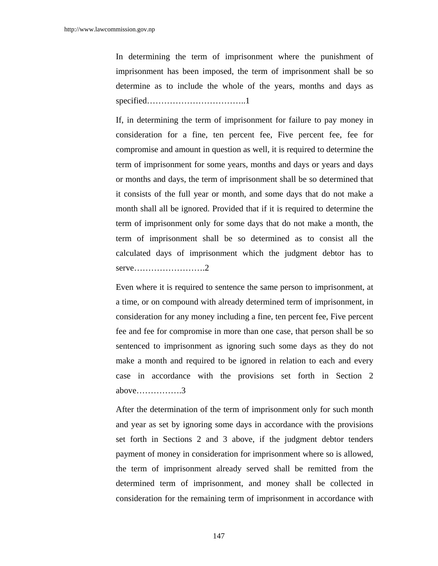In determining the term of imprisonment where the punishment of imprisonment has been imposed, the term of imprisonment shall be so determine as to include the whole of the years, months and days as specified……………………………..1

If, in determining the term of imprisonment for failure to pay money in consideration for a fine, ten percent fee, Five percent fee, fee for compromise and amount in question as well, it is required to determine the term of imprisonment for some years, months and days or years and days or months and days, the term of imprisonment shall be so determined that it consists of the full year or month, and some days that do not make a month shall all be ignored. Provided that if it is required to determine the term of imprisonment only for some days that do not make a month, the term of imprisonment shall be so determined as to consist all the calculated days of imprisonment which the judgment debtor has to serve…………………….2

Even where it is required to sentence the same person to imprisonment, at a time, or on compound with already determined term of imprisonment, in consideration for any money including a fine, ten percent fee, Five percent fee and fee for compromise in more than one case, that person shall be so sentenced to imprisonment as ignoring such some days as they do not make a month and required to be ignored in relation to each and every case in accordance with the provisions set forth in Section 2 above…………….3

After the determination of the term of imprisonment only for such month and year as set by ignoring some days in accordance with the provisions set forth in Sections 2 and 3 above, if the judgment debtor tenders payment of money in consideration for imprisonment where so is allowed, the term of imprisonment already served shall be remitted from the determined term of imprisonment, and money shall be collected in consideration for the remaining term of imprisonment in accordance with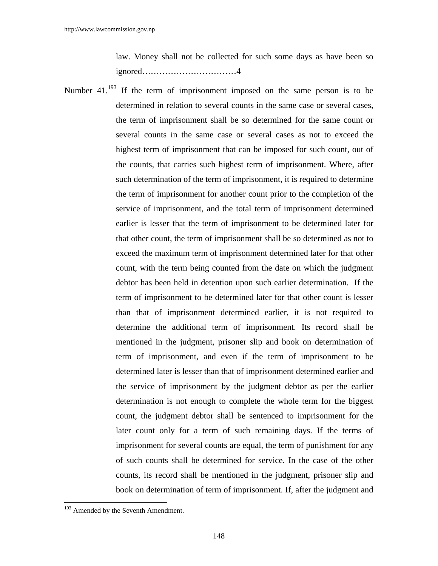law. Money shall not be collected for such some days as have been so ignored……………………………4

Number  $41^{193}$  If the term of imprisonment imposed on the same person is to be determined in relation to several counts in the same case or several cases, the term of imprisonment shall be so determined for the same count or several counts in the same case or several cases as not to exceed the highest term of imprisonment that can be imposed for such count, out of the counts, that carries such highest term of imprisonment. Where, after such determination of the term of imprisonment, it is required to determine the term of imprisonment for another count prior to the completion of the service of imprisonment, and the total term of imprisonment determined earlier is lesser that the term of imprisonment to be determined later for that other count, the term of imprisonment shall be so determined as not to exceed the maximum term of imprisonment determined later for that other count, with the term being counted from the date on which the judgment debtor has been held in detention upon such earlier determination. If the term of imprisonment to be determined later for that other count is lesser than that of imprisonment determined earlier, it is not required to determine the additional term of imprisonment. Its record shall be mentioned in the judgment, prisoner slip and book on determination of term of imprisonment, and even if the term of imprisonment to be determined later is lesser than that of imprisonment determined earlier and the service of imprisonment by the judgment debtor as per the earlier determination is not enough to complete the whole term for the biggest count, the judgment debtor shall be sentenced to imprisonment for the later count only for a term of such remaining days. If the terms of imprisonment for several counts are equal, the term of punishment for any of such counts shall be determined for service. In the case of the other counts, its record shall be mentioned in the judgment, prisoner slip and book on determination of term of imprisonment. If, after the judgment and

<sup>&</sup>lt;sup>193</sup> Amended by the Seventh Amendment.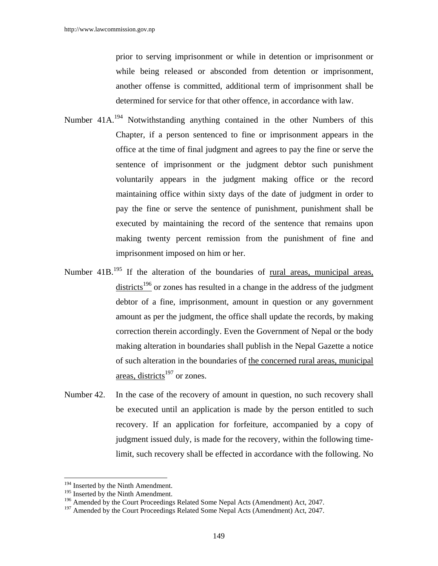prior to serving imprisonment or while in detention or imprisonment or while being released or absconded from detention or imprisonment, another offense is committed, additional term of imprisonment shall be determined for service for that other offence, in accordance with law.

- Number 41A.<sup>194</sup> Notwithstanding anything contained in the other Numbers of this Chapter, if a person sentenced to fine or imprisonment appears in the office at the time of final judgment and agrees to pay the fine or serve the sentence of imprisonment or the judgment debtor such punishment voluntarily appears in the judgment making office or the record maintaining office within sixty days of the date of judgment in order to pay the fine or serve the sentence of punishment, punishment shall be executed by maintaining the record of the sentence that remains upon making twenty percent remission from the punishment of fine and imprisonment imposed on him or her.
- Number 41B.<sup>195</sup> If the alteration of the boundaries of <u>rural areas, municipal areas</u>, districts<sup>196</sup> or zones has resulted in a change in the address of the judgment debtor of a fine, imprisonment, amount in question or any government amount as per the judgment, the office shall update the records, by making correction therein accordingly. Even the Government of Nepal or the body making alteration in boundaries shall publish in the Nepal Gazette a notice of such alteration in the boundaries of the concerned rural areas, municipal areas, districts<sup>197</sup> or zones.
- Number 42. In the case of the recovery of amount in question, no such recovery shall be executed until an application is made by the person entitled to such recovery. If an application for forfeiture, accompanied by a copy of judgment issued duly, is made for the recovery, within the following timelimit, such recovery shall be effected in accordance with the following. No

<sup>&</sup>lt;sup>194</sup> Inserted by the Ninth Amendment.

 $195$  Inserted by the Ninth Amendment.

<sup>&</sup>lt;sup>196</sup> Amended by the Court Proceedings Related Some Nepal Acts (Amendment) Act, 2047.

<sup>&</sup>lt;sup>197</sup> Amended by the Court Proceedings Related Some Nepal Acts (Amendment) Act, 2047.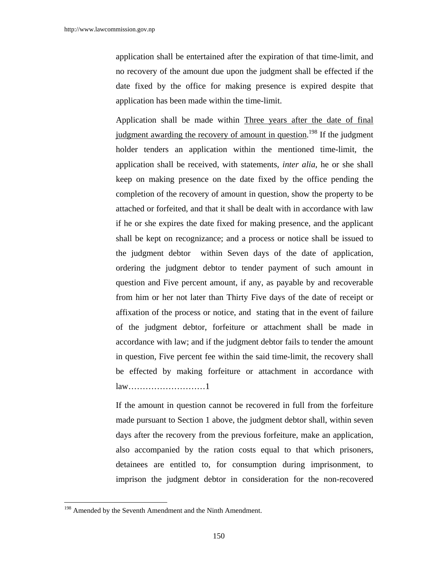application shall be entertained after the expiration of that time-limit, and no recovery of the amount due upon the judgment shall be effected if the date fixed by the office for making presence is expired despite that application has been made within the time-limit.

 Application shall be made within Three years after the date of final judgment awarding the recovery of amount in question.<sup>198</sup> If the judgment holder tenders an application within the mentioned time-limit, the application shall be received, with statements, *inter alia*, he or she shall keep on making presence on the date fixed by the office pending the completion of the recovery of amount in question, show the property to be attached or forfeited, and that it shall be dealt with in accordance with law if he or she expires the date fixed for making presence, and the applicant shall be kept on recognizance; and a process or notice shall be issued to the judgment debtor within Seven days of the date of application, ordering the judgment debtor to tender payment of such amount in question and Five percent amount, if any, as payable by and recoverable from him or her not later than Thirty Five days of the date of receipt or affixation of the process or notice, and stating that in the event of failure of the judgment debtor, forfeiture or attachment shall be made in accordance with law; and if the judgment debtor fails to tender the amount in question, Five percent fee within the said time-limit, the recovery shall be effected by making forfeiture or attachment in accordance with law………………………1

 If the amount in question cannot be recovered in full from the forfeiture made pursuant to Section 1 above, the judgment debtor shall, within seven days after the recovery from the previous forfeiture, make an application, also accompanied by the ration costs equal to that which prisoners, detainees are entitled to, for consumption during imprisonment, to imprison the judgment debtor in consideration for the non-recovered

<sup>&</sup>lt;sup>198</sup> Amended by the Seventh Amendment and the Ninth Amendment.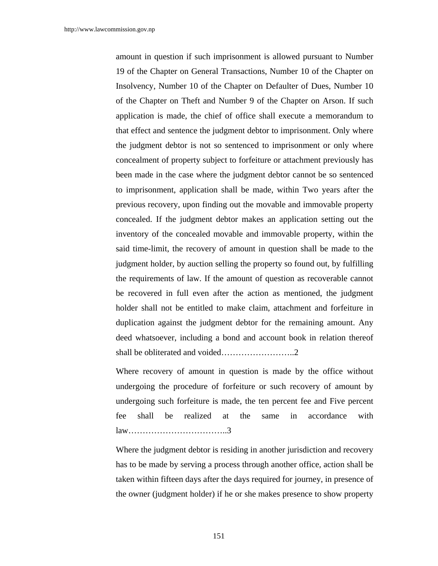amount in question if such imprisonment is allowed pursuant to Number 19 of the Chapter on General Transactions, Number 10 of the Chapter on Insolvency, Number 10 of the Chapter on Defaulter of Dues, Number 10 of the Chapter on Theft and Number 9 of the Chapter on Arson. If such application is made, the chief of office shall execute a memorandum to that effect and sentence the judgment debtor to imprisonment. Only where the judgment debtor is not so sentenced to imprisonment or only where concealment of property subject to forfeiture or attachment previously has been made in the case where the judgment debtor cannot be so sentenced to imprisonment, application shall be made, within Two years after the previous recovery, upon finding out the movable and immovable property concealed. If the judgment debtor makes an application setting out the inventory of the concealed movable and immovable property, within the said time-limit, the recovery of amount in question shall be made to the judgment holder, by auction selling the property so found out, by fulfilling the requirements of law. If the amount of question as recoverable cannot be recovered in full even after the action as mentioned, the judgment holder shall not be entitled to make claim, attachment and forfeiture in duplication against the judgment debtor for the remaining amount. Any deed whatsoever, including a bond and account book in relation thereof shall be obliterated and voided……………………..2

 Where recovery of amount in question is made by the office without undergoing the procedure of forfeiture or such recovery of amount by undergoing such forfeiture is made, the ten percent fee and Five percent fee shall be realized at the same in accordance with law……………………………..3

 Where the judgment debtor is residing in another jurisdiction and recovery has to be made by serving a process through another office, action shall be taken within fifteen days after the days required for journey, in presence of the owner (judgment holder) if he or she makes presence to show property

151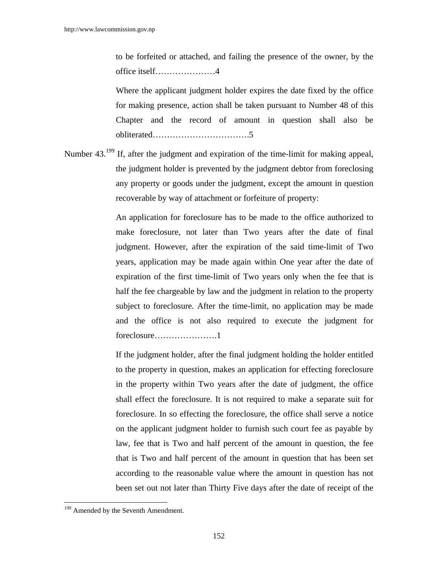to be forfeited or attached, and failing the presence of the owner, by the office itself…………………4

 Where the applicant judgment holder expires the date fixed by the office for making presence, action shall be taken pursuant to Number 48 of this Chapter and the record of amount in question shall also be obliterated…………………………….5

Number 43.<sup>199</sup> If, after the judgment and expiration of the time-limit for making appeal, the judgment holder is prevented by the judgment debtor from foreclosing any property or goods under the judgment, except the amount in question recoverable by way of attachment or forfeiture of property:

> An application for foreclosure has to be made to the office authorized to make foreclosure, not later than Two years after the date of final judgment. However, after the expiration of the said time-limit of Two years, application may be made again within One year after the date of expiration of the first time-limit of Two years only when the fee that is half the fee chargeable by law and the judgment in relation to the property subject to foreclosure. After the time-limit, no application may be made and the office is not also required to execute the judgment for foreclosure………………….1

> If the judgment holder, after the final judgment holding the holder entitled to the property in question, makes an application for effecting foreclosure in the property within Two years after the date of judgment, the office shall effect the foreclosure. It is not required to make a separate suit for foreclosure. In so effecting the foreclosure, the office shall serve a notice on the applicant judgment holder to furnish such court fee as payable by law, fee that is Two and half percent of the amount in question, the fee that is Two and half percent of the amount in question that has been set according to the reasonable value where the amount in question has not been set out not later than Thirty Five days after the date of receipt of the

<sup>&</sup>lt;sup>199</sup> Amended by the Seventh Amendment.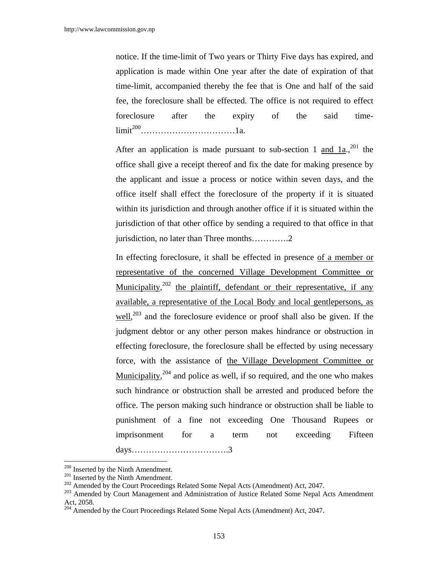notice. If the time-limit of Two years or Thirty Five days has expired, and application is made within One year after the date of expiration of that time-limit, accompanied thereby the fee that is One and half of the said fee, the foreclosure shall be effected. The office is not required to effect foreclosure after the expiry of the said timelimit200……………………………1a.

After an application is made pursuant to sub-section 1 and  $1a^{201}$  the office shall give a receipt thereof and fix the date for making presence by the applicant and issue a process or notice within seven days, and the office itself shall effect the foreclosure of the property if it is situated within its jurisdiction and through another office if it is situated within the jurisdiction of that other office by sending a required to that office in that jurisdiction, no later than Three months………….2

 In effecting foreclosure, it shall be effected in presence of a member or representative of the concerned Village Development Committee or Municipality,<sup>202</sup> the plaintiff, defendant or their representative, if any available, a representative of the Local Body and local gentlepersons, as  $\frac{\text{well}}{203}$  and the foreclosure evidence or proof shall also be given. If the judgment debtor or any other person makes hindrance or obstruction in effecting foreclosure, the foreclosure shall be effected by using necessary force, with the assistance of the Village Development Committee or Municipality,<sup>204</sup> and police as well, if so required, and the one who makes such hindrance or obstruction shall be arrested and produced before the office. The person making such hindrance or obstruction shall be liable to punishment of a fine not exceeding One Thousand Rupees or imprisonment for a term not exceeding Fifteen days…………………………….3

<sup>&</sup>lt;sup>200</sup> Inserted by the Ninth Amendment.

<sup>&</sup>lt;sup>201</sup> Inserted by the Ninth Amendment.<br><sup>202</sup> Amended by the Court Proceedings Related Some Nepal Acts (Amendment) Act, 2047.<br><sup>203</sup> Amended by Court Management and Administration of Justice Related Some Nepal Acts Amendmen Act, 2058.

<sup>&</sup>lt;sup>204</sup> Amended by the Court Proceedings Related Some Nepal Acts (Amendment) Act, 2047.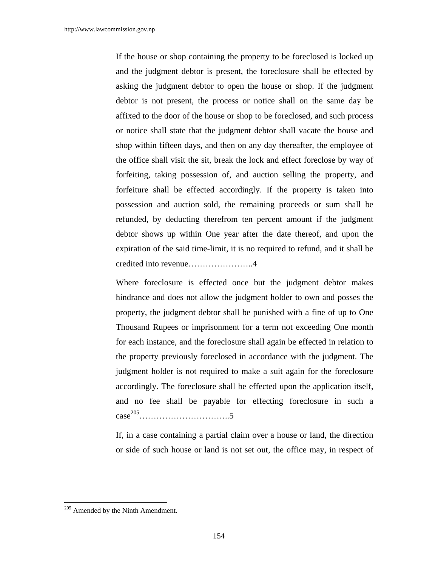If the house or shop containing the property to be foreclosed is locked up and the judgment debtor is present, the foreclosure shall be effected by asking the judgment debtor to open the house or shop. If the judgment debtor is not present, the process or notice shall on the same day be affixed to the door of the house or shop to be foreclosed, and such process or notice shall state that the judgment debtor shall vacate the house and shop within fifteen days, and then on any day thereafter, the employee of the office shall visit the sit, break the lock and effect foreclose by way of forfeiting, taking possession of, and auction selling the property, and forfeiture shall be effected accordingly. If the property is taken into possession and auction sold, the remaining proceeds or sum shall be refunded, by deducting therefrom ten percent amount if the judgment debtor shows up within One year after the date thereof, and upon the expiration of the said time-limit, it is no required to refund, and it shall be credited into revenue…………………..4

Where foreclosure is effected once but the judgment debtor makes hindrance and does not allow the judgment holder to own and posses the property, the judgment debtor shall be punished with a fine of up to One Thousand Rupees or imprisonment for a term not exceeding One month for each instance, and the foreclosure shall again be effected in relation to the property previously foreclosed in accordance with the judgment. The judgment holder is not required to make a suit again for the foreclosure accordingly. The foreclosure shall be effected upon the application itself, and no fee shall be payable for effecting foreclosure in such a case205…………………………..5

 If, in a case containing a partial claim over a house or land, the direction or side of such house or land is not set out, the office may, in respect of

 $205$  Amended by the Ninth Amendment.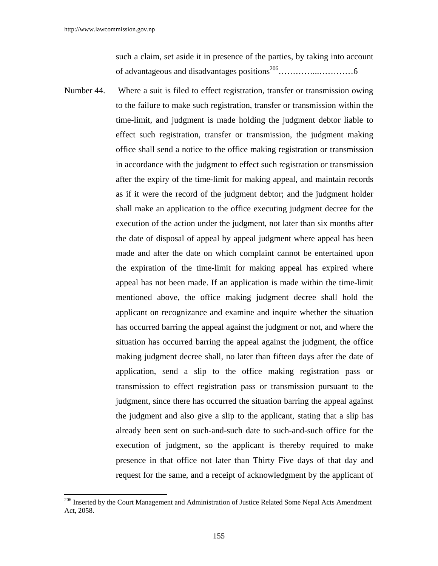$\overline{a}$ 

such a claim, set aside it in presence of the parties, by taking into account of advantageous and disadvantages positions206…………...…………6

Number 44. Where a suit is filed to effect registration, transfer or transmission owing to the failure to make such registration, transfer or transmission within the time-limit, and judgment is made holding the judgment debtor liable to effect such registration, transfer or transmission, the judgment making office shall send a notice to the office making registration or transmission in accordance with the judgment to effect such registration or transmission after the expiry of the time-limit for making appeal, and maintain records as if it were the record of the judgment debtor; and the judgment holder shall make an application to the office executing judgment decree for the execution of the action under the judgment, not later than six months after the date of disposal of appeal by appeal judgment where appeal has been made and after the date on which complaint cannot be entertained upon the expiration of the time-limit for making appeal has expired where appeal has not been made. If an application is made within the time-limit mentioned above, the office making judgment decree shall hold the applicant on recognizance and examine and inquire whether the situation has occurred barring the appeal against the judgment or not, and where the situation has occurred barring the appeal against the judgment, the office making judgment decree shall, no later than fifteen days after the date of application, send a slip to the office making registration pass or transmission to effect registration pass or transmission pursuant to the judgment, since there has occurred the situation barring the appeal against the judgment and also give a slip to the applicant, stating that a slip has already been sent on such-and-such date to such-and-such office for the execution of judgment, so the applicant is thereby required to make presence in that office not later than Thirty Five days of that day and request for the same, and a receipt of acknowledgment by the applicant of

<sup>&</sup>lt;sup>206</sup> Inserted by the Court Management and Administration of Justice Related Some Nepal Acts Amendment Act, 2058.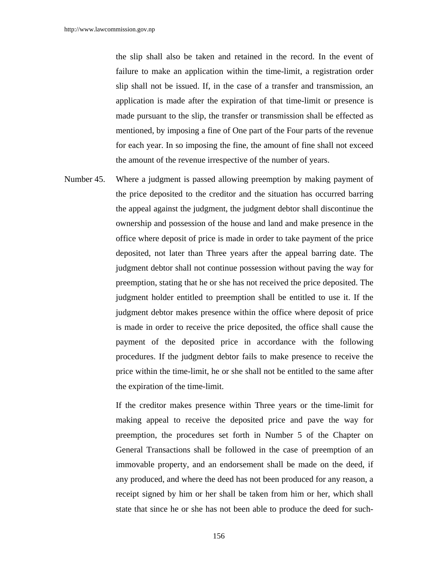the slip shall also be taken and retained in the record. In the event of failure to make an application within the time-limit, a registration order slip shall not be issued. If, in the case of a transfer and transmission, an application is made after the expiration of that time-limit or presence is made pursuant to the slip, the transfer or transmission shall be effected as mentioned, by imposing a fine of One part of the Four parts of the revenue for each year. In so imposing the fine, the amount of fine shall not exceed the amount of the revenue irrespective of the number of years.

Number 45. Where a judgment is passed allowing preemption by making payment of the price deposited to the creditor and the situation has occurred barring the appeal against the judgment, the judgment debtor shall discontinue the ownership and possession of the house and land and make presence in the office where deposit of price is made in order to take payment of the price deposited, not later than Three years after the appeal barring date. The judgment debtor shall not continue possession without paving the way for preemption, stating that he or she has not received the price deposited. The judgment holder entitled to preemption shall be entitled to use it. If the judgment debtor makes presence within the office where deposit of price is made in order to receive the price deposited, the office shall cause the payment of the deposited price in accordance with the following procedures. If the judgment debtor fails to make presence to receive the price within the time-limit, he or she shall not be entitled to the same after the expiration of the time-limit.

> If the creditor makes presence within Three years or the time-limit for making appeal to receive the deposited price and pave the way for preemption, the procedures set forth in Number 5 of the Chapter on General Transactions shall be followed in the case of preemption of an immovable property, and an endorsement shall be made on the deed, if any produced, and where the deed has not been produced for any reason, a receipt signed by him or her shall be taken from him or her, which shall state that since he or she has not been able to produce the deed for such-

> > 156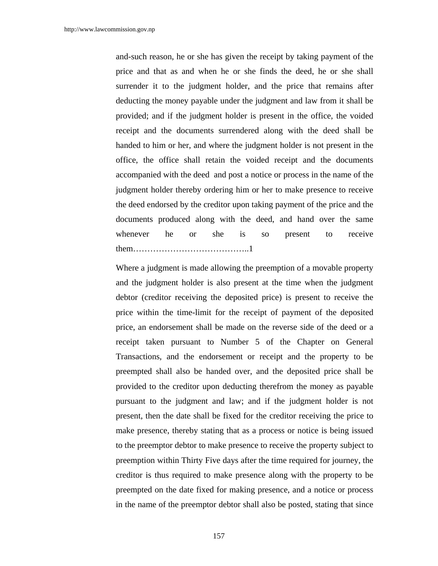and-such reason, he or she has given the receipt by taking payment of the price and that as and when he or she finds the deed, he or she shall surrender it to the judgment holder, and the price that remains after deducting the money payable under the judgment and law from it shall be provided; and if the judgment holder is present in the office, the voided receipt and the documents surrendered along with the deed shall be handed to him or her, and where the judgment holder is not present in the office, the office shall retain the voided receipt and the documents accompanied with the deed and post a notice or process in the name of the judgment holder thereby ordering him or her to make presence to receive the deed endorsed by the creditor upon taking payment of the price and the documents produced along with the deed, and hand over the same whenever he or she is so present to receive them…………………………………..1

 Where a judgment is made allowing the preemption of a movable property and the judgment holder is also present at the time when the judgment debtor (creditor receiving the deposited price) is present to receive the price within the time-limit for the receipt of payment of the deposited price, an endorsement shall be made on the reverse side of the deed or a receipt taken pursuant to Number 5 of the Chapter on General Transactions, and the endorsement or receipt and the property to be preempted shall also be handed over, and the deposited price shall be provided to the creditor upon deducting therefrom the money as payable pursuant to the judgment and law; and if the judgment holder is not present, then the date shall be fixed for the creditor receiving the price to make presence, thereby stating that as a process or notice is being issued to the preemptor debtor to make presence to receive the property subject to preemption within Thirty Five days after the time required for journey, the creditor is thus required to make presence along with the property to be preempted on the date fixed for making presence, and a notice or process in the name of the preemptor debtor shall also be posted, stating that since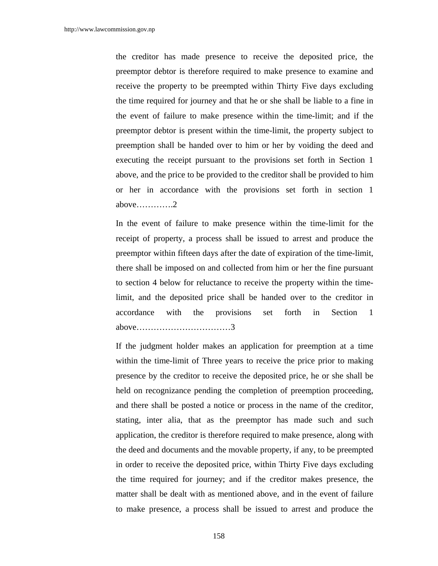the creditor has made presence to receive the deposited price, the preemptor debtor is therefore required to make presence to examine and receive the property to be preempted within Thirty Five days excluding the time required for journey and that he or she shall be liable to a fine in the event of failure to make presence within the time-limit; and if the preemptor debtor is present within the time-limit, the property subject to preemption shall be handed over to him or her by voiding the deed and executing the receipt pursuant to the provisions set forth in Section 1 above, and the price to be provided to the creditor shall be provided to him or her in accordance with the provisions set forth in section 1 above………….2

 In the event of failure to make presence within the time-limit for the receipt of property, a process shall be issued to arrest and produce the preemptor within fifteen days after the date of expiration of the time-limit, there shall be imposed on and collected from him or her the fine pursuant to section 4 below for reluctance to receive the property within the timelimit, and the deposited price shall be handed over to the creditor in accordance with the provisions set forth in Section 1 above……………………………3

 If the judgment holder makes an application for preemption at a time within the time-limit of Three years to receive the price prior to making presence by the creditor to receive the deposited price, he or she shall be held on recognizance pending the completion of preemption proceeding, and there shall be posted a notice or process in the name of the creditor, stating, inter alia, that as the preemptor has made such and such application, the creditor is therefore required to make presence, along with the deed and documents and the movable property, if any, to be preempted in order to receive the deposited price, within Thirty Five days excluding the time required for journey; and if the creditor makes presence, the matter shall be dealt with as mentioned above, and in the event of failure to make presence, a process shall be issued to arrest and produce the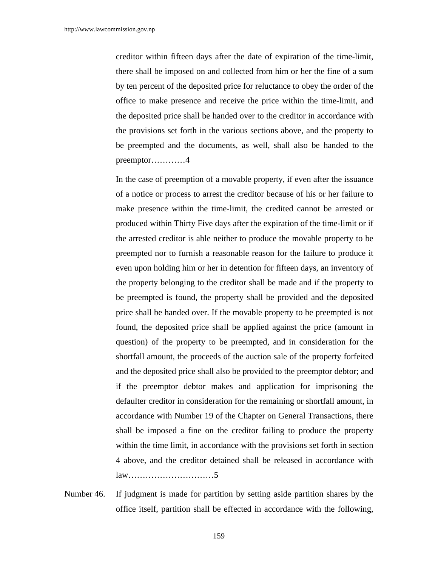creditor within fifteen days after the date of expiration of the time-limit, there shall be imposed on and collected from him or her the fine of a sum by ten percent of the deposited price for reluctance to obey the order of the office to make presence and receive the price within the time-limit, and the deposited price shall be handed over to the creditor in accordance with the provisions set forth in the various sections above, and the property to be preempted and the documents, as well, shall also be handed to the preemptor…………4

 In the case of preemption of a movable property, if even after the issuance of a notice or process to arrest the creditor because of his or her failure to make presence within the time-limit, the credited cannot be arrested or produced within Thirty Five days after the expiration of the time-limit or if the arrested creditor is able neither to produce the movable property to be preempted nor to furnish a reasonable reason for the failure to produce it even upon holding him or her in detention for fifteen days, an inventory of the property belonging to the creditor shall be made and if the property to be preempted is found, the property shall be provided and the deposited price shall be handed over. If the movable property to be preempted is not found, the deposited price shall be applied against the price (amount in question) of the property to be preempted, and in consideration for the shortfall amount, the proceeds of the auction sale of the property forfeited and the deposited price shall also be provided to the preemptor debtor; and if the preemptor debtor makes and application for imprisoning the defaulter creditor in consideration for the remaining or shortfall amount, in accordance with Number 19 of the Chapter on General Transactions, there shall be imposed a fine on the creditor failing to produce the property within the time limit, in accordance with the provisions set forth in section 4 above, and the creditor detained shall be released in accordance with law…………………………5

Number 46. If judgment is made for partition by setting aside partition shares by the office itself, partition shall be effected in accordance with the following,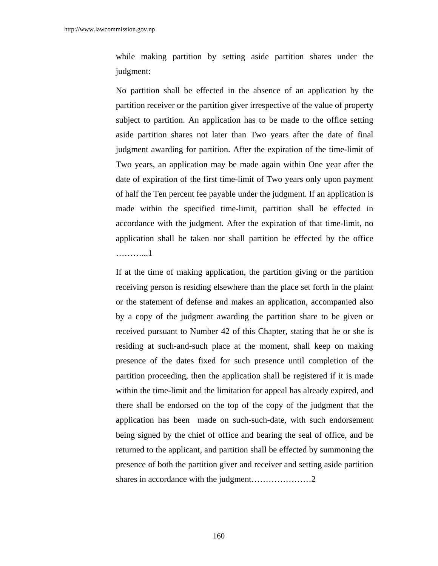while making partition by setting aside partition shares under the judgment:

 No partition shall be effected in the absence of an application by the partition receiver or the partition giver irrespective of the value of property subject to partition. An application has to be made to the office setting aside partition shares not later than Two years after the date of final judgment awarding for partition. After the expiration of the time-limit of Two years, an application may be made again within One year after the date of expiration of the first time-limit of Two years only upon payment of half the Ten percent fee payable under the judgment. If an application is made within the specified time-limit, partition shall be effected in accordance with the judgment. After the expiration of that time-limit, no application shall be taken nor shall partition be effected by the office ………...1

 If at the time of making application, the partition giving or the partition receiving person is residing elsewhere than the place set forth in the plaint or the statement of defense and makes an application, accompanied also by a copy of the judgment awarding the partition share to be given or received pursuant to Number 42 of this Chapter, stating that he or she is residing at such-and-such place at the moment, shall keep on making presence of the dates fixed for such presence until completion of the partition proceeding, then the application shall be registered if it is made within the time-limit and the limitation for appeal has already expired, and there shall be endorsed on the top of the copy of the judgment that the application has been made on such-such-date, with such endorsement being signed by the chief of office and bearing the seal of office, and be returned to the applicant, and partition shall be effected by summoning the presence of both the partition giver and receiver and setting aside partition shares in accordance with the judgment…………………2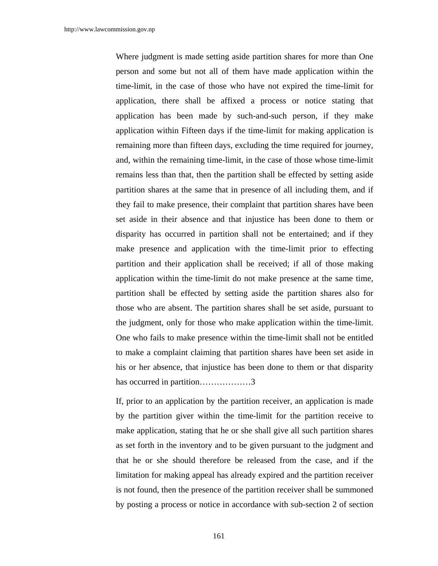Where judgment is made setting aside partition shares for more than One person and some but not all of them have made application within the time-limit, in the case of those who have not expired the time-limit for application, there shall be affixed a process or notice stating that application has been made by such-and-such person, if they make application within Fifteen days if the time-limit for making application is remaining more than fifteen days, excluding the time required for journey, and, within the remaining time-limit, in the case of those whose time-limit remains less than that, then the partition shall be effected by setting aside partition shares at the same that in presence of all including them, and if they fail to make presence, their complaint that partition shares have been set aside in their absence and that injustice has been done to them or disparity has occurred in partition shall not be entertained; and if they make presence and application with the time-limit prior to effecting partition and their application shall be received; if all of those making application within the time-limit do not make presence at the same time, partition shall be effected by setting aside the partition shares also for those who are absent. The partition shares shall be set aside, pursuant to the judgment, only for those who make application within the time-limit. One who fails to make presence within the time-limit shall not be entitled to make a complaint claiming that partition shares have been set aside in his or her absence, that injustice has been done to them or that disparity has occurred in partition………………3

If, prior to an application by the partition receiver, an application is made by the partition giver within the time-limit for the partition receive to make application, stating that he or she shall give all such partition shares as set forth in the inventory and to be given pursuant to the judgment and that he or she should therefore be released from the case, and if the limitation for making appeal has already expired and the partition receiver is not found, then the presence of the partition receiver shall be summoned by posting a process or notice in accordance with sub-section 2 of section

161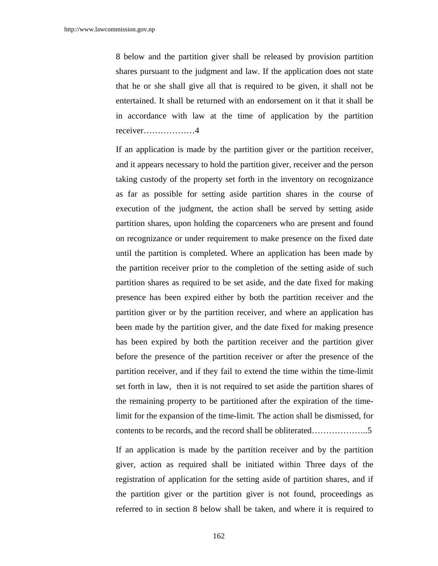8 below and the partition giver shall be released by provision partition shares pursuant to the judgment and law. If the application does not state that he or she shall give all that is required to be given, it shall not be entertained. It shall be returned with an endorsement on it that it shall be in accordance with law at the time of application by the partition receiver………………4

 If an application is made by the partition giver or the partition receiver, and it appears necessary to hold the partition giver, receiver and the person taking custody of the property set forth in the inventory on recognizance as far as possible for setting aside partition shares in the course of execution of the judgment, the action shall be served by setting aside partition shares, upon holding the coparceners who are present and found on recognizance or under requirement to make presence on the fixed date until the partition is completed. Where an application has been made by the partition receiver prior to the completion of the setting aside of such partition shares as required to be set aside, and the date fixed for making presence has been expired either by both the partition receiver and the partition giver or by the partition receiver, and where an application has been made by the partition giver, and the date fixed for making presence has been expired by both the partition receiver and the partition giver before the presence of the partition receiver or after the presence of the partition receiver, and if they fail to extend the time within the time-limit set forth in law, then it is not required to set aside the partition shares of the remaining property to be partitioned after the expiration of the timelimit for the expansion of the time-limit. The action shall be dismissed, for contents to be records, and the record shall be obliterated………………..5

 If an application is made by the partition receiver and by the partition giver, action as required shall be initiated within Three days of the registration of application for the setting aside of partition shares, and if the partition giver or the partition giver is not found, proceedings as referred to in section 8 below shall be taken, and where it is required to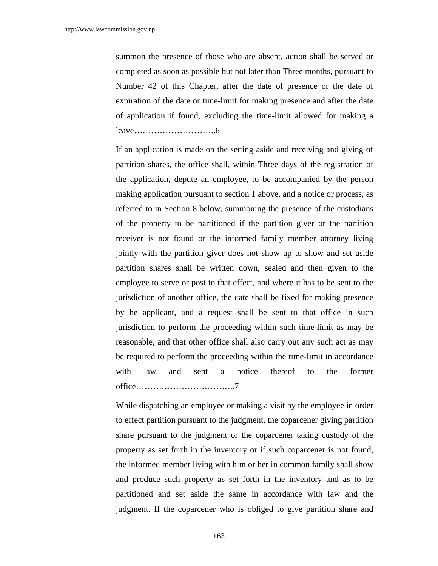summon the presence of those who are absent, action shall be served or completed as soon as possible but not later than Three months, pursuant to Number 42 of this Chapter, after the date of presence or the date of expiration of the date or time-limit for making presence and after the date of application if found, excluding the time-limit allowed for making a leave………………………..6

 If an application is made on the setting aside and receiving and giving of partition shares, the office shall, within Three days of the registration of the application, depute an employee, to be accompanied by the person making application pursuant to section 1 above, and a notice or process, as referred to in Section 8 below, summoning the presence of the custodians of the property to be partitioned if the partition giver or the partition receiver is not found or the informed family member attorney living jointly with the partition giver does not show up to show and set aside partition shares shall be written down, sealed and then given to the employee to serve or post to that effect, and where it has to be sent to the jurisdiction of another office, the date shall be fixed for making presence by he applicant, and a request shall be sent to that office in such jurisdiction to perform the proceeding within such time-limit as may be reasonable, and that other office shall also carry out any such act as may be required to perform the proceeding within the time-limit in accordance with law and sent a notice thereof to the former office……………………………..7

 While dispatching an employee or making a visit by the employee in order to effect partition pursuant to the judgment, the coparcener giving partition share pursuant to the judgment or the coparcener taking custody of the property as set forth in the inventory or if such coparcener is not found, the informed member living with him or her in common family shall show and produce such property as set forth in the inventory and as to be partitioned and set aside the same in accordance with law and the judgment. If the coparcener who is obliged to give partition share and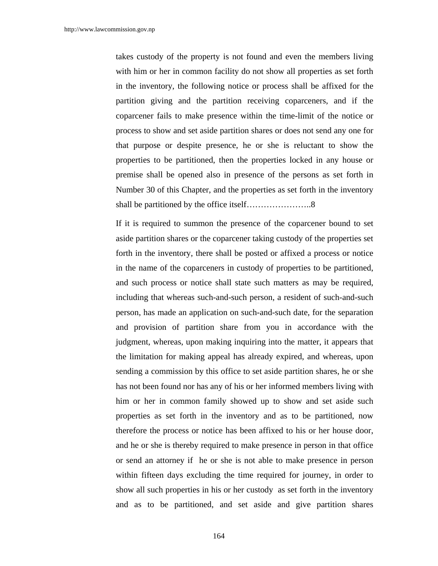takes custody of the property is not found and even the members living with him or her in common facility do not show all properties as set forth in the inventory, the following notice or process shall be affixed for the partition giving and the partition receiving coparceners, and if the coparcener fails to make presence within the time-limit of the notice or process to show and set aside partition shares or does not send any one for that purpose or despite presence, he or she is reluctant to show the properties to be partitioned, then the properties locked in any house or premise shall be opened also in presence of the persons as set forth in Number 30 of this Chapter, and the properties as set forth in the inventory shall be partitioned by the office itself…………………..8

 If it is required to summon the presence of the coparcener bound to set aside partition shares or the coparcener taking custody of the properties set forth in the inventory, there shall be posted or affixed a process or notice in the name of the coparceners in custody of properties to be partitioned, and such process or notice shall state such matters as may be required, including that whereas such-and-such person, a resident of such-and-such person, has made an application on such-and-such date, for the separation and provision of partition share from you in accordance with the judgment, whereas, upon making inquiring into the matter, it appears that the limitation for making appeal has already expired, and whereas, upon sending a commission by this office to set aside partition shares, he or she has not been found nor has any of his or her informed members living with him or her in common family showed up to show and set aside such properties as set forth in the inventory and as to be partitioned, now therefore the process or notice has been affixed to his or her house door, and he or she is thereby required to make presence in person in that office or send an attorney if he or she is not able to make presence in person within fifteen days excluding the time required for journey, in order to show all such properties in his or her custody as set forth in the inventory and as to be partitioned, and set aside and give partition shares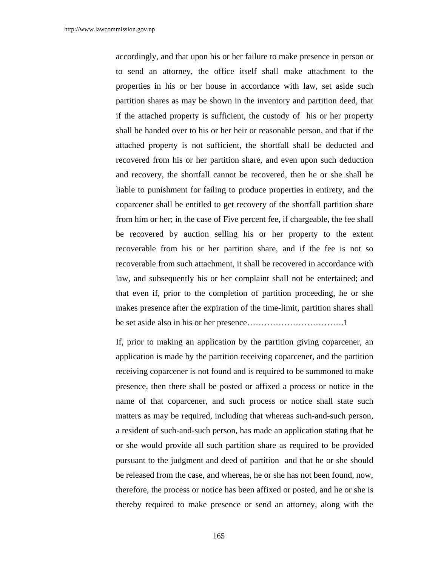accordingly, and that upon his or her failure to make presence in person or to send an attorney, the office itself shall make attachment to the properties in his or her house in accordance with law, set aside such partition shares as may be shown in the inventory and partition deed, that if the attached property is sufficient, the custody of his or her property shall be handed over to his or her heir or reasonable person, and that if the attached property is not sufficient, the shortfall shall be deducted and recovered from his or her partition share, and even upon such deduction and recovery, the shortfall cannot be recovered, then he or she shall be liable to punishment for failing to produce properties in entirety, and the coparcener shall be entitled to get recovery of the shortfall partition share from him or her; in the case of Five percent fee, if chargeable, the fee shall be recovered by auction selling his or her property to the extent recoverable from his or her partition share, and if the fee is not so recoverable from such attachment, it shall be recovered in accordance with law, and subsequently his or her complaint shall not be entertained; and that even if, prior to the completion of partition proceeding, he or she makes presence after the expiration of the time-limit, partition shares shall be set aside also in his or her presence…………………………….1

If, prior to making an application by the partition giving coparcener, an application is made by the partition receiving coparcener, and the partition receiving coparcener is not found and is required to be summoned to make presence, then there shall be posted or affixed a process or notice in the name of that coparcener, and such process or notice shall state such matters as may be required, including that whereas such-and-such person, a resident of such-and-such person, has made an application stating that he or she would provide all such partition share as required to be provided pursuant to the judgment and deed of partition and that he or she should be released from the case, and whereas, he or she has not been found, now, therefore, the process or notice has been affixed or posted, and he or she is thereby required to make presence or send an attorney, along with the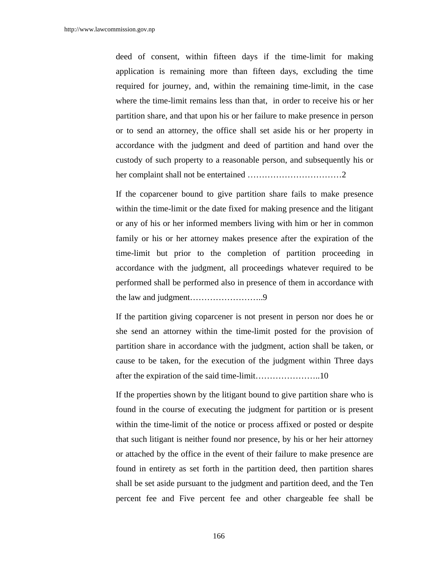deed of consent, within fifteen days if the time-limit for making application is remaining more than fifteen days, excluding the time required for journey, and, within the remaining time-limit, in the case where the time-limit remains less than that, in order to receive his or her partition share, and that upon his or her failure to make presence in person or to send an attorney, the office shall set aside his or her property in accordance with the judgment and deed of partition and hand over the custody of such property to a reasonable person, and subsequently his or her complaint shall not be entertained ……………………………2

 If the coparcener bound to give partition share fails to make presence within the time-limit or the date fixed for making presence and the litigant or any of his or her informed members living with him or her in common family or his or her attorney makes presence after the expiration of the time-limit but prior to the completion of partition proceeding in accordance with the judgment, all proceedings whatever required to be performed shall be performed also in presence of them in accordance with the law and judgment……………………..9

 If the partition giving coparcener is not present in person nor does he or she send an attorney within the time-limit posted for the provision of partition share in accordance with the judgment, action shall be taken, or cause to be taken, for the execution of the judgment within Three days after the expiration of the said time-limit…………………..10

If the properties shown by the litigant bound to give partition share who is found in the course of executing the judgment for partition or is present within the time-limit of the notice or process affixed or posted or despite that such litigant is neither found nor presence, by his or her heir attorney or attached by the office in the event of their failure to make presence are found in entirety as set forth in the partition deed, then partition shares shall be set aside pursuant to the judgment and partition deed, and the Ten percent fee and Five percent fee and other chargeable fee shall be

166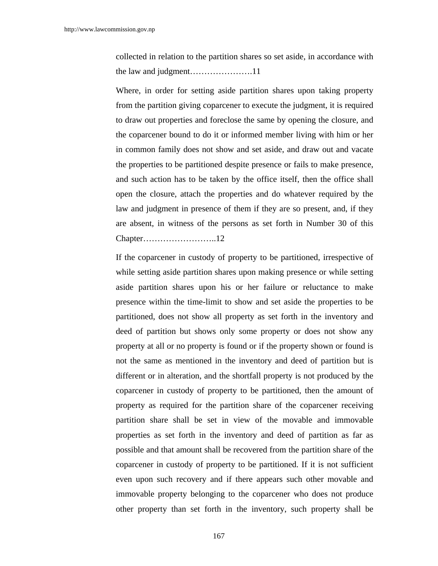collected in relation to the partition shares so set aside, in accordance with the law and judgment………………….11

 Where, in order for setting aside partition shares upon taking property from the partition giving coparcener to execute the judgment, it is required to draw out properties and foreclose the same by opening the closure, and the coparcener bound to do it or informed member living with him or her in common family does not show and set aside, and draw out and vacate the properties to be partitioned despite presence or fails to make presence, and such action has to be taken by the office itself, then the office shall open the closure, attach the properties and do whatever required by the law and judgment in presence of them if they are so present, and, if they are absent, in witness of the persons as set forth in Number 30 of this Chapter……………………..12

 If the coparcener in custody of property to be partitioned, irrespective of while setting aside partition shares upon making presence or while setting aside partition shares upon his or her failure or reluctance to make presence within the time-limit to show and set aside the properties to be partitioned, does not show all property as set forth in the inventory and deed of partition but shows only some property or does not show any property at all or no property is found or if the property shown or found is not the same as mentioned in the inventory and deed of partition but is different or in alteration, and the shortfall property is not produced by the coparcener in custody of property to be partitioned, then the amount of property as required for the partition share of the coparcener receiving partition share shall be set in view of the movable and immovable properties as set forth in the inventory and deed of partition as far as possible and that amount shall be recovered from the partition share of the coparcener in custody of property to be partitioned. If it is not sufficient even upon such recovery and if there appears such other movable and immovable property belonging to the coparcener who does not produce other property than set forth in the inventory, such property shall be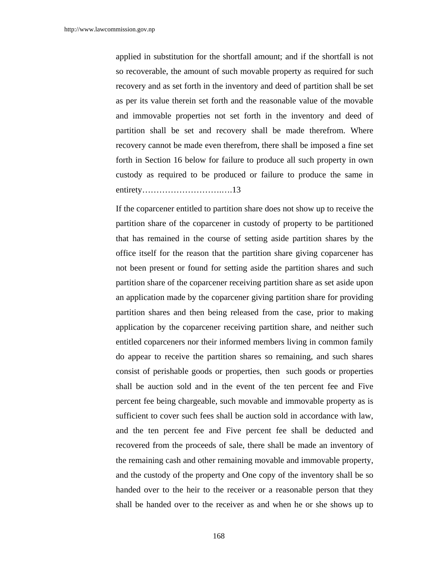applied in substitution for the shortfall amount; and if the shortfall is not so recoverable, the amount of such movable property as required for such recovery and as set forth in the inventory and deed of partition shall be set as per its value therein set forth and the reasonable value of the movable and immovable properties not set forth in the inventory and deed of partition shall be set and recovery shall be made therefrom. Where recovery cannot be made even therefrom, there shall be imposed a fine set forth in Section 16 below for failure to produce all such property in own custody as required to be produced or failure to produce the same in entirety……………………….….13

 If the coparcener entitled to partition share does not show up to receive the partition share of the coparcener in custody of property to be partitioned that has remained in the course of setting aside partition shares by the office itself for the reason that the partition share giving coparcener has not been present or found for setting aside the partition shares and such partition share of the coparcener receiving partition share as set aside upon an application made by the coparcener giving partition share for providing partition shares and then being released from the case, prior to making application by the coparcener receiving partition share, and neither such entitled coparceners nor their informed members living in common family do appear to receive the partition shares so remaining, and such shares consist of perishable goods or properties, then such goods or properties shall be auction sold and in the event of the ten percent fee and Five percent fee being chargeable, such movable and immovable property as is sufficient to cover such fees shall be auction sold in accordance with law, and the ten percent fee and Five percent fee shall be deducted and recovered from the proceeds of sale, there shall be made an inventory of the remaining cash and other remaining movable and immovable property, and the custody of the property and One copy of the inventory shall be so handed over to the heir to the receiver or a reasonable person that they shall be handed over to the receiver as and when he or she shows up to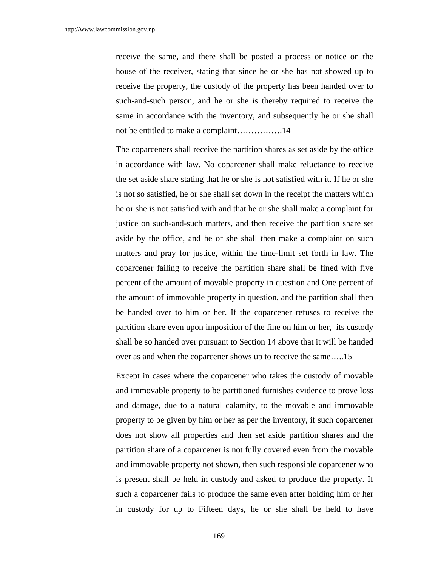receive the same, and there shall be posted a process or notice on the house of the receiver, stating that since he or she has not showed up to receive the property, the custody of the property has been handed over to such-and-such person, and he or she is thereby required to receive the same in accordance with the inventory, and subsequently he or she shall not be entitled to make a complaint…………….14

 The coparceners shall receive the partition shares as set aside by the office in accordance with law. No coparcener shall make reluctance to receive the set aside share stating that he or she is not satisfied with it. If he or she is not so satisfied, he or she shall set down in the receipt the matters which he or she is not satisfied with and that he or she shall make a complaint for justice on such-and-such matters, and then receive the partition share set aside by the office, and he or she shall then make a complaint on such matters and pray for justice, within the time-limit set forth in law. The coparcener failing to receive the partition share shall be fined with five percent of the amount of movable property in question and One percent of the amount of immovable property in question, and the partition shall then be handed over to him or her. If the coparcener refuses to receive the partition share even upon imposition of the fine on him or her, its custody shall be so handed over pursuant to Section 14 above that it will be handed over as and when the coparcener shows up to receive the same…..15

 Except in cases where the coparcener who takes the custody of movable and immovable property to be partitioned furnishes evidence to prove loss and damage, due to a natural calamity, to the movable and immovable property to be given by him or her as per the inventory, if such coparcener does not show all properties and then set aside partition shares and the partition share of a coparcener is not fully covered even from the movable and immovable property not shown, then such responsible coparcener who is present shall be held in custody and asked to produce the property. If such a coparcener fails to produce the same even after holding him or her in custody for up to Fifteen days, he or she shall be held to have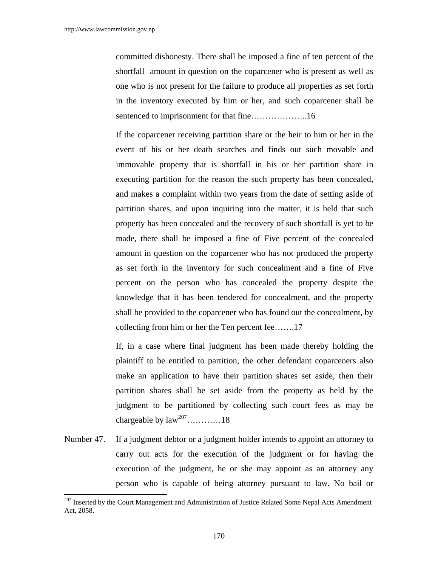$\overline{a}$ 

committed dishonesty. There shall be imposed a fine of ten percent of the shortfall amount in question on the coparcener who is present as well as one who is not present for the failure to produce all properties as set forth in the inventory executed by him or her, and such coparcener shall be sentenced to imprisonment for that fine………………..16

 If the coparcener receiving partition share or the heir to him or her in the event of his or her death searches and finds out such movable and immovable property that is shortfall in his or her partition share in executing partition for the reason the such property has been concealed, and makes a complaint within two years from the date of setting aside of partition shares, and upon inquiring into the matter, it is held that such property has been concealed and the recovery of such shortfall is yet to be made, there shall be imposed a fine of Five percent of the concealed amount in question on the coparcener who has not produced the property as set forth in the inventory for such concealment and a fine of Five percent on the person who has concealed the property despite the knowledge that it has been tendered for concealment, and the property shall be provided to the coparcener who has found out the concealment, by collecting from him or her the Ten percent fee…….17

 If, in a case where final judgment has been made thereby holding the plaintiff to be entitled to partition, the other defendant coparceners also make an application to have their partition shares set aside, then their partition shares shall be set aside from the property as held by the judgment to be partitioned by collecting such court fees as may be chargeable by  $law^{207}$ …………18

Number 47. If a judgment debtor or a judgment holder intends to appoint an attorney to carry out acts for the execution of the judgment or for having the execution of the judgment, he or she may appoint as an attorney any person who is capable of being attorney pursuant to law. No bail or

<sup>&</sup>lt;sup>207</sup> Inserted by the Court Management and Administration of Justice Related Some Nepal Acts Amendment Act, 2058.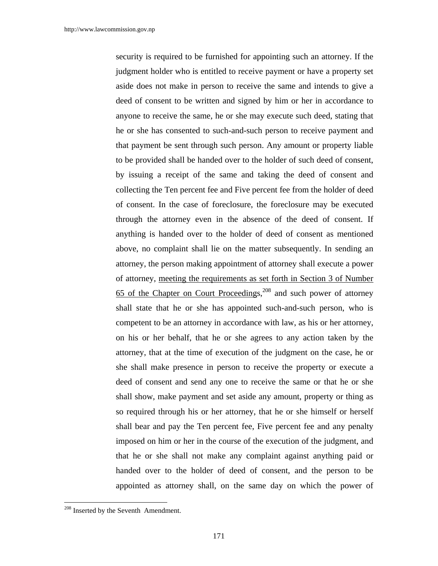security is required to be furnished for appointing such an attorney. If the judgment holder who is entitled to receive payment or have a property set aside does not make in person to receive the same and intends to give a deed of consent to be written and signed by him or her in accordance to anyone to receive the same, he or she may execute such deed, stating that he or she has consented to such-and-such person to receive payment and that payment be sent through such person. Any amount or property liable to be provided shall be handed over to the holder of such deed of consent, by issuing a receipt of the same and taking the deed of consent and collecting the Ten percent fee and Five percent fee from the holder of deed of consent. In the case of foreclosure, the foreclosure may be executed through the attorney even in the absence of the deed of consent. If anything is handed over to the holder of deed of consent as mentioned above, no complaint shall lie on the matter subsequently. In sending an attorney, the person making appointment of attorney shall execute a power of attorney, meeting the requirements as set forth in Section 3 of Number 65 of the Chapter on Court Proceedings,<sup>208</sup> and such power of attorney shall state that he or she has appointed such-and-such person, who is competent to be an attorney in accordance with law, as his or her attorney, on his or her behalf, that he or she agrees to any action taken by the attorney, that at the time of execution of the judgment on the case, he or she shall make presence in person to receive the property or execute a deed of consent and send any one to receive the same or that he or she shall show, make payment and set aside any amount, property or thing as so required through his or her attorney, that he or she himself or herself shall bear and pay the Ten percent fee, Five percent fee and any penalty imposed on him or her in the course of the execution of the judgment, and that he or she shall not make any complaint against anything paid or handed over to the holder of deed of consent, and the person to be appointed as attorney shall, on the same day on which the power of

<sup>&</sup>lt;sup>208</sup> Inserted by the Seventh Amendment.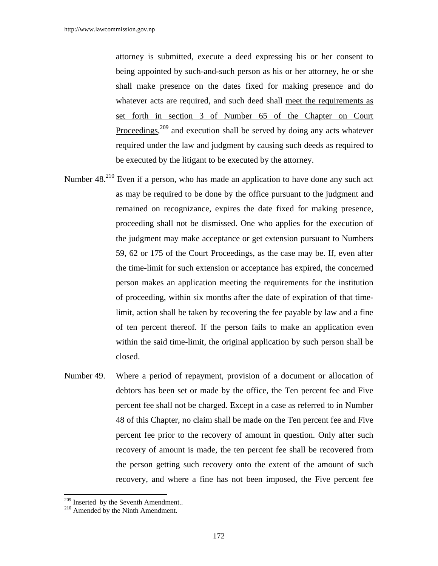attorney is submitted, execute a deed expressing his or her consent to being appointed by such-and-such person as his or her attorney, he or she shall make presence on the dates fixed for making presence and do whatever acts are required, and such deed shall meet the requirements as set forth in section 3 of Number 65 of the Chapter on Court Proceedings,<sup>209</sup> and execution shall be served by doing any acts whatever required under the law and judgment by causing such deeds as required to be executed by the litigant to be executed by the attorney.

- Number 48.<sup>210</sup> Even if a person, who has made an application to have done any such act as may be required to be done by the office pursuant to the judgment and remained on recognizance, expires the date fixed for making presence, proceeding shall not be dismissed. One who applies for the execution of the judgment may make acceptance or get extension pursuant to Numbers 59, 62 or 175 of the Court Proceedings, as the case may be. If, even after the time-limit for such extension or acceptance has expired, the concerned person makes an application meeting the requirements for the institution of proceeding, within six months after the date of expiration of that timelimit, action shall be taken by recovering the fee payable by law and a fine of ten percent thereof. If the person fails to make an application even within the said time-limit, the original application by such person shall be closed.
- Number 49. Where a period of repayment, provision of a document or allocation of debtors has been set or made by the office, the Ten percent fee and Five percent fee shall not be charged. Except in a case as referred to in Number 48 of this Chapter, no claim shall be made on the Ten percent fee and Five percent fee prior to the recovery of amount in question. Only after such recovery of amount is made, the ten percent fee shall be recovered from the person getting such recovery onto the extent of the amount of such recovery, and where a fine has not been imposed, the Five percent fee

 $\overline{a}$ 

 $^{209}$  Inserted by the Seventh Amendment..  $^{210}$  Amended by the Ninth Amendment.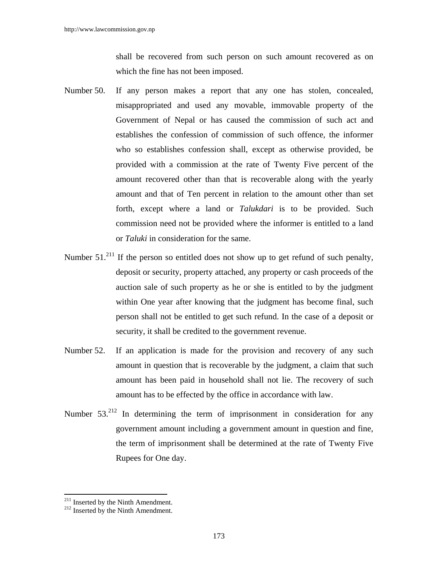shall be recovered from such person on such amount recovered as on which the fine has not been imposed.

- Number 50. If any person makes a report that any one has stolen, concealed, misappropriated and used any movable, immovable property of the Government of Nepal or has caused the commission of such act and establishes the confession of commission of such offence, the informer who so establishes confession shall, except as otherwise provided, be provided with a commission at the rate of Twenty Five percent of the amount recovered other than that is recoverable along with the yearly amount and that of Ten percent in relation to the amount other than set forth, except where a land or *Talukdari* is to be provided. Such commission need not be provided where the informer is entitled to a land or *Taluki* in consideration for the same.
- Number  $51.<sup>211</sup>$  If the person so entitled does not show up to get refund of such penalty, deposit or security, property attached, any property or cash proceeds of the auction sale of such property as he or she is entitled to by the judgment within One year after knowing that the judgment has become final, such person shall not be entitled to get such refund. In the case of a deposit or security, it shall be credited to the government revenue.
- Number 52. If an application is made for the provision and recovery of any such amount in question that is recoverable by the judgment, a claim that such amount has been paid in household shall not lie. The recovery of such amount has to be effected by the office in accordance with law.
- Number  $53.<sup>212</sup>$  In determining the term of imprisonment in consideration for any government amount including a government amount in question and fine, the term of imprisonment shall be determined at the rate of Twenty Five Rupees for One day.

 $\overline{a}$ 

 $^{211}$  Inserted by the Ninth Amendment.<br> $^{212}$  Inserted by the Ninth Amendment.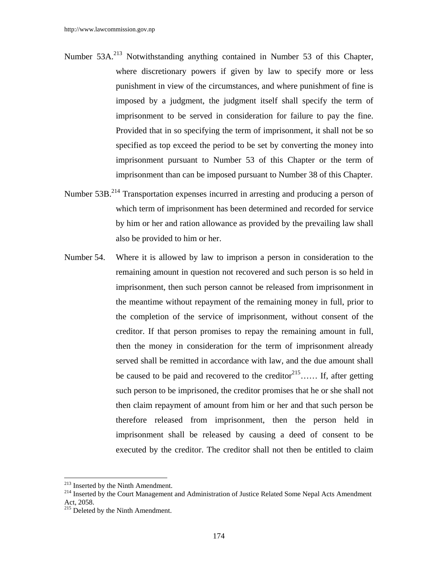- Number 53A.<sup>213</sup> Notwithstanding anything contained in Number 53 of this Chapter, where discretionary powers if given by law to specify more or less punishment in view of the circumstances, and where punishment of fine is imposed by a judgment, the judgment itself shall specify the term of imprisonment to be served in consideration for failure to pay the fine. Provided that in so specifying the term of imprisonment, it shall not be so specified as top exceed the period to be set by converting the money into imprisonment pursuant to Number 53 of this Chapter or the term of imprisonment than can be imposed pursuant to Number 38 of this Chapter.
- Number 53B.<sup>214</sup> Transportation expenses incurred in arresting and producing a person of which term of imprisonment has been determined and recorded for service by him or her and ration allowance as provided by the prevailing law shall also be provided to him or her.
- Number 54. Where it is allowed by law to imprison a person in consideration to the remaining amount in question not recovered and such person is so held in imprisonment, then such person cannot be released from imprisonment in the meantime without repayment of the remaining money in full, prior to the completion of the service of imprisonment, without consent of the creditor. If that person promises to repay the remaining amount in full, then the money in consideration for the term of imprisonment already served shall be remitted in accordance with law, and the due amount shall be caused to be paid and recovered to the creditor $2^{15}$ ...... If, after getting such person to be imprisoned, the creditor promises that he or she shall not then claim repayment of amount from him or her and that such person be therefore released from imprisonment, then the person held in imprisonment shall be released by causing a deed of consent to be executed by the creditor. The creditor shall not then be entitled to claim

<sup>&</sup>lt;sup>213</sup> Inserted by the Ninth Amendment.

<sup>&</sup>lt;sup>214</sup> Inserted by the Ninth Amendment.<br><sup>214</sup> Inserted by the Court Management and Administration of Justice Related Some Nepal Acts Amendment Act, 2058.

 $215$  Deleted by the Ninth Amendment.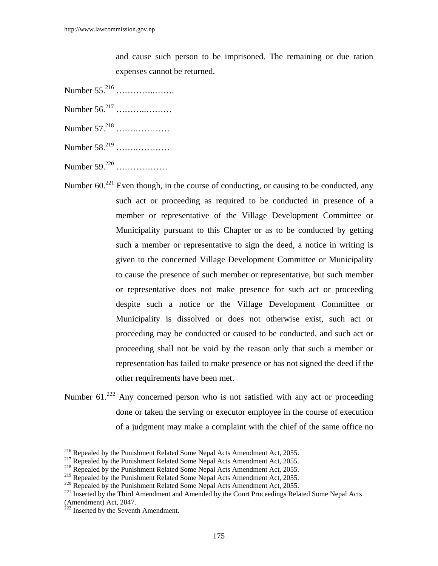and cause such person to be imprisoned. The remaining or due ration expenses cannot be returned.

- Number 55.216 …………..…….
- Number 56.217 ………..………
- Number 57.218 …….…………
- Number 58.219 …….…………
- Number 59.220 ………………
- Number  $60.^{221}$  Even though, in the course of conducting, or causing to be conducted, any such act or proceeding as required to be conducted in presence of a member or representative of the Village Development Committee or Municipality pursuant to this Chapter or as to be conducted by getting such a member or representative to sign the deed, a notice in writing is given to the concerned Village Development Committee or Municipality to cause the presence of such member or representative, but such member or representative does not make presence for such act or proceeding despite such a notice or the Village Development Committee or Municipality is dissolved or does not otherwise exist, such act or proceeding may be conducted or caused to be conducted, and such act or proceeding shall not be void by the reason only that such a member or representation has failed to make presence or has not signed the deed if the other requirements have been met.
- Number 61.<sup>222</sup> Any concerned person who is not satisfied with any act or proceeding done or taken the serving or executor employee in the course of execution of a judgment may make a complaint with the chief of the same office no

<sup>&</sup>lt;sup>216</sup> Repealed by the Punishment Related Some Nepal Acts Amendment Act, 2055.

<sup>&</sup>lt;sup>217</sup> Repealed by the Punishment Related Some Nepal Acts Amendment Act, 2055.<br><sup>218</sup> Repealed by the Punishment Related Some Nepal Acts Amendment Act, 2055.<br><sup>219</sup> Repealed by the Punishment Related Some Nepal Acts Amendmen

<sup>&</sup>lt;sup>220</sup> Repealed by the Punishment Related Some Nepal Acts Amendment Act, 2055.<br><sup>221</sup> Inserted by the Third Amendment and Amended by the Court Proceedings Related Some Nepal Acts (Amendment) Act, 2047.

 $^{222}$  Inserted by the Seventh Amendment.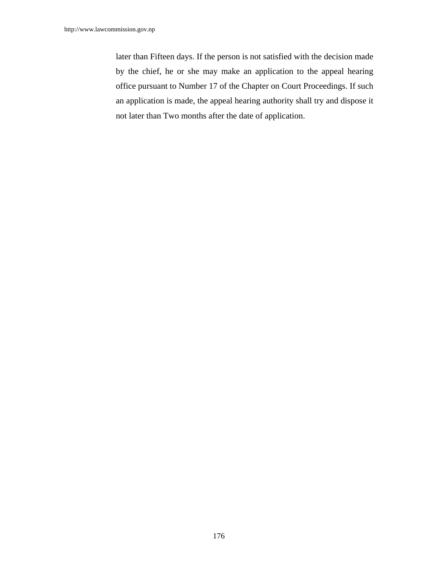later than Fifteen days. If the person is not satisfied with the decision made by the chief, he or she may make an application to the appeal hearing office pursuant to Number 17 of the Chapter on Court Proceedings. If such an application is made, the appeal hearing authority shall try and dispose it not later than Two months after the date of application.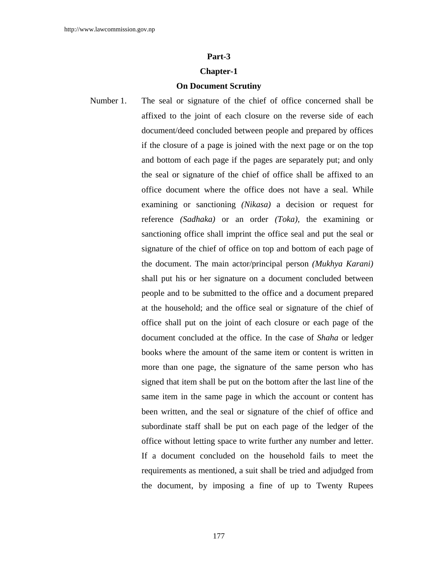## **Part-3**

## **Chapter-1**

## **On Document Scrutiny**

Number 1. The seal or signature of the chief of office concerned shall be affixed to the joint of each closure on the reverse side of each document/deed concluded between people and prepared by offices if the closure of a page is joined with the next page or on the top and bottom of each page if the pages are separately put; and only the seal or signature of the chief of office shall be affixed to an office document where the office does not have a seal. While examining or sanctioning *(Nikasa)* a decision or request for reference *(Sadhaka)* or an order *(Toka),* the examining or sanctioning office shall imprint the office seal and put the seal or signature of the chief of office on top and bottom of each page of the document. The main actor/principal person *(Mukhya Karani)* shall put his or her signature on a document concluded between people and to be submitted to the office and a document prepared at the household; and the office seal or signature of the chief of office shall put on the joint of each closure or each page of the document concluded at the office. In the case of *Shaha* or ledger books where the amount of the same item or content is written in more than one page, the signature of the same person who has signed that item shall be put on the bottom after the last line of the same item in the same page in which the account or content has been written, and the seal or signature of the chief of office and subordinate staff shall be put on each page of the ledger of the office without letting space to write further any number and letter. If a document concluded on the household fails to meet the requirements as mentioned, a suit shall be tried and adjudged from the document, by imposing a fine of up to Twenty Rupees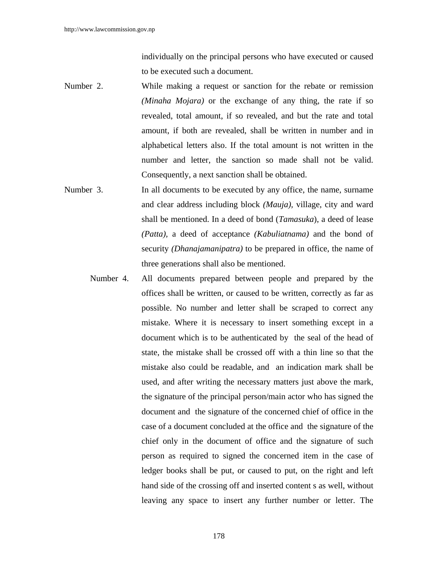individually on the principal persons who have executed or caused to be executed such a document.

- Number 2. While making a request or sanction for the rebate or remission *(Minaha Mojara)* or the exchange of any thing, the rate if so revealed, total amount, if so revealed, and but the rate and total amount, if both are revealed, shall be written in number and in alphabetical letters also. If the total amount is not written in the number and letter, the sanction so made shall not be valid. Consequently, a next sanction shall be obtained.
- Number 3. In all documents to be executed by any office, the name, surname and clear address including block *(Mauja),* village, city and ward shall be mentioned. In a deed of bond (*Tamasuka*), a deed of lease *(Patta),* a deed of acceptance *(Kabuliatnama)* and the bond of security *(Dhanajamanipatra)* to be prepared in office, the name of three generations shall also be mentioned.
	- Number 4. All documents prepared between people and prepared by the offices shall be written, or caused to be written, correctly as far as possible. No number and letter shall be scraped to correct any mistake. Where it is necessary to insert something except in a document which is to be authenticated by the seal of the head of state, the mistake shall be crossed off with a thin line so that the mistake also could be readable, and an indication mark shall be used, and after writing the necessary matters just above the mark, the signature of the principal person/main actor who has signed the document and the signature of the concerned chief of office in the case of a document concluded at the office and the signature of the chief only in the document of office and the signature of such person as required to signed the concerned item in the case of ledger books shall be put, or caused to put, on the right and left hand side of the crossing off and inserted content s as well, without leaving any space to insert any further number or letter. The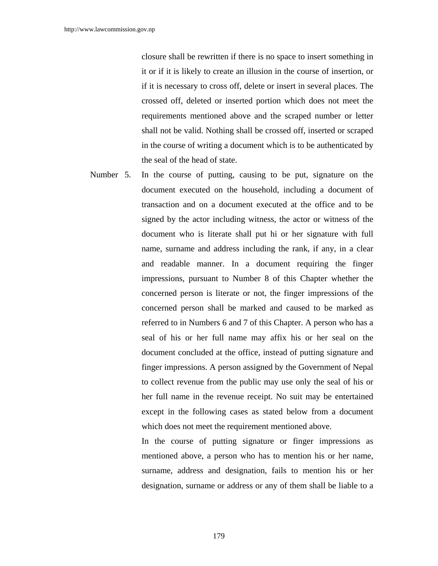closure shall be rewritten if there is no space to insert something in it or if it is likely to create an illusion in the course of insertion, or if it is necessary to cross off, delete or insert in several places. The crossed off, deleted or inserted portion which does not meet the requirements mentioned above and the scraped number or letter shall not be valid. Nothing shall be crossed off, inserted or scraped in the course of writing a document which is to be authenticated by the seal of the head of state.

Number 5. In the course of putting, causing to be put, signature on the document executed on the household, including a document of transaction and on a document executed at the office and to be signed by the actor including witness, the actor or witness of the document who is literate shall put hi or her signature with full name, surname and address including the rank, if any, in a clear and readable manner. In a document requiring the finger impressions, pursuant to Number 8 of this Chapter whether the concerned person is literate or not, the finger impressions of the concerned person shall be marked and caused to be marked as referred to in Numbers 6 and 7 of this Chapter. A person who has a seal of his or her full name may affix his or her seal on the document concluded at the office, instead of putting signature and finger impressions. A person assigned by the Government of Nepal to collect revenue from the public may use only the seal of his or her full name in the revenue receipt. No suit may be entertained except in the following cases as stated below from a document which does not meet the requirement mentioned above.

> In the course of putting signature or finger impressions as mentioned above, a person who has to mention his or her name, surname, address and designation, fails to mention his or her designation, surname or address or any of them shall be liable to a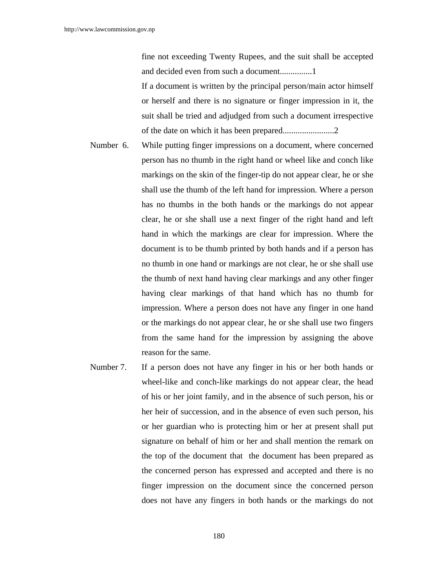fine not exceeding Twenty Rupees, and the suit shall be accepted and decided even from such a document...............1

If a document is written by the principal person/main actor himself or herself and there is no signature or finger impression in it, the suit shall be tried and adjudged from such a document irrespective of the date on which it has been prepared........................2

- Number 6. While putting finger impressions on a document, where concerned person has no thumb in the right hand or wheel like and conch like markings on the skin of the finger-tip do not appear clear, he or she shall use the thumb of the left hand for impression. Where a person has no thumbs in the both hands or the markings do not appear clear, he or she shall use a next finger of the right hand and left hand in which the markings are clear for impression. Where the document is to be thumb printed by both hands and if a person has no thumb in one hand or markings are not clear, he or she shall use the thumb of next hand having clear markings and any other finger having clear markings of that hand which has no thumb for impression. Where a person does not have any finger in one hand or the markings do not appear clear, he or she shall use two fingers from the same hand for the impression by assigning the above reason for the same.
- Number 7. If a person does not have any finger in his or her both hands or wheel-like and conch-like markings do not appear clear, the head of his or her joint family, and in the absence of such person, his or her heir of succession, and in the absence of even such person, his or her guardian who is protecting him or her at present shall put signature on behalf of him or her and shall mention the remark on the top of the document that the document has been prepared as the concerned person has expressed and accepted and there is no finger impression on the document since the concerned person does not have any fingers in both hands or the markings do not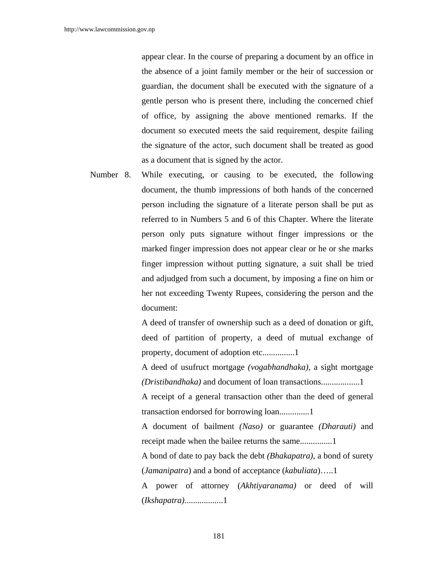appear clear. In the course of preparing a document by an office in the absence of a joint family member or the heir of succession or guardian, the document shall be executed with the signature of a gentle person who is present there, including the concerned chief of office, by assigning the above mentioned remarks. If the document so executed meets the said requirement, despite failing the signature of the actor, such document shall be treated as good as a document that is signed by the actor.

Number 8. While executing, or causing to be executed, the following document, the thumb impressions of both hands of the concerned person including the signature of a literate person shall be put as referred to in Numbers 5 and 6 of this Chapter. Where the literate person only puts signature without finger impressions or the marked finger impression does not appear clear or he or she marks finger impression without putting signature, a suit shall be tried and adjudged from such a document, by imposing a fine on him or her not exceeding Twenty Rupees, considering the person and the document:

> A deed of transfer of ownership such as a deed of donation or gift, deed of partition of property, a deed of mutual exchange of property, document of adoption etc...............1

> A deed of usufruct mortgage *(vogabhandhaka),* a sight mortgage *(Dristibandhaka)* and document of loan transactions..................1

> A receipt of a general transaction other than the deed of general transaction endorsed for borrowing loan..............1

> A document of bailment *(Naso)* or guarantee *(Dharauti)* and receipt made when the bailee returns the same...............1

> A bond of date to pay back the debt *(Bhakapatra),* a bond of surety (*Jamanipatra*) and a bond of acceptance (*kabuliata*)…..1

> A power of attorney (*Akhtiyaranama)* or deed of will (*Ikshapatra)*..................1

> > 181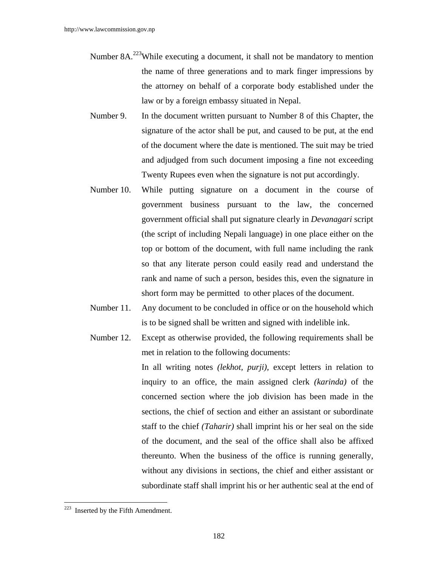- Number 8A.<sup>223</sup>While executing a document, it shall not be mandatory to mention the name of three generations and to mark finger impressions by the attorney on behalf of a corporate body established under the law or by a foreign embassy situated in Nepal.
- Number 9. In the document written pursuant to Number 8 of this Chapter, the signature of the actor shall be put, and caused to be put, at the end of the document where the date is mentioned. The suit may be tried and adjudged from such document imposing a fine not exceeding Twenty Rupees even when the signature is not put accordingly.
- Number 10. While putting signature on a document in the course of government business pursuant to the law, the concerned government official shall put signature clearly in *Devanagari* script (the script of including Nepali language) in one place either on the top or bottom of the document, with full name including the rank so that any literate person could easily read and understand the rank and name of such a person, besides this, even the signature in short form may be permitted to other places of the document.
- Number 11. Any document to be concluded in office or on the household which is to be signed shall be written and signed with indelible ink.
- Number 12. Except as otherwise provided, the following requirements shall be met in relation to the following documents:

In all writing notes *(lekhot, purji),* except letters in relation to inquiry to an office, the main assigned clerk *(karinda)* of the concerned section where the job division has been made in the sections, the chief of section and either an assistant or subordinate staff to the chief *(Taharir)* shall imprint his or her seal on the side of the document, and the seal of the office shall also be affixed thereunto. When the business of the office is running generally, without any divisions in sections, the chief and either assistant or subordinate staff shall imprint his or her authentic seal at the end of

 $\overline{\phantom{a}}$ 

 $223$  Inserted by the Fifth Amendment.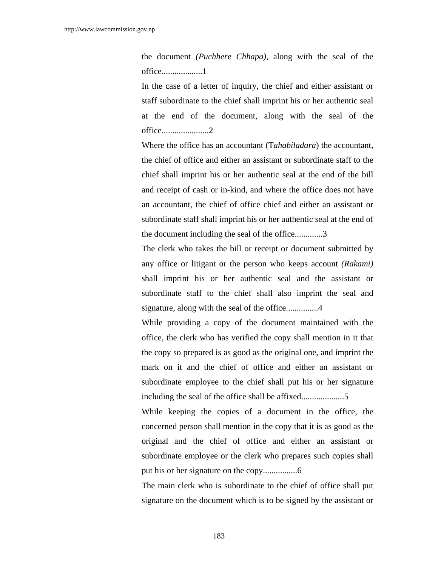the document *(Puchhere Chhapa),* along with the seal of the office...................1

In the case of a letter of inquiry, the chief and either assistant or staff subordinate to the chief shall imprint his or her authentic seal at the end of the document, along with the seal of the office......................2

Where the office has an accountant (T*ahabiladara*) the accountant, the chief of office and either an assistant or subordinate staff to the chief shall imprint his or her authentic seal at the end of the bill and receipt of cash or in-kind, and where the office does not have an accountant, the chief of office chief and either an assistant or subordinate staff shall imprint his or her authentic seal at the end of the document including the seal of the office.............3

The clerk who takes the bill or receipt or document submitted by any office or litigant or the person who keeps account *(Rakami)* shall imprint his or her authentic seal and the assistant or subordinate staff to the chief shall also imprint the seal and signature, along with the seal of the office................4

While providing a copy of the document maintained with the office, the clerk who has verified the copy shall mention in it that the copy so prepared is as good as the original one, and imprint the mark on it and the chief of office and either an assistant or subordinate employee to the chief shall put his or her signature including the seal of the office shall be affixed....................5

While keeping the copies of a document in the office, the concerned person shall mention in the copy that it is as good as the original and the chief of office and either an assistant or subordinate employee or the clerk who prepares such copies shall put his or her signature on the copy................6

The main clerk who is subordinate to the chief of office shall put signature on the document which is to be signed by the assistant or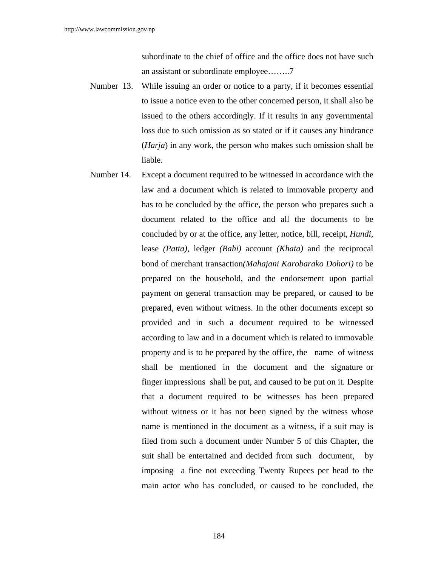subordinate to the chief of office and the office does not have such an assistant or subordinate employee……..7

- Number 13. While issuing an order or notice to a party, if it becomes essential to issue a notice even to the other concerned person, it shall also be issued to the others accordingly. If it results in any governmental loss due to such omission as so stated or if it causes any hindrance (*Harja*) in any work, the person who makes such omission shall be liable.
- Number 14. Except a document required to be witnessed in accordance with the law and a document which is related to immovable property and has to be concluded by the office, the person who prepares such a document related to the office and all the documents to be concluded by or at the office, any letter, notice, bill, receipt, *Hundi,* lease *(Patta),* ledger *(Bahi)* account *(Khata)* and the reciprocal bond of merchant transaction*(Mahajani Karobarako Dohori)* to be prepared on the household, and the endorsement upon partial payment on general transaction may be prepared, or caused to be prepared, even without witness. In the other documents except so provided and in such a document required to be witnessed according to law and in a document which is related to immovable property and is to be prepared by the office, the name of witness shall be mentioned in the document and the signature or finger impressions shall be put, and caused to be put on it. Despite that a document required to be witnesses has been prepared without witness or it has not been signed by the witness whose name is mentioned in the document as a witness, if a suit may is filed from such a document under Number 5 of this Chapter, the suit shall be entertained and decided from such document, by imposing a fine not exceeding Twenty Rupees per head to the main actor who has concluded, or caused to be concluded, the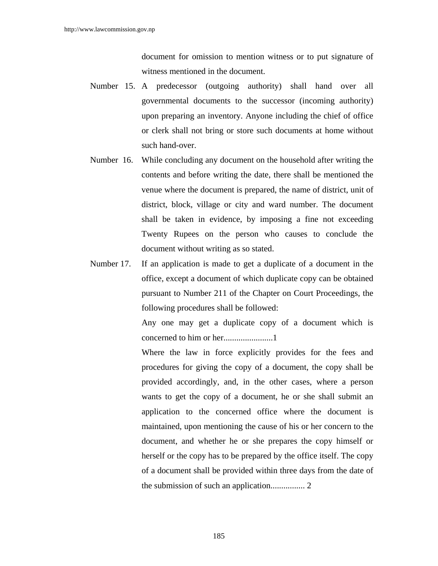document for omission to mention witness or to put signature of witness mentioned in the document.

- Number 15. A predecessor (outgoing authority) shall hand over all governmental documents to the successor (incoming authority) upon preparing an inventory. Anyone including the chief of office or clerk shall not bring or store such documents at home without such hand-over.
- Number 16. While concluding any document on the household after writing the contents and before writing the date, there shall be mentioned the venue where the document is prepared, the name of district, unit of district, block, village or city and ward number. The document shall be taken in evidence, by imposing a fine not exceeding Twenty Rupees on the person who causes to conclude the document without writing as so stated.
- Number 17. If an application is made to get a duplicate of a document in the office, except a document of which duplicate copy can be obtained pursuant to Number 211 of the Chapter on Court Proceedings, the following procedures shall be followed:

Any one may get a duplicate copy of a document which is concerned to him or her.......................1

Where the law in force explicitly provides for the fees and procedures for giving the copy of a document, the copy shall be provided accordingly, and, in the other cases, where a person wants to get the copy of a document, he or she shall submit an application to the concerned office where the document is maintained, upon mentioning the cause of his or her concern to the document, and whether he or she prepares the copy himself or herself or the copy has to be prepared by the office itself. The copy of a document shall be provided within three days from the date of the submission of such an application................ 2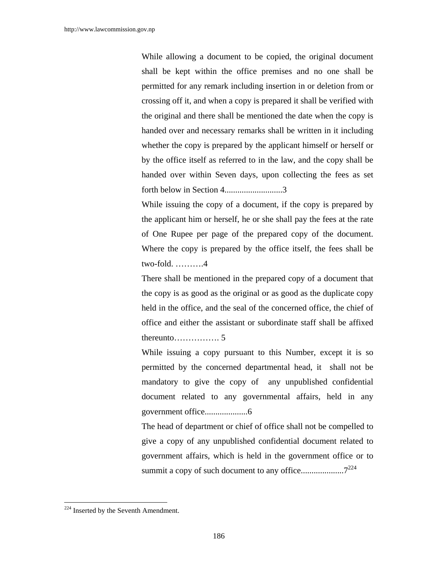While allowing a document to be copied, the original document shall be kept within the office premises and no one shall be permitted for any remark including insertion in or deletion from or crossing off it, and when a copy is prepared it shall be verified with the original and there shall be mentioned the date when the copy is handed over and necessary remarks shall be written in it including whether the copy is prepared by the applicant himself or herself or by the office itself as referred to in the law, and the copy shall be handed over within Seven days, upon collecting the fees as set forth below in Section 4...........................3

While issuing the copy of a document, if the copy is prepared by the applicant him or herself, he or she shall pay the fees at the rate of One Rupee per page of the prepared copy of the document. Where the copy is prepared by the office itself, the fees shall be two-fold. ……….4

There shall be mentioned in the prepared copy of a document that the copy is as good as the original or as good as the duplicate copy held in the office, and the seal of the concerned office, the chief of office and either the assistant or subordinate staff shall be affixed thereunto……………. 5

While issuing a copy pursuant to this Number, except it is so permitted by the concerned departmental head, it shall not be mandatory to give the copy of any unpublished confidential document related to any governmental affairs, held in any government office....................6

The head of department or chief of office shall not be compelled to give a copy of any unpublished confidential document related to government affairs, which is held in the government office or to summit a copy of such document to any office....................7224

 $\overline{\phantom{a}}$ 

<sup>&</sup>lt;sup>224</sup> Inserted by the Seventh Amendment.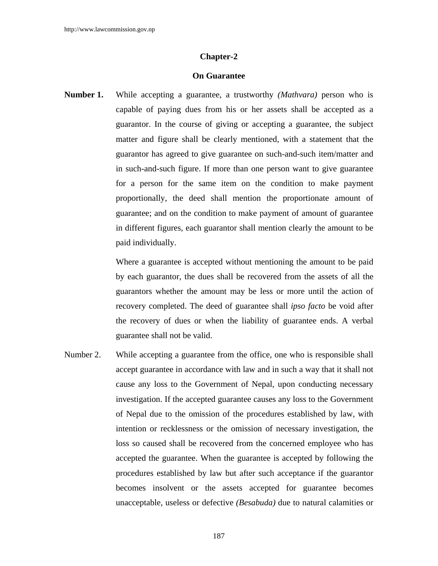#### **On Guarantee**

**Number 1.** While accepting a guarantee, a trustworthy *(Mathvara)* person who is capable of paying dues from his or her assets shall be accepted as a guarantor. In the course of giving or accepting a guarantee, the subject matter and figure shall be clearly mentioned, with a statement that the guarantor has agreed to give guarantee on such-and-such item/matter and in such-and-such figure. If more than one person want to give guarantee for a person for the same item on the condition to make payment proportionally, the deed shall mention the proportionate amount of guarantee; and on the condition to make payment of amount of guarantee in different figures, each guarantor shall mention clearly the amount to be paid individually.

> Where a guarantee is accepted without mentioning the amount to be paid by each guarantor, the dues shall be recovered from the assets of all the guarantors whether the amount may be less or more until the action of recovery completed. The deed of guarantee shall *ipso facto* be void after the recovery of dues or when the liability of guarantee ends. A verbal guarantee shall not be valid.

Number 2. While accepting a guarantee from the office, one who is responsible shall accept guarantee in accordance with law and in such a way that it shall not cause any loss to the Government of Nepal, upon conducting necessary investigation. If the accepted guarantee causes any loss to the Government of Nepal due to the omission of the procedures established by law, with intention or recklessness or the omission of necessary investigation, the loss so caused shall be recovered from the concerned employee who has accepted the guarantee. When the guarantee is accepted by following the procedures established by law but after such acceptance if the guarantor becomes insolvent or the assets accepted for guarantee becomes unacceptable, useless or defective *(Besabuda)* due to natural calamities or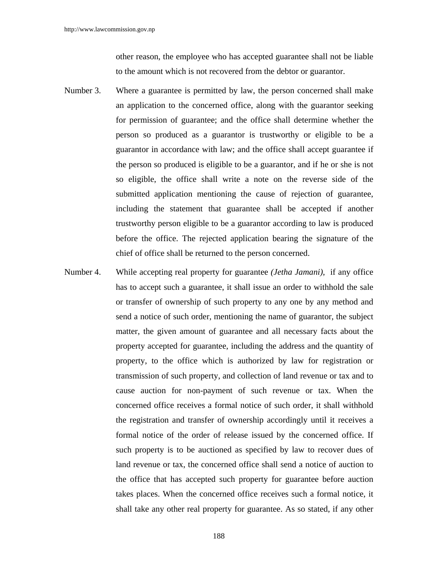other reason, the employee who has accepted guarantee shall not be liable to the amount which is not recovered from the debtor or guarantor.

- Number 3. Where a guarantee is permitted by law, the person concerned shall make an application to the concerned office, along with the guarantor seeking for permission of guarantee; and the office shall determine whether the person so produced as a guarantor is trustworthy or eligible to be a guarantor in accordance with law; and the office shall accept guarantee if the person so produced is eligible to be a guarantor, and if he or she is not so eligible, the office shall write a note on the reverse side of the submitted application mentioning the cause of rejection of guarantee, including the statement that guarantee shall be accepted if another trustworthy person eligible to be a guarantor according to law is produced before the office. The rejected application bearing the signature of the chief of office shall be returned to the person concerned.
- Number 4. While accepting real property for guarantee *(Jetha Jamani)*, if any office has to accept such a guarantee, it shall issue an order to withhold the sale or transfer of ownership of such property to any one by any method and send a notice of such order, mentioning the name of guarantor, the subject matter, the given amount of guarantee and all necessary facts about the property accepted for guarantee, including the address and the quantity of property, to the office which is authorized by law for registration or transmission of such property, and collection of land revenue or tax and to cause auction for non-payment of such revenue or tax. When the concerned office receives a formal notice of such order, it shall withhold the registration and transfer of ownership accordingly until it receives a formal notice of the order of release issued by the concerned office. If such property is to be auctioned as specified by law to recover dues of land revenue or tax, the concerned office shall send a notice of auction to the office that has accepted such property for guarantee before auction takes places. When the concerned office receives such a formal notice, it shall take any other real property for guarantee. As so stated, if any other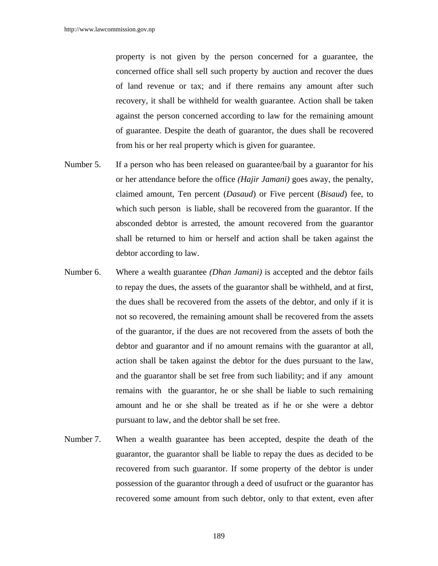property is not given by the person concerned for a guarantee, the concerned office shall sell such property by auction and recover the dues of land revenue or tax; and if there remains any amount after such recovery, it shall be withheld for wealth guarantee. Action shall be taken against the person concerned according to law for the remaining amount of guarantee. Despite the death of guarantor, the dues shall be recovered from his or her real property which is given for guarantee.

- Number 5. If a person who has been released on guarantee/bail by a guarantor for his or her attendance before the office *(Hajir Jamani)* goes away, the penalty, claimed amount, Ten percent (*Dasaud*) or Five percent (*Bisaud*) fee, to which such person is liable, shall be recovered from the guarantor. If the absconded debtor is arrested, the amount recovered from the guarantor shall be returned to him or herself and action shall be taken against the debtor according to law.
- Number 6. Where a wealth guarantee *(Dhan Jamani)* is accepted and the debtor fails to repay the dues, the assets of the guarantor shall be withheld, and at first, the dues shall be recovered from the assets of the debtor, and only if it is not so recovered, the remaining amount shall be recovered from the assets of the guarantor, if the dues are not recovered from the assets of both the debtor and guarantor and if no amount remains with the guarantor at all, action shall be taken against the debtor for the dues pursuant to the law, and the guarantor shall be set free from such liability; and if any amount remains with the guarantor, he or she shall be liable to such remaining amount and he or she shall be treated as if he or she were a debtor pursuant to law, and the debtor shall be set free.
- Number 7. When a wealth guarantee has been accepted, despite the death of the guarantor, the guarantor shall be liable to repay the dues as decided to be recovered from such guarantor. If some property of the debtor is under possession of the guarantor through a deed of usufruct or the guarantor has recovered some amount from such debtor, only to that extent, even after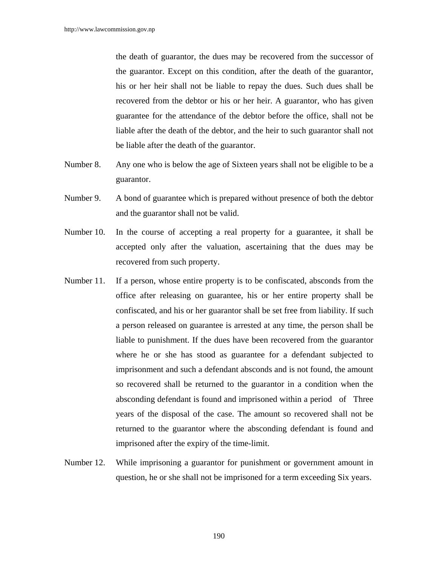the death of guarantor, the dues may be recovered from the successor of the guarantor. Except on this condition, after the death of the guarantor, his or her heir shall not be liable to repay the dues. Such dues shall be recovered from the debtor or his or her heir. A guarantor, who has given guarantee for the attendance of the debtor before the office, shall not be liable after the death of the debtor, and the heir to such guarantor shall not be liable after the death of the guarantor.

- Number 8. Any one who is below the age of Sixteen years shall not be eligible to be a guarantor.
- Number 9. A bond of guarantee which is prepared without presence of both the debtor and the guarantor shall not be valid.
- Number 10. In the course of accepting a real property for a guarantee, it shall be accepted only after the valuation, ascertaining that the dues may be recovered from such property.
- Number 11. If a person, whose entire property is to be confiscated, absconds from the office after releasing on guarantee, his or her entire property shall be confiscated, and his or her guarantor shall be set free from liability. If such a person released on guarantee is arrested at any time, the person shall be liable to punishment. If the dues have been recovered from the guarantor where he or she has stood as guarantee for a defendant subjected to imprisonment and such a defendant absconds and is not found, the amount so recovered shall be returned to the guarantor in a condition when the absconding defendant is found and imprisoned within a period of Three years of the disposal of the case. The amount so recovered shall not be returned to the guarantor where the absconding defendant is found and imprisoned after the expiry of the time-limit.
- Number 12. While imprisoning a guarantor for punishment or government amount in question, he or she shall not be imprisoned for a term exceeding Six years.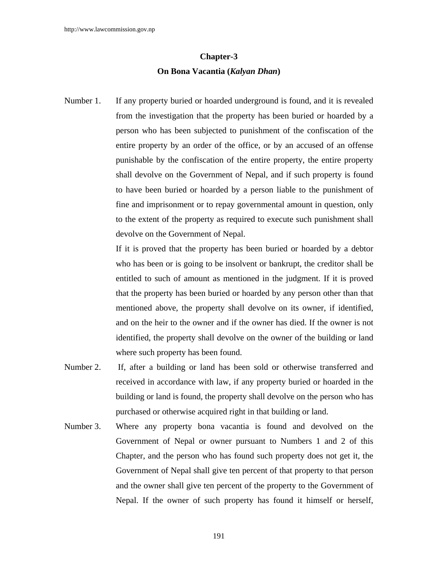# **Chapter-3 On Bona Vacantia (***Kalyan Dhan***)**

Number 1. If any property buried or hoarded underground is found, and it is revealed from the investigation that the property has been buried or hoarded by a person who has been subjected to punishment of the confiscation of the entire property by an order of the office, or by an accused of an offense punishable by the confiscation of the entire property, the entire property shall devolve on the Government of Nepal, and if such property is found to have been buried or hoarded by a person liable to the punishment of fine and imprisonment or to repay governmental amount in question, only to the extent of the property as required to execute such punishment shall devolve on the Government of Nepal.

> If it is proved that the property has been buried or hoarded by a debtor who has been or is going to be insolvent or bankrupt, the creditor shall be entitled to such of amount as mentioned in the judgment. If it is proved that the property has been buried or hoarded by any person other than that mentioned above, the property shall devolve on its owner, if identified, and on the heir to the owner and if the owner has died. If the owner is not identified, the property shall devolve on the owner of the building or land where such property has been found.

- Number 2. If, after a building or land has been sold or otherwise transferred and received in accordance with law, if any property buried or hoarded in the building or land is found, the property shall devolve on the person who has purchased or otherwise acquired right in that building or land.
- Number 3. Where any property bona vacantia is found and devolved on the Government of Nepal or owner pursuant to Numbers 1 and 2 of this Chapter, and the person who has found such property does not get it, the Government of Nepal shall give ten percent of that property to that person and the owner shall give ten percent of the property to the Government of Nepal. If the owner of such property has found it himself or herself,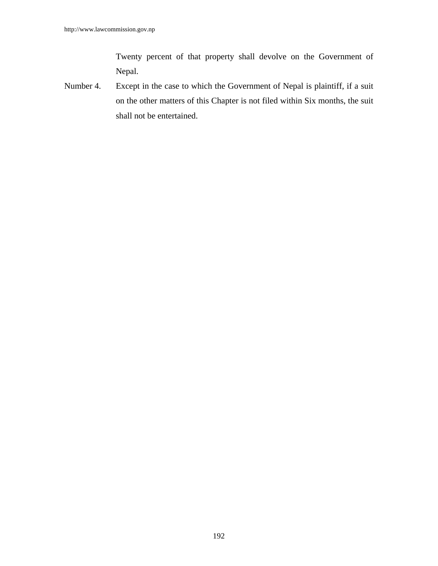Twenty percent of that property shall devolve on the Government of Nepal.

Number 4. Except in the case to which the Government of Nepal is plaintiff, if a suit on the other matters of this Chapter is not filed within Six months, the suit shall not be entertained.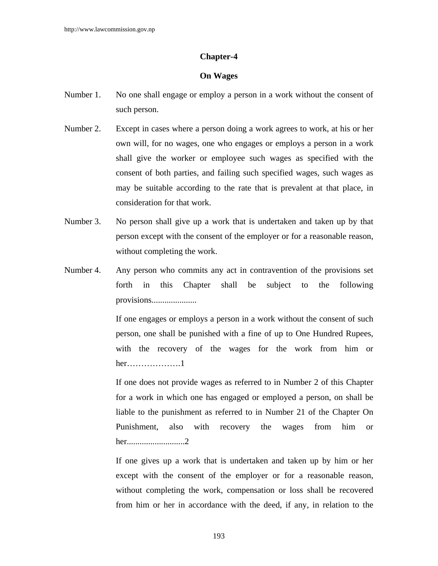# **On Wages**

- Number 1. No one shall engage or employ a person in a work without the consent of such person.
- Number 2. Except in cases where a person doing a work agrees to work, at his or her own will, for no wages, one who engages or employs a person in a work shall give the worker or employee such wages as specified with the consent of both parties, and failing such specified wages, such wages as may be suitable according to the rate that is prevalent at that place, in consideration for that work.
- Number 3. No person shall give up a work that is undertaken and taken up by that person except with the consent of the employer or for a reasonable reason, without completing the work.
- Number 4. Any person who commits any act in contravention of the provisions set forth in this Chapter shall be subject to the following provisions.....................

If one engages or employs a person in a work without the consent of such person, one shall be punished with a fine of up to One Hundred Rupees, with the recovery of the wages for the work from him or her……………….1

If one does not provide wages as referred to in Number 2 of this Chapter for a work in which one has engaged or employed a person, on shall be liable to the punishment as referred to in Number 21 of the Chapter On Punishment, also with recovery the wages from him or her...........................2

If one gives up a work that is undertaken and taken up by him or her except with the consent of the employer or for a reasonable reason, without completing the work, compensation or loss shall be recovered from him or her in accordance with the deed, if any, in relation to the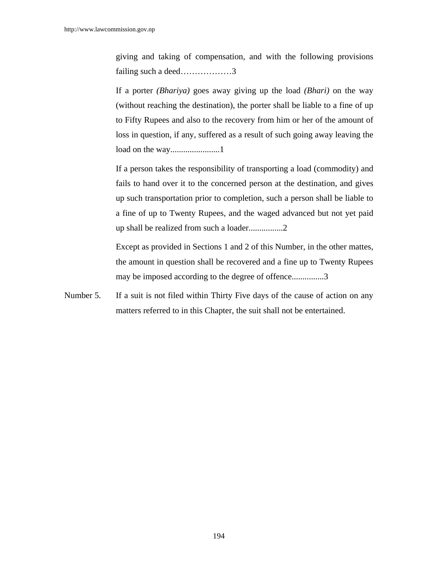giving and taking of compensation, and with the following provisions failing such a deed………………3

If a porter *(Bhariya)* goes away giving up the load *(Bhari)* on the way (without reaching the destination), the porter shall be liable to a fine of up to Fifty Rupees and also to the recovery from him or her of the amount of loss in question, if any, suffered as a result of such going away leaving the load on the way.......................1

If a person takes the responsibility of transporting a load (commodity) and fails to hand over it to the concerned person at the destination, and gives up such transportation prior to completion, such a person shall be liable to a fine of up to Twenty Rupees, and the waged advanced but not yet paid up shall be realized from such a loader................2

Except as provided in Sections 1 and 2 of this Number, in the other mattes, the amount in question shall be recovered and a fine up to Twenty Rupees may be imposed according to the degree of offence...............3

Number 5. If a suit is not filed within Thirty Five days of the cause of action on any matters referred to in this Chapter, the suit shall not be entertained.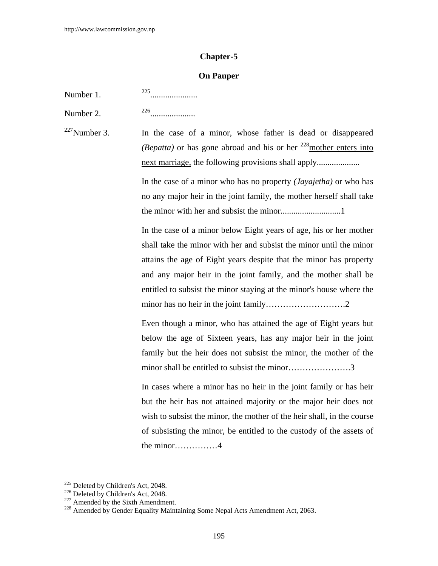#### **On Pauper**

Number 1. 225......................

Number 2. 226.....................

 $227$ Number 3. In the case of a minor, whose father is dead or disappeared *(Bepatta)* or has gone abroad and his or her <sup>228</sup>mother enters into next marriage, the following provisions shall apply..............................

> In the case of a minor who has no property *(Jayajetha)* or who has no any major heir in the joint family, the mother herself shall take the minor with her and subsist the minor............................1

> In the case of a minor below Eight years of age, his or her mother shall take the minor with her and subsist the minor until the minor attains the age of Eight years despite that the minor has property and any major heir in the joint family, and the mother shall be entitled to subsist the minor staying at the minor's house where the minor has no heir in the joint family……………………….2

> Even though a minor, who has attained the age of Eight years but below the age of Sixteen years, has any major heir in the joint family but the heir does not subsist the minor, the mother of the minor shall be entitled to subsist the minor………………….3

> In cases where a minor has no heir in the joint family or has heir but the heir has not attained majority or the major heir does not wish to subsist the minor, the mother of the heir shall, in the course of subsisting the minor, be entitled to the custody of the assets of the minor……………4

<sup>&</sup>lt;sup>225</sup> Deleted by Children's Act, 2048.

<sup>226</sup> Deleted by Children's Act, 2018.<br>
226 Deleted by Children's Act, 2048.<br>
227 Amended by Gender Equality Maintaining Some Nepal Acts Amendment Act, 2063.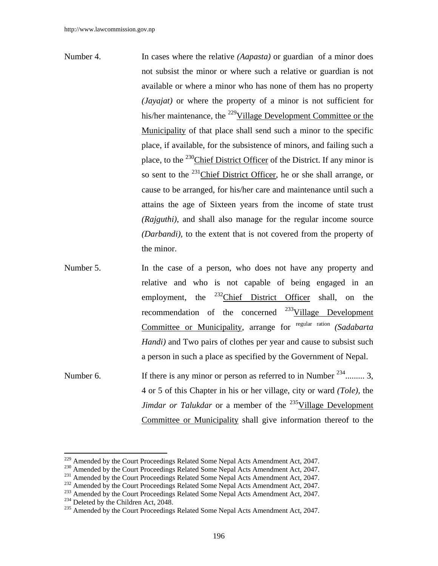- Number 4. In cases where the relative *(Aapasta)* or guardian of a minor does not subsist the minor or where such a relative or guardian is not available or where a minor who has none of them has no property *(Jayajat)* or where the property of a minor is not sufficient for his/her maintenance, the <sup>229</sup>Village Development Committee or the Municipality of that place shall send such a minor to the specific place, if available, for the subsistence of minors, and failing such a place, to the  $^{230}$ Chief District Officer of the District. If any minor is so sent to the 231Chief District Officer, he or she shall arrange, or cause to be arranged, for his/her care and maintenance until such a attains the age of Sixteen years from the income of state trust *(Rajguthi)*, and shall also manage for the regular income source *(Darbandi),* to the extent that is not covered from the property of the minor.
- Number 5. In the case of a person, who does not have any property and relative and who is not capable of being engaged in an employment, the  $^{232}$ Chief District Officer shall, on the recommendation of the concerned  $^{233}$ Village Development Committee or Municipality, arrange for regular ration *(Sadabarta Handi)* and Two pairs of clothes per year and cause to subsist such a person in such a place as specified by the Government of Nepal.
- Number 6. If there is any minor or person as referred to in Number  $^{234}$ ......... 3, 4 or 5 of this Chapter in his or her village, city or ward *(Tole),* the *Jimdar or Talukdar* or a member of the <sup>235</sup>Village Development Committee or Municipality shall give information thereof to the

<sup>&</sup>lt;sup>229</sup> Amended by the Court Proceedings Related Some Nepal Acts Amendment Act, 2047.

<sup>230</sup> Amended by the Court Proceedings Related Some Nepal Acts Amendment Act, 2047.<br>
231 Amended by the Court Proceedings Related Some Nepal Acts Amendment Act, 2047.<br>
232 Amended by the Court Proceedings Related Some Nepal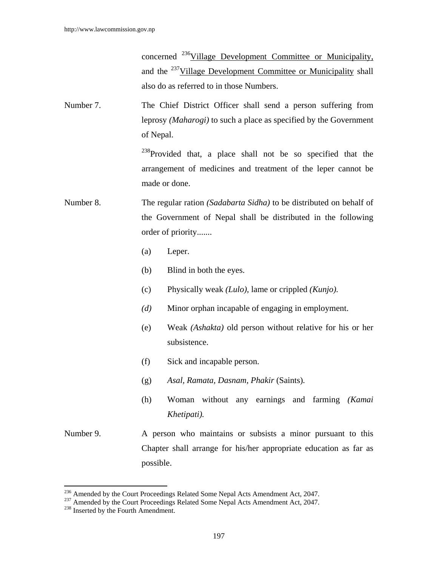concerned 236Village Development Committee or Municipality, and the <sup>237</sup>Village Development Committee or Municipality shall also do as referred to in those Numbers.

Number 7. The Chief District Officer shall send a person suffering from leprosy *(Maharogi)* to such a place as specified by the Government of Nepal.

> $^{238}$ Provided that, a place shall not be so specified that the arrangement of medicines and treatment of the leper cannot be made or done.

- Number 8. The regular ration *(Sadabarta Sidha)* to be distributed on behalf of the Government of Nepal shall be distributed in the following order of priority.......
	- (a) Leper.
	- (b) Blind in both the eyes.
	- (c) Physically weak *(Lulo),* lame or crippled *(Kunjo).*
	- *(d)* Minor orphan incapable of engaging in employment.
	- (e) Weak *(Ashakta)* old person without relative for his or her subsistence.
	- (f) Sick and incapable person.
	- (g) *Asal, Ramata, Dasnam, Phakir* (Saints)*.*
	- (h) Woman without any earnings and farming *(Kamai Khetipati).*
- Number 9. A person who maintains or subsists a minor pursuant to this Chapter shall arrange for his/her appropriate education as far as possible.

<sup>&</sup>lt;sup>236</sup> Amended by the Court Proceedings Related Some Nepal Acts Amendment Act, 2047.

<sup>&</sup>lt;sup>237</sup> Amended by the Court Proceedings Related Some Nepal Acts Amendment Act, 2047.<br><sup>238</sup> Inserted by the Fourth Amendment.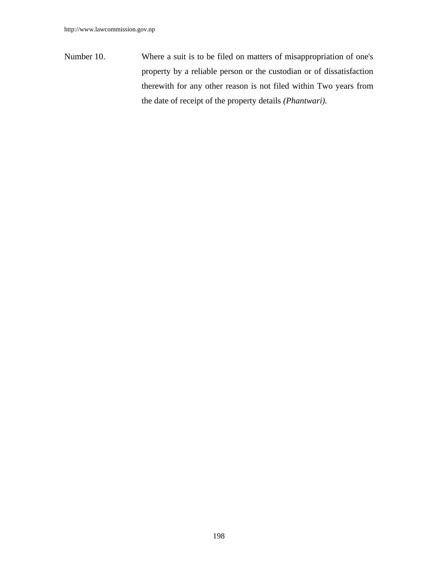Number 10. Where a suit is to be filed on matters of misappropriation of one's property by a reliable person or the custodian or of dissatisfaction therewith for any other reason is not filed within Two years from the date of receipt of the property details *(Phantwari).*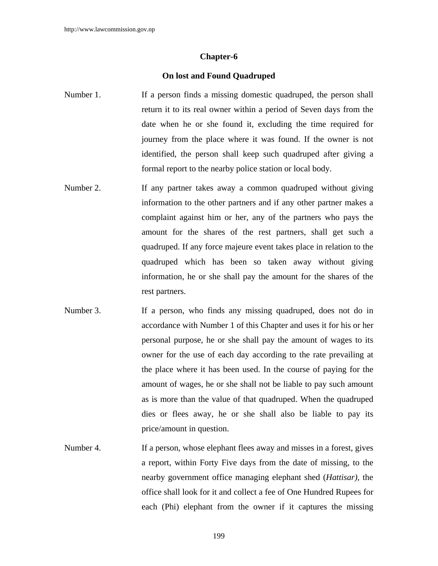#### **On lost and Found Quadruped**

- Number 1. If a person finds a missing domestic quadruped, the person shall return it to its real owner within a period of Seven days from the date when he or she found it, excluding the time required for journey from the place where it was found. If the owner is not identified, the person shall keep such quadruped after giving a formal report to the nearby police station or local body.
- Number 2. If any partner takes away a common quadruped without giving information to the other partners and if any other partner makes a complaint against him or her, any of the partners who pays the amount for the shares of the rest partners, shall get such a quadruped. If any force majeure event takes place in relation to the quadruped which has been so taken away without giving information, he or she shall pay the amount for the shares of the rest partners.
- Number 3. If a person, who finds any missing quadruped, does not do in accordance with Number 1 of this Chapter and uses it for his or her personal purpose, he or she shall pay the amount of wages to its owner for the use of each day according to the rate prevailing at the place where it has been used. In the course of paying for the amount of wages, he or she shall not be liable to pay such amount as is more than the value of that quadruped. When the quadruped dies or flees away, he or she shall also be liable to pay its price/amount in question.
- Number 4. If a person, whose elephant flees away and misses in a forest, gives a report, within Forty Five days from the date of missing, to the nearby government office managing elephant shed (*Hattisar),* the office shall look for it and collect a fee of One Hundred Rupees for each (Phi) elephant from the owner if it captures the missing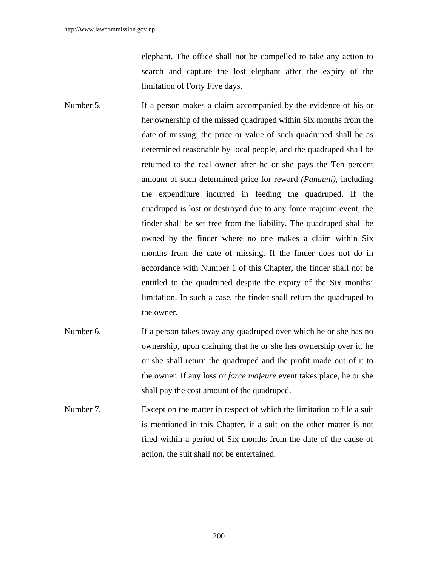elephant. The office shall not be compelled to take any action to search and capture the lost elephant after the expiry of the limitation of Forty Five days.

- Number 5. If a person makes a claim accompanied by the evidence of his or her ownership of the missed quadruped within Six months from the date of missing, the price or value of such quadruped shall be as determined reasonable by local people, and the quadruped shall be returned to the real owner after he or she pays the Ten percent amount of such determined price for reward *(Panauni)*, including the expenditure incurred in feeding the quadruped. If the quadruped is lost or destroyed due to any force majeure event, the finder shall be set free from the liability. The quadruped shall be owned by the finder where no one makes a claim within Six months from the date of missing. If the finder does not do in accordance with Number 1 of this Chapter, the finder shall not be entitled to the quadruped despite the expiry of the Six months' limitation. In such a case, the finder shall return the quadruped to the owner.
- Number 6. If a person takes away any quadruped over which he or she has no ownership, upon claiming that he or she has ownership over it, he or she shall return the quadruped and the profit made out of it to the owner. If any loss or *force majeure* event takes place, he or she shall pay the cost amount of the quadruped.
- Number 7. Except on the matter in respect of which the limitation to file a suit is mentioned in this Chapter, if a suit on the other matter is not filed within a period of Six months from the date of the cause of action, the suit shall not be entertained.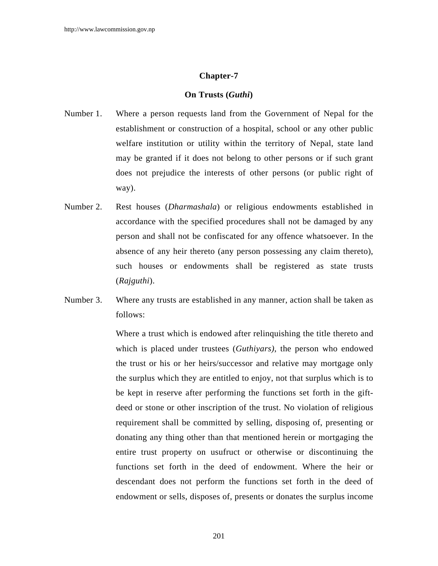## **On Trusts (***Guthi***)**

- Number 1. Where a person requests land from the Government of Nepal for the establishment or construction of a hospital, school or any other public welfare institution or utility within the territory of Nepal, state land may be granted if it does not belong to other persons or if such grant does not prejudice the interests of other persons (or public right of way).
- Number 2. Rest houses (*Dharmashala*) or religious endowments established in accordance with the specified procedures shall not be damaged by any person and shall not be confiscated for any offence whatsoever. In the absence of any heir thereto (any person possessing any claim thereto), such houses or endowments shall be registered as state trusts (*Rajguthi*).
- Number 3. Where any trusts are established in any manner, action shall be taken as follows:

 Where a trust which is endowed after relinquishing the title thereto and which is placed under trustees (*Guthiyars)*, the person who endowed the trust or his or her heirs/successor and relative may mortgage only the surplus which they are entitled to enjoy, not that surplus which is to be kept in reserve after performing the functions set forth in the giftdeed or stone or other inscription of the trust. No violation of religious requirement shall be committed by selling, disposing of, presenting or donating any thing other than that mentioned herein or mortgaging the entire trust property on usufruct or otherwise or discontinuing the functions set forth in the deed of endowment. Where the heir or descendant does not perform the functions set forth in the deed of endowment or sells, disposes of, presents or donates the surplus income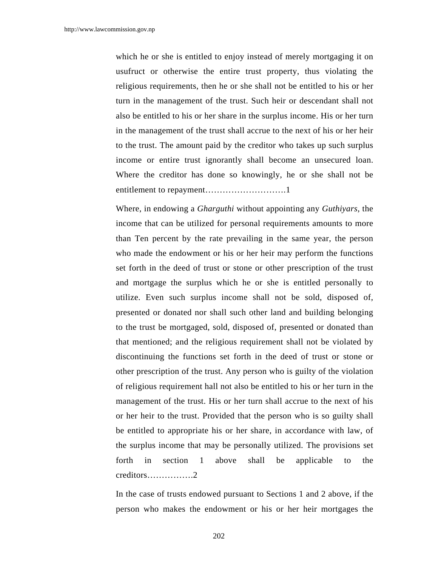which he or she is entitled to enjoy instead of merely mortgaging it on usufruct or otherwise the entire trust property, thus violating the religious requirements, then he or she shall not be entitled to his or her turn in the management of the trust. Such heir or descendant shall not also be entitled to his or her share in the surplus income. His or her turn in the management of the trust shall accrue to the next of his or her heir to the trust. The amount paid by the creditor who takes up such surplus income or entire trust ignorantly shall become an unsecured loan. Where the creditor has done so knowingly, he or she shall not be entitlement to repayment……………………….1

 Where, in endowing a *Gharguthi* without appointing any *Guthiyars*, the income that can be utilized for personal requirements amounts to more than Ten percent by the rate prevailing in the same year, the person who made the endowment or his or her heir may perform the functions set forth in the deed of trust or stone or other prescription of the trust and mortgage the surplus which he or she is entitled personally to utilize. Even such surplus income shall not be sold, disposed of, presented or donated nor shall such other land and building belonging to the trust be mortgaged, sold, disposed of, presented or donated than that mentioned; and the religious requirement shall not be violated by discontinuing the functions set forth in the deed of trust or stone or other prescription of the trust. Any person who is guilty of the violation of religious requirement hall not also be entitled to his or her turn in the management of the trust. His or her turn shall accrue to the next of his or her heir to the trust. Provided that the person who is so guilty shall be entitled to appropriate his or her share, in accordance with law, of the surplus income that may be personally utilized. The provisions set forth in section 1 above shall be applicable to the creditors…………….2

 In the case of trusts endowed pursuant to Sections 1 and 2 above, if the person who makes the endowment or his or her heir mortgages the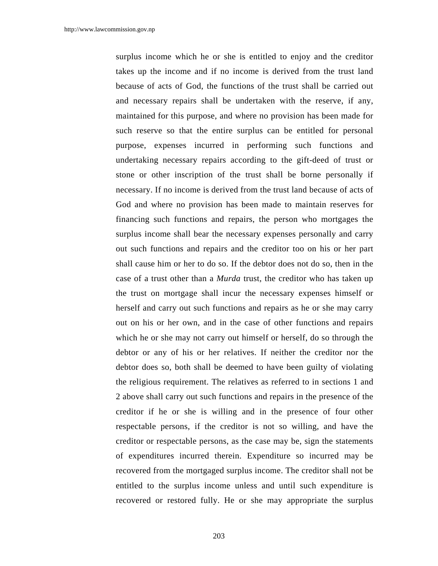surplus income which he or she is entitled to enjoy and the creditor takes up the income and if no income is derived from the trust land because of acts of God, the functions of the trust shall be carried out and necessary repairs shall be undertaken with the reserve, if any, maintained for this purpose, and where no provision has been made for such reserve so that the entire surplus can be entitled for personal purpose, expenses incurred in performing such functions and undertaking necessary repairs according to the gift-deed of trust or stone or other inscription of the trust shall be borne personally if necessary. If no income is derived from the trust land because of acts of God and where no provision has been made to maintain reserves for financing such functions and repairs, the person who mortgages the surplus income shall bear the necessary expenses personally and carry out such functions and repairs and the creditor too on his or her part shall cause him or her to do so. If the debtor does not do so, then in the case of a trust other than a *Murda* trust, the creditor who has taken up the trust on mortgage shall incur the necessary expenses himself or herself and carry out such functions and repairs as he or she may carry out on his or her own, and in the case of other functions and repairs which he or she may not carry out himself or herself, do so through the debtor or any of his or her relatives. If neither the creditor nor the debtor does so, both shall be deemed to have been guilty of violating the religious requirement. The relatives as referred to in sections 1 and 2 above shall carry out such functions and repairs in the presence of the creditor if he or she is willing and in the presence of four other respectable persons, if the creditor is not so willing, and have the creditor or respectable persons, as the case may be, sign the statements of expenditures incurred therein. Expenditure so incurred may be recovered from the mortgaged surplus income. The creditor shall not be entitled to the surplus income unless and until such expenditure is recovered or restored fully. He or she may appropriate the surplus

203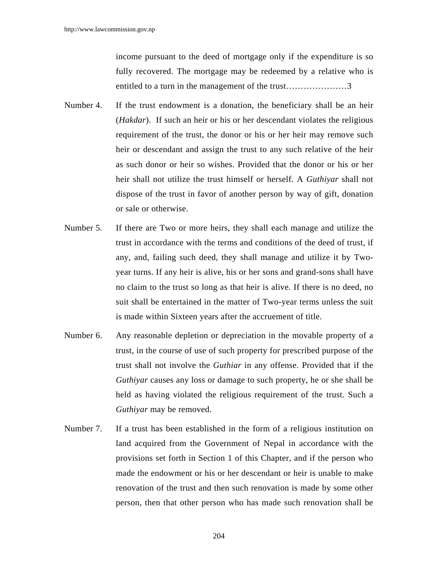income pursuant to the deed of mortgage only if the expenditure is so fully recovered. The mortgage may be redeemed by a relative who is entitled to a turn in the management of the trust…………………3

- Number 4. If the trust endowment is a donation, the beneficiary shall be an heir (*Hakdar*). If such an heir or his or her descendant violates the religious requirement of the trust, the donor or his or her heir may remove such heir or descendant and assign the trust to any such relative of the heir as such donor or heir so wishes. Provided that the donor or his or her heir shall not utilize the trust himself or herself. A *Guthiyar* shall not dispose of the trust in favor of another person by way of gift, donation or sale or otherwise.
- Number 5. If there are Two or more heirs, they shall each manage and utilize the trust in accordance with the terms and conditions of the deed of trust, if any, and, failing such deed, they shall manage and utilize it by Twoyear turns. If any heir is alive, his or her sons and grand-sons shall have no claim to the trust so long as that heir is alive. If there is no deed, no suit shall be entertained in the matter of Two-year terms unless the suit is made within Sixteen years after the accruement of title.
- Number 6. Any reasonable depletion or depreciation in the movable property of a trust, in the course of use of such property for prescribed purpose of the trust shall not involve the *Guthiar* in any offense. Provided that if the *Guthiyar* causes any loss or damage to such property, he or she shall be held as having violated the religious requirement of the trust. Such a *Guthiyar* may be removed.
- Number 7. If a trust has been established in the form of a religious institution on land acquired from the Government of Nepal in accordance with the provisions set forth in Section 1 of this Chapter, and if the person who made the endowment or his or her descendant or heir is unable to make renovation of the trust and then such renovation is made by some other person, then that other person who has made such renovation shall be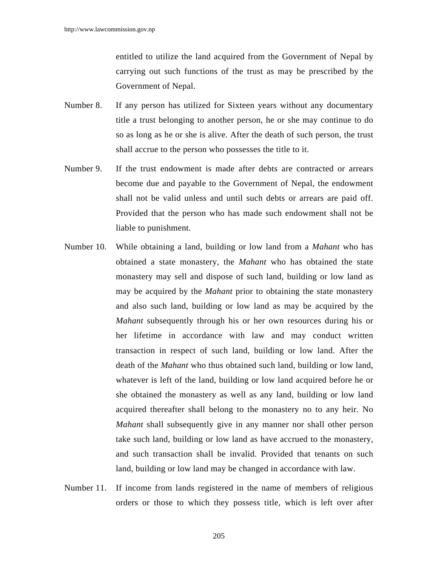entitled to utilize the land acquired from the Government of Nepal by carrying out such functions of the trust as may be prescribed by the Government of Nepal.

- Number 8. If any person has utilized for Sixteen years without any documentary title a trust belonging to another person, he or she may continue to do so as long as he or she is alive. After the death of such person, the trust shall accrue to the person who possesses the title to it.
- Number 9. If the trust endowment is made after debts are contracted or arrears become due and payable to the Government of Nepal, the endowment shall not be valid unless and until such debts or arrears are paid off. Provided that the person who has made such endowment shall not be liable to punishment.
- Number 10. While obtaining a land, building or low land from a *Mahant* who has obtained a state monastery, the *Mahant* who has obtained the state monastery may sell and dispose of such land, building or low land as may be acquired by the *Mahant* prior to obtaining the state monastery and also such land, building or low land as may be acquired by the *Mahant* subsequently through his or her own resources during his or her lifetime in accordance with law and may conduct written transaction in respect of such land, building or low land. After the death of the *Mahant* who thus obtained such land, building or low land, whatever is left of the land, building or low land acquired before he or she obtained the monastery as well as any land, building or low land acquired thereafter shall belong to the monastery no to any heir. No *Mahant* shall subsequently give in any manner nor shall other person take such land, building or low land as have accrued to the monastery, and such transaction shall be invalid. Provided that tenants on such land, building or low land may be changed in accordance with law.
- Number 11. If income from lands registered in the name of members of religious orders or those to which they possess title, which is left over after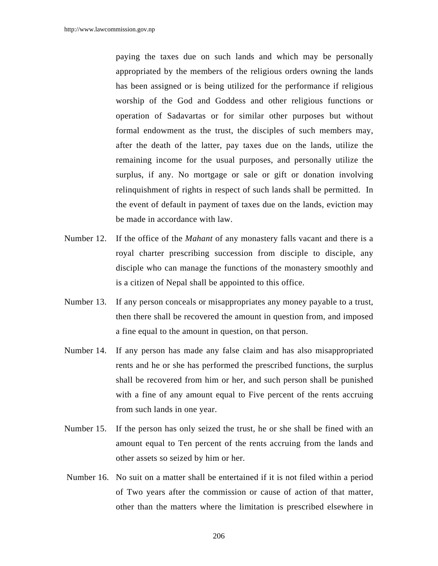paying the taxes due on such lands and which may be personally appropriated by the members of the religious orders owning the lands has been assigned or is being utilized for the performance if religious worship of the God and Goddess and other religious functions or operation of Sadavartas or for similar other purposes but without formal endowment as the trust, the disciples of such members may, after the death of the latter, pay taxes due on the lands, utilize the remaining income for the usual purposes, and personally utilize the surplus, if any. No mortgage or sale or gift or donation involving relinquishment of rights in respect of such lands shall be permitted. In the event of default in payment of taxes due on the lands, eviction may be made in accordance with law.

- Number 12. If the office of the *Mahant* of any monastery falls vacant and there is a royal charter prescribing succession from disciple to disciple, any disciple who can manage the functions of the monastery smoothly and is a citizen of Nepal shall be appointed to this office.
- Number 13. If any person conceals or misappropriates any money payable to a trust, then there shall be recovered the amount in question from, and imposed a fine equal to the amount in question, on that person.
- Number 14. If any person has made any false claim and has also misappropriated rents and he or she has performed the prescribed functions, the surplus shall be recovered from him or her, and such person shall be punished with a fine of any amount equal to Five percent of the rents accruing from such lands in one year.
- Number 15. If the person has only seized the trust, he or she shall be fined with an amount equal to Ten percent of the rents accruing from the lands and other assets so seized by him or her.
- Number 16. No suit on a matter shall be entertained if it is not filed within a period of Two years after the commission or cause of action of that matter, other than the matters where the limitation is prescribed elsewhere in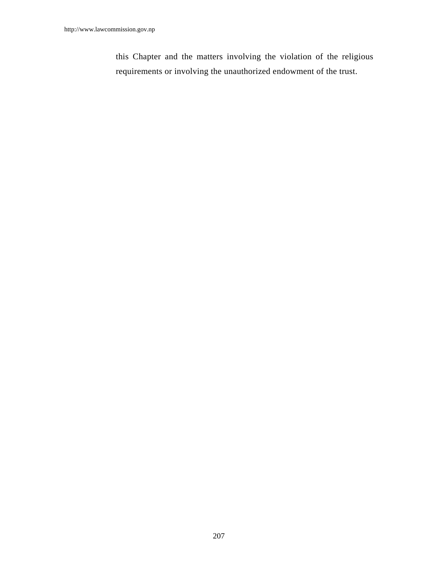this Chapter and the matters involving the violation of the religious requirements or involving the unauthorized endowment of the trust.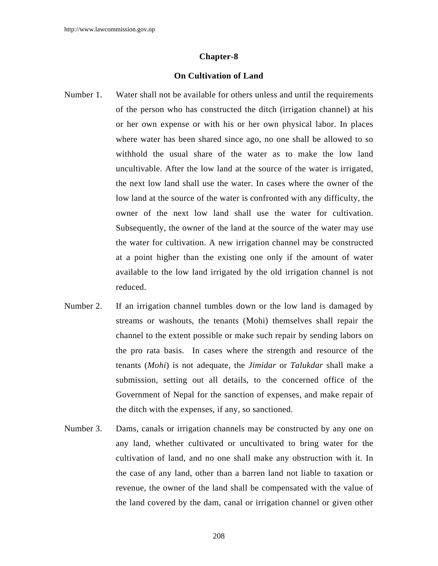# **On Cultivation of Land**

- Number 1. Water shall not be available for others unless and until the requirements of the person who has constructed the ditch (irrigation channel) at his or her own expense or with his or her own physical labor. In places where water has been shared since ago, no one shall be allowed to so withhold the usual share of the water as to make the low land uncultivable. After the low land at the source of the water is irrigated, the next low land shall use the water. In cases where the owner of the low land at the source of the water is confronted with any difficulty, the owner of the next low land shall use the water for cultivation. Subsequently, the owner of the land at the source of the water may use the water for cultivation. A new irrigation channel may be constructed at a point higher than the existing one only if the amount of water available to the low land irrigated by the old irrigation channel is not reduced.
- Number 2. If an irrigation channel tumbles down or the low land is damaged by streams or washouts, the tenants (Mohi) themselves shall repair the channel to the extent possible or make such repair by sending labors on the pro rata basis. In cases where the strength and resource of the tenants (*Mohi*) is not adequate, the *Jimidar* or *Talukdar* shall make a submission, setting out all details, to the concerned office of the Government of Nepal for the sanction of expenses, and make repair of the ditch with the expenses, if any, so sanctioned.
- Number 3. Dams, canals or irrigation channels may be constructed by any one on any land, whether cultivated or uncultivated to bring water for the cultivation of land, and no one shall make any obstruction with it. In the case of any land, other than a barren land not liable to taxation or revenue, the owner of the land shall be compensated with the value of the land covered by the dam, canal or irrigation channel or given other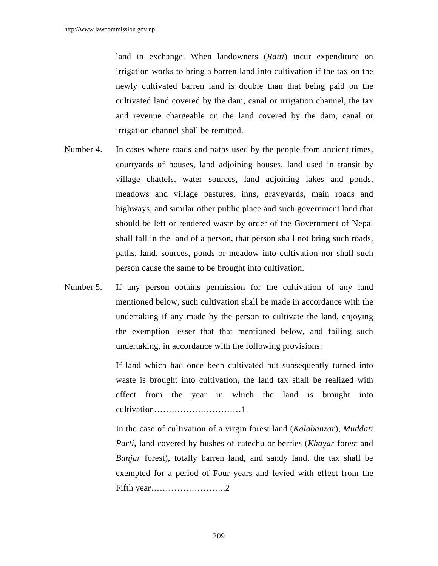land in exchange. When landowners (*Raiti*) incur expenditure on irrigation works to bring a barren land into cultivation if the tax on the newly cultivated barren land is double than that being paid on the cultivated land covered by the dam, canal or irrigation channel, the tax and revenue chargeable on the land covered by the dam, canal or irrigation channel shall be remitted.

- Number 4. In cases where roads and paths used by the people from ancient times, courtyards of houses, land adjoining houses, land used in transit by village chattels, water sources, land adjoining lakes and ponds, meadows and village pastures, inns, graveyards, main roads and highways, and similar other public place and such government land that should be left or rendered waste by order of the Government of Nepal shall fall in the land of a person, that person shall not bring such roads, paths, land, sources, ponds or meadow into cultivation nor shall such person cause the same to be brought into cultivation.
- Number 5. If any person obtains permission for the cultivation of any land mentioned below, such cultivation shall be made in accordance with the undertaking if any made by the person to cultivate the land, enjoying the exemption lesser that that mentioned below, and failing such undertaking, in accordance with the following provisions:

 If land which had once been cultivated but subsequently turned into waste is brought into cultivation, the land tax shall be realized with effect from the year in which the land is brought into cultivation…………………………1

 In the case of cultivation of a virgin forest land (*Kalabanzar*), *Muddati Parti*, land covered by bushes of catechu or berries (*Khayar* forest and *Banjar* forest), totally barren land, and sandy land, the tax shall be exempted for a period of Four years and levied with effect from the Fifth year……………………..2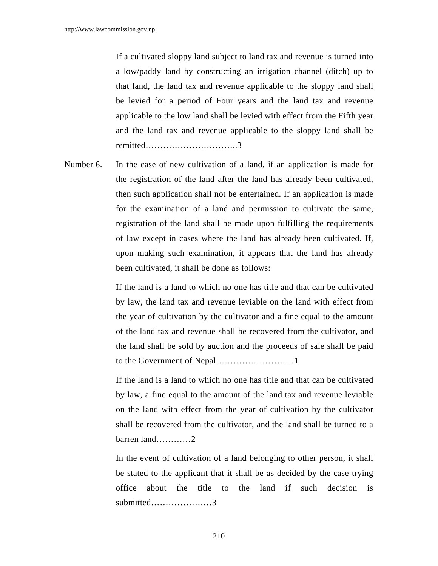If a cultivated sloppy land subject to land tax and revenue is turned into a low/paddy land by constructing an irrigation channel (ditch) up to that land, the land tax and revenue applicable to the sloppy land shall be levied for a period of Four years and the land tax and revenue applicable to the low land shall be levied with effect from the Fifth year and the land tax and revenue applicable to the sloppy land shall be remitted…………………………..3

Number 6. In the case of new cultivation of a land, if an application is made for the registration of the land after the land has already been cultivated, then such application shall not be entertained. If an application is made for the examination of a land and permission to cultivate the same, registration of the land shall be made upon fulfilling the requirements of law except in cases where the land has already been cultivated. If, upon making such examination, it appears that the land has already been cultivated, it shall be done as follows:

> If the land is a land to which no one has title and that can be cultivated by law, the land tax and revenue leviable on the land with effect from the year of cultivation by the cultivator and a fine equal to the amount of the land tax and revenue shall be recovered from the cultivator, and the land shall be sold by auction and the proceeds of sale shall be paid to the Government of Nepal………………………1

> If the land is a land to which no one has title and that can be cultivated by law, a fine equal to the amount of the land tax and revenue leviable on the land with effect from the year of cultivation by the cultivator shall be recovered from the cultivator, and the land shall be turned to a barren land…………2

> In the event of cultivation of a land belonging to other person, it shall be stated to the applicant that it shall be as decided by the case trying office about the title to the land if such decision is submitted…………………3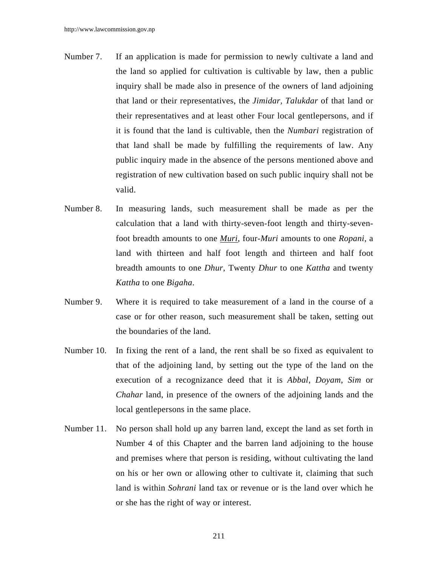- Number 7. If an application is made for permission to newly cultivate a land and the land so applied for cultivation is cultivable by law, then a public inquiry shall be made also in presence of the owners of land adjoining that land or their representatives, the *Jimidar, Talukdar* of that land or their representatives and at least other Four local gentlepersons, and if it is found that the land is cultivable, then the *Numbari* registration of that land shall be made by fulfilling the requirements of law. Any public inquiry made in the absence of the persons mentioned above and registration of new cultivation based on such public inquiry shall not be valid.
- Number 8. In measuring lands, such measurement shall be made as per the calculation that a land with thirty-seven-foot length and thirty-sevenfoot breadth amounts to one *Muri*, four-*Muri* amounts to one *Ropani*, a land with thirteen and half foot length and thirteen and half foot breadth amounts to one *Dhur*, Twenty *Dhur* to one *Kattha* and twenty *Kattha* to one *Bigaha*.
- Number 9. Where it is required to take measurement of a land in the course of a case or for other reason, such measurement shall be taken, setting out the boundaries of the land.
- Number 10. In fixing the rent of a land, the rent shall be so fixed as equivalent to that of the adjoining land, by setting out the type of the land on the execution of a recognizance deed that it is *Abbal*, *Doyam*, *Sim* or *Chahar* land, in presence of the owners of the adjoining lands and the local gentlepersons in the same place.
- Number 11. No person shall hold up any barren land, except the land as set forth in Number 4 of this Chapter and the barren land adjoining to the house and premises where that person is residing, without cultivating the land on his or her own or allowing other to cultivate it, claiming that such land is within *Sohrani* land tax or revenue or is the land over which he or she has the right of way or interest.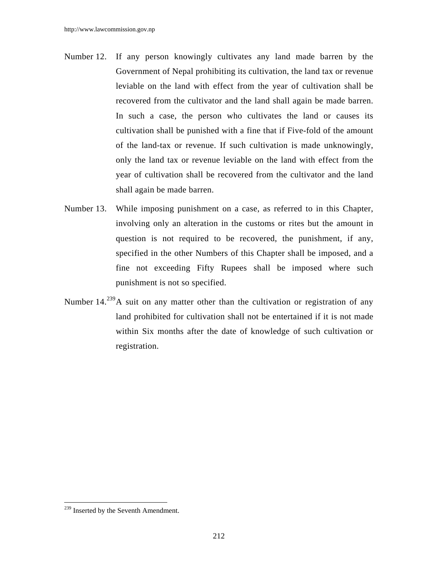- Number 12. If any person knowingly cultivates any land made barren by the Government of Nepal prohibiting its cultivation, the land tax or revenue leviable on the land with effect from the year of cultivation shall be recovered from the cultivator and the land shall again be made barren. In such a case, the person who cultivates the land or causes its cultivation shall be punished with a fine that if Five-fold of the amount of the land-tax or revenue. If such cultivation is made unknowingly, only the land tax or revenue leviable on the land with effect from the year of cultivation shall be recovered from the cultivator and the land shall again be made barren.
- Number 13. While imposing punishment on a case, as referred to in this Chapter, involving only an alteration in the customs or rites but the amount in question is not required to be recovered, the punishment, if any, specified in the other Numbers of this Chapter shall be imposed, and a fine not exceeding Fifty Rupees shall be imposed where such punishment is not so specified.
- Number 14.<sup>239</sup>A suit on any matter other than the cultivation or registration of any land prohibited for cultivation shall not be entertained if it is not made within Six months after the date of knowledge of such cultivation or registration.

 $\overline{\phantom{a}}$ 

<sup>&</sup>lt;sup>239</sup> Inserted by the Seventh Amendment.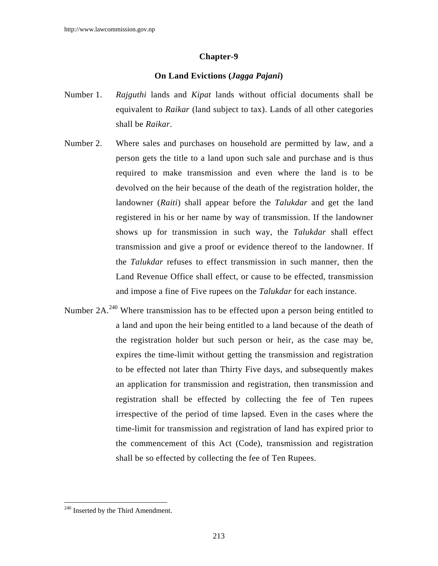# **On Land Evictions (***Jagga Pajani***)**

- Number 1. *Rajguthi* lands and *Kipat* lands without official documents shall be equivalent to *Raikar* (land subject to tax). Lands of all other categories shall be *Raikar*.
- Number 2. Where sales and purchases on household are permitted by law, and a person gets the title to a land upon such sale and purchase and is thus required to make transmission and even where the land is to be devolved on the heir because of the death of the registration holder, the landowner (*Raiti*) shall appear before the *Talukdar* and get the land registered in his or her name by way of transmission. If the landowner shows up for transmission in such way, the *Talukdar* shall effect transmission and give a proof or evidence thereof to the landowner. If the *Talukdar* refuses to effect transmission in such manner, then the Land Revenue Office shall effect, or cause to be effected, transmission and impose a fine of Five rupees on the *Talukdar* for each instance.
- Number 2A.<sup>240</sup> Where transmission has to be effected upon a person being entitled to a land and upon the heir being entitled to a land because of the death of the registration holder but such person or heir, as the case may be, expires the time-limit without getting the transmission and registration to be effected not later than Thirty Five days, and subsequently makes an application for transmission and registration, then transmission and registration shall be effected by collecting the fee of Ten rupees irrespective of the period of time lapsed. Even in the cases where the time-limit for transmission and registration of land has expired prior to the commencement of this Act (Code), transmission and registration shall be so effected by collecting the fee of Ten Rupees.

 $\overline{\phantom{a}}$ 

 $240$  Inserted by the Third Amendment.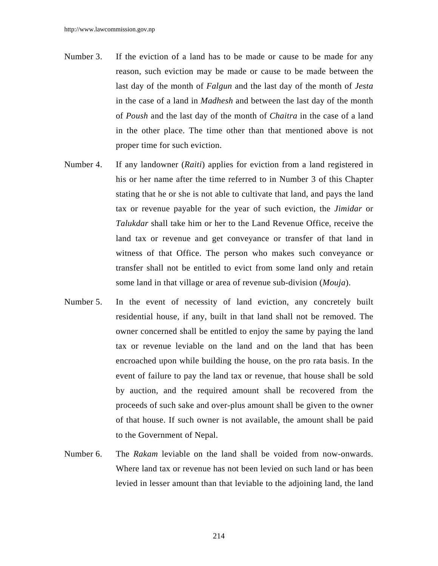- Number 3. If the eviction of a land has to be made or cause to be made for any reason, such eviction may be made or cause to be made between the last day of the month of *Falgun* and the last day of the month of *Jesta* in the case of a land in *Madhesh* and between the last day of the month of *Poush* and the last day of the month of *Chaitra* in the case of a land in the other place. The time other than that mentioned above is not proper time for such eviction.
- Number 4. If any landowner (*Raiti*) applies for eviction from a land registered in his or her name after the time referred to in Number 3 of this Chapter stating that he or she is not able to cultivate that land, and pays the land tax or revenue payable for the year of such eviction, the *Jimidar* or *Talukdar* shall take him or her to the Land Revenue Office, receive the land tax or revenue and get conveyance or transfer of that land in witness of that Office. The person who makes such conveyance or transfer shall not be entitled to evict from some land only and retain some land in that village or area of revenue sub-division (*Mouja*).
- Number 5. In the event of necessity of land eviction, any concretely built residential house, if any, built in that land shall not be removed. The owner concerned shall be entitled to enjoy the same by paying the land tax or revenue leviable on the land and on the land that has been encroached upon while building the house, on the pro rata basis. In the event of failure to pay the land tax or revenue, that house shall be sold by auction, and the required amount shall be recovered from the proceeds of such sake and over-plus amount shall be given to the owner of that house. If such owner is not available, the amount shall be paid to the Government of Nepal.
- Number 6. The *Rakam* leviable on the land shall be voided from now-onwards. Where land tax or revenue has not been levied on such land or has been levied in lesser amount than that leviable to the adjoining land, the land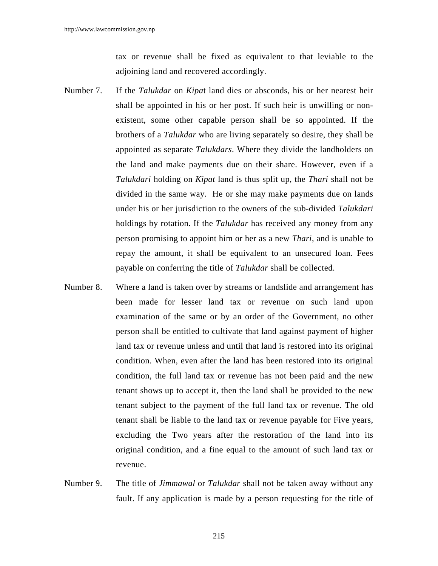tax or revenue shall be fixed as equivalent to that leviable to the adjoining land and recovered accordingly.

- Number 7. If the *Talukdar* on *Kipa*t land dies or absconds, his or her nearest heir shall be appointed in his or her post. If such heir is unwilling or nonexistent, some other capable person shall be so appointed. If the brothers of a *Talukdar* who are living separately so desire, they shall be appointed as separate *Talukdars*. Where they divide the landholders on the land and make payments due on their share. However, even if a *Talukdari* holding on *Kipat* land is thus split up, the *Thari* shall not be divided in the same way. He or she may make payments due on lands under his or her jurisdiction to the owners of the sub-divided *Talukdari* holdings by rotation. If the *Talukdar* has received any money from any person promising to appoint him or her as a new *Thari*, and is unable to repay the amount, it shall be equivalent to an unsecured loan. Fees payable on conferring the title of *Talukdar* shall be collected.
- Number 8. Where a land is taken over by streams or landslide and arrangement has been made for lesser land tax or revenue on such land upon examination of the same or by an order of the Government, no other person shall be entitled to cultivate that land against payment of higher land tax or revenue unless and until that land is restored into its original condition. When, even after the land has been restored into its original condition, the full land tax or revenue has not been paid and the new tenant shows up to accept it, then the land shall be provided to the new tenant subject to the payment of the full land tax or revenue. The old tenant shall be liable to the land tax or revenue payable for Five years, excluding the Two years after the restoration of the land into its original condition, and a fine equal to the amount of such land tax or revenue.
- Number 9. The title of *Jimmawal* or *Talukdar* shall not be taken away without any fault. If any application is made by a person requesting for the title of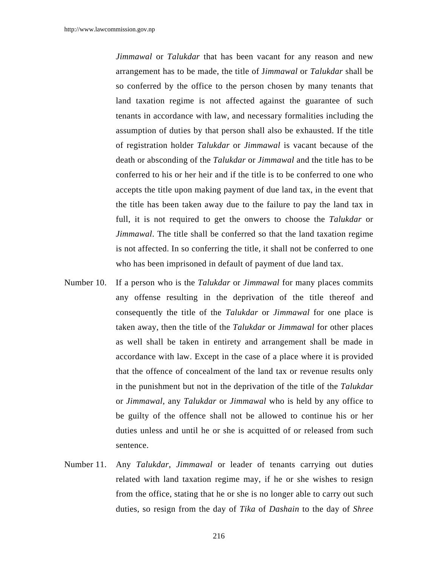*Jimmawal* or *Talukdar* that has been vacant for any reason and new arrangement has to be made, the title of J*immawal* or *Talukdar* shall be so conferred by the office to the person chosen by many tenants that land taxation regime is not affected against the guarantee of such tenants in accordance with law, and necessary formalities including the assumption of duties by that person shall also be exhausted. If the title of registration holder *Talukdar* or *Jimmawal* is vacant because of the death or absconding of the *Talukdar* or *Jimmawal* and the title has to be conferred to his or her heir and if the title is to be conferred to one who accepts the title upon making payment of due land tax, in the event that the title has been taken away due to the failure to pay the land tax in full, it is not required to get the onwers to choose the *Talukdar* or *Jimmawal*. The title shall be conferred so that the land taxation regime is not affected. In so conferring the title, it shall not be conferred to one who has been imprisoned in default of payment of due land tax.

- Number 10. If a person who is the *Talukdar* or *Jimmawal* for many places commits any offense resulting in the deprivation of the title thereof and consequently the title of the *Talukdar* or *Jimmawal* for one place is taken away, then the title of the *Talukdar* or *Jimmawal* for other places as well shall be taken in entirety and arrangement shall be made in accordance with law. Except in the case of a place where it is provided that the offence of concealment of the land tax or revenue results only in the punishment but not in the deprivation of the title of the *Talukdar* or *Jimmawal*, any *Talukdar* or *Jimmawal* who is held by any office to be guilty of the offence shall not be allowed to continue his or her duties unless and until he or she is acquitted of or released from such sentence.
- Number 11. Any *Talukdar*, *Jimmawal* or leader of tenants carrying out duties related with land taxation regime may, if he or she wishes to resign from the office, stating that he or she is no longer able to carry out such duties, so resign from the day of *Tika* of *Dashain* to the day of *Shree*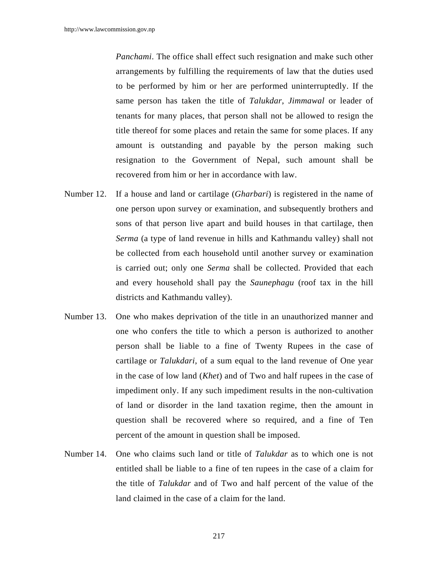*Panchami*. The office shall effect such resignation and make such other arrangements by fulfilling the requirements of law that the duties used to be performed by him or her are performed uninterruptedly. If the same person has taken the title of *Talukdar*, *Jimmawal* or leader of tenants for many places, that person shall not be allowed to resign the title thereof for some places and retain the same for some places. If any amount is outstanding and payable by the person making such resignation to the Government of Nepal, such amount shall be recovered from him or her in accordance with law.

- Number 12. If a house and land or cartilage (*Gharbari*) is registered in the name of one person upon survey or examination, and subsequently brothers and sons of that person live apart and build houses in that cartilage, then *Serma* (a type of land revenue in hills and Kathmandu valley) shall not be collected from each household until another survey or examination is carried out; only one *Serma* shall be collected. Provided that each and every household shall pay the *Saunephagu* (roof tax in the hill districts and Kathmandu valley).
- Number 13. One who makes deprivation of the title in an unauthorized manner and one who confers the title to which a person is authorized to another person shall be liable to a fine of Twenty Rupees in the case of cartilage or *Talukdari*, of a sum equal to the land revenue of One year in the case of low land (*Khet*) and of Two and half rupees in the case of impediment only. If any such impediment results in the non-cultivation of land or disorder in the land taxation regime, then the amount in question shall be recovered where so required, and a fine of Ten percent of the amount in question shall be imposed.
- Number 14. One who claims such land or title of *Talukdar* as to which one is not entitled shall be liable to a fine of ten rupees in the case of a claim for the title of *Talukdar* and of Two and half percent of the value of the land claimed in the case of a claim for the land.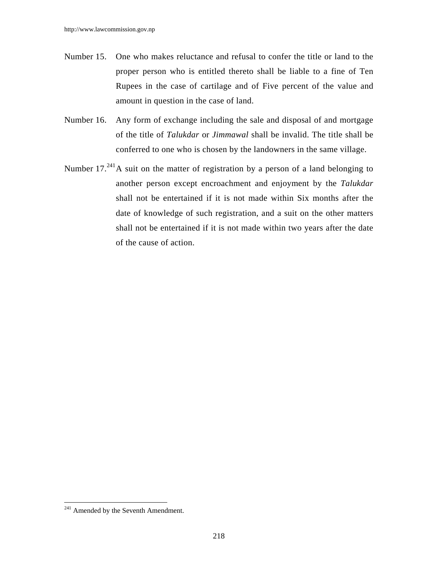- Number 15. One who makes reluctance and refusal to confer the title or land to the proper person who is entitled thereto shall be liable to a fine of Ten Rupees in the case of cartilage and of Five percent of the value and amount in question in the case of land.
- Number 16. Any form of exchange including the sale and disposal of and mortgage of the title of *Talukdar* or *Jimmawal* shall be invalid. The title shall be conferred to one who is chosen by the landowners in the same village.
- Number 17.<sup>241</sup>A suit on the matter of registration by a person of a land belonging to another person except encroachment and enjoyment by the *Talukdar* shall not be entertained if it is not made within Six months after the date of knowledge of such registration, and a suit on the other matters shall not be entertained if it is not made within two years after the date of the cause of action.

 $241$  Amended by the Seventh Amendment.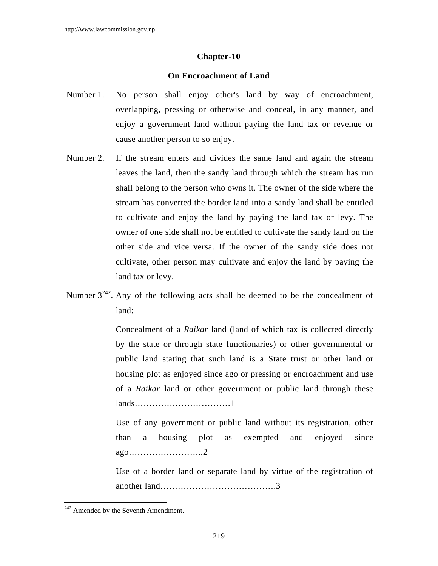#### **Chapter-10**

### **On Encroachment of Land**

- Number 1. No person shall enjoy other's land by way of encroachment, overlapping, pressing or otherwise and conceal, in any manner, and enjoy a government land without paying the land tax or revenue or cause another person to so enjoy.
- Number 2. If the stream enters and divides the same land and again the stream leaves the land, then the sandy land through which the stream has run shall belong to the person who owns it. The owner of the side where the stream has converted the border land into a sandy land shall be entitled to cultivate and enjoy the land by paying the land tax or levy. The owner of one side shall not be entitled to cultivate the sandy land on the other side and vice versa. If the owner of the sandy side does not cultivate, other person may cultivate and enjoy the land by paying the land tax or levy.
- Number  $3^{242}$ . Any of the following acts shall be deemed to be the concealment of land:

 Concealment of a *Raikar* land (land of which tax is collected directly by the state or through state functionaries) or other governmental or public land stating that such land is a State trust or other land or housing plot as enjoyed since ago or pressing or encroachment and use of a *Raikar* land or other government or public land through these lands……………………………1

 Use of any government or public land without its registration, other than a housing plot as exempted and enjoyed since ago……………………..2

 Use of a border land or separate land by virtue of the registration of another land………………………………….3

<sup>&</sup>lt;sup>242</sup> Amended by the Seventh Amendment.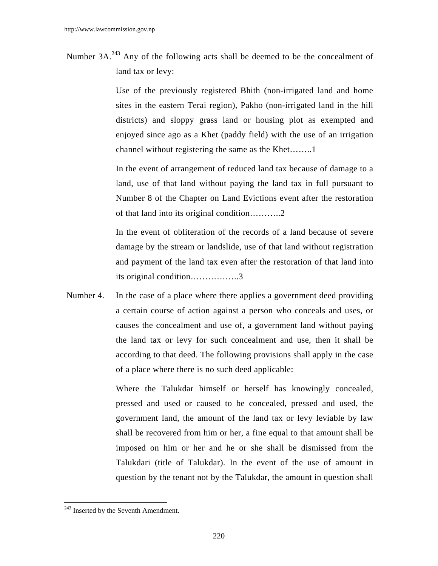Number 3A.<sup>243</sup> Any of the following acts shall be deemed to be the concealment of land tax or levy:

> Use of the previously registered Bhith (non-irrigated land and home sites in the eastern Terai region), Pakho (non-irrigated land in the hill districts) and sloppy grass land or housing plot as exempted and enjoyed since ago as a Khet (paddy field) with the use of an irrigation channel without registering the same as the Khet……..1

> In the event of arrangement of reduced land tax because of damage to a land, use of that land without paying the land tax in full pursuant to Number 8 of the Chapter on Land Evictions event after the restoration of that land into its original condition………..2

> In the event of obliteration of the records of a land because of severe damage by the stream or landslide, use of that land without registration and payment of the land tax even after the restoration of that land into its original condition……………..3

Number 4. In the case of a place where there applies a government deed providing a certain course of action against a person who conceals and uses, or causes the concealment and use of, a government land without paying the land tax or levy for such concealment and use, then it shall be according to that deed. The following provisions shall apply in the case of a place where there is no such deed applicable:

> Where the Talukdar himself or herself has knowingly concealed, pressed and used or caused to be concealed, pressed and used, the government land, the amount of the land tax or levy leviable by law shall be recovered from him or her, a fine equal to that amount shall be imposed on him or her and he or she shall be dismissed from the Talukdari (title of Talukdar). In the event of the use of amount in question by the tenant not by the Talukdar, the amount in question shall

<sup>&</sup>lt;sup>243</sup> Inserted by the Seventh Amendment.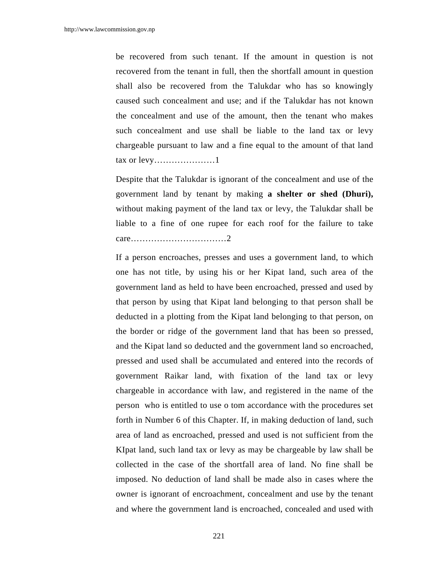be recovered from such tenant. If the amount in question is not recovered from the tenant in full, then the shortfall amount in question shall also be recovered from the Talukdar who has so knowingly caused such concealment and use; and if the Talukdar has not known the concealment and use of the amount, then the tenant who makes such concealment and use shall be liable to the land tax or levy chargeable pursuant to law and a fine equal to the amount of that land tax or levy…………………1

 Despite that the Talukdar is ignorant of the concealment and use of the government land by tenant by making **a shelter or shed (Dhuri),** without making payment of the land tax or levy, the Talukdar shall be liable to a fine of one rupee for each roof for the failure to take care……………………………2

 If a person encroaches, presses and uses a government land, to which one has not title, by using his or her Kipat land, such area of the government land as held to have been encroached, pressed and used by that person by using that Kipat land belonging to that person shall be deducted in a plotting from the Kipat land belonging to that person, on the border or ridge of the government land that has been so pressed, and the Kipat land so deducted and the government land so encroached, pressed and used shall be accumulated and entered into the records of government Raikar land, with fixation of the land tax or levy chargeable in accordance with law, and registered in the name of the person who is entitled to use o tom accordance with the procedures set forth in Number 6 of this Chapter. If, in making deduction of land, such area of land as encroached, pressed and used is not sufficient from the KIpat land, such land tax or levy as may be chargeable by law shall be collected in the case of the shortfall area of land. No fine shall be imposed. No deduction of land shall be made also in cases where the owner is ignorant of encroachment, concealment and use by the tenant and where the government land is encroached, concealed and used with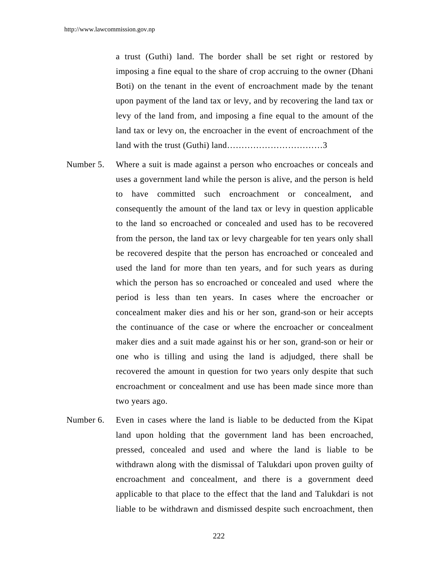a trust (Guthi) land. The border shall be set right or restored by imposing a fine equal to the share of crop accruing to the owner (Dhani Boti) on the tenant in the event of encroachment made by the tenant upon payment of the land tax or levy, and by recovering the land tax or levy of the land from, and imposing a fine equal to the amount of the land tax or levy on, the encroacher in the event of encroachment of the land with the trust (Guthi) land……………………………3

- Number 5. Where a suit is made against a person who encroaches or conceals and uses a government land while the person is alive, and the person is held to have committed such encroachment or concealment, and consequently the amount of the land tax or levy in question applicable to the land so encroached or concealed and used has to be recovered from the person, the land tax or levy chargeable for ten years only shall be recovered despite that the person has encroached or concealed and used the land for more than ten years, and for such years as during which the person has so encroached or concealed and used where the period is less than ten years. In cases where the encroacher or concealment maker dies and his or her son, grand-son or heir accepts the continuance of the case or where the encroacher or concealment maker dies and a suit made against his or her son, grand-son or heir or one who is tilling and using the land is adjudged, there shall be recovered the amount in question for two years only despite that such encroachment or concealment and use has been made since more than two years ago.
- Number 6. Even in cases where the land is liable to be deducted from the Kipat land upon holding that the government land has been encroached, pressed, concealed and used and where the land is liable to be withdrawn along with the dismissal of Talukdari upon proven guilty of encroachment and concealment, and there is a government deed applicable to that place to the effect that the land and Talukdari is not liable to be withdrawn and dismissed despite such encroachment, then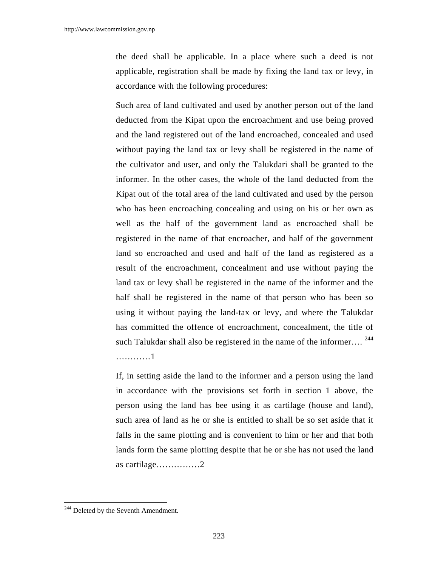the deed shall be applicable. In a place where such a deed is not applicable, registration shall be made by fixing the land tax or levy, in accordance with the following procedures:

 Such area of land cultivated and used by another person out of the land deducted from the Kipat upon the encroachment and use being proved and the land registered out of the land encroached, concealed and used without paying the land tax or levy shall be registered in the name of the cultivator and user, and only the Talukdari shall be granted to the informer. In the other cases, the whole of the land deducted from the Kipat out of the total area of the land cultivated and used by the person who has been encroaching concealing and using on his or her own as well as the half of the government land as encroached shall be registered in the name of that encroacher, and half of the government land so encroached and used and half of the land as registered as a result of the encroachment, concealment and use without paying the land tax or levy shall be registered in the name of the informer and the half shall be registered in the name of that person who has been so using it without paying the land-tax or levy, and where the Talukdar has committed the offence of encroachment, concealment, the title of such Talukdar shall also be registered in the name of the informer....  $^{244}$ …………1

 If, in setting aside the land to the informer and a person using the land in accordance with the provisions set forth in section 1 above, the person using the land has bee using it as cartilage (house and land), such area of land as he or she is entitled to shall be so set aside that it falls in the same plotting and is convenient to him or her and that both lands form the same plotting despite that he or she has not used the land as cartilage……………2

<sup>&</sup>lt;sup>244</sup> Deleted by the Seventh Amendment.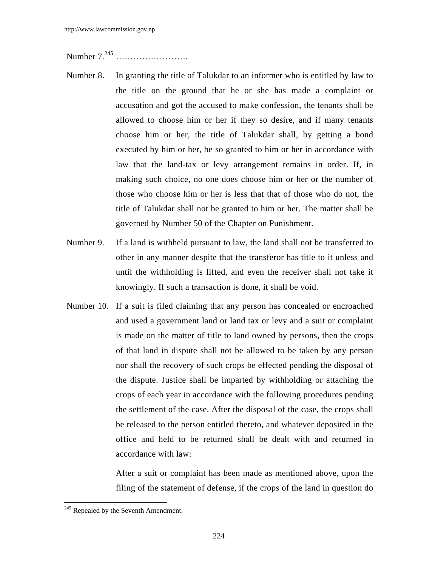Number 7.245 …………………….

- Number 8. In granting the title of Talukdar to an informer who is entitled by law to the title on the ground that he or she has made a complaint or accusation and got the accused to make confession, the tenants shall be allowed to choose him or her if they so desire, and if many tenants choose him or her, the title of Talukdar shall, by getting a bond executed by him or her, be so granted to him or her in accordance with law that the land-tax or levy arrangement remains in order. If, in making such choice, no one does choose him or her or the number of those who choose him or her is less that that of those who do not, the title of Talukdar shall not be granted to him or her. The matter shall be governed by Number 50 of the Chapter on Punishment.
- Number 9. If a land is withheld pursuant to law, the land shall not be transferred to other in any manner despite that the transferor has title to it unless and until the withholding is lifted, and even the receiver shall not take it knowingly. If such a transaction is done, it shall be void.
- Number 10. If a suit is filed claiming that any person has concealed or encroached and used a government land or land tax or levy and a suit or complaint is made on the matter of title to land owned by persons, then the crops of that land in dispute shall not be allowed to be taken by any person nor shall the recovery of such crops be effected pending the disposal of the dispute. Justice shall be imparted by withholding or attaching the crops of each year in accordance with the following procedures pending the settlement of the case. After the disposal of the case, the crops shall be released to the person entitled thereto, and whatever deposited in the office and held to be returned shall be dealt with and returned in accordance with law:

 After a suit or complaint has been made as mentioned above, upon the filing of the statement of defense, if the crops of the land in question do

 $245$  Repealed by the Seventh Amendment.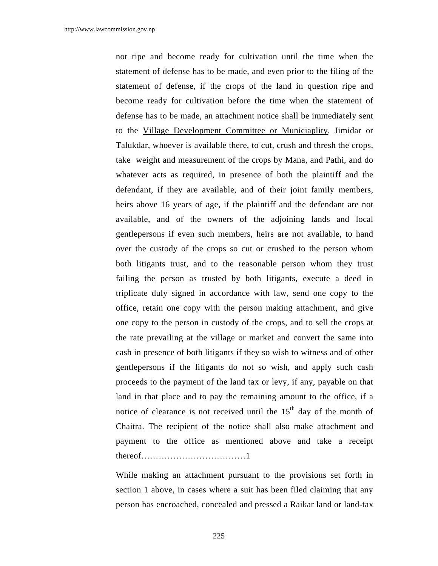not ripe and become ready for cultivation until the time when the statement of defense has to be made, and even prior to the filing of the statement of defense, if the crops of the land in question ripe and become ready for cultivation before the time when the statement of defense has to be made, an attachment notice shall be immediately sent to the Village Development Committee or Municiaplity, Jimidar or Talukdar, whoever is available there, to cut, crush and thresh the crops, take weight and measurement of the crops by Mana, and Pathi, and do whatever acts as required, in presence of both the plaintiff and the defendant, if they are available, and of their joint family members, heirs above 16 years of age, if the plaintiff and the defendant are not available, and of the owners of the adjoining lands and local gentlepersons if even such members, heirs are not available, to hand over the custody of the crops so cut or crushed to the person whom both litigants trust, and to the reasonable person whom they trust failing the person as trusted by both litigants, execute a deed in triplicate duly signed in accordance with law, send one copy to the office, retain one copy with the person making attachment, and give one copy to the person in custody of the crops, and to sell the crops at the rate prevailing at the village or market and convert the same into cash in presence of both litigants if they so wish to witness and of other gentlepersons if the litigants do not so wish, and apply such cash proceeds to the payment of the land tax or levy, if any, payable on that land in that place and to pay the remaining amount to the office, if a notice of clearance is not received until the  $15<sup>th</sup>$  day of the month of Chaitra. The recipient of the notice shall also make attachment and payment to the office as mentioned above and take a receipt thereof………………………………1

 While making an attachment pursuant to the provisions set forth in section 1 above, in cases where a suit has been filed claiming that any person has encroached, concealed and pressed a Raikar land or land-tax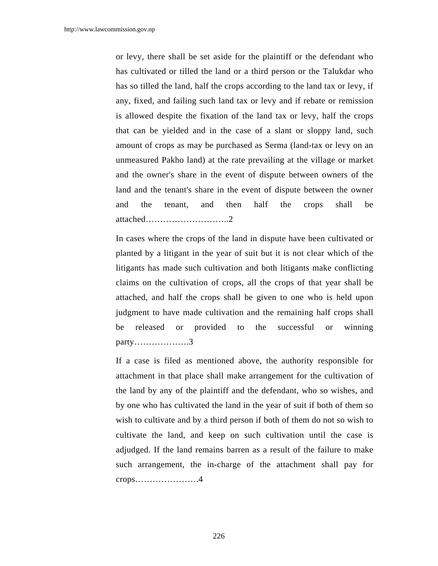or levy, there shall be set aside for the plaintiff or the defendant who has cultivated or tilled the land or a third person or the Talukdar who has so tilled the land, half the crops according to the land tax or levy, if any, fixed, and failing such land tax or levy and if rebate or remission is allowed despite the fixation of the land tax or levy, half the crops that can be yielded and in the case of a slant or sloppy land, such amount of crops as may be purchased as Serma (land-tax or levy on an unmeasured Pakho land) at the rate prevailing at the village or market and the owner's share in the event of dispute between owners of the land and the tenant's share in the event of dispute between the owner and the tenant, and then half the crops shall be attached………………………..2

 In cases where the crops of the land in dispute have been cultivated or planted by a litigant in the year of suit but it is not clear which of the litigants has made such cultivation and both litigants make conflicting claims on the cultivation of crops, all the crops of that year shall be attached, and half the crops shall be given to one who is held upon judgment to have made cultivation and the remaining half crops shall be released or provided to the successful or winning party……………….3

 If a case is filed as mentioned above, the authority responsible for attachment in that place shall make arrangement for the cultivation of the land by any of the plaintiff and the defendant, who so wishes, and by one who has cultivated the land in the year of suit if both of them so wish to cultivate and by a third person if both of them do not so wish to cultivate the land, and keep on such cultivation until the case is adjudged. If the land remains barren as a result of the failure to make such arrangement, the in-charge of the attachment shall pay for crops………………….4

226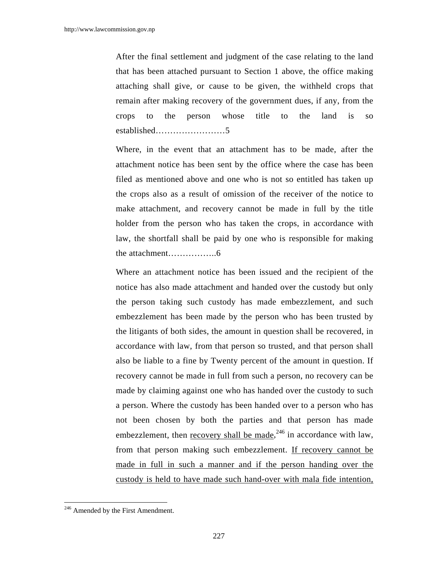After the final settlement and judgment of the case relating to the land that has been attached pursuant to Section 1 above, the office making attaching shall give, or cause to be given, the withheld crops that remain after making recovery of the government dues, if any, from the crops to the person whose title to the land is so established……………………5

Where, in the event that an attachment has to be made, after the attachment notice has been sent by the office where the case has been filed as mentioned above and one who is not so entitled has taken up the crops also as a result of omission of the receiver of the notice to make attachment, and recovery cannot be made in full by the title holder from the person who has taken the crops, in accordance with law, the shortfall shall be paid by one who is responsible for making the attachment……………..6

Where an attachment notice has been issued and the recipient of the notice has also made attachment and handed over the custody but only the person taking such custody has made embezzlement, and such embezzlement has been made by the person who has been trusted by the litigants of both sides, the amount in question shall be recovered, in accordance with law, from that person so trusted, and that person shall also be liable to a fine by Twenty percent of the amount in question. If recovery cannot be made in full from such a person, no recovery can be made by claiming against one who has handed over the custody to such a person. Where the custody has been handed over to a person who has not been chosen by both the parties and that person has made embezzlement, then  $recovery shall$  be made,<sup>246</sup> in accordance with law, from that person making such embezzlement. If recovery cannot be made in full in such a manner and if the person handing over the custody is held to have made such hand-over with mala fide intention,

 $246$  Amended by the First Amendment.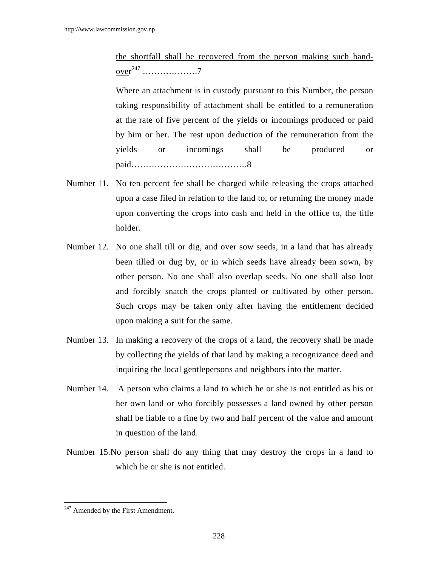the shortfall shall be recovered from the person making such hand-<u>over</u><sup>247</sup> …………………7

 Where an attachment is in custody pursuant to this Number, the person taking responsibility of attachment shall be entitled to a remuneration at the rate of five percent of the yields or incomings produced or paid by him or her. The rest upon deduction of the remuneration from the yields or incomings shall be produced or paid………………………………….8

- Number 11. No ten percent fee shall be charged while releasing the crops attached upon a case filed in relation to the land to, or returning the money made upon converting the crops into cash and held in the office to, the title holder.
- Number 12. No one shall till or dig, and over sow seeds, in a land that has already been tilled or dug by, or in which seeds have already been sown, by other person. No one shall also overlap seeds. No one shall also loot and forcibly snatch the crops planted or cultivated by other person. Such crops may be taken only after having the entitlement decided upon making a suit for the same.
- Number 13. In making a recovery of the crops of a land, the recovery shall be made by collecting the yields of that land by making a recognizance deed and inquiring the local gentlepersons and neighbors into the matter.
- Number 14. A person who claims a land to which he or she is not entitled as his or her own land or who forcibly possesses a land owned by other person shall be liable to a fine by two and half percent of the value and amount in question of the land.
- Number 15.No person shall do any thing that may destroy the crops in a land to which he or she is not entitled.

 $247$  Amended by the First Amendment.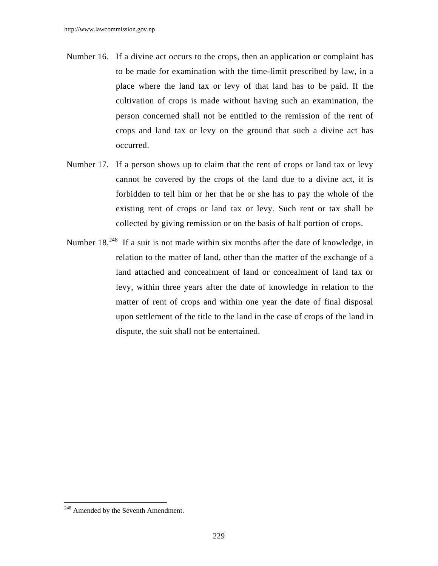- Number 16. If a divine act occurs to the crops, then an application or complaint has to be made for examination with the time-limit prescribed by law, in a place where the land tax or levy of that land has to be paid. If the cultivation of crops is made without having such an examination, the person concerned shall not be entitled to the remission of the rent of crops and land tax or levy on the ground that such a divine act has occurred.
- Number 17. If a person shows up to claim that the rent of crops or land tax or levy cannot be covered by the crops of the land due to a divine act, it is forbidden to tell him or her that he or she has to pay the whole of the existing rent of crops or land tax or levy. Such rent or tax shall be collected by giving remission or on the basis of half portion of crops.
- Number 18.<sup>248</sup> If a suit is not made within six months after the date of knowledge, in relation to the matter of land, other than the matter of the exchange of a land attached and concealment of land or concealment of land tax or levy, within three years after the date of knowledge in relation to the matter of rent of crops and within one year the date of final disposal upon settlement of the title to the land in the case of crops of the land in dispute, the suit shall not be entertained.

<sup>&</sup>lt;sup>248</sup> Amended by the Seventh Amendment.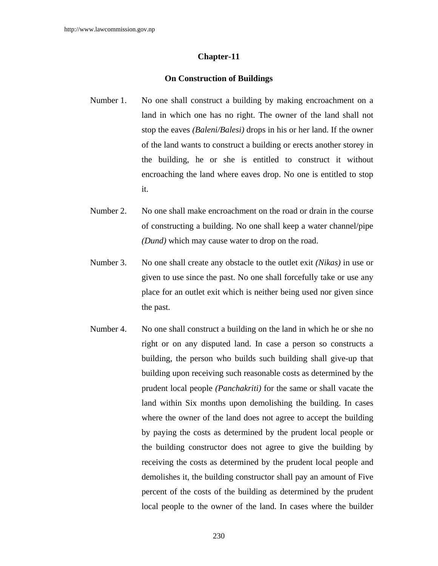## **Chapter-11**

## **On Construction of Buildings**

- Number 1. No one shall construct a building by making encroachment on a land in which one has no right. The owner of the land shall not stop the eaves *(Baleni/Balesi)* drops in his or her land. If the owner of the land wants to construct a building or erects another storey in the building, he or she is entitled to construct it without encroaching the land where eaves drop. No one is entitled to stop it.
- Number 2. No one shall make encroachment on the road or drain in the course of constructing a building. No one shall keep a water channel/pipe *(Dund)* which may cause water to drop on the road.
- Number 3. No one shall create any obstacle to the outlet exit *(Nikas)* in use or given to use since the past. No one shall forcefully take or use any place for an outlet exit which is neither being used nor given since the past.
- Number 4. No one shall construct a building on the land in which he or she no right or on any disputed land. In case a person so constructs a building, the person who builds such building shall give-up that building upon receiving such reasonable costs as determined by the prudent local people *(Panchakriti)* for the same or shall vacate the land within Six months upon demolishing the building. In cases where the owner of the land does not agree to accept the building by paying the costs as determined by the prudent local people or the building constructor does not agree to give the building by receiving the costs as determined by the prudent local people and demolishes it, the building constructor shall pay an amount of Five percent of the costs of the building as determined by the prudent local people to the owner of the land. In cases where the builder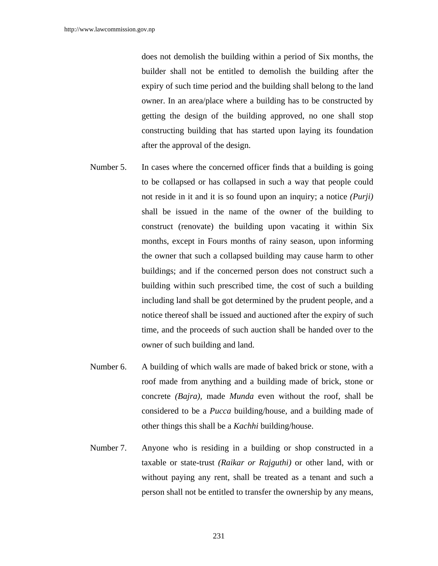does not demolish the building within a period of Six months, the builder shall not be entitled to demolish the building after the expiry of such time period and the building shall belong to the land owner. In an area/place where a building has to be constructed by getting the design of the building approved, no one shall stop constructing building that has started upon laying its foundation after the approval of the design.

- Number 5. In cases where the concerned officer finds that a building is going to be collapsed or has collapsed in such a way that people could not reside in it and it is so found upon an inquiry; a notice *(Purji)* shall be issued in the name of the owner of the building to construct (renovate) the building upon vacating it within Six months, except in Fours months of rainy season, upon informing the owner that such a collapsed building may cause harm to other buildings; and if the concerned person does not construct such a building within such prescribed time, the cost of such a building including land shall be got determined by the prudent people, and a notice thereof shall be issued and auctioned after the expiry of such time, and the proceeds of such auction shall be handed over to the owner of such building and land.
- Number 6. A building of which walls are made of baked brick or stone, with a roof made from anything and a building made of brick, stone or concrete *(Bajra),* made *Munda* even without the roof, shall be considered to be a *Pucca* building/house, and a building made of other things this shall be a *Kachhi* building/house.
- Number 7. Anyone who is residing in a building or shop constructed in a taxable or state-trust *(Raikar or Rajguthi)* or other land, with or without paying any rent, shall be treated as a tenant and such a person shall not be entitled to transfer the ownership by any means,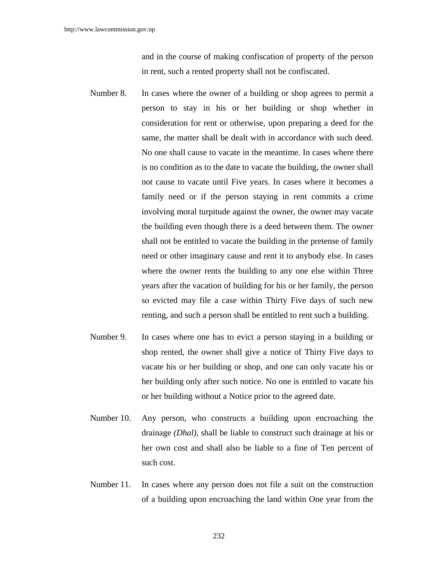and in the course of making confiscation of property of the person in rent, such a rented property shall not be confiscated.

- Number 8. In cases where the owner of a building or shop agrees to permit a person to stay in his or her building or shop whether in consideration for rent or otherwise, upon preparing a deed for the same, the matter shall be dealt with in accordance with such deed. No one shall cause to vacate in the meantime. In cases where there is no condition as to the date to vacate the building, the owner shall not cause to vacate until Five years. In cases where it becomes a family need or if the person staying in rent commits a crime involving moral turpitude against the owner, the owner may vacate the building even though there is a deed between them. The owner shall not be entitled to vacate the building in the pretense of family need or other imaginary cause and rent it to anybody else. In cases where the owner rents the building to any one else within Three years after the vacation of building for his or her family, the person so evicted may file a case within Thirty Five days of such new renting, and such a person shall be entitled to rent such a building.
- Number 9. In cases where one has to evict a person staying in a building or shop rented, the owner shall give a notice of Thirty Five days to vacate his or her building or shop, and one can only vacate his or her building only after such notice. No one is entitled to vacate his or her building without a Notice prior to the agreed date.
- Number 10. Any person, who constructs a building upon encroaching the drainage *(Dhal),* shall be liable to construct such drainage at his or her own cost and shall also be liable to a fine of Ten percent of such cost.
- Number 11. In cases where any person does not file a suit on the construction of a building upon encroaching the land within One year from the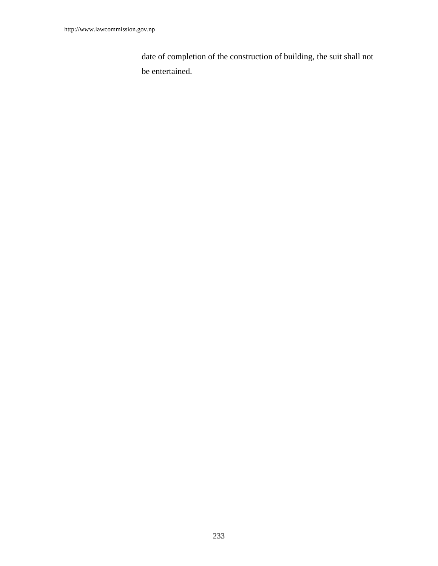date of completion of the construction of building, the suit shall not be entertained.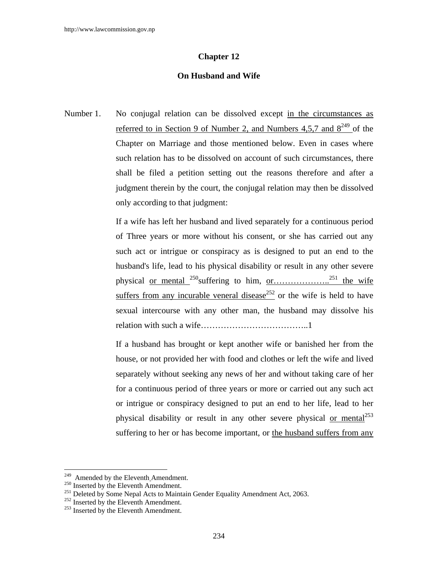# **Chapter 12**

# **On Husband and Wife**

Number 1. No conjugal relation can be dissolved except in the circumstances as referred to in Section 9 of Number 2, and Numbers 4,5,7 and  $8^{249}$  of the Chapter on Marriage and those mentioned below. Even in cases where such relation has to be dissolved on account of such circumstances, there shall be filed a petition setting out the reasons therefore and after a judgment therein by the court, the conjugal relation may then be dissolved only according to that judgment:

> If a wife has left her husband and lived separately for a continuous period of Three years or more without his consent, or she has carried out any such act or intrigue or conspiracy as is designed to put an end to the husband's life, lead to his physical disability or result in any other severe physical or mental  $^{250}$ suffering to him, or…………………<sup>251</sup> the wife suffers from any incurable veneral disease<sup>252</sup> or the wife is held to have sexual intercourse with any other man, the husband may dissolve his relation with such a wife………………………………..1

> If a husband has brought or kept another wife or banished her from the house, or not provided her with food and clothes or left the wife and lived separately without seeking any news of her and without taking care of her for a continuous period of three years or more or carried out any such act or intrigue or conspiracy designed to put an end to her life, lead to her physical disability or result in any other severe physical or mental<sup>253</sup> suffering to her or has become important, or the husband suffers from any

<sup>&</sup>lt;sup>249</sup> Amended by the Eleventh Amendment.

<sup>&</sup>lt;sup>250</sup> Inserted by the Eleventh Amendment.<br><sup>251</sup> Deleted by Some Nepal Acts to Maintain Gender Equality Amendment Act, 2063.<br><sup>252</sup> Inserted by the Eleventh Amendment.<br><sup>253</sup> Inserted by the Eleventh Amendment.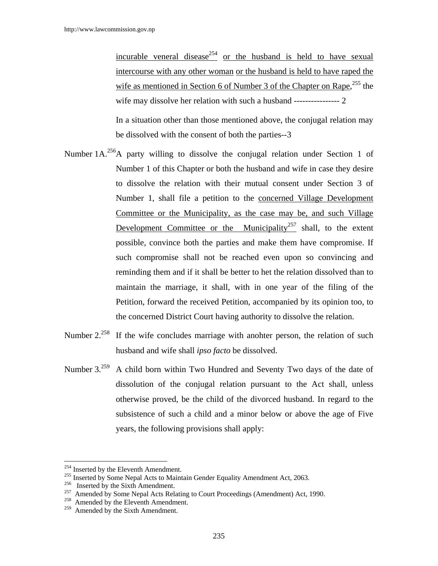incurable veneral disease<sup>254</sup> or the husband is held to have sexual intercourse with any other woman or the husband is held to have raped the wife as mentioned in Section 6 of Number 3 of the Chapter on Rape,<sup>255</sup> the wife may dissolve her relation with such a husband ---------------- 2

In a situation other than those mentioned above, the conjugal relation may be dissolved with the consent of both the parties--3

- Number  $1A^{256}$ A party willing to dissolve the conjugal relation under Section 1 of Number 1 of this Chapter or both the husband and wife in case they desire to dissolve the relation with their mutual consent under Section 3 of Number 1, shall file a petition to the concerned Village Development Committee or the Municipality, as the case may be, and such Village Development Committee or the Municipality<sup>257</sup> shall, to the extent possible, convince both the parties and make them have compromise. If such compromise shall not be reached even upon so convincing and reminding them and if it shall be better to het the relation dissolved than to maintain the marriage, it shall, with in one year of the filing of the Petition, forward the received Petition, accompanied by its opinion too, to the concerned District Court having authority to dissolve the relation.
- Number 2.<sup>258</sup> If the wife concludes marriage with anohter person, the relation of such husband and wife shall *ipso facto* be dissolved.
- Number 3.<sup>259</sup> A child born within Two Hundred and Seventy Two days of the date of dissolution of the conjugal relation pursuant to the Act shall, unless otherwise proved, be the child of the divorced husband. In regard to the subsistence of such a child and a minor below or above the age of Five years, the following provisions shall apply:

<sup>&</sup>lt;sup>254</sup> Inserted by the Eleventh Amendment.

<sup>&</sup>lt;sup>255</sup> Inserted by Some Nepal Acts to Maintain Gender Equality Amendment Act, 2063.<br>
Inserted by the Sixth Amendment.<br>
<sup>257</sup> Amended by Some Nepal Acts Relating to Court Proceedings (Amendment) Act, 1990.<br>
<sup>258</sup> Amended by

Amended by the Sixth Amendment.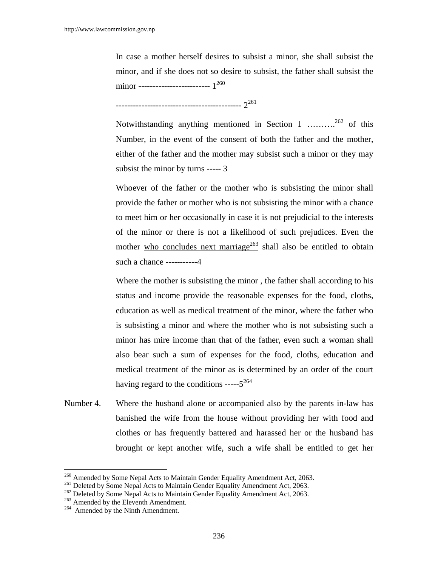In case a mother herself desires to subsist a minor, she shall subsist the minor, and if she does not so desire to subsist, the father shall subsist the minor ------------------------- 1260

-------------------------------------------- 2261

Notwithstanding anything mentioned in Section 1 ……….262 of this Number, in the event of the consent of both the father and the mother, either of the father and the mother may subsist such a minor or they may subsist the minor by turns ----- 3

Whoever of the father or the mother who is subsisting the minor shall provide the father or mother who is not subsisting the minor with a chance to meet him or her occasionally in case it is not prejudicial to the interests of the minor or there is not a likelihood of such prejudices. Even the mother who concludes next marriage<sup>263</sup> shall also be entitled to obtain such a chance -----------4

Where the mother is subsisting the minor , the father shall according to his status and income provide the reasonable expenses for the food, cloths, education as well as medical treatment of the minor, where the father who is subsisting a minor and where the mother who is not subsisting such a minor has mire income than that of the father, even such a woman shall also bear such a sum of expenses for the food, cloths, education and medical treatment of the minor as is determined by an order of the court having regard to the conditions ----- $5^{264}$ 

Number 4. Where the husband alone or accompanied also by the parents in-law has banished the wife from the house without providing her with food and clothes or has frequently battered and harassed her or the husband has brought or kept another wife, such a wife shall be entitled to get her

<sup>&</sup>lt;sup>260</sup> Amended by Some Nepal Acts to Maintain Gender Equality Amendment Act, 2063.

<sup>&</sup>lt;sup>261</sup> Deleted by Some Nepal Acts to Maintain Gender Equality Amendment Act, 2063.<br><sup>262</sup> Deleted by Some Nepal Acts to Maintain Gender Equality Amendment Act, 2063.<br><sup>263</sup> Amended by the Eleventh Amendment.<br><sup>264</sup> Amended by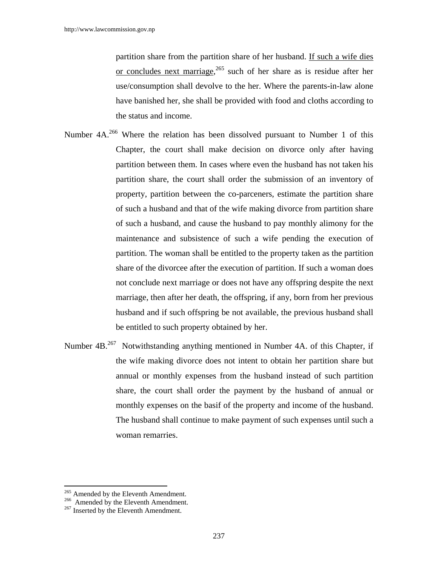partition share from the partition share of her husband. If such a wife dies or concludes next marriage,<sup>265</sup> such of her share as is residue after her use/consumption shall devolve to the her. Where the parents-in-law alone have banished her, she shall be provided with food and cloths according to the status and income.

- Number 4A.<sup>266</sup> Where the relation has been dissolved pursuant to Number 1 of this Chapter, the court shall make decision on divorce only after having partition between them. In cases where even the husband has not taken his partition share, the court shall order the submission of an inventory of property, partition between the co-parceners, estimate the partition share of such a husband and that of the wife making divorce from partition share of such a husband, and cause the husband to pay monthly alimony for the maintenance and subsistence of such a wife pending the execution of partition. The woman shall be entitled to the property taken as the partition share of the divorcee after the execution of partition. If such a woman does not conclude next marriage or does not have any offspring despite the next marriage, then after her death, the offspring, if any, born from her previous husband and if such offspring be not available, the previous husband shall be entitled to such property obtained by her.
- Number 4B.<sup>267</sup> Notwithstanding anything mentioned in Number 4A. of this Chapter, if the wife making divorce does not intent to obtain her partition share but annual or monthly expenses from the husband instead of such partition share, the court shall order the payment by the husband of annual or monthly expenses on the basif of the property and income of the husband. The husband shall continue to make payment of such expenses until such a woman remarries.

<sup>&</sup>lt;sup>265</sup> Amended by the Eleventh Amendment.

<sup>&</sup>lt;sup>266</sup> Amended by the Eleventh Amendment. <sup>267</sup> Inserted by the Eleventh Amendment.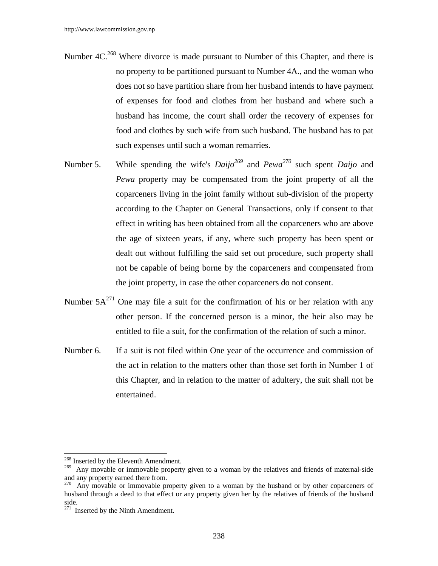- Number 4C.<sup>268</sup> Where divorce is made pursuant to Number of this Chapter, and there is no property to be partitioned pursuant to Number 4A., and the woman who does not so have partition share from her husband intends to have payment of expenses for food and clothes from her husband and where such a husband has income, the court shall order the recovery of expenses for food and clothes by such wife from such husband. The husband has to pat such expenses until such a woman remarries.
- Number 5. While spending the wife's  $Daijo^{269}$  and  $Pewa^{270}$  such spent *Daijo* and *Pewa* property may be compensated from the joint property of all the coparceners living in the joint family without sub-division of the property according to the Chapter on General Transactions, only if consent to that effect in writing has been obtained from all the coparceners who are above the age of sixteen years, if any, where such property has been spent or dealt out without fulfilling the said set out procedure, such property shall not be capable of being borne by the coparceners and compensated from the joint property, in case the other coparceners do not consent.
- Number  $5A^{271}$  One may file a suit for the confirmation of his or her relation with any other person. If the concerned person is a minor, the heir also may be entitled to file a suit, for the confirmation of the relation of such a minor.
- Number 6. If a suit is not filed within One year of the occurrence and commission of the act in relation to the matters other than those set forth in Number 1 of this Chapter, and in relation to the matter of adultery, the suit shall not be entertained.

 $\overline{\phantom{a}}$ <sup>268</sup> Inserted by the Eleventh Amendment.

<sup>&</sup>lt;sup>269</sup> Any movable or immovable property given to a woman by the relatives and friends of maternal-side and any property earned there from.

<sup>&</sup>lt;sup>270</sup> Any movable or immovable property given to a woman by the husband or by other coparceners of husband through a deed to that effect or any property given her by the relatives of friends of the husband side.

 $271$  Inserted by the Ninth Amendment.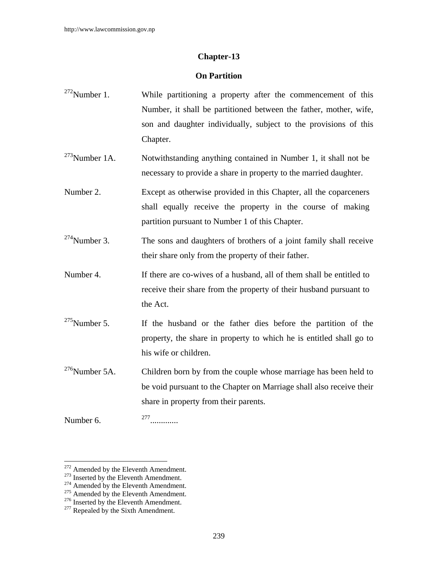## **Chapter-13**

### **On Partition**

- $272$ Number 1. While partitioning a property after the commencement of this Number, it shall be partitioned between the father, mother, wife, son and daughter individually, subject to the provisions of this Chapter.
- <sup>273</sup>Number 1A. Notwithstanding anything contained in Number 1, it shall not be necessary to provide a share in property to the married daughter.
- Number 2. Except as otherwise provided in this Chapter, all the coparceners shall equally receive the property in the course of making partition pursuant to Number 1 of this Chapter.
- $274$ Number 3. The sons and daughters of brothers of a joint family shall receive their share only from the property of their father.
- Number 4. If there are co-wives of a husband, all of them shall be entitled to receive their share from the property of their husband pursuant to the Act.
- $275$ Number 5. If the husband or the father dies before the partition of the property, the share in property to which he is entitled shall go to his wife or children.
- $276$ Number 5A. Children born by from the couple whose marriage has been held to be void pursuant to the Chapter on Marriage shall also receive their share in property from their parents.
- Number 6. <sup>277</sup>.............

<sup>&</sup>lt;sup>272</sup> Amended by the Eleventh Amendment.

<sup>&</sup>lt;sup>273</sup> Inserted by the Eleventh Amendment.<br><sup>274</sup> Amended by the Eleventh Amendment.<br><sup>275</sup> Amended by the Eleventh Amendment.<br><sup>276</sup> Inserted by the Eleventh Amendment.<br><sup>277</sup> Repealed by the Sixth Amendment.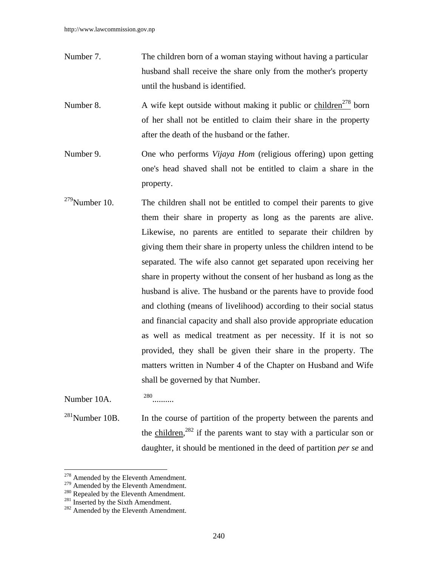- Number 7. The children born of a woman staying without having a particular husband shall receive the share only from the mother's property until the husband is identified.
- Number 8. A wife kept outside without making it public or children<sup>278</sup> born of her shall not be entitled to claim their share in the property after the death of the husband or the father.
- Number 9. One who performs *Vijaya Hom* (religious offering) upon getting one's head shaved shall not be entitled to claim a share in the property.
- $279$ Number 10. The children shall not be entitled to compel their parents to give them their share in property as long as the parents are alive. Likewise, no parents are entitled to separate their children by giving them their share in property unless the children intend to be separated. The wife also cannot get separated upon receiving her share in property without the consent of her husband as long as the husband is alive. The husband or the parents have to provide food and clothing (means of livelihood) according to their social status and financial capacity and shall also provide appropriate education as well as medical treatment as per necessity. If it is not so provided, they shall be given their share in the property. The matters written in Number 4 of the Chapter on Husband and Wife shall be governed by that Number.

Number  $10A$ .  $^{280}$ .

 $\overline{a}$ 

 $^{281}$ Number 10B. In the course of partition of the property between the parents and the children,<sup>282</sup> if the parents want to stay with a particular son or daughter, it should be mentioned in the deed of partition *per se* and

<sup>&</sup>lt;sup>278</sup> Amended by the Eleventh Amendment.

<sup>&</sup>lt;sup>279</sup> Amended by the Eleventh Amendment.<br><sup>280</sup> Repealed by the Eleventh Amendment.<br><sup>281</sup> Inserted by the Sixth Amendment.<br><sup>282</sup> Amended by the Eleventh Amendment.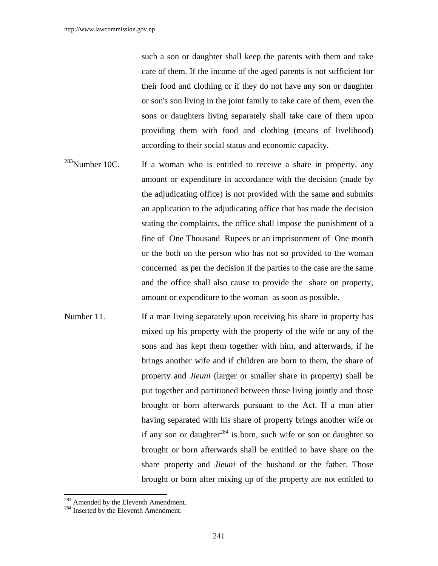such a son or daughter shall keep the parents with them and take care of them. If the income of the aged parents is not sufficient for their food and clothing or if they do not have any son or daughter or son's son living in the joint family to take care of them, even the sons or daughters living separately shall take care of them upon providing them with food and clothing (means of livelihood) according to their social status and economic capacity.

- $283$ Number 10C. If a woman who is entitled to receive a share in property, any amount or expenditure in accordance with the decision (made by the adjudicating office) is not provided with the same and submits an application to the adjudicating office that has made the decision stating the complaints, the office shall impose the punishment of a fine of One Thousand Rupees or an imprisonment of One month or the both on the person who has not so provided to the woman concerned as per the decision if the parties to the case are the same and the office shall also cause to provide the share on property, amount or expenditure to the woman as soon as possible.
- Number 11. If a man living separately upon receiving his share in property has mixed up his property with the property of the wife or any of the sons and has kept them together with him, and afterwards, if he brings another wife and if children are born to them, the share of property and *Jieuni* (larger or smaller share in property) shall be put together and partitioned between those living jointly and those brought or born afterwards pursuant to the Act. If a man after having separated with his share of property brings another wife or if any son or daughter<sup>284</sup> is born, such wife or son or daughter so brought or born afterwards shall be entitled to have share on the share property and *Jieuni* of the husband or the father. Those brought or born after mixing up of the property are not entitled to

 $\overline{a}$ 

 $^{283}$  Amended by the Eleventh Amendment.<br><sup>284</sup> Inserted by the Eleventh Amendment.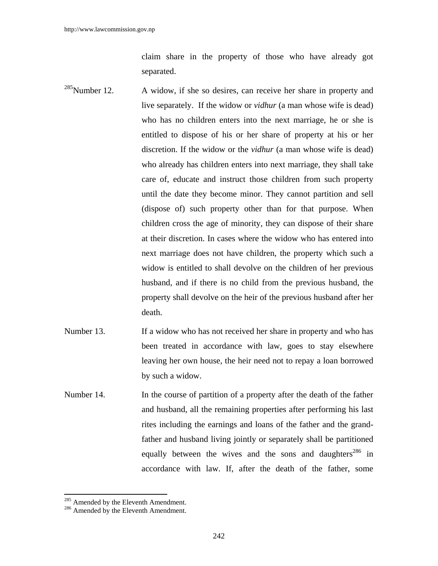claim share in the property of those who have already got separated.

- $285$ Number 12. A widow, if she so desires, can receive her share in property and live separately. If the widow or *vidhur* (a man whose wife is dead) who has no children enters into the next marriage, he or she is entitled to dispose of his or her share of property at his or her discretion. If the widow or the *vidhur* (a man whose wife is dead) who already has children enters into next marriage, they shall take care of, educate and instruct those children from such property until the date they become minor. They cannot partition and sell (dispose of) such property other than for that purpose. When children cross the age of minority, they can dispose of their share at their discretion. In cases where the widow who has entered into next marriage does not have children, the property which such a widow is entitled to shall devolve on the children of her previous husband, and if there is no child from the previous husband, the property shall devolve on the heir of the previous husband after her death.
- Number 13. If a widow who has not received her share in property and who has been treated in accordance with law, goes to stay elsewhere leaving her own house, the heir need not to repay a loan borrowed by such a widow.
- Number 14. In the course of partition of a property after the death of the father and husband, all the remaining properties after performing his last rites including the earnings and loans of the father and the grandfather and husband living jointly or separately shall be partitioned equally between the wives and the sons and daughters<sup>286</sup> in accordance with law. If, after the death of the father, some

 $\overline{a}$ 

 $^{285}$  Amended by the Eleventh Amendment.<br> $^{286}$  Amended by the Eleventh Amendment.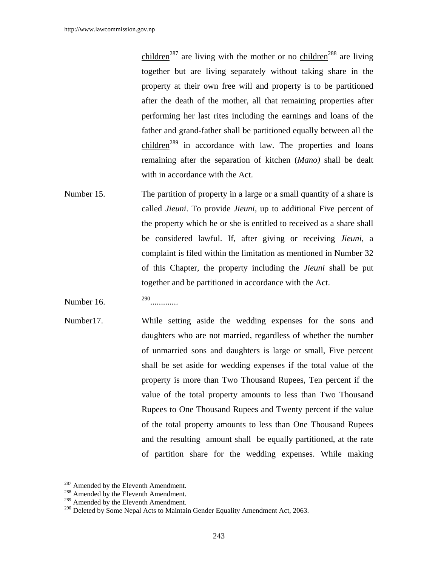children<sup>287</sup> are living with the mother or no children<sup>288</sup> are living together but are living separately without taking share in the property at their own free will and property is to be partitioned after the death of the mother, all that remaining properties after performing her last rites including the earnings and loans of the father and grand-father shall be partitioned equally between all the children<sup>289</sup> in accordance with law. The properties and loans remaining after the separation of kitchen (*Mano)* shall be dealt with in accordance with the Act.

- Number 15. The partition of property in a large or a small quantity of a share is called *Jieuni*. To provide *Jieuni,* up to additional Five percent of the property which he or she is entitled to received as a share shall be considered lawful. If, after giving or receiving *Jieuni,* a complaint is filed within the limitation as mentioned in Number 32 of this Chapter, the property including the *Jieuni* shall be put together and be partitioned in accordance with the Act.
- Number 16. <sup>290</sup>.............
- Number17. While setting aside the wedding expenses for the sons and daughters who are not married, regardless of whether the number of unmarried sons and daughters is large or small, Five percent shall be set aside for wedding expenses if the total value of the property is more than Two Thousand Rupees, Ten percent if the value of the total property amounts to less than Two Thousand Rupees to One Thousand Rupees and Twenty percent if the value of the total property amounts to less than One Thousand Rupees and the resulting amount shall be equally partitioned, at the rate of partition share for the wedding expenses. While making

<sup>&</sup>lt;sup>287</sup> Amended by the Eleventh Amendment.

<sup>288</sup> Amended by the Eleventh Amendment.

<sup>&</sup>lt;sup>289</sup> Amended by the Eleventh Amendment.

<sup>&</sup>lt;sup>290</sup> Deleted by Some Nepal Acts to Maintain Gender Equality Amendment Act, 2063.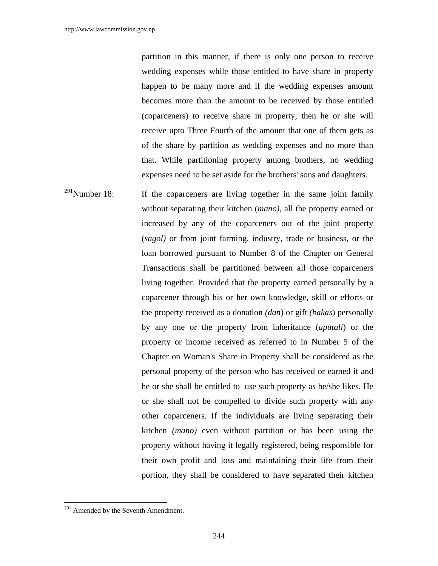partition in this manner, if there is only one person to receive wedding expenses while those entitled to have share in property happen to be many more and if the wedding expenses amount becomes more than the amount to be received by those entitled (coparceners) to receive share in property, then he or she will receive upto Three Fourth of the amount that one of them gets as of the share by partition as wedding expenses and no more than that. While partitioning property among brothers, no wedding expenses need to be set aside for the brothers' sons and daughters.

 $291$ Number 18: If the coparceners are living together in the same joint family without separating their kitchen (*mano)*, all the property earned or increased by any of the coparceners out of the joint property (*sagol)* or from joint farming, industry, trade or business, or the loan borrowed pursuant to Number 8 of the Chapter on General Transactions shall be partitioned between all those coparceners living together. Provided that the property earned personally by a coparcener through his or her own knowledge, skill or efforts or the property received as a donation *(dan*) or gift *(bakas*) personally by any one or the property from inheritance (*aputali*) or the property or income received as referred to in Number 5 of the Chapter on Woman's Share in Property shall be considered as the personal property of the person who has received or earned it and he or she shall be entitled to use such property as he/she likes. He or she shall not be compelled to divide such property with any other coparceners. If the individuals are living separating their kitchen *(mano)* even without partition or has been using the property without having it legally registered, being responsible for their own profit and loss and maintaining their life from their portion, they shall be considered to have separated their kitchen

 $291$  Amended by the Seventh Amendment.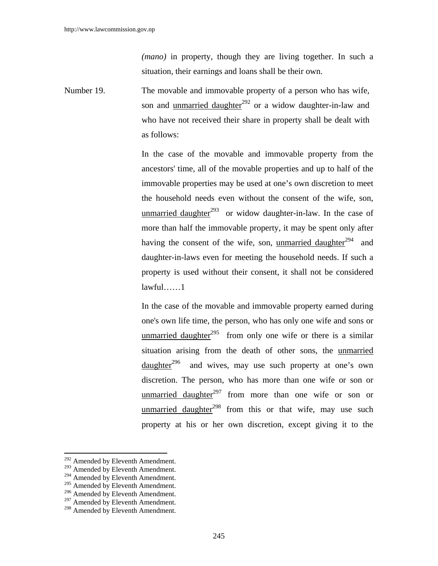*(mano)* in property, though they are living together. In such a situation, their earnings and loans shall be their own.

Number 19. The movable and immovable property of a person who has wife, son and unmarried daughter<sup>292</sup> or a widow daughter-in-law and who have not received their share in property shall be dealt with as follows:

> In the case of the movable and immovable property from the ancestors' time, all of the movable properties and up to half of the immovable properties may be used at one's own discretion to meet the household needs even without the consent of the wife, son, unmarried daughter $2^{93}$  or widow daughter-in-law. In the case of more than half the immovable property, it may be spent only after having the consent of the wife, son, unmarried daughter $^{294}$  and daughter-in-laws even for meeting the household needs. If such a property is used without their consent, it shall not be considered lawful……1

> In the case of the movable and immovable property earned during one's own life time, the person, who has only one wife and sons or unmarried daughter<sup>295</sup> from only one wife or there is a similar situation arising from the death of other sons, the unmarried daughter<sup>296</sup> and wives, may use such property at one's own discretion. The person, who has more than one wife or son or unmarried daughter<sup>297</sup> from more than one wife or son or unmarried daughter<sup>298</sup> from this or that wife, may use such property at his or her own discretion, except giving it to the

<sup>&</sup>lt;sup>292</sup> Amended by Eleventh Amendment.

<sup>&</sup>lt;sup>293</sup> Amended by Eleventh Amendment.

<sup>&</sup>lt;sup>294</sup> Amended by Eleventh Amendment.

<sup>&</sup>lt;sup>295</sup> Amended by Eleventh Amendment.

<sup>&</sup>lt;sup>296</sup> Amended by Eleventh Amendment.

<sup>&</sup>lt;sup>297</sup> Amended by Eleventh Amendment.

<sup>&</sup>lt;sup>298</sup> Amended by Eleventh Amendment.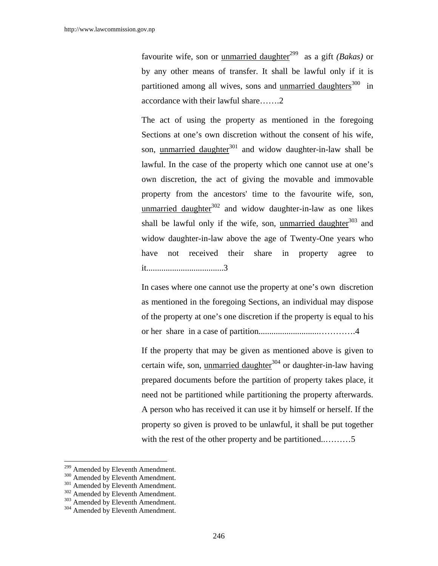favourite wife, son or unmarried daughter<sup>299</sup> as a gift *(Bakas)* or by any other means of transfer. It shall be lawful only if it is partitioned among all wives, sons and <u>unmarried daughters</u><sup>300</sup> in accordance with their lawful share…….2

The act of using the property as mentioned in the foregoing Sections at one's own discretion without the consent of his wife, son, unmarried daughter $301$  and widow daughter-in-law shall be lawful. In the case of the property which one cannot use at one's own discretion, the act of giving the movable and immovable property from the ancestors' time to the favourite wife, son, unmarried daughter $302$  and widow daughter-in-law as one likes shall be lawful only if the wife, son, unmarried daughter $303$  and widow daughter-in-law above the age of Twenty-One years who have not received their share in property agree to it....................................3

In cases where one cannot use the property at one's own discretion as mentioned in the foregoing Sections, an individual may dispose of the property at one's one discretion if the property is equal to his or her share in a case of partition............................………….4

If the property that may be given as mentioned above is given to certain wife, son, unmarried daughter $304$  or daughter-in-law having prepared documents before the partition of property takes place, it need not be partitioned while partitioning the property afterwards. A person who has received it can use it by himself or herself. If the property so given is proved to be unlawful, it shall be put together with the rest of the other property and be partitioned............5

<sup>&</sup>lt;sup>299</sup> Amended by Eleventh Amendment.

<sup>&</sup>lt;sup>300</sup> Amended by Eleventh Amendment.<br><sup>302</sup> Amended by Eleventh Amendment.<br><sup>302</sup> Amended by Eleventh Amendment.<br><sup>304</sup> Amended by Eleventh Amendment.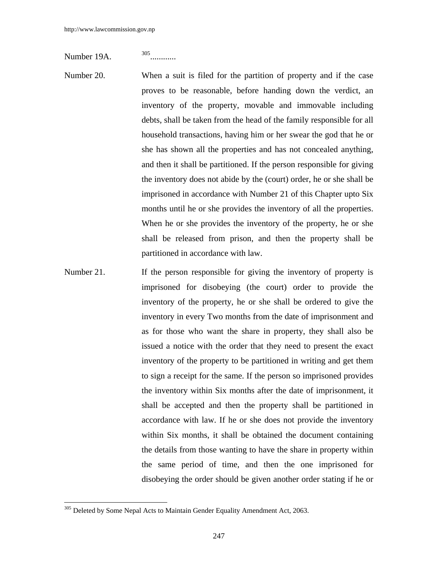Number 19A. <sup>305</sup>............

- Number 20. When a suit is filed for the partition of property and if the case proves to be reasonable, before handing down the verdict, an inventory of the property, movable and immovable including debts, shall be taken from the head of the family responsible for all household transactions, having him or her swear the god that he or she has shown all the properties and has not concealed anything, and then it shall be partitioned. If the person responsible for giving the inventory does not abide by the (court) order, he or she shall be imprisoned in accordance with Number 21 of this Chapter upto Six months until he or she provides the inventory of all the properties. When he or she provides the inventory of the property, he or she shall be released from prison, and then the property shall be partitioned in accordance with law.
- Number 21. If the person responsible for giving the inventory of property is imprisoned for disobeying (the court) order to provide the inventory of the property, he or she shall be ordered to give the inventory in every Two months from the date of imprisonment and as for those who want the share in property, they shall also be issued a notice with the order that they need to present the exact inventory of the property to be partitioned in writing and get them to sign a receipt for the same. If the person so imprisoned provides the inventory within Six months after the date of imprisonment, it shall be accepted and then the property shall be partitioned in accordance with law. If he or she does not provide the inventory within Six months, it shall be obtained the document containing the details from those wanting to have the share in property within the same period of time, and then the one imprisoned for disobeying the order should be given another order stating if he or

 $305$  Deleted by Some Nepal Acts to Maintain Gender Equality Amendment Act, 2063.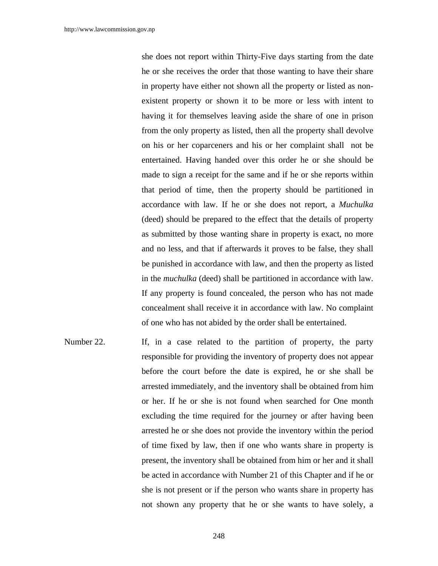she does not report within Thirty-Five days starting from the date he or she receives the order that those wanting to have their share in property have either not shown all the property or listed as nonexistent property or shown it to be more or less with intent to having it for themselves leaving aside the share of one in prison from the only property as listed, then all the property shall devolve on his or her coparceners and his or her complaint shall not be entertained. Having handed over this order he or she should be made to sign a receipt for the same and if he or she reports within that period of time, then the property should be partitioned in accordance with law. If he or she does not report, a *Muchulka* (deed) should be prepared to the effect that the details of property as submitted by those wanting share in property is exact, no more and no less, and that if afterwards it proves to be false, they shall be punished in accordance with law, and then the property as listed in the *muchulka* (deed) shall be partitioned in accordance with law. If any property is found concealed, the person who has not made concealment shall receive it in accordance with law. No complaint of one who has not abided by the order shall be entertained.

Number 22. If, in a case related to the partition of property, the party responsible for providing the inventory of property does not appear before the court before the date is expired, he or she shall be arrested immediately, and the inventory shall be obtained from him or her. If he or she is not found when searched for One month excluding the time required for the journey or after having been arrested he or she does not provide the inventory within the period of time fixed by law, then if one who wants share in property is present, the inventory shall be obtained from him or her and it shall be acted in accordance with Number 21 of this Chapter and if he or she is not present or if the person who wants share in property has not shown any property that he or she wants to have solely, a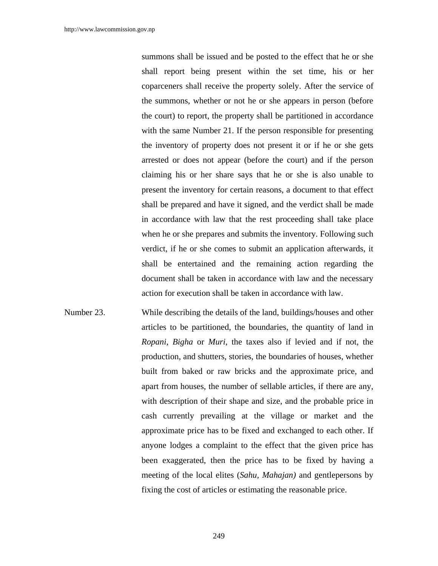summons shall be issued and be posted to the effect that he or she shall report being present within the set time, his or her coparceners shall receive the property solely. After the service of the summons, whether or not he or she appears in person (before the court) to report, the property shall be partitioned in accordance with the same Number 21. If the person responsible for presenting the inventory of property does not present it or if he or she gets arrested or does not appear (before the court) and if the person claiming his or her share says that he or she is also unable to present the inventory for certain reasons, a document to that effect shall be prepared and have it signed, and the verdict shall be made in accordance with law that the rest proceeding shall take place when he or she prepares and submits the inventory. Following such verdict, if he or she comes to submit an application afterwards, it shall be entertained and the remaining action regarding the document shall be taken in accordance with law and the necessary action for execution shall be taken in accordance with law.

Number 23. While describing the details of the land, buildings/houses and other articles to be partitioned, the boundaries, the quantity of land in *Ropani*, *Bigha* or *Muri*, the taxes also if levied and if not, the production, and shutters, stories, the boundaries of houses, whether built from baked or raw bricks and the approximate price, and apart from houses, the number of sellable articles, if there are any, with description of their shape and size, and the probable price in cash currently prevailing at the village or market and the approximate price has to be fixed and exchanged to each other. If anyone lodges a complaint to the effect that the given price has been exaggerated, then the price has to be fixed by having a meeting of the local elites (*Sahu, Mahajan)* and gentlepersons by fixing the cost of articles or estimating the reasonable price.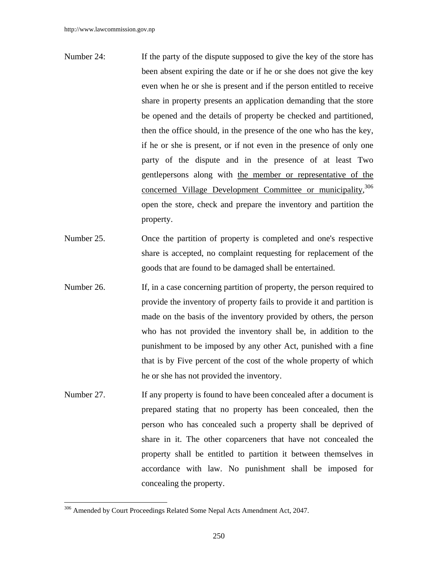- Number 24: If the party of the dispute supposed to give the key of the store has been absent expiring the date or if he or she does not give the key even when he or she is present and if the person entitled to receive share in property presents an application demanding that the store be opened and the details of property be checked and partitioned, then the office should, in the presence of the one who has the key, if he or she is present, or if not even in the presence of only one party of the dispute and in the presence of at least Two gentlepersons along with the member or representative of the concerned Village Development Committee or municipality, 306 open the store, check and prepare the inventory and partition the property.
- Number 25. Once the partition of property is completed and one's respective share is accepted, no complaint requesting for replacement of the goods that are found to be damaged shall be entertained.
- Number 26. If, in a case concerning partition of property, the person required to provide the inventory of property fails to provide it and partition is made on the basis of the inventory provided by others, the person who has not provided the inventory shall be, in addition to the punishment to be imposed by any other Act, punished with a fine that is by Five percent of the cost of the whole property of which he or she has not provided the inventory.
- Number 27. If any property is found to have been concealed after a document is prepared stating that no property has been concealed, then the person who has concealed such a property shall be deprived of share in it. The other coparceners that have not concealed the property shall be entitled to partition it between themselves in accordance with law. No punishment shall be imposed for concealing the property.

<sup>&</sup>lt;sup>306</sup> Amended by Court Proceedings Related Some Nepal Acts Amendment Act, 2047.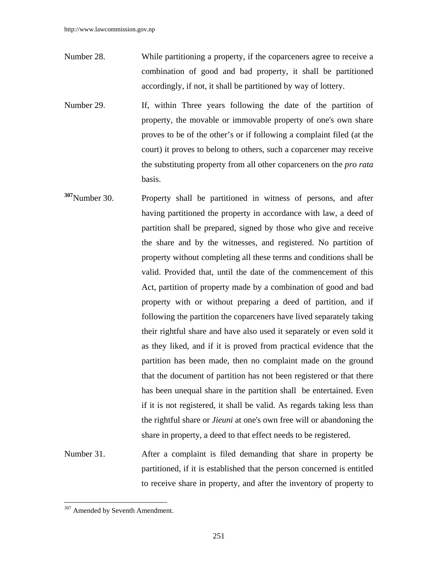- Number 28. While partitioning a property, if the coparceners agree to receive a combination of good and bad property, it shall be partitioned accordingly, if not, it shall be partitioned by way of lottery.
- Number 29. If, within Three years following the date of the partition of property, the movable or immovable property of one's own share proves to be of the other's or if following a complaint filed (at the court) it proves to belong to others, such a coparcener may receive the substituting property from all other coparceners on the *pro rata* basis.
- **<sup>307</sup>**Number 30. Property shall be partitioned in witness of persons, and after having partitioned the property in accordance with law, a deed of partition shall be prepared, signed by those who give and receive the share and by the witnesses, and registered. No partition of property without completing all these terms and conditions shall be valid. Provided that, until the date of the commencement of this Act, partition of property made by a combination of good and bad property with or without preparing a deed of partition, and if following the partition the coparceners have lived separately taking their rightful share and have also used it separately or even sold it as they liked, and if it is proved from practical evidence that the partition has been made, then no complaint made on the ground that the document of partition has not been registered or that there has been unequal share in the partition shall be entertained. Even if it is not registered, it shall be valid. As regards taking less than the rightful share or *Jieuni* at one's own free will or abandoning the share in property, a deed to that effect needs to be registered.
- Number 31. After a complaint is filed demanding that share in property be partitioned, if it is established that the person concerned is entitled to receive share in property, and after the inventory of property to

<sup>&</sup>lt;sup>307</sup> Amended by Seventh Amendment.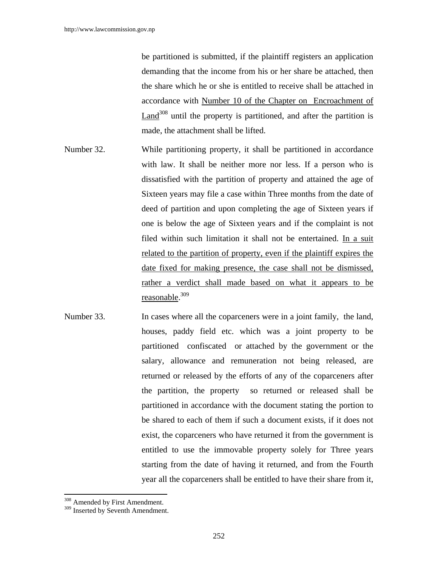be partitioned is submitted, if the plaintiff registers an application demanding that the income from his or her share be attached, then the share which he or she is entitled to receive shall be attached in accordance with Number 10 of the Chapter on Encroachment of Land<sup>308</sup> until the property is partitioned, and after the partition is made, the attachment shall be lifted.

- Number 32. While partitioning property, it shall be partitioned in accordance with law. It shall be neither more nor less. If a person who is dissatisfied with the partition of property and attained the age of Sixteen years may file a case within Three months from the date of deed of partition and upon completing the age of Sixteen years if one is below the age of Sixteen years and if the complaint is not filed within such limitation it shall not be entertained. In a suit related to the partition of property, even if the plaintiff expires the date fixed for making presence, the case shall not be dismissed, rather a verdict shall made based on what it appears to be reasonable. 309
- Number 33. In cases where all the coparceners were in a joint family, the land, houses, paddy field etc. which was a joint property to be partitioned confiscated or attached by the government or the salary, allowance and remuneration not being released, are returned or released by the efforts of any of the coparceners after the partition, the property so returned or released shall be partitioned in accordance with the document stating the portion to be shared to each of them if such a document exists, if it does not exist, the coparceners who have returned it from the government is entitled to use the immovable property solely for Three years starting from the date of having it returned, and from the Fourth year all the coparceners shall be entitled to have their share from it,

 $\overline{a}$ 

<sup>&</sup>lt;sup>308</sup> Amended by First Amendment.

<sup>&</sup>lt;sup>309</sup> Inserted by Seventh Amendment.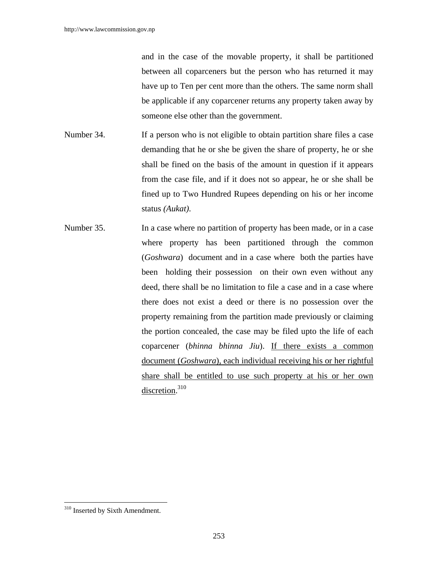and in the case of the movable property, it shall be partitioned between all coparceners but the person who has returned it may have up to Ten per cent more than the others. The same norm shall be applicable if any coparcener returns any property taken away by someone else other than the government.

- Number 34. If a person who is not eligible to obtain partition share files a case demanding that he or she be given the share of property, he or she shall be fined on the basis of the amount in question if it appears from the case file, and if it does not so appear, he or she shall be fined up to Two Hundred Rupees depending on his or her income status *(Aukat)*.
- Number 35. In a case where no partition of property has been made, or in a case where property has been partitioned through the common (*Goshwara*) document and in a case where both the parties have been holding their possession on their own even without any deed, there shall be no limitation to file a case and in a case where there does not exist a deed or there is no possession over the property remaining from the partition made previously or claiming the portion concealed, the case may be filed upto the life of each coparcener (*bhinna bhinna Jiu*). If there exists a common document (*Goshwara*), each individual receiving his or her rightful share shall be entitled to use such property at his or her own discretion.<sup>310</sup>

<sup>&</sup>lt;sup>310</sup> Inserted by Sixth Amendment.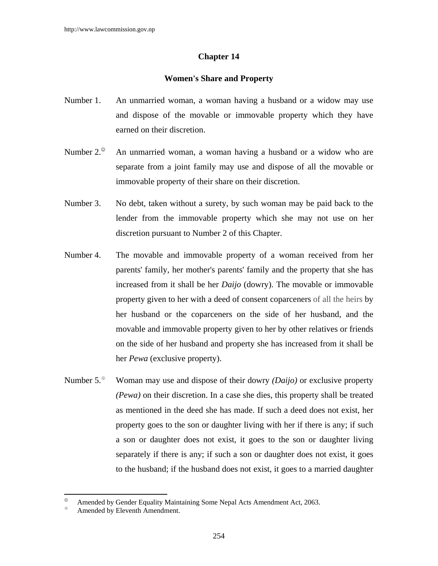# **Chapter 14**

# **Women's Share and Property**

- Number 1. An unmarried woman, a woman having a husband or a widow may use and dispose of the movable or immovable property which they have earned on their discretion.
- Number  $2^{\circ}$  An unmarried woman, a woman having a husband or a widow who are separate from a joint family may use and dispose of all the movable or immovable property of their share on their discretion.
- Number 3. No debt, taken without a surety, by such woman may be paid back to the lender from the immovable property which she may not use on her discretion pursuant to Number 2 of this Chapter.
- Number 4. The movable and immovable property of a woman received from her parents' family, her mother's parents' family and the property that she has increased from it shall be her *Daijo* (dowry). The movable or immovable property given to her with a deed of consent coparceners of all the heirs by her husband or the coparceners on the side of her husband, and the movable and immovable property given to her by other relatives or friends on the side of her husband and property she has increased from it shall be her *Pewa* (exclusive property).
- Number 5.<sup> $\textcircled{}}$ </sup> Woman may use and dispose of their dowry *(Daijo)* or exclusive property *(Pewa)* on their discretion. In a case she dies, this property shall be treated as mentioned in the deed she has made. If such a deed does not exist, her property goes to the son or daughter living with her if there is any; if such a son or daughter does not exist, it goes to the son or daughter living separately if there is any; if such a son or daughter does not exist, it goes to the husband; if the husband does not exist, it goes to a married daughter

Amended by Gender Equality Maintaining Some Nepal Acts Amendment Act, 2063.

Amended by Eleventh Amendment.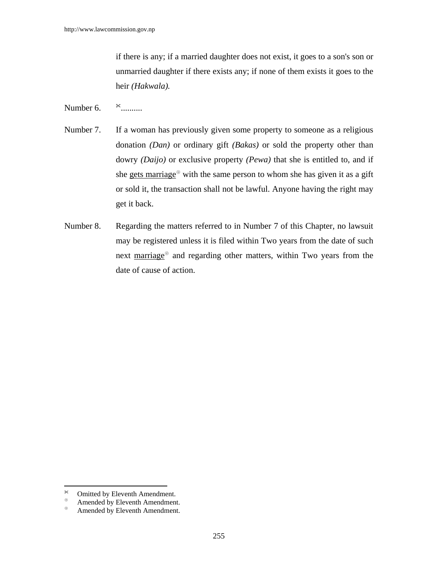if there is any; if a married daughter does not exist, it goes to a son's son or unmarried daughter if there exists any; if none of them exists it goes to the heir *(Hakwala).* 

Number 6.  $*$  ..........

- Number 7. If a woman has previously given some property to someone as a religious donation *(Dan)* or ordinary gift *(Bakas)* or sold the property other than dowry *(Daijo)* or exclusive property *(Pewa)* that she is entitled to, and if she gets marriage<sup> $\circledast$ </sup> with the same person to whom she has given it as a gift or sold it, the transaction shall not be lawful. Anyone having the right may get it back.
- Number 8. Regarding the matters referred to in Number 7 of this Chapter, no lawsuit may be registered unless it is filed within Two years from the date of such next marriage<sup>®</sup> and regarding other matters, within Two years from the date of cause of action.

 $\boldsymbol{\times}$  $\infty$  Omitted by Eleventh Amendment.

 $\overset{\circ}{\bullet}$  Amended by Eleventh Amendment.

Amended by Eleventh Amendment.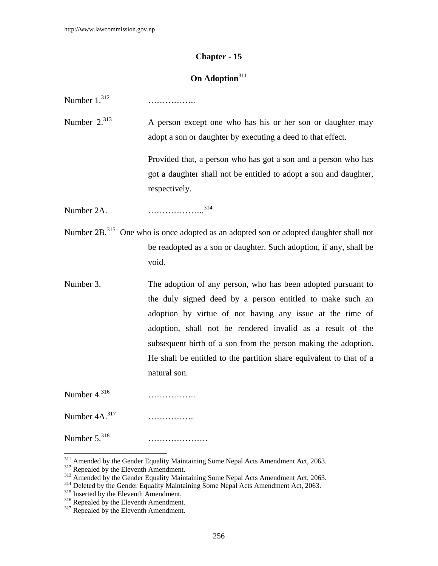# **Chapter - 15**

# **On Adoption**<sup>311</sup>

Number 1.312 ……………..

Number  $2^{313}$  A person except one who has his or her son or daughter may adopt a son or daughter by executing a deed to that effect.

> Provided that, a person who has got a son and a person who has got a daughter shall not be entitled to adopt a son and daughter, respectively.

Number 2A. ………………..314

- Number 2B.<sup>315</sup> One who is once adopted as an adopted son or adopted daughter shall not be readopted as a son or daughter. Such adoption, if any, shall be void.
- Number 3. The adoption of any person, who has been adopted pursuant to the duly signed deed by a person entitled to make such an adoption by virtue of not having any issue at the time of adoption, shall not be rendered invalid as a result of the subsequent birth of a son from the person making the adoption. He shall be entitled to the partition share equivalent to that of a natural son.

Number 4.316 ……………..

 $\overline{\phantom{a}}$ 

Number 4A.317 …………….

Number 5.318 …………………

<sup>&</sup>lt;sup>311</sup> Amended by the Gender Equality Maintaining Some Nepal Acts Amendment Act, 2063.<br><sup>312</sup> Repealed by the Eleventh Amendment.<br><sup>313</sup> Amended by the Gender Equality Maintaining Some Nepal Acts Amendment Act, 2063.<br><sup>314</sup> De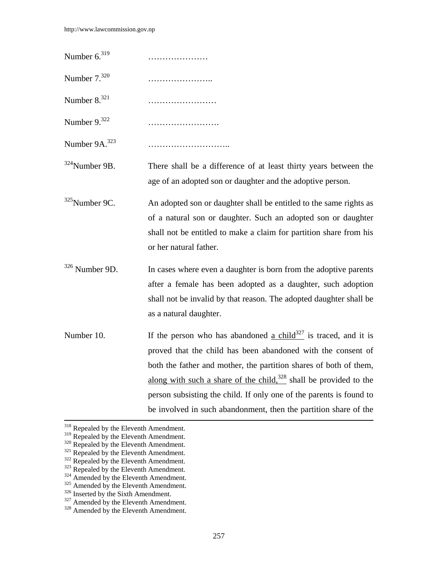Number 6.319 ………………… Number 7.320 ………………….. Number 8.321 …………………… Number 9.322 ……………………. Number 9A.323 ………………………..

 $324$ Number 9B. There shall be a difference of at least thirty years between the age of an adopted son or daughter and the adoptive person.

- $325$ Number 9C. An adopted son or daughter shall be entitled to the same rights as of a natural son or daughter. Such an adopted son or daughter shall not be entitled to make a claim for partition share from his or her natural father.
- $326$  Number 9D. In cases where even a daughter is born from the adoptive parents after a female has been adopted as a daughter, such adoption shall not be invalid by that reason. The adopted daughter shall be as a natural daughter.
- Number 10. If the person who has abandoned a child<sup>327</sup> is traced, and it is proved that the child has been abandoned with the consent of both the father and mother, the partition shares of both of them, along with such a share of the child, $328$  shall be provided to the person subsisting the child. If only one of the parents is found to be involved in such abandonment, then the partition share of the

 $318$  Repealed by the Eleventh Amendment.<br> $319$  Repealed by the Eleventh Amendment.

<sup>&</sup>lt;sup>320</sup> Repealed by the Eleventh Amendment.<br><sup>321</sup> Repealed by the Eleventh Amendment.<br><sup>322</sup> Repealed by the Eleventh Amendment.<br><sup>323</sup> Repealed by the Eleventh Amendment.<br><sup>324</sup> Amended by the Eleventh Amendment.<br><sup>325</sup> Amende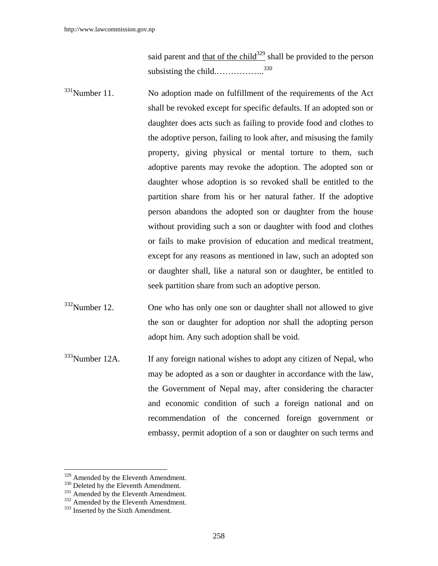said parent and that of the child<sup>329</sup> shall be provided to the person subsisting the child.……………….<sup>330</sup>

- $331$ Number 11. No adoption made on fulfillment of the requirements of the Act shall be revoked except for specific defaults. If an adopted son or daughter does acts such as failing to provide food and clothes to the adoptive person, failing to look after, and misusing the family property, giving physical or mental torture to them, such adoptive parents may revoke the adoption. The adopted son or daughter whose adoption is so revoked shall be entitled to the partition share from his or her natural father. If the adoptive person abandons the adopted son or daughter from the house without providing such a son or daughter with food and clothes or fails to make provision of education and medical treatment, except for any reasons as mentioned in law, such an adopted son or daughter shall, like a natural son or daughter, be entitled to seek partition share from such an adoptive person.
- $332$ Number 12. One who has only one son or daughter shall not allowed to give the son or daughter for adoption nor shall the adopting person adopt him. Any such adoption shall be void.
- <sup>333</sup>Number 12A. If any foreign national wishes to adopt any citizen of Nepal, who may be adopted as a son or daughter in accordance with the law, the Government of Nepal may, after considering the character and economic condition of such a foreign national and on recommendation of the concerned foreign government or embassy, permit adoption of a son or daughter on such terms and

<sup>&</sup>lt;sup>329</sup> Amended by the Eleventh Amendment.<br><sup>331</sup> Amended by the Eleventh Amendment.<br><sup>331</sup> Amended by the Eleventh Amendment.<br><sup>333</sup> Inserted by the Sixth Amendment.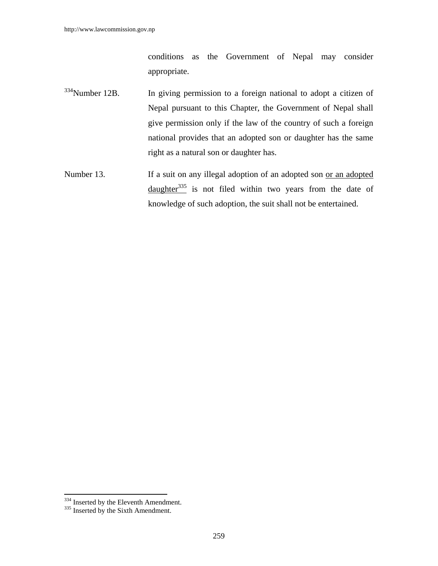conditions as the Government of Nepal may consider appropriate.

- $334$ Number 12B. In giving permission to a foreign national to adopt a citizen of Nepal pursuant to this Chapter, the Government of Nepal shall give permission only if the law of the country of such a foreign national provides that an adopted son or daughter has the same right as a natural son or daughter has.
- Number 13. If a suit on any illegal adoption of an adopted son <u>or an adopted</u> daughter $335$  is not filed within two years from the date of knowledge of such adoption, the suit shall not be entertained.

 $334$  Inserted by the Eleventh Amendment.<br> $335$  Inserted by the Sixth Amendment.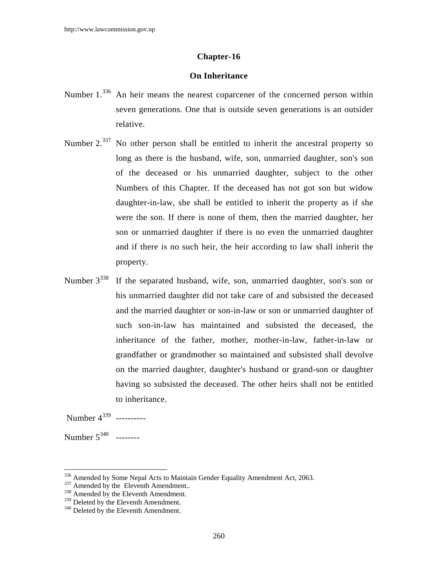# **Chapter-16**

# **On Inheritance**

- Number 1.<sup>336</sup> An heir means the nearest coparcener of the concerned person within seven generations. One that is outside seven generations is an outsider relative.
- Number 2.<sup>337</sup> No other person shall be entitled to inherit the ancestral property so long as there is the husband, wife, son, unmarried daughter, son's son of the deceased or his unmarried daughter, subject to the other Numbers of this Chapter. If the deceased has not got son but widow daughter-in-law, she shall be entitled to inherit the property as if she were the son. If there is none of them, then the married daughter, her son or unmarried daughter if there is no even the unmarried daughter and if there is no such heir, the heir according to law shall inherit the property.
- Number  $3^{338}$  If the separated husband, wife, son, unmarried daughter, son's son or his unmarried daughter did not take care of and subsisted the deceased and the married daughter or son-in-law or son or unmarried daughter of such son-in-law has maintained and subsisted the deceased, the inheritance of the father, mother, mother-in-law, father-in-law or grandfather or grandmother so maintained and subsisted shall devolve on the married daughter, daughter's husband or grand-son or daughter having so subsisted the deceased. The other heirs shall not be entitled to inheritance.

Number 4339 ----------

Number 5<sup>340</sup> --------

<sup>&</sup>lt;sup>336</sup> Amended by Some Nepal Acts to Maintain Gender Equality Amendment Act, 2063.<br><sup>337</sup> Amended by the Eleventh Amendment..<br><sup>338</sup> Amended by the Eleventh Amendment.

 $339$  Deleted by the Eleventh Amendment.<br> $340$  Deleted by the Eleventh Amendment.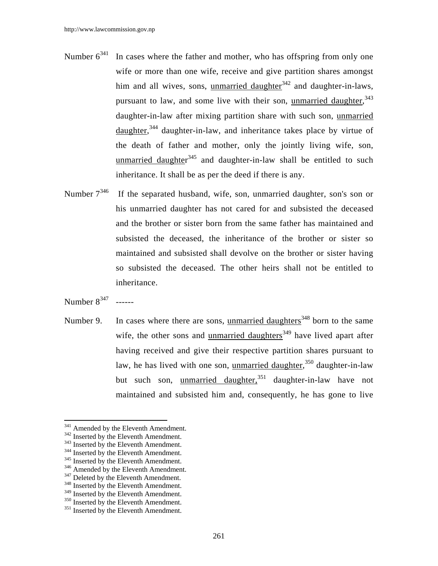- Number  $6^{341}$  In cases where the father and mother, who has offspring from only one wife or more than one wife, receive and give partition shares amongst him and all wives, sons, unmarried daughter $342$  and daughter-in-laws, pursuant to law, and some live with their son, unmarried daughter, 343 daughter-in-law after mixing partition share with such son, unmarried daughter,<sup>344</sup> daughter-in-law, and inheritance takes place by virtue of the death of father and mother, only the jointly living wife, son, unmarried daughter<sup>345</sup> and daughter-in-law shall be entitled to such inheritance. It shall be as per the deed if there is any.
- Number  $7^{346}$  If the separated husband, wife, son, unmarried daughter, son's son or his unmarried daughter has not cared for and subsisted the deceased and the brother or sister born from the same father has maintained and subsisted the deceased, the inheritance of the brother or sister so maintained and subsisted shall devolve on the brother or sister having so subsisted the deceased. The other heirs shall not be entitled to inheritance.

Number  $8^{347}$  ------

 $\overline{a}$ 

Number 9. In cases where there are sons, unmarried daughters<sup>348</sup> born to the same wife, the other sons and unmarried daughters<sup>349</sup> have lived apart after having received and give their respective partition shares pursuant to law, he has lived with one son, unmarried daughter,<sup>350</sup> daughter-in-law but such son, unmarried daughter,<sup>351</sup> daughter-in-law have not maintained and subsisted him and, consequently, he has gone to live

<sup>341</sup> Amended by the Eleventh Amendment.<br><sup>342</sup> Inserted by the Eleventh Amendment.<br><sup>343</sup> Inserted by the Eleventh Amendment.<br><sup>344</sup> Inserted by the Eleventh Amendment.<br><sup>345</sup> Inserted by the Eleventh Amendment.<br><sup>346</sup> Amende

 $349$  Inserted by the Eleventh Amendment.<br> $350$  Inserted by the Eleventh Amendment.<br> $351$  Inserted by the Eleventh Amendment.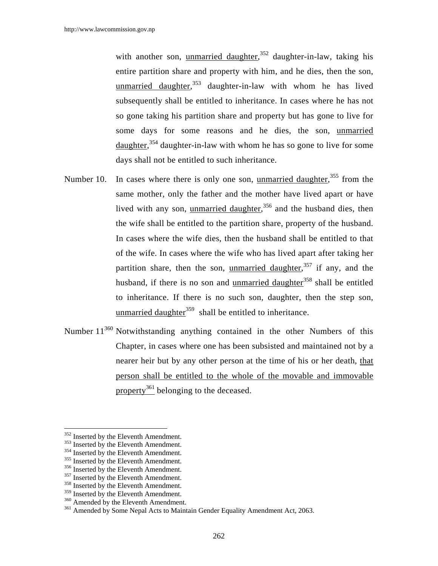with another son, unmarried daughter,<sup>352</sup> daughter-in-law, taking his entire partition share and property with him, and he dies, then the son, unmarried daughter,<sup>353</sup> daughter-in-law with whom he has lived subsequently shall be entitled to inheritance. In cases where he has not so gone taking his partition share and property but has gone to live for some days for some reasons and he dies, the son, unmarried daughter,<sup>354</sup> daughter-in-law with whom he has so gone to live for some days shall not be entitled to such inheritance.

- Number 10. In cases where there is only one son, <u>unmarried daughter</u>,<sup>355</sup> from the same mother, only the father and the mother have lived apart or have lived with any son, unmarried daughter,<sup>356</sup> and the husband dies, then the wife shall be entitled to the partition share, property of the husband. In cases where the wife dies, then the husband shall be entitled to that of the wife. In cases where the wife who has lived apart after taking her partition share, then the son, unmarried daughter,<sup>357</sup> if any, and the husband, if there is no son and unmarried daughter $358$  shall be entitled to inheritance. If there is no such son, daughter, then the step son, unmarried daughter<sup>359</sup> shall be entitled to inheritance.
- Number 11<sup>360</sup> Notwithstanding anything contained in the other Numbers of this Chapter, in cases where one has been subsisted and maintained not by a nearer heir but by any other person at the time of his or her death, that person shall be entitled to the whole of the movable and immovable property<sup>361</sup> belonging to the deceased.

<sup>&</sup>lt;sup>352</sup> Inserted by the Eleventh Amendment.<br><sup>353</sup> Inserted by the Eleventh Amendment.<br><sup>354</sup> Inserted by the Eleventh Amendment.<br><sup>355</sup> Inserted by the Eleventh Amendment.<br><sup>356</sup> Inserted by the Eleventh Amendment.<br><sup>357</sup> Inser

<sup>&</sup>lt;sup>360</sup> Amended by the Eleventh Amendment.<br><sup>361</sup> Amended by Some Nepal Acts to Maintain Gender Equality Amendment Act, 2063.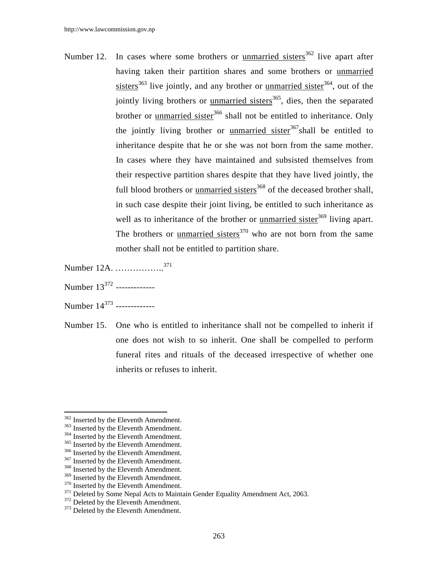- Number 12. In cases where some brothers or unmarried sisters<sup>362</sup> live apart after having taken their partition shares and some brothers or unmarried sisters $363$  live jointly, and any brother or <u>unmarried sister</u><sup>364</sup>, out of the jointly living brothers or unmarried sisters $365$ , dies, then the separated brother or unmarried sister<sup>366</sup> shall not be entitled to inheritance. Only the jointly living brother or unmarried sister $367$ shall be entitled to inheritance despite that he or she was not born from the same mother. In cases where they have maintained and subsisted themselves from their respective partition shares despite that they have lived jointly, the full blood brothers or unmarried sisters $368$  of the deceased brother shall, in such case despite their joint living, be entitled to such inheritance as well as to inheritance of the brother or unmarried sister<sup>369</sup> living apart. The brothers or unmarried sisters<sup>370</sup> who are not born from the same mother shall not be entitled to partition share.
- Number 12A. ……………..<sup>371</sup>
- Number 13<sup>372</sup> --------------
- Number 14<sup>373</sup> --------------
- Number 15. One who is entitled to inheritance shall not be compelled to inherit if one does not wish to so inherit. One shall be compelled to perform funeral rites and rituals of the deceased irrespective of whether one inherits or refuses to inherit.

<sup>362</sup> Inserted by the Eleventh Amendment.

<sup>&</sup>lt;sup>363</sup> Inserted by the Eleventh Amendment.<br><sup>364</sup> Inserted by the Eleventh Amendment.<br><sup>365</sup> Inserted by the Eleventh Amendment.<br><sup>366</sup> Inserted by the Eleventh Amendment.<br><sup>367</sup> Inserted by the Eleventh Amendment.<br><sup>368</sup> Inser

<sup>&</sup>lt;sup>370</sup> Inserted by the Eleventh Amendment.<br><sup>371</sup> Deleted by Some Nepal Acts to Maintain Gender Equality Amendment Act, 2063.<br><sup>372</sup> Deleted by the Eleventh Amendment.<br><sup>373</sup> Deleted by the Eleventh Amendment.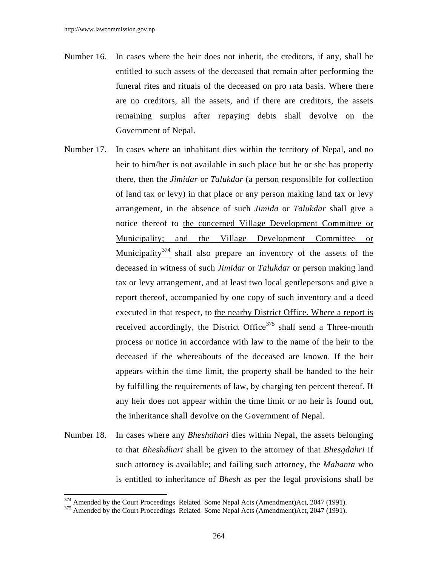- Number 16. In cases where the heir does not inherit, the creditors, if any, shall be entitled to such assets of the deceased that remain after performing the funeral rites and rituals of the deceased on pro rata basis. Where there are no creditors, all the assets, and if there are creditors, the assets remaining surplus after repaying debts shall devolve on the Government of Nepal.
- Number 17. In cases where an inhabitant dies within the territory of Nepal, and no heir to him/her is not available in such place but he or she has property there, then the *Jimidar* or *Talukdar* (a person responsible for collection of land tax or levy) in that place or any person making land tax or levy arrangement, in the absence of such *Jimida* or *Talukdar* shall give a notice thereof to the concerned Village Development Committee or Municipality; and the Village Development Committee or Municipality<sup>374</sup> shall also prepare an inventory of the assets of the deceased in witness of such *Jimidar* or *Talukdar* or person making land tax or levy arrangement, and at least two local gentlepersons and give a report thereof, accompanied by one copy of such inventory and a deed executed in that respect, to the nearby District Office. Where a report is received accordingly, the District Office<sup>375</sup> shall send a Three-month process or notice in accordance with law to the name of the heir to the deceased if the whereabouts of the deceased are known. If the heir appears within the time limit, the property shall be handed to the heir by fulfilling the requirements of law, by charging ten percent thereof. If any heir does not appear within the time limit or no heir is found out, the inheritance shall devolve on the Government of Nepal.
- Number 18. In cases where any *Bheshdhari* dies within Nepal, the assets belonging to that *Bheshdhari* shall be given to the attorney of that *Bhesgdahri* if such attorney is available; and failing such attorney, the *Mahanta* who is entitled to inheritance of *Bhesh* as per the legal provisions shall be

<sup>&</sup>lt;sup>374</sup> Amended by the Court Proceedings Related Some Nepal Acts (Amendment)Act, 2047 (1991).<br><sup>375</sup> Amended by the Court Proceedings Related Some Nepal Acts (Amendment)Act, 2047 (1991).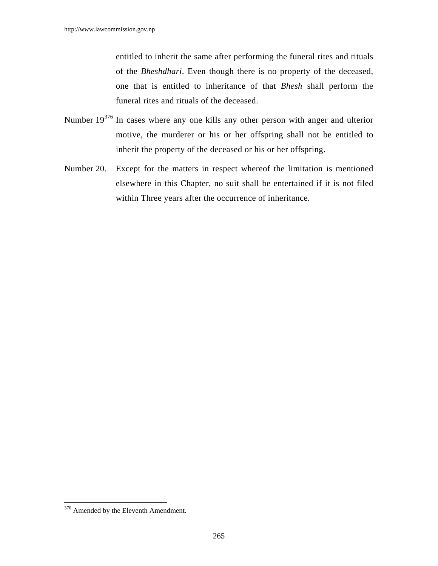entitled to inherit the same after performing the funeral rites and rituals of the *Bheshdhari*. Even though there is no property of the deceased, one that is entitled to inheritance of that *Bhesh* shall perform the funeral rites and rituals of the deceased.

- Number 19376 In cases where any one kills any other person with anger and ulterior motive, the murderer or his or her offspring shall not be entitled to inherit the property of the deceased or his or her offspring.
- Number 20. Except for the matters in respect whereof the limitation is mentioned elsewhere in this Chapter, no suit shall be entertained if it is not filed within Three years after the occurrence of inheritance.

 $\overline{\phantom{a}}$ <sup>376</sup> Amended by the Eleventh Amendment.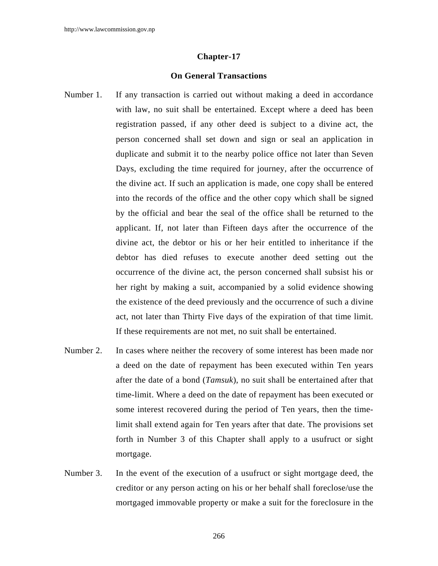#### **Chapter-17**

#### **On General Transactions**

- Number 1. If any transaction is carried out without making a deed in accordance with law, no suit shall be entertained. Except where a deed has been registration passed, if any other deed is subject to a divine act, the person concerned shall set down and sign or seal an application in duplicate and submit it to the nearby police office not later than Seven Days, excluding the time required for journey, after the occurrence of the divine act. If such an application is made, one copy shall be entered into the records of the office and the other copy which shall be signed by the official and bear the seal of the office shall be returned to the applicant. If, not later than Fifteen days after the occurrence of the divine act, the debtor or his or her heir entitled to inheritance if the debtor has died refuses to execute another deed setting out the occurrence of the divine act, the person concerned shall subsist his or her right by making a suit, accompanied by a solid evidence showing the existence of the deed previously and the occurrence of such a divine act, not later than Thirty Five days of the expiration of that time limit. If these requirements are not met, no suit shall be entertained.
- Number 2. In cases where neither the recovery of some interest has been made nor a deed on the date of repayment has been executed within Ten years after the date of a bond (*Tamsuk*), no suit shall be entertained after that time-limit. Where a deed on the date of repayment has been executed or some interest recovered during the period of Ten years, then the timelimit shall extend again for Ten years after that date. The provisions set forth in Number 3 of this Chapter shall apply to a usufruct or sight mortgage.
- Number 3. In the event of the execution of a usufruct or sight mortgage deed, the creditor or any person acting on his or her behalf shall foreclose/use the mortgaged immovable property or make a suit for the foreclosure in the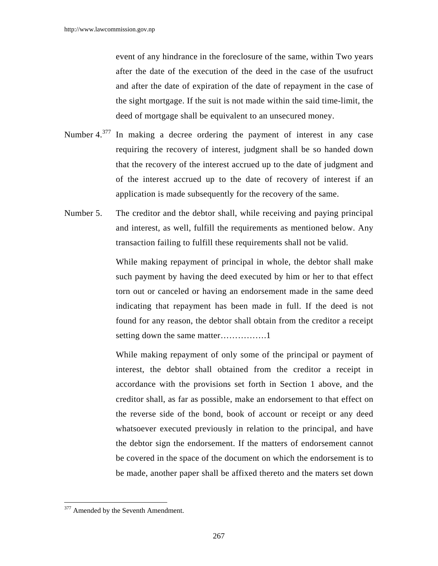event of any hindrance in the foreclosure of the same, within Two years after the date of the execution of the deed in the case of the usufruct and after the date of expiration of the date of repayment in the case of the sight mortgage. If the suit is not made within the said time-limit, the deed of mortgage shall be equivalent to an unsecured money.

- Number 4.377 In making a decree ordering the payment of interest in any case requiring the recovery of interest, judgment shall be so handed down that the recovery of the interest accrued up to the date of judgment and of the interest accrued up to the date of recovery of interest if an application is made subsequently for the recovery of the same.
- Number 5. The creditor and the debtor shall, while receiving and paying principal and interest, as well, fulfill the requirements as mentioned below. Any transaction failing to fulfill these requirements shall not be valid.

 While making repayment of principal in whole, the debtor shall make such payment by having the deed executed by him or her to that effect torn out or canceled or having an endorsement made in the same deed indicating that repayment has been made in full. If the deed is not found for any reason, the debtor shall obtain from the creditor a receipt setting down the same matter…………….1

 While making repayment of only some of the principal or payment of interest, the debtor shall obtained from the creditor a receipt in accordance with the provisions set forth in Section 1 above, and the creditor shall, as far as possible, make an endorsement to that effect on the reverse side of the bond, book of account or receipt or any deed whatsoever executed previously in relation to the principal, and have the debtor sign the endorsement. If the matters of endorsement cannot be covered in the space of the document on which the endorsement is to be made, another paper shall be affixed thereto and the maters set down

<sup>&</sup>lt;sup>377</sup> Amended by the Seventh Amendment.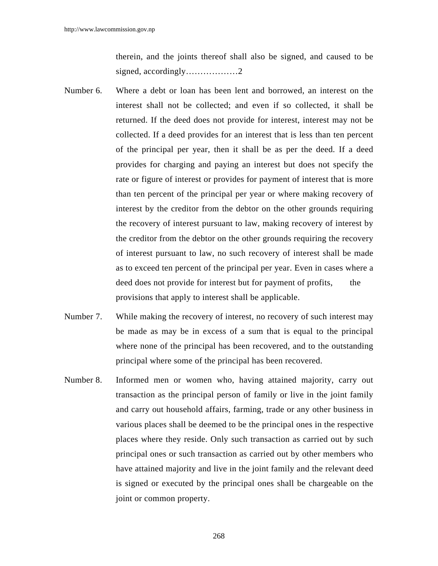therein, and the joints thereof shall also be signed, and caused to be signed, accordingly………………2

- Number 6. Where a debt or loan has been lent and borrowed, an interest on the interest shall not be collected; and even if so collected, it shall be returned. If the deed does not provide for interest, interest may not be collected. If a deed provides for an interest that is less than ten percent of the principal per year, then it shall be as per the deed. If a deed provides for charging and paying an interest but does not specify the rate or figure of interest or provides for payment of interest that is more than ten percent of the principal per year or where making recovery of interest by the creditor from the debtor on the other grounds requiring the recovery of interest pursuant to law, making recovery of interest by the creditor from the debtor on the other grounds requiring the recovery of interest pursuant to law, no such recovery of interest shall be made as to exceed ten percent of the principal per year. Even in cases where a deed does not provide for interest but for payment of profits, the provisions that apply to interest shall be applicable.
- Number 7. While making the recovery of interest, no recovery of such interest may be made as may be in excess of a sum that is equal to the principal where none of the principal has been recovered, and to the outstanding principal where some of the principal has been recovered.
- Number 8. Informed men or women who, having attained majority, carry out transaction as the principal person of family or live in the joint family and carry out household affairs, farming, trade or any other business in various places shall be deemed to be the principal ones in the respective places where they reside. Only such transaction as carried out by such principal ones or such transaction as carried out by other members who have attained majority and live in the joint family and the relevant deed is signed or executed by the principal ones shall be chargeable on the joint or common property.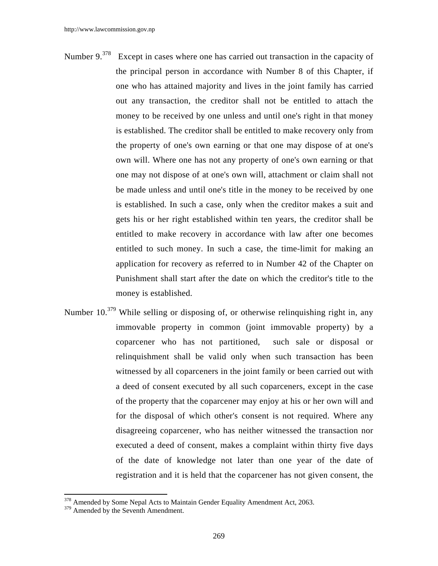- Number 9.<sup>378</sup> Except in cases where one has carried out transaction in the capacity of the principal person in accordance with Number 8 of this Chapter, if one who has attained majority and lives in the joint family has carried out any transaction, the creditor shall not be entitled to attach the money to be received by one unless and until one's right in that money is established. The creditor shall be entitled to make recovery only from the property of one's own earning or that one may dispose of at one's own will. Where one has not any property of one's own earning or that one may not dispose of at one's own will, attachment or claim shall not be made unless and until one's title in the money to be received by one is established. In such a case, only when the creditor makes a suit and gets his or her right established within ten years, the creditor shall be entitled to make recovery in accordance with law after one becomes entitled to such money. In such a case, the time-limit for making an application for recovery as referred to in Number 42 of the Chapter on Punishment shall start after the date on which the creditor's title to the money is established.
- Number 10.<sup>379</sup> While selling or disposing of, or otherwise relinquishing right in, any immovable property in common (joint immovable property) by a coparcener who has not partitioned, such sale or disposal or relinquishment shall be valid only when such transaction has been witnessed by all coparceners in the joint family or been carried out with a deed of consent executed by all such coparceners, except in the case of the property that the coparcener may enjoy at his or her own will and for the disposal of which other's consent is not required. Where any disagreeing coparcener, who has neither witnessed the transaction nor executed a deed of consent, makes a complaint within thirty five days of the date of knowledge not later than one year of the date of registration and it is held that the coparcener has not given consent, the

 $378$  Amended by Some Nepal Acts to Maintain Gender Equality Amendment Act, 2063.

<sup>&</sup>lt;sup>379</sup> Amended by the Seventh Amendment.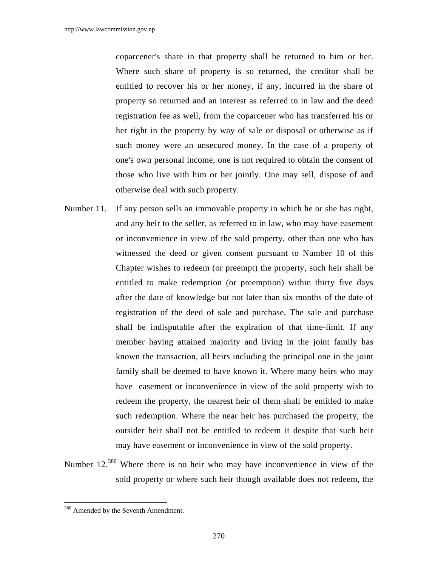coparcener's share in that property shall be returned to him or her. Where such share of property is so returned, the creditor shall be entitled to recover his or her money, if any, incurred in the share of property so returned and an interest as referred to in law and the deed registration fee as well, from the coparcener who has transferred his or her right in the property by way of sale or disposal or otherwise as if such money were an unsecured money. In the case of a property of one's own personal income, one is not required to obtain the consent of those who live with him or her jointly. One may sell, dispose of and otherwise deal with such property.

- Number 11. If any person sells an immovable property in which he or she has right, and any heir to the seller, as referred to in law, who may have easement or inconvenience in view of the sold property, other than one who has witnessed the deed or given consent pursuant to Number 10 of this Chapter wishes to redeem (or preempt) the property, such heir shall be entitled to make redemption (or preemption) within thirty five days after the date of knowledge but not later than six months of the date of registration of the deed of sale and purchase. The sale and purchase shall be indisputable after the expiration of that time-limit. If any member having attained majority and living in the joint family has known the transaction, all heirs including the principal one in the joint family shall be deemed to have known it. Where many heirs who may have easement or inconvenience in view of the sold property wish to redeem the property, the nearest heir of them shall be entitled to make such redemption. Where the near heir has purchased the property, the outsider heir shall not be entitled to redeem it despite that such heir may have easement or inconvenience in view of the sold property.
- Number 12.<sup>380</sup> Where there is no heir who may have inconvenience in view of the sold property or where such heir though available does not redeem, the

<sup>&</sup>lt;sup>380</sup> Amended by the Seventh Amendment.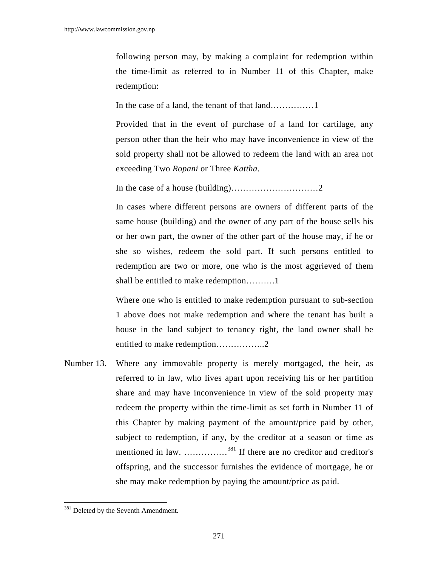following person may, by making a complaint for redemption within the time-limit as referred to in Number 11 of this Chapter, make redemption:

In the case of a land, the tenant of that land……………1

 Provided that in the event of purchase of a land for cartilage, any person other than the heir who may have inconvenience in view of the sold property shall not be allowed to redeem the land with an area not exceeding Two *Ropani* or Three *Kattha*.

In the case of a house (building)…………………………2

 In cases where different persons are owners of different parts of the same house (building) and the owner of any part of the house sells his or her own part, the owner of the other part of the house may, if he or she so wishes, redeem the sold part. If such persons entitled to redemption are two or more, one who is the most aggrieved of them shall be entitled to make redemption……….1

 Where one who is entitled to make redemption pursuant to sub-section 1 above does not make redemption and where the tenant has built a house in the land subject to tenancy right, the land owner shall be entitled to make redemption……………..2

Number 13. Where any immovable property is merely mortgaged, the heir, as referred to in law, who lives apart upon receiving his or her partition share and may have inconvenience in view of the sold property may redeem the property within the time-limit as set forth in Number 11 of this Chapter by making payment of the amount/price paid by other, subject to redemption, if any, by the creditor at a season or time as mentioned in law. ……………381 If there are no creditor and creditor's offspring, and the successor furnishes the evidence of mortgage, he or she may make redemption by paying the amount/price as paid.

<sup>&</sup>lt;sup>381</sup> Deleted by the Seventh Amendment.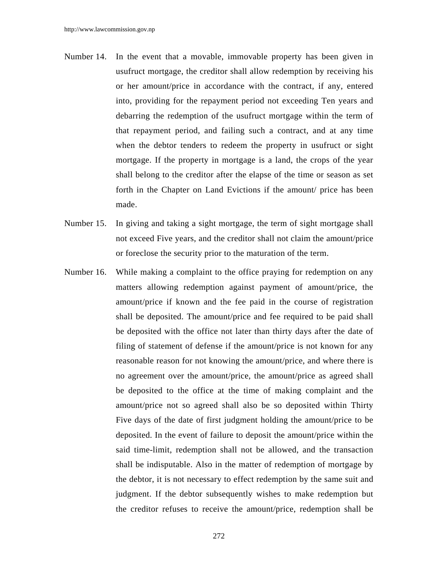- Number 14. In the event that a movable, immovable property has been given in usufruct mortgage, the creditor shall allow redemption by receiving his or her amount/price in accordance with the contract, if any, entered into, providing for the repayment period not exceeding Ten years and debarring the redemption of the usufruct mortgage within the term of that repayment period, and failing such a contract, and at any time when the debtor tenders to redeem the property in usufruct or sight mortgage. If the property in mortgage is a land, the crops of the year shall belong to the creditor after the elapse of the time or season as set forth in the Chapter on Land Evictions if the amount/ price has been made.
- Number 15. In giving and taking a sight mortgage, the term of sight mortgage shall not exceed Five years, and the creditor shall not claim the amount/price or foreclose the security prior to the maturation of the term.
- Number 16. While making a complaint to the office praying for redemption on any matters allowing redemption against payment of amount/price, the amount/price if known and the fee paid in the course of registration shall be deposited. The amount/price and fee required to be paid shall be deposited with the office not later than thirty days after the date of filing of statement of defense if the amount/price is not known for any reasonable reason for not knowing the amount/price, and where there is no agreement over the amount/price, the amount/price as agreed shall be deposited to the office at the time of making complaint and the amount/price not so agreed shall also be so deposited within Thirty Five days of the date of first judgment holding the amount/price to be deposited. In the event of failure to deposit the amount/price within the said time-limit, redemption shall not be allowed, and the transaction shall be indisputable. Also in the matter of redemption of mortgage by the debtor, it is not necessary to effect redemption by the same suit and judgment. If the debtor subsequently wishes to make redemption but the creditor refuses to receive the amount/price, redemption shall be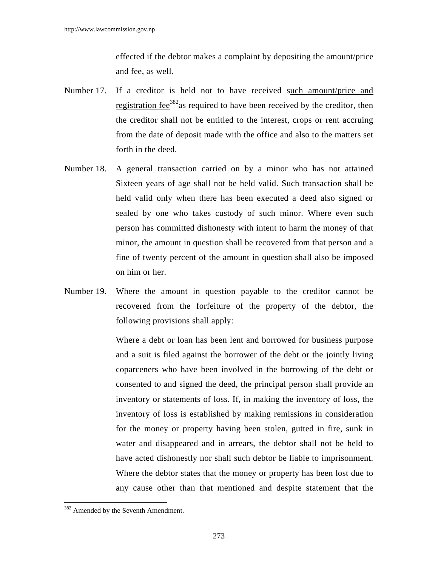effected if the debtor makes a complaint by depositing the amount/price and fee, as well.

- Number 17. If a creditor is held not to have received such amount/price and registration fee<sup>382</sup>as required to have been received by the creditor, then the creditor shall not be entitled to the interest, crops or rent accruing from the date of deposit made with the office and also to the matters set forth in the deed.
- Number 18. A general transaction carried on by a minor who has not attained Sixteen years of age shall not be held valid. Such transaction shall be held valid only when there has been executed a deed also signed or sealed by one who takes custody of such minor. Where even such person has committed dishonesty with intent to harm the money of that minor, the amount in question shall be recovered from that person and a fine of twenty percent of the amount in question shall also be imposed on him or her.
- Number 19. Where the amount in question payable to the creditor cannot be recovered from the forfeiture of the property of the debtor, the following provisions shall apply:

 Where a debt or loan has been lent and borrowed for business purpose and a suit is filed against the borrower of the debt or the jointly living coparceners who have been involved in the borrowing of the debt or consented to and signed the deed, the principal person shall provide an inventory or statements of loss. If, in making the inventory of loss, the inventory of loss is established by making remissions in consideration for the money or property having been stolen, gutted in fire, sunk in water and disappeared and in arrears, the debtor shall not be held to have acted dishonestly nor shall such debtor be liable to imprisonment. Where the debtor states that the money or property has been lost due to any cause other than that mentioned and despite statement that the

<sup>382</sup> Amended by the Seventh Amendment.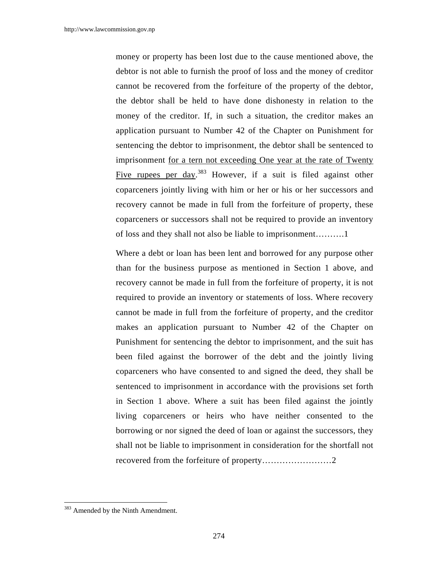money or property has been lost due to the cause mentioned above, the debtor is not able to furnish the proof of loss and the money of creditor cannot be recovered from the forfeiture of the property of the debtor, the debtor shall be held to have done dishonesty in relation to the money of the creditor. If, in such a situation, the creditor makes an application pursuant to Number 42 of the Chapter on Punishment for sentencing the debtor to imprisonment, the debtor shall be sentenced to imprisonment for a tern not exceeding One year at the rate of Twenty Five rupees per day.<sup>383</sup> However, if a suit is filed against other coparceners jointly living with him or her or his or her successors and recovery cannot be made in full from the forfeiture of property, these coparceners or successors shall not be required to provide an inventory of loss and they shall not also be liable to imprisonment……….1

 Where a debt or loan has been lent and borrowed for any purpose other than for the business purpose as mentioned in Section 1 above, and recovery cannot be made in full from the forfeiture of property, it is not required to provide an inventory or statements of loss. Where recovery cannot be made in full from the forfeiture of property, and the creditor makes an application pursuant to Number 42 of the Chapter on Punishment for sentencing the debtor to imprisonment, and the suit has been filed against the borrower of the debt and the jointly living coparceners who have consented to and signed the deed, they shall be sentenced to imprisonment in accordance with the provisions set forth in Section 1 above. Where a suit has been filed against the jointly living coparceners or heirs who have neither consented to the borrowing or nor signed the deed of loan or against the successors, they shall not be liable to imprisonment in consideration for the shortfall not recovered from the forfeiture of property……………………2

<sup>&</sup>lt;sup>383</sup> Amended by the Ninth Amendment.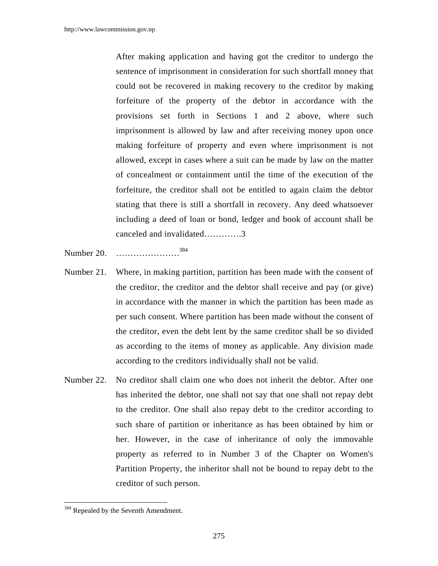After making application and having got the creditor to undergo the sentence of imprisonment in consideration for such shortfall money that could not be recovered in making recovery to the creditor by making forfeiture of the property of the debtor in accordance with the provisions set forth in Sections 1 and 2 above, where such imprisonment is allowed by law and after receiving money upon once making forfeiture of property and even where imprisonment is not allowed, except in cases where a suit can be made by law on the matter of concealment or containment until the time of the execution of the forfeiture, the creditor shall not be entitled to again claim the debtor stating that there is still a shortfall in recovery. Any deed whatsoever including a deed of loan or bond, ledger and book of account shall be canceled and invalidated………….3

- Number 20. ………………….384
- Number 21. Where, in making partition, partition has been made with the consent of the creditor, the creditor and the debtor shall receive and pay (or give) in accordance with the manner in which the partition has been made as per such consent. Where partition has been made without the consent of the creditor, even the debt lent by the same creditor shall be so divided as according to the items of money as applicable. Any division made according to the creditors individually shall not be valid.
- Number 22. No creditor shall claim one who does not inherit the debtor. After one has inherited the debtor, one shall not say that one shall not repay debt to the creditor. One shall also repay debt to the creditor according to such share of partition or inheritance as has been obtained by him or her. However, in the case of inheritance of only the immovable property as referred to in Number 3 of the Chapter on Women's Partition Property, the inheritor shall not be bound to repay debt to the creditor of such person.

<sup>&</sup>lt;sup>384</sup> Repealed by the Seventh Amendment.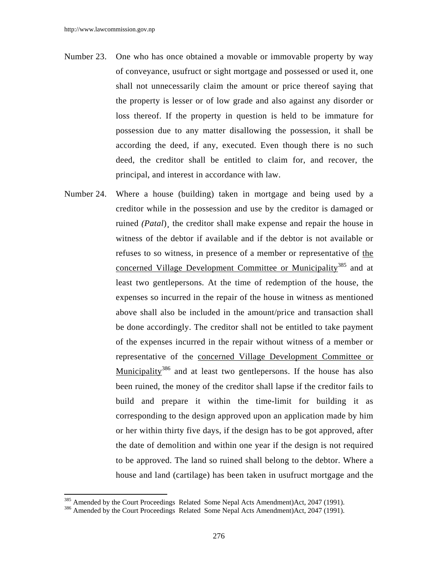- Number 23. One who has once obtained a movable or immovable property by way of conveyance, usufruct or sight mortgage and possessed or used it, one shall not unnecessarily claim the amount or price thereof saying that the property is lesser or of low grade and also against any disorder or loss thereof. If the property in question is held to be immature for possession due to any matter disallowing the possession, it shall be according the deed, if any, executed. Even though there is no such deed, the creditor shall be entitled to claim for, and recover, the principal, and interest in accordance with law.
- Number 24. Where a house (building) taken in mortgage and being used by a creditor while in the possession and use by the creditor is damaged or ruined *(Patal)*, the creditor shall make expense and repair the house in witness of the debtor if available and if the debtor is not available or refuses to so witness, in presence of a member or representative of the concerned Village Development Committee or Municipality<sup>385</sup> and at least two gentlepersons. At the time of redemption of the house, the expenses so incurred in the repair of the house in witness as mentioned above shall also be included in the amount/price and transaction shall be done accordingly. The creditor shall not be entitled to take payment of the expenses incurred in the repair without witness of a member or representative of the concerned Village Development Committee or Municipality<sup>386</sup> and at least two gentlepersons. If the house has also been ruined, the money of the creditor shall lapse if the creditor fails to build and prepare it within the time-limit for building it as corresponding to the design approved upon an application made by him or her within thirty five days, if the design has to be got approved, after the date of demolition and within one year if the design is not required to be approved. The land so ruined shall belong to the debtor. Where a house and land (cartilage) has been taken in usufruct mortgage and the

<sup>&</sup>lt;sup>385</sup> Amended by the Court Proceedings Related Some Nepal Acts Amendment)Act, 2047 (1991).<br><sup>386</sup> Amended by the Court Proceedings Related Some Nepal Acts Amendment)Act, 2047 (1991).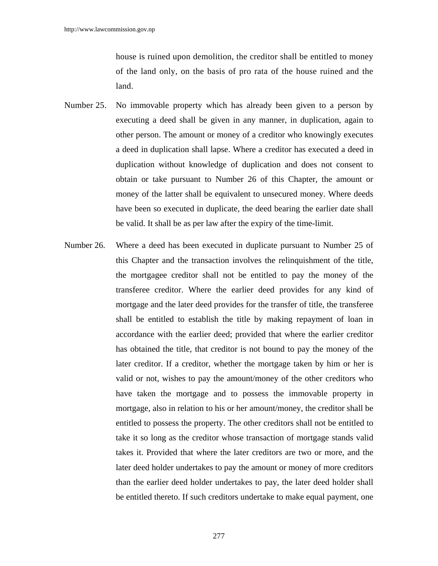house is ruined upon demolition, the creditor shall be entitled to money of the land only, on the basis of pro rata of the house ruined and the land.

- Number 25. No immovable property which has already been given to a person by executing a deed shall be given in any manner, in duplication, again to other person. The amount or money of a creditor who knowingly executes a deed in duplication shall lapse. Where a creditor has executed a deed in duplication without knowledge of duplication and does not consent to obtain or take pursuant to Number 26 of this Chapter, the amount or money of the latter shall be equivalent to unsecured money. Where deeds have been so executed in duplicate, the deed bearing the earlier date shall be valid. It shall be as per law after the expiry of the time-limit.
- Number 26. Where a deed has been executed in duplicate pursuant to Number 25 of this Chapter and the transaction involves the relinquishment of the title, the mortgagee creditor shall not be entitled to pay the money of the transferee creditor. Where the earlier deed provides for any kind of mortgage and the later deed provides for the transfer of title, the transferee shall be entitled to establish the title by making repayment of loan in accordance with the earlier deed; provided that where the earlier creditor has obtained the title, that creditor is not bound to pay the money of the later creditor. If a creditor, whether the mortgage taken by him or her is valid or not, wishes to pay the amount/money of the other creditors who have taken the mortgage and to possess the immovable property in mortgage, also in relation to his or her amount/money, the creditor shall be entitled to possess the property. The other creditors shall not be entitled to take it so long as the creditor whose transaction of mortgage stands valid takes it. Provided that where the later creditors are two or more, and the later deed holder undertakes to pay the amount or money of more creditors than the earlier deed holder undertakes to pay, the later deed holder shall be entitled thereto. If such creditors undertake to make equal payment, one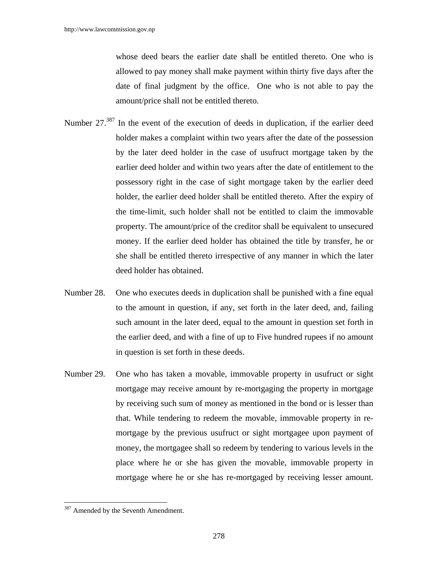whose deed bears the earlier date shall be entitled thereto. One who is allowed to pay money shall make payment within thirty five days after the date of final judgment by the office. One who is not able to pay the amount/price shall not be entitled thereto.

- Number 27.<sup>387</sup> In the event of the execution of deeds in duplication, if the earlier deed holder makes a complaint within two years after the date of the possession by the later deed holder in the case of usufruct mortgage taken by the earlier deed holder and within two years after the date of entitlement to the possessory right in the case of sight mortgage taken by the earlier deed holder, the earlier deed holder shall be entitled thereto. After the expiry of the time-limit, such holder shall not be entitled to claim the immovable property. The amount/price of the creditor shall be equivalent to unsecured money. If the earlier deed holder has obtained the title by transfer, he or she shall be entitled thereto irrespective of any manner in which the later deed holder has obtained.
- Number 28. One who executes deeds in duplication shall be punished with a fine equal to the amount in question, if any, set forth in the later deed, and, failing such amount in the later deed, equal to the amount in question set forth in the earlier deed, and with a fine of up to Five hundred rupees if no amount in question is set forth in these deeds.
- Number 29. One who has taken a movable, immovable property in usufruct or sight mortgage may receive amount by re-mortgaging the property in mortgage by receiving such sum of money as mentioned in the bond or is lesser than that. While tendering to redeem the movable, immovable property in remortgage by the previous usufruct or sight mortgagee upon payment of money, the mortgagee shall so redeem by tendering to various levels in the place where he or she has given the movable, immovable property in mortgage where he or she has re-mortgaged by receiving lesser amount.

<sup>&</sup>lt;sup>387</sup> Amended by the Seventh Amendment.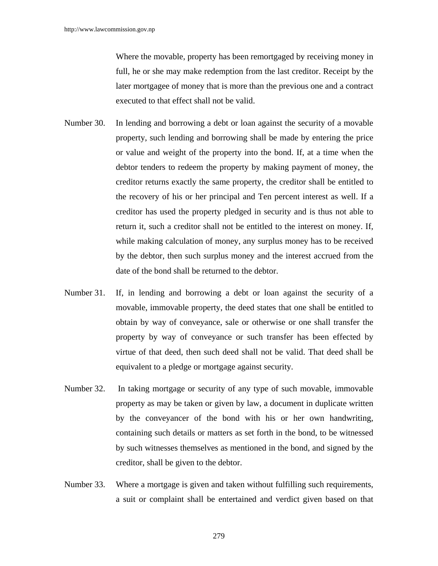Where the movable, property has been remortgaged by receiving money in full, he or she may make redemption from the last creditor. Receipt by the later mortgagee of money that is more than the previous one and a contract executed to that effect shall not be valid.

- Number 30. In lending and borrowing a debt or loan against the security of a movable property, such lending and borrowing shall be made by entering the price or value and weight of the property into the bond. If, at a time when the debtor tenders to redeem the property by making payment of money, the creditor returns exactly the same property, the creditor shall be entitled to the recovery of his or her principal and Ten percent interest as well. If a creditor has used the property pledged in security and is thus not able to return it, such a creditor shall not be entitled to the interest on money. If, while making calculation of money, any surplus money has to be received by the debtor, then such surplus money and the interest accrued from the date of the bond shall be returned to the debtor.
- Number 31. If, in lending and borrowing a debt or loan against the security of a movable, immovable property, the deed states that one shall be entitled to obtain by way of conveyance, sale or otherwise or one shall transfer the property by way of conveyance or such transfer has been effected by virtue of that deed, then such deed shall not be valid. That deed shall be equivalent to a pledge or mortgage against security.
- Number 32. In taking mortgage or security of any type of such movable, immovable property as may be taken or given by law, a document in duplicate written by the conveyancer of the bond with his or her own handwriting, containing such details or matters as set forth in the bond, to be witnessed by such witnesses themselves as mentioned in the bond, and signed by the creditor, shall be given to the debtor.
- Number 33. Where a mortgage is given and taken without fulfilling such requirements, a suit or complaint shall be entertained and verdict given based on that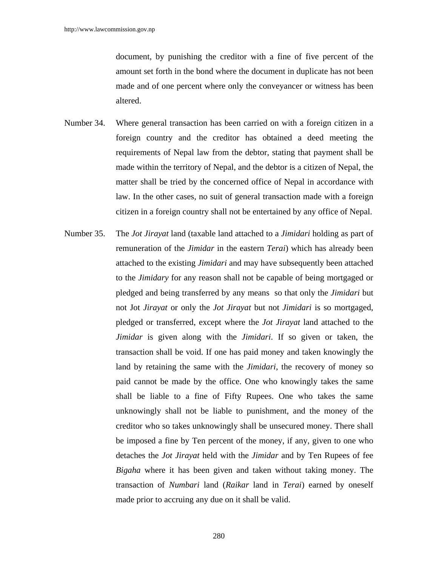document, by punishing the creditor with a fine of five percent of the amount set forth in the bond where the document in duplicate has not been made and of one percent where only the conveyancer or witness has been altered.

- Number 34. Where general transaction has been carried on with a foreign citizen in a foreign country and the creditor has obtained a deed meeting the requirements of Nepal law from the debtor, stating that payment shall be made within the territory of Nepal, and the debtor is a citizen of Nepal, the matter shall be tried by the concerned office of Nepal in accordance with law. In the other cases, no suit of general transaction made with a foreign citizen in a foreign country shall not be entertained by any office of Nepal.
- Number 35. The *Jot Jirayat* land (taxable land attached to a *Jimidari* holding as part of remuneration of the *Jimidar* in the eastern *Terai*) which has already been attached to the existing *Jimidari* and may have subsequently been attached to the *Jimidary* for any reason shall not be capable of being mortgaged or pledged and being transferred by any means so that only the *Jimidari* but not Jot *Jirayat* or only the *Jot Jirayat* but not *Jimidari* is so mortgaged, pledged or transferred, except where the *Jot Jirayat* land attached to the *Jimidar* is given along with the *Jimidari*. If so given or taken, the transaction shall be void. If one has paid money and taken knowingly the land by retaining the same with the *Jimidari*, the recovery of money so paid cannot be made by the office. One who knowingly takes the same shall be liable to a fine of Fifty Rupees. One who takes the same unknowingly shall not be liable to punishment, and the money of the creditor who so takes unknowingly shall be unsecured money. There shall be imposed a fine by Ten percent of the money, if any, given to one who detaches the *Jot Jirayat* held with the *Jimidar* and by Ten Rupees of fee *Bigaha* where it has been given and taken without taking money. The transaction of *Numbari* land (*Raikar* land in *Terai*) earned by oneself made prior to accruing any due on it shall be valid.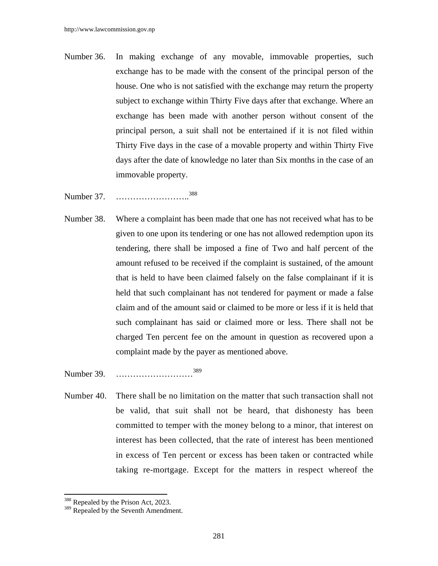- Number 36. In making exchange of any movable, immovable properties, such exchange has to be made with the consent of the principal person of the house. One who is not satisfied with the exchange may return the property subject to exchange within Thirty Five days after that exchange. Where an exchange has been made with another person without consent of the principal person, a suit shall not be entertained if it is not filed within Thirty Five days in the case of a movable property and within Thirty Five days after the date of knowledge no later than Six months in the case of an immovable property.
- Number 37. …………………………<sup>388</sup>
- Number 38. Where a complaint has been made that one has not received what has to be given to one upon its tendering or one has not allowed redemption upon its tendering, there shall be imposed a fine of Two and half percent of the amount refused to be received if the complaint is sustained, of the amount that is held to have been claimed falsely on the false complainant if it is held that such complainant has not tendered for payment or made a false claim and of the amount said or claimed to be more or less if it is held that such complainant has said or claimed more or less. There shall not be charged Ten percent fee on the amount in question as recovered upon a complaint made by the payer as mentioned above.

Number 39. ………………………<sup>389</sup>

Number 40. There shall be no limitation on the matter that such transaction shall not be valid, that suit shall not be heard, that dishonesty has been committed to temper with the money belong to a minor, that interest on interest has been collected, that the rate of interest has been mentioned in excess of Ten percent or excess has been taken or contracted while taking re-mortgage. Except for the matters in respect whereof the

<sup>&</sup>lt;sup>388</sup> Repealed by the Prison Act, 2023.

<sup>&</sup>lt;sup>389</sup> Repealed by the Seventh Amendment.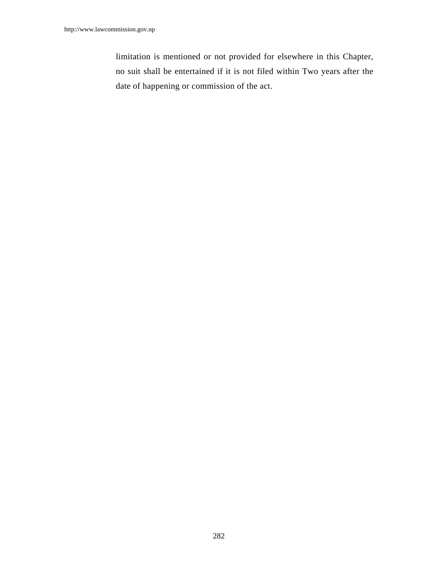limitation is mentioned or not provided for elsewhere in this Chapter, no suit shall be entertained if it is not filed within Two years after the date of happening or commission of the act.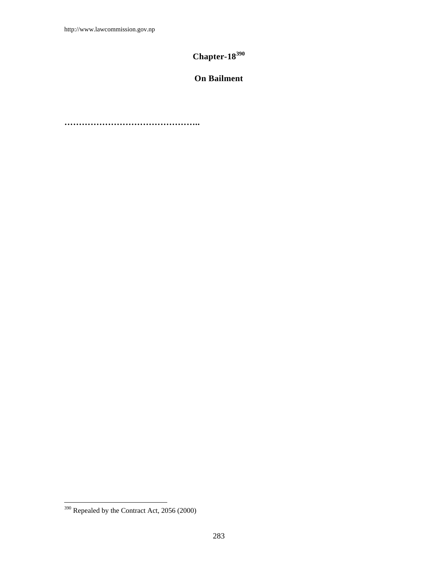# **Chapter-18<sup>390</sup>**

# **On Bailment**

**………………………………………..** 

 $390$  Repealed by the Contract Act, 2056 (2000)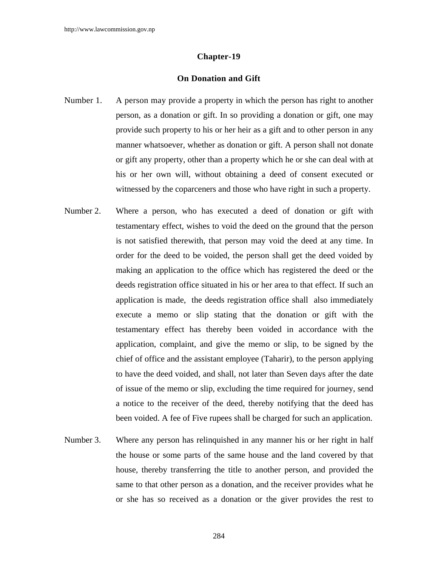#### **Chapter-19**

# **On Donation and Gift**

- Number 1. A person may provide a property in which the person has right to another person, as a donation or gift. In so providing a donation or gift, one may provide such property to his or her heir as a gift and to other person in any manner whatsoever, whether as donation or gift. A person shall not donate or gift any property, other than a property which he or she can deal with at his or her own will, without obtaining a deed of consent executed or witnessed by the coparceners and those who have right in such a property.
- Number 2. Where a person, who has executed a deed of donation or gift with testamentary effect, wishes to void the deed on the ground that the person is not satisfied therewith, that person may void the deed at any time. In order for the deed to be voided, the person shall get the deed voided by making an application to the office which has registered the deed or the deeds registration office situated in his or her area to that effect. If such an application is made, the deeds registration office shall also immediately execute a memo or slip stating that the donation or gift with the testamentary effect has thereby been voided in accordance with the application, complaint, and give the memo or slip, to be signed by the chief of office and the assistant employee (Taharir), to the person applying to have the deed voided, and shall, not later than Seven days after the date of issue of the memo or slip, excluding the time required for journey, send a notice to the receiver of the deed, thereby notifying that the deed has been voided. A fee of Five rupees shall be charged for such an application.
- Number 3. Where any person has relinquished in any manner his or her right in half the house or some parts of the same house and the land covered by that house, thereby transferring the title to another person, and provided the same to that other person as a donation, and the receiver provides what he or she has so received as a donation or the giver provides the rest to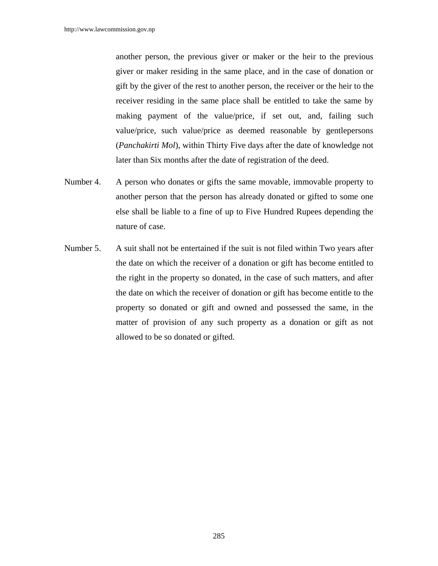another person, the previous giver or maker or the heir to the previous giver or maker residing in the same place, and in the case of donation or gift by the giver of the rest to another person, the receiver or the heir to the receiver residing in the same place shall be entitled to take the same by making payment of the value/price, if set out, and, failing such value/price, such value/price as deemed reasonable by gentlepersons (*Panchakirti Mol*), within Thirty Five days after the date of knowledge not later than Six months after the date of registration of the deed.

- Number 4. A person who donates or gifts the same movable, immovable property to another person that the person has already donated or gifted to some one else shall be liable to a fine of up to Five Hundred Rupees depending the nature of case.
- Number 5. A suit shall not be entertained if the suit is not filed within Two years after the date on which the receiver of a donation or gift has become entitled to the right in the property so donated, in the case of such matters, and after the date on which the receiver of donation or gift has become entitle to the property so donated or gift and owned and possessed the same, in the matter of provision of any such property as a donation or gift as not allowed to be so donated or gifted.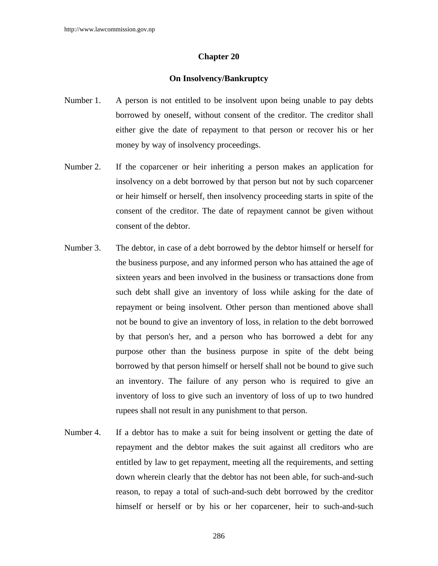## **Chapter 20**

## **On Insolvency/Bankruptcy**

- Number 1. A person is not entitled to be insolvent upon being unable to pay debts borrowed by oneself, without consent of the creditor. The creditor shall either give the date of repayment to that person or recover his or her money by way of insolvency proceedings.
- Number 2. If the coparcener or heir inheriting a person makes an application for insolvency on a debt borrowed by that person but not by such coparcener or heir himself or herself, then insolvency proceeding starts in spite of the consent of the creditor. The date of repayment cannot be given without consent of the debtor.
- Number 3. The debtor, in case of a debt borrowed by the debtor himself or herself for the business purpose, and any informed person who has attained the age of sixteen years and been involved in the business or transactions done from such debt shall give an inventory of loss while asking for the date of repayment or being insolvent. Other person than mentioned above shall not be bound to give an inventory of loss, in relation to the debt borrowed by that person's her, and a person who has borrowed a debt for any purpose other than the business purpose in spite of the debt being borrowed by that person himself or herself shall not be bound to give such an inventory. The failure of any person who is required to give an inventory of loss to give such an inventory of loss of up to two hundred rupees shall not result in any punishment to that person.
- Number 4. If a debtor has to make a suit for being insolvent or getting the date of repayment and the debtor makes the suit against all creditors who are entitled by law to get repayment, meeting all the requirements, and setting down wherein clearly that the debtor has not been able, for such-and-such reason, to repay a total of such-and-such debt borrowed by the creditor himself or herself or by his or her coparcener, heir to such-and-such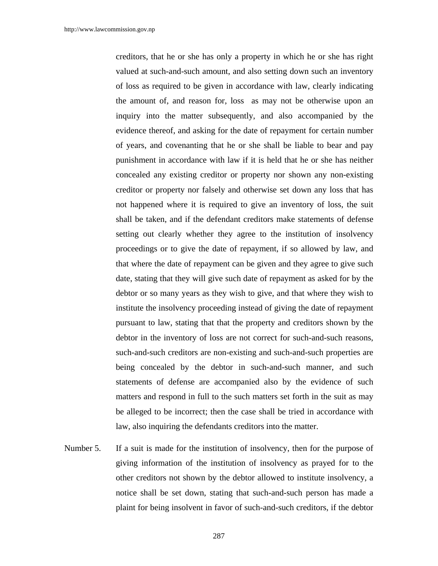creditors, that he or she has only a property in which he or she has right valued at such-and-such amount, and also setting down such an inventory of loss as required to be given in accordance with law, clearly indicating the amount of, and reason for, loss as may not be otherwise upon an inquiry into the matter subsequently, and also accompanied by the evidence thereof, and asking for the date of repayment for certain number of years, and covenanting that he or she shall be liable to bear and pay punishment in accordance with law if it is held that he or she has neither concealed any existing creditor or property nor shown any non-existing creditor or property nor falsely and otherwise set down any loss that has not happened where it is required to give an inventory of loss, the suit shall be taken, and if the defendant creditors make statements of defense setting out clearly whether they agree to the institution of insolvency proceedings or to give the date of repayment, if so allowed by law, and that where the date of repayment can be given and they agree to give such date, stating that they will give such date of repayment as asked for by the debtor or so many years as they wish to give, and that where they wish to institute the insolvency proceeding instead of giving the date of repayment pursuant to law, stating that that the property and creditors shown by the debtor in the inventory of loss are not correct for such-and-such reasons, such-and-such creditors are non-existing and such-and-such properties are being concealed by the debtor in such-and-such manner, and such statements of defense are accompanied also by the evidence of such matters and respond in full to the such matters set forth in the suit as may be alleged to be incorrect; then the case shall be tried in accordance with law, also inquiring the defendants creditors into the matter.

Number 5. If a suit is made for the institution of insolvency, then for the purpose of giving information of the institution of insolvency as prayed for to the other creditors not shown by the debtor allowed to institute insolvency, a notice shall be set down, stating that such-and-such person has made a plaint for being insolvent in favor of such-and-such creditors, if the debtor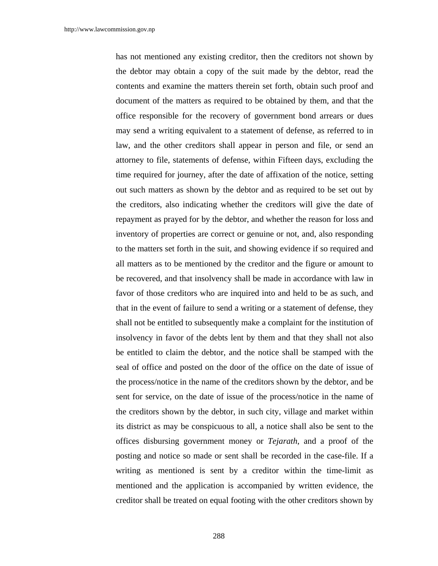has not mentioned any existing creditor, then the creditors not shown by the debtor may obtain a copy of the suit made by the debtor, read the contents and examine the matters therein set forth, obtain such proof and document of the matters as required to be obtained by them, and that the office responsible for the recovery of government bond arrears or dues may send a writing equivalent to a statement of defense, as referred to in law, and the other creditors shall appear in person and file, or send an attorney to file, statements of defense, within Fifteen days, excluding the time required for journey, after the date of affixation of the notice, setting out such matters as shown by the debtor and as required to be set out by the creditors, also indicating whether the creditors will give the date of repayment as prayed for by the debtor, and whether the reason for loss and inventory of properties are correct or genuine or not, and, also responding to the matters set forth in the suit, and showing evidence if so required and all matters as to be mentioned by the creditor and the figure or amount to be recovered, and that insolvency shall be made in accordance with law in favor of those creditors who are inquired into and held to be as such, and that in the event of failure to send a writing or a statement of defense, they shall not be entitled to subsequently make a complaint for the institution of insolvency in favor of the debts lent by them and that they shall not also be entitled to claim the debtor, and the notice shall be stamped with the seal of office and posted on the door of the office on the date of issue of the process/notice in the name of the creditors shown by the debtor, and be sent for service, on the date of issue of the process/notice in the name of the creditors shown by the debtor, in such city, village and market within its district as may be conspicuous to all, a notice shall also be sent to the offices disbursing government money or *Tejarath*, and a proof of the posting and notice so made or sent shall be recorded in the case-file. If a writing as mentioned is sent by a creditor within the time-limit as mentioned and the application is accompanied by written evidence, the creditor shall be treated on equal footing with the other creditors shown by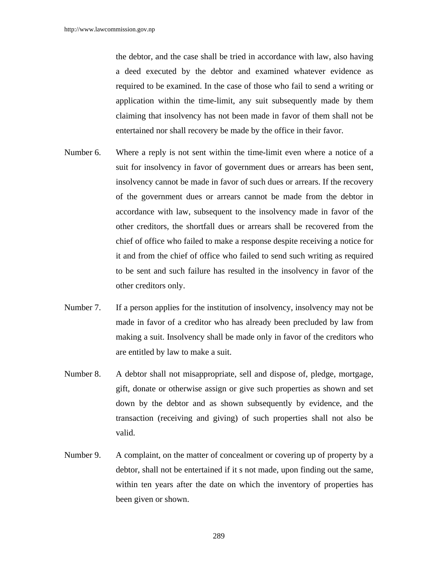the debtor, and the case shall be tried in accordance with law, also having a deed executed by the debtor and examined whatever evidence as required to be examined. In the case of those who fail to send a writing or application within the time-limit, any suit subsequently made by them claiming that insolvency has not been made in favor of them shall not be entertained nor shall recovery be made by the office in their favor.

- Number 6. Where a reply is not sent within the time-limit even where a notice of a suit for insolvency in favor of government dues or arrears has been sent, insolvency cannot be made in favor of such dues or arrears. If the recovery of the government dues or arrears cannot be made from the debtor in accordance with law, subsequent to the insolvency made in favor of the other creditors, the shortfall dues or arrears shall be recovered from the chief of office who failed to make a response despite receiving a notice for it and from the chief of office who failed to send such writing as required to be sent and such failure has resulted in the insolvency in favor of the other creditors only.
- Number 7. If a person applies for the institution of insolvency, insolvency may not be made in favor of a creditor who has already been precluded by law from making a suit. Insolvency shall be made only in favor of the creditors who are entitled by law to make a suit.
- Number 8. A debtor shall not misappropriate, sell and dispose of, pledge, mortgage, gift, donate or otherwise assign or give such properties as shown and set down by the debtor and as shown subsequently by evidence, and the transaction (receiving and giving) of such properties shall not also be valid.
- Number 9. A complaint, on the matter of concealment or covering up of property by a debtor, shall not be entertained if it s not made, upon finding out the same, within ten years after the date on which the inventory of properties has been given or shown.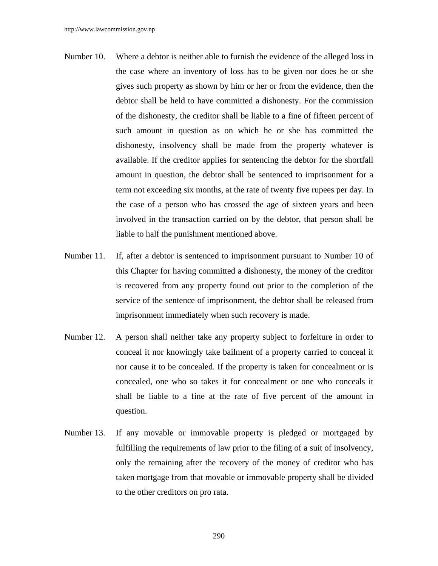- Number 10. Where a debtor is neither able to furnish the evidence of the alleged loss in the case where an inventory of loss has to be given nor does he or she gives such property as shown by him or her or from the evidence, then the debtor shall be held to have committed a dishonesty. For the commission of the dishonesty, the creditor shall be liable to a fine of fifteen percent of such amount in question as on which he or she has committed the dishonesty, insolvency shall be made from the property whatever is available. If the creditor applies for sentencing the debtor for the shortfall amount in question, the debtor shall be sentenced to imprisonment for a term not exceeding six months, at the rate of twenty five rupees per day. In the case of a person who has crossed the age of sixteen years and been involved in the transaction carried on by the debtor, that person shall be liable to half the punishment mentioned above.
- Number 11. If, after a debtor is sentenced to imprisonment pursuant to Number 10 of this Chapter for having committed a dishonesty, the money of the creditor is recovered from any property found out prior to the completion of the service of the sentence of imprisonment, the debtor shall be released from imprisonment immediately when such recovery is made.
- Number 12. A person shall neither take any property subject to forfeiture in order to conceal it nor knowingly take bailment of a property carried to conceal it nor cause it to be concealed. If the property is taken for concealment or is concealed, one who so takes it for concealment or one who conceals it shall be liable to a fine at the rate of five percent of the amount in question.
- Number 13. If any movable or immovable property is pledged or mortgaged by fulfilling the requirements of law prior to the filing of a suit of insolvency, only the remaining after the recovery of the money of creditor who has taken mortgage from that movable or immovable property shall be divided to the other creditors on pro rata.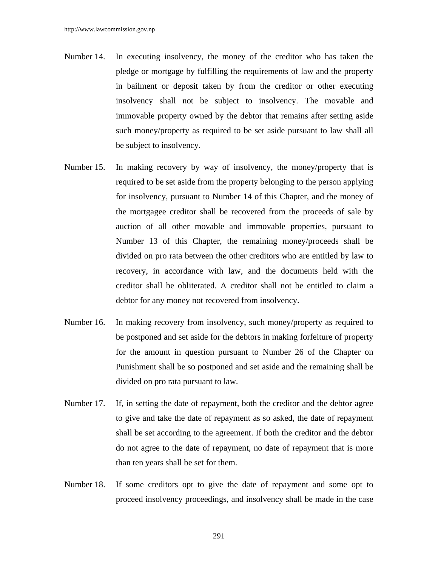- Number 14. In executing insolvency, the money of the creditor who has taken the pledge or mortgage by fulfilling the requirements of law and the property in bailment or deposit taken by from the creditor or other executing insolvency shall not be subject to insolvency. The movable and immovable property owned by the debtor that remains after setting aside such money/property as required to be set aside pursuant to law shall all be subject to insolvency.
- Number 15. In making recovery by way of insolvency, the money/property that is required to be set aside from the property belonging to the person applying for insolvency, pursuant to Number 14 of this Chapter, and the money of the mortgagee creditor shall be recovered from the proceeds of sale by auction of all other movable and immovable properties, pursuant to Number 13 of this Chapter, the remaining money/proceeds shall be divided on pro rata between the other creditors who are entitled by law to recovery, in accordance with law, and the documents held with the creditor shall be obliterated. A creditor shall not be entitled to claim a debtor for any money not recovered from insolvency.
- Number 16. In making recovery from insolvency, such money/property as required to be postponed and set aside for the debtors in making forfeiture of property for the amount in question pursuant to Number 26 of the Chapter on Punishment shall be so postponed and set aside and the remaining shall be divided on pro rata pursuant to law.
- Number 17. If, in setting the date of repayment, both the creditor and the debtor agree to give and take the date of repayment as so asked, the date of repayment shall be set according to the agreement. If both the creditor and the debtor do not agree to the date of repayment, no date of repayment that is more than ten years shall be set for them.
- Number 18. If some creditors opt to give the date of repayment and some opt to proceed insolvency proceedings, and insolvency shall be made in the case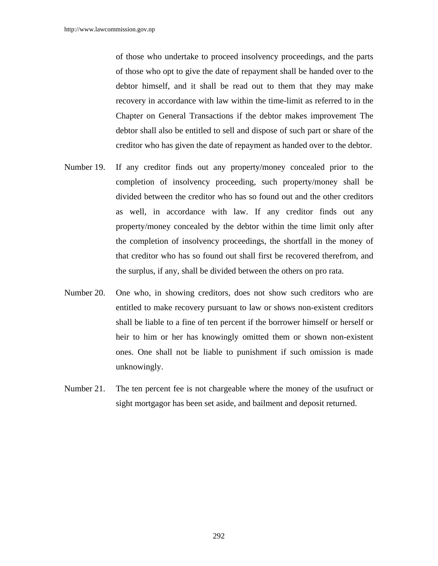of those who undertake to proceed insolvency proceedings, and the parts of those who opt to give the date of repayment shall be handed over to the debtor himself, and it shall be read out to them that they may make recovery in accordance with law within the time-limit as referred to in the Chapter on General Transactions if the debtor makes improvement The debtor shall also be entitled to sell and dispose of such part or share of the creditor who has given the date of repayment as handed over to the debtor.

- Number 19. If any creditor finds out any property/money concealed prior to the completion of insolvency proceeding, such property/money shall be divided between the creditor who has so found out and the other creditors as well, in accordance with law. If any creditor finds out any property/money concealed by the debtor within the time limit only after the completion of insolvency proceedings, the shortfall in the money of that creditor who has so found out shall first be recovered therefrom, and the surplus, if any, shall be divided between the others on pro rata.
- Number 20. One who, in showing creditors, does not show such creditors who are entitled to make recovery pursuant to law or shows non-existent creditors shall be liable to a fine of ten percent if the borrower himself or herself or heir to him or her has knowingly omitted them or shown non-existent ones. One shall not be liable to punishment if such omission is made unknowingly.
- Number 21. The ten percent fee is not chargeable where the money of the usufruct or sight mortgagor has been set aside, and bailment and deposit returned.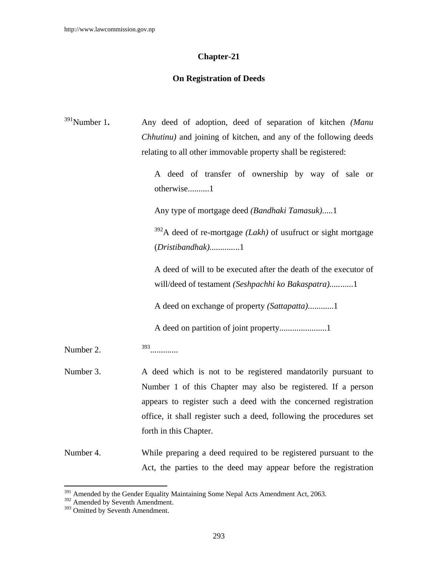# **Chapter-21**

# **On Registration of Deeds**

| $391$ Number 1. | Any deed of adoption, deed of separation of kitchen (Manu<br>Chhutinu) and joining of kitchen, and any of the following deeds<br>relating to all other immovable property shall be registered:<br>A deed of transfer of ownership by way of sale or<br>otherwise1<br>Any type of mortgage deed (Bandhaki Tamasuk)1<br>$392A$ deed of re-mortgage (Lakh) of usufruct or sight mortgage |
|-----------------|---------------------------------------------------------------------------------------------------------------------------------------------------------------------------------------------------------------------------------------------------------------------------------------------------------------------------------------------------------------------------------------|
|                 | $(Dristibandhak)$ 1<br>A deed of will to be executed after the death of the executor of<br>will/deed of testament (Seshpachhi ko Bakaspatra)1                                                                                                                                                                                                                                         |
|                 | A deed on exchange of property (Sattapatta)1                                                                                                                                                                                                                                                                                                                                          |
| Number 2.       | $393$                                                                                                                                                                                                                                                                                                                                                                                 |
| Number 3.       | A deed which is not to be registered mandatorily pursuant to<br>Number 1 of this Chapter may also be registered. If a person<br>appears to register such a deed with the concerned registration<br>office, it shall register such a deed, following the procedures set<br>forth in this Chapter.                                                                                      |
| Number 4.       | While preparing a deed required to be registered pursuant to the<br>Act, the parties to the deed may appear before the registration                                                                                                                                                                                                                                                   |

 $\overline{\phantom{a}}$ 

 $391$  Amended by the Gender Equality Maintaining Some Nepal Acts Amendment Act, 2063.

<sup>392</sup> Amended by Seventh Amendment.

<sup>&</sup>lt;sup>393</sup> Omitted by Seventh Amendment.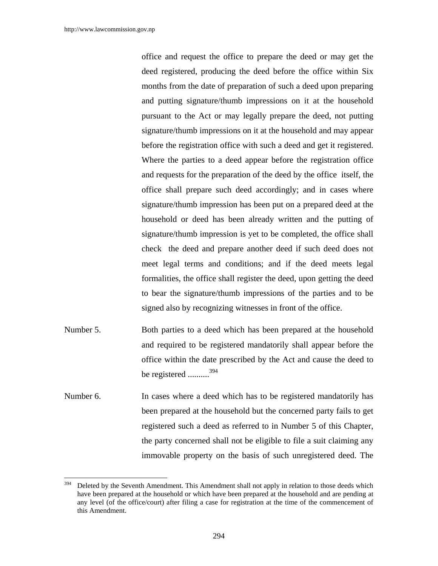office and request the office to prepare the deed or may get the deed registered, producing the deed before the office within Six months from the date of preparation of such a deed upon preparing and putting signature/thumb impressions on it at the household pursuant to the Act or may legally prepare the deed, not putting signature/thumb impressions on it at the household and may appear before the registration office with such a deed and get it registered. Where the parties to a deed appear before the registration office and requests for the preparation of the deed by the office itself, the office shall prepare such deed accordingly; and in cases where signature/thumb impression has been put on a prepared deed at the household or deed has been already written and the putting of signature/thumb impression is yet to be completed, the office shall check the deed and prepare another deed if such deed does not meet legal terms and conditions; and if the deed meets legal formalities, the office shall register the deed, upon getting the deed to bear the signature/thumb impressions of the parties and to be signed also by recognizing witnesses in front of the office.

- Number 5. Both parties to a deed which has been prepared at the household and required to be registered mandatorily shall appear before the office within the date prescribed by the Act and cause the deed to be registered ..........394
- Number 6. In cases where a deed which has to be registered mandatorily has been prepared at the household but the concerned party fails to get registered such a deed as referred to in Number 5 of this Chapter, the party concerned shall not be eligible to file a suit claiming any immovable property on the basis of such unregistered deed. The

<sup>394</sup> Deleted by the Seventh Amendment. This Amendment shall not apply in relation to those deeds which have been prepared at the household or which have been prepared at the household and are pending at any level (of the office/court) after filing a case for registration at the time of the commencement of this Amendment.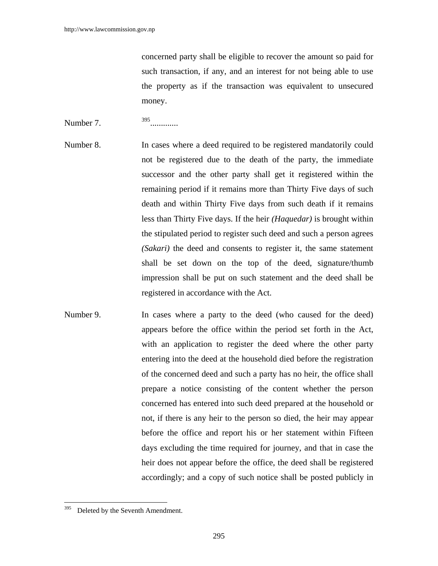concerned party shall be eligible to recover the amount so paid for such transaction, if any, and an interest for not being able to use the property as if the transaction was equivalent to unsecured money.

# Number 7. <sup>395</sup> ..............

- Number 8. In cases where a deed required to be registered mandatorily could not be registered due to the death of the party, the immediate successor and the other party shall get it registered within the remaining period if it remains more than Thirty Five days of such death and within Thirty Five days from such death if it remains less than Thirty Five days. If the heir *(Haquedar)* is brought within the stipulated period to register such deed and such a person agrees *(Sakari)* the deed and consents to register it, the same statement shall be set down on the top of the deed, signature/thumb impression shall be put on such statement and the deed shall be registered in accordance with the Act.
- Number 9. In cases where a party to the deed (who caused for the deed) appears before the office within the period set forth in the Act, with an application to register the deed where the other party entering into the deed at the household died before the registration of the concerned deed and such a party has no heir, the office shall prepare a notice consisting of the content whether the person concerned has entered into such deed prepared at the household or not, if there is any heir to the person so died, the heir may appear before the office and report his or her statement within Fifteen days excluding the time required for journey, and that in case the heir does not appear before the office, the deed shall be registered accordingly; and a copy of such notice shall be posted publicly in

<sup>395</sup> Deleted by the Seventh Amendment.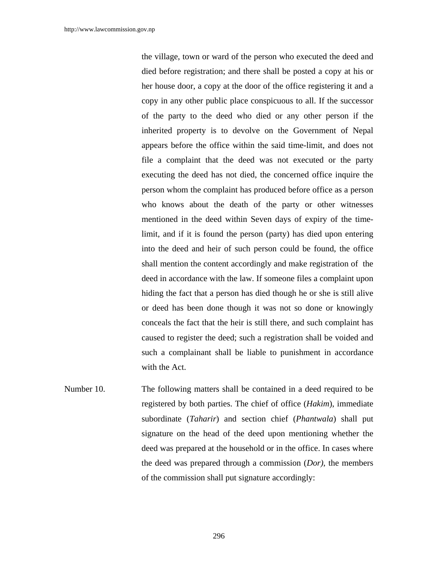the village, town or ward of the person who executed the deed and died before registration; and there shall be posted a copy at his or her house door, a copy at the door of the office registering it and a copy in any other public place conspicuous to all. If the successor of the party to the deed who died or any other person if the inherited property is to devolve on the Government of Nepal appears before the office within the said time-limit, and does not file a complaint that the deed was not executed or the party executing the deed has not died, the concerned office inquire the person whom the complaint has produced before office as a person who knows about the death of the party or other witnesses mentioned in the deed within Seven days of expiry of the timelimit, and if it is found the person (party) has died upon entering into the deed and heir of such person could be found, the office shall mention the content accordingly and make registration of the deed in accordance with the law. If someone files a complaint upon hiding the fact that a person has died though he or she is still alive or deed has been done though it was not so done or knowingly conceals the fact that the heir is still there, and such complaint has caused to register the deed; such a registration shall be voided and such a complainant shall be liable to punishment in accordance with the Act.

Number 10. The following matters shall be contained in a deed required to be registered by both parties. The chief of office (*Hakim*), immediate subordinate (*Taharir*) and section chief (*Phantwala*) shall put signature on the head of the deed upon mentioning whether the deed was prepared at the household or in the office. In cases where the deed was prepared through a commission (*Dor)*, the members of the commission shall put signature accordingly: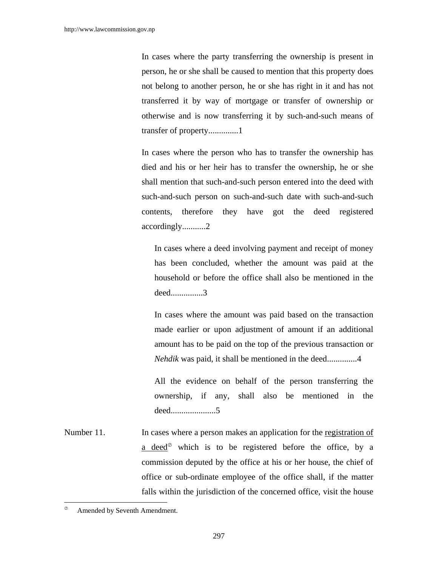In cases where the party transferring the ownership is present in person, he or she shall be caused to mention that this property does not belong to another person, he or she has right in it and has not transferred it by way of mortgage or transfer of ownership or otherwise and is now transferring it by such-and-such means of transfer of property..............1

In cases where the person who has to transfer the ownership has died and his or her heir has to transfer the ownership, he or she shall mention that such-and-such person entered into the deed with such-and-such person on such-and-such date with such-and-such contents, therefore they have got the deed registered accordingly...........2

In cases where a deed involving payment and receipt of money has been concluded, whether the amount was paid at the household or before the office shall also be mentioned in the deed...............3

In cases where the amount was paid based on the transaction made earlier or upon adjustment of amount if an additional amount has to be paid on the top of the previous transaction or *Nehdik* was paid, it shall be mentioned in the deed..............4

All the evidence on behalf of the person transferring the ownership, if any, shall also be mentioned in the deed.....................5

Number 11. In cases where a person makes an application for the registration of a deed $\infty$  which is to be registered before the office, by a commission deputed by the office at his or her house, the chief of office or sub-ordinate employee of the office shall, if the matter falls within the jurisdiction of the concerned office, visit the house

 $\overline{\phantom{a}}$ 

 $\infty$  Amended by Seventh Amendment.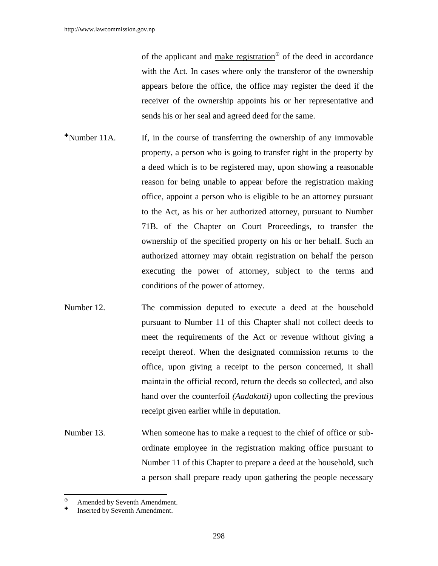of the applicant and make registration<sup> $\circ$ </sup> of the deed in accordance with the Act. In cases where only the transferor of the ownership appears before the office, the office may register the deed if the receiver of the ownership appoints his or her representative and sends his or her seal and agreed deed for the same.

- Number 11A. If, in the course of transferring the ownership of any immovable property, a person who is going to transfer right in the property by a deed which is to be registered may, upon showing a reasonable reason for being unable to appear before the registration making office, appoint a person who is eligible to be an attorney pursuant to the Act, as his or her authorized attorney, pursuant to Number 71B. of the Chapter on Court Proceedings, to transfer the ownership of the specified property on his or her behalf. Such an authorized attorney may obtain registration on behalf the person executing the power of attorney, subject to the terms and conditions of the power of attorney.
- Number 12. The commission deputed to execute a deed at the household pursuant to Number 11 of this Chapter shall not collect deeds to meet the requirements of the Act or revenue without giving a receipt thereof. When the designated commission returns to the office, upon giving a receipt to the person concerned, it shall maintain the official record, return the deeds so collected, and also hand over the counterfoil *(Aadakatti)* upon collecting the previous receipt given earlier while in deputation.
- Number 13. When someone has to make a request to the chief of office or subordinate employee in the registration making office pursuant to Number 11 of this Chapter to prepare a deed at the household, such a person shall prepare ready upon gathering the people necessary

 $\overline{a}$ 

Amended by Seventh Amendment.

Inserted by Seventh Amendment.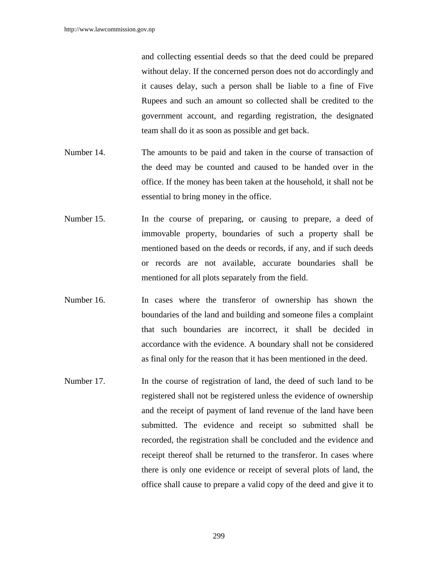and collecting essential deeds so that the deed could be prepared without delay. If the concerned person does not do accordingly and it causes delay, such a person shall be liable to a fine of Five Rupees and such an amount so collected shall be credited to the government account, and regarding registration, the designated team shall do it as soon as possible and get back.

- Number 14. The amounts to be paid and taken in the course of transaction of the deed may be counted and caused to be handed over in the office. If the money has been taken at the household, it shall not be essential to bring money in the office.
- Number 15. In the course of preparing, or causing to prepare, a deed of immovable property, boundaries of such a property shall be mentioned based on the deeds or records, if any, and if such deeds or records are not available, accurate boundaries shall be mentioned for all plots separately from the field.
- Number 16. In cases where the transferor of ownership has shown the boundaries of the land and building and someone files a complaint that such boundaries are incorrect, it shall be decided in accordance with the evidence. A boundary shall not be considered as final only for the reason that it has been mentioned in the deed.
- Number 17. In the course of registration of land, the deed of such land to be registered shall not be registered unless the evidence of ownership and the receipt of payment of land revenue of the land have been submitted. The evidence and receipt so submitted shall be recorded, the registration shall be concluded and the evidence and receipt thereof shall be returned to the transferor. In cases where there is only one evidence or receipt of several plots of land, the office shall cause to prepare a valid copy of the deed and give it to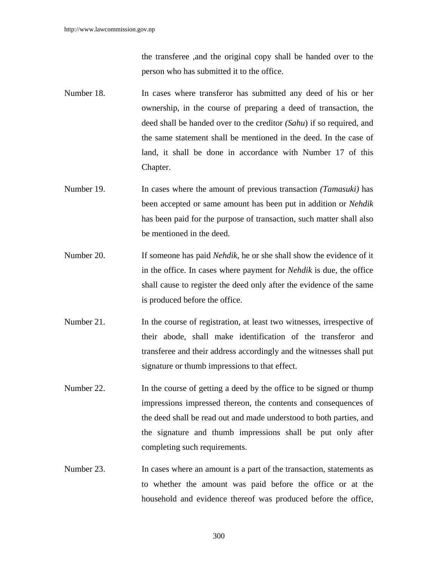the transferee ,and the original copy shall be handed over to the person who has submitted it to the office.

- Number 18. In cases where transferor has submitted any deed of his or her ownership, in the course of preparing a deed of transaction, the deed shall be handed over to the creditor *(Sahu*) if so required, and the same statement shall be mentioned in the deed. In the case of land, it shall be done in accordance with Number 17 of this Chapter.
- Number 19. In cases where the amount of previous transaction *(Tamasuki)* has been accepted or same amount has been put in addition or *Nehdik* has been paid for the purpose of transaction, such matter shall also be mentioned in the deed.
- Number 20. If someone has paid *Nehdik*, he or she shall show the evidence of it in the office. In cases where payment for *Nehdik* is due, the office shall cause to register the deed only after the evidence of the same is produced before the office.
- Number 21. In the course of registration, at least two witnesses, irrespective of their abode, shall make identification of the transferor and transferee and their address accordingly and the witnesses shall put signature or thumb impressions to that effect.
- Number 22. In the course of getting a deed by the office to be signed or thump impressions impressed thereon, the contents and consequences of the deed shall be read out and made understood to both parties, and the signature and thumb impressions shall be put only after completing such requirements.
- Number 23. In cases where an amount is a part of the transaction, statements as to whether the amount was paid before the office or at the household and evidence thereof was produced before the office,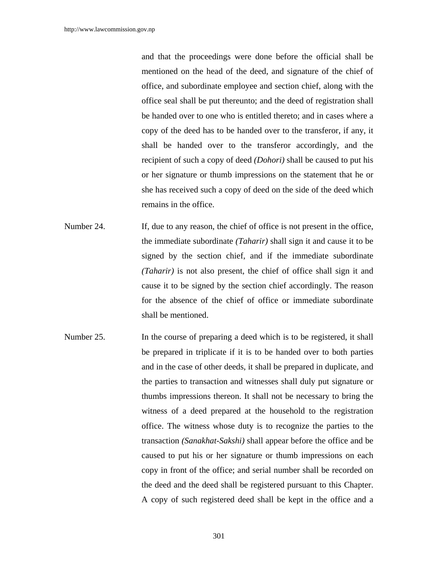and that the proceedings were done before the official shall be mentioned on the head of the deed, and signature of the chief of office, and subordinate employee and section chief, along with the office seal shall be put thereunto; and the deed of registration shall be handed over to one who is entitled thereto; and in cases where a copy of the deed has to be handed over to the transferor, if any, it shall be handed over to the transferor accordingly, and the recipient of such a copy of deed *(Dohori)* shall be caused to put his or her signature or thumb impressions on the statement that he or she has received such a copy of deed on the side of the deed which remains in the office.

- Number 24. If, due to any reason, the chief of office is not present in the office, the immediate subordinate *(Taharir)* shall sign it and cause it to be signed by the section chief, and if the immediate subordinate *(Taharir)* is not also present, the chief of office shall sign it and cause it to be signed by the section chief accordingly. The reason for the absence of the chief of office or immediate subordinate shall be mentioned.
- Number 25. In the course of preparing a deed which is to be registered, it shall be prepared in triplicate if it is to be handed over to both parties and in the case of other deeds, it shall be prepared in duplicate, and the parties to transaction and witnesses shall duly put signature or thumbs impressions thereon. It shall not be necessary to bring the witness of a deed prepared at the household to the registration office. The witness whose duty is to recognize the parties to the transaction *(Sanakhat-Sakshi)* shall appear before the office and be caused to put his or her signature or thumb impressions on each copy in front of the office; and serial number shall be recorded on the deed and the deed shall be registered pursuant to this Chapter. A copy of such registered deed shall be kept in the office and a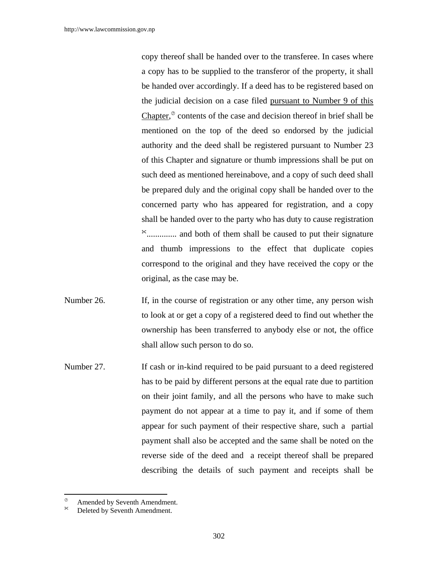copy thereof shall be handed over to the transferee. In cases where a copy has to be supplied to the transferor of the property, it shall be handed over accordingly. If a deed has to be registered based on the judicial decision on a case filed pursuant to Number 9 of this Chapter, $\infty$  contents of the case and decision thereof in brief shall be mentioned on the top of the deed so endorsed by the judicial authority and the deed shall be registered pursuant to Number 23 of this Chapter and signature or thumb impressions shall be put on such deed as mentioned hereinabove, and a copy of such deed shall be prepared duly and the original copy shall be handed over to the concerned party who has appeared for registration, and a copy shall be handed over to the party who has duty to cause registration .............. and both of them shall be caused to put their signature and thumb impressions to the effect that duplicate copies correspond to the original and they have received the copy or the original, as the case may be.

- Number 26. If, in the course of registration or any other time, any person wish to look at or get a copy of a registered deed to find out whether the ownership has been transferred to anybody else or not, the office shall allow such person to do so.
- Number 27. If cash or in-kind required to be paid pursuant to a deed registered has to be paid by different persons at the equal rate due to partition on their joint family, and all the persons who have to make such payment do not appear at a time to pay it, and if some of them appear for such payment of their respective share, such a partial payment shall also be accepted and the same shall be noted on the reverse side of the deed and a receipt thereof shall be prepared describing the details of such payment and receipts shall be

 $\overline{a}$ 

 $\frac{\infty}{\infty}$  Amended by Seventh Amendment.

Deleted by Seventh Amendment.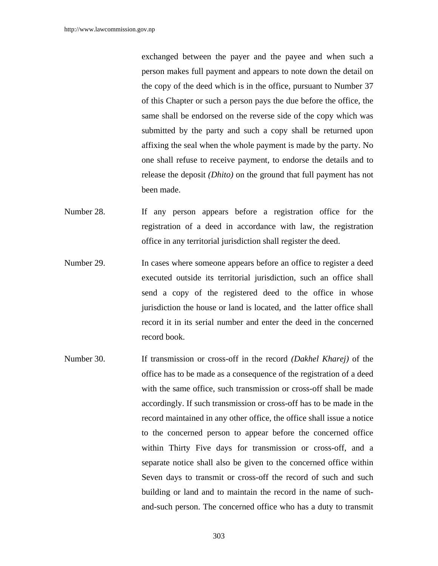exchanged between the payer and the payee and when such a person makes full payment and appears to note down the detail on the copy of the deed which is in the office, pursuant to Number 37 of this Chapter or such a person pays the due before the office, the same shall be endorsed on the reverse side of the copy which was submitted by the party and such a copy shall be returned upon affixing the seal when the whole payment is made by the party. No one shall refuse to receive payment, to endorse the details and to release the deposit *(Dhito)* on the ground that full payment has not been made.

- Number 28. If any person appears before a registration office for the registration of a deed in accordance with law, the registration office in any territorial jurisdiction shall register the deed.
- Number 29. In cases where someone appears before an office to register a deed executed outside its territorial jurisdiction, such an office shall send a copy of the registered deed to the office in whose jurisdiction the house or land is located, and the latter office shall record it in its serial number and enter the deed in the concerned record book.
- Number 30. If transmission or cross-off in the record *(Dakhel Kharej)* of the office has to be made as a consequence of the registration of a deed with the same office, such transmission or cross-off shall be made accordingly. If such transmission or cross-off has to be made in the record maintained in any other office, the office shall issue a notice to the concerned person to appear before the concerned office within Thirty Five days for transmission or cross-off, and a separate notice shall also be given to the concerned office within Seven days to transmit or cross-off the record of such and such building or land and to maintain the record in the name of suchand-such person. The concerned office who has a duty to transmit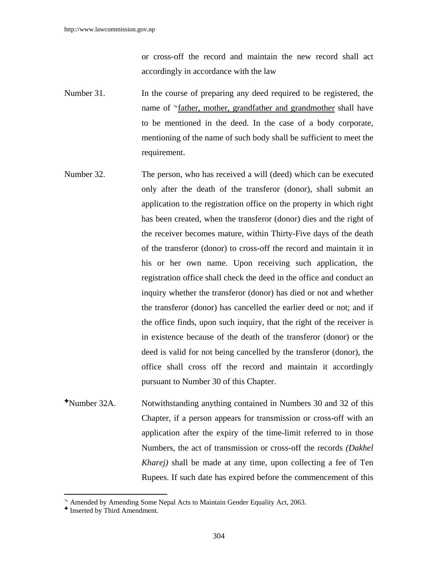or cross-off the record and maintain the new record shall act accordingly in accordance with the law

- Number 31. In the course of preparing any deed required to be registered, the name of  $\delta$  father, mother, grandfather and grandmother shall have to be mentioned in the deed. In the case of a body corporate, mentioning of the name of such body shall be sufficient to meet the requirement.
- Number 32. The person, who has received a will (deed) which can be executed only after the death of the transferor (donor), shall submit an application to the registration office on the property in which right has been created, when the transferor (donor) dies and the right of the receiver becomes mature, within Thirty-Five days of the death of the transferor (donor) to cross-off the record and maintain it in his or her own name. Upon receiving such application, the registration office shall check the deed in the office and conduct an inquiry whether the transferor (donor) has died or not and whether the transferor (donor) has cancelled the earlier deed or not; and if the office finds, upon such inquiry, that the right of the receiver is in existence because of the death of the transferor (donor) or the deed is valid for not being cancelled by the transferor (donor), the office shall cross off the record and maintain it accordingly pursuant to Number 30 of this Chapter.
- Number 32A. Notwithstanding anything contained in Numbers 30 and 32 of this Chapter, if a person appears for transmission or cross-off with an application after the expiry of the time-limit referred to in those Numbers, the act of transmission or cross-off the records *(Dakhel Kharej)* shall be made at any time, upon collecting a fee of Ten Rupees. If such date has expired before the commencement of this

 $\overline{a}$ 

<sup>&</sup>lt;sup>®</sup> Amended by Amending Some Nepal Acts to Maintain Gender Equality Act, 2063.

<sup>&</sup>lt;sup>+</sup> Inserted by Third Amendment.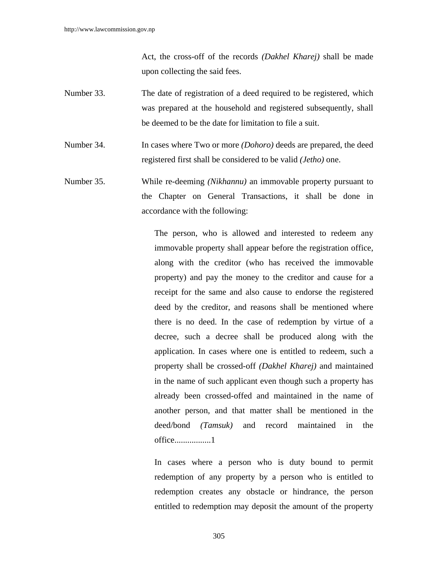Act, the cross-off of the records *(Dakhel Kharej)* shall be made upon collecting the said fees.

- Number 33. The date of registration of a deed required to be registered, which was prepared at the household and registered subsequently, shall be deemed to be the date for limitation to file a suit.
- Number 34. In cases where Two or more *(Dohoro)* deeds are prepared, the deed registered first shall be considered to be valid *(Jetho)* one.
- Number 35. While re-deeming *(Nikhannu)* an immovable property pursuant to the Chapter on General Transactions, it shall be done in accordance with the following:

The person, who is allowed and interested to redeem any immovable property shall appear before the registration office, along with the creditor (who has received the immovable property) and pay the money to the creditor and cause for a receipt for the same and also cause to endorse the registered deed by the creditor, and reasons shall be mentioned where there is no deed. In the case of redemption by virtue of a decree, such a decree shall be produced along with the application. In cases where one is entitled to redeem, such a property shall be crossed-off *(Dakhel Kharej)* and maintained in the name of such applicant even though such a property has already been crossed-offed and maintained in the name of another person, and that matter shall be mentioned in the deed/bond *(Tamsuk)* and record maintained in the office.................1

In cases where a person who is duty bound to permit redemption of any property by a person who is entitled to redemption creates any obstacle or hindrance, the person entitled to redemption may deposit the amount of the property

305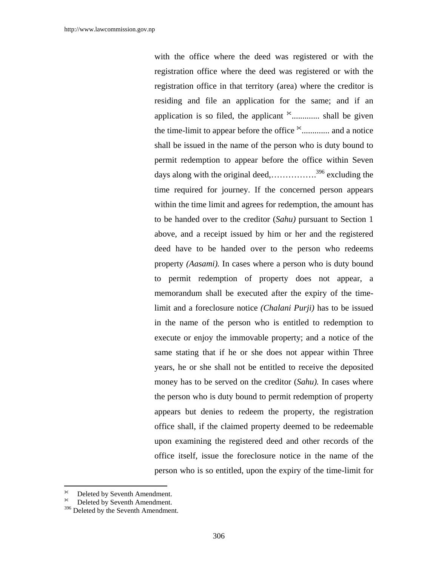with the office where the deed was registered or with the registration office where the deed was registered or with the registration office in that territory (area) where the creditor is residing and file an application for the same; and if an application is so filed, the applicant  $*$ .............. shall be given the time-limit to appear before the office  $*$ ............... and a notice shall be issued in the name of the person who is duty bound to permit redemption to appear before the office within Seven days along with the original deed,…………….396 excluding the time required for journey. If the concerned person appears within the time limit and agrees for redemption, the amount has to be handed over to the creditor (*Sahu)* pursuant to Section 1 above, and a receipt issued by him or her and the registered deed have to be handed over to the person who redeems property *(Aasami).* In cases where a person who is duty bound to permit redemption of property does not appear, a memorandum shall be executed after the expiry of the timelimit and a foreclosure notice *(Chalani Purji)* has to be issued in the name of the person who is entitled to redemption to execute or enjoy the immovable property; and a notice of the same stating that if he or she does not appear within Three years, he or she shall not be entitled to receive the deposited money has to be served on the creditor (*Sahu).* In cases where the person who is duty bound to permit redemption of property appears but denies to redeem the property, the registration office shall, if the claimed property deemed to be redeemable upon examining the registered deed and other records of the office itself, issue the foreclosure notice in the name of the person who is so entitled, upon the expiry of the time-limit for

 $\overline{\phantom{a}}$ 

Deleted by Seventh Amendment.

Deleted by Seventh Amendment.

<sup>&</sup>lt;sup>396</sup> Deleted by the Seventh Amendment.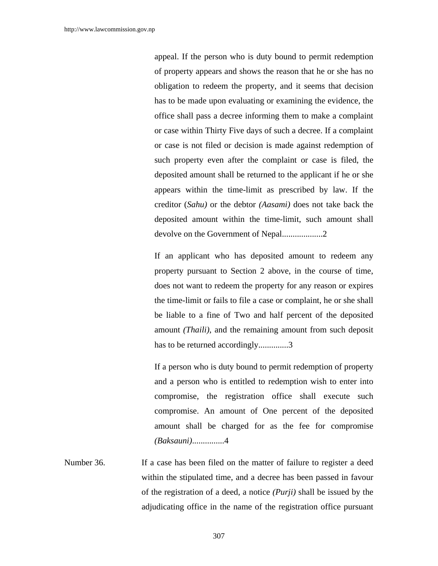appeal. If the person who is duty bound to permit redemption of property appears and shows the reason that he or she has no obligation to redeem the property, and it seems that decision has to be made upon evaluating or examining the evidence, the office shall pass a decree informing them to make a complaint or case within Thirty Five days of such a decree. If a complaint or case is not filed or decision is made against redemption of such property even after the complaint or case is filed, the deposited amount shall be returned to the applicant if he or she appears within the time-limit as prescribed by law. If the creditor (*Sahu)* or the debtor *(Aasami)* does not take back the deposited amount within the time-limit, such amount shall devolve on the Government of Nepal...................2

If an applicant who has deposited amount to redeem any property pursuant to Section 2 above, in the course of time, does not want to redeem the property for any reason or expires the time-limit or fails to file a case or complaint, he or she shall be liable to a fine of Two and half percent of the deposited amount *(Thaili)*, and the remaining amount from such deposit has to be returned accordingly..............3

If a person who is duty bound to permit redemption of property and a person who is entitled to redemption wish to enter into compromise, the registration office shall execute such compromise. An amount of One percent of the deposited amount shall be charged for as the fee for compromise *(Baksauni)*...............4

Number 36. If a case has been filed on the matter of failure to register a deed within the stipulated time, and a decree has been passed in favour of the registration of a deed, a notice *(Purji)* shall be issued by the adjudicating office in the name of the registration office pursuant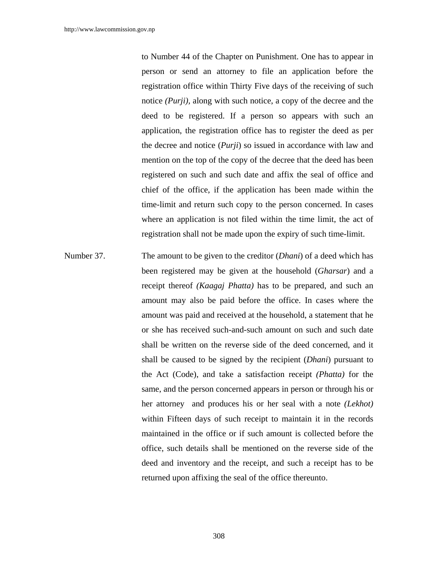to Number 44 of the Chapter on Punishment. One has to appear in person or send an attorney to file an application before the registration office within Thirty Five days of the receiving of such notice *(Purji),* along with such notice, a copy of the decree and the deed to be registered. If a person so appears with such an application, the registration office has to register the deed as per the decree and notice (*Purji*) so issued in accordance with law and mention on the top of the copy of the decree that the deed has been registered on such and such date and affix the seal of office and chief of the office, if the application has been made within the time-limit and return such copy to the person concerned. In cases where an application is not filed within the time limit, the act of registration shall not be made upon the expiry of such time-limit.

Number 37. The amount to be given to the creditor (*Dhani*) of a deed which has been registered may be given at the household (*Gharsar*) and a receipt thereof *(Kaagaj Phatta)* has to be prepared, and such an amount may also be paid before the office. In cases where the amount was paid and received at the household, a statement that he or she has received such-and-such amount on such and such date shall be written on the reverse side of the deed concerned, and it shall be caused to be signed by the recipient (*Dhani*) pursuant to the Act (Code), and take a satisfaction receipt *(Phatta)* for the same, and the person concerned appears in person or through his or her attorney and produces his or her seal with a note *(Lekhot)* within Fifteen days of such receipt to maintain it in the records maintained in the office or if such amount is collected before the office, such details shall be mentioned on the reverse side of the deed and inventory and the receipt, and such a receipt has to be returned upon affixing the seal of the office thereunto.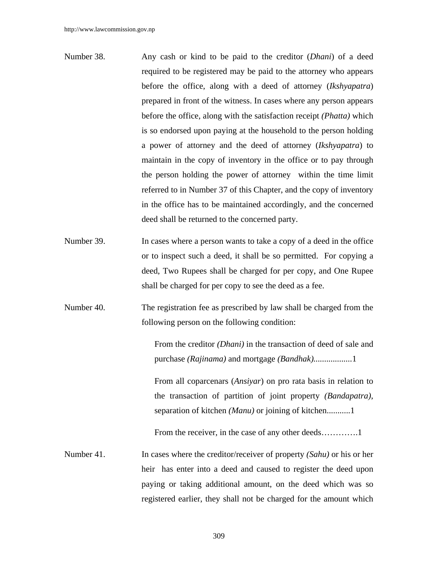- Number 38. Any cash or kind to be paid to the creditor (*Dhani*) of a deed required to be registered may be paid to the attorney who appears before the office, along with a deed of attorney (*Ikshyapatra*) prepared in front of the witness. In cases where any person appears before the office, along with the satisfaction receipt *(Phatta)* which is so endorsed upon paying at the household to the person holding a power of attorney and the deed of attorney (*Ikshyapatra*) to maintain in the copy of inventory in the office or to pay through the person holding the power of attorney within the time limit referred to in Number 37 of this Chapter, and the copy of inventory in the office has to be maintained accordingly, and the concerned deed shall be returned to the concerned party.
- Number 39. In cases where a person wants to take a copy of a deed in the office or to inspect such a deed, it shall be so permitted. For copying a deed, Two Rupees shall be charged for per copy, and One Rupee shall be charged for per copy to see the deed as a fee.
- Number 40. The registration fee as prescribed by law shall be charged from the following person on the following condition:

From the creditor *(Dhani)* in the transaction of deed of sale and purchase *(Rajinama)* and mortgage *(Bandhak)..................*1

From all coparcenars (*Ansiyar*) on pro rata basis in relation to the transaction of partition of joint property *(Bandapatra)*, separation of kitchen *(Manu)* or joining of kitchen...........1

From the receiver, in the case of any other deeds...............1

Number 41. In cases where the creditor/receiver of property *(Sahu)* or his or her heir has enter into a deed and caused to register the deed upon paying or taking additional amount, on the deed which was so registered earlier, they shall not be charged for the amount which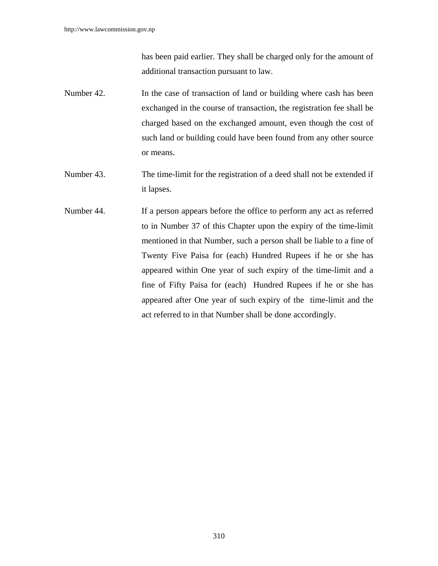has been paid earlier. They shall be charged only for the amount of additional transaction pursuant to law.

- Number 42. In the case of transaction of land or building where cash has been exchanged in the course of transaction, the registration fee shall be charged based on the exchanged amount, even though the cost of such land or building could have been found from any other source or means.
- Number 43. The time-limit for the registration of a deed shall not be extended if it lapses.
- Number 44. If a person appears before the office to perform any act as referred to in Number 37 of this Chapter upon the expiry of the time-limit mentioned in that Number, such a person shall be liable to a fine of Twenty Five Paisa for (each) Hundred Rupees if he or she has appeared within One year of such expiry of the time-limit and a fine of Fifty Paisa for (each) Hundred Rupees if he or she has appeared after One year of such expiry of the time-limit and the act referred to in that Number shall be done accordingly.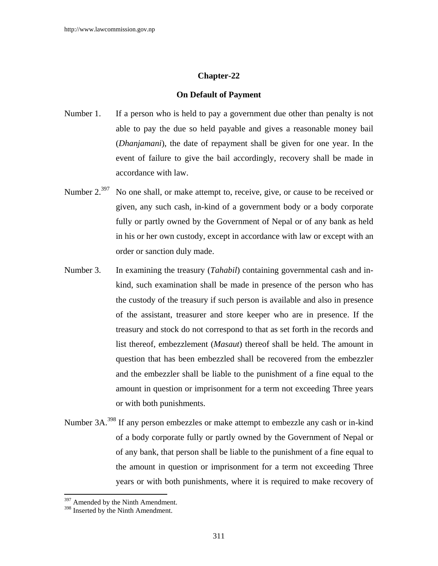# **Chapter-22**

#### **On Default of Payment**

- Number 1. If a person who is held to pay a government due other than penalty is not able to pay the due so held payable and gives a reasonable money bail (*Dhanjamani*), the date of repayment shall be given for one year. In the event of failure to give the bail accordingly, recovery shall be made in accordance with law.
- Number 2.<sup>397</sup> No one shall, or make attempt to, receive, give, or cause to be received or given, any such cash, in-kind of a government body or a body corporate fully or partly owned by the Government of Nepal or of any bank as held in his or her own custody, except in accordance with law or except with an order or sanction duly made.
- Number 3. In examining the treasury (*Tahabil*) containing governmental cash and inkind, such examination shall be made in presence of the person who has the custody of the treasury if such person is available and also in presence of the assistant, treasurer and store keeper who are in presence. If the treasury and stock do not correspond to that as set forth in the records and list thereof, embezzlement (*Masaut*) thereof shall be held. The amount in question that has been embezzled shall be recovered from the embezzler and the embezzler shall be liable to the punishment of a fine equal to the amount in question or imprisonment for a term not exceeding Three years or with both punishments.
- Number 3A.398 If any person embezzles or make attempt to embezzle any cash or in-kind of a body corporate fully or partly owned by the Government of Nepal or of any bank, that person shall be liable to the punishment of a fine equal to the amount in question or imprisonment for a term not exceeding Three years or with both punishments, where it is required to make recovery of

 $\overline{a}$ 

<sup>&</sup>lt;sup>397</sup> Amended by the Ninth Amendment.

<sup>&</sup>lt;sup>398</sup> Inserted by the Ninth Amendment.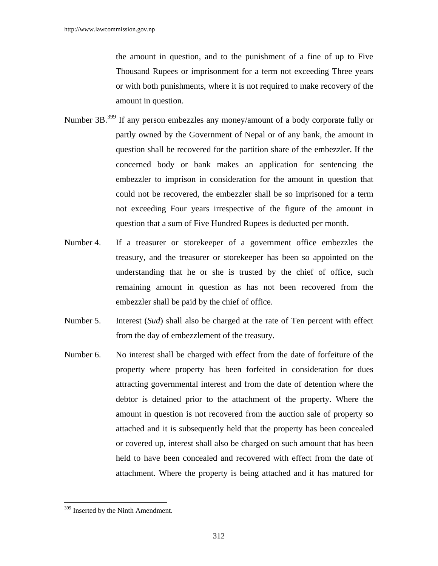the amount in question, and to the punishment of a fine of up to Five Thousand Rupees or imprisonment for a term not exceeding Three years or with both punishments, where it is not required to make recovery of the amount in question.

- Number 3B.399 If any person embezzles any money/amount of a body corporate fully or partly owned by the Government of Nepal or of any bank, the amount in question shall be recovered for the partition share of the embezzler. If the concerned body or bank makes an application for sentencing the embezzler to imprison in consideration for the amount in question that could not be recovered, the embezzler shall be so imprisoned for a term not exceeding Four years irrespective of the figure of the amount in question that a sum of Five Hundred Rupees is deducted per month.
- Number 4. If a treasurer or storekeeper of a government office embezzles the treasury, and the treasurer or storekeeper has been so appointed on the understanding that he or she is trusted by the chief of office, such remaining amount in question as has not been recovered from the embezzler shall be paid by the chief of office.
- Number 5. Interest (*Sud*) shall also be charged at the rate of Ten percent with effect from the day of embezzlement of the treasury.
- Number 6. No interest shall be charged with effect from the date of forfeiture of the property where property has been forfeited in consideration for dues attracting governmental interest and from the date of detention where the debtor is detained prior to the attachment of the property. Where the amount in question is not recovered from the auction sale of property so attached and it is subsequently held that the property has been concealed or covered up, interest shall also be charged on such amount that has been held to have been concealed and recovered with effect from the date of attachment. Where the property is being attached and it has matured for

 $\overline{\phantom{a}}$ 

<sup>&</sup>lt;sup>399</sup> Inserted by the Ninth Amendment.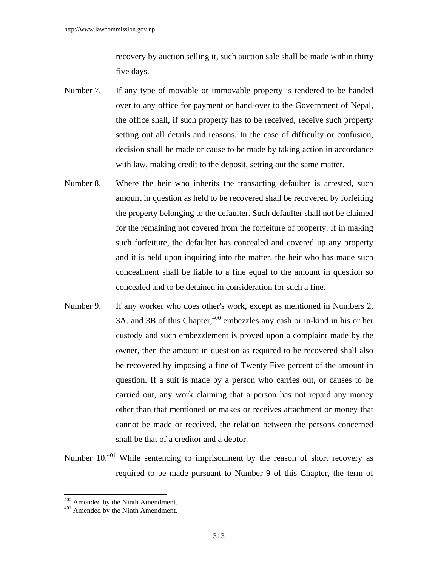recovery by auction selling it, such auction sale shall be made within thirty five days.

- Number 7. If any type of movable or immovable property is tendered to be handed over to any office for payment or hand-over to the Government of Nepal, the office shall, if such property has to be received, receive such property setting out all details and reasons. In the case of difficulty or confusion, decision shall be made or cause to be made by taking action in accordance with law, making credit to the deposit, setting out the same matter.
- Number 8. Where the heir who inherits the transacting defaulter is arrested, such amount in question as held to be recovered shall be recovered by forfeiting the property belonging to the defaulter. Such defaulter shall not be claimed for the remaining not covered from the forfeiture of property. If in making such forfeiture, the defaulter has concealed and covered up any property and it is held upon inquiring into the matter, the heir who has made such concealment shall be liable to a fine equal to the amount in question so concealed and to be detained in consideration for such a fine.
- Number 9. If any worker who does other's work, except as mentioned in Numbers 2, 3A. and 3B of this Chapter,<sup>400</sup> embezzles any cash or in-kind in his or her custody and such embezzlement is proved upon a complaint made by the owner, then the amount in question as required to be recovered shall also be recovered by imposing a fine of Twenty Five percent of the amount in question. If a suit is made by a person who carries out, or causes to be carried out, any work claiming that a person has not repaid any money other than that mentioned or makes or receives attachment or money that cannot be made or received, the relation between the persons concerned shall be that of a creditor and a debtor.
- Number 10.<sup>401</sup> While sentencing to imprisonment by the reason of short recovery as required to be made pursuant to Number 9 of this Chapter, the term of

 $\overline{a}$ 

 $400$  Amended by the Ninth Amendment.<br> $401$  Amended by the Ninth Amendment.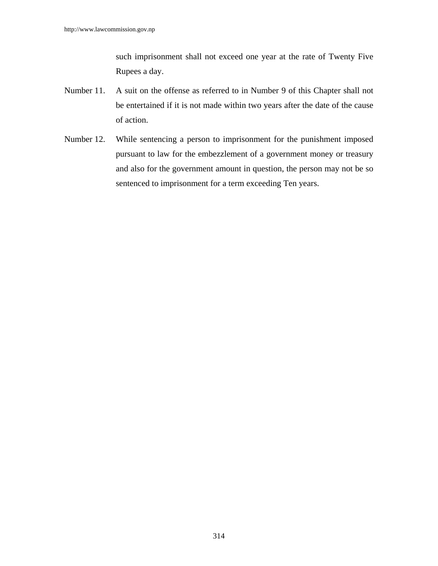such imprisonment shall not exceed one year at the rate of Twenty Five Rupees a day.

- Number 11. A suit on the offense as referred to in Number 9 of this Chapter shall not be entertained if it is not made within two years after the date of the cause of action.
- Number 12. While sentencing a person to imprisonment for the punishment imposed pursuant to law for the embezzlement of a government money or treasury and also for the government amount in question, the person may not be so sentenced to imprisonment for a term exceeding Ten years.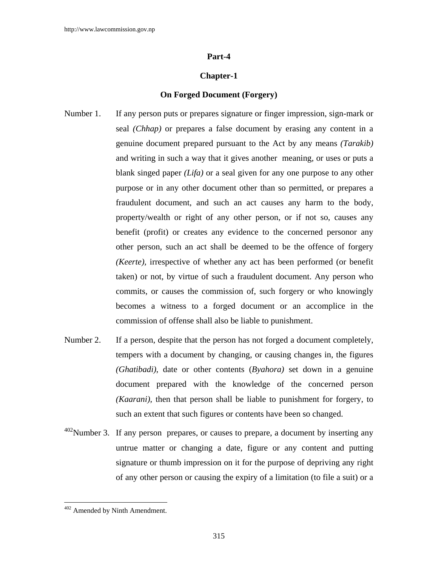#### **Part-4**

#### **Chapter-1**

# **On Forged Document (Forgery)**

- Number 1. If any person puts or prepares signature or finger impression, sign-mark or seal *(Chhap)* or prepares a false document by erasing any content in a genuine document prepared pursuant to the Act by any means *(Tarakib)* and writing in such a way that it gives another meaning, or uses or puts a blank singed paper *(Lifa)* or a seal given for any one purpose to any other purpose or in any other document other than so permitted, or prepares a fraudulent document, and such an act causes any harm to the body, property/wealth or right of any other person, or if not so, causes any benefit (profit) or creates any evidence to the concerned personor any other person, such an act shall be deemed to be the offence of forgery *(Keerte),* irrespective of whether any act has been performed (or benefit taken) or not, by virtue of such a fraudulent document. Any person who commits, or causes the commission of, such forgery or who knowingly becomes a witness to a forged document or an accomplice in the commission of offense shall also be liable to punishment.
- Number 2. If a person, despite that the person has not forged a document completely, tempers with a document by changing, or causing changes in, the figures *(Ghatibadi)*, date or other contents (*Byahora)* set down in a genuine document prepared with the knowledge of the concerned person *(Kaarani),* then that person shall be liable to punishment for forgery, to such an extent that such figures or contents have been so changed.
- $402$ Number 3. If any person prepares, or causes to prepare, a document by inserting any untrue matter or changing a date, figure or any content and putting signature or thumb impression on it for the purpose of depriving any right of any other person or causing the expiry of a limitation (to file a suit) or a

 $\overline{\phantom{a}}$ 

<sup>&</sup>lt;sup>402</sup> Amended by Ninth Amendment.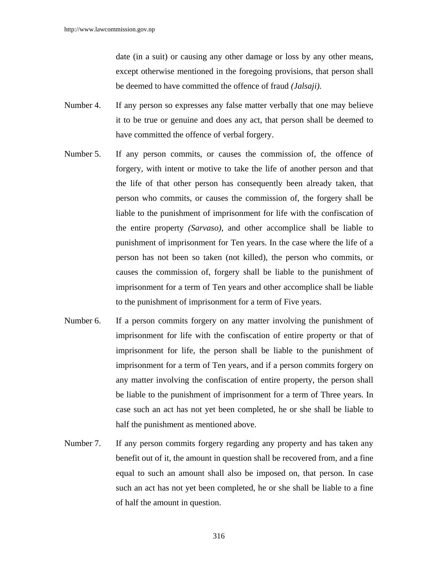date (in a suit) or causing any other damage or loss by any other means, except otherwise mentioned in the foregoing provisions, that person shall be deemed to have committed the offence of fraud *(Jalsaji).* 

- Number 4. If any person so expresses any false matter verbally that one may believe it to be true or genuine and does any act, that person shall be deemed to have committed the offence of verbal forgery.
- Number 5. If any person commits, or causes the commission of, the offence of forgery, with intent or motive to take the life of another person and that the life of that other person has consequently been already taken, that person who commits, or causes the commission of, the forgery shall be liable to the punishment of imprisonment for life with the confiscation of the entire property *(Sarvaso)*, and other accomplice shall be liable to punishment of imprisonment for Ten years. In the case where the life of a person has not been so taken (not killed), the person who commits, or causes the commission of, forgery shall be liable to the punishment of imprisonment for a term of Ten years and other accomplice shall be liable to the punishment of imprisonment for a term of Five years.
- Number 6. If a person commits forgery on any matter involving the punishment of imprisonment for life with the confiscation of entire property or that of imprisonment for life, the person shall be liable to the punishment of imprisonment for a term of Ten years, and if a person commits forgery on any matter involving the confiscation of entire property, the person shall be liable to the punishment of imprisonment for a term of Three years. In case such an act has not yet been completed, he or she shall be liable to half the punishment as mentioned above.
- Number 7. If any person commits forgery regarding any property and has taken any benefit out of it, the amount in question shall be recovered from, and a fine equal to such an amount shall also be imposed on, that person. In case such an act has not yet been completed, he or she shall be liable to a fine of half the amount in question.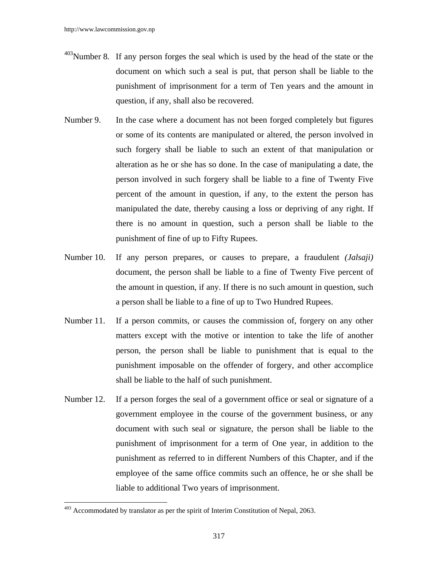- 403Number 8. If any person forges the seal which is used by the head of the state or the document on which such a seal is put, that person shall be liable to the punishment of imprisonment for a term of Ten years and the amount in question, if any, shall also be recovered.
- Number 9. In the case where a document has not been forged completely but figures or some of its contents are manipulated or altered*,* the person involved in such forgery shall be liable to such an extent of that manipulation or alteration as he or she has so done. In the case of manipulating a date, the person involved in such forgery shall be liable to a fine of Twenty Five percent of the amount in question, if any, to the extent the person has manipulated the date, thereby causing a loss or depriving of any right. If there is no amount in question, such a person shall be liable to the punishment of fine of up to Fifty Rupees.
- Number 10. If any person prepares, or causes to prepare, a fraudulent *(Jalsaji)* document, the person shall be liable to a fine of Twenty Five percent of the amount in question, if any. If there is no such amount in question, such a person shall be liable to a fine of up to Two Hundred Rupees.
- Number 11. If a person commits, or causes the commission of, forgery on any other matters except with the motive or intention to take the life of another person, the person shall be liable to punishment that is equal to the punishment imposable on the offender of forgery, and other accomplice shall be liable to the half of such punishment.
- Number 12. If a person forges the seal of a government office or seal or signature of a government employee in the course of the government business, or any document with such seal or signature, the person shall be liable to the punishment of imprisonment for a term of One year, in addition to the punishment as referred to in different Numbers of this Chapter, and if the employee of the same office commits such an offence, he or she shall be liable to additional Two years of imprisonment.

 $\overline{\phantom{a}}$ 

 $403$  Accommodated by translator as per the spirit of Interim Constitution of Nepal, 2063.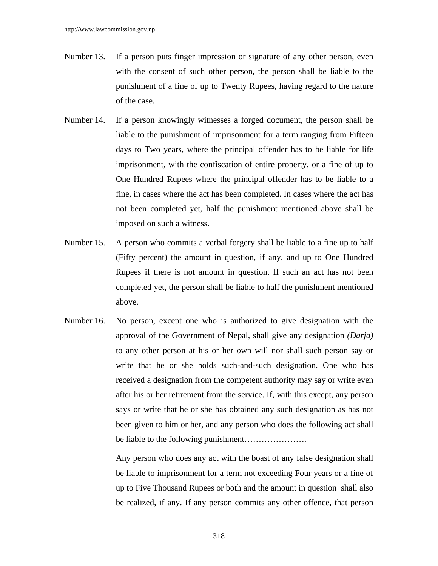- Number 13. If a person puts finger impression or signature of any other person, even with the consent of such other person, the person shall be liable to the punishment of a fine of up to Twenty Rupees, having regard to the nature of the case.
- Number 14. If a person knowingly witnesses a forged document, the person shall be liable to the punishment of imprisonment for a term ranging from Fifteen days to Two years, where the principal offender has to be liable for life imprisonment, with the confiscation of entire property, or a fine of up to One Hundred Rupees where the principal offender has to be liable to a fine, in cases where the act has been completed. In cases where the act has not been completed yet, half the punishment mentioned above shall be imposed on such a witness.
- Number 15. A person who commits a verbal forgery shall be liable to a fine up to half (Fifty percent) the amount in question, if any, and up to One Hundred Rupees if there is not amount in question. If such an act has not been completed yet, the person shall be liable to half the punishment mentioned above.
- Number 16. No person, except one who is authorized to give designation with the approval of the Government of Nepal, shall give any designation *(Darja)* to any other person at his or her own will nor shall such person say or write that he or she holds such-and-such designation. One who has received a designation from the competent authority may say or write even after his or her retirement from the service. If, with this except, any person says or write that he or she has obtained any such designation as has not been given to him or her, and any person who does the following act shall be liable to the following punishment………………….

Any person who does any act with the boast of any false designation shall be liable to imprisonment for a term not exceeding Four years or a fine of up to Five Thousand Rupees or both and the amount in question shall also be realized, if any. If any person commits any other offence, that person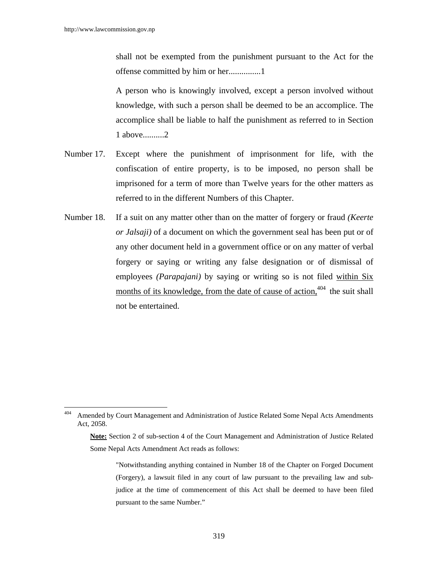shall not be exempted from the punishment pursuant to the Act for the offense committed by him or her...............1

A person who is knowingly involved, except a person involved without knowledge, with such a person shall be deemed to be an accomplice. The accomplice shall be liable to half the punishment as referred to in Section 1 above..........2

- Number 17. Except where the punishment of imprisonment for life, with the confiscation of entire property, is to be imposed, no person shall be imprisoned for a term of more than Twelve years for the other matters as referred to in the different Numbers of this Chapter.
- Number 18. If a suit on any matter other than on the matter of forgery or fraud *(Keerte or Jalsaji)* of a document on which the government seal has been put or of any other document held in a government office or on any matter of verbal forgery or saying or writing any false designation or of dismissal of employees *(Parapajani)* by saying or writing so is not filed within Six months of its knowledge, from the date of cause of action,  $404$  the suit shall not be entertained.

<sup>404</sup> Amended by Court Management and Administration of Justice Related Some Nepal Acts Amendments Act, 2058.

**Note:** Section 2 of sub-section 4 of the Court Management and Administration of Justice Related Some Nepal Acts Amendment Act reads as follows:

<sup>&</sup>quot;Notwithstanding anything contained in Number 18 of the Chapter on Forged Document (Forgery), a lawsuit filed in any court of law pursuant to the prevailing law and subjudice at the time of commencement of this Act shall be deemed to have been filed pursuant to the same Number."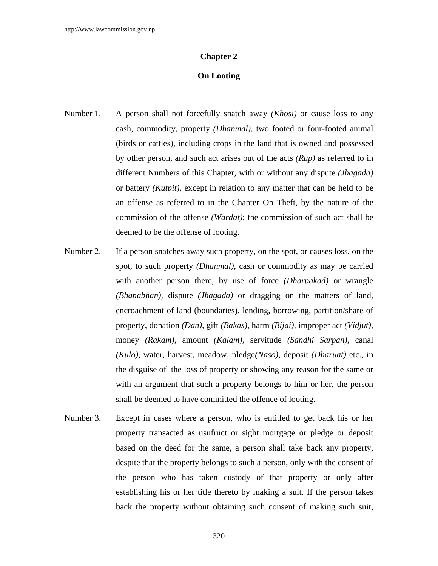#### **Chapter 2**

### **On Looting**

- Number 1. A person shall not forcefully snatch away *(Khosi)* or cause loss to any cash, commodity, property *(Dhanmal)*, two footed or four-footed animal (birds or cattles), including crops in the land that is owned and possessed by other person, and such act arises out of the acts *(Rup)* as referred to in different Numbers of this Chapter, with or without any dispute *(Jhagada)* or battery *(Kutpit),* except in relation to any matter that can be held to be an offense as referred to in the Chapter On Theft, by the nature of the commission of the offense *(Wardat)*; the commission of such act shall be deemed to be the offense of looting.
- Number 2. If a person snatches away such property, on the spot, or causes loss, on the spot, to such property *(Dhanmal),* cash or commodity as may be carried with another person there, by use of force *(Dharpakad)* or wrangle *(Bhanabhan),* dispute *(Jhagada)* or dragging on the matters of land, encroachment of land (boundaries), lending, borrowing, partition/share of property, donation *(Dan),* gift *(Bakas)*, harm *(Bijai),* improper act *(Vidjut),* money *(Rakam),* amount *(Kalam),* servitude *(Sandhi Sarpan),* canal *(Kulo),* water, harvest, meadow, pledge*(Naso),* deposit *(Dharuat)* etc., in the disguise of the loss of property or showing any reason for the same or with an argument that such a property belongs to him or her, the person shall be deemed to have committed the offence of looting.
- Number 3. Except in cases where a person, who is entitled to get back his or her property transacted as usufruct or sight mortgage or pledge or deposit based on the deed for the same, a person shall take back any property, despite that the property belongs to such a person, only with the consent of the person who has taken custody of that property or only after establishing his or her title thereto by making a suit. If the person takes back the property without obtaining such consent of making such suit,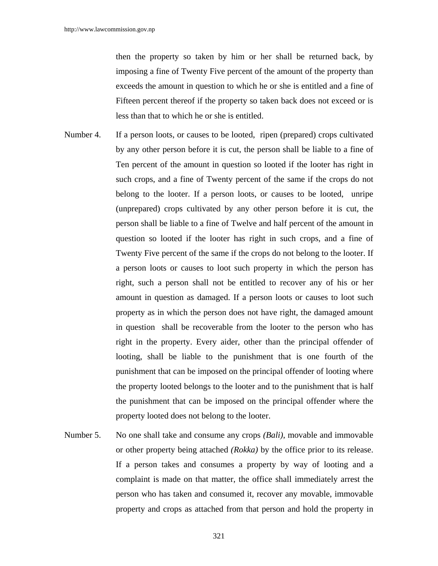then the property so taken by him or her shall be returned back, by imposing a fine of Twenty Five percent of the amount of the property than exceeds the amount in question to which he or she is entitled and a fine of Fifteen percent thereof if the property so taken back does not exceed or is less than that to which he or she is entitled.

- Number 4. If a person loots, or causes to be looted, ripen (prepared) crops cultivated by any other person before it is cut, the person shall be liable to a fine of Ten percent of the amount in question so looted if the looter has right in such crops, and a fine of Twenty percent of the same if the crops do not belong to the looter. If a person loots, or causes to be looted, unripe (unprepared) crops cultivated by any other person before it is cut, the person shall be liable to a fine of Twelve and half percent of the amount in question so looted if the looter has right in such crops, and a fine of Twenty Five percent of the same if the crops do not belong to the looter. If a person loots or causes to loot such property in which the person has right, such a person shall not be entitled to recover any of his or her amount in question as damaged. If a person loots or causes to loot such property as in which the person does not have right, the damaged amount in question shall be recoverable from the looter to the person who has right in the property. Every aider, other than the principal offender of looting, shall be liable to the punishment that is one fourth of the punishment that can be imposed on the principal offender of looting where the property looted belongs to the looter and to the punishment that is half the punishment that can be imposed on the principal offender where the property looted does not belong to the looter.
- Number 5. No one shall take and consume any crops *(Bali)*, movable and immovable or other property being attached *(Rokka)* by the office prior to its release. If a person takes and consumes a property by way of looting and a complaint is made on that matter, the office shall immediately arrest the person who has taken and consumed it, recover any movable, immovable property and crops as attached from that person and hold the property in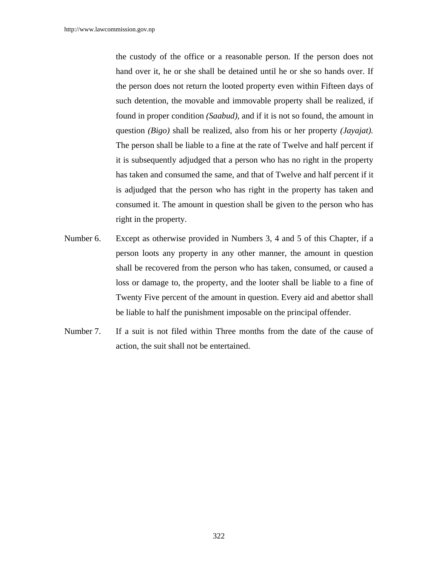the custody of the office or a reasonable person. If the person does not hand over it, he or she shall be detained until he or she so hands over. If the person does not return the looted property even within Fifteen days of such detention, the movable and immovable property shall be realized, if found in proper condition *(Saabud),* and if it is not so found, the amount in question *(Bigo)* shall be realized, also from his or her property *(Jayajat).* The person shall be liable to a fine at the rate of Twelve and half percent if it is subsequently adjudged that a person who has no right in the property has taken and consumed the same, and that of Twelve and half percent if it is adjudged that the person who has right in the property has taken and consumed it. The amount in question shall be given to the person who has right in the property.

- Number 6. Except as otherwise provided in Numbers 3, 4 and 5 of this Chapter, if a person loots any property in any other manner, the amount in question shall be recovered from the person who has taken, consumed, or caused a loss or damage to, the property, and the looter shall be liable to a fine of Twenty Five percent of the amount in question. Every aid and abettor shall be liable to half the punishment imposable on the principal offender.
- Number 7. If a suit is not filed within Three months from the date of the cause of action, the suit shall not be entertained.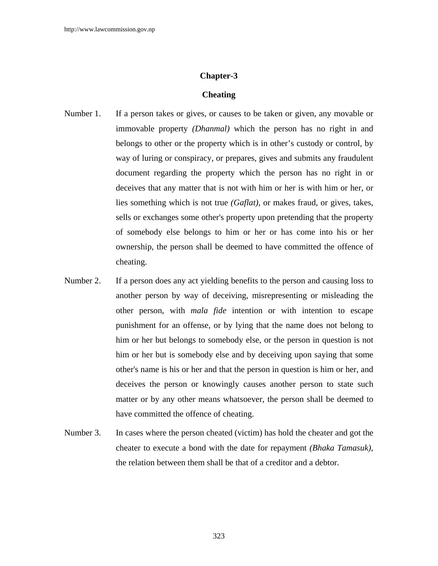# **Chapter-3**

### **Cheating**

- Number 1. If a person takes or gives, or causes to be taken or given, any movable or immovable property *(Dhanmal)* which the person has no right in and belongs to other or the property which is in other's custody or control*,* by way of luring or conspiracy, or prepares, gives and submits any fraudulent document regarding the property which the person has no right in or deceives that any matter that is not with him or her is with him or her, or lies something which is not true *(Gaflat),* or makes fraud, or gives, takes, sells or exchanges some other's property upon pretending that the property of somebody else belongs to him or her or has come into his or her ownership, the person shall be deemed to have committed the offence of cheating.
- Number 2. If a person does any act yielding benefits to the person and causing loss to another person by way of deceiving, misrepresenting or misleading the other person, with *mala fide* intention or with intention to escape punishment for an offense, or by lying that the name does not belong to him or her but belongs to somebody else, or the person in question is not him or her but is somebody else and by deceiving upon saying that some other's name is his or her and that the person in question is him or her, and deceives the person or knowingly causes another person to state such matter or by any other means whatsoever, the person shall be deemed to have committed the offence of cheating.
- Number 3. In cases where the person cheated (victim) has hold the cheater and got the cheater to execute a bond with the date for repayment *(Bhaka Tamasuk)*, the relation between them shall be that of a creditor and a debtor.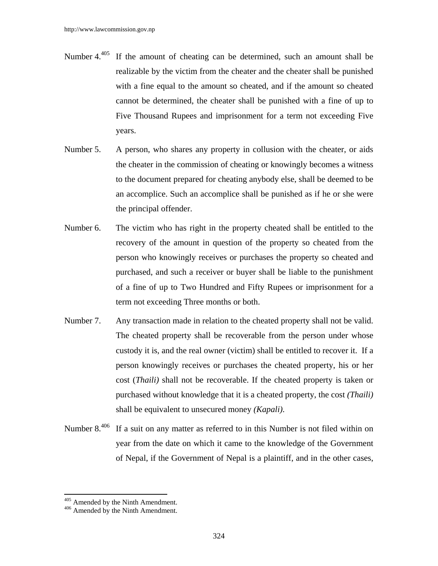- Number 4. $405$  If the amount of cheating can be determined, such an amount shall be realizable by the victim from the cheater and the cheater shall be punished with a fine equal to the amount so cheated, and if the amount so cheated cannot be determined, the cheater shall be punished with a fine of up to Five Thousand Rupees and imprisonment for a term not exceeding Five years.
- Number 5. A person, who shares any property in collusion with the cheater, or aids the cheater in the commission of cheating or knowingly becomes a witness to the document prepared for cheating anybody else, shall be deemed to be an accomplice. Such an accomplice shall be punished as if he or she were the principal offender.
- Number 6. The victim who has right in the property cheated shall be entitled to the recovery of the amount in question of the property so cheated from the person who knowingly receives or purchases the property so cheated and purchased, and such a receiver or buyer shall be liable to the punishment of a fine of up to Two Hundred and Fifty Rupees or imprisonment for a term not exceeding Three months or both.
- Number 7. Any transaction made in relation to the cheated property shall not be valid. The cheated property shall be recoverable from the person under whose custody it is, and the real owner (victim) shall be entitled to recover it. If a person knowingly receives or purchases the cheated property, his or her cost (*Thaili)* shall not be recoverable. If the cheated property is taken or purchased without knowledge that it is a cheated property, the cost *(Thaili)*  shall be equivalent to unsecured money *(Kapali)*.
- Number 8.<sup>406</sup> If a suit on any matter as referred to in this Number is not filed within on year from the date on which it came to the knowledge of the Government of Nepal, if the Government of Nepal is a plaintiff, and in the other cases,

 $\overline{a}$ 

 $405$  Amended by the Ninth Amendment.<br> $406$  Amended by the Ninth Amendment.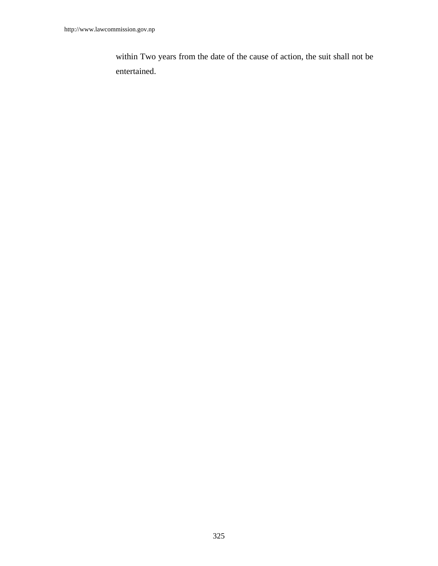within Two years from the date of the cause of action, the suit shall not be entertained.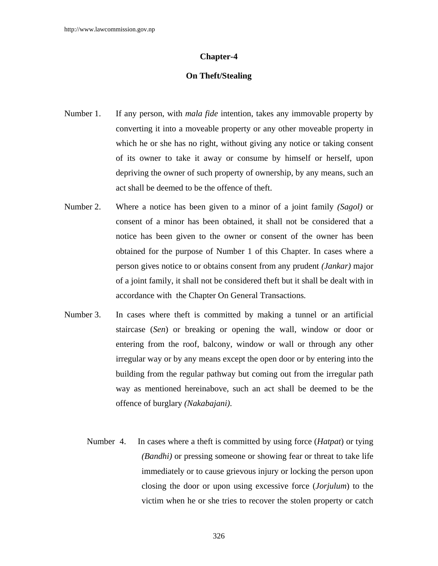#### **Chapter-4**

# **On Theft/Stealing**

- Number 1. If any person, with *mala fide* intention, takes any immovable property by converting it into a moveable property or any other moveable property in which he or she has no right, without giving any notice or taking consent of its owner to take it away or consume by himself or herself, upon depriving the owner of such property of ownership, by any means, such an act shall be deemed to be the offence of theft.
- Number 2. Where a notice has been given to a minor of a joint family *(Sagol)* or consent of a minor has been obtained, it shall not be considered that a notice has been given to the owner or consent of the owner has been obtained for the purpose of Number 1 of this Chapter. In cases where a person gives notice to or obtains consent from any prudent *(Jankar)* major of a joint family, it shall not be considered theft but it shall be dealt with in accordance with the Chapter On General Transactions*.*
- Number 3. In cases where theft is committed by making a tunnel or an artificial staircase (*Sen*) or breaking or opening the wall, window or door or entering from the roof, balcony, window or wall or through any other irregular way or by any means except the open door or by entering into the building from the regular pathway but coming out from the irregular path way as mentioned hereinabove, such an act shall be deemed to be the offence of burglary *(Nakabajani)*.
	- Number 4. In cases where a theft is committed by using force (*Hatpat*) or tying *(Bandhi)* or pressing someone or showing fear or threat to take life immediately or to cause grievous injury or locking the person upon closing the door or upon using excessive force (*Jorjulum*) to the victim when he or she tries to recover the stolen property or catch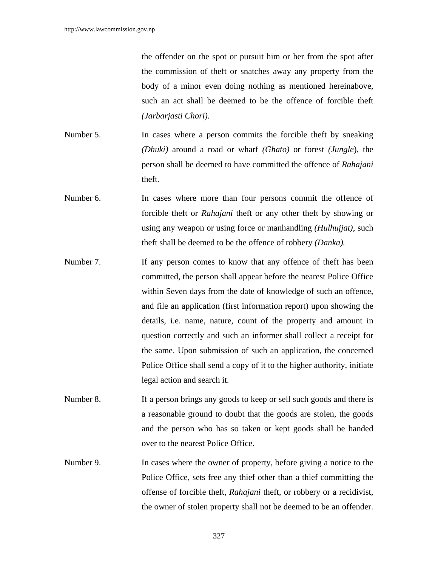the offender on the spot or pursuit him or her from the spot after the commission of theft or snatches away any property from the body of a minor even doing nothing as mentioned hereinabove, such an act shall be deemed to be the offence of forcible theft *(Jarbarjasti Chori)*.

- Number 5. In cases where a person commits the forcible theft by sneaking *(Dhuki)* around a road or wharf *(Ghato)* or forest *(Jungle*), the person shall be deemed to have committed the offence of *Rahajani* theft.
- Number 6. In cases where more than four persons commit the offence of forcible theft or *Rahajani* theft or any other theft by showing or using any weapon or using force or manhandling *(Hulhujjat)*, such theft shall be deemed to be the offence of robbery *(Danka).*
- Number 7. If any person comes to know that any offence of theft has been committed, the person shall appear before the nearest Police Office within Seven days from the date of knowledge of such an offence, and file an application (first information report) upon showing the details, i.e. name, nature, count of the property and amount in question correctly and such an informer shall collect a receipt for the same. Upon submission of such an application, the concerned Police Office shall send a copy of it to the higher authority, initiate legal action and search it.
- Number 8. If a person brings any goods to keep or sell such goods and there is a reasonable ground to doubt that the goods are stolen, the goods and the person who has so taken or kept goods shall be handed over to the nearest Police Office.
- Number 9. In cases where the owner of property, before giving a notice to the Police Office, sets free any thief other than a thief committing the offense of forcible theft, *Rahajani* theft, or robbery or a recidivist, the owner of stolen property shall not be deemed to be an offender.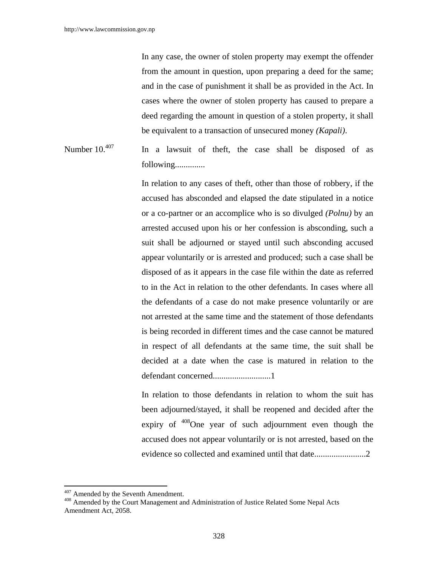In any case, the owner of stolen property may exempt the offender from the amount in question, upon preparing a deed for the same; and in the case of punishment it shall be as provided in the Act. In cases where the owner of stolen property has caused to prepare a deed regarding the amount in question of a stolen property, it shall be equivalent to a transaction of unsecured money *(Kapali)*.

Number  $10^{407}$  In a lawsuit of theft, the case shall be disposed of as following..............

> In relation to any cases of theft, other than those of robbery, if the accused has absconded and elapsed the date stipulated in a notice or a co-partner or an accomplice who is so divulged *(Polnu)* by an arrested accused upon his or her confession is absconding, such a suit shall be adjourned or stayed until such absconding accused appear voluntarily or is arrested and produced; such a case shall be disposed of as it appears in the case file within the date as referred to in the Act in relation to the other defendants. In cases where all the defendants of a case do not make presence voluntarily or are not arrested at the same time and the statement of those defendants is being recorded in different times and the case cannot be matured in respect of all defendants at the same time, the suit shall be decided at a date when the case is matured in relation to the defendant concerned...........................1

> In relation to those defendants in relation to whom the suit has been adjourned/stayed*,* it shall be reopened and decided after the expiry of <sup>408</sup>One year of such adjournment even though the accused does not appear voluntarily or is not arrested, based on the evidence so collected and examined until that date........................2

<sup>&</sup>lt;sup>407</sup> Amended by the Seventh Amendment.

<sup>&</sup>lt;sup>408</sup> Amended by the Court Management and Administration of Justice Related Some Nepal Acts Amendment Act, 2058.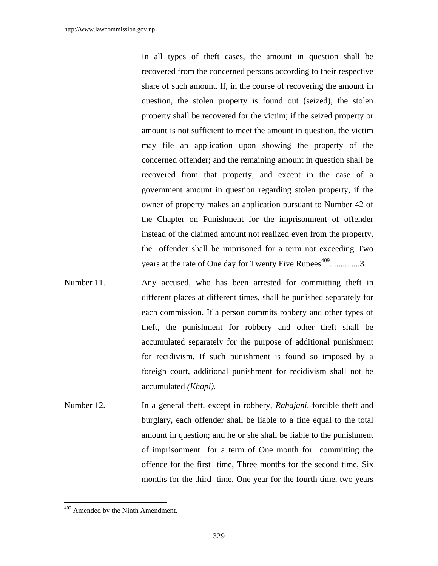In all types of theft cases, the amount in question shall be recovered from the concerned persons according to their respective share of such amount. If, in the course of recovering the amount in question, the stolen property is found out (seized), the stolen property shall be recovered for the victim; if the seized property or amount is not sufficient to meet the amount in question, the victim may file an application upon showing the property of the concerned offender; and the remaining amount in question shall be recovered from that property, and except in the case of a government amount in question regarding stolen property, if the owner of property makes an application pursuant to Number 42 of the Chapter on Punishment for the imprisonment of offender instead of the claimed amount not realized even from the property, the offender shall be imprisoned for a term not exceeding Two years at the rate of One day for Twenty Five Rupees $409$ ................3

- Number 11. Any accused, who has been arrested for committing theft in different places at different times, shall be punished separately for each commission. If a person commits robbery and other types of theft, the punishment for robbery and other theft shall be accumulated separately for the purpose of additional punishment for recidivism*.* If such punishment is found so imposed by a foreign court, additional punishment for recidivism shall not be accumulated *(Khapi).*
- Number 12. In a general theft, except in robbery, *Rahajani*, forcible theft and burglary, each offender shall be liable to a fine equal to the total amount in question; and he or she shall be liable to the punishment of imprisonment for a term of One month for committing the offence for the first time, Three months for the second time, Six months for the third time, One year for the fourth time, two years

 $\overline{\phantom{a}}$ 

<sup>&</sup>lt;sup>409</sup> Amended by the Ninth Amendment.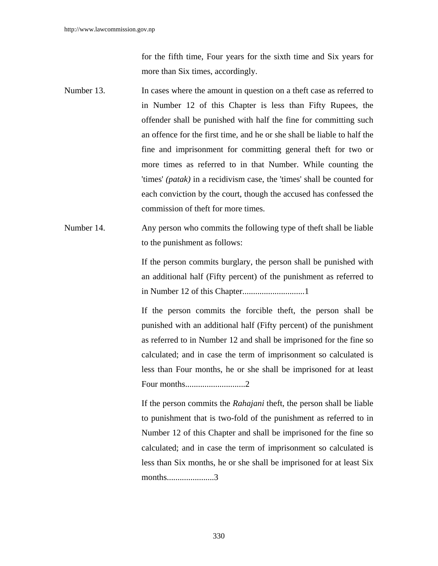for the fifth time, Four years for the sixth time and Six years for more than Six times, accordingly.

- Number 13. In cases where the amount in question on a theft case as referred to in Number 12 of this Chapter is less than Fifty Rupees, the offender shall be punished with half the fine for committing such an offence for the first time, and he or she shall be liable to half the fine and imprisonment for committing general theft for two or more times as referred to in that Number. While counting the 'times' *(patak)* in a recidivism case, the 'times' shall be counted for each conviction by the court, though the accused has confessed the commission of theft for more times.
- Number 14. Any person who commits the following type of theft shall be liable to the punishment as follows:

If the person commits burglary, the person shall be punished with an additional half (Fifty percent) of the punishment as referred to in Number 12 of this Chapter.............................1

If the person commits the forcible theft, the person shall be punished with an additional half (Fifty percent) of the punishment as referred to in Number 12 and shall be imprisoned for the fine so calculated; and in case the term of imprisonment so calculated is less than Four months, he or she shall be imprisoned for at least Four months............................2

If the person commits the *Rahajani* theft, the person shall be liable to punishment that is two-fold of the punishment as referred to in Number 12 of this Chapter and shall be imprisoned for the fine so calculated; and in case the term of imprisonment so calculated is less than Six months, he or she shall be imprisoned for at least Six months......................3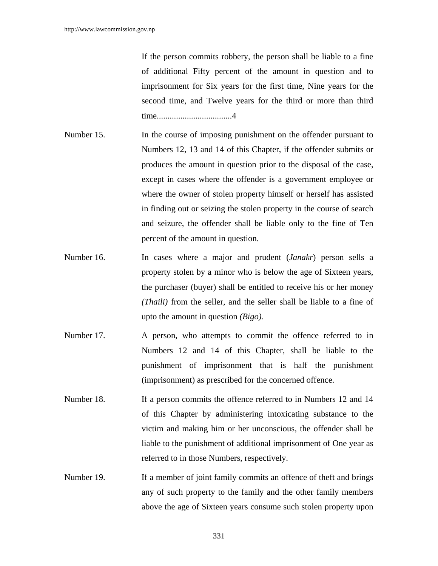If the person commits robbery, the person shall be liable to a fine of additional Fifty percent of the amount in question and to imprisonment for Six years for the first time, Nine years for the second time, and Twelve years for the third or more than third time...................................4

- Number 15. In the course of imposing punishment on the offender pursuant to Numbers 12, 13 and 14 of this Chapter, if the offender submits or produces the amount in question prior to the disposal of the case, except in cases where the offender is a government employee or where the owner of stolen property himself or herself has assisted in finding out or seizing the stolen property in the course of search and seizure, the offender shall be liable only to the fine of Ten percent of the amount in question.
- Number 16. In cases where a major and prudent (*Janakr*) person sells a property stolen by a minor who is below the age of Sixteen years, the purchaser (buyer) shall be entitled to receive his or her money *(Thaili)* from the seller, and the seller shall be liable to a fine of upto the amount in question *(Bigo).*
- Number 17. A person, who attempts to commit the offence referred to in Numbers 12 and 14 of this Chapter, shall be liable to the punishment of imprisonment that is half the punishment (imprisonment) as prescribed for the concerned offence.
- Number 18. If a person commits the offence referred to in Numbers 12 and 14 of this Chapter by administering intoxicating substance to the victim and making him or her unconscious, the offender shall be liable to the punishment of additional imprisonment of One year as referred to in those Numbers, respectively.
- Number 19. If a member of joint family commits an offence of theft and brings any of such property to the family and the other family members above the age of Sixteen years consume such stolen property upon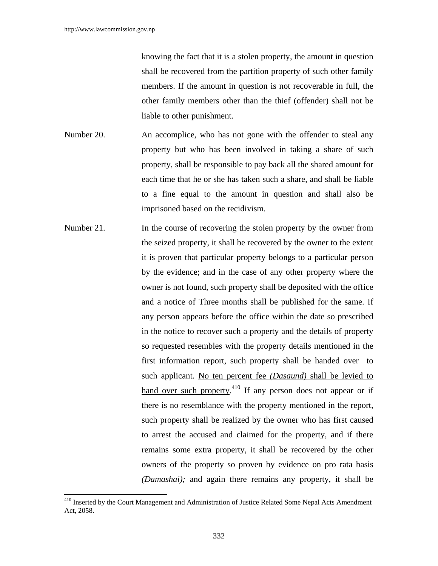$\overline{a}$ 

knowing the fact that it is a stolen property, the amount in question shall be recovered from the partition property of such other family members. If the amount in question is not recoverable in full, the other family members other than the thief (offender) shall not be liable to other punishment.

- Number 20. An accomplice, who has not gone with the offender to steal any property but who has been involved in taking a share of such property, shall be responsible to pay back all the shared amount for each time that he or she has taken such a share, and shall be liable to a fine equal to the amount in question and shall also be imprisoned based on the recidivism.
- Number 21. In the course of recovering the stolen property by the owner from the seized property, it shall be recovered by the owner to the extent it is proven that particular property belongs to a particular person by the evidence; and in the case of any other property where the owner is not found, such property shall be deposited with the office and a notice of Three months shall be published for the same. If any person appears before the office within the date so prescribed in the notice to recover such a property and the details of property so requested resembles with the property details mentioned in the first information report, such property shall be handed over to such applicant. No ten percent fee *(Dasaund)* shall be levied to hand over such property.<sup>410</sup> If any person does not appear or if there is no resemblance with the property mentioned in the report, such property shall be realized by the owner who has first caused to arrest the accused and claimed for the property, and if there remains some extra property, it shall be recovered by the other owners of the property so proven by evidence on pro rata basis *(Damashai);* and again there remains any property, it shall be

<sup>&</sup>lt;sup>410</sup> Inserted by the Court Management and Administration of Justice Related Some Nepal Acts Amendment Act, 2058.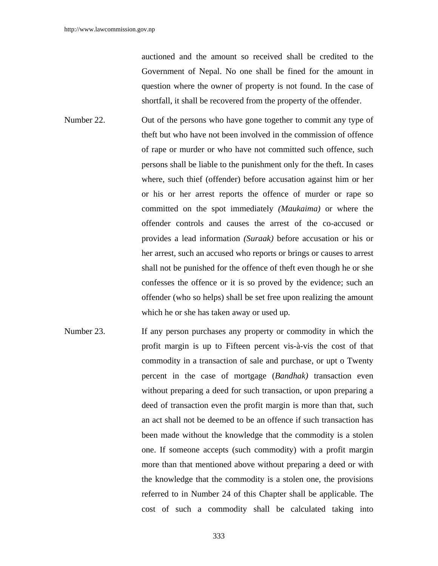auctioned and the amount so received shall be credited to the Government of Nepal. No one shall be fined for the amount in question where the owner of property is not found. In the case of shortfall, it shall be recovered from the property of the offender.

- Number 22. Out of the persons who have gone together to commit any type of theft but who have not been involved in the commission of offence of rape or murder or who have not committed such offence, such persons shall be liable to the punishment only for the theft. In cases where, such thief (offender) before accusation against him or her or his or her arrest reports the offence of murder or rape so committed on the spot immediately *(Maukaima)* or where the offender controls and causes the arrest of the co-accused or provides a lead information *(Suraak)* before accusation or his or her arrest, such an accused who reports or brings or causes to arrest shall not be punished for the offence of theft even though he or she confesses the offence or it is so proved by the evidence; such an offender (who so helps) shall be set free upon realizing the amount which he or she has taken away or used up*.*
- Number 23. If any person purchases any property or commodity in which the profit margin is up to Fifteen percent vis-à-vis the cost of that commodity in a transaction of sale and purchase, or upt o Twenty percent in the case of mortgage (*Bandhak)* transaction even without preparing a deed for such transaction, or upon preparing a deed of transaction even the profit margin is more than that, such an act shall not be deemed to be an offence if such transaction has been made without the knowledge that the commodity is a stolen one. If someone accepts (such commodity) with a profit margin more than that mentioned above without preparing a deed or with the knowledge that the commodity is a stolen one, the provisions referred to in Number 24 of this Chapter shall be applicable. The cost of such a commodity shall be calculated taking into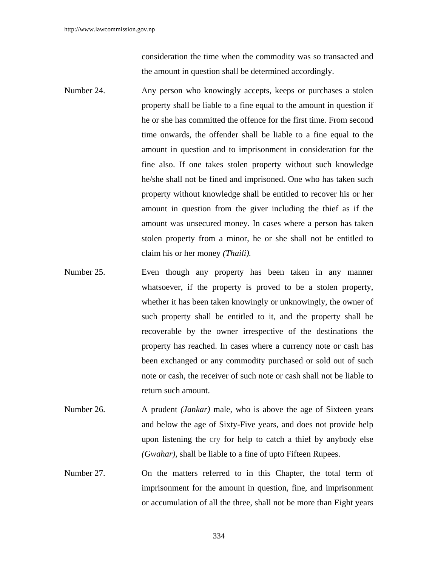consideration the time when the commodity was so transacted and the amount in question shall be determined accordingly.

- Number 24. Any person who knowingly accepts, keeps or purchases a stolen property shall be liable to a fine equal to the amount in question if he or she has committed the offence for the first time. From second time onwards, the offender shall be liable to a fine equal to the amount in question and to imprisonment in consideration for the fine also. If one takes stolen property without such knowledge he/she shall not be fined and imprisoned. One who has taken such property without knowledge shall be entitled to recover his or her amount in question from the giver including the thief as if the amount was unsecured money. In cases where a person has taken stolen property from a minor, he or she shall not be entitled to claim his or her money *(Thaili).*
- Number 25. Even though any property has been taken in any manner whatsoever, if the property is proved to be a stolen property, whether it has been taken knowingly or unknowingly, the owner of such property shall be entitled to it, and the property shall be recoverable by the owner irrespective of the destinations the property has reached. In cases where a currency note or cash has been exchanged or any commodity purchased or sold out of such note or cash, the receiver of such note or cash shall not be liable to return such amount.
- Number 26. A prudent *(Jankar)* male, who is above the age of Sixteen years and below the age of Sixty-Five years, and does not provide help upon listening the cry for help to catch a thief by anybody else *(Gwahar),* shall be liable to a fine of upto Fifteen Rupees.
- Number 27. On the matters referred to in this Chapter, the total term of imprisonment for the amount in question*,* fine, and imprisonment or accumulation of all the three, shall not be more than Eight years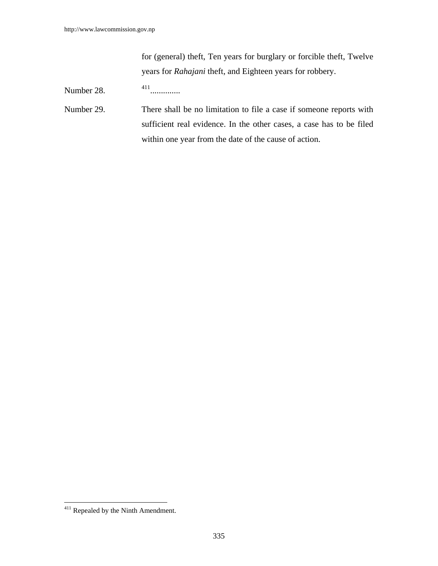for (general) theft, Ten years for burglary or forcible theft, Twelve years for *Rahajani* theft, and Eighteen years for robbery.

Number 28. 411..............

Number 29. There shall be no limitation to file a case if someone reports with sufficient real evidence. In the other cases, a case has to be filed within one year from the date of the cause of action.

 $\overline{\phantom{a}}$ 

 $411$  Repealed by the Ninth Amendment.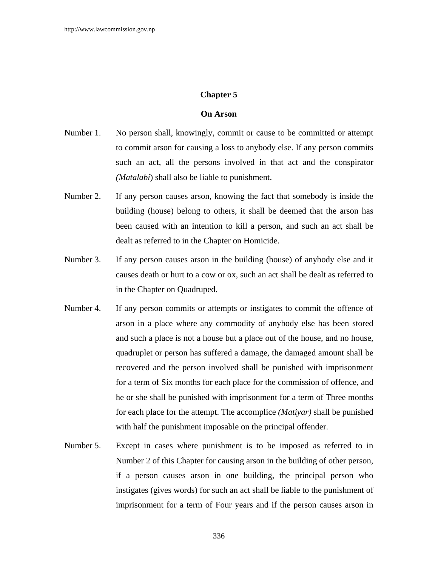# **Chapter 5**

# **On Arson**

- Number 1. No person shall, knowingly, commit or cause to be committed or attempt to commit arson for causing a loss to anybody else. If any person commits such an act, all the persons involved in that act and the conspirator *(Matalabi*) shall also be liable to punishment.
- Number 2. If any person causes arson, knowing the fact that somebody is inside the building (house) belong to others, it shall be deemed that the arson has been caused with an intention to kill a person, and such an act shall be dealt as referred to in the Chapter on Homicide.
- Number 3. If any person causes arson in the building (house) of anybody else and it causes death or hurt to a cow or ox, such an act shall be dealt as referred to in the Chapter on Quadruped.
- Number 4. If any person commits or attempts or instigates to commit the offence of arson in a place where any commodity of anybody else has been stored and such a place is not a house but a place out of the house, and no house, quadruplet or person has suffered a damage, the damaged amount shall be recovered and the person involved shall be punished with imprisonment for a term of Six months for each place for the commission of offence, and he or she shall be punished with imprisonment for a term of Three months for each place for the attempt. The accomplice *(Matiyar)* shall be punished with half the punishment imposable on the principal offender.
- Number 5. Except in cases where punishment is to be imposed as referred to in Number 2 of this Chapter for causing arson in the building of other person, if a person causes arson in one building, the principal person who instigates (gives words) for such an act shall be liable to the punishment of imprisonment for a term of Four years and if the person causes arson in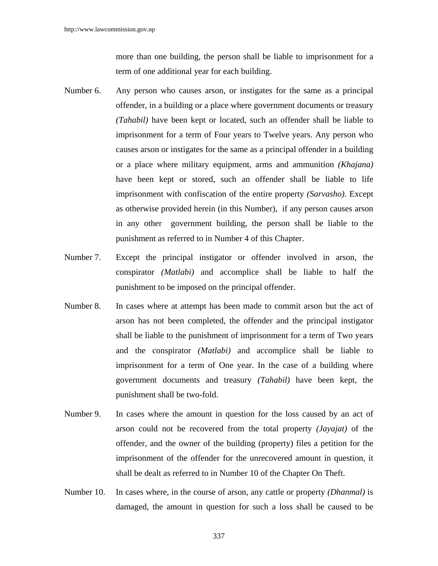more than one building, the person shall be liable to imprisonment for a term of one additional year for each building.

- Number 6. Any person who causes arson, or instigates for the same as a principal offender, in a building or a place where government documents or treasury *(Tahabil)* have been kept or located, such an offender shall be liable to imprisonment for a term of Four years to Twelve years. Any person who causes arson or instigates for the same as a principal offender in a building or a place where military equipment, arms and ammunition *(Khajana)* have been kept or stored, such an offender shall be liable to life imprisonment with confiscation of the entire property *(Sarvasho)*. Except as otherwise provided herein (in this Number), if any person causes arson in any other government building, the person shall be liable to the punishment as referred to in Number 4 of this Chapter.
- Number 7. Except the principal instigator or offender involved in arson, the conspirator *(Matlabi)* and accomplice shall be liable to half the punishment to be imposed on the principal offender.
- Number 8. In cases where at attempt has been made to commit arson but the act of arson has not been completed, the offender and the principal instigator shall be liable to the punishment of imprisonment for a term of Two years and the conspirator *(Matlabi)* and accomplice shall be liable to imprisonment for a term of One year. In the case of a building where government documents and treasury *(Tahabil)* have been kept, the punishment shall be two-fold.
- Number 9. In cases where the amount in question for the loss caused by an act of arson could not be recovered from the total property *(Jayajat)* of the offender, and the owner of the building (property) files a petition for the imprisonment of the offender for the unrecovered amount in question, it shall be dealt as referred to in Number 10 of the Chapter On Theft.
- Number 10. In cases where, in the course of arson, any cattle or property *(Dhanmal)* is damaged, the amount in question for such a loss shall be caused to be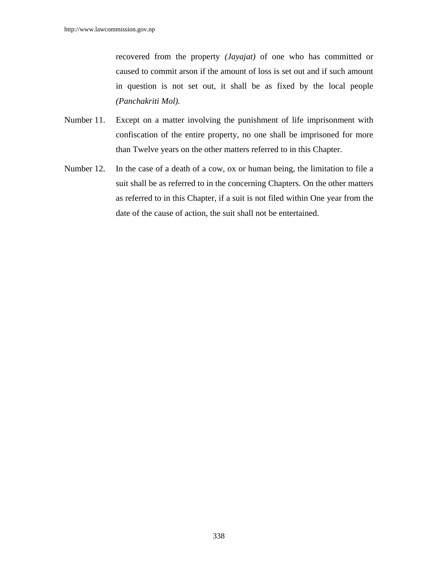recovered from the property *(Jayajat)* of one who has committed or caused to commit arson if the amount of loss is set out and if such amount in question is not set out, it shall be as fixed by the local people *(Panchakriti Mol).*

- Number 11. Except on a matter involving the punishment of life imprisonment with confiscation of the entire property, no one shall be imprisoned for more than Twelve years on the other matters referred to in this Chapter.
- Number 12. In the case of a death of a cow, ox or human being, the limitation to file a suit shall be as referred to in the concerning Chapters. On the other matters as referred to in this Chapter, if a suit is not filed within One year from the date of the cause of action, the suit shall not be entertained.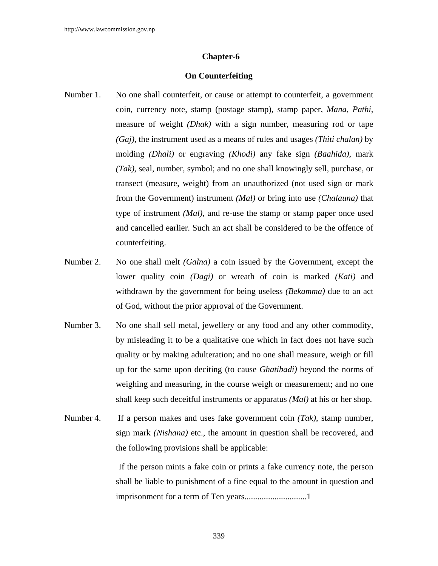#### **Chapter-6**

#### **On Counterfeiting**

- Number 1. No one shall counterfeit, or cause or attempt to counterfeit, a government coin, currency note, stamp (postage stamp), stamp paper, *Mana, Pathi,* measure of weight *(Dhak)* with a sign number, measuring rod or tape *(Gaj)*, the instrument used as a means of rules and usages *(Thiti chalan)* by molding *(Dhali)* or engraving *(Khodi)* any fake sign *(Baahida)*, mark *(Tak),* seal, number, symbol; and no one shall knowingly sell, purchase, or transect (measure, weight) from an unauthorized (not used sign or mark from the Government) instrument *(Mal)* or bring into use *(Chalauna)* that type of instrument *(Mal)*, and re-use the stamp or stamp paper once used and cancelled earlier. Such an act shall be considered to be the offence of counterfeiting.
- Number 2. No one shall melt *(Galna)* a coin issued by the Government, except the lower quality coin *(Dagi)* or wreath of coin is marked *(Kati)* and withdrawn by the government for being useless *(Bekamma)* due to an act of God, without the prior approval of the Government.
- Number 3. No one shall sell metal, jewellery or any food and any other commodity, by misleading it to be a qualitative one which in fact does not have such quality or by making adulteration; and no one shall measure, weigh or fill up for the same upon deciting (to cause *Ghatibadi)* beyond the norms of weighing and measuring, in the course weigh or measurement; and no one shall keep such deceitful instruments or apparatus *(Mal)* at his or her shop.
- Number 4. If a person makes and uses fake government coin *(Tak)*, stamp number, sign mark *(Nishana)* etc., the amount in question shall be recovered, and the following provisions shall be applicable:

 If the person mints a fake coin or prints a fake currency note, the person shall be liable to punishment of a fine equal to the amount in question and imprisonment for a term of Ten years.............................1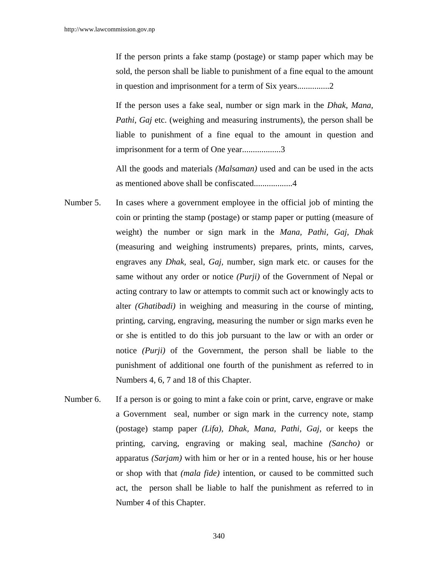If the person prints a fake stamp (postage) or stamp paper which may be sold, the person shall be liable to punishment of a fine equal to the amount in question and imprisonment for a term of Six years...............2

If the person uses a fake seal, number or sign mark in the *Dhak*, *Mana, Pathi*, *Gaj* etc. (weighing and measuring instruments), the person shall be liable to punishment of a fine equal to the amount in question and imprisonment for a term of One year..................3

All the goods and materials *(Malsaman)* used and can be used in the acts as mentioned above shall be confiscated..................4

- Number 5. In cases where a government employee in the official job of minting the coin or printing the stamp (postage) or stamp paper or putting (measure of weight) the number or sign mark in the *Mana, Pathi, Gaj, Dhak* (measuring and weighing instruments) prepares, prints, mints, carves, engraves any *Dhak,* seal, *Gaj,* number, sign mark etc. or causes for the same without any order or notice *(Purji)* of the Government of Nepal or acting contrary to law or attempts to commit such act or knowingly acts to alter *(Ghatibadi)* in weighing and measuring in the course of minting, printing, carving, engraving, measuring the number or sign marks even he or she is entitled to do this job pursuant to the law or with an order or notice *(Purji)* of the Government, the person shall be liable to the punishment of additional one fourth of the punishment as referred to in Numbers 4, 6, 7 and 18 of this Chapter.
- Number 6. If a person is or going to mint a fake coin or print, carve, engrave or make a Government seal, number or sign mark in the currency note, stamp (postage) stamp paper *(Lifa)*, *Dhak, Mana, Pathi, Gaj*, or keeps the printing, carving, engraving or making seal, machine *(Sancho)* or apparatus *(Sarjam)* with him or her or in a rented house, his or her house or shop with that *(mala fide)* intention, or caused to be committed such act, the person shall be liable to half the punishment as referred to in Number 4 of this Chapter.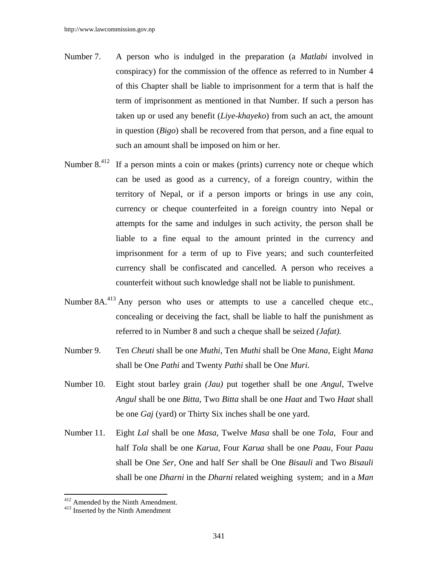- Number 7. A person who is indulged in the preparation (a *Matlabi* involved in conspiracy) for the commission of the offence as referred to in Number 4 of this Chapter shall be liable to imprisonment for a term that is half the term of imprisonment as mentioned in that Number. If such a person has taken up or used any benefit (*Liye-khayeko*) from such an act, the amount in question (*Bigo*) shall be recovered from that person, and a fine equal to such an amount shall be imposed on him or her.
- Number 8.<sup>412</sup> If a person mints a coin or makes (prints) currency note or cheque which can be used as good as a currency, of a foreign country, within the territory of Nepal, or if a person imports or brings in use any coin, currency or cheque counterfeited in a foreign country into Nepal or attempts for the same and indulges in such activity, the person shall be liable to a fine equal to the amount printed in the currency and imprisonment for a term of up to Five years; and such counterfeited currency shall be confiscated and cancelled*.* A person who receives a counterfeit without such knowledge shall not be liable to punishment.
- Number 8A.<sup>413</sup> Any person who uses or attempts to use a cancelled cheque etc., concealing or deceiving the fact, shall be liable to half the punishment as referred to in Number 8 and such a cheque shall be seized *(Jafat).*
- Number 9. Ten *Cheuti* shall be one *Muthi,* Ten *Muthi* shall be One *Mana*, Eight *Mana*  shall be One *Pathi* and Twenty *Pathi* shall be One *Muri*.
- Number 10. Eight stout barley grain *(Jau)* put together shall be one *Angul*, Twelve *Angul* shall be one *Bitta*, Two *Bitta* shall be one *Haat* and Two *Haat* shall be one *Gaj* (yard) or Thirty Six inches shall be one yard.
- Number 11. Eight *Lal* shall be one *Masa*, Twelve *Masa* shall be one *Tola,* Four and half *Tola* shall be one *Karua,* Four *Karua* shall be one *Paau*, Four *Paau* shall be One *Ser*, One and half S*er* shall be One *Bisauli* and Two *Bisauli* shall be one *Dharni* in the *Dharni* related weighing system; and in a *Man*

 $\overline{a}$ 

 $412$  Amended by the Ninth Amendment.<br> $413$  Inserted by the Ninth Amendment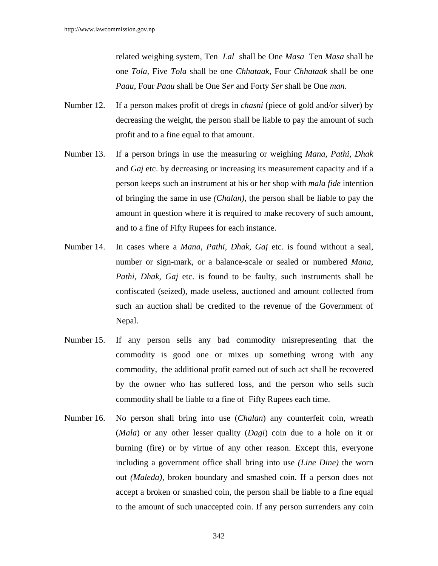related weighing system, Ten *Lal* shall be One *Masa* Ten *Masa* shall be one *Tola,* Five *Tola* shall be one *Chhataak,* Four *Chhataak* shall be one *Paau*, Four *Paau* shall be One S*er* and Forty *Ser* shall be One *man*.

- Number 12. If a person makes profit of dregs in *chasni* (piece of gold and/or silver) by decreasing the weight, the person shall be liable to pay the amount of such profit and to a fine equal to that amount.
- Number 13. If a person brings in use the measuring or weighing *Mana*, *Pathi, Dhak* and *Gaj* etc. by decreasing or increasing its measurement capacity and if a person keeps such an instrument at his or her shop with *mala fide* intention of bringing the same in use *(Chalan),* the person shall be liable to pay the amount in question where it is required to make recovery of such amount, and to a fine of Fifty Rupees for each instance.
- Number 14. In cases where a *Mana*, *Pathi*, *Dhak*, *Gaj* etc. is found without a seal, number or sign-mark, or a balance-scale or sealed or numbered *Mana*, *Pathi*, *Dhak*, *Gaj* etc. is found to be faulty, such instruments shall be confiscated (seized), made useless, auctioned and amount collected from such an auction shall be credited to the revenue of the Government of Nepal.
- Number 15. If any person sells any bad commodity misrepresenting that the commodity is good one or mixes up something wrong with any commodity, the additional profit earned out of such act shall be recovered by the owner who has suffered loss, and the person who sells such commodity shall be liable to a fine of Fifty Rupees each time.
- Number 16. No person shall bring into use (*Chalan*) any counterfeit coin, wreath (*Mala*) or any other lesser quality (*Dagi*) coin due to a hole on it or burning (fire) or by virtue of any other reason. Except this, everyone including a government office shall bring into use *(Line Dine)* the worn out *(Maleda),* broken boundary and smashed coin. If a person does not accept a broken or smashed coin, the person shall be liable to a fine equal to the amount of such unaccepted coin. If any person surrenders any coin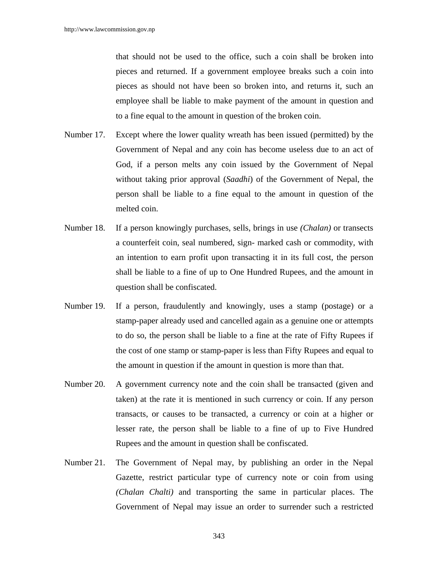that should not be used to the office, such a coin shall be broken into pieces and returned. If a government employee breaks such a coin into pieces as should not have been so broken into, and returns it, such an employee shall be liable to make payment of the amount in question and to a fine equal to the amount in question of the broken coin.

- Number 17. Except where the lower quality wreath has been issued (permitted) by the Government of Nepal and any coin has become useless due to an act of God, if a person melts any coin issued by the Government of Nepal without taking prior approval (*Saadhi*) of the Government of Nepal, the person shall be liable to a fine equal to the amount in question of the melted coin.
- Number 18. If a person knowingly purchases, sells, brings in use *(Chalan)* or transects a counterfeit coin, seal numbered, sign- marked cash or commodity, with an intention to earn profit upon transacting it in its full cost, the person shall be liable to a fine of up to One Hundred Rupees, and the amount in question shall be confiscated.
- Number 19. If a person, fraudulently and knowingly, uses a stamp (postage) or a stamp-paper already used and cancelled again as a genuine one or attempts to do so, the person shall be liable to a fine at the rate of Fifty Rupees if the cost of one stamp or stamp-paper is less than Fifty Rupees and equal to the amount in question if the amount in question is more than that.
- Number 20. A government currency note and the coin shall be transacted (given and taken) at the rate it is mentioned in such currency or coin. If any person transacts, or causes to be transacted, a currency or coin at a higher or lesser rate, the person shall be liable to a fine of up to Five Hundred Rupees and the amount in question shall be confiscated.
- Number 21. The Government of Nepal may, by publishing an order in the Nepal Gazette, restrict particular type of currency note or coin from using *(Chalan Chalti)* and transporting the same in particular places. The Government of Nepal may issue an order to surrender such a restricted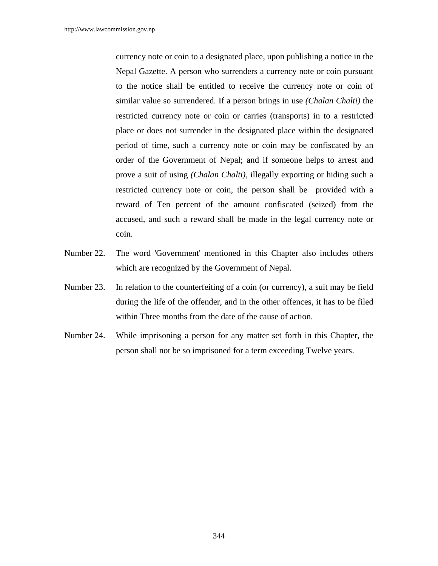currency note or coin to a designated place, upon publishing a notice in the Nepal Gazette. A person who surrenders a currency note or coin pursuant to the notice shall be entitled to receive the currency note or coin of similar value so surrendered. If a person brings in use *(Chalan Chalti)* the restricted currency note or coin or carries (transports) in to a restricted place or does not surrender in the designated place within the designated period of time, such a currency note or coin may be confiscated by an order of the Government of Nepal; and if someone helps to arrest and prove a suit of using *(Chalan Chalti),* illegally exporting or hiding such a restricted currency note or coin, the person shall be provided with a reward of Ten percent of the amount confiscated (seized) from the accused, and such a reward shall be made in the legal currency note or coin.

- Number 22. The word 'Government' mentioned in this Chapter also includes others which are recognized by the Government of Nepal.
- Number 23. In relation to the counterfeiting of a coin (or currency), a suit may be field during the life of the offender, and in the other offences, it has to be filed within Three months from the date of the cause of action.
- Number 24. While imprisoning a person for any matter set forth in this Chapter, the person shall not be so imprisoned for a term exceeding Twelve years.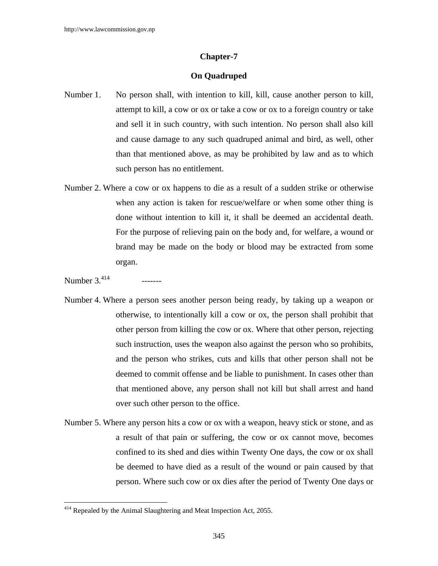### **Chapter-7**

#### **On Quadruped**

- Number 1. No person shall, with intention to kill, kill, cause another person to kill, attempt to kill, a cow or ox or take a cow or ox to a foreign country or take and sell it in such country, with such intention. No person shall also kill and cause damage to any such quadruped animal and bird, as well, other than that mentioned above, as may be prohibited by law and as to which such person has no entitlement.
- Number 2. Where a cow or ox happens to die as a result of a sudden strike or otherwise when any action is taken for rescue/welfare or when some other thing is done without intention to kill it, it shall be deemed an accidental death. For the purpose of relieving pain on the body and, for welfare, a wound or brand may be made on the body or blood may be extracted from some organ.

 $\overline{\phantom{a}}$ 

- Number 4. Where a person sees another person being ready, by taking up a weapon or otherwise, to intentionally kill a cow or ox, the person shall prohibit that other person from killing the cow or ox. Where that other person, rejecting such instruction, uses the weapon also against the person who so prohibits, and the person who strikes, cuts and kills that other person shall not be deemed to commit offense and be liable to punishment. In cases other than that mentioned above, any person shall not kill but shall arrest and hand over such other person to the office.
- Number 5. Where any person hits a cow or ox with a weapon, heavy stick or stone, and as a result of that pain or suffering, the cow or ox cannot move, becomes confined to its shed and dies within Twenty One days, the cow or ox shall be deemed to have died as a result of the wound or pain caused by that person. Where such cow or ox dies after the period of Twenty One days or

Number  $3^{414}$  -------

 $414$  Repealed by the Animal Slaughtering and Meat Inspection Act, 2055.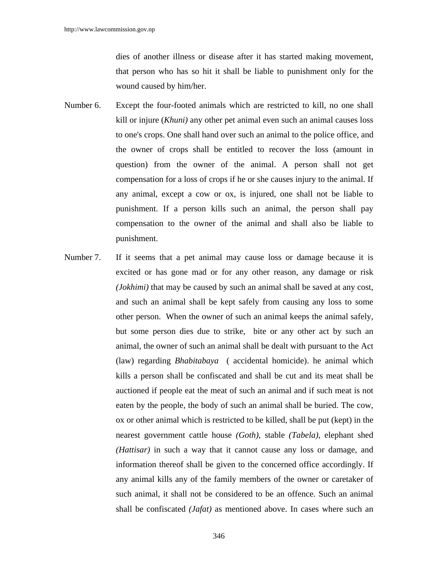dies of another illness or disease after it has started making movement, that person who has so hit it shall be liable to punishment only for the wound caused by him/her.

- Number 6. Except the four-footed animals which are restricted to kill, no one shall kill or injure (*Khuni)* any other pet animal even such an animal causes loss to one's crops. One shall hand over such an animal to the police office, and the owner of crops shall be entitled to recover the loss (amount in question) from the owner of the animal. A person shall not get compensation for a loss of crops if he or she causes injury to the animal. If any animal, except a cow or ox, is injured, one shall not be liable to punishment. If a person kills such an animal, the person shall pay compensation to the owner of the animal and shall also be liable to punishment.
- Number 7. If it seems that a pet animal may cause loss or damage because it is excited or has gone mad or for any other reason, any damage or risk *(Jokhimi)* that may be caused by such an animal shall be saved at any cost, and such an animal shall be kept safely from causing any loss to some other person. When the owner of such an animal keeps the animal safely, but some person dies due to strike, bite or any other act by such an animal, the owner of such an animal shall be dealt with pursuant to the Act (law) regarding *Bhabitabaya* ( accidental homicide). he animal which kills a person shall be confiscated and shall be cut and its meat shall be auctioned if people eat the meat of such an animal and if such meat is not eaten by the people, the body of such an animal shall be buried. The cow, ox or other animal which is restricted to be killed, shall be put (kept) in the nearest government cattle house *(Goth)*, stable *(Tabela)*, elephant shed *(Hattisar)* in such a way that it cannot cause any loss or damage, and information thereof shall be given to the concerned office accordingly. If any animal kills any of the family members of the owner or caretaker of such animal, it shall not be considered to be an offence. Such an animal shall be confiscated *(Jafat)* as mentioned above. In cases where such an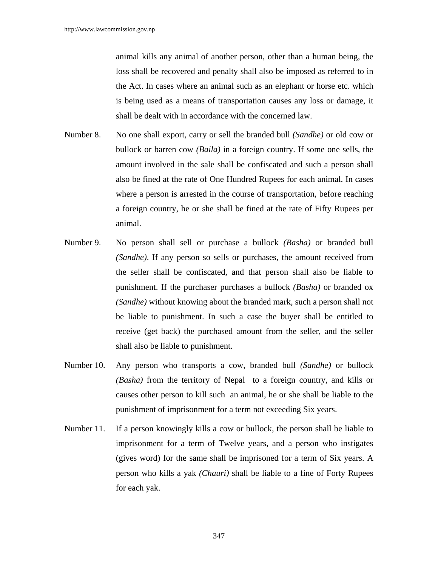animal kills any animal of another person, other than a human being, the loss shall be recovered and penalty shall also be imposed as referred to in the Act. In cases where an animal such as an elephant or horse etc. which is being used as a means of transportation causes any loss or damage, it shall be dealt with in accordance with the concerned law.

- Number 8. No one shall export, carry or sell the branded bull *(Sandhe)* or old cow or bullock or barren cow *(Baila)* in a foreign country. If some one sells, the amount involved in the sale shall be confiscated and such a person shall also be fined at the rate of One Hundred Rupees for each animal. In cases where a person is arrested in the course of transportation, before reaching a foreign country, he or she shall be fined at the rate of Fifty Rupees per animal.
- Number 9.No person shall sell or purchase a bullock *(Basha)* or branded bull *(Sandhe)*. If any person so sells or purchases, the amount received from the seller shall be confiscated, and that person shall also be liable to punishment. If the purchaser purchases a bullock *(Basha)* or branded ox *(Sandhe)* without knowing about the branded mark, such a person shall not be liable to punishment. In such a case the buyer shall be entitled to receive (get back) the purchased amount from the seller, and the seller shall also be liable to punishment.
- Number 10. Any person who transports a cow, branded bull *(Sandhe)* or bullock *(Basha)* from the territory of Nepal to a foreign country, and kills or causes other person to kill such an animal, he or she shall be liable to the punishment of imprisonment for a term not exceeding Six years.
- Number 11. If a person knowingly kills a cow or bullock, the person shall be liable to imprisonment for a term of Twelve years, and a person who instigates (gives word) for the same shall be imprisoned for a term of Six years. A person who kills a yak *(Chauri)* shall be liable to a fine of Forty Rupees for each yak.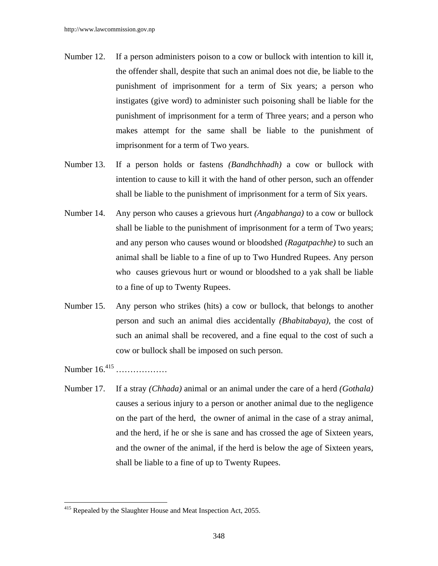- Number 12. If a person administers poison to a cow or bullock with intention to kill it, the offender shall, despite that such an animal does not die, be liable to the punishment of imprisonment for a term of Six years; a person who instigates (give word) to administer such poisoning shall be liable for the punishment of imprisonment for a term of Three years; and a person who makes attempt for the same shall be liable to the punishment of imprisonment for a term of Two years.
- Number 13. If a person holds or fastens *(Bandhchhadh)* a cow or bullock with intention to cause to kill it with the hand of other person, such an offender shall be liable to the punishment of imprisonment for a term of Six years.
- Number 14. Any person who causes a grievous hurt *(Angabhanga)* to a cow or bullock shall be liable to the punishment of imprisonment for a term of Two years; and any person who causes wound or bloodshed *(Ragatpachhe)* to such an animal shall be liable to a fine of up to Two Hundred Rupees. Any person who causes grievous hurt or wound or bloodshed to a yak shall be liable to a fine of up to Twenty Rupees.
- Number 15. Any person who strikes (hits) a cow or bullock, that belongs to another person and such an animal dies accidentally *(Bhabitabaya)*, the cost of such an animal shall be recovered, and a fine equal to the cost of such a cow or bullock shall be imposed on such person.

Number 16.415 ………………

 $\overline{\phantom{a}}$ 

Number 17. If a stray *(Chhada)* animal or an animal under the care of a herd *(Gothala)* causes a serious injury to a person or another animal due to the negligence on the part of the herd, the owner of animal in the case of a stray animal, and the herd, if he or she is sane and has crossed the age of Sixteen years, and the owner of the animal, if the herd is below the age of Sixteen years, shall be liable to a fine of up to Twenty Rupees.

 $415$  Repealed by the Slaughter House and Meat Inspection Act, 2055.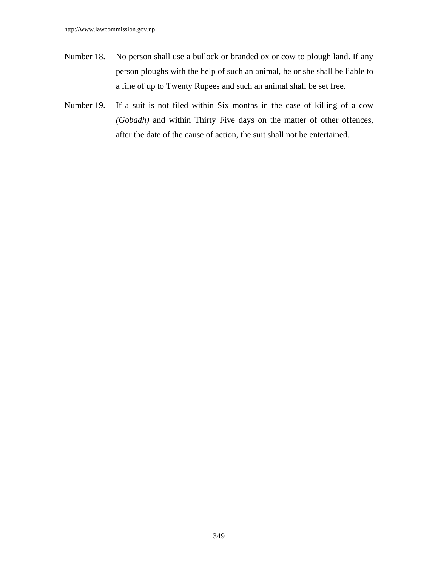- Number 18. No person shall use a bullock or branded ox or cow to plough land. If any person ploughs with the help of such an animal, he or she shall be liable to a fine of up to Twenty Rupees and such an animal shall be set free.
- Number 19. If a suit is not filed within Six months in the case of killing of a cow *(Gobadh)* and within Thirty Five days on the matter of other offences, after the date of the cause of action, the suit shall not be entertained.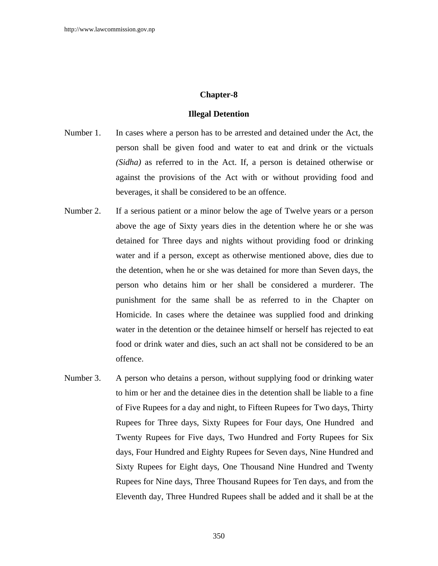# **Chapter-8**

#### **Illegal Detention**

- Number 1. In cases where a person has to be arrested and detained under the Act, the person shall be given food and water to eat and drink or the victuals *(Sidha)* as referred to in the Act. If, a person is detained otherwise or against the provisions of the Act with or without providing food and beverages, it shall be considered to be an offence.
- Number 2. If a serious patient or a minor below the age of Twelve years or a person above the age of Sixty years dies in the detention where he or she was detained for Three days and nights without providing food or drinking water and if a person, except as otherwise mentioned above, dies due to the detention, when he or she was detained for more than Seven days, the person who detains him or her shall be considered a murderer. The punishment for the same shall be as referred to in the Chapter on Homicide. In cases where the detainee was supplied food and drinking water in the detention or the detainee himself or herself has rejected to eat food or drink water and dies, such an act shall not be considered to be an offence.
- Number 3. A person who detains a person, without supplying food or drinking water to him or her and the detainee dies in the detention shall be liable to a fine of Five Rupees for a day and night, to Fifteen Rupees for Two days, Thirty Rupees for Three days, Sixty Rupees for Four days, One Hundred and Twenty Rupees for Five days, Two Hundred and Forty Rupees for Six days, Four Hundred and Eighty Rupees for Seven days, Nine Hundred and Sixty Rupees for Eight days, One Thousand Nine Hundred and Twenty Rupees for Nine days, Three Thousand Rupees for Ten days, and from the Eleventh day, Three Hundred Rupees shall be added and it shall be at the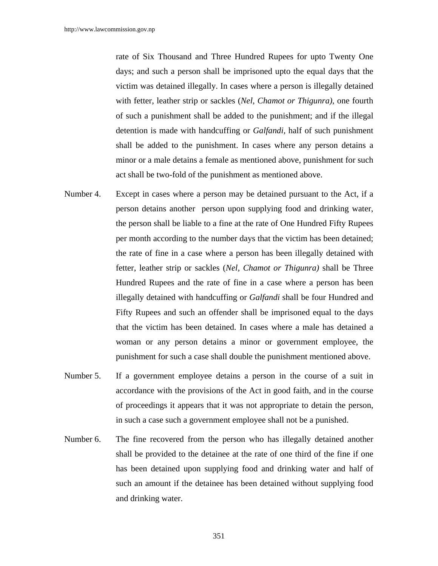rate of Six Thousand and Three Hundred Rupees for upto Twenty One days; and such a person shall be imprisoned upto the equal days that the victim was detained illegally. In cases where a person is illegally detained with fetter, leather strip or sackles (*Nel, Chamot or Thigunra)*, one fourth of such a punishment shall be added to the punishment; and if the illegal detention is made with handcuffing or *Galfandi,* half of such punishment shall be added to the punishment. In cases where any person detains a minor or a male detains a female as mentioned above, punishment for such act shall be two-fold of the punishment as mentioned above.

- Number 4. Except in cases where a person may be detained pursuant to the Act, if a person detains another person upon supplying food and drinking water, the person shall be liable to a fine at the rate of One Hundred Fifty Rupees per month according to the number days that the victim has been detained; the rate of fine in a case where a person has been illegally detained with fetter, leather strip or sackles (*Nel, Chamot or Thigunra)* shall be Three Hundred Rupees and the rate of fine in a case where a person has been illegally detained with handcuffing or *Galfandi* shall be four Hundred and Fifty Rupees and such an offender shall be imprisoned equal to the days that the victim has been detained. In cases where a male has detained a woman or any person detains a minor or government employee, the punishment for such a case shall double the punishment mentioned above.
- Number 5. If a government employee detains a person in the course of a suit in accordance with the provisions of the Act in good faith, and in the course of proceedings it appears that it was not appropriate to detain the person, in such a case such a government employee shall not be a punished.
- Number 6. The fine recovered from the person who has illegally detained another shall be provided to the detainee at the rate of one third of the fine if one has been detained upon supplying food and drinking water and half of such an amount if the detainee has been detained without supplying food and drinking water.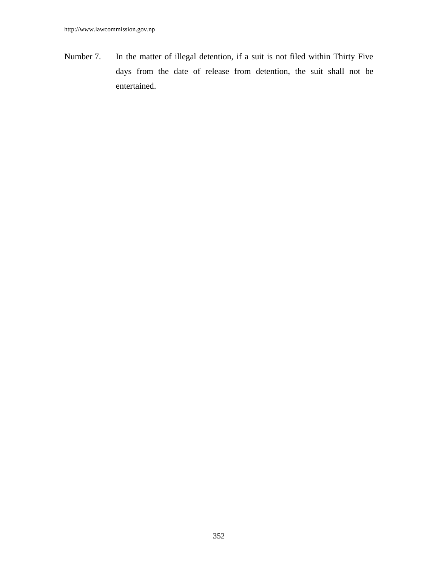Number 7. In the matter of illegal detention, if a suit is not filed within Thirty Five days from the date of release from detention, the suit shall not be entertained.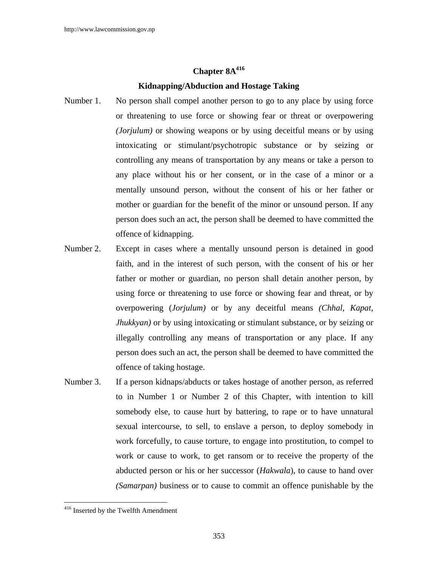# **Chapter 8A**<sup>416</sup>

# **Kidnapping/Abduction and Hostage Taking**

- Number 1. No person shall compel another person to go to any place by using force or threatening to use force or showing fear or threat or overpowering *(Jorjulum)* or showing weapons or by using deceitful means or by using intoxicating or stimulant/psychotropic substance or by seizing or controlling any means of transportation by any means or take a person to any place without his or her consent, or in the case of a minor or a mentally unsound person, without the consent of his or her father or mother or guardian for the benefit of the minor or unsound person. If any person does such an act, the person shall be deemed to have committed the offence of kidnapping.
- Number 2. Except in cases where a mentally unsound person is detained in good faith, and in the interest of such person, with the consent of his or her father or mother or guardian, no person shall detain another person, by using force or threatening to use force or showing fear and threat, or by overpowering (*Jorjulum)* or by any deceitful means *(Chhal, Kapat, Jhukkyan*) or by using intoxicating or stimulant substance, or by seizing or illegally controlling any means of transportation or any place. If any person does such an act, the person shall be deemed to have committed the offence of taking hostage.
- Number 3. If a person kidnaps/abducts or takes hostage of another person, as referred to in Number 1 or Number 2 of this Chapter, with intention to kill somebody else, to cause hurt by battering, to rape or to have unnatural sexual intercourse, to sell, to enslave a person, to deploy somebody in work forcefully, to cause torture, to engage into prostitution, to compel to work or cause to work, to get ransom or to receive the property of the abducted person or his or her successor (*Hakwala*), to cause to hand over *(Samarpan)* business or to cause to commit an offence punishable by the

 $\overline{\phantom{a}}$ 

<sup>&</sup>lt;sup>416</sup> Inserted by the Twelfth Amendment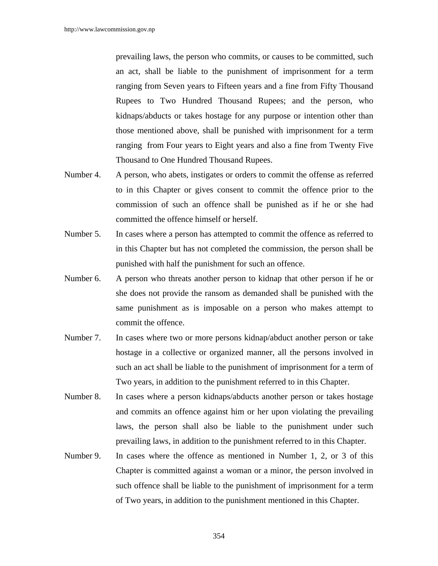prevailing laws, the person who commits, or causes to be committed, such an act, shall be liable to the punishment of imprisonment for a term ranging from Seven years to Fifteen years and a fine from Fifty Thousand Rupees to Two Hundred Thousand Rupees; and the person, who kidnaps/abducts or takes hostage for any purpose or intention other than those mentioned above, shall be punished with imprisonment for a term ranging from Four years to Eight years and also a fine from Twenty Five Thousand to One Hundred Thousand Rupees.

- Number 4. A person, who abets, instigates or orders to commit the offense as referred to in this Chapter or gives consent to commit the offence prior to the commission of such an offence shall be punished as if he or she had committed the offence himself or herself.
- Number 5. In cases where a person has attempted to commit the offence as referred to in this Chapter but has not completed the commission, the person shall be punished with half the punishment for such an offence.
- Number 6. A person who threats another person to kidnap that other person if he or she does not provide the ransom as demanded shall be punished with the same punishment as is imposable on a person who makes attempt to commit the offence.
- Number 7. In cases where two or more persons kidnap/abduct another person or take hostage in a collective or organized manner, all the persons involved in such an act shall be liable to the punishment of imprisonment for a term of Two years, in addition to the punishment referred to in this Chapter.
- Number 8. In cases where a person kidnaps/abducts another person or takes hostage and commits an offence against him or her upon violating the prevailing laws, the person shall also be liable to the punishment under such prevailing laws, in addition to the punishment referred to in this Chapter.
- Number 9. In cases where the offence as mentioned in Number 1, 2, or 3 of this Chapter is committed against a woman or a minor, the person involved in such offence shall be liable to the punishment of imprisonment for a term of Two years, in addition to the punishment mentioned in this Chapter.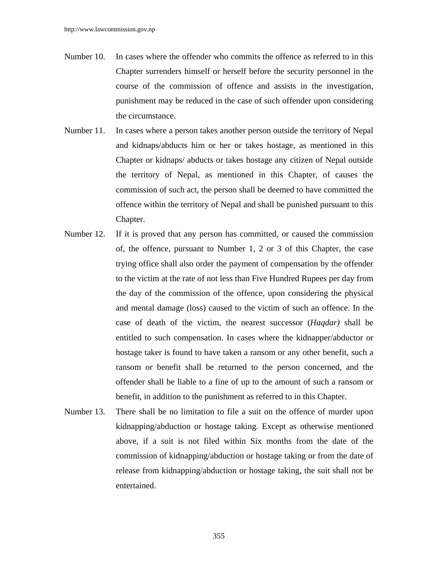- Number 10. In cases where the offender who commits the offence as referred to in this Chapter surrenders himself or herself before the security personnel in the course of the commission of offence and assists in the investigation, punishment may be reduced in the case of such offender upon considering the circumstance.
- Number 11. In cases where a person takes another person outside the territory of Nepal and kidnaps/abducts him or her or takes hostage, as mentioned in this Chapter or kidnaps/ abducts or takes hostage any citizen of Nepal outside the territory of Nepal, as mentioned in this Chapter, of causes the commission of such act, the person shall be deemed to have committed the offence within the territory of Nepal and shall be punished pursuant to this Chapter.
- Number 12. If it is proved that any person has committed, or caused the commission of, the offence, pursuant to Number 1, 2 or 3 of this Chapter, the case trying office shall also order the payment of compensation by the offender to the victim at the rate of not less than Five Hundred Rupees per day from the day of the commission of the offence, upon considering the physical and mental damage (loss) caused to the victim of such an offence. In the case of death of the victim, the nearest successor (*Haqdar)* shall be entitled to such compensation. In cases where the kidnapper/abductor or hostage taker is found to have taken a ransom or any other benefit, such a ransom or benefit shall be returned to the person concerned, and the offender shall be liable to a fine of up to the amount of such a ransom or benefit, in addition to the punishment as referred to in this Chapter.
- Number 13. There shall be no limitation to file a suit on the offence of murder upon kidnapping/abduction or hostage taking. Except as otherwise mentioned above, if a suit is not filed within Six months from the date of the commission of kidnapping/abduction or hostage taking or from the date of release from kidnapping/abduction or hostage taking, the suit shall not be entertained.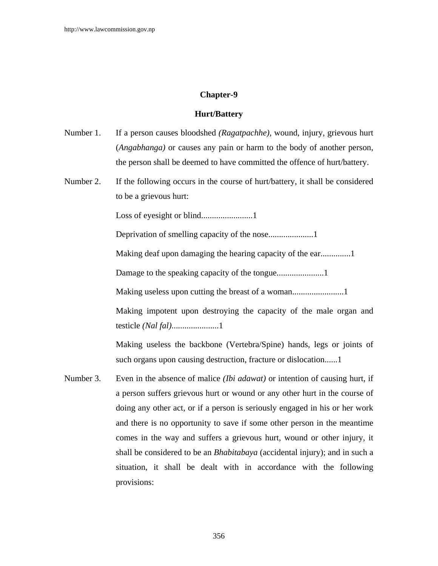# **Chapter-9**

### **Hurt/Battery**

- Number 1. If a person causes bloodshed *(Ragatpachhe),* wound, injury, grievous hurt (*Angabhanga)* or causes any pain or harm to the body of another person, the person shall be deemed to have committed the offence of hurt/battery.
- Number 2. If the following occurs in the course of hurt/battery, it shall be considered to be a grievous hurt:

Loss of eyesight or blind........................1

Deprivation of smelling capacity of the nose.....................1

Making deaf upon damaging the hearing capacity of the ear..............1

Damage to the speaking capacity of the tongue......................1

Making useless upon cutting the breast of a woman........................1

Making impotent upon destroying the capacity of the male organ and testicle *(Nal fal)*......................1

Making useless the backbone (Vertebra/Spine) hands, legs or joints of such organs upon causing destruction, fracture or dislocation......1

Number 3. Even in the absence of malice *(Ibi adawat)* or intention of causing hurt, if a person suffers grievous hurt or wound or any other hurt in the course of doing any other act, or if a person is seriously engaged in his or her work and there is no opportunity to save if some other person in the meantime comes in the way and suffers a grievous hurt, wound or other injury, it shall be considered to be an *Bhabitabaya* (accidental injury); and in such a situation, it shall be dealt with in accordance with the following provisions: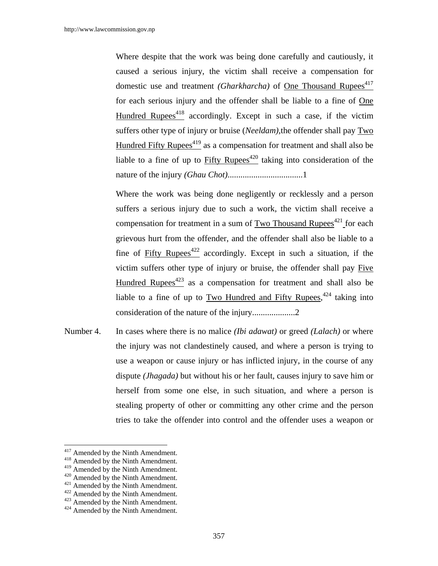Where despite that the work was being done carefully and cautiously, it caused a serious injury, the victim shall receive a compensation for domestic use and treatment *(Gharkharcha)* of <u>One Thousand R</u>upees<sup>417</sup> for each serious injury and the offender shall be liable to a fine of One Hundred Rupees<sup>418</sup> accordingly. Except in such a case, if the victim suffers other type of injury or bruise (*Neeldam),*the offender shall pay Two Hundred Fifty Rupees<sup> $419$ </sup> as a compensation for treatment and shall also be liable to a fine of up to  $Fifty$  Rupees<sup>420</sup> taking into consideration of the nature of the injury *(Ghau Chot)*...................................1

Where the work was being done negligently or recklessly and a person suffers a serious injury due to such a work, the victim shall receive a compensation for treatment in a sum of Two Thousand Rupees $421$  for each grievous hurt from the offender, and the offender shall also be liable to a fine of Fifty Rupees<sup>422</sup> accordingly. Except in such a situation, if the victim suffers other type of injury or bruise, the offender shall pay Five Hundred Rupees $423$  as a compensation for treatment and shall also be liable to a fine of up to  $Two$  Hundred and Fifty Rupees,  $424$  taking into consideration of the nature of the injury....................2

Number 4. In cases where there is no malice *(Ibi adawat)* or greed *(Lalach)* or where the injury was not clandestinely caused, and where a person is trying to use a weapon or cause injury or has inflicted injury, in the course of any dispute *(Jhagada)* but without his or her fault, causes injury to save him or herself from some one else, in such situation, and where a person is stealing property of other or committing any other crime and the person tries to take the offender into control and the offender uses a weapon or

 $417$  Amended by the Ninth Amendment.

<sup>&</sup>lt;sup>418</sup> Amended by the Ninth Amendment.<br><sup>419</sup> Amended by the Ninth Amendment.

<sup>&</sup>lt;sup>420</sup> Amended by the Ninth Amendment.<br><sup>421</sup> Amended by the Ninth Amendment.<br><sup>422</sup> Amended by the Ninth Amendment.<br><sup>424</sup> Amended by the Ninth Amendment.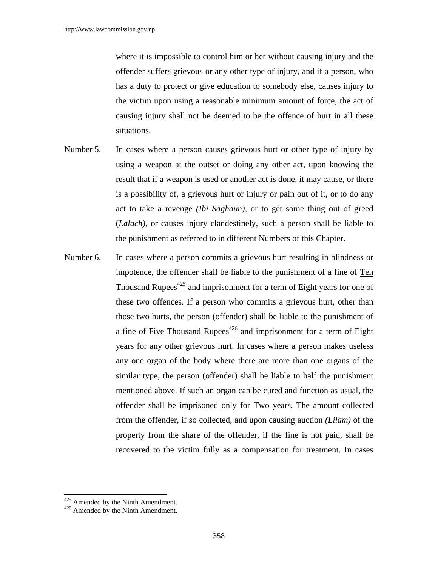where it is impossible to control him or her without causing injury and the offender suffers grievous or any other type of injury, and if a person, who has a duty to protect or give education to somebody else, causes injury to the victim upon using a reasonable minimum amount of force, the act of causing injury shall not be deemed to be the offence of hurt in all these situations.

- Number 5. In cases where a person causes grievous hurt or other type of injury by using a weapon at the outset or doing any other act, upon knowing the result that if a weapon is used or another act is done, it may cause, or there is a possibility of, a grievous hurt or injury or pain out of it, or to do any act to take a revenge *(Ibi Saghaun)*, or to get some thing out of greed (*Lalach),* or causes injury clandestinely, such a person shall be liable to the punishment as referred to in different Numbers of this Chapter.
- Number 6. In cases where a person commits a grievous hurt resulting in blindness or impotence, the offender shall be liable to the punishment of a fine of Ten Thousand Rupees<sup> $425$ </sup> and imprisonment for a term of Eight years for one of these two offences. If a person who commits a grievous hurt, other than those two hurts, the person (offender) shall be liable to the punishment of a fine of Five Thousand Rupees<sup> $426$ </sup> and imprisonment for a term of Eight years for any other grievous hurt. In cases where a person makes useless any one organ of the body where there are more than one organs of the similar type, the person (offender) shall be liable to half the punishment mentioned above. If such an organ can be cured and function as usual, the offender shall be imprisoned only for Two years. The amount collected from the offender, if so collected, and upon causing auction *(Lilam)* of the property from the share of the offender, if the fine is not paid, shall be recovered to the victim fully as a compensation for treatment. In cases

 $\overline{a}$ 

 $425$  Amended by the Ninth Amendment.<br> $426$  Amended by the Ninth Amendment.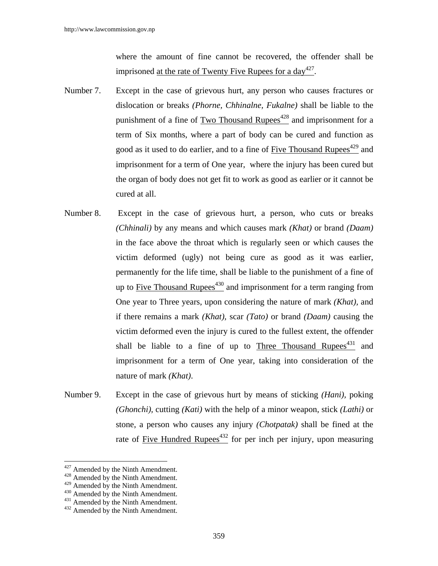where the amount of fine cannot be recovered, the offender shall be imprisoned <u>at the rate of Twenty Five</u> Rupees for a day<sup>427</sup>.

- Number 7. Except in the case of grievous hurt, any person who causes fractures or dislocation or breaks *(Phorne, Chhinalne, Fukalne)* shall be liable to the punishment of a fine of Two Thousand Rupees<sup> $428$ </sup> and imprisonment for a term of Six months, where a part of body can be cured and function as good as it used to do earlier, and to a fine of Five Thousand Rupees<sup>429</sup> and imprisonment for a term of One year, where the injury has been cured but the organ of body does not get fit to work as good as earlier or it cannot be cured at all.
- Number 8. Except in the case of grievous hurt, a person, who cuts or breaks *(Chhinali)* by any means and which causes mark *(Khat)* or brand *(Daam)* in the face above the throat which is regularly seen or which causes the victim deformed (ugly) not being cure as good as it was earlier, permanently for the life time, shall be liable to the punishment of a fine of up to Five Thousand Rupees<sup> $430$ </sup> and imprisonment for a term ranging from One year to Three years, upon considering the nature of mark *(Khat),* and if there remains a mark *(Khat),* scar *(Tato)* or brand *(Daam)* causing the victim deformed even the injury is cured to the fullest extent, the offender shall be liable to a fine of up to Three Thousand Rupees<sup> $431$ </sup> and imprisonment for a term of One year, taking into consideration of the nature of mark *(Khat)*.
- Number 9. Except in the case of grievous hurt by means of sticking *(Hani),* poking *(Ghonchi),* cutting *(Kati)* with the help of a minor weapon, stick *(Lathi)* or stone, a person who causes any injury *(Chotpatak)* shall be fined at the rate of Five Hundred Rupees $432$  for per inch per injury, upon measuring

 $427$  Amended by the Ninth Amendment.

<sup>&</sup>lt;sup>428</sup> Amended by the Ninth Amendment.

<sup>429</sup> Amended by the Ninth Amendment.<br>  $430$  Amended by the Ninth Amendment.<br>  $431$  Amended by the Ninth Amendment.<br>  $432$  Amended by the Ninth Amendment.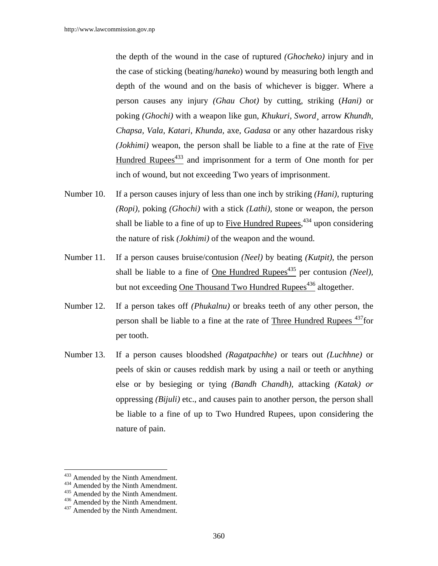the depth of the wound in the case of ruptured *(Ghocheko)* injury and in the case of sticking (beating/*haneko*) wound by measuring both length and depth of the wound and on the basis of whichever is bigger. Where a person causes any injury *(Ghau Chot)* by cutting, striking (*Hani)* or poking *(Ghochi)* with a weapon like gun, *Khukuri, Sword¸* arrow *Khundh, Chapsa, Vala, Katari, Khunda,* axe, *Gadasa* or any other hazardous risky *(Jokhimi)* weapon, the person shall be liable to a fine at the rate of Five Hundred Rupees<sup> $433$ </sup> and imprisonment for a term of One month for per inch of wound, but not exceeding Two years of imprisonment.

- Number 10. If a person causes injury of less than one inch by striking *(Hani),* rupturing *(Ropi),* poking *(Ghochi)* with a stick *(Lathi),* stone or weapon, the person shall be liable to a fine of up to  $Five$  Hundred Rupees,<sup>434</sup> upon considering the nature of risk *(Jokhimi)* of the weapon and the wound.
- Number 11. If a person causes bruise/contusion *(Neel)* by beating *(Kutpit)*, the person shall be liable to a fine of One Hundred Rupees<sup>435</sup> per contusion *(Neel)*, but not exceeding One Thousand Two Hundred Rupees<sup>436</sup> altogether.
- Number 12. If a person takes off *(Phukalnu)* or breaks teeth of any other person, the person shall be liable to a fine at the rate of Three Hundred Rupees<sup>437</sup>for per tooth.
- Number 13. If a person causes bloodshed *(Ragatpachhe)* or tears out *(Luchhne)* or peels of skin or causes reddish mark by using a nail or teeth or anything else or by besieging or tying *(Bandh Chandh),* attacking *(Katak) or*  oppressing *(Bijuli)* etc., and causes pain to another person, the person shall be liable to a fine of up to Two Hundred Rupees, upon considering the nature of pain.

 $\overline{a}$ 

<sup>&</sup>lt;sup>433</sup> Amended by the Ninth Amendment.<br><sup>434</sup> Amended by the Ninth Amendment.<br><sup>435</sup> Amended by the Ninth Amendment.<br><sup>437</sup> Amended by the Ninth Amendment.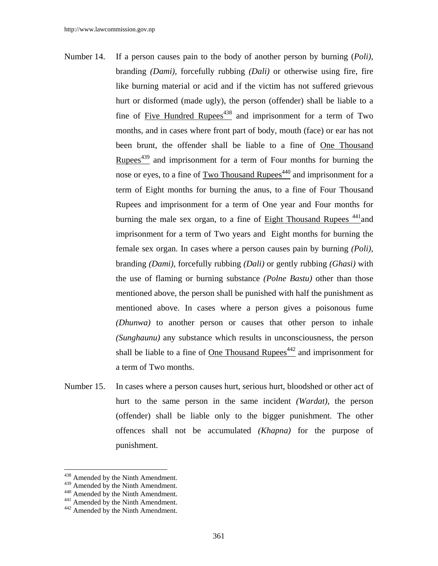- Number 14. If a person causes pain to the body of another person by burning (*Poli),* branding *(Dami),* forcefully rubbing *(Dali)* or otherwise using fire, fire like burning material or acid and if the victim has not suffered grievous hurt or disformed (made ugly), the person (offender) shall be liable to a fine of Five Hundred Rupees<sup> $438$ </sup> and imprisonment for a term of Two months, and in cases where front part of body, mouth (face) or ear has not been brunt, the offender shall be liable to a fine of One Thousand Rupees<sup> $439$ </sup> and imprisonment for a term of Four months for burning the nose or eyes, to a fine of Two Thousand Rupees<sup>440</sup> and imprisonment for a term of Eight months for burning the anus, to a fine of Four Thousand Rupees and imprisonment for a term of One year and Four months for burning the male sex organ, to a fine of Eight Thousand Rupees  $441$  and imprisonment for a term of Two years and Eight months for burning the female sex organ. In cases where a person causes pain by burning *(Poli)*, branding *(Dami),* forcefully rubbing *(Dali)* or gently rubbing *(Ghasi)* with the use of flaming or burning substance *(Polne Bastu)* other than those mentioned above, the person shall be punished with half the punishment as mentioned above. In cases where a person gives a poisonous fume *(Dhunwa)* to another person or causes that other person to inhale *(Sunghaunu)* any substance which results in unconsciousness, the person shall be liable to a fine of One Thousand Rupees<sup> $442$ </sup> and imprisonment for a term of Two months.
- Number 15. In cases where a person causes hurt, serious hurt, bloodshed or other act of hurt to the same person in the same incident *(Wardat)*, the person (offender) shall be liable only to the bigger punishment. The other offences shall not be accumulated *(Khapna)* for the purpose of punishment.

<sup>&</sup>lt;sup>438</sup> Amended by the Ninth Amendment.

<sup>439</sup> Amended by the Ninth Amendment.<br><sup>440</sup> Amended by the Ninth Amendment.<br><sup>441</sup> Amended by the Ninth Amendment.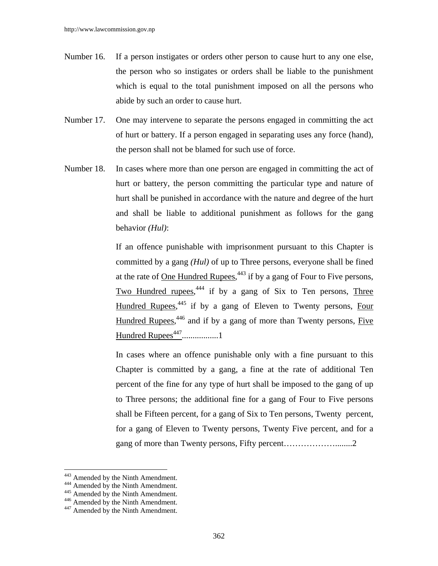- Number 16. If a person instigates or orders other person to cause hurt to any one else, the person who so instigates or orders shall be liable to the punishment which is equal to the total punishment imposed on all the persons who abide by such an order to cause hurt.
- Number 17. One may intervene to separate the persons engaged in committing the act of hurt or battery. If a person engaged in separating uses any force (hand), the person shall not be blamed for such use of force.
- Number 18. In cases where more than one person are engaged in committing the act of hurt or battery, the person committing the particular type and nature of hurt shall be punished in accordance with the nature and degree of the hurt and shall be liable to additional punishment as follows for the gang behavior *(Hul)*:

 If an offence punishable with imprisonment pursuant to this Chapter is committed by a gang *(Hul)* of up to Three persons, everyone shall be fined at the rate of <u>One Hundred Rupees</u>,  $443$  if by a gang of Four to Five persons, Two Hundred rupees,<sup>444</sup> if by a gang of Six to Ten persons, Three Hundred Rupees,<sup>445</sup> if by a gang of Eleven to Twenty persons, Four Hundred Rupees,<sup>446</sup> and if by a gang of more than Twenty persons, Five Hundred Rupees447.................1

 In cases where an offence punishable only with a fine pursuant to this Chapter is committed by a gang, a fine at the rate of additional Ten percent of the fine for any type of hurt shall be imposed to the gang of up to Three persons; the additional fine for a gang of Four to Five persons shall be Fifteen percent, for a gang of Six to Ten persons, Twenty percent, for a gang of Eleven to Twenty persons, Twenty Five percent, and for a gang of more than Twenty persons, Fifty percent...............................2

<sup>&</sup>lt;sup>443</sup> Amended by the Ninth Amendment.<br><sup>445</sup> Amended by the Ninth Amendment.<br><sup>445</sup> Amended by the Ninth Amendment.<br><sup>445</sup> Amended by the Ninth Amendment.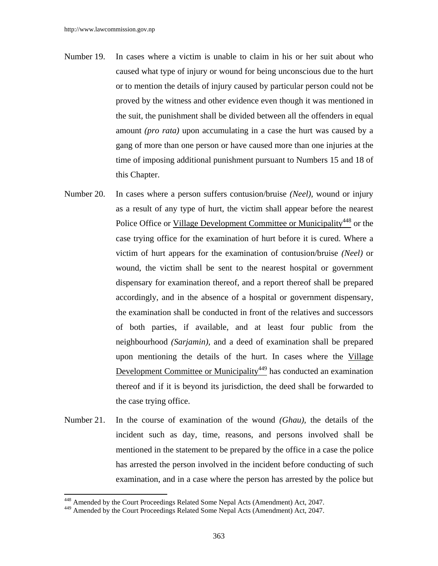- Number 19. In cases where a victim is unable to claim in his or her suit about who caused what type of injury or wound for being unconscious due to the hurt or to mention the details of injury caused by particular person could not be proved by the witness and other evidence even though it was mentioned in the suit, the punishment shall be divided between all the offenders in equal amount *(pro rata)* upon accumulating in a case the hurt was caused by a gang of more than one person or have caused more than one injuries at the time of imposing additional punishment pursuant to Numbers 15 and 18 of this Chapter.
- Number 20. In cases where a person suffers contusion/bruise *(Neel),* wound or injury as a result of any type of hurt, the victim shall appear before the nearest Police Office or Village Development Committee or Municipality<sup>448</sup> or the case trying office for the examination of hurt before it is cured. Where a victim of hurt appears for the examination of contusion/bruise *(Neel)* or wound, the victim shall be sent to the nearest hospital or government dispensary for examination thereof, and a report thereof shall be prepared accordingly, and in the absence of a hospital or government dispensary, the examination shall be conducted in front of the relatives and successors of both parties, if available, and at least four public from the neighbourhood *(Sarjamin),* and a deed of examination shall be prepared upon mentioning the details of the hurt. In cases where the Village Development Committee or Municipality<sup>449</sup> has conducted an examination thereof and if it is beyond its jurisdiction, the deed shall be forwarded to the case trying office.
- Number 21. In the course of examination of the wound *(Ghau),* the details of the incident such as day, time, reasons, and persons involved shall be mentioned in the statement to be prepared by the office in a case the police has arrested the person involved in the incident before conducting of such examination, and in a case where the person has arrested by the police but

<sup>448</sup> Amended by the Court Proceedings Related Some Nepal Acts (Amendment) Act, 2047.

<sup>449</sup> Amended by the Court Proceedings Related Some Nepal Acts (Amendment) Act, 2047.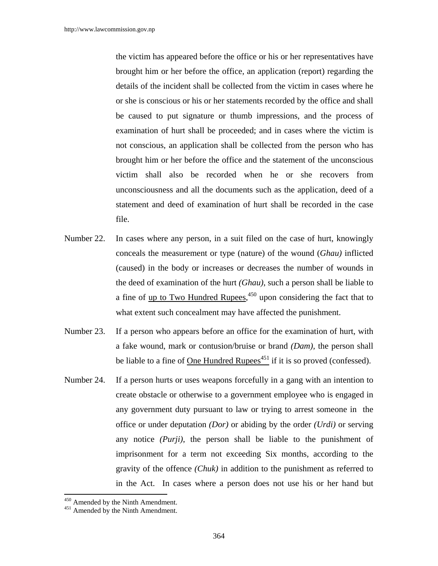the victim has appeared before the office or his or her representatives have brought him or her before the office, an application (report) regarding the details of the incident shall be collected from the victim in cases where he or she is conscious or his or her statements recorded by the office and shall be caused to put signature or thumb impressions, and the process of examination of hurt shall be proceeded; and in cases where the victim is not conscious, an application shall be collected from the person who has brought him or her before the office and the statement of the unconscious victim shall also be recorded when he or she recovers from unconsciousness and all the documents such as the application, deed of a statement and deed of examination of hurt shall be recorded in the case file.

- Number 22. In cases where any person, in a suit filed on the case of hurt, knowingly conceals the measurement or type (nature) of the wound (*Ghau)* inflicted (caused) in the body or increases or decreases the number of wounds in the deed of examination of the hurt *(Ghau)*, such a person shall be liable to a fine of <u>up to Two Hundred Rupees</u>,<sup>450</sup> upon considering the fact that to what extent such concealment may have affected the punishment.
- Number 23. If a person who appears before an office for the examination of hurt, with a fake wound, mark or contusion/bruise or brand *(Dam),* the person shall be liable to a fine of One Hundred Rupees $451$  if it is so proved (confessed).
- Number 24. If a person hurts or uses weapons forcefully in a gang with an intention to create obstacle or otherwise to a government employee who is engaged in any government duty pursuant to law or trying to arrest someone in the office or under deputation *(Dor)* or abiding by the order *(Urdi)* or serving any notice *(Purji)*, the person shall be liable to the punishment of imprisonment for a term not exceeding Six months, according to the gravity of the offence *(Chuk)* in addition to the punishment as referred to in the Act. In cases where a person does not use his or her hand but

 $450$  Amended by the Ninth Amendment.<br> $451$  Amended by the Ninth Amendment.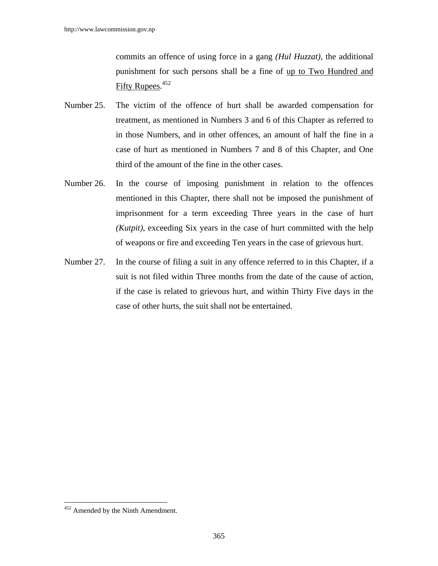commits an offence of using force in a gang *(Hul Huzzat)*, the additional punishment for such persons shall be a fine of up to Two Hundred and Fifty Rupees.<sup>452</sup>

- Number 25. The victim of the offence of hurt shall be awarded compensation for treatment, as mentioned in Numbers 3 and 6 of this Chapter as referred to in those Numbers, and in other offences, an amount of half the fine in a case of hurt as mentioned in Numbers 7 and 8 of this Chapter, and One third of the amount of the fine in the other cases.
- Number 26. In the course of imposing punishment in relation to the offences mentioned in this Chapter, there shall not be imposed the punishment of imprisonment for a term exceeding Three years in the case of hurt *(Kutpit)*, exceeding Six years in the case of hurt committed with the help of weapons or fire and exceeding Ten years in the case of grievous hurt.
- Number 27. In the course of filing a suit in any offence referred to in this Chapter, if a suit is not filed within Three months from the date of the cause of action, if the case is related to grievous hurt, and within Thirty Five days in the case of other hurts, the suit shall not be entertained.

 $452$  Amended by the Ninth Amendment.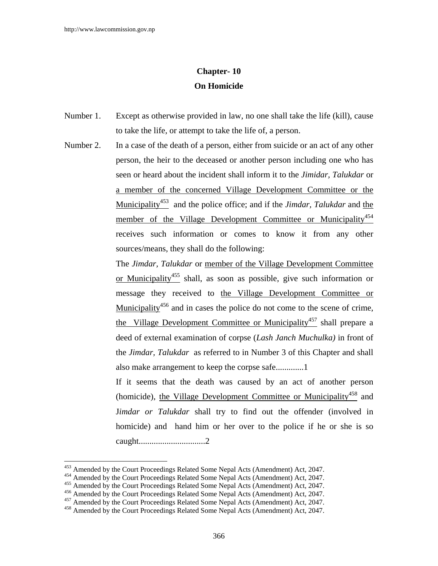# **Chapter- 10 On Homicide**

- Number 1. Except as otherwise provided in law, no one shall take the life (kill), cause to take the life, or attempt to take the life of, a person.
- Number 2. In a case of the death of a person, either from suicide or an act of any other person, the heir to the deceased or another person including one who has seen or heard about the incident shall inform it to the *Jimidar, Talukdar* or a member of the concerned Village Development Committee or the Municipality453 and the police office; and if the *Jimdar, Talukdar* and the member of the Village Development Committee or Municipality<sup>454</sup> receives such information or comes to know it from any other sources/means, they shall do the following:

 The *Jimdar, Talukdar* or member of the Village Development Committee or Municipality455 shall, as soon as possible, give such information or message they received to the Village Development Committee or Municipality<sup> $456$ </sup> and in cases the police do not come to the scene of crime, the Village Development Committee or Municipality<sup>457</sup> shall prepare a deed of external examination of corpse (*Lash Janch Muchulka)* in front of the *Jimdar, Talukdar* as referred to in Number 3 of this Chapter and shall also make arrangement to keep the corpse safe.............1

If it seems that the death was caused by an act of another person (homicide), the Village Development Committee or Municipality<sup>458</sup> and J*imdar or Talukdar* shall try to find out the offender (involved in homicide) and hand him or her over to the police if he or she is so caught...............................2

<sup>453</sup> Amended by the Court Proceedings Related Some Nepal Acts (Amendment) Act, 2047.

<sup>&</sup>lt;sup>454</sup> Amended by the Court Proceedings Related Some Nepal Acts (Amendment) Act, 2047.<br><sup>455</sup> Amended by the Court Proceedings Related Some Nepal Acts (Amendment) Act, 2047.<br><sup>456</sup> Amended by the Court Proceedings Related So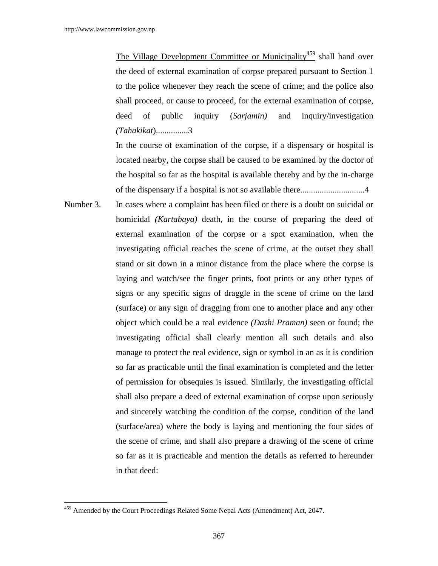The Village Development Committee or Municipality<sup>459</sup> shall hand over the deed of external examination of corpse prepared pursuant to Section 1 to the police whenever they reach the scene of crime; and the police also shall proceed, or cause to proceed, for the external examination of corpse, deed of public inquiry (*Sarjamin)* and inquiry/investigation *(Tahakikat*)...............3

In the course of examination of the corpse, if a dispensary or hospital is located nearby, the corpse shall be caused to be examined by the doctor of the hospital so far as the hospital is available thereby and by the in-charge of the dispensary if a hospital is not so available there..............................4

Number 3. In cases where a complaint has been filed or there is a doubt on suicidal or homicidal *(Kartabaya)* death, in the course of preparing the deed of external examination of the corpse or a spot examination, when the investigating official reaches the scene of crime, at the outset they shall stand or sit down in a minor distance from the place where the corpse is laying and watch/see the finger prints, foot prints or any other types of signs or any specific signs of draggle in the scene of crime on the land (surface) or any sign of dragging from one to another place and any other object which could be a real evidence *(Dashi Praman)* seen or found; the investigating official shall clearly mention all such details and also manage to protect the real evidence, sign or symbol in an as it is condition so far as practicable until the final examination is completed and the letter of permission for obsequies is issued. Similarly, the investigating official shall also prepare a deed of external examination of corpse upon seriously and sincerely watching the condition of the corpse, condition of the land (surface/area) where the body is laying and mentioning the four sides of the scene of crime, and shall also prepare a drawing of the scene of crime so far as it is practicable and mention the details as referred to hereunder in that deed:

<sup>&</sup>lt;sup>459</sup> Amended by the Court Proceedings Related Some Nepal Acts (Amendment) Act, 2047.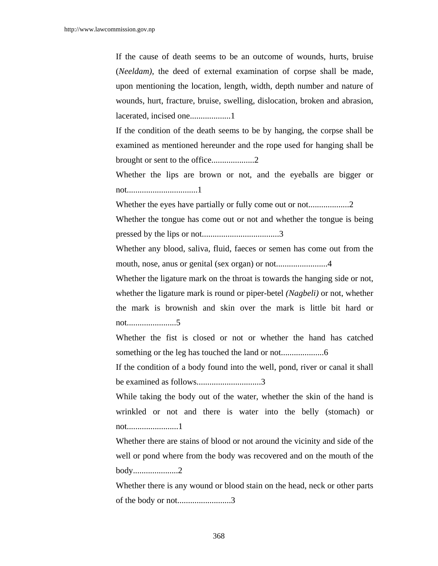If the cause of death seems to be an outcome of wounds, hurts, bruise (*Neeldam)*, the deed of external examination of corpse shall be made, upon mentioning the location, length, width, depth number and nature of wounds, hurt, fracture, bruise, swelling, dislocation, broken and abrasion, lacerated, incised one...................1

If the condition of the death seems to be by hanging, the corpse shall be examined as mentioned hereunder and the rope used for hanging shall be brought or sent to the office....................2

Whether the lips are brown or not, and the eyeballs are bigger or not.................................1

Whether the eyes have partially or fully come out or not...................2

Whether the tongue has come out or not and whether the tongue is being pressed by the lips or not....................................3

Whether any blood, saliva, fluid, faeces or semen has come out from the mouth, nose, anus or genital (sex organ) or not........................4

Whether the ligature mark on the throat is towards the hanging side or not, whether the ligature mark is round or piper-betel *(Nagbeli)* or not, whether the mark is brownish and skin over the mark is little bit hard or not.......................5

Whether the fist is closed or not or whether the hand has catched something or the leg has touched the land or not....................6

If the condition of a body found into the well, pond, river or canal it shall be examined as follows.................................3

While taking the body out of the water, whether the skin of the hand is wrinkled or not and there is water into the belly (stomach) or not........................1

Whether there are stains of blood or not around the vicinity and side of the well or pond where from the body was recovered and on the mouth of the body.....................2

Whether there is any wound or blood stain on the head, neck or other parts of the body or not.........................3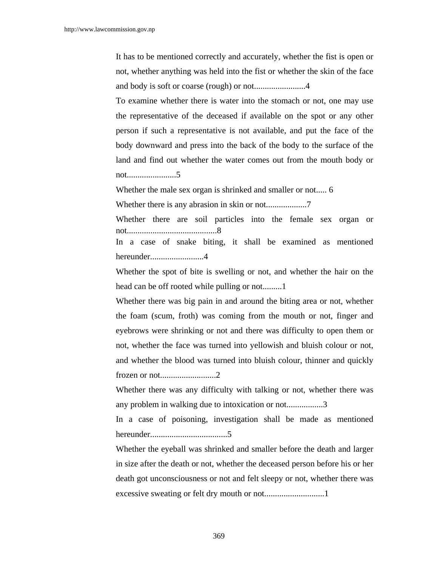It has to be mentioned correctly and accurately, whether the fist is open or not, whether anything was held into the fist or whether the skin of the face and body is soft or coarse (rough) or not........................4

To examine whether there is water into the stomach or not, one may use the representative of the deceased if available on the spot or any other person if such a representative is not available, and put the face of the body downward and press into the back of the body to the surface of the land and find out whether the water comes out from the mouth body or not.......................5

Whether the male sex organ is shrinked and smaller or not..... 6

Whether there is any abrasion in skin or not...................7

Whether there are soil particles into the female sex organ or not..........................................8

In a case of snake biting, it shall be examined as mentioned hereunder.........................4

Whether the spot of bite is swelling or not, and whether the hair on the head can be off rooted while pulling or not.........1

Whether there was big pain in and around the biting area or not, whether the foam (scum, froth) was coming from the mouth or not, finger and eyebrows were shrinking or not and there was difficulty to open them or not, whether the face was turned into yellowish and bluish colour or not, and whether the blood was turned into bluish colour, thinner and quickly frozen or not..........................2

Whether there was any difficulty with talking or not, whether there was any problem in walking due to intoxication or not.................3

In a case of poisoning, investigation shall be made as mentioned hereunder....................................5

Whether the eyeball was shrinked and smaller before the death and larger in size after the death or not, whether the deceased person before his or her death got unconsciousness or not and felt sleepy or not, whether there was excessive sweating or felt dry mouth or not............................1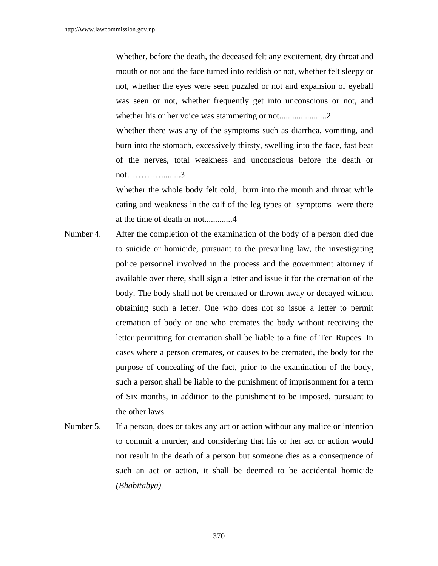Whether, before the death, the deceased felt any excitement, dry throat and mouth or not and the face turned into reddish or not, whether felt sleepy or not, whether the eyes were seen puzzled or not and expansion of eyeball was seen or not, whether frequently get into unconscious or not, and whether his or her voice was stammering or not......................2

Whether there was any of the symptoms such as diarrhea, vomiting, and burn into the stomach, excessively thirsty, swelling into the face, fast beat of the nerves, total weakness and unconscious before the death or not………….........3

Whether the whole body felt cold, burn into the mouth and throat while eating and weakness in the calf of the leg types of symptoms were there at the time of death or not.............4

- Number 4. After the completion of the examination of the body of a person died due to suicide or homicide, pursuant to the prevailing law, the investigating police personnel involved in the process and the government attorney if available over there, shall sign a letter and issue it for the cremation of the body. The body shall not be cremated or thrown away or decayed without obtaining such a letter. One who does not so issue a letter to permit cremation of body or one who cremates the body without receiving the letter permitting for cremation shall be liable to a fine of Ten Rupees. In cases where a person cremates, or causes to be cremated, the body for the purpose of concealing of the fact, prior to the examination of the body, such a person shall be liable to the punishment of imprisonment for a term of Six months, in addition to the punishment to be imposed, pursuant to the other laws.
- Number 5. If a person, does or takes any act or action without any malice or intention to commit a murder, and considering that his or her act or action would not result in the death of a person but someone dies as a consequence of such an act or action, it shall be deemed to be accidental homicide *(Bhabitabya)*.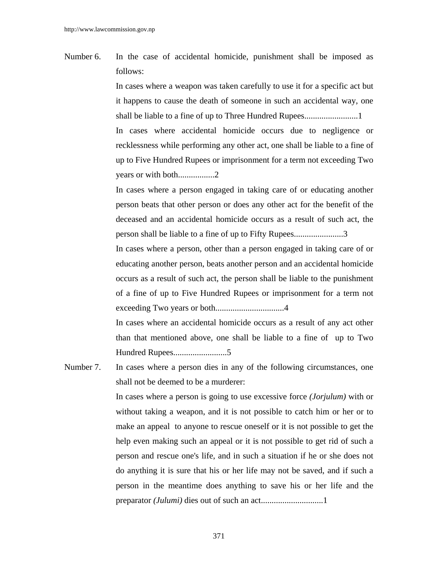Number 6. In the case of accidental homicide, punishment shall be imposed as follows:

> In cases where a weapon was taken carefully to use it for a specific act but it happens to cause the death of someone in such an accidental way, one shall be liable to a fine of up to Three Hundred Rupees.........................1 In cases where accidental homicide occurs due to negligence or recklessness while performing any other act, one shall be liable to a fine of up to Five Hundred Rupees or imprisonment for a term not exceeding Two years or with both.................2

> In cases where a person engaged in taking care of or educating another person beats that other person or does any other act for the benefit of the deceased and an accidental homicide occurs as a result of such act, the person shall be liable to a fine of up to Fifty Rupees.......................3

> In cases where a person, other than a person engaged in taking care of or educating another person, beats another person and an accidental homicide occurs as a result of such act, the person shall be liable to the punishment of a fine of up to Five Hundred Rupees or imprisonment for a term not exceeding Two years or both................................4

> In cases where an accidental homicide occurs as a result of any act other than that mentioned above, one shall be liable to a fine of up to Two Hundred Rupees.........................5

Number 7. In cases where a person dies in any of the following circumstances, one shall not be deemed to be a murderer:

> In cases where a person is going to use excessive force *(Jorjulum)* with or without taking a weapon, and it is not possible to catch him or her or to make an appeal to anyone to rescue oneself or it is not possible to get the help even making such an appeal or it is not possible to get rid of such a person and rescue one's life, and in such a situation if he or she does not do anything it is sure that his or her life may not be saved, and if such a person in the meantime does anything to save his or her life and the preparator *(Julumi)* dies out of such an act.............................1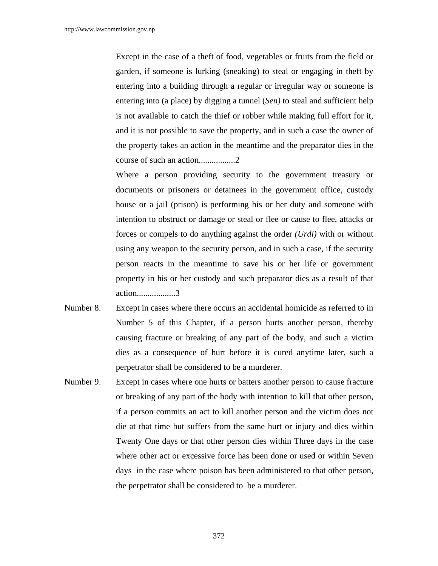Except in the case of a theft of food, vegetables or fruits from the field or garden, if someone is lurking (sneaking) to steal or engaging in theft by entering into a building through a regular or irregular way or someone is entering into (a place) by digging a tunnel (*Sen)* to steal and sufficient help is not available to catch the thief or robber while making full effort for it, and it is not possible to save the property, and in such a case the owner of the property takes an action in the meantime and the preparator dies in the course of such an action.................2

Where a person providing security to the government treasury or documents or prisoners or detainees in the government office, custody house or a jail (prison) is performing his or her duty and someone with intention to obstruct or damage or steal or flee or cause to flee, attacks or forces or compels to do anything against the order *(Urdi)* with or without using any weapon to the security person, and in such a case, if the security person reacts in the meantime to save his or her life or government property in his or her custody and such preparator dies as a result of that action..................3

- Number 8. Except in cases where there occurs an accidental homicide as referred to in Number 5 of this Chapter, if a person hurts another person, thereby causing fracture or breaking of any part of the body, and such a victim dies as a consequence of hurt before it is cured anytime later, such a perpetrator shall be considered to be a murderer.
- Number 9. Except in cases where one hurts or batters another person to cause fracture or breaking of any part of the body with intention to kill that other person, if a person commits an act to kill another person and the victim does not die at that time but suffers from the same hurt or injury and dies within Twenty One days or that other person dies within Three days in the case where other act or excessive force has been done or used or within Seven days in the case where poison has been administered to that other person, the perpetrator shall be considered to be a murderer.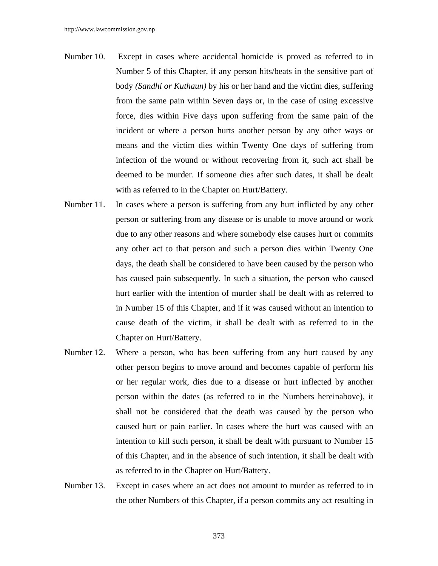- Number 10. Except in cases where accidental homicide is proved as referred to in Number 5 of this Chapter, if any person hits/beats in the sensitive part of body *(Sandhi or Kuthaun)* by his or her hand and the victim dies, suffering from the same pain within Seven days or, in the case of using excessive force, dies within Five days upon suffering from the same pain of the incident or where a person hurts another person by any other ways or means and the victim dies within Twenty One days of suffering from infection of the wound or without recovering from it, such act shall be deemed to be murder. If someone dies after such dates, it shall be dealt with as referred to in the Chapter on Hurt/Battery.
- Number 11. In cases where a person is suffering from any hurt inflicted by any other person or suffering from any disease or is unable to move around or work due to any other reasons and where somebody else causes hurt or commits any other act to that person and such a person dies within Twenty One days, the death shall be considered to have been caused by the person who has caused pain subsequently. In such a situation, the person who caused hurt earlier with the intention of murder shall be dealt with as referred to in Number 15 of this Chapter, and if it was caused without an intention to cause death of the victim, it shall be dealt with as referred to in the Chapter on Hurt/Battery.
- Number 12. Where a person, who has been suffering from any hurt caused by any other person begins to move around and becomes capable of perform his or her regular work, dies due to a disease or hurt inflected by another person within the dates (as referred to in the Numbers hereinabove), it shall not be considered that the death was caused by the person who caused hurt or pain earlier. In cases where the hurt was caused with an intention to kill such person, it shall be dealt with pursuant to Number 15 of this Chapter, and in the absence of such intention, it shall be dealt with as referred to in the Chapter on Hurt/Battery.
- Number 13. Except in cases where an act does not amount to murder as referred to in the other Numbers of this Chapter, if a person commits any act resulting in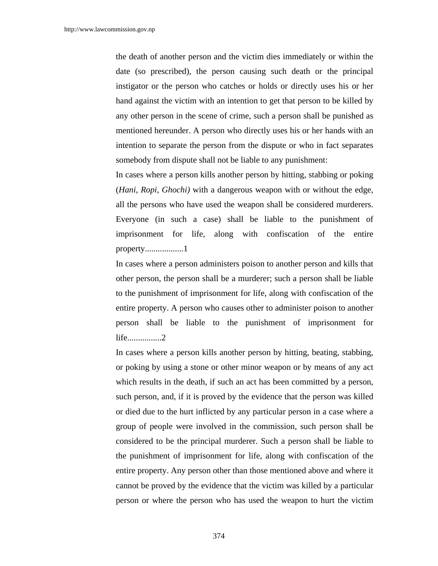the death of another person and the victim dies immediately or within the date (so prescribed), the person causing such death or the principal instigator or the person who catches or holds or directly uses his or her hand against the victim with an intention to get that person to be killed by any other person in the scene of crime, such a person shall be punished as mentioned hereunder. A person who directly uses his or her hands with an intention to separate the person from the dispute or who in fact separates somebody from dispute shall not be liable to any punishment:

In cases where a person kills another person by hitting, stabbing or poking (*Hani, Ropi, Ghochi)* with a dangerous weapon with or without the edge, all the persons who have used the weapon shall be considered murderers. Everyone (in such a case) shall be liable to the punishment of imprisonment for life, along with confiscation of the entire property..................1

In cases where a person administers poison to another person and kills that other person, the person shall be a murderer; such a person shall be liable to the punishment of imprisonment for life, along with confiscation of the entire property. A person who causes other to administer poison to another person shall be liable to the punishment of imprisonment for life................2

In cases where a person kills another person by hitting, beating, stabbing, or poking by using a stone or other minor weapon or by means of any act which results in the death, if such an act has been committed by a person, such person, and, if it is proved by the evidence that the person was killed or died due to the hurt inflicted by any particular person in a case where a group of people were involved in the commission, such person shall be considered to be the principal murderer. Such a person shall be liable to the punishment of imprisonment for life, along with confiscation of the entire property. Any person other than those mentioned above and where it cannot be proved by the evidence that the victim was killed by a particular person or where the person who has used the weapon to hurt the victim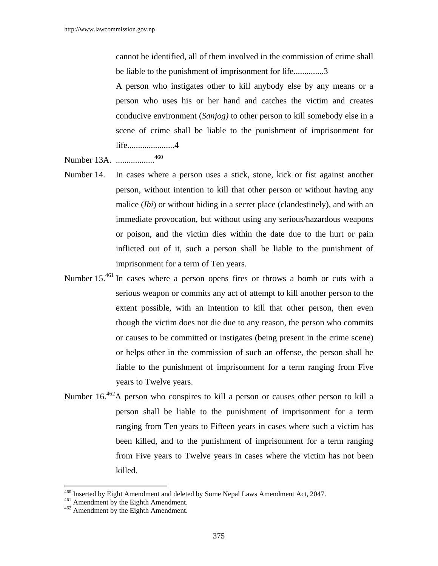cannot be identified, all of them involved in the commission of crime shall be liable to the punishment of imprisonment for life..............3

A person who instigates other to kill anybody else by any means or a person who uses his or her hand and catches the victim and creates conducive environment (*Sanjog)* to other person to kill somebody else in a scene of crime shall be liable to the punishment of imprisonment for life......................4

Number 13A. ..................460

- Number 14. In cases where a person uses a stick, stone, kick or fist against another person, without intention to kill that other person or without having any malice (*Ibi*) or without hiding in a secret place (clandestinely), and with an immediate provocation, but without using any serious/hazardous weapons or poison, and the victim dies within the date due to the hurt or pain inflicted out of it, such a person shall be liable to the punishment of imprisonment for a term of Ten years.
- Number 15.<sup>461</sup> In cases where a person opens fires or throws a bomb or cuts with a serious weapon or commits any act of attempt to kill another person to the extent possible, with an intention to kill that other person, then even though the victim does not die due to any reason, the person who commits or causes to be committed or instigates (being present in the crime scene) or helps other in the commission of such an offense, the person shall be liable to the punishment of imprisonment for a term ranging from Five years to Twelve years.
- Number 16.462A person who conspires to kill a person or causes other person to kill a person shall be liable to the punishment of imprisonment for a term ranging from Ten years to Fifteen years in cases where such a victim has been killed, and to the punishment of imprisonment for a term ranging from Five years to Twelve years in cases where the victim has not been killed.

<sup>&</sup>lt;sup>460</sup> Inserted by Eight Amendment and deleted by Some Nepal Laws Amendment Act, 2047.<br><sup>461</sup> Amendment by the Eighth Amendment.<br><sup>462</sup> Amendment by the Eighth Amendment.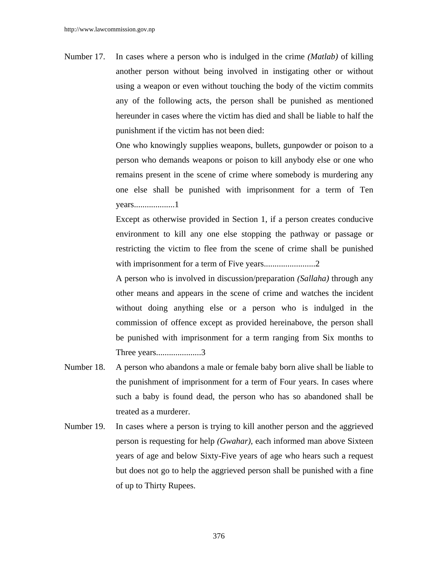Number 17. In cases where a person who is indulged in the crime *(Matlab)* of killing another person without being involved in instigating other or without using a weapon or even without touching the body of the victim commits any of the following acts, the person shall be punished as mentioned hereunder in cases where the victim has died and shall be liable to half the punishment if the victim has not been died:

> One who knowingly supplies weapons, bullets, gunpowder or poison to a person who demands weapons or poison to kill anybody else or one who remains present in the scene of crime where somebody is murdering any one else shall be punished with imprisonment for a term of Ten years...................1

> Except as otherwise provided in Section 1, if a person creates conducive environment to kill any one else stopping the pathway or passage or restricting the victim to flee from the scene of crime shall be punished with imprisonment for a term of Five years...........................2

> A person who is involved in discussion/preparation *(Sallaha)* through any other means and appears in the scene of crime and watches the incident without doing anything else or a person who is indulged in the commission of offence except as provided hereinabove, the person shall be punished with imprisonment for a term ranging from Six months to Three years.........................3

- Number 18. A person who abandons a male or female baby born alive shall be liable to the punishment of imprisonment for a term of Four years. In cases where such a baby is found dead, the person who has so abandoned shall be treated as a murderer.
- Number 19. In cases where a person is trying to kill another person and the aggrieved person is requesting for help *(Gwahar)*, each informed man above Sixteen years of age and below Sixty-Five years of age who hears such a request but does not go to help the aggrieved person shall be punished with a fine of up to Thirty Rupees.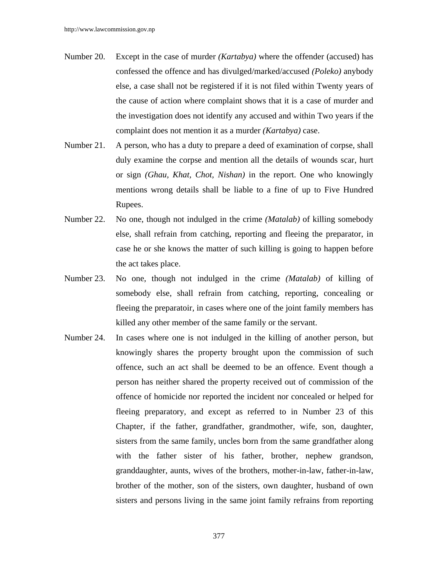- Number 20. Except in the case of murder *(Kartabya)* where the offender (accused) has confessed the offence and has divulged/marked/accused *(Poleko)* anybody else, a case shall not be registered if it is not filed within Twenty years of the cause of action where complaint shows that it is a case of murder and the investigation does not identify any accused and within Two years if the complaint does not mention it as a murder *(Kartabya)* case.
- Number 21. A person, who has a duty to prepare a deed of examination of corpse, shall duly examine the corpse and mention all the details of wounds scar, hurt or sign *(Ghau, Khat, Chot, Nishan)* in the report. One who knowingly mentions wrong details shall be liable to a fine of up to Five Hundred Rupees.
- Number 22. No one, though not indulged in the crime *(Matalab)* of killing somebody else, shall refrain from catching, reporting and fleeing the preparator, in case he or she knows the matter of such killing is going to happen before the act takes place.
- Number 23. No one, though not indulged in the crime *(Matalab)* of killing of somebody else, shall refrain from catching, reporting, concealing or fleeing the preparatoir, in cases where one of the joint family members has killed any other member of the same family or the servant.
- Number 24. In cases where one is not indulged in the killing of another person, but knowingly shares the property brought upon the commission of such offence, such an act shall be deemed to be an offence. Event though a person has neither shared the property received out of commission of the offence of homicide nor reported the incident nor concealed or helped for fleeing preparatory, and except as referred to in Number 23 of this Chapter, if the father, grandfather, grandmother, wife, son, daughter, sisters from the same family, uncles born from the same grandfather along with the father sister of his father, brother, nephew grandson, granddaughter, aunts, wives of the brothers, mother-in-law, father-in-law, brother of the mother, son of the sisters, own daughter, husband of own sisters and persons living in the same joint family refrains from reporting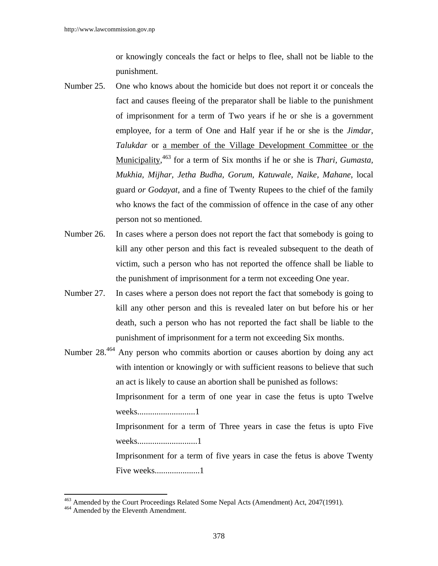or knowingly conceals the fact or helps to flee, shall not be liable to the punishment.

- Number 25. One who knows about the homicide but does not report it or conceals the fact and causes fleeing of the preparator shall be liable to the punishment of imprisonment for a term of Two years if he or she is a government employee, for a term of One and Half year if he or she is the *Jimdar, Talukdar* or a member of the Village Development Committee or the Municipality, 463 for a term of Six months if he or she is *Thari, Gumasta, Mukhia, Mijhar, Jetha Budha, Gorum, Katuwale, Naike, Mahane*, local guard *or Godayat*, and a fine of Twenty Rupees to the chief of the family who knows the fact of the commission of offence in the case of any other person not so mentioned.
- Number 26. In cases where a person does not report the fact that somebody is going to kill any other person and this fact is revealed subsequent to the death of victim, such a person who has not reported the offence shall be liable to the punishment of imprisonment for a term not exceeding One year.
- Number 27. In cases where a person does not report the fact that somebody is going to kill any other person and this is revealed later on but before his or her death, such a person who has not reported the fact shall be liable to the punishment of imprisonment for a term not exceeding Six months.
- Number 28.464 Any person who commits abortion or causes abortion by doing any act with intention or knowingly or with sufficient reasons to believe that such an act is likely to cause an abortion shall be punished as follows: Imprisonment for a term of one year in case the fetus is upto Twelve weeks...........................1 Imprisonment for a term of Three years in case the fetus is upto Five weeks............................1 Imprisonment for a term of five years in case the fetus is above Twenty Five weeks..........................1

<sup>&</sup>lt;sup>463</sup> Amended by the Court Proceedings Related Some Nepal Acts (Amendment) Act, 2047(1991).<br><sup>464</sup> Amended by the Eleventh Amendment.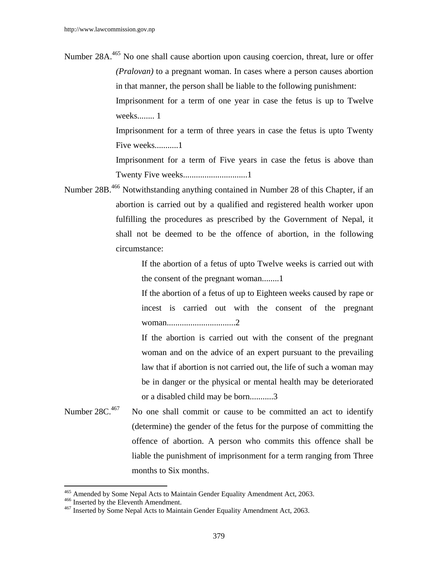Number 28A.<sup>465</sup> No one shall cause abortion upon causing coercion, threat, lure or offer *(Pralovan)* to a pregnant woman. In cases where a person causes abortion in that manner, the person shall be liable to the following punishment: Imprisonment for a term of one year in case the fetus is up to Twelve weeks........ 1

Imprisonment for a term of three years in case the fetus is upto Twenty Five weeks...........1

Imprisonment for a term of Five years in case the fetus is above than Twenty Five weeks..............................1

Number 28B.466 Notwithstanding anything contained in Number 28 of this Chapter, if an abortion is carried out by a qualified and registered health worker upon fulfilling the procedures as prescribed by the Government of Nepal, it shall not be deemed to be the offence of abortion, in the following circumstance:

> If the abortion of a fetus of upto Twelve weeks is carried out with the consent of the pregnant woman........1

> If the abortion of a fetus of up to Eighteen weeks caused by rape or incest is carried out with the consent of the pregnant woman................................2

> If the abortion is carried out with the consent of the pregnant woman and on the advice of an expert pursuant to the prevailing law that if abortion is not carried out, the life of such a woman may be in danger or the physical or mental health may be deteriorated or a disabled child may be born...........3

Number  $28C<sup>467</sup>$  No one shall commit or cause to be committed an act to identify (determine) the gender of the fetus for the purpose of committing the offence of abortion. A person who commits this offence shall be liable the punishment of imprisonment for a term ranging from Three months to Six months.

<sup>465</sup> Amended by Some Nepal Acts to Maintain Gender Equality Amendment Act, 2063.

<sup>&</sup>lt;sup>466</sup> Inserted by the Eleventh Amendment.<br><sup>467</sup> Inserted by Some Nepal Acts to Maintain Gender Equality Amendment Act, 2063.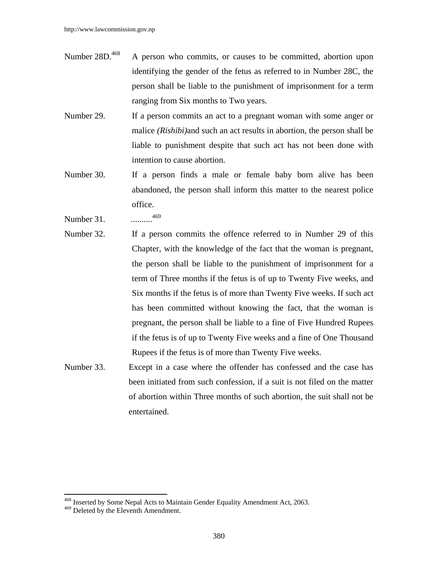- Number 28D.<sup>468</sup> A person who commits, or causes to be committed, abortion upon identifying the gender of the fetus as referred to in Number 28C, the person shall be liable to the punishment of imprisonment for a term ranging from Six months to Two years.
- Number 29. If a person commits an act to a pregnant woman with some anger or malice *(Rishibi)*and such an act results in abortion, the person shall be liable to punishment despite that such act has not been done with intention to cause abortion.
- Number 30. If a person finds a male or female baby born alive has been abandoned, the person shall inform this matter to the nearest police office.
- Number 31. ..........<sup>469</sup>
- Number 32. If a person commits the offence referred to in Number 29 of this Chapter, with the knowledge of the fact that the woman is pregnant, the person shall be liable to the punishment of imprisonment for a term of Three months if the fetus is of up to Twenty Five weeks, and Six months if the fetus is of more than Twenty Five weeks. If such act has been committed without knowing the fact, that the woman is pregnant, the person shall be liable to a fine of Five Hundred Rupees if the fetus is of up to Twenty Five weeks and a fine of One Thousand Rupees if the fetus is of more than Twenty Five weeks.
- Number 33. Except in a case where the offender has confessed and the case has been initiated from such confession, if a suit is not filed on the matter of abortion within Three months of such abortion, the suit shall not be entertained.

<sup>468</sup> Inserted by Some Nepal Acts to Maintain Gender Equality Amendment Act, 2063.

<sup>&</sup>lt;sup>469</sup> Deleted by the Eleventh Amendment.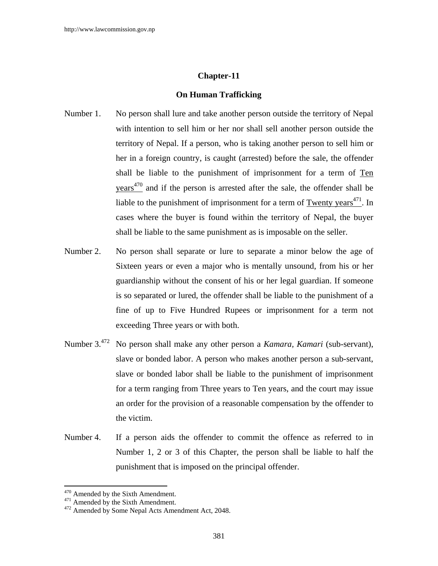### **Chapter-11**

#### **On Human Trafficking**

- Number 1. No person shall lure and take another person outside the territory of Nepal with intention to sell him or her nor shall sell another person outside the territory of Nepal. If a person, who is taking another person to sell him or her in a foreign country, is caught (arrested) before the sale, the offender shall be liable to the punishment of imprisonment for a term of Ten  $yeares<sup>470</sup>$  and if the person is arrested after the sale, the offender shall be liable to the punishment of imprisonment for a term of Twenty years $471$ . In cases where the buyer is found within the territory of Nepal, the buyer shall be liable to the same punishment as is imposable on the seller.
- Number 2. No person shall separate or lure to separate a minor below the age of Sixteen years or even a major who is mentally unsound, from his or her guardianship without the consent of his or her legal guardian. If someone is so separated or lured, the offender shall be liable to the punishment of a fine of up to Five Hundred Rupees or imprisonment for a term not exceeding Three years or with both.
- Number 3.472 No person shall make any other person a *Kamara, Kamari* (sub-servant), slave or bonded labor. A person who makes another person a sub-servant, slave or bonded labor shall be liable to the punishment of imprisonment for a term ranging from Three years to Ten years, and the court may issue an order for the provision of a reasonable compensation by the offender to the victim.
- Number 4. If a person aids the offender to commit the offence as referred to in Number 1, 2 or 3 of this Chapter, the person shall be liable to half the punishment that is imposed on the principal offender.

<sup>&</sup>lt;sup>470</sup> Amended by the Sixth Amendment.

 $471$  Amended by the Sixth Amendment.<br> $472$  Amended by Some Nepal Acts Amendment Act, 2048.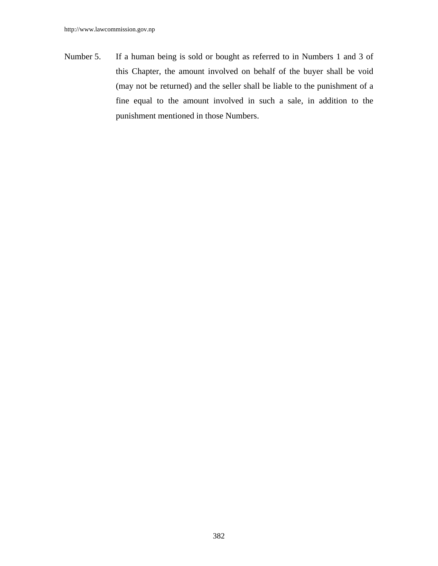Number 5. If a human being is sold or bought as referred to in Numbers 1 and 3 of this Chapter, the amount involved on behalf of the buyer shall be void (may not be returned) and the seller shall be liable to the punishment of a fine equal to the amount involved in such a sale, in addition to the punishment mentioned in those Numbers.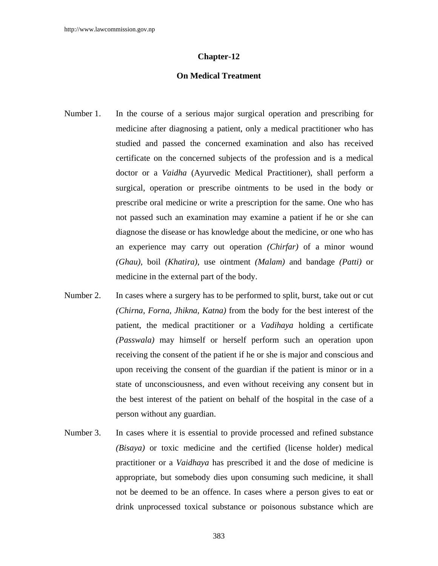# **Chapter-12**

## **On Medical Treatment**

- Number 1. In the course of a serious major surgical operation and prescribing for medicine after diagnosing a patient, only a medical practitioner who has studied and passed the concerned examination and also has received certificate on the concerned subjects of the profession and is a medical doctor or a *Vaidha* (Ayurvedic Medical Practitioner), shall perform a surgical, operation or prescribe ointments to be used in the body or prescribe oral medicine or write a prescription for the same. One who has not passed such an examination may examine a patient if he or she can diagnose the disease or has knowledge about the medicine, or one who has an experience may carry out operation *(Chirfar)* of a minor wound *(Ghau)*, boil *(Khatira),* use ointment *(Malam)* and bandage *(Patti)* or medicine in the external part of the body.
- Number 2. In cases where a surgery has to be performed to split, burst, take out or cut *(Chirna, Forna, Jhikna, Katna)* from the body for the best interest of the patient, the medical practitioner or a *Vadihaya* holding a certificate *(Passwala)* may himself or herself perform such an operation upon receiving the consent of the patient if he or she is major and conscious and upon receiving the consent of the guardian if the patient is minor or in a state of unconsciousness, and even without receiving any consent but in the best interest of the patient on behalf of the hospital in the case of a person without any guardian.
- Number 3. In cases where it is essential to provide processed and refined substance *(Bisaya)* or toxic medicine and the certified (license holder) medical practitioner or a *Vaidhaya* has prescribed it and the dose of medicine is appropriate, but somebody dies upon consuming such medicine, it shall not be deemed to be an offence. In cases where a person gives to eat or drink unprocessed toxical substance or poisonous substance which are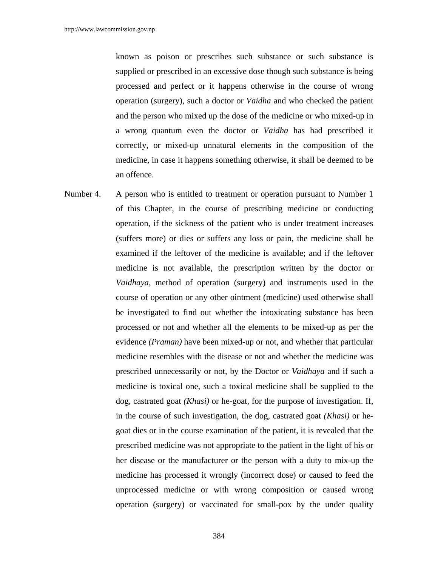known as poison or prescribes such substance or such substance is supplied or prescribed in an excessive dose though such substance is being processed and perfect or it happens otherwise in the course of wrong operation (surgery), such a doctor or *Vaidha* and who checked the patient and the person who mixed up the dose of the medicine or who mixed-up in a wrong quantum even the doctor or *Vaidha* has had prescribed it correctly, or mixed-up unnatural elements in the composition of the medicine, in case it happens something otherwise, it shall be deemed to be an offence.

Number 4. A person who is entitled to treatment or operation pursuant to Number 1 of this Chapter, in the course of prescribing medicine or conducting operation, if the sickness of the patient who is under treatment increases (suffers more) or dies or suffers any loss or pain, the medicine shall be examined if the leftover of the medicine is available; and if the leftover medicine is not available, the prescription written by the doctor or *Vaidhaya,* method of operation (surgery) and instruments used in the course of operation or any other ointment (medicine) used otherwise shall be investigated to find out whether the intoxicating substance has been processed or not and whether all the elements to be mixed-up as per the evidence *(Praman)* have been mixed-up or not, and whether that particular medicine resembles with the disease or not and whether the medicine was prescribed unnecessarily or not, by the Doctor or *Vaidhaya* and if such a medicine is toxical one, such a toxical medicine shall be supplied to the dog, castrated goat *(Khasi)* or he-goat, for the purpose of investigation. If, in the course of such investigation, the dog, castrated goat *(Khasi)* or hegoat dies or in the course examination of the patient, it is revealed that the prescribed medicine was not appropriate to the patient in the light of his or her disease or the manufacturer or the person with a duty to mix-up the medicine has processed it wrongly (incorrect dose) or caused to feed the unprocessed medicine or with wrong composition or caused wrong operation (surgery) or vaccinated for small-pox by the under quality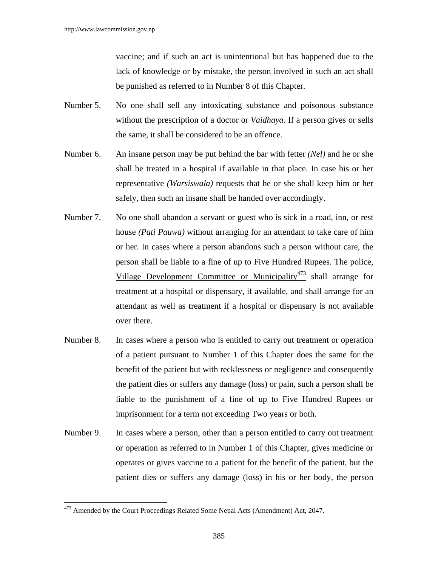vaccine; and if such an act is unintentional but has happened due to the lack of knowledge or by mistake, the person involved in such an act shall be punished as referred to in Number 8 of this Chapter.

- Number 5. No one shall sell any intoxicating substance and poisonous substance without the prescription of a doctor or *Vaidhaya.* If a person gives or sells the same, it shall be considered to be an offence.
- Number 6. An insane person may be put behind the bar with fetter *(Nel)* and he or she shall be treated in a hospital if available in that place. In case his or her representative *(Warsiswala)* requests that he or she shall keep him or her safely, then such an insane shall be handed over accordingly.
- Number 7. No one shall abandon a servant or guest who is sick in a road, inn, or rest house *(Pati Pauwa)* without arranging for an attendant to take care of him or her. In cases where a person abandons such a person without care, the person shall be liable to a fine of up to Five Hundred Rupees. The police, Village Development Committee or Municipality<sup>473</sup> shall arrange for treatment at a hospital or dispensary, if available, and shall arrange for an attendant as well as treatment if a hospital or dispensary is not available over there.
- Number 8. In cases where a person who is entitled to carry out treatment or operation of a patient pursuant to Number 1 of this Chapter does the same for the benefit of the patient but with recklessness or negligence and consequently the patient dies or suffers any damage (loss) or pain, such a person shall be liable to the punishment of a fine of up to Five Hundred Rupees or imprisonment for a term not exceeding Two years or both.
- Number 9. In cases where a person, other than a person entitled to carry out treatment or operation as referred to in Number 1 of this Chapter, gives medicine or operates or gives vaccine to a patient for the benefit of the patient, but the patient dies or suffers any damage (loss) in his or her body, the person

<sup>&</sup>lt;sup>473</sup> Amended by the Court Proceedings Related Some Nepal Acts (Amendment) Act, 2047.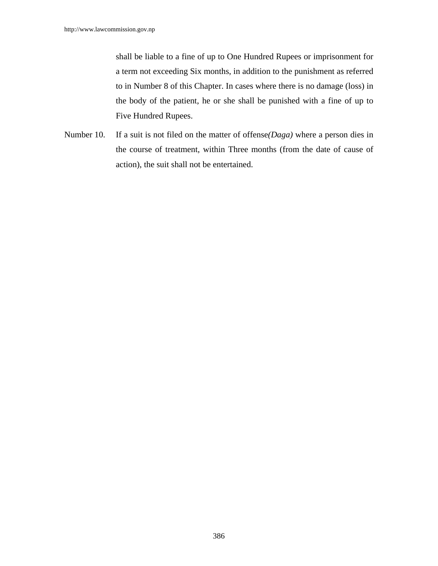shall be liable to a fine of up to One Hundred Rupees or imprisonment for a term not exceeding Six months, in addition to the punishment as referred to in Number 8 of this Chapter. In cases where there is no damage (loss) in the body of the patient, he or she shall be punished with a fine of up to Five Hundred Rupees.

Number 10. If a suit is not filed on the matter of offense*(Daga)* where a person dies in the course of treatment, within Three months (from the date of cause of action), the suit shall not be entertained.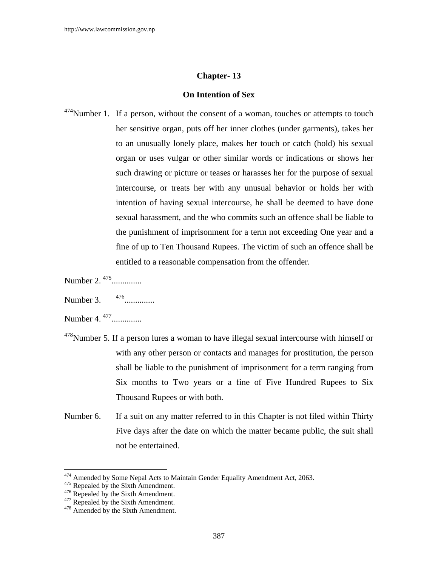# **Chapter- 13**

## **On Intention of Sex**

- $474$ Number 1. If a person, without the consent of a woman, touches or attempts to touch her sensitive organ, puts off her inner clothes (under garments), takes her to an unusually lonely place, makes her touch or catch (hold) his sexual organ or uses vulgar or other similar words or indications or shows her such drawing or picture or teases or harasses her for the purpose of sexual intercourse, or treats her with any unusual behavior or holds her with intention of having sexual intercourse, he shall be deemed to have done sexual harassment, and the who commits such an offence shall be liable to the punishment of imprisonment for a term not exceeding One year and a fine of up to Ten Thousand Rupees. The victim of such an offence shall be entitled to a reasonable compensation from the offender.
- Number 2.<sup>475</sup>...............
- Number 3. 476..............
- Number 4.<sup>477</sup>...............
- $478$ Number 5. If a person lures a woman to have illegal sexual intercourse with himself or with any other person or contacts and manages for prostitution, the person shall be liable to the punishment of imprisonment for a term ranging from Six months to Two years or a fine of Five Hundred Rupees to Six Thousand Rupees or with both.
- Number 6. If a suit on any matter referred to in this Chapter is not filed within Thirty Five days after the date on which the matter became public, the suit shall not be entertained.

<sup>&</sup>lt;sup>474</sup> Amended by Some Nepal Acts to Maintain Gender Equality Amendment Act, 2063.<br><sup>475</sup> Repealed by the Sixth Amendment.<br><sup>476</sup> Repealed by the Sixth Amendment.<br><sup>477</sup> Repealed by the Sixth Amendment.<br><sup>478</sup> Amended by the Si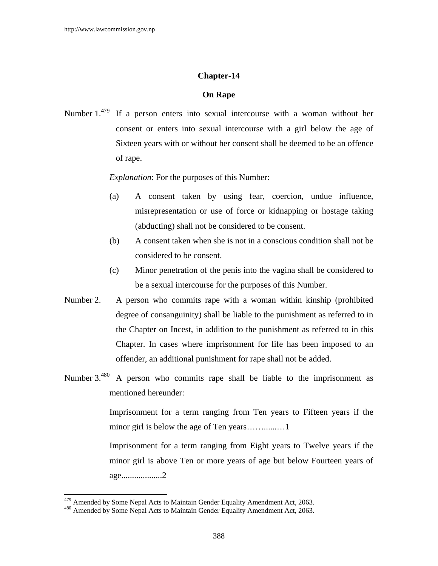# **Chapter-14**

## **On Rape**

Number 1.<sup>479</sup> If a person enters into sexual intercourse with a woman without her consent or enters into sexual intercourse with a girl below the age of Sixteen years with or without her consent shall be deemed to be an offence of rape.

*Explanation*: For the purposes of this Number:

- (a) A consent taken by using fear, coercion, undue influence, misrepresentation or use of force or kidnapping or hostage taking (abducting) shall not be considered to be consent.
- (b) A consent taken when she is not in a conscious condition shall not be considered to be consent.
- (c) Minor penetration of the penis into the vagina shall be considered to be a sexual intercourse for the purposes of this Number.
- Number 2. A person who commits rape with a woman within kinship (prohibited degree of consanguinity) shall be liable to the punishment as referred to in the Chapter on Incest, in addition to the punishment as referred to in this Chapter. In cases where imprisonment for life has been imposed to an offender, an additional punishment for rape shall not be added.
- Number 3.<sup>480</sup> A person who commits rape shall be liable to the imprisonment as mentioned hereunder:

Imprisonment for a term ranging from Ten years to Fifteen years if the minor girl is below the age of Ten years……......…1

Imprisonment for a term ranging from Eight years to Twelve years if the minor girl is above Ten or more years of age but below Fourteen years of age...................2

 $479$  Amended by Some Nepal Acts to Maintain Gender Equality Amendment Act, 2063.<br> $480$  Amended by Some Nepal Acts to Maintain Gender Equality Amendment Act, 2063.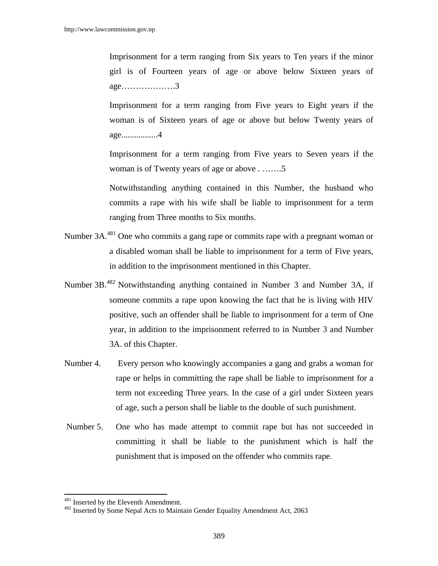Imprisonment for a term ranging from Six years to Ten years if the minor girl is of Fourteen years of age or above below Sixteen years of age……………….3

Imprisonment for a term ranging from Five years to Eight years if the woman is of Sixteen years of age or above but below Twenty years of age.................4

Imprisonment for a term ranging from Five years to Seven years if the woman is of Twenty years of age or above . …….5

Notwithstanding anything contained in this Number, the husband who commits a rape with his wife shall be liable to imprisonment for a term ranging from Three months to Six months.

- Number 3A.<sup>481</sup> One who commits a gang rape or commits rape with a pregnant woman or a disabled woman shall be liable to imprisonment for a term of Five years, in addition to the imprisonment mentioned in this Chapter.
- Number 3B.482 Notwithstanding anything contained in Number 3 and Number 3A, if someone commits a rape upon knowing the fact that he is living with HIV positive, such an offender shall be liable to imprisonment for a term of One year, in addition to the imprisonment referred to in Number 3 and Number 3A. of this Chapter.
- Number 4. Every person who knowingly accompanies a gang and grabs a woman for rape or helps in committing the rape shall be liable to imprisonment for a term not exceeding Three years. In the case of a girl under Sixteen years of age, such a person shall be liable to the double of such punishment.
- Number 5. One who has made attempt to commit rape but has not succeeded in committing it shall be liable to the punishment which is half the punishment that is imposed on the offender who commits rape.

<sup>&</sup>lt;sup>481</sup> Inserted by the Eleventh Amendment.<br><sup>482</sup> Inserted by Some Nepal Acts to Maintain Gender Equality Amendment Act, 2063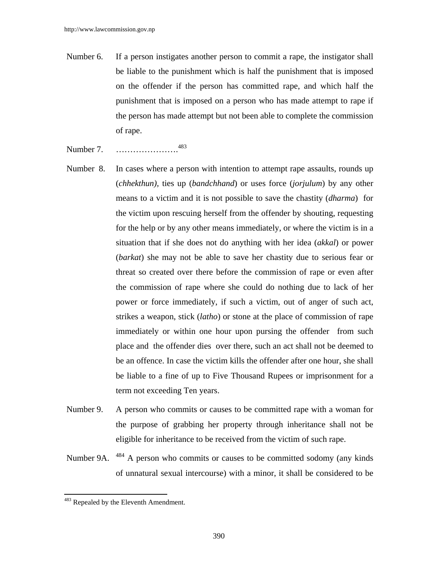- Number 6. If a person instigates another person to commit a rape, the instigator shall be liable to the punishment which is half the punishment that is imposed on the offender if the person has committed rape, and which half the punishment that is imposed on a person who has made attempt to rape if the person has made attempt but not been able to complete the commission of rape.
- Number 7. ………………….<sup>483</sup>
- Number 8. In cases where a person with intention to attempt rape assaults, rounds up (*chhekthun),* ties up (*bandchhand*) or uses force (*jorjulum*) by any other means to a victim and it is not possible to save the chastity (*dharma*) for the victim upon rescuing herself from the offender by shouting, requesting for the help or by any other means immediately, or where the victim is in a situation that if she does not do anything with her idea (*akkal*) or power (*barkat*) she may not be able to save her chastity due to serious fear or threat so created over there before the commission of rape or even after the commission of rape where she could do nothing due to lack of her power or force immediately, if such a victim, out of anger of such act, strikes a weapon, stick (*latho*) or stone at the place of commission of rape immediately or within one hour upon pursing the offender from such place and the offender dies over there, such an act shall not be deemed to be an offence. In case the victim kills the offender after one hour, she shall be liable to a fine of up to Five Thousand Rupees or imprisonment for a term not exceeding Ten years.
- Number 9. A person who commits or causes to be committed rape with a woman for the purpose of grabbing her property through inheritance shall not be eligible for inheritance to be received from the victim of such rape.
- Number 9A. <sup>484</sup> A person who commits or causes to be committed sodomy (any kinds) of unnatural sexual intercourse) with a minor, it shall be considered to be

<sup>&</sup>lt;sup>483</sup> Repealed by the Eleventh Amendment.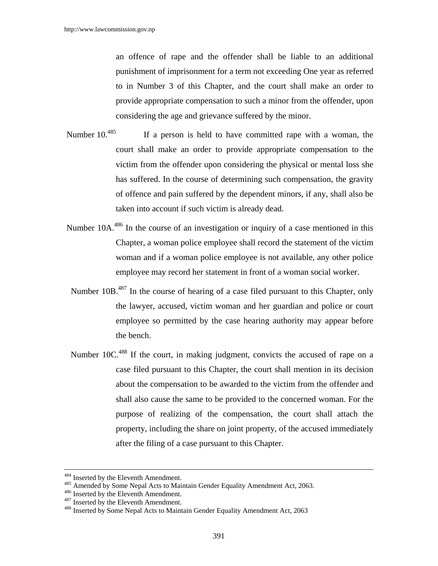an offence of rape and the offender shall be liable to an additional punishment of imprisonment for a term not exceeding One year as referred to in Number 3 of this Chapter, and the court shall make an order to provide appropriate compensation to such a minor from the offender, upon considering the age and grievance suffered by the minor.

- Number 10.<sup>485</sup> If a person is held to have committed rape with a woman, the court shall make an order to provide appropriate compensation to the victim from the offender upon considering the physical or mental loss she has suffered. In the course of determining such compensation, the gravity of offence and pain suffered by the dependent minors, if any, shall also be taken into account if such victim is already dead.
- Number 10A<sup>486</sup> In the course of an investigation or inquiry of a case mentioned in this Chapter, a woman police employee shall record the statement of the victim woman and if a woman police employee is not available, any other police employee may record her statement in front of a woman social worker.
- Number 10B<sup>487</sup> In the course of hearing of a case filed pursuant to this Chapter, only the lawyer, accused, victim woman and her guardian and police or court employee so permitted by the case hearing authority may appear before the bench.
- Number 10C.<sup>488</sup> If the court, in making judgment, convicts the accused of rape on a case filed pursuant to this Chapter, the court shall mention in its decision about the compensation to be awarded to the victim from the offender and shall also cause the same to be provided to the concerned woman. For the purpose of realizing of the compensation, the court shall attach the property, including the share on joint property, of the accused immediately after the filing of a case pursuant to this Chapter.

<sup>&</sup>lt;sup>484</sup> Inserted by the Eleventh Amendment.<br><sup>485</sup> Amended by Some Nepal Acts to Maintain Gender Equality Amendment Act, 2063.<br><sup>486</sup> Inserted by the Eleventh Amendment.<br><sup>487</sup> Inserted by the Eleventh Amendment.<br><sup>487</sup> Inserte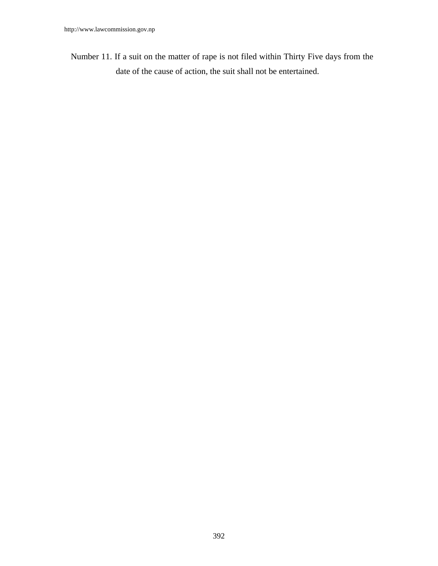Number 11. If a suit on the matter of rape is not filed within Thirty Five days from the date of the cause of action, the suit shall not be entertained.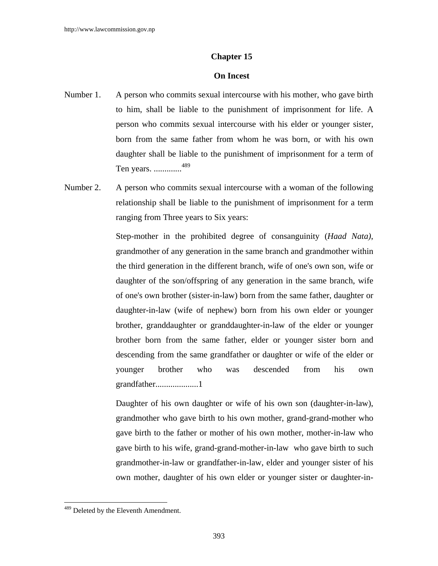#### **Chapter 15**

#### **On Incest**

- Number 1. A person who commits sexual intercourse with his mother, who gave birth to him, shall be liable to the punishment of imprisonment for life. A person who commits sexual intercourse with his elder or younger sister, born from the same father from whom he was born, or with his own daughter shall be liable to the punishment of imprisonment for a term of Ten years. .............489
- Number 2. A person who commits sexual intercourse with a woman of the following relationship shall be liable to the punishment of imprisonment for a term ranging from Three years to Six years:

 Step-mother in the prohibited degree of consanguinity (*Haad Nata)*, grandmother of any generation in the same branch and grandmother within the third generation in the different branch, wife of one's own son, wife or daughter of the son/offspring of any generation in the same branch, wife of one's own brother (sister-in-law) born from the same father, daughter or daughter-in-law (wife of nephew) born from his own elder or younger brother, granddaughter or granddaughter-in-law of the elder or younger brother born from the same father, elder or younger sister born and descending from the same grandfather or daughter or wife of the elder or younger brother who was descended from his own grandfather....................1

Daughter of his own daughter or wife of his own son (daughter-in-law), grandmother who gave birth to his own mother, grand-grand-mother who gave birth to the father or mother of his own mother, mother-in-law who gave birth to his wife, grand-grand-mother-in-law who gave birth to such grandmother-in-law or grandfather-in-law, elder and younger sister of his own mother, daughter of his own elder or younger sister or daughter-in-

<sup>&</sup>lt;sup>489</sup> Deleted by the Eleventh Amendment.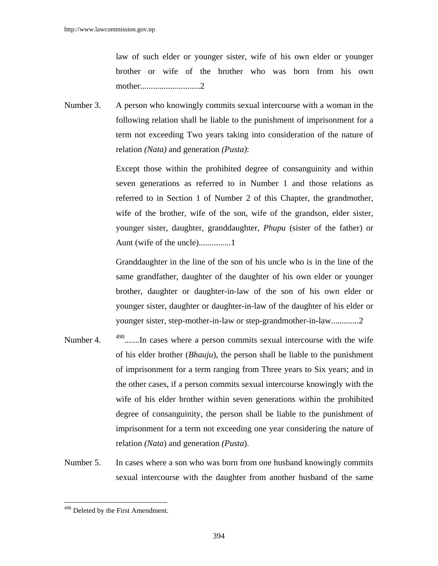law of such elder or younger sister, wife of his own elder or younger brother or wife of the brother who was born from his own mother............................2

Number 3. A person who knowingly commits sexual intercourse with a woman in the following relation shall be liable to the punishment of imprisonment for a term not exceeding Two years taking into consideration of the nature of relation *(Nata)* and generation *(Pusta)*:

> Except those within the prohibited degree of consanguinity and within seven generations as referred to in Number 1 and those relations as referred to in Section 1 of Number 2 of this Chapter, the grandmother, wife of the brother, wife of the son, wife of the grandson, elder sister, younger sister, daughter, granddaughter, *Phupu* (sister of the father) or Aunt (wife of the uncle)...............1

> Granddaughter in the line of the son of his uncle who is in the line of the same grandfather, daughter of the daughter of his own elder or younger brother, daughter or daughter-in-law of the son of his own elder or younger sister, daughter or daughter-in-law of the daughter of his elder or younger sister, step-mother-in-law or step-grandmother-in-law.............2

- Number 4.  $490$ ........In cases where a person commits sexual intercourse with the wife of his elder brother (*Bhauju*), the person shall be liable to the punishment of imprisonment for a term ranging from Three years to Six years; and in the other cases, if a person commits sexual intercourse knowingly with the wife of his elder brother within seven generations within the prohibited degree of consanguinity, the person shall be liable to the punishment of imprisonment for a term not exceeding one year considering the nature of relation *(Nata*) and generation *(Pusta*).
- Number 5. In cases where a son who was born from one husband knowingly commits sexual intercourse with the daughter from another husband of the same

<sup>&</sup>lt;sup>490</sup> Deleted by the First Amendment.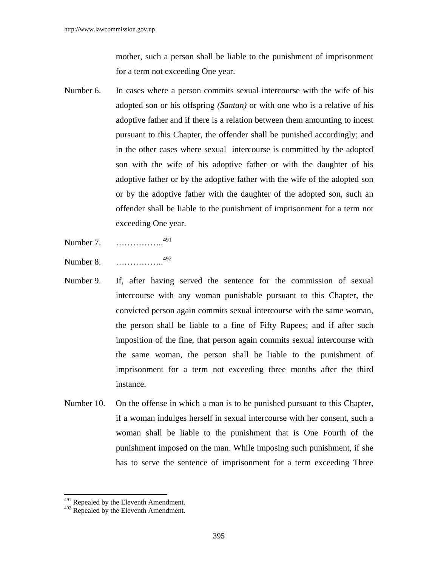mother, such a person shall be liable to the punishment of imprisonment for a term not exceeding One year.

- Number 6. In cases where a person commits sexual intercourse with the wife of his adopted son or his offspring *(Santan)* or with one who is a relative of his adoptive father and if there is a relation between them amounting to incest pursuant to this Chapter, the offender shall be punished accordingly; and in the other cases where sexual intercourse is committed by the adopted son with the wife of his adoptive father or with the daughter of his adoptive father or by the adoptive father with the wife of the adopted son or by the adoptive father with the daughter of the adopted son, such an offender shall be liable to the punishment of imprisonment for a term not exceeding One year.
- Number 7. …………….<sup>491</sup>
- Number 8. …………….<sup>492</sup>
- Number 9. If, after having served the sentence for the commission of sexual intercourse with any woman punishable pursuant to this Chapter, the convicted person again commits sexual intercourse with the same woman, the person shall be liable to a fine of Fifty Rupees; and if after such imposition of the fine, that person again commits sexual intercourse with the same woman, the person shall be liable to the punishment of imprisonment for a term not exceeding three months after the third instance.
- Number 10. On the offense in which a man is to be punished pursuant to this Chapter, if a woman indulges herself in sexual intercourse with her consent, such a woman shall be liable to the punishment that is One Fourth of the punishment imposed on the man. While imposing such punishment, if she has to serve the sentence of imprisonment for a term exceeding Three

<sup>&</sup>lt;sup>491</sup> Repealed by the Eleventh Amendment.

 $492$  Repealed by the Eleventh Amendment.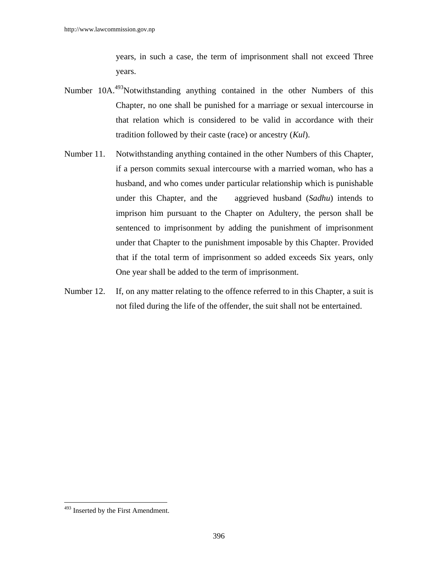years, in such a case, the term of imprisonment shall not exceed Three years.

- Number 10A.<sup>493</sup>Notwithstanding anything contained in the other Numbers of this Chapter, no one shall be punished for a marriage or sexual intercourse in that relation which is considered to be valid in accordance with their tradition followed by their caste (race) or ancestry (*Kul*).
- Number 11. Notwithstanding anything contained in the other Numbers of this Chapter, if a person commits sexual intercourse with a married woman, who has a husband, and who comes under particular relationship which is punishable under this Chapter, and the aggrieved husband (*Sadhu*) intends to imprison him pursuant to the Chapter on Adultery, the person shall be sentenced to imprisonment by adding the punishment of imprisonment under that Chapter to the punishment imposable by this Chapter. Provided that if the total term of imprisonment so added exceeds Six years, only One year shall be added to the term of imprisonment.
- Number 12. If, on any matter relating to the offence referred to in this Chapter, a suit is not filed during the life of the offender, the suit shall not be entertained.

<sup>&</sup>lt;sup>493</sup> Inserted by the First Amendment.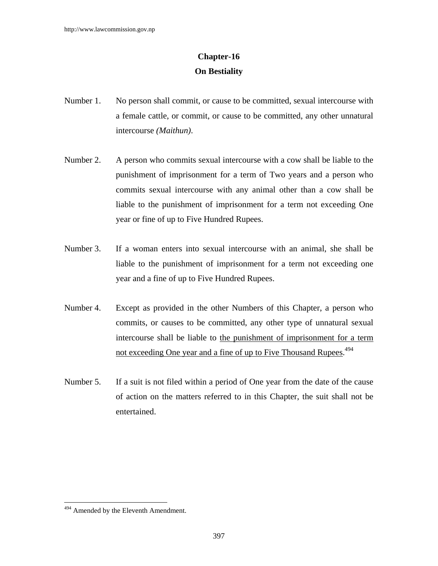## **Chapter-16 On Bestiality**

- Number 1. No person shall commit, or cause to be committed, sexual intercourse with a female cattle, or commit, or cause to be committed, any other unnatural intercourse *(Maithun)*.
- Number 2. A person who commits sexual intercourse with a cow shall be liable to the punishment of imprisonment for a term of Two years and a person who commits sexual intercourse with any animal other than a cow shall be liable to the punishment of imprisonment for a term not exceeding One year or fine of up to Five Hundred Rupees.
- Number 3. If a woman enters into sexual intercourse with an animal, she shall be liable to the punishment of imprisonment for a term not exceeding one year and a fine of up to Five Hundred Rupees.
- Number 4. Except as provided in the other Numbers of this Chapter, a person who commits, or causes to be committed, any other type of unnatural sexual intercourse shall be liable to the punishment of imprisonment for a term not exceeding One year and a fine of up to Five Thousand Rupees.<sup>494</sup>
- Number 5. If a suit is not filed within a period of One year from the date of the cause of action on the matters referred to in this Chapter, the suit shall not be entertained.

<sup>&</sup>lt;sup>494</sup> Amended by the Eleventh Amendment.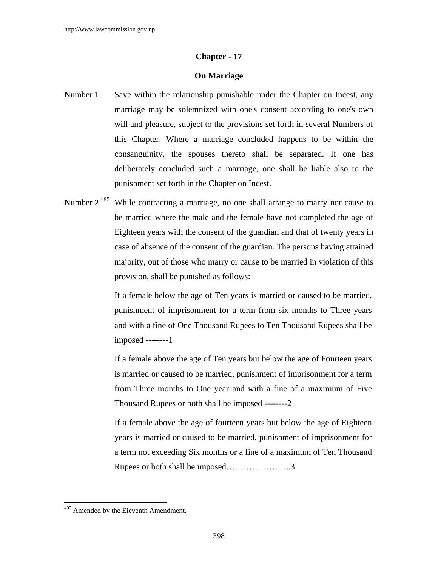#### **Chapter - 17**

#### **On Marriage**

- Number 1. Save within the relationship punishable under the Chapter on Incest, any marriage may be solemnized with one's consent according to one's own will and pleasure, subject to the provisions set forth in several Numbers of this Chapter. Where a marriage concluded happens to be within the consanguinity, the spouses thereto shall be separated. If one has deliberately concluded such a marriage, one shall be liable also to the punishment set forth in the Chapter on Incest.
- Number 2.<sup>495</sup> While contracting a marriage, no one shall arrange to marry nor cause to be married where the male and the female have not completed the age of Eighteen years with the consent of the guardian and that of twenty years in case of absence of the consent of the guardian. The persons having attained majority, out of those who marry or cause to be married in violation of this provision, shall be punished as follows:

 If a female below the age of Ten years is married or caused to be married, punishment of imprisonment for a term from six months to Three years and with a fine of One Thousand Rupees to Ten Thousand Rupees shall be imposed --------1

If a female above the age of Ten years but below the age of Fourteen years is married or caused to be married, punishment of imprisonment for a term from Three months to One year and with a fine of a maximum of Five Thousand Rupees or both shall be imposed --------2

 If a female above the age of fourteen years but below the age of Eighteen years is married or caused to be married, punishment of imprisonment for a term not exceeding Six months or a fine of a maximum of Ten Thousand Rupees or both shall be imposed…………………..3

<sup>&</sup>lt;sup>495</sup> Amended by the Eleventh Amendment.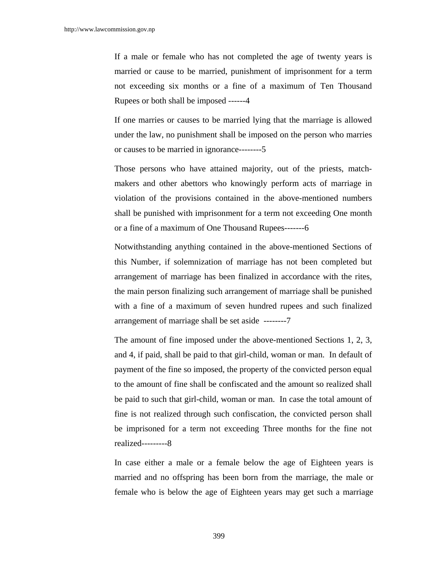If a male or female who has not completed the age of twenty years is married or cause to be married, punishment of imprisonment for a term not exceeding six months or a fine of a maximum of Ten Thousand Rupees or both shall be imposed ------4

 If one marries or causes to be married lying that the marriage is allowed under the law, no punishment shall be imposed on the person who marries or causes to be married in ignorance--------5

 Those persons who have attained majority, out of the priests, matchmakers and other abettors who knowingly perform acts of marriage in violation of the provisions contained in the above-mentioned numbers shall be punished with imprisonment for a term not exceeding One month or a fine of a maximum of One Thousand Rupees-------6

 Notwithstanding anything contained in the above-mentioned Sections of this Number, if solemnization of marriage has not been completed but arrangement of marriage has been finalized in accordance with the rites, the main person finalizing such arrangement of marriage shall be punished with a fine of a maximum of seven hundred rupees and such finalized arrangement of marriage shall be set aside --------7

 The amount of fine imposed under the above-mentioned Sections 1, 2, 3, and 4, if paid, shall be paid to that girl-child, woman or man. In default of payment of the fine so imposed, the property of the convicted person equal to the amount of fine shall be confiscated and the amount so realized shall be paid to such that girl-child, woman or man. In case the total amount of fine is not realized through such confiscation, the convicted person shall be imprisoned for a term not exceeding Three months for the fine not realized---------8

 In case either a male or a female below the age of Eighteen years is married and no offspring has been born from the marriage, the male or female who is below the age of Eighteen years may get such a marriage

399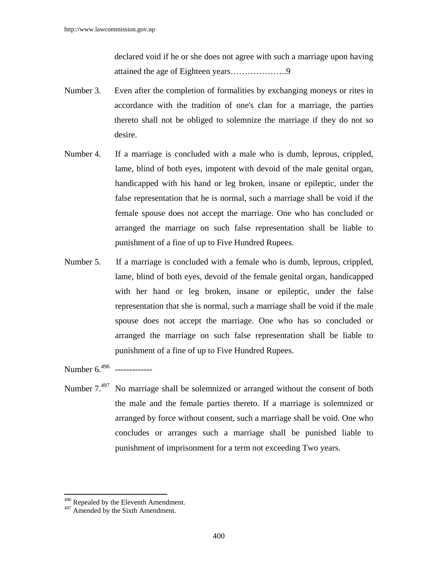declared void if he or she does not agree with such a marriage upon having attained the age of Eighteen years………………..9

- Number 3. Even after the completion of formalities by exchanging moneys or rites in accordance with the tradition of one's clan for a marriage, the parties thereto shall not be obliged to solemnize the marriage if they do not so desire.
- Number 4. If a marriage is concluded with a male who is dumb, leprous, crippled, lame, blind of both eyes, impotent with devoid of the male genital organ, handicapped with his hand or leg broken, insane or epileptic, under the false representation that he is normal, such a marriage shall be void if the female spouse does not accept the marriage. One who has concluded or arranged the marriage on such false representation shall be liable to punishment of a fine of up to Five Hundred Rupees.
- Number 5. If a marriage is concluded with a female who is dumb, leprous, crippled, lame, blind of both eyes, devoid of the female genital organ, handicapped with her hand or leg broken, insane or epileptic, under the false representation that she is normal, such a marriage shall be void if the male spouse does not accept the marriage. One who has so concluded or arranged the marriage on such false representation shall be liable to punishment of a fine of up to Five Hundred Rupees.

Number 6.<sup>496</sup> --------------

Number 7.<sup>497</sup> No marriage shall be solemnized or arranged without the consent of both the male and the female parties thereto. If a marriage is solemnized or arranged by force without consent, such a marriage shall be void. One who concludes or arranges such a marriage shall be punished liable to punishment of imprisonment for a term not exceeding Two years.

 $\overline{a}$ 

<sup>&</sup>lt;sup>496</sup> Repealed by the Eleventh Amendment.

<sup>&</sup>lt;sup>497</sup> Amended by the Sixth Amendment.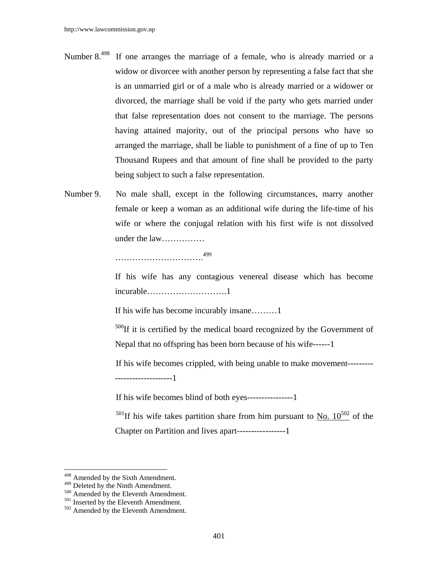- Number  $8^{498}$  If one arranges the marriage of a female, who is already married or a widow or divorcee with another person by representing a false fact that she is an unmarried girl or of a male who is already married or a widower or divorced, the marriage shall be void if the party who gets married under that false representation does not consent to the marriage. The persons having attained majority, out of the principal persons who have so arranged the marriage, shall be liable to punishment of a fine of up to Ten Thousand Rupees and that amount of fine shall be provided to the party being subject to such a false representation.
- Number 9. No male shall, except in the following circumstances, marry another female or keep a woman as an additional wife during the life-time of his wife or where the conjugal relation with his first wife is not dissolved under the law……………

………………………….499

 If his wife has any contagious venereal disease which has become incurable……………………….1

If his wife has become incurably insane………1

 $500$ If it is certified by the medical board recognized by the Government of Nepal that no offspring has been born because of his wife------1

If his wife becomes crippled, with being unable to make movement--------- --------------------1

If his wife becomes blind of both eyes----------------1

 $501$ If his wife takes partition share from him pursuant to No.  $10^{502}$  of the Chapter on Partition and lives apart-----------------1

 $\overline{a}$ 

 $498$  Amended by the Sixth Amendment.<br> $499$  Deleted by the Ninth Amendment.

 $^{500}$  Amended by the Eleventh Amendment.  $^{501}$  Inserted by the Eleventh Amendment.  $^{502}$  Amended by the Eleventh Amendment.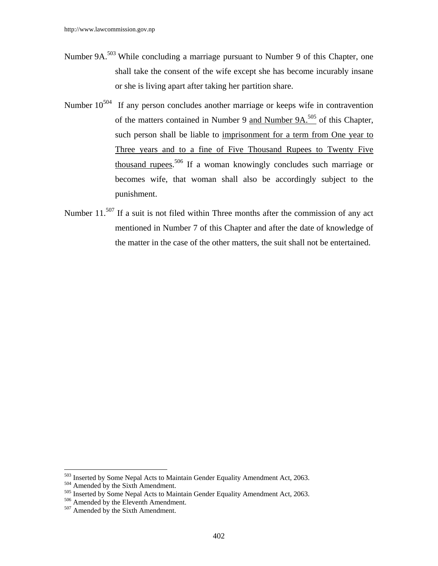- Number 9A.<sup>503</sup> While concluding a marriage pursuant to Number 9 of this Chapter, one shall take the consent of the wife except she has become incurably insane or she is living apart after taking her partition share.
- Number  $10^{504}$  If any person concludes another marriage or keeps wife in contravention of the matters contained in Number 9 and Number 9A.505 of this Chapter, such person shall be liable to imprisonment for a term from One year to Three years and to a fine of Five Thousand Rupees to Twenty Five thousand rupees.<sup>506</sup> If a woman knowingly concludes such marriage or becomes wife, that woman shall also be accordingly subject to the punishment.
- Number 11.<sup>507</sup> If a suit is not filed within Three months after the commission of any act mentioned in Number 7 of this Chapter and after the date of knowledge of the matter in the case of the other matters, the suit shall not be entertained.

 $\overline{a}$ 

<sup>&</sup>lt;sup>503</sup> Inserted by Some Nepal Acts to Maintain Gender Equality Amendment Act, 2063.<br><sup>504</sup> Amended by the Sixth Amendment.<br><sup>505</sup> Inserted by Some Nepal Acts to Maintain Gender Equality Amendment Act, 2063.<br><sup>506</sup> Amended by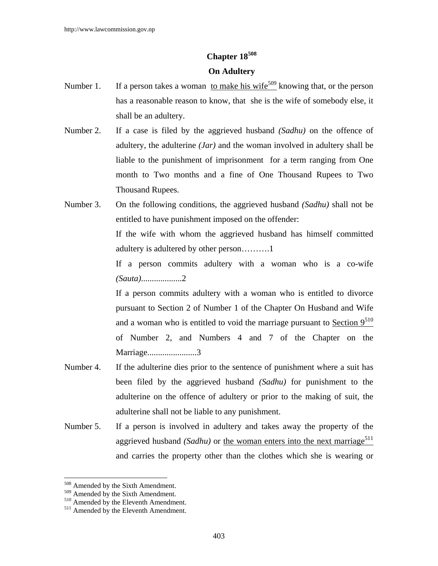# **Chapter 18508**

## **On Adultery**

- Number 1. If a person takes a woman to make his wife<sup>509</sup> knowing that, or the person has a reasonable reason to know, that she is the wife of somebody else, it shall be an adultery.
- Number 2. If a case is filed by the aggrieved husband *(Sadhu)* on the offence of adultery, the adulterine *(Jar)* and the woman involved in adultery shall be liable to the punishment of imprisonment for a term ranging from One month to Two months and a fine of One Thousand Rupees to Two Thousand Rupees.
- Number 3. On the following conditions, the aggrieved husband *(Sadhu)* shall not be entitled to have punishment imposed on the offender:

 If the wife with whom the aggrieved husband has himself committed adultery is adultered by other person……….1

 If a person commits adultery with a woman who is a co-wife *(Sauta)*...................2

 If a person commits adultery with a woman who is entitled to divorce pursuant to Section 2 of Number 1 of the Chapter On Husband and Wife and a woman who is entitled to void the marriage pursuant to Section  $9^{510}$ of Number 2, and Numbers 4 and 7 of the Chapter on the Marriage.......................3

- Number 4. If the adulterine dies prior to the sentence of punishment where a suit has been filed by the aggrieved husband *(Sadhu)* for punishment to the adulterine on the offence of adultery or prior to the making of suit, the adulterine shall not be liable to any punishment.
- Number 5. If a person is involved in adultery and takes away the property of the aggrieved husband *(Sadhu)* or the woman enters into the next marriage<sup>511</sup> and carries the property other than the clothes which she is wearing or

 $509$  Amended by the Sixth Amendment.<br> $509$  Amended by the Sixth Amendment.

 $\frac{510}{511}$  Amended by the Eleventh Amendment.  $\frac{511}{511}$  Amended by the Eleventh Amendment.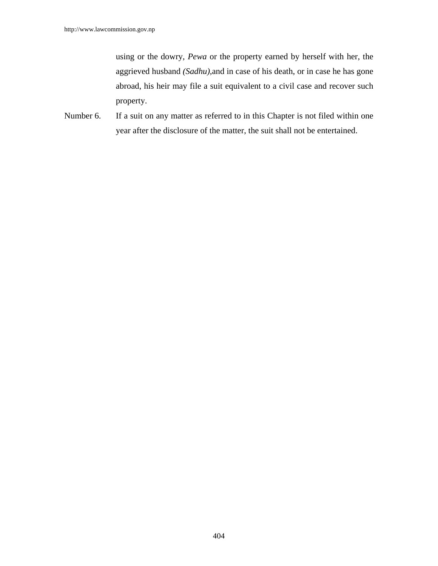using or the dowry, *Pewa* or the property earned by herself with her, the aggrieved husband *(Sadhu),*and in case of his death, or in case he has gone abroad, his heir may file a suit equivalent to a civil case and recover such property.

Number 6. If a suit on any matter as referred to in this Chapter is not filed within one year after the disclosure of the matter, the suit shall not be entertained.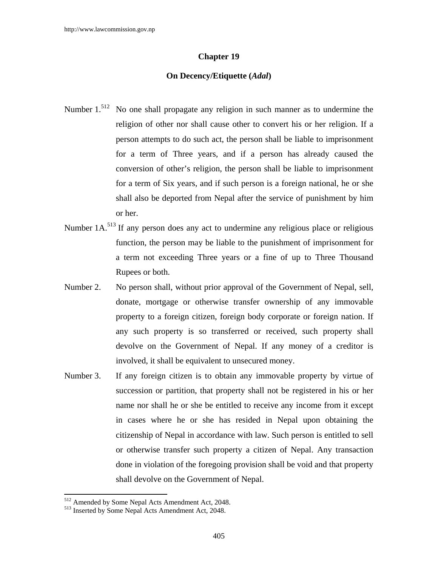### **Chapter 19**

### **On Decency/Etiquette (***Adal***)**

- Number  $1^{512}$  No one shall propagate any religion in such manner as to undermine the religion of other nor shall cause other to convert his or her religion. If a person attempts to do such act, the person shall be liable to imprisonment for a term of Three years, and if a person has already caused the conversion of other's religion, the person shall be liable to imprisonment for a term of Six years, and if such person is a foreign national, he or she shall also be deported from Nepal after the service of punishment by him or her.
- Number 1A.<sup>513</sup> If any person does any act to undermine any religious place or religious function, the person may be liable to the punishment of imprisonment for a term not exceeding Three years or a fine of up to Three Thousand Rupees or both.
- Number 2. No person shall, without prior approval of the Government of Nepal, sell, donate, mortgage or otherwise transfer ownership of any immovable property to a foreign citizen, foreign body corporate or foreign nation. If any such property is so transferred or received, such property shall devolve on the Government of Nepal. If any money of a creditor is involved, it shall be equivalent to unsecured money.
- Number 3. If any foreign citizen is to obtain any immovable property by virtue of succession or partition, that property shall not be registered in his or her name nor shall he or she be entitled to receive any income from it except in cases where he or she has resided in Nepal upon obtaining the citizenship of Nepal in accordance with law. Such person is entitled to sell or otherwise transfer such property a citizen of Nepal. Any transaction done in violation of the foregoing provision shall be void and that property shall devolve on the Government of Nepal.

<sup>512</sup> Amended by Some Nepal Acts Amendment Act, 2048.

<sup>&</sup>lt;sup>513</sup> Inserted by Some Nepal Acts Amendment Act, 2048.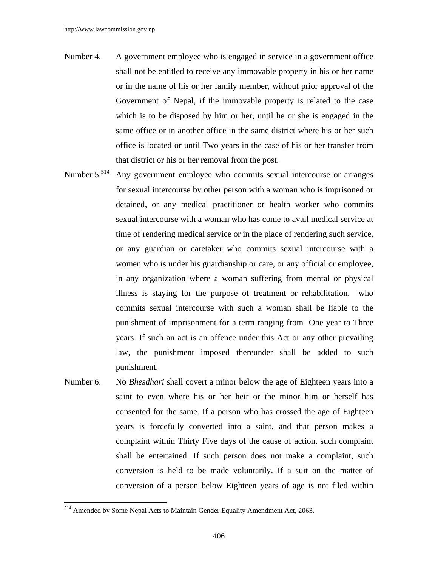- Number 4. A government employee who is engaged in service in a government office shall not be entitled to receive any immovable property in his or her name or in the name of his or her family member, without prior approval of the Government of Nepal, if the immovable property is related to the case which is to be disposed by him or her, until he or she is engaged in the same office or in another office in the same district where his or her such office is located or until Two years in the case of his or her transfer from that district or his or her removal from the post.
- Number 5.<sup>514</sup> Any government employee who commits sexual intercourse or arranges for sexual intercourse by other person with a woman who is imprisoned or detained, or any medical practitioner or health worker who commits sexual intercourse with a woman who has come to avail medical service at time of rendering medical service or in the place of rendering such service, or any guardian or caretaker who commits sexual intercourse with a women who is under his guardianship or care, or any official or employee, in any organization where a woman suffering from mental or physical illness is staying for the purpose of treatment or rehabilitation, who commits sexual intercourse with such a woman shall be liable to the punishment of imprisonment for a term ranging from One year to Three years. If such an act is an offence under this Act or any other prevailing law, the punishment imposed thereunder shall be added to such punishment.
- Number 6. No *Bhesdhari* shall covert a minor below the age of Eighteen years into a saint to even where his or her heir or the minor him or herself has consented for the same. If a person who has crossed the age of Eighteen years is forcefully converted into a saint, and that person makes a complaint within Thirty Five days of the cause of action, such complaint shall be entertained. If such person does not make a complaint, such conversion is held to be made voluntarily. If a suit on the matter of conversion of a person below Eighteen years of age is not filed within

<sup>&</sup>lt;sup>514</sup> Amended by Some Nepal Acts to Maintain Gender Equality Amendment Act, 2063.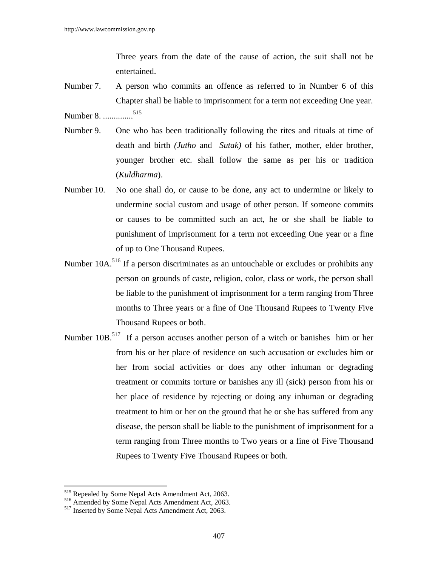Three years from the date of the cause of action, the suit shall not be entertained.

- Number 7. A person who commits an offence as referred to in Number 6 of this Chapter shall be liable to imprisonment for a term not exceeding One year. Number 8. ..............515
- 
- Number 9. One who has been traditionally following the rites and rituals at time of death and birth *(Jutho* and *Sutak)* of his father, mother, elder brother, younger brother etc. shall follow the same as per his or tradition (*Kuldharma*).
- Number 10. No one shall do, or cause to be done, any act to undermine or likely to undermine social custom and usage of other person. If someone commits or causes to be committed such an act, he or she shall be liable to punishment of imprisonment for a term not exceeding One year or a fine of up to One Thousand Rupees.
- Number 10A.<sup>516</sup> If a person discriminates as an untouchable or excludes or prohibits any person on grounds of caste, religion, color, class or work, the person shall be liable to the punishment of imprisonment for a term ranging from Three months to Three years or a fine of One Thousand Rupees to Twenty Five Thousand Rupees or both.
- Number 10B.<sup>517</sup> If a person accuses another person of a witch or banishes him or her from his or her place of residence on such accusation or excludes him or her from social activities or does any other inhuman or degrading treatment or commits torture or banishes any ill (sick) person from his or her place of residence by rejecting or doing any inhuman or degrading treatment to him or her on the ground that he or she has suffered from any disease, the person shall be liable to the punishment of imprisonment for a term ranging from Three months to Two years or a fine of Five Thousand Rupees to Twenty Five Thousand Rupees or both.

<sup>&</sup>lt;sup>515</sup> Repealed by Some Nepal Acts Amendment Act, 2063.

<sup>&</sup>lt;sup>516</sup> Amended by Some Nepal Acts Amendment Act, 2063.<br><sup>517</sup> Inserted by Some Nepal Acts Amendment Act, 2063.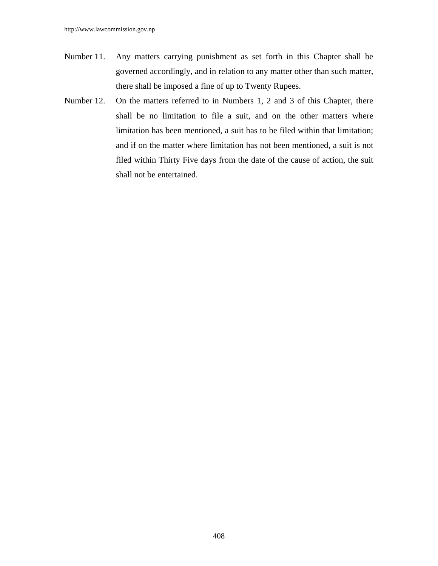- Number 11. Any matters carrying punishment as set forth in this Chapter shall be governed accordingly, and in relation to any matter other than such matter, there shall be imposed a fine of up to Twenty Rupees.
- Number 12. On the matters referred to in Numbers 1, 2 and 3 of this Chapter, there shall be no limitation to file a suit, and on the other matters where limitation has been mentioned, a suit has to be filed within that limitation; and if on the matter where limitation has not been mentioned, a suit is not filed within Thirty Five days from the date of the cause of action, the suit shall not be entertained.